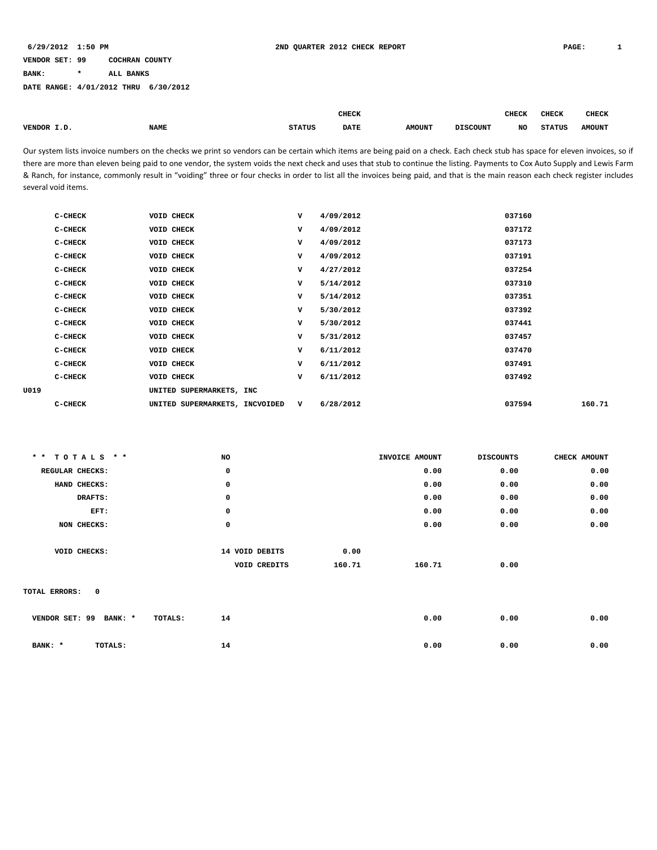**BANK: \* ALL BANKS**

**DATE RANGE: 4/01/2012 THRU 6/30/2012**

|        |             |               | <b>CHECK</b> |               |                 | <b>CHECK</b> | <b>CHECK</b>  | <b>CHECK</b>  |
|--------|-------------|---------------|--------------|---------------|-----------------|--------------|---------------|---------------|
|        |             |               |              |               |                 |              |               |               |
| VENDOR | <b>NAME</b> | <b>STATUS</b> | <b>DATE</b>  | <b>AMOUNT</b> | <b>DISCOUNT</b> | NO           | <b>STATUS</b> | <b>AMOUNT</b> |
|        |             |               |              |               |                 |              |               |               |

Our system lists invoice numbers on the checks we print so vendors can be certain which items are being paid on a check. Each check stub has space for eleven invoices, so if there are more than eleven being paid to one vendor, the system voids the next check and uses that stub to continue the listing. Payments to Cox Auto Supply and Lewis Farm & Ranch, for instance, commonly result in "voiding" three or four checks in order to list all the invoices being paid, and that is the main reason each check register includes several void items.

| 037160<br>VOID CHECK<br>4/09/2012<br>C-CHECK<br>v<br>4/09/2012<br>037172<br>C-CHECK<br>VOID CHECK<br>v<br>037173<br>VOID CHECK<br>v<br>4/09/2012<br>C-CHECK<br>VOID CHECK<br>v<br>4/09/2012<br>037191<br>$C-CHECK$<br>VOID CHECK<br>v<br>4/27/2012<br>037254<br>C-CHECK<br>5/14/2012<br>037310<br>$C-CHECK$<br>VOID CHECK<br>v<br>5/14/2012<br>037351<br>C-CHECK<br>VOID CHECK<br>v<br>5/30/2012<br>037392<br>VOID CHECK<br>v<br>C-CHECK<br>037441<br>VOID CHECK<br>v<br>5/30/2012<br>C-CHECK<br>VOID CHECK<br>v<br>5/31/2012<br>037457<br>$C-CHECK$<br>v<br>6/11/2012<br>037470<br>C-CHECK<br>VOID CHECK<br>6/11/2012<br>037491<br>$C-CHECK$<br>VOID CHECK<br>v<br>6/11/2012<br>037492<br>C-CHECK<br>VOID CHECK<br>v<br>UNITED SUPERMARKETS, INC<br>160.71<br>UNITED SUPERMARKETS, INCVOIDED V<br>6/28/2012<br>037594<br>C-CHECK |      |  |  |  |
|-----------------------------------------------------------------------------------------------------------------------------------------------------------------------------------------------------------------------------------------------------------------------------------------------------------------------------------------------------------------------------------------------------------------------------------------------------------------------------------------------------------------------------------------------------------------------------------------------------------------------------------------------------------------------------------------------------------------------------------------------------------------------------------------------------------------------------------|------|--|--|--|
|                                                                                                                                                                                                                                                                                                                                                                                                                                                                                                                                                                                                                                                                                                                                                                                                                                   |      |  |  |  |
|                                                                                                                                                                                                                                                                                                                                                                                                                                                                                                                                                                                                                                                                                                                                                                                                                                   |      |  |  |  |
|                                                                                                                                                                                                                                                                                                                                                                                                                                                                                                                                                                                                                                                                                                                                                                                                                                   |      |  |  |  |
|                                                                                                                                                                                                                                                                                                                                                                                                                                                                                                                                                                                                                                                                                                                                                                                                                                   |      |  |  |  |
|                                                                                                                                                                                                                                                                                                                                                                                                                                                                                                                                                                                                                                                                                                                                                                                                                                   |      |  |  |  |
|                                                                                                                                                                                                                                                                                                                                                                                                                                                                                                                                                                                                                                                                                                                                                                                                                                   |      |  |  |  |
|                                                                                                                                                                                                                                                                                                                                                                                                                                                                                                                                                                                                                                                                                                                                                                                                                                   |      |  |  |  |
|                                                                                                                                                                                                                                                                                                                                                                                                                                                                                                                                                                                                                                                                                                                                                                                                                                   |      |  |  |  |
|                                                                                                                                                                                                                                                                                                                                                                                                                                                                                                                                                                                                                                                                                                                                                                                                                                   |      |  |  |  |
|                                                                                                                                                                                                                                                                                                                                                                                                                                                                                                                                                                                                                                                                                                                                                                                                                                   |      |  |  |  |
|                                                                                                                                                                                                                                                                                                                                                                                                                                                                                                                                                                                                                                                                                                                                                                                                                                   |      |  |  |  |
|                                                                                                                                                                                                                                                                                                                                                                                                                                                                                                                                                                                                                                                                                                                                                                                                                                   |      |  |  |  |
|                                                                                                                                                                                                                                                                                                                                                                                                                                                                                                                                                                                                                                                                                                                                                                                                                                   |      |  |  |  |
|                                                                                                                                                                                                                                                                                                                                                                                                                                                                                                                                                                                                                                                                                                                                                                                                                                   | U019 |  |  |  |
|                                                                                                                                                                                                                                                                                                                                                                                                                                                                                                                                                                                                                                                                                                                                                                                                                                   |      |  |  |  |

| ** TOTALS **              | NO             |        | INVOICE AMOUNT | <b>DISCOUNTS</b> | CHECK AMOUNT |
|---------------------------|----------------|--------|----------------|------------------|--------------|
| REGULAR CHECKS:           | 0              |        | 0.00           | 0.00             | 0.00         |
| HAND CHECKS:              | 0              |        | 0.00           | 0.00             | 0.00         |
| DRAFTS:                   | 0              |        | 0.00           | 0.00             | 0.00         |
| EFT:                      | 0              |        | 0.00           | 0.00             | 0.00         |
| NON CHECKS:               | 0              |        | 0.00           | 0.00             | 0.00         |
|                           |                |        |                |                  |              |
| VOID CHECKS:              | 14 VOID DEBITS | 0.00   |                |                  |              |
|                           | VOID CREDITS   | 160.71 | 160.71         | 0.00             |              |
|                           |                |        |                |                  |              |
| 0<br>TOTAL ERRORS:        |                |        |                |                  |              |
|                           |                |        |                |                  |              |
| VENDOR SET: 99<br>BANK: * | 14<br>TOTALS:  |        | 0.00           | 0.00             | 0.00         |
|                           |                |        |                |                  |              |
| TOTALS:<br>BANK: *        | 14             |        | 0.00           | 0.00             | 0.00         |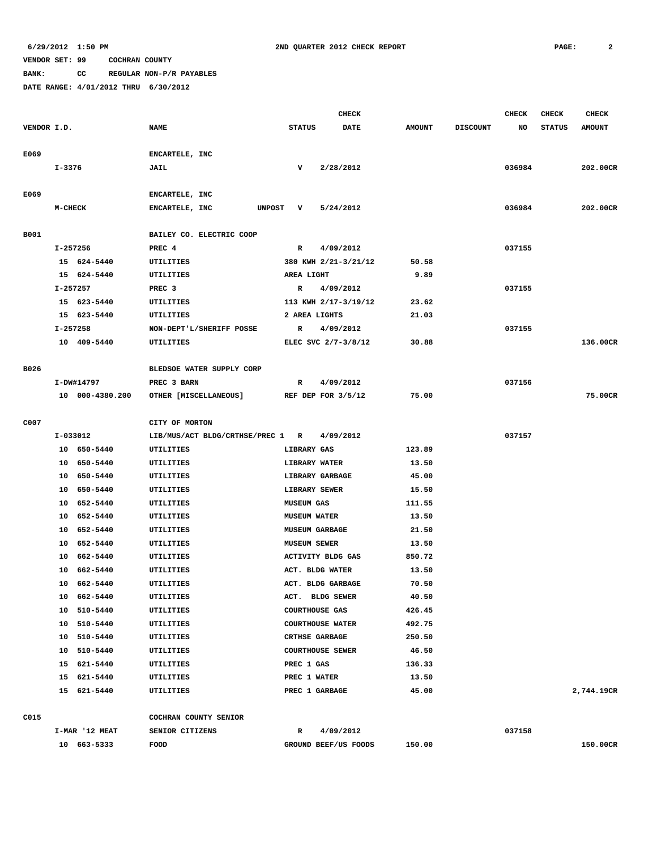**BANK: CC REGULAR NON-P/R PAYABLES**

|             |                |                            |                                  |                                    | <b>CHECK</b>            |                 |                 | <b>CHECK</b> | <b>CHECK</b>  | <b>CHECK</b>  |
|-------------|----------------|----------------------------|----------------------------------|------------------------------------|-------------------------|-----------------|-----------------|--------------|---------------|---------------|
| VENDOR I.D. |                |                            | <b>NAME</b>                      | <b>STATUS</b>                      | <b>DATE</b>             | <b>AMOUNT</b>   | <b>DISCOUNT</b> | NO           | <b>STATUS</b> | <b>AMOUNT</b> |
|             |                |                            |                                  |                                    |                         |                 |                 |              |               |               |
| E069        |                |                            | ENCARTELE, INC                   |                                    |                         |                 |                 |              |               |               |
|             | I-3376         |                            | <b>JAIL</b>                      | v                                  | 2/28/2012               |                 |                 | 036984       |               | 202.00CR      |
|             |                |                            |                                  |                                    |                         |                 |                 |              |               |               |
| E069        |                |                            | ENCARTELE, INC                   |                                    |                         |                 |                 |              |               |               |
|             | <b>M-CHECK</b> |                            | ENCARTELE, INC<br>UNPOST V       |                                    | 5/24/2012               |                 |                 | 036984       |               | 202.00CR      |
|             |                |                            | BAILEY CO. ELECTRIC COOP         |                                    |                         |                 |                 |              |               |               |
| B001        | I-257256       |                            | PREC 4                           | $\mathbb{R}$                       | 4/09/2012               |                 |                 | 037155       |               |               |
|             |                | 15 624-5440                | UTILITIES                        |                                    | 380 KWH 2/21-3/21/12    | 50.58           |                 |              |               |               |
|             |                | 15 624-5440                | UTILITIES                        | <b>AREA LIGHT</b>                  |                         | 9.89            |                 |              |               |               |
|             | I-257257       |                            | PREC 3                           |                                    | R 4/09/2012             |                 |                 | 037155       |               |               |
|             |                | 15 623-5440                | UTILITIES                        |                                    | 113 KWH 2/17-3/19/12    | 23.62           |                 |              |               |               |
|             |                | 15 623-5440                | UTILITIES                        | 2 AREA LIGHTS                      |                         | 21.03           |                 |              |               |               |
|             | I-257258       |                            | NON-DEPT'L/SHERIFF POSSE         |                                    | R 4/09/2012             |                 |                 | 037155       |               |               |
|             |                | 10 409-5440                | UTILITIES                        |                                    | ELEC SVC 2/7-3/8/12     | 30.88           |                 |              |               | 136.00CR      |
|             |                |                            |                                  |                                    |                         |                 |                 |              |               |               |
| B026        |                |                            | BLEDSOE WATER SUPPLY CORP        |                                    |                         |                 |                 |              |               |               |
|             |                | I-DW#14797                 | PREC 3 BARN                      | $\mathbb{R}$                       | 4/09/2012               |                 |                 | 037156       |               |               |
|             |                | 10 000-4380.200            | OTHER [MISCELLANEOUS]            |                                    | REF DEP FOR $3/5/12$    | 75.00           |                 |              |               | 75.00CR       |
|             |                |                            |                                  |                                    |                         |                 |                 |              |               |               |
| C007        |                |                            | CITY OF MORTON                   |                                    |                         |                 |                 |              |               |               |
|             | I-033012       |                            | LIB/MUS/ACT BLDG/CRTHSE/PREC 1 R |                                    | 4/09/2012               |                 |                 | 037157       |               |               |
|             |                | 10 650-5440                | UTILITIES                        | LIBRARY GAS                        |                         | 123.89          |                 |              |               |               |
|             |                | 10 650-5440                | UTILITIES                        | <b>LIBRARY WATER</b>               |                         | 13.50           |                 |              |               |               |
|             |                | 10 650-5440                | UTILITIES                        |                                    | LIBRARY GARBAGE         | 45.00           |                 |              |               |               |
|             |                | 10 650-5440<br>10 652-5440 | UTILITIES<br>UTILITIES           | LIBRARY SEWER<br><b>MUSEUM GAS</b> |                         | 15.50<br>111.55 |                 |              |               |               |
|             |                | 10 652-5440                | UTILITIES                        | <b>MUSEUM WATER</b>                |                         | 13.50           |                 |              |               |               |
|             |                | 10 652-5440                | UTILITIES                        | <b>MUSEUM GARBAGE</b>              |                         | 21.50           |                 |              |               |               |
|             |                | 10 652-5440                | UTILITIES                        | <b>MUSEUM SEWER</b>                |                         | 13.50           |                 |              |               |               |
|             |                | 10 662-5440                | UTILITIES                        |                                    | ACTIVITY BLDG GAS       | 850.72          |                 |              |               |               |
|             |                | 10 662-5440                | UTILITIES                        |                                    | ACT. BLDG WATER         | 13.50           |                 |              |               |               |
|             |                | 10 662-5440                | UTILITIES                        |                                    | ACT. BLDG GARBAGE       | 70.50           |                 |              |               |               |
|             |                | 10 662-5440                | UTILITIES                        |                                    | ACT. BLDG SEWER         | 40.50           |                 |              |               |               |
|             |                | 10 510-5440                | UTILITIES                        | <b>COURTHOUSE GAS</b>              |                         | 426.45          |                 |              |               |               |
|             |                | 10 510-5440                | UTILITIES                        |                                    | <b>COURTHOUSE WATER</b> | 492.75          |                 |              |               |               |
|             |                | 10 510-5440                | UTILITIES                        | <b>CRTHSE GARBAGE</b>              |                         | 250.50          |                 |              |               |               |
|             |                | 10 510-5440                | UTILITIES                        |                                    | <b>COURTHOUSE SEWER</b> | 46.50           |                 |              |               |               |
|             |                | 15 621-5440                | UTILITIES                        | PREC 1 GAS                         |                         | 136.33          |                 |              |               |               |
|             |                | 15 621-5440                | UTILITIES                        | PREC 1 WATER                       |                         | 13.50           |                 |              |               |               |
|             |                | 15 621-5440                | UTILITIES                        | PREC 1 GARBAGE                     |                         | 45.00           |                 |              |               | 2,744.19CR    |
|             |                |                            |                                  |                                    |                         |                 |                 |              |               |               |
| C015        |                |                            | COCHRAN COUNTY SENIOR            |                                    |                         |                 |                 |              |               |               |
|             |                | I-MAR '12 MEAT             | SENIOR CITIZENS                  | $\mathbb{R}$                       | 4/09/2012               |                 |                 | 037158       |               |               |
|             |                | 10 663-5333                | FOOD                             |                                    | GROUND BEEF/US FOODS    | 150.00          |                 |              |               | 150.00CR      |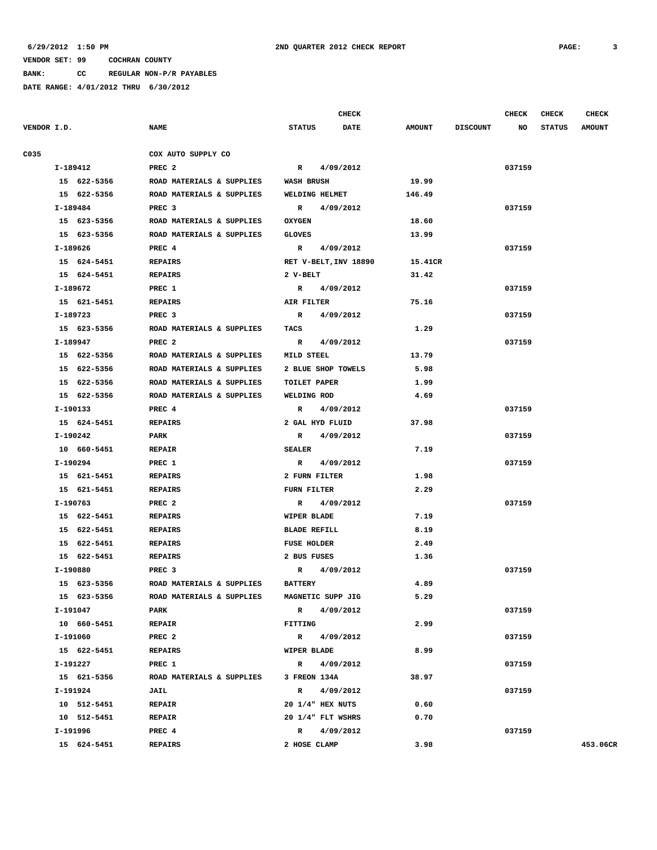**BANK: CC REGULAR NON-P/R PAYABLES**

|             |          |             |                           |                     | <b>CHECK</b>          |               |                 | <b>CHECK</b> | <b>CHECK</b>  | <b>CHECK</b>  |
|-------------|----------|-------------|---------------------------|---------------------|-----------------------|---------------|-----------------|--------------|---------------|---------------|
| VENDOR I.D. |          |             | <b>NAME</b>               | <b>STATUS</b>       | <b>DATE</b>           | <b>AMOUNT</b> | <b>DISCOUNT</b> | NO           | <b>STATUS</b> | <b>AMOUNT</b> |
|             |          |             | COX AUTO SUPPLY CO        |                     |                       |               |                 |              |               |               |
| C035        | I-189412 |             | PREC <sub>2</sub>         | $\mathbf R$         | 4/09/2012             |               |                 | 037159       |               |               |
|             |          | 15 622-5356 | ROAD MATERIALS & SUPPLIES | <b>WASH BRUSH</b>   |                       | 19.99         |                 |              |               |               |
|             |          | 15 622-5356 | ROAD MATERIALS & SUPPLIES |                     | <b>WELDING HELMET</b> | 146.49        |                 |              |               |               |
|             | I-189484 |             | PREC <sub>3</sub>         | $\mathbf R$         | 4/09/2012             |               |                 | 037159       |               |               |
|             |          | 15 623-5356 | ROAD MATERIALS & SUPPLIES | <b>OXYGEN</b>       |                       | 18.60         |                 |              |               |               |
|             |          | 15 623-5356 | ROAD MATERIALS & SUPPLIES | <b>GLOVES</b>       |                       | 13.99         |                 |              |               |               |
|             | I-189626 |             | PREC 4                    | $\mathbb{R}$        | 4/09/2012             |               |                 | 037159       |               |               |
|             |          | 15 624-5451 | <b>REPAIRS</b>            |                     | RET V-BELT, INV 18890 | 15.41CR       |                 |              |               |               |
|             |          | 15 624-5451 | <b>REPAIRS</b>            | 2 V-BELT            |                       | 31.42         |                 |              |               |               |
|             | I-189672 |             | PREC 1                    |                     | R 4/09/2012           |               |                 | 037159       |               |               |
|             |          | 15 621-5451 | <b>REPAIRS</b>            | AIR FILTER          |                       | 75.16         |                 |              |               |               |
|             | I-189723 |             | PREC 3                    | $\mathbf{R}$        | 4/09/2012             |               |                 | 037159       |               |               |
|             |          | 15 623-5356 | ROAD MATERIALS & SUPPLIES |                     |                       |               |                 |              |               |               |
|             |          |             |                           | <b>TACS</b>         |                       | 1.29          |                 |              |               |               |
|             | I-189947 |             | PREC 2                    |                     | R 4/09/2012           |               |                 | 037159       |               |               |
|             |          | 15 622-5356 | ROAD MATERIALS & SUPPLIES | MILD STEEL          |                       | 13.79         |                 |              |               |               |
|             |          | 15 622-5356 | ROAD MATERIALS & SUPPLIES |                     | 2 BLUE SHOP TOWELS    | 5.98          |                 |              |               |               |
|             |          | 15 622-5356 | ROAD MATERIALS & SUPPLIES | <b>TOILET PAPER</b> |                       | 1.99          |                 |              |               |               |
|             |          | 15 622-5356 | ROAD MATERIALS & SUPPLIES | WELDING ROD         |                       | 4.69          |                 |              |               |               |
|             | I-190133 |             | PREC 4                    | $\mathbb{R}$        | 4/09/2012             |               |                 | 037159       |               |               |
|             |          | 15 624-5451 | <b>REPAIRS</b>            |                     | 2 GAL HYD FLUID       | 37.98         |                 |              |               |               |
|             | I-190242 |             | <b>PARK</b>               | $\mathbf{R}$        | 4/09/2012             |               |                 | 037159       |               |               |
|             |          | 10 660-5451 | <b>REPAIR</b>             | <b>SEALER</b>       |                       | 7.19          |                 |              |               |               |
|             | I-190294 |             | PREC 1                    | $\mathbb{R}$        | 4/09/2012             |               |                 | 037159       |               |               |
|             |          | 15 621-5451 | <b>REPAIRS</b>            |                     | 2 FURN FILTER         | 1.98          |                 |              |               |               |
|             |          | 15 621-5451 | <b>REPAIRS</b>            | FURN FILTER         |                       | 2.29          |                 |              |               |               |
|             | I-190763 |             | PREC <sub>2</sub>         | $\mathbb{R}$        | 4/09/2012             |               |                 | 037159       |               |               |
|             |          | 15 622-5451 | <b>REPAIRS</b>            | WIPER BLADE         |                       | 7.19          |                 |              |               |               |
|             |          | 15 622-5451 | <b>REPAIRS</b>            | <b>BLADE REFILL</b> |                       | 8.19          |                 |              |               |               |
|             |          | 15 622-5451 | <b>REPAIRS</b>            | <b>FUSE HOLDER</b>  |                       | 2.49          |                 |              |               |               |
|             |          | 15 622-5451 | <b>REPAIRS</b>            | 2 BUS FUSES         |                       | 1.36          |                 |              |               |               |
|             | I-190880 |             | PREC 3                    |                     | R 4/09/2012           |               |                 | 037159       |               |               |
|             |          | 15 623-5356 | ROAD MATERIALS & SUPPLIES | <b>BATTERY</b>      |                       | 4.89          |                 |              |               |               |
|             |          | 15 623-5356 | ROAD MATERIALS & SUPPLIES |                     | MAGNETIC SUPP JIG     | 5.29          |                 |              |               |               |
|             | I-191047 |             | PARK                      |                     | R 4/09/2012           |               |                 | 037159       |               |               |
|             |          | 10 660-5451 | <b>REPAIR</b>             | FITTING             |                       | 2.99          |                 |              |               |               |
|             | I-191060 |             | PREC <sub>2</sub>         |                     | R 4/09/2012           |               |                 | 037159       |               |               |
|             |          | 15 622-5451 | <b>REPAIRS</b>            | WIPER BLADE         |                       | 8.99          |                 |              |               |               |
|             | I-191227 |             | PREC 1                    |                     | R 4/09/2012           |               |                 | 037159       |               |               |
|             |          | 15 621-5356 | ROAD MATERIALS & SUPPLIES | 3 FREON 134A        |                       | 38.97         |                 |              |               |               |
|             | I-191924 |             | <b>JAIL</b>               | $\mathbb{R}$        | 4/09/2012             |               |                 | 037159       |               |               |
|             |          | 10 512-5451 | <b>REPAIR</b>             |                     | 20 1/4" HEX NUTS      | 0.60          |                 |              |               |               |
|             |          | 10 512-5451 | <b>REPAIR</b>             |                     | 20 1/4" FLT WSHRS     | 0.70          |                 |              |               |               |
|             | I-191996 |             | PREC 4                    |                     | R 4/09/2012           |               |                 | 037159       |               |               |
|             |          | 15 624-5451 | <b>REPAIRS</b>            | 2 HOSE CLAMP        |                       | 3.98          |                 |              |               | 453.06CR      |
|             |          |             |                           |                     |                       |               |                 |              |               |               |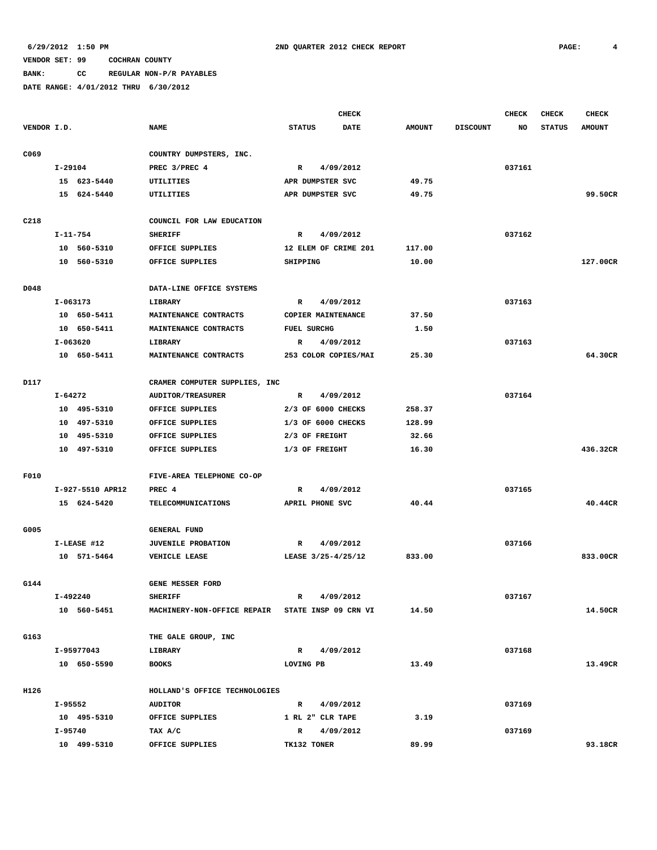**BANK: CC REGULAR NON-P/R PAYABLES**

|             |          |                  |                                                  |                    |                    | <b>CHECK</b>         |               |                 | <b>CHECK</b> | <b>CHECK</b>  | <b>CHECK</b>  |
|-------------|----------|------------------|--------------------------------------------------|--------------------|--------------------|----------------------|---------------|-----------------|--------------|---------------|---------------|
| VENDOR I.D. |          |                  | <b>NAME</b>                                      | <b>STATUS</b>      |                    | <b>DATE</b>          | <b>AMOUNT</b> | <b>DISCOUNT</b> | NO           | <b>STATUS</b> | <b>AMOUNT</b> |
| C069        |          |                  | COUNTRY DUMPSTERS, INC.                          |                    |                    |                      |               |                 |              |               |               |
|             | I-29104  |                  | PREC 3/PREC 4                                    | $\mathbb{R}$       | 4/09/2012          |                      |               |                 | 037161       |               |               |
|             |          | 15 623-5440      | UTILITIES                                        | APR DUMPSTER SVC   |                    |                      | 49.75         |                 |              |               |               |
|             |          | 15 624-5440      | UTILITIES                                        | APR DUMPSTER SVC   |                    |                      | 49.75         |                 |              |               | 99.50CR       |
|             |          |                  |                                                  |                    |                    |                      |               |                 |              |               |               |
| C218        |          |                  | COUNCIL FOR LAW EDUCATION                        |                    |                    |                      |               |                 |              |               |               |
|             |          | I-11-754         | <b>SHERIFF</b>                                   | $\mathbb{R}$       | 4/09/2012          |                      |               |                 | 037162       |               |               |
|             |          | 10 560-5310      | OFFICE SUPPLIES                                  |                    |                    | 12 ELEM OF CRIME 201 | 117.00        |                 |              |               |               |
|             |          | 10 560-5310      | OFFICE SUPPLIES                                  | SHIPPING           |                    |                      | 10.00         |                 |              |               | 127.00CR      |
| D048        |          |                  | DATA-LINE OFFICE SYSTEMS                         |                    |                    |                      |               |                 |              |               |               |
|             | I-063173 |                  | LIBRARY                                          | $\mathbb{R}$       | 4/09/2012          |                      |               |                 | 037163       |               |               |
|             |          | 10 650-5411      | MAINTENANCE CONTRACTS                            |                    | COPIER MAINTENANCE |                      | 37.50         |                 |              |               |               |
|             |          | 10 650-5411      | MAINTENANCE CONTRACTS                            | <b>FUEL SURCHG</b> |                    |                      | 1.50          |                 |              |               |               |
|             | I-063620 |                  | LIBRARY                                          | R                  | 4/09/2012          |                      |               |                 | 037163       |               |               |
|             |          | 10 650-5411      | MAINTENANCE CONTRACTS                            |                    |                    | 253 COLOR COPIES/MAI | 25.30         |                 |              |               | 64.30CR       |
|             |          |                  |                                                  |                    |                    |                      |               |                 |              |               |               |
| D117        |          |                  | CRAMER COMPUTER SUPPLIES, INC                    |                    |                    |                      |               |                 |              |               |               |
|             | I-64272  |                  | <b>AUDITOR/TREASURER</b>                         | $\mathbf R$        | 4/09/2012          |                      |               |                 | 037164       |               |               |
|             |          | 10 495-5310      | OFFICE SUPPLIES                                  | 2/3 OF 6000 CHECKS |                    |                      | 258.37        |                 |              |               |               |
|             |          | 10 497-5310      | OFFICE SUPPLIES                                  | 1/3 OF 6000 CHECKS |                    |                      | 128.99        |                 |              |               |               |
|             |          | 10 495-5310      | OFFICE SUPPLIES                                  | 2/3 OF FREIGHT     |                    |                      | 32.66         |                 |              |               |               |
|             |          | 10 497-5310      | OFFICE SUPPLIES                                  | 1/3 OF FREIGHT     |                    |                      | 16.30         |                 |              |               | 436.32CR      |
| F010        |          |                  | FIVE-AREA TELEPHONE CO-OP                        |                    |                    |                      |               |                 |              |               |               |
|             |          | I-927-5510 APR12 | PREC 4                                           | R                  | 4/09/2012          |                      |               |                 | 037165       |               |               |
|             |          | 15 624-5420      | <b>TELECOMMUNICATIONS</b>                        | APRIL PHONE SVC    |                    |                      | 40.44         |                 |              |               | 40.44CR       |
| G005        |          |                  | <b>GENERAL FUND</b>                              |                    |                    |                      |               |                 |              |               |               |
|             |          | I-LEASE #12      | <b>JUVENILE PROBATION</b>                        | $\mathbb{R}$       | 4/09/2012          |                      |               |                 | 037166       |               |               |
|             |          | 10 571-5464      | <b>VEHICLE LEASE</b>                             | LEASE 3/25-4/25/12 |                    |                      | 833.00        |                 |              |               | 833.00CR      |
|             |          |                  |                                                  |                    |                    |                      |               |                 |              |               |               |
| G144        |          |                  | GENE MESSER FORD                                 |                    |                    |                      |               |                 |              |               |               |
|             | I-492240 |                  | <b>SHERIFF</b>                                   | $\mathbb{R}$       | 4/09/2012          |                      |               |                 | 037167       |               |               |
|             |          | 10 560-5451      | MACHINERY-NON-OFFICE REPAIR STATE INSP 09 CRN VI |                    |                    |                      | 14.50         |                 |              |               | 14.50CR       |
| G163        |          |                  | THE GALE GROUP, INC                              |                    |                    |                      |               |                 |              |               |               |
|             |          | I-95977043       | LIBRARY                                          | R                  | 4/09/2012          |                      |               |                 | 037168       |               |               |
|             |          | 10 650-5590      | <b>BOOKS</b>                                     | LOVING PB          |                    |                      | 13.49         |                 |              |               | 13.49CR       |
|             |          |                  |                                                  |                    |                    |                      |               |                 |              |               |               |
| H126        |          |                  | HOLLAND'S OFFICE TECHNOLOGIES                    |                    |                    |                      |               |                 |              |               |               |
|             | I-95552  |                  | AUDITOR                                          | $\mathbb{R}$       | 4/09/2012          |                      |               |                 | 037169       |               |               |
|             |          | 10 495-5310      | OFFICE SUPPLIES                                  | 1 RL 2" CLR TAPE   |                    |                      | 3.19          |                 |              |               |               |
|             | I-95740  |                  | TAX A/C                                          | $\mathbf{R}$       | 4/09/2012          |                      |               |                 | 037169       |               |               |
|             |          | 10 499-5310      | OFFICE SUPPLIES                                  | TK132 TONER        |                    |                      | 89.99         |                 |              |               | 93.18CR       |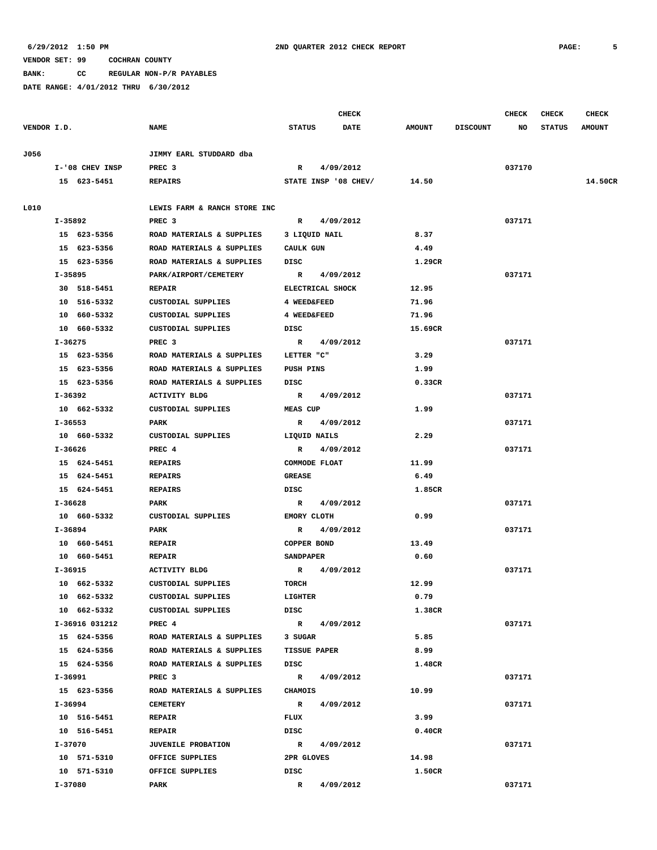**BANK: CC REGULAR NON-P/R PAYABLES**

|             |                 |                              |                     | <b>CHECK</b>         |               |                 | CHECK  | <b>CHECK</b>  | <b>CHECK</b>  |
|-------------|-----------------|------------------------------|---------------------|----------------------|---------------|-----------------|--------|---------------|---------------|
| VENDOR I.D. |                 | <b>NAME</b>                  | <b>STATUS</b>       | <b>DATE</b>          | <b>AMOUNT</b> | <b>DISCOUNT</b> | NO     | <b>STATUS</b> | <b>AMOUNT</b> |
| J056        |                 | JIMMY EARL STUDDARD dba      |                     |                      |               |                 |        |               |               |
|             | I-'08 CHEV INSP | PREC <sub>3</sub>            | $\mathbb{R}$        | 4/09/2012            |               |                 | 037170 |               |               |
|             | 15 623-5451     | <b>REPAIRS</b>               |                     | STATE INSP '08 CHEV/ | 14.50         |                 |        |               | 14.50CR       |
| L010        |                 | LEWIS FARM & RANCH STORE INC |                     |                      |               |                 |        |               |               |
|             | $I-35892$       | PREC <sub>3</sub>            | $\mathbb{R}$        | 4/09/2012            |               |                 | 037171 |               |               |
|             | 15 623-5356     | ROAD MATERIALS & SUPPLIES    | 3 LIQUID NAIL       |                      | 8.37          |                 |        |               |               |
|             | 15 623-5356     | ROAD MATERIALS & SUPPLIES    | CAULK GUN           |                      | 4.49          |                 |        |               |               |
|             | 15 623-5356     | ROAD MATERIALS & SUPPLIES    | DISC                |                      | 1.29CR        |                 |        |               |               |
|             | I-35895         | PARK/AIRPORT/CEMETERY        | $\mathbb{R}$        | 4/09/2012            |               |                 | 037171 |               |               |
|             | 30 518-5451     | <b>REPAIR</b>                | ELECTRICAL SHOCK    |                      | 12.95         |                 |        |               |               |
|             | 10 516-5332     | CUSTODIAL SUPPLIES           | 4 WEED&FEED         |                      | 71.96         |                 |        |               |               |
|             | 10 660-5332     | CUSTODIAL SUPPLIES           | 4 WEED&FEED         |                      | 71.96         |                 |        |               |               |
|             | 10 660-5332     | CUSTODIAL SUPPLIES           | DISC                |                      | 15.69CR       |                 |        |               |               |
|             | I-36275         | PREC 3                       | $\mathbb{R}$        | 4/09/2012            |               |                 | 037171 |               |               |
|             | 15 623-5356     | ROAD MATERIALS & SUPPLIES    | LETTER "C"          |                      | 3.29          |                 |        |               |               |
|             | 15 623-5356     | ROAD MATERIALS & SUPPLIES    | PUSH PINS           |                      | 1.99          |                 |        |               |               |
|             | 15 623-5356     | ROAD MATERIALS & SUPPLIES    | DISC                |                      | 0.33CR        |                 |        |               |               |
|             | I-36392         | <b>ACTIVITY BLDG</b>         | $\mathbb{R}$        | 4/09/2012            |               |                 | 037171 |               |               |
|             |                 |                              |                     |                      |               |                 |        |               |               |
|             | 10 662-5332     | CUSTODIAL SUPPLIES           | MEAS CUP            |                      | 1.99          |                 |        |               |               |
|             | I-36553         | PARK                         | $\mathbb{R}$        | 4/09/2012            |               |                 | 037171 |               |               |
|             | 10 660-5332     | CUSTODIAL SUPPLIES           | LIQUID NAILS        |                      | 2.29          |                 |        |               |               |
|             | I-36626         | PREC 4                       | $\mathbf{R}$        | 4/09/2012            |               |                 | 037171 |               |               |
|             | 15 624-5451     | <b>REPAIRS</b>               | COMMODE FLOAT       |                      | 11.99         |                 |        |               |               |
|             | 15 624-5451     | <b>REPAIRS</b>               | <b>GREASE</b>       |                      | 6.49          |                 |        |               |               |
|             | 15 624-5451     | <b>REPAIRS</b>               | DISC                |                      | 1.85CR        |                 |        |               |               |
|             | I-36628         | PARK                         | R                   | 4/09/2012            |               |                 | 037171 |               |               |
|             | 10 660-5332     | CUSTODIAL SUPPLIES           | <b>EMORY CLOTH</b>  |                      | 0.99          |                 |        |               |               |
|             | I-36894         | PARK                         | R                   | 4/09/2012            |               |                 | 037171 |               |               |
|             | 10 660-5451     | <b>REPAIR</b>                | COPPER BOND         |                      | 13.49         |                 |        |               |               |
|             | 10 660-5451     | <b>REPAIR</b>                | <b>SANDPAPER</b>    |                      | 0.60          |                 |        |               |               |
|             | I-36915         | ACTIVITY BLDG                | $\mathbb{R}$        | 4/09/2012            |               |                 | 037171 |               |               |
|             | 10 662-5332     | <b>CUSTODIAL SUPPLIES</b>    | TORCH               |                      | 12.99         |                 |        |               |               |
|             | 10 662-5332     | CUSTODIAL SUPPLIES           | LIGHTER             |                      | 0.79          |                 |        |               |               |
|             | 10 662-5332     | CUSTODIAL SUPPLIES           | DISC                |                      | 1.38CR        |                 |        |               |               |
|             | I-36916 031212  | PREC 4                       | $\mathbf{R}$        | 4/09/2012            |               |                 | 037171 |               |               |
|             | 15 624-5356     | ROAD MATERIALS & SUPPLIES    | 3 SUGAR             |                      | 5.85          |                 |        |               |               |
|             | 15 624-5356     | ROAD MATERIALS & SUPPLIES    | <b>TISSUE PAPER</b> |                      | 8.99          |                 |        |               |               |
|             | 15 624-5356     | ROAD MATERIALS & SUPPLIES    | DISC                |                      | 1.48CR        |                 |        |               |               |
|             | I-36991         | PREC <sub>3</sub>            | $\mathbf{R}$        | 4/09/2012            |               |                 | 037171 |               |               |
|             | 15 623-5356     | ROAD MATERIALS & SUPPLIES    | CHAMOIS             |                      | 10.99         |                 |        |               |               |
|             | I-36994         | <b>CEMETERY</b>              | $\mathbb{R}$        | 4/09/2012            |               |                 | 037171 |               |               |
|             | 10 516-5451     | <b>REPAIR</b>                | FLUX                |                      | 3.99          |                 |        |               |               |
|             | 10 516-5451     | <b>REPAIR</b>                | DISC                |                      | 0.40CR        |                 |        |               |               |
|             | I-37070         | <b>JUVENILE PROBATION</b>    | $\mathbb{R}$        | 4/09/2012            |               |                 | 037171 |               |               |
|             | 10 571-5310     | OFFICE SUPPLIES              | 2PR GLOVES          |                      | 14.98         |                 |        |               |               |
|             | 10 571-5310     | OFFICE SUPPLIES              | DISC                |                      | 1.50CR        |                 |        |               |               |
|             | I-37080         | PARK                         | $\mathbb{R}$        | 4/09/2012            |               |                 | 037171 |               |               |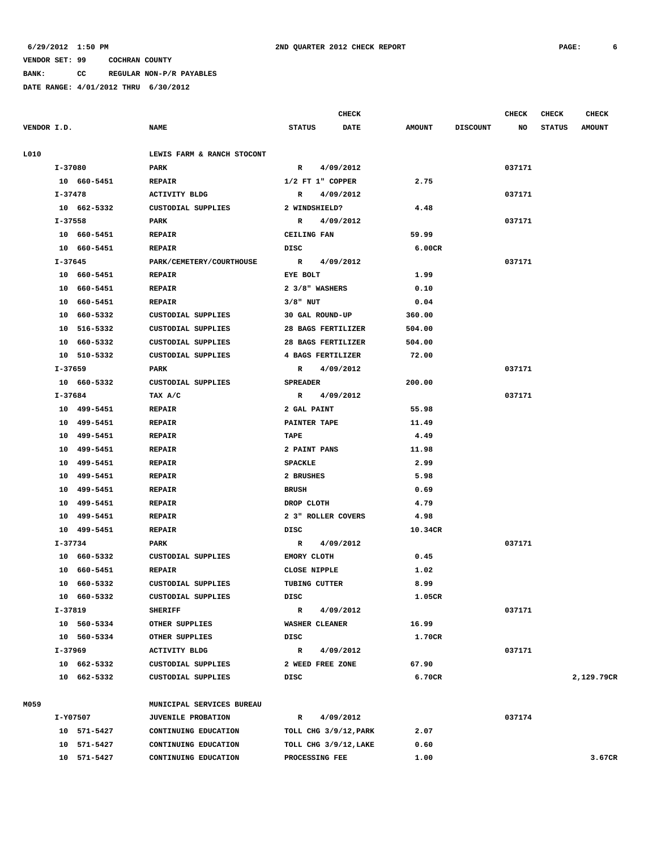**BANK: CC REGULAR NON-P/R PAYABLES**

|             |                |                            |                           | <b>CHECK</b> |               |                 | <b>CHECK</b> | <b>CHECK</b>  | <b>CHECK</b>  |
|-------------|----------------|----------------------------|---------------------------|--------------|---------------|-----------------|--------------|---------------|---------------|
| VENDOR I.D. |                | <b>NAME</b>                | <b>STATUS</b>             | <b>DATE</b>  | <b>AMOUNT</b> | <b>DISCOUNT</b> | NO           | <b>STATUS</b> | <b>AMOUNT</b> |
| L010        |                | LEWIS FARM & RANCH STOCONT |                           |              |               |                 |              |               |               |
|             | I-37080        | PARK                       | $\mathbb{R}$<br>4/09/2012 |              |               |                 | 037171       |               |               |
|             | 10 660-5451    | <b>REPAIR</b>              | $1/2$ FT $1$ " COPPER     |              | 2.75          |                 |              |               |               |
|             | I-37478        | <b>ACTIVITY BLDG</b>       | 4/09/2012<br>$\mathbb{R}$ |              |               |                 | 037171       |               |               |
|             | 10 662-5332    | CUSTODIAL SUPPLIES         | 2 WINDSHIELD?             |              | 4.48          |                 |              |               |               |
|             | $I - 37558$    | PARK                       | 4/09/2012<br>R            |              |               |                 | 037171       |               |               |
|             | 10 660-5451    | <b>REPAIR</b>              | CEILING FAN               |              | 59.99         |                 |              |               |               |
|             | 10 660-5451    | <b>REPAIR</b>              | DISC                      |              | 6.00CR        |                 |              |               |               |
|             | $I - 37645$    | PARK/CEMETERY/COURTHOUSE   | 4/09/2012<br>R            |              |               |                 | 037171       |               |               |
|             | 10 660-5451    | <b>REPAIR</b>              | EYE BOLT                  |              | 1.99          |                 |              |               |               |
|             | 10 660-5451    | <b>REPAIR</b>              | 2 3/8" WASHERS            |              | 0.10          |                 |              |               |               |
|             | 10 660-5451    | <b>REPAIR</b>              | $3/8$ " NUT               |              | 0.04          |                 |              |               |               |
|             | 10 660-5332    | CUSTODIAL SUPPLIES         | 30 GAL ROUND-UP           |              | 360.00        |                 |              |               |               |
|             | 516-5332<br>10 | CUSTODIAL SUPPLIES         | 28 BAGS FERTILIZER        |              | 504.00        |                 |              |               |               |
|             | 10 660-5332    | CUSTODIAL SUPPLIES         | 28 BAGS FERTILIZER        |              | 504.00        |                 |              |               |               |
|             | 10 510-5332    | CUSTODIAL SUPPLIES         | 4 BAGS FERTILIZER         |              | 72.00         |                 |              |               |               |
|             | I-37659        | PARK                       | 4/09/2012<br>R            |              |               |                 | 037171       |               |               |
|             | 10 660-5332    | <b>CUSTODIAL SUPPLIES</b>  | <b>SPREADER</b>           |              | 200.00        |                 |              |               |               |
|             | I-37684        | TAX A/C                    | $\mathbb{R}$<br>4/09/2012 |              |               |                 | 037171       |               |               |
|             | 10 499-5451    | <b>REPAIR</b>              | 2 GAL PAINT               |              | 55.98         |                 |              |               |               |
|             | 499-5451<br>10 | <b>REPAIR</b>              | PAINTER TAPE              |              | 11.49         |                 |              |               |               |
|             | 499-5451<br>10 | <b>REPAIR</b>              | TAPE                      |              | 4.49          |                 |              |               |               |
|             | 499-5451<br>10 | <b>REPAIR</b>              | 2 PAINT PANS              |              | 11.98         |                 |              |               |               |
|             | 499-5451<br>10 | <b>REPAIR</b>              | <b>SPACKLE</b>            |              | 2.99          |                 |              |               |               |
|             | 499-5451<br>10 | <b>REPAIR</b>              | 2 BRUSHES                 |              | 5.98          |                 |              |               |               |
|             | 499-5451<br>10 | <b>REPAIR</b>              | <b>BRUSH</b>              |              | 0.69          |                 |              |               |               |
|             | 499-5451<br>10 | <b>REPAIR</b>              | DROP CLOTH                |              | 4.79          |                 |              |               |               |
|             | 499-5451<br>10 | <b>REPAIR</b>              | 2 3" ROLLER COVERS        |              | 4.98          |                 |              |               |               |
|             | 10 499-5451    | <b>REPAIR</b>              | DISC                      |              | 10.34CR       |                 |              |               |               |
|             | $I - 37734$    | PARK                       | 4/09/2012<br>R            |              |               |                 | 037171       |               |               |
|             | 10 660-5332    | <b>CUSTODIAL SUPPLIES</b>  | EMORY CLOTH               |              | 0.45          |                 |              |               |               |
|             | 10<br>660-5451 | <b>REPAIR</b>              | CLOSE NIPPLE              |              | 1.02          |                 |              |               |               |
|             | 10 660-5332    | CUSTODIAL SUPPLIES         | TUBING CUTTER             |              | 8.99          |                 |              |               |               |
|             | 10 660-5332    | CUSTODIAL SUPPLIES         | DISC                      |              | 1.05CR        |                 |              |               |               |
|             | I-37819        | <b>SHERIFF</b>             | 4/09/2012<br>R            |              |               |                 | 037171       |               |               |
|             | 10 560-5334    | OTHER SUPPLIES             | <b>WASHER CLEANER</b>     |              | 16.99         |                 |              |               |               |
|             | 10 560-5334    | OTHER SUPPLIES             | DISC                      |              | 1.70CR        |                 |              |               |               |
|             | I-37969        | <b>ACTIVITY BLDG</b>       | $\mathbb{R}$<br>4/09/2012 |              |               |                 | 037171       |               |               |
|             | 10 662-5332    | CUSTODIAL SUPPLIES         | 2 WEED FREE ZONE          |              | 67.90         |                 |              |               |               |
|             | 10 662-5332    | CUSTODIAL SUPPLIES         | DISC                      |              | 6.70CR        |                 |              |               | 2,129.79CR    |
|             |                |                            |                           |              |               |                 |              |               |               |
| M059        |                | MUNICIPAL SERVICES BUREAU  |                           |              |               |                 |              |               |               |
|             | I-Y07507       | <b>JUVENILE PROBATION</b>  | 4/09/2012<br>R            |              |               |                 | 037174       |               |               |
|             | 10 571-5427    | CONTINUING EDUCATION       | TOLL CHG 3/9/12, PARK     |              | 2.07          |                 |              |               |               |
|             | 10 571-5427    | CONTINUING EDUCATION       | TOLL CHG 3/9/12, LAKE     |              | 0.60          |                 |              |               |               |
|             | 10 571-5427    | CONTINUING EDUCATION       | PROCESSING FEE            |              | 1.00          |                 |              |               | 3.67CR        |
|             |                |                            |                           |              |               |                 |              |               |               |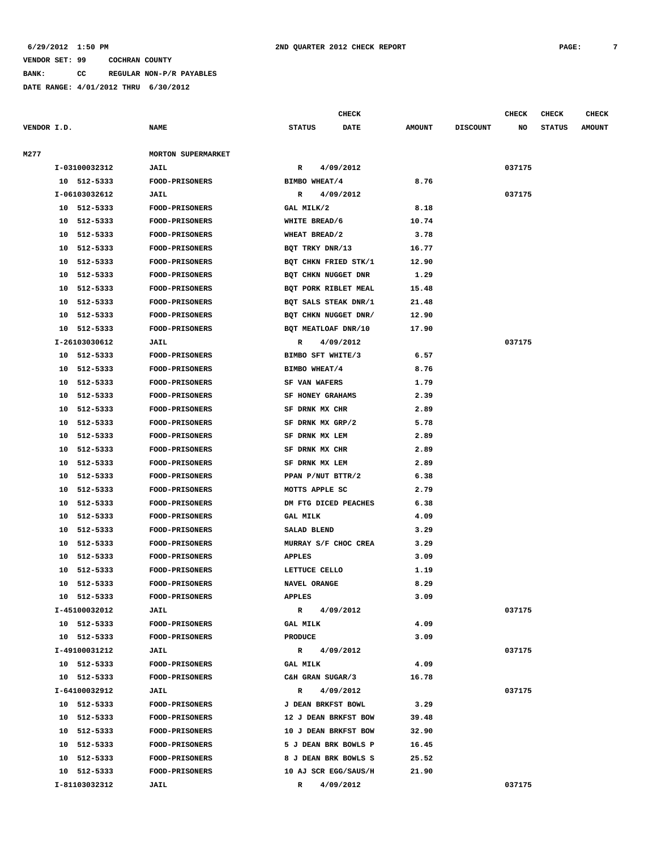**BANK: CC REGULAR NON-P/R PAYABLES**

**DATE RANGE: 4/01/2012 THRU 6/30/2012**

**CHECK CHECK CHECK CHECK CHECK CHECK CHECK** 

| VENDOR I.D. |                | <b>NAME</b>               | <b>STATUS</b><br><b>DATE</b> | <b>AMOUNT</b> | <b>DISCOUNT</b> | NO     | <b>STATUS</b> | <b>AMOUNT</b> |
|-------------|----------------|---------------------------|------------------------------|---------------|-----------------|--------|---------------|---------------|
| M277        |                | <b>MORTON SUPERMARKET</b> |                              |               |                 |        |               |               |
|             | I-03100032312  | <b>JAIL</b>               | 4/09/2012<br>R               |               |                 | 037175 |               |               |
|             | 10 512-5333    | <b>FOOD-PRISONERS</b>     | BIMBO WHEAT/4                | 8.76          |                 |        |               |               |
|             | I-06103032612  | JAIL                      | 4/09/2012<br>R               |               |                 | 037175 |               |               |
|             | 10 512-5333    | <b>FOOD-PRISONERS</b>     | GAL MILK/2                   | 8.18          |                 |        |               |               |
|             | 10 512-5333    | <b>FOOD-PRISONERS</b>     | WHITE BREAD/6                | 10.74         |                 |        |               |               |
|             | 10 512-5333    | <b>FOOD-PRISONERS</b>     | WHEAT BREAD/2                | 3.78          |                 |        |               |               |
|             | 10<br>512-5333 | <b>FOOD-PRISONERS</b>     | BQT TRKY DNR/13              | 16.77         |                 |        |               |               |
|             | 10<br>512-5333 | <b>FOOD-PRISONERS</b>     | BQT CHKN FRIED STK/1         | 12.90         |                 |        |               |               |
|             | 512-5333<br>10 | FOOD-PRISONERS            | BQT CHKN NUGGET DNR          | 1.29          |                 |        |               |               |
|             | 512-5333<br>10 | <b>FOOD-PRISONERS</b>     | BQT PORK RIBLET MEAL         | 15.48         |                 |        |               |               |
|             | 512-5333<br>10 | <b>FOOD-PRISONERS</b>     | BQT SALS STEAK DNR/1         | 21.48         |                 |        |               |               |
|             | 10<br>512-5333 | <b>FOOD-PRISONERS</b>     | BQT CHKN NUGGET DNR/         | 12.90         |                 |        |               |               |
|             | 512-5333<br>10 | <b>FOOD-PRISONERS</b>     | BQT MEATLOAF DNR/10          | 17.90         |                 |        |               |               |
|             | I-26103030612  | <b>JAIL</b>               | 4/09/2012<br>R               |               |                 | 037175 |               |               |
|             | 10 512-5333    | <b>FOOD-PRISONERS</b>     | BIMBO SFT WHITE/3            | 6.57          |                 |        |               |               |
|             | 10 512-5333    | <b>FOOD-PRISONERS</b>     | BIMBO WHEAT/4                | 8.76          |                 |        |               |               |
|             | 512-5333<br>10 | <b>FOOD-PRISONERS</b>     | SF VAN WAFERS                | 1.79          |                 |        |               |               |
|             | 10 512-5333    | <b>FOOD-PRISONERS</b>     | SF HONEY GRAHAMS             | 2.39          |                 |        |               |               |
|             | 512-5333<br>10 | <b>FOOD-PRISONERS</b>     | SF DRNK MX CHR               | 2.89          |                 |        |               |               |
|             | 10<br>512-5333 | <b>FOOD-PRISONERS</b>     | SF DRNK MX GRP/2             | 5.78          |                 |        |               |               |
|             | 512-5333<br>10 | FOOD-PRISONERS            | SF DRNK MX LEM               | 2.89          |                 |        |               |               |
|             | 512-5333<br>10 | <b>FOOD-PRISONERS</b>     | SF DRNK MX CHR               | 2.89          |                 |        |               |               |
|             | 512-5333<br>10 | <b>FOOD-PRISONERS</b>     | SF DRNK MX LEM               | 2.89          |                 |        |               |               |
|             | 512-5333<br>10 | <b>FOOD-PRISONERS</b>     | PPAN P/NUT BTTR/2            | 6.38          |                 |        |               |               |
|             | 512-5333<br>10 | <b>FOOD-PRISONERS</b>     | MOTTS APPLE SC               | 2.79          |                 |        |               |               |
|             | 10<br>512-5333 | <b>FOOD-PRISONERS</b>     | DM FTG DICED PEACHES         | 6.38          |                 |        |               |               |
|             | 512-5333<br>10 | FOOD-PRISONERS            | <b>GAL MILK</b>              | 4.09          |                 |        |               |               |
|             | 512-5333<br>10 | <b>FOOD-PRISONERS</b>     | SALAD BLEND                  | 3.29          |                 |        |               |               |
|             | 512-5333<br>10 | <b>FOOD-PRISONERS</b>     | MURRAY S/F CHOC CREA         | 3.29          |                 |        |               |               |
|             | 10<br>512-5333 | FOOD-PRISONERS            | <b>APPLES</b>                | 3.09          |                 |        |               |               |
|             | 512-5333<br>10 | <b>FOOD-PRISONERS</b>     | LETTUCE CELLO                | 1.19          |                 |        |               |               |
|             | 512-5333<br>10 | FOOD-PRISONERS            | NAVEL ORANGE                 | 8.29          |                 |        |               |               |
|             | 512-5333<br>10 | <b>FOOD-PRISONERS</b>     | <b>APPLES</b>                | 3.09          |                 |        |               |               |
|             | I-45100032012  | <b>JAIL</b>               | 4/09/2012<br>R               |               |                 | 037175 |               |               |
|             | 10 512-5333    | FOOD-PRISONERS            | <b>GAL MILK</b>              | 4.09          |                 |        |               |               |
|             | 10 512-5333    | <b>FOOD-PRISONERS</b>     | <b>PRODUCE</b>               | 3.09          |                 |        |               |               |
|             | I-49100031212  | JAIL                      | 4/09/2012<br>$\mathbb{R}$    |               |                 | 037175 |               |               |
|             | 10 512-5333    | <b>FOOD-PRISONERS</b>     | GAL MILK                     | 4.09          |                 |        |               |               |
|             | 10 512-5333    | <b>FOOD-PRISONERS</b>     | C&H GRAN SUGAR/3             | 16.78         |                 |        |               |               |
|             | I-64100032912  | JAIL                      | 4/09/2012<br>R               |               |                 | 037175 |               |               |
|             | 10 512-5333    | <b>FOOD-PRISONERS</b>     | J DEAN BRKFST BOWL           | 3.29          |                 |        |               |               |
|             | 10 512-5333    | FOOD-PRISONERS            | 12 J DEAN BRKFST BOW         | 39.48         |                 |        |               |               |
|             | 10 512-5333    | FOOD-PRISONERS            | 10 J DEAN BRKFST BOW         | 32.90         |                 |        |               |               |
|             | 10 512-5333    | <b>FOOD-PRISONERS</b>     | 5 J DEAN BRK BOWLS P         | 16.45         |                 |        |               |               |
|             | 10 512-5333    | FOOD-PRISONERS            | 8 J DEAN BRK BOWLS S         | 25.52         |                 |        |               |               |
|             | 10 512-5333    | <b>FOOD-PRISONERS</b>     | 10 AJ SCR EGG/SAUS/H         | 21.90         |                 |        |               |               |
|             | I-81103032312  | JAIL                      | 4/09/2012<br>R               |               |                 | 037175 |               |               |
|             |                |                           |                              |               |                 |        |               |               |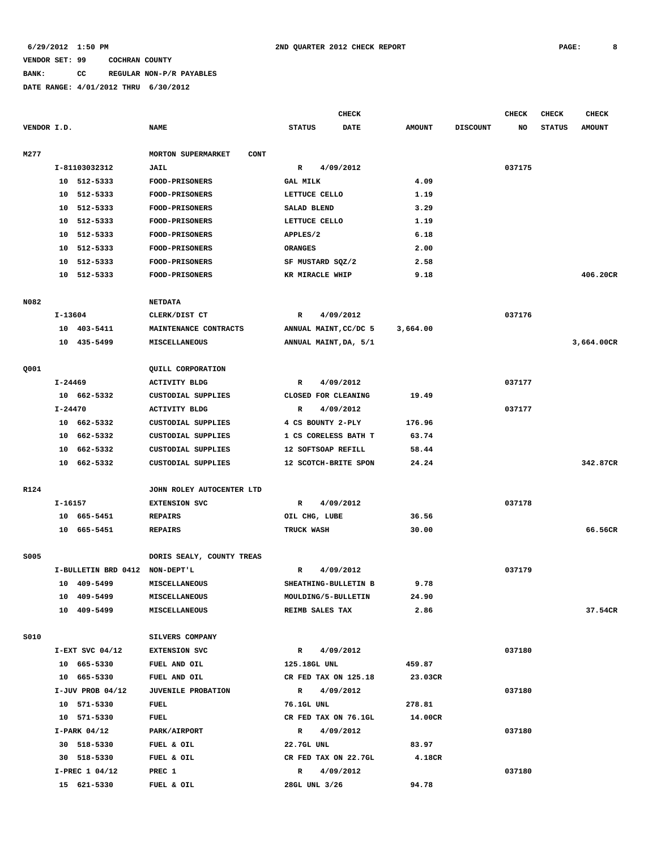# **BANK: CC REGULAR NON-P/R PAYABLES**

|             |             |                                |                                          |                    | <b>CHECK</b>          |               |                 | CHECK  | CHECK         | <b>CHECK</b>  |
|-------------|-------------|--------------------------------|------------------------------------------|--------------------|-----------------------|---------------|-----------------|--------|---------------|---------------|
| VENDOR I.D. |             |                                | <b>NAME</b>                              | <b>STATUS</b>      | DATE                  | <b>AMOUNT</b> | <b>DISCOUNT</b> | NO     | <b>STATUS</b> | <b>AMOUNT</b> |
| M277        |             |                                | <b>MORTON SUPERMARKET</b><br><b>CONT</b> |                    |                       |               |                 |        |               |               |
|             |             | I-81103032312                  | <b>JAIL</b>                              | R                  | 4/09/2012             |               |                 | 037175 |               |               |
|             |             | 10 512-5333                    | <b>FOOD-PRISONERS</b>                    | <b>GAL MILK</b>    |                       | 4.09          |                 |        |               |               |
|             |             | 10 512-5333                    | FOOD-PRISONERS                           | LETTUCE CELLO      |                       | 1.19          |                 |        |               |               |
|             | 10          | 512-5333                       | <b>FOOD-PRISONERS</b>                    | SALAD BLEND        |                       | 3.29          |                 |        |               |               |
|             | 10          | 512-5333                       | FOOD-PRISONERS                           | LETTUCE CELLO      |                       | 1.19          |                 |        |               |               |
|             | 10          | 512-5333                       | FOOD-PRISONERS                           | APPLES/2           |                       | 6.18          |                 |        |               |               |
|             | 10          | 512-5333                       | FOOD-PRISONERS                           | <b>ORANGES</b>     |                       | 2.00          |                 |        |               |               |
|             | 10          | 512-5333                       | FOOD-PRISONERS                           | SF MUSTARD SQZ/2   |                       | 2.58          |                 |        |               |               |
|             |             | 10 512-5333                    | FOOD-PRISONERS                           | KR MIRACLE WHIP    |                       | 9.18          |                 |        |               | 406.20CR      |
|             |             |                                |                                          |                    |                       |               |                 |        |               |               |
| N082        |             |                                | <b>NETDATA</b>                           |                    |                       |               |                 |        |               |               |
|             | I-13604     |                                | CLERK/DIST CT                            | R                  | 4/09/2012             |               |                 | 037176 |               |               |
|             |             | 10 403-5411                    | MAINTENANCE CONTRACTS                    |                    | ANNUAL MAINT, CC/DC 5 | 3,664.00      |                 |        |               |               |
|             |             | 10 435-5499                    | <b>MISCELLANEOUS</b>                     |                    | ANNUAL MAINT, DA, 5/1 |               |                 |        |               | 3,664.00CR    |
| Q001        |             |                                | QUILL CORPORATION                        |                    |                       |               |                 |        |               |               |
|             | $I - 24469$ |                                | <b>ACTIVITY BLDG</b>                     | R                  | 4/09/2012             |               |                 | 037177 |               |               |
|             |             | 10 662-5332                    | CUSTODIAL SUPPLIES                       |                    | CLOSED FOR CLEANING   | 19.49         |                 |        |               |               |
|             | I-24470     |                                | <b>ACTIVITY BLDG</b>                     | R                  | 4/09/2012             |               |                 | 037177 |               |               |
|             | 10          | 662-5332                       | CUSTODIAL SUPPLIES                       | 4 CS BOUNTY 2-PLY  |                       | 176.96        |                 |        |               |               |
|             | 10          | 662-5332                       | CUSTODIAL SUPPLIES                       |                    | 1 CS CORELESS BATH T  | 63.74         |                 |        |               |               |
|             | 10          | 662-5332                       | CUSTODIAL SUPPLIES                       | 12 SOFTSOAP REFILL |                       | 58.44         |                 |        |               |               |
|             |             | 10 662-5332                    | CUSTODIAL SUPPLIES                       |                    | 12 SCOTCH-BRITE SPON  | 24.24         |                 |        |               | 342.87CR      |
| R124        |             |                                | JOHN ROLEY AUTOCENTER LTD                |                    |                       |               |                 |        |               |               |
|             | I-16157     |                                | <b>EXTENSION SVC</b>                     | R                  | 4/09/2012             |               |                 | 037178 |               |               |
|             |             | 10 665-5451                    | <b>REPAIRS</b>                           | OIL CHG, LUBE      |                       | 36.56         |                 |        |               |               |
|             |             | 10 665-5451                    | <b>REPAIRS</b>                           | TRUCK WASH         |                       | 30.00         |                 |        |               | 66.56CR       |
|             |             |                                |                                          |                    |                       |               |                 |        |               |               |
| S005        |             |                                | DORIS SEALY, COUNTY TREAS                |                    |                       |               |                 |        |               |               |
|             |             | I-BULLETIN BRD 0412 NON-DEPT'L |                                          | R                  | 4/09/2012             |               |                 | 037179 |               |               |
|             |             | 10 409-5499                    | MISCELLANEOUS                            |                    | SHEATHING-BULLETIN B  | 9.78          |                 |        |               |               |
|             |             | 10 409-5499                    | MISCELLANEOUS                            |                    | MOULDING/5-BULLETIN   | 24.90         |                 |        |               |               |
|             |             | 10 409-5499                    | <b>MISCELLANEOUS</b>                     | REIMB SALES TAX    |                       | 2.86          |                 |        |               | 37.54CR       |
| <b>S010</b> |             |                                | SILVERS COMPANY                          |                    |                       |               |                 |        |               |               |
|             |             | $I-EXT$ SVC $04/12$            | <b>EXTENSION SVC</b>                     | $\mathbb{R}$       | 4/09/2012             |               |                 | 037180 |               |               |
|             |             | 10 665-5330                    | FUEL AND OIL                             | 125.18GL UNL       |                       | 459.87        |                 |        |               |               |
|             |             | 10 665-5330                    | FUEL AND OIL                             |                    | CR FED TAX ON 125.18  | 23.03CR       |                 |        |               |               |
|             |             | $I-JUV$ PROB 04/12             | <b>JUVENILE PROBATION</b>                |                    | R 4/09/2012           |               |                 | 037180 |               |               |
|             |             | 10 571-5330                    | FUEL                                     | 76.1GL UNL         |                       | 278.81        |                 |        |               |               |
|             |             | 10 571-5330                    | FUEL                                     |                    | CR FED TAX ON 76.1GL  | 14.00CR       |                 |        |               |               |
|             |             | $I-PARK$ 04/12                 | PARK/AIRPORT                             | $\mathbb{R}$       | 4/09/2012             |               |                 | 037180 |               |               |
|             |             | 30 518-5330                    | FUEL & OIL                               | 22.7GL UNL         |                       | 83.97         |                 |        |               |               |
|             |             | 30 518-5330                    | FUEL & OIL                               |                    | CR FED TAX ON 22.7GL  | 4.18CR        |                 |        |               |               |
|             |             | I-PREC 1 04/12                 | PREC 1                                   |                    | R 4/09/2012           |               |                 | 037180 |               |               |
|             |             | 15 621-5330                    | FUEL & OIL                               | 28GL UNL 3/26      |                       | 94.78         |                 |        |               |               |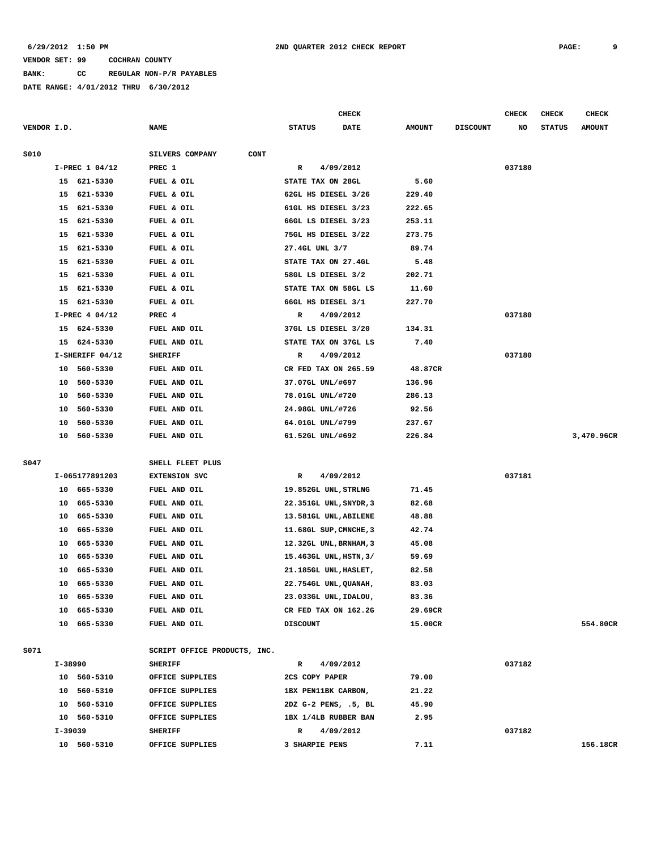**BANK: CC REGULAR NON-P/R PAYABLES**

|             |          |                      |                              |                                      | CHECK     |                 |                 | <b>CHECK</b> | <b>CHECK</b>  | <b>CHECK</b>  |
|-------------|----------|----------------------|------------------------------|--------------------------------------|-----------|-----------------|-----------------|--------------|---------------|---------------|
| VENDOR I.D. |          |                      | <b>NAME</b>                  | <b>STATUS</b>                        | DATE      | <b>AMOUNT</b>   | <b>DISCOUNT</b> | NO           | <b>STATUS</b> | <b>AMOUNT</b> |
| S010        |          |                      | SILVERS COMPANY<br>CONT      |                                      |           |                 |                 |              |               |               |
|             |          | I-PREC 1 04/12       | PREC 1                       | R                                    | 4/09/2012 |                 |                 | 037180       |               |               |
|             |          | 15 621-5330          | FUEL & OIL                   | STATE TAX ON 28GL                    |           | 5.60            |                 |              |               |               |
|             | 15       | 621-5330             | FUEL & OIL                   | 62GL HS DIESEL 3/26                  |           | 229.40          |                 |              |               |               |
|             | 15       | 621-5330             | FUEL & OIL                   | 61GL HS DIESEL 3/23                  |           | 222.65          |                 |              |               |               |
|             | 15       | 621-5330             | FUEL & OIL                   | 66GL LS DIESEL 3/23                  |           | 253.11          |                 |              |               |               |
|             | 15       | 621-5330             | FUEL & OIL                   | 75GL HS DIESEL 3/22                  |           | 273.75          |                 |              |               |               |
|             | 15       | 621-5330             | FUEL & OIL                   | 27.4GL UNL 3/7                       |           | 89.74           |                 |              |               |               |
|             | 15       | 621-5330             | FUEL & OIL                   | STATE TAX ON 27.4GL                  |           | 5.48            |                 |              |               |               |
|             | 15       | 621-5330             | FUEL & OIL                   | 58GL LS DIESEL 3/2                   |           | 202.71          |                 |              |               |               |
|             | 15       | 621-5330             | FUEL & OIL                   | STATE TAX ON 58GL LS                 |           | 11.60           |                 |              |               |               |
|             |          | 15 621-5330          | FUEL & OIL                   | 66GL HS DIESEL 3/1                   |           | 227.70          |                 |              |               |               |
|             |          | I-PREC 4 04/12       | PREC 4                       | R                                    | 4/09/2012 |                 |                 | 037180       |               |               |
|             | 15       | 624-5330             | FUEL AND OIL                 | 37GL LS DIESEL 3/20                  |           | 134.31          |                 |              |               |               |
|             | 15       | 624-5330             | FUEL AND OIL                 | STATE TAX ON 37GL LS                 |           | 7.40            |                 |              |               |               |
|             |          | I-SHERIFF 04/12      | <b>SHERIFF</b>               | R                                    | 4/09/2012 |                 |                 | 037180       |               |               |
|             | 10       | 560-5330             | FUEL AND OIL                 | CR FED TAX ON 265.59                 |           | 48.87CR         |                 |              |               |               |
|             | 10<br>10 | 560-5330<br>560-5330 | FUEL AND OIL<br>FUEL AND OIL | 37.07GL UNL/#697                     |           | 136.96          |                 |              |               |               |
|             | 10       | 560-5330             | <b>FUEL AND OIL</b>          | 78.01GL UNL/#720<br>24.98GL UNL/#726 |           | 286.13<br>92.56 |                 |              |               |               |
|             | 10       | 560-5330             | FUEL AND OIL                 | 64.01GL UNL/#799                     |           | 237.67          |                 |              |               |               |
|             | 10       | 560-5330             | FUEL AND OIL                 | 61.52GL UNL/#692                     |           | 226.84          |                 |              |               | 3,470.96CR    |
|             |          |                      |                              |                                      |           |                 |                 |              |               |               |
| S047        |          |                      | SHELL FLEET PLUS             |                                      |           |                 |                 |              |               |               |
|             |          | I-065177891203       | <b>EXTENSION SVC</b>         | R                                    | 4/09/2012 |                 |                 | 037181       |               |               |
|             | 10       | 665-5330             | FUEL AND OIL                 | 19.852GL UNL, STRLNG                 |           | 71.45           |                 |              |               |               |
|             | 10       | 665-5330             | FUEL AND OIL                 | 22.351GL UNL, SNYDR, 3               |           | 82.68           |                 |              |               |               |
|             | 10       | 665-5330             | FUEL AND OIL                 | 13.581GL UNL, ABILENE                |           | 48.88           |                 |              |               |               |
|             | 10       | 665-5330             | FUEL AND OIL                 | 11.68GL SUP, CMNCHE, 3               |           | 42.74           |                 |              |               |               |
|             | 10       | 665-5330             | FUEL AND OIL                 | 12.32GL UNL, BRNHAM, 3               |           | 45.08           |                 |              |               |               |
|             | 10       | 665-5330             | FUEL AND OIL                 | 15.463GL UNL, HSTN, 3/               |           | 59.69           |                 |              |               |               |
|             | 10       | 665-5330             | <b>FUEL AND OIL</b>          | 21.185GL UNL, HASLET,                |           | 82.58           |                 |              |               |               |
|             | 10       | 665-5330             | FUEL AND OIL                 | 22.754GL UNL, QUANAH,                |           | 83.03           |                 |              |               |               |
|             |          | 10 665-5330          | FUEL AND OIL                 | 23.033GL UNL, IDALOU,                |           | 83.36           |                 |              |               |               |
|             |          | 10 665-5330          | FUEL AND OIL                 | CR FED TAX ON 162.2G                 |           | 29.69CR         |                 |              |               |               |
|             |          | 10 665-5330          | FUEL AND OIL                 | <b>DISCOUNT</b>                      |           | 15.00CR         |                 |              |               | 554.80CR      |
| S071        |          |                      | SCRIPT OFFICE PRODUCTS, INC. |                                      |           |                 |                 |              |               |               |
|             |          | I-38990              | <b>SHERIFF</b>               | $\mathbb{R}$                         | 4/09/2012 |                 |                 | 037182       |               |               |
|             |          | 10 560-5310          | OFFICE SUPPLIES              | 2CS COPY PAPER                       |           | 79.00           |                 |              |               |               |
|             |          | 10 560-5310          | OFFICE SUPPLIES              | 1BX PEN11BK CARBON,                  |           | 21.22           |                 |              |               |               |
|             |          | 10 560-5310          | OFFICE SUPPLIES              | 2DZ G-2 PENS, .5, BL                 |           | 45.90           |                 |              |               |               |
|             |          | 10 560-5310          | OFFICE SUPPLIES              | 1BX 1/4LB RUBBER BAN                 |           | 2.95            |                 |              |               |               |
|             |          | I-39039              | <b>SHERIFF</b>               | $\mathbb{R}$                         | 4/09/2012 |                 |                 | 037182       |               |               |
|             |          | 10 560-5310          | OFFICE SUPPLIES              | 3 SHARPIE PENS                       |           | 7.11            |                 |              |               | 156.18CR      |
|             |          |                      |                              |                                      |           |                 |                 |              |               |               |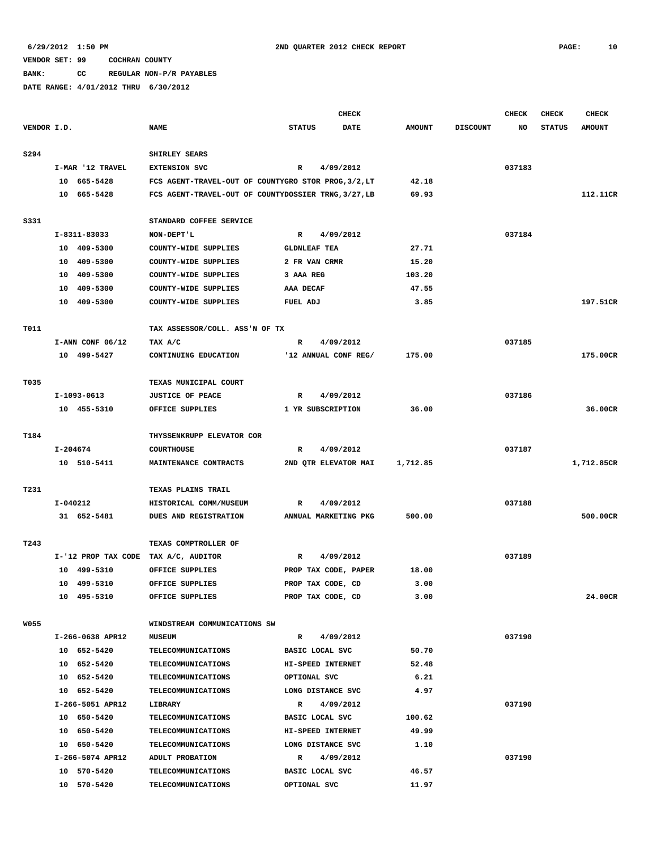**BANK: CC REGULAR NON-P/R PAYABLES**

|             | <b>CHECK</b> |                    |                                                      |                     |                      | <b>CHECK</b>  | <b>CHECK</b>    | <b>CHECK</b> |               |               |
|-------------|--------------|--------------------|------------------------------------------------------|---------------------|----------------------|---------------|-----------------|--------------|---------------|---------------|
| VENDOR I.D. |              |                    | <b>NAME</b>                                          | <b>STATUS</b>       | <b>DATE</b>          | <b>AMOUNT</b> | <b>DISCOUNT</b> | NO           | <b>STATUS</b> | <b>AMOUNT</b> |
| S294        |              |                    | SHIRLEY SEARS                                        |                     |                      |               |                 |              |               |               |
|             |              | I-MAR '12 TRAVEL   | <b>EXTENSION SVC</b>                                 | R                   | 4/09/2012            |               |                 | 037183       |               |               |
|             |              | 10 665-5428        | FCS AGENT-TRAVEL-OUT OF COUNTYGRO STOR PROG, 3/2, LT |                     |                      | 42.18         |                 |              |               |               |
|             |              | 10 665-5428        | FCS AGENT-TRAVEL-OUT OF COUNTYDOSSIER TRNG, 3/27, LB |                     |                      | 69.93         |                 |              |               | 112.11CR      |
|             |              |                    |                                                      |                     |                      |               |                 |              |               |               |
| S331        |              |                    | STANDARD COFFEE SERVICE                              |                     |                      |               |                 |              |               |               |
|             |              | I-8311-83033       | NON-DEPT'L                                           | R                   | 4/09/2012            |               |                 | 037184       |               |               |
|             |              | 10 409-5300        | COUNTY-WIDE SUPPLIES                                 | <b>GLDNLEAF TEA</b> |                      | 27.71         |                 |              |               |               |
|             |              | 10 409-5300        | COUNTY-WIDE SUPPLIES                                 | 2 FR VAN CRMR       |                      | 15.20         |                 |              |               |               |
|             |              | 10 409-5300        | COUNTY-WIDE SUPPLIES                                 | 3 AAA REG           |                      | 103.20        |                 |              |               |               |
|             |              | 10 409-5300        | COUNTY-WIDE SUPPLIES                                 | AAA DECAF           |                      | 47.55         |                 |              |               |               |
|             |              | 10 409-5300        | COUNTY-WIDE SUPPLIES                                 | FUEL ADJ            |                      | 3.85          |                 |              |               | 197.51CR      |
| T011        |              |                    | TAX ASSESSOR/COLL. ASS'N OF TX                       |                     |                      |               |                 |              |               |               |
|             |              | $I-ANN CONF 06/12$ | TAX A/C                                              | R                   | 4/09/2012            |               |                 | 037185       |               |               |
|             |              | 10 499-5427        | CONTINUING EDUCATION                                 |                     | '12 ANNUAL CONF REG/ | 175.00        |                 |              |               | 175.00CR      |
| T035        |              |                    | TEXAS MUNICIPAL COURT                                |                     |                      |               |                 |              |               |               |
|             |              | I-1093-0613        | <b>JUSTICE OF PEACE</b>                              | R                   | 4/09/2012            |               |                 | 037186       |               |               |
|             |              | 10 455-5310        | OFFICE SUPPLIES                                      | 1 YR SUBSCRIPTION   |                      | 36.00         |                 |              |               | 36.00CR       |
|             |              |                    |                                                      |                     |                      |               |                 |              |               |               |
| T184        |              |                    | THYSSENKRUPP ELEVATOR COR                            |                     |                      |               |                 |              |               |               |
|             | I-204674     |                    | <b>COURTHOUSE</b>                                    | R                   | 4/09/2012            |               |                 | 037187       |               |               |
|             |              | 10 510-5411        | MAINTENANCE CONTRACTS                                |                     | 2ND QTR ELEVATOR MAI | 1,712.85      |                 |              |               | 1,712.85CR    |
| T231        |              |                    | <b>TEXAS PLAINS TRAIL</b>                            |                     |                      |               |                 |              |               |               |
|             | I-040212     |                    | HISTORICAL COMM/MUSEUM                               | R                   | 4/09/2012            |               |                 | 037188       |               |               |
|             |              | 31 652-5481        | DUES AND REGISTRATION                                |                     | ANNUAL MARKETING PKG | 500.00        |                 |              |               | 500.00CR      |
|             |              |                    |                                                      |                     |                      |               |                 |              |               |               |
| T243        |              |                    | TEXAS COMPTROLLER OF                                 |                     |                      |               |                 |              |               |               |
|             |              |                    | I-'12 PROP TAX CODE TAX A/C, AUDITOR                 | R                   | 4/09/2012            |               |                 | 037189       |               |               |
|             |              | 10 499-5310        | OFFICE SUPPLIES                                      |                     | PROP TAX CODE, PAPER | 18.00         |                 |              |               |               |
|             |              | 10 499-5310        | OFFICE SUPPLIES                                      | PROP TAX CODE, CD   |                      | 3.00          |                 |              |               |               |
|             |              | 10 495-5310        | OFFICE SUPPLIES                                      | PROP TAX CODE, CD   |                      | 3.00          |                 |              |               | 24.00CR       |
| <b>W055</b> |              |                    | WINDSTREAM COMMUNICATIONS SW                         |                     |                      |               |                 |              |               |               |
|             |              | I-266-0638 APR12   | <b>MUSEUM</b>                                        | $\mathbf{R}$        | 4/09/2012            |               |                 | 037190       |               |               |
|             |              | 10 652-5420        | <b>TELECOMMUNICATIONS</b>                            | BASIC LOCAL SVC     |                      | 50.70         |                 |              |               |               |
|             |              | 10 652-5420        | <b>TELECOMMUNICATIONS</b>                            | HI-SPEED INTERNET   |                      | 52.48         |                 |              |               |               |
|             |              | 10 652-5420        | <b>TELECOMMUNICATIONS</b>                            | OPTIONAL SVC        |                      | 6.21          |                 |              |               |               |
|             |              | 10 652-5420        | <b>TELECOMMUNICATIONS</b>                            | LONG DISTANCE SVC   |                      | 4.97          |                 |              |               |               |
|             |              | I-266-5051 APR12   | LIBRARY                                              | $\mathbb{R}$        | 4/09/2012            |               |                 | 037190       |               |               |
|             |              | 10 650-5420        | TELECOMMUNICATIONS                                   | BASIC LOCAL SVC     |                      | 100.62        |                 |              |               |               |
|             |              | 10 650-5420        | <b>TELECOMMUNICATIONS</b>                            | HI-SPEED INTERNET   |                      | 49.99         |                 |              |               |               |
|             |              | 10 650-5420        | TELECOMMUNICATIONS                                   | LONG DISTANCE SVC   |                      | 1.10          |                 |              |               |               |
|             |              | I-266-5074 APR12   | ADULT PROBATION                                      |                     | R 4/09/2012          |               |                 | 037190       |               |               |
|             |              | 10 570-5420        | <b>TELECOMMUNICATIONS</b>                            | BASIC LOCAL SVC     |                      | 46.57         |                 |              |               |               |
|             |              | 10 570-5420        | TELECOMMUNICATIONS                                   | OPTIONAL SVC        |                      | 11.97         |                 |              |               |               |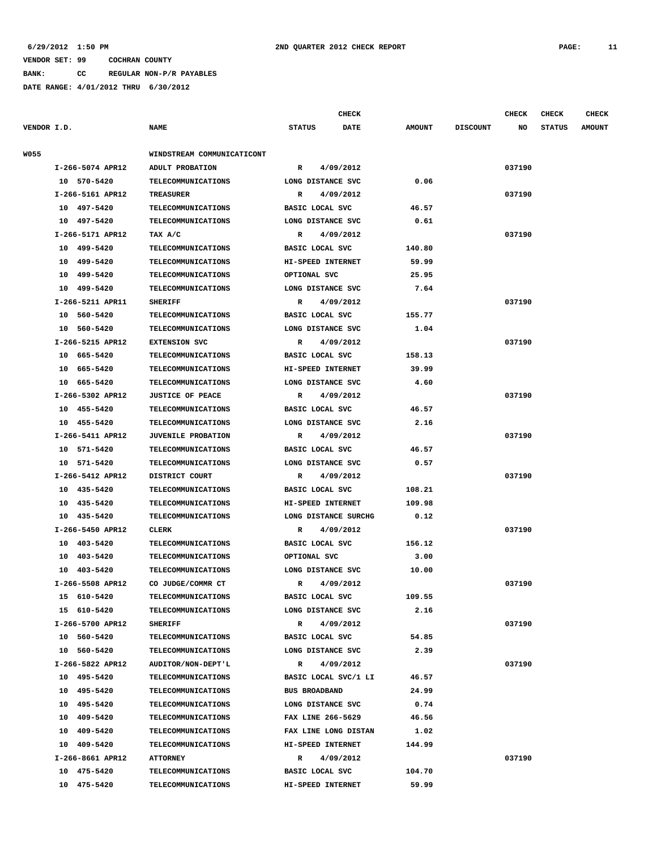**BANK: CC REGULAR NON-P/R PAYABLES**

**DATE RANGE: 4/01/2012 THRU 6/30/2012**

|             |                  |                            |               | <b>CHECK</b>         |               |                 | <b>CHECK</b> | <b>CHECK</b>  | <b>CHECK</b>  |  |
|-------------|------------------|----------------------------|---------------|----------------------|---------------|-----------------|--------------|---------------|---------------|--|
| VENDOR I.D. |                  | <b>NAME</b>                | <b>STATUS</b> | <b>DATE</b>          | <b>AMOUNT</b> | <b>DISCOUNT</b> | NO           | <b>STATUS</b> | <b>AMOUNT</b> |  |
|             |                  |                            |               |                      |               |                 |              |               |               |  |
| W055        |                  | WINDSTREAM COMMUNICATICONT |               |                      |               |                 |              |               |               |  |
|             | I-266-5074 APR12 | ADULT PROBATION            | R             | 4/09/2012            |               |                 | 037190       |               |               |  |
|             | 10 570-5420      | <b>TELECOMMUNICATIONS</b>  |               | LONG DISTANCE SVC    | 0.06          |                 |              |               |               |  |
|             | I-266-5161 APR12 | <b>TREASURER</b>           | R             | 4/09/2012            |               |                 | 037190       |               |               |  |
|             | 10 497-5420      | TELECOMMUNICATIONS         |               | BASIC LOCAL SVC      | 46.57         |                 |              |               |               |  |
|             | 10 497-5420      | <b>TELECOMMUNICATIONS</b>  |               | LONG DISTANCE SVC    | 0.61          |                 |              |               |               |  |
|             | I-266-5171 APR12 | TAX A/C                    | R             | 4/09/2012            |               |                 | 037190       |               |               |  |
|             | 10 499-5420      | TELECOMMUNICATIONS         |               | BASIC LOCAL SVC      | 140.80        |                 |              |               |               |  |
|             | 499-5420<br>10   | <b>TELECOMMUNICATIONS</b>  |               | HI-SPEED INTERNET    | 59.99         |                 |              |               |               |  |
|             | 499-5420<br>10   | TELECOMMUNICATIONS         |               | OPTIONAL SVC         | 25.95         |                 |              |               |               |  |
|             | 499-5420<br>10   | TELECOMMUNICATIONS         |               | LONG DISTANCE SVC    | 7.64          |                 |              |               |               |  |
|             | I-266-5211 APR11 | <b>SHERIFF</b>             | R             | 4/09/2012            |               |                 | 037190       |               |               |  |
|             | 10 560-5420      | <b>TELECOMMUNICATIONS</b>  |               | BASIC LOCAL SVC      | 155.77        |                 |              |               |               |  |
|             | 10 560-5420      | <b>TELECOMMUNICATIONS</b>  |               | LONG DISTANCE SVC    | 1.04          |                 |              |               |               |  |
|             | I-266-5215 APR12 | <b>EXTENSION SVC</b>       | R             | 4/09/2012            |               |                 | 037190       |               |               |  |
|             | 10 665-5420      | <b>TELECOMMUNICATIONS</b>  |               | BASIC LOCAL SVC      | 158.13        |                 |              |               |               |  |
|             | 665-5420<br>10   | TELECOMMUNICATIONS         |               | HI-SPEED INTERNET    | 39.99         |                 |              |               |               |  |
|             | 10 665-5420      | <b>TELECOMMUNICATIONS</b>  |               | LONG DISTANCE SVC    | 4.60          |                 |              |               |               |  |
|             | I-266-5302 APR12 | <b>JUSTICE OF PEACE</b>    | R             | 4/09/2012            |               |                 | 037190       |               |               |  |
|             | 10 455-5420      | <b>TELECOMMUNICATIONS</b>  |               | BASIC LOCAL SVC      | 46.57         |                 |              |               |               |  |
|             | 10 455-5420      | <b>TELECOMMUNICATIONS</b>  |               | LONG DISTANCE SVC    | 2.16          |                 |              |               |               |  |
|             | I-266-5411 APR12 | <b>JUVENILE PROBATION</b>  | R             | 4/09/2012            |               |                 | 037190       |               |               |  |
|             | 10 571-5420      | <b>TELECOMMUNICATIONS</b>  |               | BASIC LOCAL SVC      | 46.57         |                 |              |               |               |  |
|             | 10 571-5420      | TELECOMMUNICATIONS         |               | LONG DISTANCE SVC    | 0.57          |                 |              |               |               |  |
|             | I-266-5412 APR12 | DISTRICT COURT             | R             | 4/09/2012            |               |                 | 037190       |               |               |  |
|             | 10 435-5420      | <b>TELECOMMUNICATIONS</b>  |               | BASIC LOCAL SVC      | 108.21        |                 |              |               |               |  |
|             | 10<br>435-5420   | TELECOMMUNICATIONS         |               | HI-SPEED INTERNET    | 109.98        |                 |              |               |               |  |
|             | 10 435-5420      | TELECOMMUNICATIONS         |               | LONG DISTANCE SURCHG | 0.12          |                 |              |               |               |  |
|             | I-266-5450 APR12 | CLERK                      | R             | 4/09/2012            |               |                 | 037190       |               |               |  |
|             | 10 403-5420      | TELECOMMUNICATIONS         |               | BASIC LOCAL SVC      | 156.12        |                 |              |               |               |  |
|             | 10 403-5420      | <b>TELECOMMUNICATIONS</b>  |               | OPTIONAL SVC         | 3.00          |                 |              |               |               |  |
|             | 10 403-5420      | TELECOMMUNICATIONS         |               | LONG DISTANCE SVC    | 10.00         |                 |              |               |               |  |
|             | I-266-5508 APR12 | CO JUDGE/COMMR CT          |               | R 4/09/2012          |               |                 | 037190       |               |               |  |
|             | 15 610-5420      | <b>TELECOMMUNICATIONS</b>  |               | BASIC LOCAL SVC      | 109.55        |                 |              |               |               |  |
|             | 15 610-5420      | TELECOMMUNICATIONS         |               | LONG DISTANCE SVC    | 2.16          |                 |              |               |               |  |
|             | I-266-5700 APR12 | <b>SHERIFF</b>             | $\mathbb{R}$  | 4/09/2012            |               |                 | 037190       |               |               |  |
|             | 10 560-5420      | TELECOMMUNICATIONS         |               | BASIC LOCAL SVC      | 54.85         |                 |              |               |               |  |
|             | 10 560-5420      | <b>TELECOMMUNICATIONS</b>  |               | LONG DISTANCE SVC    | 2.39          |                 |              |               |               |  |
|             | I-266-5822 APR12 | AUDITOR/NON-DEPT'L         | R             | 4/09/2012            |               |                 | 037190       |               |               |  |
|             |                  |                            |               |                      |               |                 |              |               |               |  |

 **10 495-5420 TELECOMMUNICATIONS BASIC LOCAL SVC/1 LI 46.57 10 495-5420 TELECOMMUNICATIONS BUS BROADBAND 24.99 10 495-5420 TELECOMMUNICATIONS LONG DISTANCE SVC 0.74 10 409-5420 TELECOMMUNICATIONS FAX LINE 266-5629 46.56 10 409-5420 TELECOMMUNICATIONS FAX LINE LONG DISTAN 1.02 10 409-5420 TELECOMMUNICATIONS HI-SPEED INTERNET 144.99 I-266-8661 APR12 ATTORNEY R 4/09/2012 037190 10 475-5420 TELECOMMUNICATIONS BASIC LOCAL SVC 104.70 10 475-5420 TELECOMMUNICATIONS HI-SPEED INTERNET 59.99**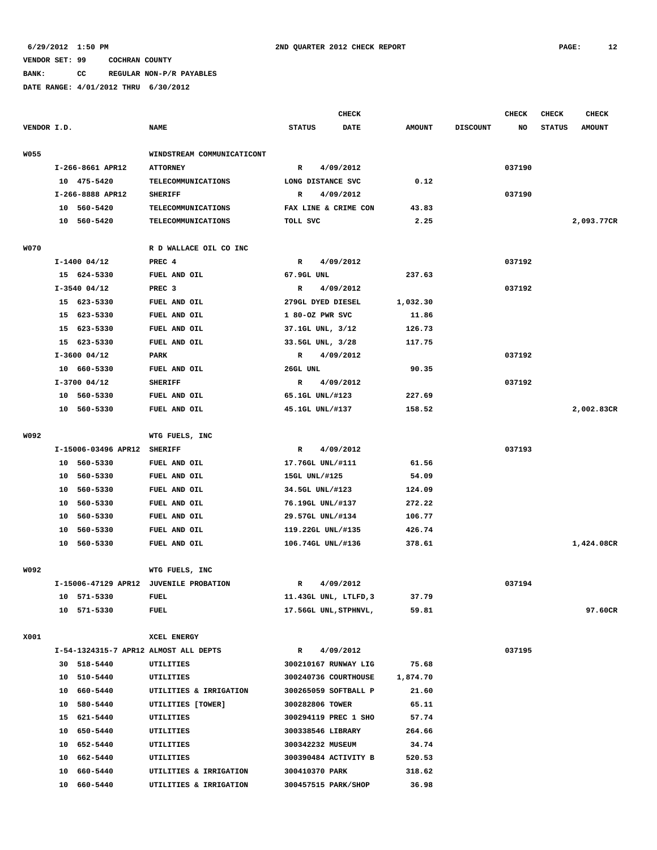**BANK: CC REGULAR NON-P/R PAYABLES**

|             |                     |                                        |                            | <b>CHECK</b>              |             |               |                 | CHECK  | <b>CHECK</b>  | <b>CHECK</b>  |
|-------------|---------------------|----------------------------------------|----------------------------|---------------------------|-------------|---------------|-----------------|--------|---------------|---------------|
| VENDOR I.D. |                     | <b>NAME</b>                            | <b>STATUS</b>              |                           | <b>DATE</b> | <b>AMOUNT</b> | <b>DISCOUNT</b> | NO     | <b>STATUS</b> | <b>AMOUNT</b> |
| <b>W055</b> |                     |                                        | WINDSTREAM COMMUNICATICONT |                           |             |               |                 |        |               |               |
|             | I-266-8661 APR12    | <b>ATTORNEY</b>                        | $\mathbb{R}$               | 4/09/2012                 |             |               |                 | 037190 |               |               |
|             | 10 475-5420         | TELECOMMUNICATIONS                     |                            | LONG DISTANCE SVC         |             | 0.12          |                 |        |               |               |
|             | I-266-8888 APR12    | <b>SHERIFF</b>                         | R                          | 4/09/2012                 |             |               |                 | 037190 |               |               |
|             | 10 560-5420         | TELECOMMUNICATIONS                     |                            | FAX LINE & CRIME CON      |             | 43.83         |                 |        |               |               |
|             | 10 560-5420         | TELECOMMUNICATIONS                     | TOLL SVC                   |                           |             | 2.25          |                 |        |               | 2,093.77CR    |
| <b>W070</b> |                     | R D WALLACE OIL CO INC                 |                            |                           |             |               |                 |        |               |               |
|             | $I-1400$ 04/12      | PREC 4                                 |                            | 4/09/2012<br>$\mathbf{R}$ |             |               |                 | 037192 |               |               |
|             | 15 624-5330         | FUEL AND OIL                           |                            | 67.9GL UNL                |             | 237.63        |                 |        |               |               |
|             | $I-3540$ 04/12      | PREC <sub>3</sub>                      | R                          | 4/09/2012                 |             |               |                 | 037192 |               |               |
|             | 15 623-5330         | FUEL AND OIL                           |                            | 279GL DYED DIESEL         |             | 1,032.30      |                 |        |               |               |
|             | 15 623-5330         | FUEL AND OIL                           |                            | 1 80-OZ PWR SVC           |             | 11.86         |                 |        |               |               |
|             | 15 623-5330         | FUEL AND OIL                           |                            | 37.1GL UNL, 3/12          |             | 126.73        |                 |        |               |               |
|             | 15 623-5330         | FUEL AND OIL                           |                            | 33.5GL UNL, 3/28          |             | 117.75        |                 |        |               |               |
|             | $I-3600$ 04/12      | <b>PARK</b>                            | $\mathbb{R}$               | 4/09/2012                 |             |               |                 | 037192 |               |               |
|             | 10 660-5330         | FUEL AND OIL                           | 26GL UNL                   |                           |             | 90.35         |                 |        |               |               |
|             | $I-3700$ 04/12      | <b>SHERIFF</b>                         | R                          | 4/09/2012                 |             |               |                 | 037192 |               |               |
|             | 10 560-5330         | FUEL AND OIL                           |                            | 65.1GL UNL/#123           |             | 227.69        |                 |        |               |               |
|             | 10 560-5330         | FUEL AND OIL                           |                            | 45.1GL UNL/#137           |             | 158.52        |                 |        |               | 2,002.83CR    |
|             |                     |                                        |                            |                           |             |               |                 |        |               |               |
| W092        |                     | WTG FUELS, INC                         |                            |                           |             |               |                 |        |               |               |
|             | I-15006-03496 APR12 | <b>SHERIFF</b>                         | R                          | 4/09/2012                 |             |               |                 | 037193 |               |               |
|             | 10 560-5330         | FUEL AND OIL                           |                            | 17.76GL UNL/#111          |             | 61.56         |                 |        |               |               |
|             | 10 560-5330         | FUEL AND OIL                           |                            | 15GL UNL/#125             |             | 54.09         |                 |        |               |               |
|             | 560-5330<br>10      | FUEL AND OIL                           |                            | 34.5GL UNL/#123           |             | 124.09        |                 |        |               |               |
|             | 560-5330<br>10      | FUEL AND OIL                           |                            | 76.19GL UNL/#137          |             | 272.22        |                 |        |               |               |
|             | 560-5330<br>10      | FUEL AND OIL                           |                            | 29.57GL UNL/#134          |             | 106.77        |                 |        |               |               |
|             | 560-5330<br>10      | FUEL AND OIL                           |                            | 119.22GL UNL/#135         |             | 426.74        |                 |        |               |               |
|             | 10 560-5330         | FUEL AND OIL                           |                            | 106.74GL UNL/#136         |             | 378.61        |                 |        |               | 1,424.08CR    |
|             |                     |                                        |                            |                           |             |               |                 |        |               |               |
| W092        |                     | WTG FUELS, INC                         |                            |                           |             |               |                 |        |               |               |
|             |                     | I-15006-47129 APR12 JUVENILE PROBATION | R                          | 4/09/2012                 |             |               |                 | 037194 |               |               |
|             | 10 571-5330         | FUEL                                   |                            | 11.43GL UNL, LTLFD, 3     |             | 37.79         |                 |        |               |               |
|             | 10 571-5330         | <b>FUEL</b>                            |                            | 17.56GL UNL, STPHNVL,     |             | 59.81         |                 |        |               | 97.60CR       |
| X001        |                     | XCEL ENERGY                            |                            |                           |             |               |                 |        |               |               |
|             |                     | I-54-1324315-7 APR12 ALMOST ALL DEPTS  | $\mathbb{R}$               | 4/09/2012                 |             |               |                 | 037195 |               |               |
|             | 30 518-5440         | UTILITIES                              |                            | 300210167 RUNWAY LIG      |             | 75.68         |                 |        |               |               |
|             | 10 510-5440         | UTILITIES                              |                            | 300240736 COURTHOUSE      |             | 1,874.70      |                 |        |               |               |
|             | 10 660-5440         | UTILITIES & IRRIGATION                 |                            | 300265059 SOFTBALL P      |             | 21.60         |                 |        |               |               |
|             | 10 580-5440         | UTILITIES [TOWER]                      |                            | 300282806 TOWER           |             | 65.11         |                 |        |               |               |
|             | 15 621-5440         | UTILITIES                              |                            | 300294119 PREC 1 SHO      |             | 57.74         |                 |        |               |               |
|             | 10 650-5440         | UTILITIES                              |                            | 300338546 LIBRARY         |             | 264.66        |                 |        |               |               |
|             | 10 652-5440         | UTILITIES                              |                            | 300342232 MUSEUM          |             | 34.74         |                 |        |               |               |
|             | 10 662-5440         | UTILITIES                              |                            | 300390484 ACTIVITY B      |             | 520.53        |                 |        |               |               |
|             | 10 660-5440         | UTILITIES & IRRIGATION                 |                            | 300410370 PARK            |             | 318.62        |                 |        |               |               |
|             | 10 660-5440         | UTILITIES & IRRIGATION                 |                            | 300457515 PARK/SHOP       |             | 36.98         |                 |        |               |               |
|             |                     |                                        |                            |                           |             |               |                 |        |               |               |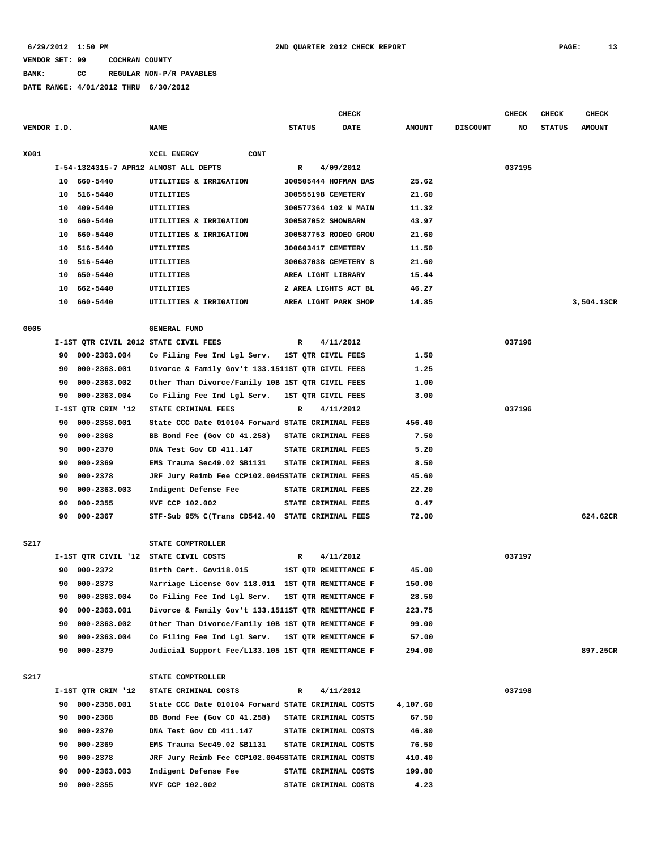**BANK: CC REGULAR NON-P/R PAYABLES**

|             |          |                    |                                                    |                      | <b>CHECK</b>         |               |                 | <b>CHECK</b> | <b>CHECK</b>  | <b>CHECK</b>  |
|-------------|----------|--------------------|----------------------------------------------------|----------------------|----------------------|---------------|-----------------|--------------|---------------|---------------|
| VENDOR I.D. |          |                    | <b>NAME</b>                                        | <b>STATUS</b>        | <b>DATE</b>          | <b>AMOUNT</b> | <b>DISCOUNT</b> | NO           | <b>STATUS</b> | <b>AMOUNT</b> |
| X001        |          |                    | CONT<br>XCEL ENERGY                                |                      |                      |               |                 |              |               |               |
|             |          |                    | I-54-1324315-7 APR12 ALMOST ALL DEPTS              | R                    | 4/09/2012            |               |                 | 037195       |               |               |
|             | 10       | 660–5440           | UTILITIES & IRRIGATION                             |                      | 300505444 HOFMAN BAS | 25.62         |                 |              |               |               |
|             | 10       | 516-5440           | UTILITIES                                          | 300555198 CEMETERY   |                      | 21.60         |                 |              |               |               |
|             | 10       | 409-5440           | UTILITIES                                          |                      | 300577364 102 N MAIN | 11.32         |                 |              |               |               |
|             | 10       | 660-5440           | UTILITIES & IRRIGATION                             | 300587052 SHOWBARN   |                      | 43.97         |                 |              |               |               |
|             | 10       | 660-5440           | UTILITIES & IRRIGATION                             |                      | 300587753 RODEO GROU | 21.60         |                 |              |               |               |
|             | 10       | 516-5440           | UTILITIES                                          | 300603417 CEMETERY   |                      | 11.50         |                 |              |               |               |
|             | 10       | 516-5440           | <b>UTILITIES</b>                                   |                      | 300637038 CEMETERY S | 21.60         |                 |              |               |               |
|             | 10       | 650-5440           | UTILITIES                                          | AREA LIGHT LIBRARY   |                      | 15.44         |                 |              |               |               |
|             | 10       | 662-5440           | UTILITIES                                          |                      | 2 AREA LIGHTS ACT BL | 46.27         |                 |              |               |               |
|             | 10       | 660-5440           | UTILITIES & IRRIGATION                             | AREA LIGHT PARK SHOP |                      | 14.85         |                 |              |               | 3,504.13CR    |
| G005        |          |                    | <b>GENERAL FUND</b>                                |                      |                      |               |                 |              |               |               |
|             |          |                    | I-1ST QTR CIVIL 2012 STATE CIVIL FEES              | R                    | 4/11/2012            |               |                 | 037196       |               |               |
|             | 90       | 000-2363.004       | Co Filing Fee Ind Lgl Serv. 1ST QTR CIVIL FEES     |                      |                      | 1.50          |                 |              |               |               |
|             | 90       | 000-2363.001       | Divorce & Family Gov't 133.1511ST QTR CIVIL FEES   |                      |                      | 1.25          |                 |              |               |               |
|             | 90       | 000-2363.002       | Other Than Divorce/Family 10B 1ST QTR CIVIL FEES   |                      |                      | 1.00          |                 |              |               |               |
|             | 90       | 000-2363.004       | Co Filing Fee Ind Lgl Serv. 1ST QTR CIVIL FEES     |                      |                      | 3.00          |                 |              |               |               |
|             |          | I-1ST QTR CRIM '12 | STATE CRIMINAL FEES                                | R                    | 4/11/2012            |               |                 | 037196       |               |               |
|             | 90       | 000-2358.001       | State CCC Date 010104 Forward STATE CRIMINAL FEES  |                      |                      | 456.40        |                 |              |               |               |
|             | 90       | 000-2368           | BB Bond Fee (Gov CD 41.258)                        | STATE CRIMINAL FEES  |                      | 7.50          |                 |              |               |               |
|             | 90       | 000-2370           | DNA Test Gov CD 411.147                            | STATE CRIMINAL FEES  |                      | 5.20          |                 |              |               |               |
|             | 90       | 000-2369           | EMS Trauma Sec49.02 SB1131                         | STATE CRIMINAL FEES  |                      | 8.50          |                 |              |               |               |
|             | 90       | 000-2378           | JRF Jury Reimb Fee CCP102.0045STATE CRIMINAL FEES  |                      |                      | 45.60         |                 |              |               |               |
|             |          |                    |                                                    |                      |                      |               |                 |              |               |               |
|             | 90       | 000-2363.003       | Indigent Defense Fee<br>MVF CCP 102.002            | STATE CRIMINAL FEES  |                      | 22.20<br>0.47 |                 |              |               |               |
|             | 90<br>90 | 000-2355           |                                                    | STATE CRIMINAL FEES  |                      |               |                 |              |               | 624.62CR      |
|             |          | 000-2367           | STF-Sub 95% C(Trans CD542.40 STATE CRIMINAL FEES   |                      |                      | 72.00         |                 |              |               |               |
| S217        |          |                    | STATE COMPTROLLER                                  |                      |                      |               |                 |              |               |               |
|             |          |                    | I-1ST QTR CIVIL '12 STATE CIVIL COSTS              | R                    | 4/11/2012            |               |                 | 037197       |               |               |
|             | 90       | 000-2372           | Birth Cert. Gov118.015                             |                      | 1ST QTR REMITTANCE F | 45.00         |                 |              |               |               |
|             | 90       | 000-2373           | Marriage License Gov 118.011 1ST QTR REMITTANCE F  |                      |                      | 150.00        |                 |              |               |               |
|             | 90       | 000-2363.004       | Co Filing Fee Ind Lgl Serv. 1ST QTR REMITTANCE F   |                      |                      | 28.50         |                 |              |               |               |
|             | 90       | 000-2363.001       | Divorce & Family Gov't 133.1511ST QTR REMITTANCE F |                      |                      | 223.75        |                 |              |               |               |
|             | 90       | 000-2363.002       | Other Than Divorce/Family 10B 1ST QTR REMITTANCE F |                      |                      | 99.00         |                 |              |               |               |
|             | 90       | 000-2363.004       | Co Filing Fee Ind Lgl Serv. 1ST QTR REMITTANCE F   |                      |                      | 57.00         |                 |              |               |               |
|             | 90       | 000-2379           | Judicial Support Fee/L133.105 1ST QTR REMITTANCE F |                      |                      | 294.00        |                 |              |               | 897.25CR      |
| S217        |          |                    | STATE COMPTROLLER                                  |                      |                      |               |                 |              |               |               |
|             |          | I-1ST QTR CRIM '12 | STATE CRIMINAL COSTS                               | R                    | 4/11/2012            |               |                 | 037198       |               |               |
|             | 90       | 000-2358.001       | State CCC Date 010104 Forward STATE CRIMINAL COSTS |                      |                      | 4,107.60      |                 |              |               |               |
|             | 90       | 000-2368           | BB Bond Fee (Gov CD 41.258) STATE CRIMINAL COSTS   |                      |                      | 67.50         |                 |              |               |               |
|             | 90       | 000-2370           | DNA Test Gov CD 411.147                            | STATE CRIMINAL COSTS |                      | 46.80         |                 |              |               |               |
|             | 90       | 000-2369           | EMS Trauma Sec49.02 SB1131                         | STATE CRIMINAL COSTS |                      | 76.50         |                 |              |               |               |
|             | 90       | 000-2378           | JRF Jury Reimb Fee CCP102.0045STATE CRIMINAL COSTS |                      |                      | 410.40        |                 |              |               |               |
|             | 90       | 000-2363.003       | Indigent Defense Fee                               |                      | STATE CRIMINAL COSTS | 199.80        |                 |              |               |               |
|             | 90       | 000-2355           | MVF CCP 102.002                                    |                      | STATE CRIMINAL COSTS | 4.23          |                 |              |               |               |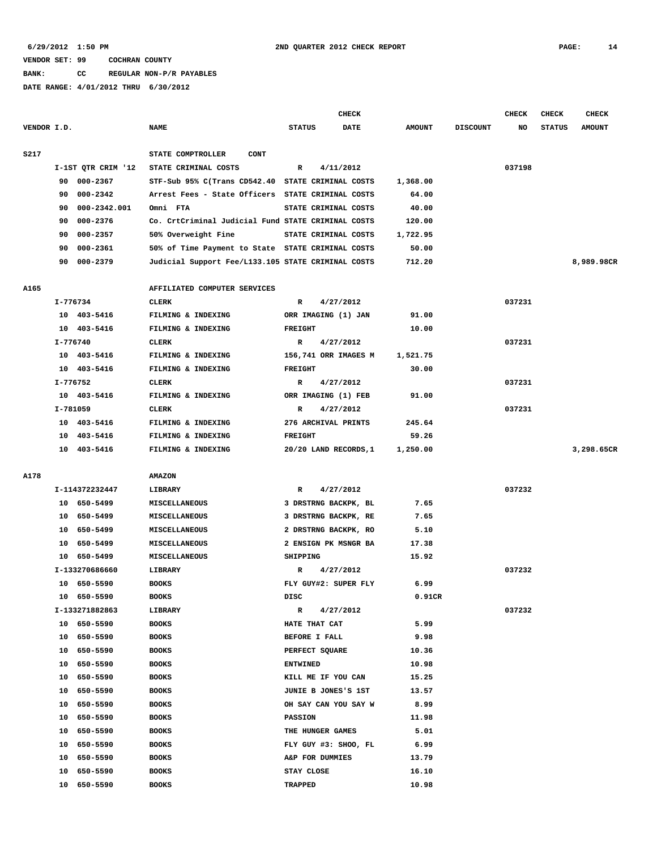**BANK: CC REGULAR NON-P/R PAYABLES**

|             |          |                    |                                                    |                 | <b>CHECK</b>          |               |                 | CHECK  | <b>CHECK</b>  | <b>CHECK</b>  |
|-------------|----------|--------------------|----------------------------------------------------|-----------------|-----------------------|---------------|-----------------|--------|---------------|---------------|
| VENDOR I.D. |          |                    | <b>NAME</b>                                        | <b>STATUS</b>   | <b>DATE</b>           | <b>AMOUNT</b> | <b>DISCOUNT</b> | NO     | <b>STATUS</b> | <b>AMOUNT</b> |
| <b>S217</b> |          |                    | STATE COMPTROLLER<br>CONT                          |                 |                       |               |                 |        |               |               |
|             |          | I-1ST QTR CRIM '12 | STATE CRIMINAL COSTS                               | R               | 4/11/2012             |               |                 | 037198 |               |               |
|             | 90       | 000-2367           | STF-Sub 95% C(Trans CD542.40 STATE CRIMINAL COSTS  |                 |                       | 1,368.00      |                 |        |               |               |
|             | 90       | 000-2342           | Arrest Fees - State Officers STATE CRIMINAL COSTS  |                 |                       | 64.00         |                 |        |               |               |
|             | 90       | 000-2342.001       | Omni FTA                                           |                 | STATE CRIMINAL COSTS  | 40.00         |                 |        |               |               |
|             | 90       | 000-2376           | Co. CrtCriminal Judicial Fund STATE CRIMINAL COSTS |                 |                       | 120.00        |                 |        |               |               |
|             | 90       | 000-2357           | 50% Overweight Fine                                |                 | STATE CRIMINAL COSTS  | 1,722.95      |                 |        |               |               |
|             | 90       | 000-2361           | 50% of Time Payment to State STATE CRIMINAL COSTS  |                 |                       | 50.00         |                 |        |               |               |
|             | 90       | 000-2379           | Judicial Support Fee/L133.105 STATE CRIMINAL COSTS |                 |                       | 712.20        |                 |        |               | 8,989.98CR    |
| A165        |          |                    | AFFILIATED COMPUTER SERVICES                       |                 |                       |               |                 |        |               |               |
|             | I-776734 |                    | CLERK                                              | R               | 4/27/2012             |               |                 | 037231 |               |               |
|             |          | 10 403-5416        | FILMING & INDEXING                                 |                 | ORR IMAGING (1) JAN   | 91.00         |                 |        |               |               |
|             |          | 10 403-5416        | FILMING & INDEXING                                 | <b>FREIGHT</b>  |                       | 10.00         |                 |        |               |               |
|             | I-776740 |                    | CLERK                                              | R               | 4/27/2012             |               |                 | 037231 |               |               |
|             |          | 10 403-5416        | FILMING & INDEXING                                 |                 | 156,741 ORR IMAGES M  | 1,521.75      |                 |        |               |               |
|             |          | 10 403-5416        | FILMING & INDEXING                                 | <b>FREIGHT</b>  |                       | 30.00         |                 |        |               |               |
|             | I-776752 |                    | CLERK                                              | R               | 4/27/2012             |               |                 | 037231 |               |               |
|             |          | 10 403-5416        | FILMING & INDEXING                                 |                 | ORR IMAGING (1) FEB   | 91.00         |                 |        |               |               |
|             | I-781059 |                    | <b>CLERK</b>                                       | R               | 4/27/2012             |               |                 | 037231 |               |               |
|             |          | 10 403-5416        | FILMING & INDEXING                                 |                 | 276 ARCHIVAL PRINTS   | 245.64        |                 |        |               |               |
|             |          | 10 403-5416        | FILMING & INDEXING                                 | <b>FREIGHT</b>  |                       | 59.26         |                 |        |               |               |
|             |          | 10 403-5416        | FILMING & INDEXING                                 |                 | 20/20 LAND RECORDS, 1 | 1,250.00      |                 |        |               | 3,298.65CR    |
| A178        |          |                    | <b>AMAZON</b>                                      |                 |                       |               |                 |        |               |               |
|             |          | I-114372232447     | LIBRARY                                            | R               | 4/27/2012             |               |                 | 037232 |               |               |
|             |          | 10 650-5499        | MISCELLANEOUS                                      |                 | 3 DRSTRNG BACKPK, BL  | 7.65          |                 |        |               |               |
|             | 10       | 650-5499           | MISCELLANEOUS                                      |                 | 3 DRSTRNG BACKPK, RE  | 7.65          |                 |        |               |               |
|             | 10       | 650-5499           | MISCELLANEOUS                                      |                 | 2 DRSTRNG BACKPK, RO  | 5.10          |                 |        |               |               |
|             | 10       | 650–5499           | MISCELLANEOUS                                      |                 | 2 ENSIGN PK MSNGR BA  | 17.38         |                 |        |               |               |
|             |          | 10 650-5499        | MISCELLANEOUS                                      | SHIPPING        |                       | 15.92         |                 |        |               |               |
|             |          | I-133270686660     | LIBRARY                                            | R               | 4/27/2012             |               |                 | 037232 |               |               |
|             |          | 10 650-5590        | <b>BOOKS</b>                                       |                 | FLY GUY#2: SUPER FLY  | 6.99          |                 |        |               |               |
|             |          | 10 650-5590        | <b>BOOKS</b>                                       | DISC            |                       | 0.91CR        |                 |        |               |               |
|             |          | I-133271882863     | LIBRARY                                            | R               | 4/27/2012             |               |                 | 037232 |               |               |
|             |          | 10 650-5590        | <b>BOOKS</b>                                       |                 | HATE THAT CAT         | 5.99          |                 |        |               |               |
|             | 10       | 650-5590           | <b>BOOKS</b>                                       |                 | <b>BEFORE I FALL</b>  | 9.98          |                 |        |               |               |
|             |          | 10 650-5590        | <b>BOOKS</b>                                       |                 | PERFECT SQUARE        | 10.36         |                 |        |               |               |
|             | 10       | 650-5590           | <b>BOOKS</b>                                       | <b>ENTWINED</b> |                       | 10.98         |                 |        |               |               |
|             | 10       | 650-5590           | <b>BOOKS</b>                                       |                 | KILL ME IF YOU CAN    | 15.25         |                 |        |               |               |
|             | 10       | 650-5590           | <b>BOOKS</b>                                       |                 | JUNIE B JONES'S 1ST   | 13.57         |                 |        |               |               |
|             | 10       | 650-5590           | <b>BOOKS</b>                                       |                 | OH SAY CAN YOU SAY W  | 8.99          |                 |        |               |               |
|             | 10       | 650-5590           | <b>BOOKS</b>                                       | PASSION         |                       | 11.98         |                 |        |               |               |
|             | 10       | 650-5590           | <b>BOOKS</b>                                       |                 | THE HUNGER GAMES      | 5.01          |                 |        |               |               |
|             | 10       | 650-5590           | <b>BOOKS</b>                                       |                 | FLY GUY #3: SHOO, FL  | 6.99          |                 |        |               |               |
|             | 10       | 650-5590           | <b>BOOKS</b>                                       |                 | A&P FOR DUMMIES       | 13.79         |                 |        |               |               |
|             | 10       | 650-5590           | <b>BOOKS</b>                                       | STAY CLOSE      |                       | 16.10         |                 |        |               |               |
|             |          | 10 650-5590        | <b>BOOKS</b>                                       | TRAPPED         |                       | 10.98         |                 |        |               |               |
|             |          |                    |                                                    |                 |                       |               |                 |        |               |               |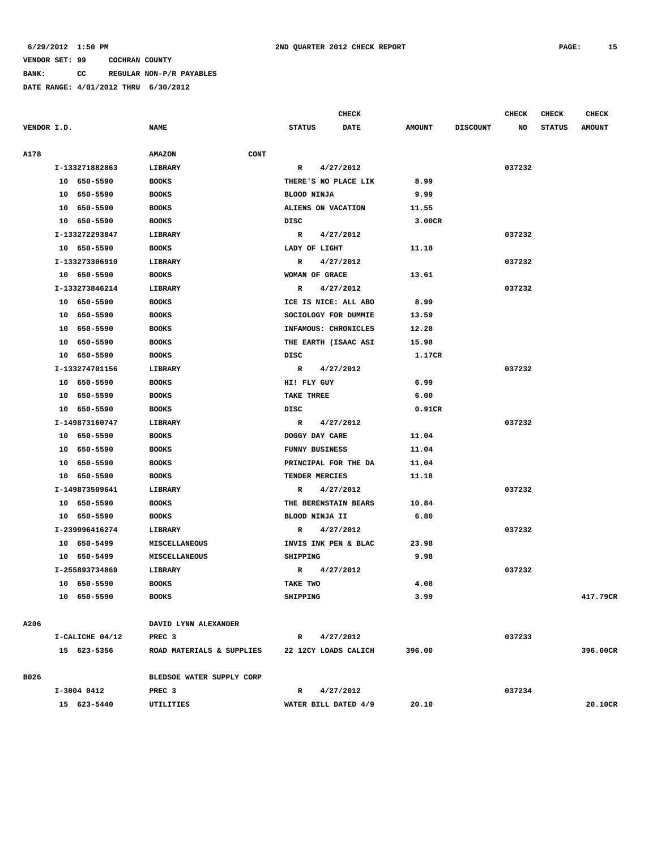**BANK: CC REGULAR NON-P/R PAYABLES**

|             |                 |                              |                      | <b>CHECK</b>         |               |                 | CHECK  | <b>CHECK</b>  | <b>CHECK</b>  |
|-------------|-----------------|------------------------------|----------------------|----------------------|---------------|-----------------|--------|---------------|---------------|
| VENDOR I.D. |                 | <b>NAME</b>                  | <b>STATUS</b>        | <b>DATE</b>          | <b>AMOUNT</b> | <b>DISCOUNT</b> | NO     | <b>STATUS</b> | <b>AMOUNT</b> |
|             |                 |                              |                      |                      |               |                 |        |               |               |
| A178        |                 | <b>AMAZON</b><br><b>CONT</b> |                      |                      |               |                 |        |               |               |
|             | I-133271882863  | LIBRARY                      | R                    | 4/27/2012            |               |                 | 037232 |               |               |
|             | 10 650-5590     | <b>BOOKS</b>                 | THERE'S NO PLACE LIK |                      | 8.99          |                 |        |               |               |
|             | 10 650-5590     | <b>BOOKS</b>                 | BLOOD NINJA          |                      | 9.99          |                 |        |               |               |
|             | 10 650-5590     | <b>BOOKS</b>                 | ALIENS ON VACATION   |                      | 11.55         |                 |        |               |               |
|             | 10 650-5590     | <b>BOOKS</b>                 | DISC                 |                      | 3.00CR        |                 |        |               |               |
|             | I-133272293847  | LIBRARY                      | $\mathbf{R}$         | 4/27/2012            |               |                 | 037232 |               |               |
|             | 10 650-5590     | <b>BOOKS</b>                 | LADY OF LIGHT        |                      | 11.18         |                 |        |               |               |
|             | I-133273306910  | LIBRARY                      | $\mathbb{R}$         | 4/27/2012            |               |                 | 037232 |               |               |
|             | 10 650-5590     | <b>BOOKS</b>                 | WOMAN OF GRACE       |                      | 13.61         |                 |        |               |               |
|             | I-133273846214  | LIBRARY                      | R                    | 4/27/2012            |               |                 | 037232 |               |               |
|             | 10 650-5590     | <b>BOOKS</b>                 | ICE IS NICE: ALL ABO |                      | 8.99          |                 |        |               |               |
|             | 10 650-5590     | <b>BOOKS</b>                 | SOCIOLOGY FOR DUMMIE |                      | 13.59         |                 |        |               |               |
|             | 10 650-5590     | <b>BOOKS</b>                 | INFAMOUS: CHRONICLES |                      | 12.28         |                 |        |               |               |
|             | 10 650-5590     | <b>BOOKS</b>                 | THE EARTH (ISAAC ASI |                      | 15.98         |                 |        |               |               |
|             | 10 650-5590     | <b>BOOKS</b>                 | DISC                 |                      | 1.17CR        |                 |        |               |               |
|             | I-133274701156  | LIBRARY                      | R                    | 4/27/2012            |               |                 | 037232 |               |               |
|             | 10 650-5590     | <b>BOOKS</b>                 | HI! FLY GUY          |                      | 6.99          |                 |        |               |               |
|             | 10 650-5590     | <b>BOOKS</b>                 | TAKE THREE           |                      | 6.00          |                 |        |               |               |
|             | 10 650-5590     | <b>BOOKS</b>                 | DISC                 |                      | 0.91CR        |                 |        |               |               |
|             | I-149873160747  | LIBRARY                      | R                    | 4/27/2012            |               |                 | 037232 |               |               |
|             | 10 650-5590     | <b>BOOKS</b>                 | DOGGY DAY CARE       |                      | 11.04         |                 |        |               |               |
|             | 10 650-5590     | <b>BOOKS</b>                 | FUNNY BUSINESS       |                      | 11.04         |                 |        |               |               |
|             | 10 650-5590     | <b>BOOKS</b>                 | PRINCIPAL FOR THE DA |                      | 11.04         |                 |        |               |               |
|             | 10 650-5590     | <b>BOOKS</b>                 | TENDER MERCIES       |                      | 11.18         |                 |        |               |               |
|             | I-149873509641  | LIBRARY                      | R                    | 4/27/2012            |               |                 | 037232 |               |               |
|             | 10 650-5590     | <b>BOOKS</b>                 | THE BERENSTAIN BEARS |                      | 10.84         |                 |        |               |               |
|             | 10 650-5590     | <b>BOOKS</b>                 | BLOOD NINJA II       |                      | 6.80          |                 |        |               |               |
|             | I-239996416274  | LIBRARY                      | R                    | 4/27/2012            |               |                 | 037232 |               |               |
|             | 10 650-5499     | MISCELLANEOUS                | INVIS INK PEN & BLAC |                      | 23.98         |                 |        |               |               |
|             | 10 650-5499     | MISCELLANEOUS                | SHIPPING             |                      | 9.98          |                 |        |               |               |
|             | I-255893734869  | LIBRARY                      | R                    | 4/27/2012            |               |                 | 037232 |               |               |
|             | 10 650-5590     | <b>BOOKS</b>                 | TAKE TWO             |                      | 4.08          |                 |        |               |               |
|             | 10 650-5590     | <b>BOOKS</b>                 | SHIPPING             |                      | 3.99          |                 |        |               | 417.79CR      |
|             |                 |                              |                      |                      |               |                 |        |               |               |
| A206        |                 | DAVID LYNN ALEXANDER         |                      |                      |               |                 |        |               |               |
|             | I-CALICHE 04/12 | PREC 3                       | R 4/27/2012          |                      |               |                 | 037233 |               |               |
|             | 15 623-5356     | ROAD MATERIALS & SUPPLIES    |                      | 22 12CY LOADS CALICH | 396.00        |                 |        |               | 396.00CR      |
|             |                 |                              |                      |                      |               |                 |        |               |               |
| B026        |                 | BLEDSOE WATER SUPPLY CORP    |                      |                      |               |                 |        |               |               |
|             | I-3004 0412     | PREC <sub>3</sub>            | R                    | 4/27/2012            |               |                 | 037234 |               |               |
|             | 15 623-5440     | UTILITIES                    | WATER BILL DATED 4/9 |                      | 20.10         |                 |        |               | 20.10CR       |
|             |                 |                              |                      |                      |               |                 |        |               |               |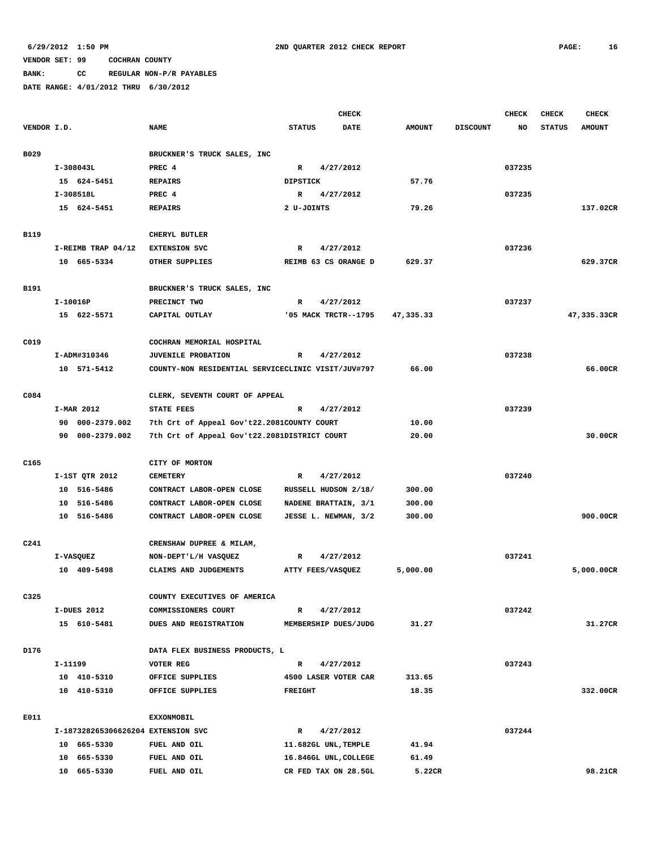**BANK: CC REGULAR NON-P/R PAYABLES**

|             | <b>CHECK</b>                       |                                                    |                                   |             |               | <b>CHECK</b>    | <b>CHECK</b> | <b>CHECK</b>  |               |
|-------------|------------------------------------|----------------------------------------------------|-----------------------------------|-------------|---------------|-----------------|--------------|---------------|---------------|
| VENDOR I.D. |                                    | <b>NAME</b>                                        | <b>STATUS</b>                     | <b>DATE</b> | <b>AMOUNT</b> | <b>DISCOUNT</b> | <b>NO</b>    | <b>STATUS</b> | <b>AMOUNT</b> |
|             |                                    |                                                    |                                   |             |               |                 |              |               |               |
| B029        |                                    | BRUCKNER'S TRUCK SALES, INC                        |                                   |             |               |                 |              |               |               |
|             | $I-308043L$                        | PREC 4                                             | $\mathbb{R}$<br>4/27/2012         |             |               |                 | 037235       |               |               |
|             | 15 624-5451                        | <b>REPAIRS</b>                                     | <b>DIPSTICK</b>                   |             | 57.76         |                 |              |               |               |
|             | I-308518L                          | PREC 4                                             | 4/27/2012<br>R                    |             |               |                 | 037235       |               |               |
|             | 15 624-5451                        | <b>REPAIRS</b>                                     | 2 U-JOINTS                        |             | 79.26         |                 |              |               | 137.02CR      |
|             |                                    |                                                    |                                   |             |               |                 |              |               |               |
| <b>B119</b> |                                    | CHERYL BUTLER                                      | $\mathbb{R}$                      |             |               |                 |              |               |               |
|             | I-REIMB TRAP 04/12<br>10 665-5334  | <b>EXTENSION SVC</b><br>OTHER SUPPLIES             | 4/27/2012<br>REIMB 63 CS ORANGE D |             | 629.37        |                 | 037236       |               | 629.37CR      |
|             |                                    |                                                    |                                   |             |               |                 |              |               |               |
| B191        |                                    | BRUCKNER'S TRUCK SALES, INC                        |                                   |             |               |                 |              |               |               |
|             | I-10016P                           | PRECINCT TWO                                       | 4/27/2012<br>R                    |             |               |                 | 037237       |               |               |
|             | 15 622-5571                        | CAPITAL OUTLAY                                     | '05 MACK TRCTR--1795              |             | 47,335.33     |                 |              |               | 47,335.33CR   |
|             |                                    |                                                    |                                   |             |               |                 |              |               |               |
| C019        |                                    | COCHRAN MEMORIAL HOSPITAL                          |                                   |             |               |                 |              |               |               |
|             | I-ADM#310346                       | <b>JUVENILE PROBATION</b>                          | 4/27/2012<br>R                    |             |               |                 | 037238       |               |               |
|             | 10 571-5412                        | COUNTY-NON RESIDENTIAL SERVICECLINIC VISIT/JUV#797 |                                   |             | 66.00         |                 |              |               | 66.00CR       |
|             |                                    |                                                    |                                   |             |               |                 |              |               |               |
| C084        |                                    | CLERK, SEVENTH COURT OF APPEAL                     |                                   |             |               |                 |              |               |               |
|             | I-MAR 2012                         | <b>STATE FEES</b>                                  | $\mathbb{R}$<br>4/27/2012         |             |               |                 | 037239       |               |               |
|             | 90 000-2379.002                    | 7th Crt of Appeal Gov't22.2081COUNTY COURT         |                                   |             | 10.00         |                 |              |               |               |
|             | 90 000-2379.002                    | 7th Crt of Appeal Gov't22.2081DISTRICT COURT       |                                   |             | 20.00         |                 |              |               | 30.00CR       |
|             |                                    |                                                    |                                   |             |               |                 |              |               |               |
| C165        |                                    | CITY OF MORTON                                     |                                   |             |               |                 |              |               |               |
|             | I-1ST QTR 2012                     | <b>CEMETERY</b>                                    | 4/27/2012<br>R                    |             |               |                 | 037240       |               |               |
|             | 10 516-5486                        | CONTRACT LABOR-OPEN CLOSE                          | RUSSELL HUDSON 2/18/              |             | 300.00        |                 |              |               |               |
|             | 10 516-5486                        | CONTRACT LABOR-OPEN CLOSE                          | NADENE BRATTAIN, 3/1              |             | 300.00        |                 |              |               |               |
|             | 10 516-5486                        | CONTRACT LABOR-OPEN CLOSE                          | JESSE L. NEWMAN, 3/2              |             | 300.00        |                 |              |               | 900.00CR      |
| C241        |                                    | CRENSHAW DUPREE & MILAM,                           |                                   |             |               |                 |              |               |               |
|             | I-VASQUEZ                          | NON-DEPT'L/H VASQUEZ                               | 4/27/2012<br>R                    |             |               |                 | 037241       |               |               |
|             | 10 409-5498                        | CLAIMS AND JUDGEMENTS                              | ATTY FEES/VASQUEZ                 |             | 5,000.00      |                 |              |               | 5,000.00CR    |
|             |                                    |                                                    |                                   |             |               |                 |              |               |               |
| C325        |                                    | COUNTY EXECUTIVES OF AMERICA                       |                                   |             |               |                 |              |               |               |
|             | I-DUES 2012                        | COMMISSIONERS COURT                                | 4/27/2012<br>R                    |             |               |                 | 037242       |               |               |
|             | 15 610-5481                        | DUES AND REGISTRATION                              | MEMBERSHIP DUES/JUDG              |             | 31.27         |                 |              |               | 31.27CR       |
|             |                                    |                                                    |                                   |             |               |                 |              |               |               |
| D176        |                                    | DATA FLEX BUSINESS PRODUCTS, L                     |                                   |             |               |                 |              |               |               |
|             | I-11199                            | VOTER REG                                          | R<br>4/27/2012                    |             |               |                 | 037243       |               |               |
|             | 10 410-5310                        | OFFICE SUPPLIES                                    | 4500 LASER VOTER CAR              |             | 313.65        |                 |              |               |               |
|             | 10 410-5310                        | OFFICE SUPPLIES                                    | <b>FREIGHT</b>                    |             | 18.35         |                 |              |               | 332.00CR      |
|             |                                    |                                                    |                                   |             |               |                 |              |               |               |
| E011        |                                    | <b>EXXONMOBIL</b>                                  |                                   |             |               |                 |              |               |               |
|             | I-187328265306626204 EXTENSION SVC |                                                    | $\mathbb{R}$<br>4/27/2012         |             |               |                 | 037244       |               |               |
|             | 10 665-5330                        | FUEL AND OIL                                       | 11.682GL UNL, TEMPLE              |             | 41.94         |                 |              |               |               |
|             | 10 665-5330                        | FUEL AND OIL                                       | 16.846GL UNL, COLLEGE             |             | 61.49         |                 |              |               |               |
|             | 10 665-5330                        | FUEL AND OIL                                       | CR FED TAX ON 28.5GL              |             | 5.22CR        |                 |              |               | 98.21CR       |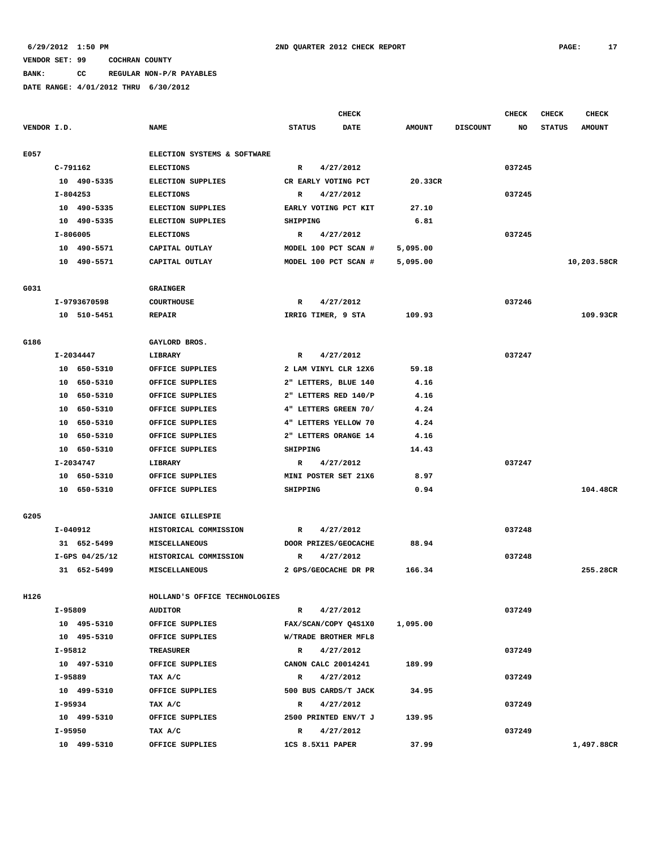# **BANK: CC REGULAR NON-P/R PAYABLES**

|             |           |                  |                               |                      | <b>CHECK</b>         |               |                 | CHECK  | <b>CHECK</b>  | <b>CHECK</b>  |
|-------------|-----------|------------------|-------------------------------|----------------------|----------------------|---------------|-----------------|--------|---------------|---------------|
| VENDOR I.D. |           |                  | <b>NAME</b>                   | <b>STATUS</b>        | <b>DATE</b>          | <b>AMOUNT</b> | <b>DISCOUNT</b> | NO     | <b>STATUS</b> | <b>AMOUNT</b> |
|             |           |                  |                               |                      |                      |               |                 |        |               |               |
| E057        |           |                  | ELECTION SYSTEMS & SOFTWARE   |                      |                      |               |                 |        |               |               |
|             | C-791162  |                  | <b>ELECTIONS</b>              | $\mathbb{R}$         | 4/27/2012            |               |                 | 037245 |               |               |
|             |           | 10 490-5335      | <b>ELECTION SUPPLIES</b>      |                      | CR EARLY VOTING PCT  | 20.33CR       |                 |        |               |               |
|             | I-804253  |                  | <b>ELECTIONS</b>              | R                    | 4/27/2012            |               |                 | 037245 |               |               |
|             |           | 10 490-5335      | <b>ELECTION SUPPLIES</b>      |                      | EARLY VOTING PCT KIT | 27.10         |                 |        |               |               |
|             |           | 10 490-5335      | <b>ELECTION SUPPLIES</b>      | SHIPPING             |                      | 6.81          |                 |        |               |               |
|             | I-806005  |                  | <b>ELECTIONS</b>              | R                    | 4/27/2012            |               |                 | 037245 |               |               |
|             |           | 10 490-5571      | CAPITAL OUTLAY                |                      | MODEL 100 PCT SCAN # | 5,095.00      |                 |        |               |               |
|             |           | 10 490-5571      | CAPITAL OUTLAY                | MODEL 100 PCT SCAN # |                      | 5,095.00      |                 |        |               | 10,203.58CR   |
|             |           |                  |                               |                      |                      |               |                 |        |               |               |
| G031        |           |                  | <b>GRAINGER</b>               |                      |                      |               |                 |        |               |               |
|             |           | I-9793670598     | <b>COURTHOUSE</b>             | 4/27/2012<br>R       |                      |               |                 | 037246 |               |               |
|             |           | 10 510-5451      | <b>REPAIR</b>                 | IRRIG TIMER, 9 STA   |                      | 109.93        |                 |        |               | 109.93CR      |
|             |           |                  |                               |                      |                      |               |                 |        |               |               |
| G186        |           |                  | GAYLORD BROS.                 |                      |                      |               |                 |        |               |               |
|             |           | I-2034447        | <b>LIBRARY</b>                | 4/27/2012<br>R       |                      |               |                 | 037247 |               |               |
|             |           | 10 650-5310      | OFFICE SUPPLIES               | 2 LAM VINYL CLR 12X6 |                      | 59.18         |                 |        |               |               |
|             |           | 10 650-5310      | OFFICE SUPPLIES               | 2" LETTERS, BLUE 140 |                      | 4.16          |                 |        |               |               |
|             |           | 10 650-5310      | OFFICE SUPPLIES               | 2" LETTERS RED 140/P |                      | 4.16          |                 |        |               |               |
|             |           | 10 650-5310      | OFFICE SUPPLIES               | 4" LETTERS GREEN 70/ |                      | 4.24          |                 |        |               |               |
|             |           | 10 650-5310      | OFFICE SUPPLIES               |                      | 4" LETTERS YELLOW 70 | 4.24          |                 |        |               |               |
|             |           | 10 650-5310      | OFFICE SUPPLIES               |                      | 2" LETTERS ORANGE 14 | 4.16          |                 |        |               |               |
|             |           | 10 650-5310      | OFFICE SUPPLIES               | SHIPPING             |                      | 14.43         |                 |        |               |               |
|             |           | I-2034747        | LIBRARY                       | $\mathbb{R}$         | 4/27/2012            |               |                 | 037247 |               |               |
|             |           | 10 650-5310      | OFFICE SUPPLIES               |                      | MINI POSTER SET 21X6 | 8.97          |                 |        |               |               |
|             |           | 10 650-5310      | OFFICE SUPPLIES               | SHIPPING             |                      | 0.94          |                 |        |               | 104.48CR      |
|             |           |                  |                               |                      |                      |               |                 |        |               |               |
| G205        |           |                  | <b>JANICE GILLESPIE</b>       |                      |                      |               |                 |        |               |               |
|             | I-040912  |                  | HISTORICAL COMMISSION         | R                    | 4/27/2012            |               |                 | 037248 |               |               |
|             |           | 31 652-5499      | MISCELLANEOUS                 |                      | DOOR PRIZES/GEOCACHE | 88.94         |                 |        |               |               |
|             |           | $I-GPS$ 04/25/12 | HISTORICAL COMMISSION         | R                    | 4/27/2012            |               |                 | 037248 |               |               |
|             |           | 31 652-5499      | MISCELLANEOUS                 |                      | 2 GPS/GEOCACHE DR PR | 166.34        |                 |        |               | 255.28CR      |
|             |           |                  |                               |                      |                      |               |                 |        |               |               |
| H126        |           |                  | HOLLAND'S OFFICE TECHNOLOGIES |                      |                      |               |                 |        |               |               |
|             | I-95809   |                  | <b>AUDITOR</b>                | $\mathbb{R}$         | 4/27/2012            |               |                 | 037249 |               |               |
|             |           | 10 495-5310      | OFFICE SUPPLIES               |                      | FAX/SCAN/COPY Q4S1X0 | 1,095.00      |                 |        |               |               |
|             |           | 10 495-5310      | OFFICE SUPPLIES               |                      | W/TRADE BROTHER MFL8 |               |                 |        |               |               |
|             | $I-95812$ |                  | TREASURER                     |                      | R 4/27/2012          |               |                 | 037249 |               |               |
|             |           | 10 497-5310      | OFFICE SUPPLIES               |                      | CANON CALC 20014241  | 189.99        |                 |        |               |               |
|             | I-95889   |                  | TAX A/C                       | 4/27/2012<br>R       |                      |               |                 | 037249 |               |               |
|             |           | 10 499-5310      | OFFICE SUPPLIES               | 500 BUS CARDS/T JACK |                      | 34.95         |                 |        |               |               |
|             | I-95934   |                  | TAX A/C                       | 4/27/2012<br>R       |                      |               |                 | 037249 |               |               |
|             |           | 10 499-5310      | OFFICE SUPPLIES               | 2500 PRINTED ENV/T J |                      | 139.95        |                 |        |               |               |
|             | I-95950   |                  | TAX A/C                       | $\mathbb{R}$         | 4/27/2012            |               |                 | 037249 |               |               |
|             |           | 10 499-5310      | OFFICE SUPPLIES               | 1CS 8.5X11 PAPER     |                      | 37.99         |                 |        |               | 1,497.88CR    |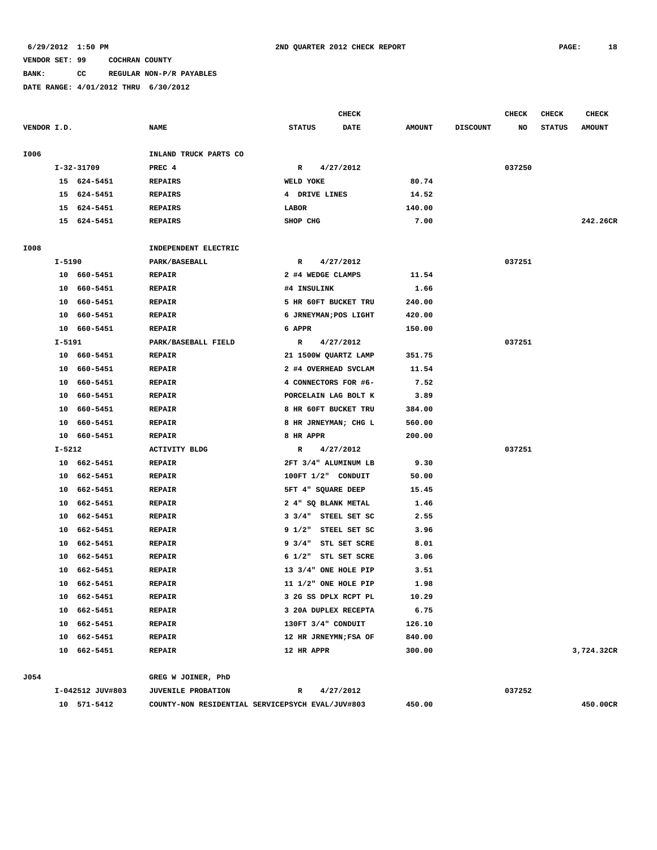### **VENDOR SET: 99 COCHRAN COUNTY BANK: CC REGULAR NON-P/R PAYABLES**

|             |        |                  |                                                  |                       | <b>CHECK</b> |               |                 | CHECK  | CHECK         | <b>CHECK</b>  |
|-------------|--------|------------------|--------------------------------------------------|-----------------------|--------------|---------------|-----------------|--------|---------------|---------------|
| VENDOR I.D. |        |                  | <b>NAME</b>                                      | <b>STATUS</b>         | <b>DATE</b>  | <b>AMOUNT</b> | <b>DISCOUNT</b> | NO     | <b>STATUS</b> | <b>AMOUNT</b> |
| I006        |        |                  | INLAND TRUCK PARTS CO                            |                       |              |               |                 |        |               |               |
|             |        | I-32-31709       | PREC 4                                           | R                     | 4/27/2012    |               |                 | 037250 |               |               |
|             |        | 15 624-5451      | <b>REPAIRS</b>                                   | WELD YOKE             |              | 80.74         |                 |        |               |               |
|             | 15     | 624-5451         | <b>REPAIRS</b>                                   | 4 DRIVE LINES         |              | 14.52         |                 |        |               |               |
|             | 15     | 624-5451         | <b>REPAIRS</b>                                   | LABOR                 |              | 140.00        |                 |        |               |               |
|             |        | 15 624-5451      | <b>REPAIRS</b>                                   | SHOP CHG              |              | 7.00          |                 |        |               | 242.26CR      |
| I008        |        |                  | INDEPENDENT ELECTRIC                             |                       |              |               |                 |        |               |               |
|             | I-5190 |                  | PARK/BASEBALL                                    | R                     | 4/27/2012    |               |                 | 037251 |               |               |
|             |        | 10 660-5451      | <b>REPAIR</b>                                    | 2 #4 WEDGE CLAMPS     |              | 11.54         |                 |        |               |               |
|             |        | 10 660-5451      | <b>REPAIR</b>                                    | #4 INSULINK           |              | 1.66          |                 |        |               |               |
|             |        | 10 660-5451      | <b>REPAIR</b>                                    | 5 HR 60FT BUCKET TRU  |              | 240.00        |                 |        |               |               |
|             | 10     | 660-5451         | <b>REPAIR</b>                                    | 6 JRNEYMAN; POS LIGHT |              | 420.00        |                 |        |               |               |
|             |        | 10 660-5451      | <b>REPAIR</b>                                    | 6 APPR                |              | 150.00        |                 |        |               |               |
|             | I-5191 |                  | PARK/BASEBALL FIELD                              | R                     | 4/27/2012    |               |                 | 037251 |               |               |
|             |        | 10 660-5451      | <b>REPAIR</b>                                    | 21 1500W QUARTZ LAMP  |              | 351.75        |                 |        |               |               |
|             |        | 10 660-5451      | <b>REPAIR</b>                                    | 2 #4 OVERHEAD SVCLAM  |              | 11.54         |                 |        |               |               |
|             |        | 10 660-5451      | <b>REPAIR</b>                                    | 4 CONNECTORS FOR #6-  |              | 7.52          |                 |        |               |               |
|             | 10     | 660–5451         | <b>REPAIR</b>                                    | PORCELAIN LAG BOLT K  |              | 3.89          |                 |        |               |               |
|             | 10     | 660-5451         | <b>REPAIR</b>                                    | 8 HR 60FT BUCKET TRU  |              | 384.00        |                 |        |               |               |
|             | 10     | 660-5451         | <b>REPAIR</b>                                    | 8 HR JRNEYMAN; CHG L  |              | 560.00        |                 |        |               |               |
|             |        | 10 660-5451      | <b>REPAIR</b>                                    | 8 HR APPR             |              | 200.00        |                 |        |               |               |
|             | I-5212 |                  | <b>ACTIVITY BLDG</b>                             | R                     | 4/27/2012    |               |                 | 037251 |               |               |
|             |        | 10 662-5451      | <b>REPAIR</b>                                    | 2FT 3/4" ALUMINUM LB  |              | 9.30          |                 |        |               |               |
|             |        | 10 662-5451      | <b>REPAIR</b>                                    | 100FT 1/2" CONDUIT    |              | 50.00         |                 |        |               |               |
|             |        | 10 662-5451      | <b>REPAIR</b>                                    | 5FT 4" SQUARE DEEP    |              | 15.45         |                 |        |               |               |
|             | 10     | 662-5451         | <b>REPAIR</b>                                    | 2 4" SQ BLANK METAL   |              | 1.46          |                 |        |               |               |
|             | 10     | 662-5451         | <b>REPAIR</b>                                    | 3 3/4" STEEL SET SC   |              | 2.55          |                 |        |               |               |
|             | 10     | 662-5451         | <b>REPAIR</b>                                    | 9 1/2"                | STEEL SET SC | 3.96          |                 |        |               |               |
|             | 10     | 662-5451         | <b>REPAIR</b>                                    | 9 3/4" STL SET SCRE   |              | 8.01          |                 |        |               |               |
|             | 10     | 662-5451         | <b>REPAIR</b>                                    | 6 1/2" STL SET SCRE   |              | 3.06          |                 |        |               |               |
|             | 10     | 662-5451         | <b>REPAIR</b>                                    | 13 3/4" ONE HOLE PIP  |              | 3.51          |                 |        |               |               |
|             |        | 10 662-5451      | <b>REPAIR</b>                                    | 11 1/2" ONE HOLE PIP  |              | 1.98          |                 |        |               |               |
|             |        | 10 662-5451      | <b>REPAIR</b>                                    | 3 2G SS DPLX RCPT PL  |              | 10.29         |                 |        |               |               |
|             |        | 10 662-5451      | <b>REPAIR</b>                                    | 3 20A DUPLEX RECEPTA  |              | 6.75          |                 |        |               |               |
|             |        | 10 662-5451      | <b>REPAIR</b>                                    | 130FT 3/4" CONDUIT    |              | 126.10        |                 |        |               |               |
|             |        | 10 662-5451      | <b>REPAIR</b>                                    | 12 HR JRNEYMN; FSA OF |              | 840.00        |                 |        |               |               |
|             |        | 10 662-5451      | <b>REPAIR</b>                                    | 12 HR APPR            |              | 300.00        |                 |        |               | 3,724.32CR    |
| J054        |        |                  | GREG W JOINER, PhD                               |                       |              |               |                 |        |               |               |
|             |        | I-042512 JUV#803 | <b>JUVENILE PROBATION</b>                        | R                     | 4/27/2012    |               |                 | 037252 |               |               |
|             |        | 10 571-5412      | COUNTY-NON RESIDENTIAL SERVICEPSYCH EVAL/JUV#803 |                       |              | 450.00        |                 |        |               | 450.00CR      |
|             |        |                  |                                                  |                       |              |               |                 |        |               |               |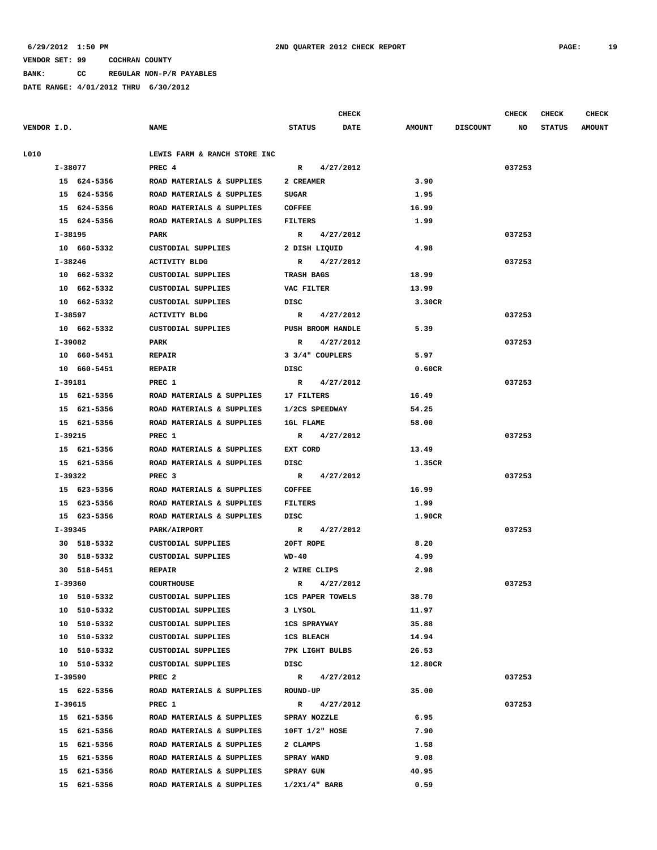**BANK: CC REGULAR NON-P/R PAYABLES**

|             |         |             |                                       |                         |             | <b>CHECK</b> |               |                 | <b>CHECK</b> | <b>CHECK</b>  | <b>CHECK</b>  |
|-------------|---------|-------------|---------------------------------------|-------------------------|-------------|--------------|---------------|-----------------|--------------|---------------|---------------|
| VENDOR I.D. |         |             | <b>NAME</b>                           | <b>STATUS</b>           |             | <b>DATE</b>  | <b>AMOUNT</b> | <b>DISCOUNT</b> | NO           | <b>STATUS</b> | <b>AMOUNT</b> |
| L010        |         |             | LEWIS FARM & RANCH STORE INC          |                         |             |              |               |                 |              |               |               |
|             | I-38077 |             | PREC <sub>4</sub>                     |                         | R 4/27/2012 |              |               |                 | 037253       |               |               |
|             |         | 15 624-5356 | ROAD MATERIALS & SUPPLIES             | 2 CREAMER               |             |              | 3.90          |                 |              |               |               |
|             |         | 15 624-5356 | ROAD MATERIALS & SUPPLIES             | SUGAR                   |             |              | 1.95          |                 |              |               |               |
|             |         | 15 624-5356 | ROAD MATERIALS & SUPPLIES             | <b>COFFEE</b>           |             |              | 16.99         |                 |              |               |               |
|             |         | 15 624-5356 | ROAD MATERIALS & SUPPLIES             | FILTERS                 |             |              | 1.99          |                 |              |               |               |
|             | I-38195 |             | PARK                                  | R 4/27/2012             |             |              |               |                 | 037253       |               |               |
|             |         | 10 660-5332 | CUSTODIAL SUPPLIES                    | 2 DISH LIQUID           |             |              | 4.98          |                 |              |               |               |
|             |         | I-38246     | ACTIVITY BLDG                         |                         | R 4/27/2012 |              |               |                 | 037253       |               |               |
|             |         | 10 662-5332 | CUSTODIAL SUPPLIES                    | <b>TRASH BAGS</b>       |             |              | 18.99         |                 |              |               |               |
|             |         | 10 662-5332 | CUSTODIAL SUPPLIES                    | VAC FILTER              |             |              | 13.99         |                 |              |               |               |
|             |         | 10 662-5332 | CUSTODIAL SUPPLIES                    | DISC                    |             |              | 3.30CR        |                 |              |               |               |
|             |         | I-38597     | ACTIVITY BLDG                         | R 4/27/2012             |             |              |               |                 | 037253       |               |               |
|             |         | 10 662-5332 | CUSTODIAL SUPPLIES                    | PUSH BROOM HANDLE       |             |              | 5.39          |                 |              |               |               |
|             |         | I-39082     | PARK                                  | $\mathbf{R}$            | 4/27/2012   |              |               |                 | 037253       |               |               |
|             |         | 10 660-5451 | <b>REPAIR</b>                         | 3 3/4" COUPLERS         |             |              | 5.97          |                 |              |               |               |
|             |         | 10 660-5451 | <b>REPAIR</b>                         | DISC                    |             |              | 0.60CR        |                 |              |               |               |
|             |         | I-39181     | PREC 1                                |                         | R 4/27/2012 |              |               |                 | 037253       |               |               |
|             |         | 15 621-5356 | ROAD MATERIALS & SUPPLIES             | 17 FILTERS              |             |              | 16.49         |                 |              |               |               |
|             |         | 15 621-5356 | ROAD MATERIALS & SUPPLIES             | 1/2CS SPEEDWAY          |             |              | 54.25         |                 |              |               |               |
|             |         | 15 621-5356 | ROAD MATERIALS & SUPPLIES             | <b>1GL FLAME</b>        |             |              | 58.00         |                 |              |               |               |
|             | I-39215 |             | PREC 1                                | R                       | 4/27/2012   |              |               |                 | 037253       |               |               |
|             |         | 15 621-5356 | ROAD MATERIALS & SUPPLIES             | EXT CORD                |             |              | 13.49         |                 |              |               |               |
|             |         | 15 621-5356 | ROAD MATERIALS & SUPPLIES             | DISC                    |             |              | 1.35CR        |                 |              |               |               |
|             | I-39322 |             | PREC <sub>3</sub>                     | R 4/27/2012             |             |              |               |                 | 037253       |               |               |
|             |         | 15 623-5356 | ROAD MATERIALS & SUPPLIES             | <b>COFFEE</b>           |             |              | 16.99         |                 |              |               |               |
|             |         | 15 623-5356 | ROAD MATERIALS & SUPPLIES             | FILTERS                 |             |              | 1.99          |                 |              |               |               |
|             |         | 15 623-5356 | ROAD MATERIALS & SUPPLIES             | DISC                    |             |              | 1.90CR        |                 |              |               |               |
|             |         | I-39345     | PARK/AIRPORT                          | $\mathbb{R}$            | 4/27/2012   |              |               |                 | 037253       |               |               |
|             |         | 30 518-5332 | CUSTODIAL SUPPLIES                    | 20FT ROPE               |             |              | 8.20          |                 |              |               |               |
|             |         | 30 518-5332 | CUSTODIAL SUPPLIES                    | WD-40                   |             |              | 4.99          |                 |              |               |               |
|             |         | 30 518-5451 | <b>REPAIR</b>                         | 2 WIRE CLIPS            |             |              | 2.98          |                 |              |               |               |
|             | I-39360 |             | <b>COURTHOUSE</b>                     |                         | R 4/27/2012 |              |               |                 | 037253       |               |               |
|             |         | 10 510-5332 | CUSTODIAL SUPPLIES                    | <b>1CS PAPER TOWELS</b> |             |              | 38.70         |                 |              |               |               |
|             |         | 10 510-5332 | CUSTODIAL SUPPLIES                    | 3 LYSOL                 |             |              | 11.97         |                 |              |               |               |
|             |         | 10 510-5332 | CUSTODIAL SUPPLIES<br>1CS SPRAYWAY    |                         |             |              | 35.88         |                 |              |               |               |
|             |         | 10 510-5332 | CUSTODIAL SUPPLIES 1CS BLEACH         |                         |             |              | 14.94         |                 |              |               |               |
|             |         | 10 510-5332 | CUSTODIAL SUPPLIES 7PK LIGHT BULBS    |                         |             |              | 26.53         |                 |              |               |               |
|             |         | 10 510-5332 | CUSTODIAL SUPPLIES                    | DISC                    |             |              | 12.80CR       |                 |              |               |               |
|             |         | I-39590     | PREC <sub>2</sub>                     | R 4/27/2012             |             |              |               |                 | 037253       |               |               |
|             |         | 15 622-5356 | ROAD MATERIALS & SUPPLIES             | <b>ROUND-UP</b>         |             |              | 35.00         |                 |              |               |               |
|             |         | I-39615     | PREC 1                                |                         | R 4/27/2012 |              |               |                 | 037253       |               |               |
|             |         | 15 621-5356 | ROAD MATERIALS & SUPPLIES             | SPRAY NOZZLE            |             |              | 6.95          |                 |              |               |               |
|             |         | 15 621-5356 | ROAD MATERIALS & SUPPLIES             | 10FT 1/2" HOSE          |             |              | 7.90          |                 |              |               |               |
|             |         | 15 621-5356 | ROAD MATERIALS & SUPPLIES             | 2 CLAMPS                |             |              | 1.58          |                 |              |               |               |
|             |         | 15 621-5356 | ROAD MATERIALS & SUPPLIES SPRAY WAND  |                         |             |              | 9.08          |                 |              |               |               |
|             |         | 15 621-5356 | ROAD MATERIALS & SUPPLIES SPRAY GUN   |                         |             |              | 40.95         |                 |              |               |               |
|             |         |             | 15 621-5356 ROAD MATERIALS & SUPPLIES | $1/2X1/4"$ BARB         |             |              | 0.59          |                 |              |               |               |
|             |         |             |                                       |                         |             |              |               |                 |              |               |               |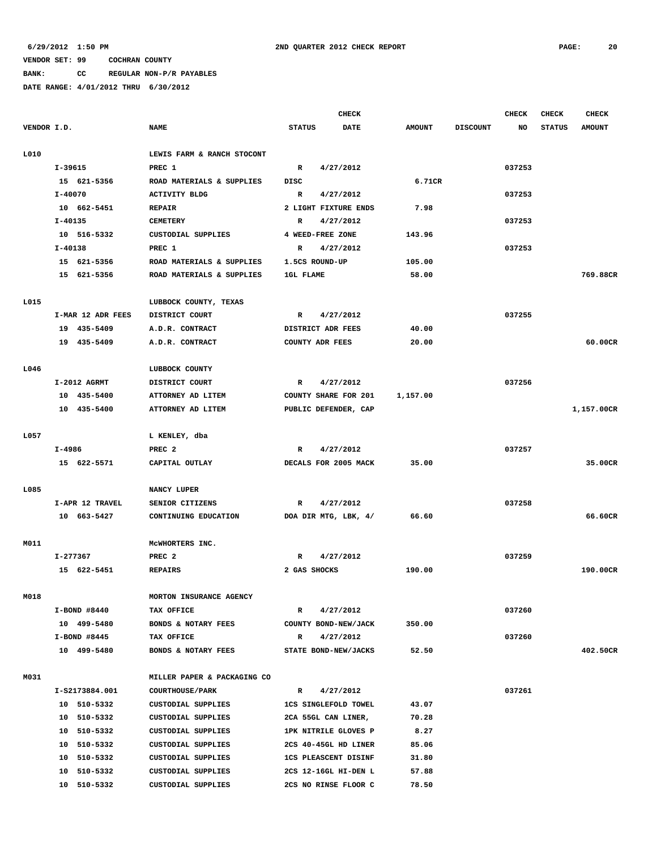**BANK: CC REGULAR NON-P/R PAYABLES**

|             |                   |                             | CHECK                        |               |                 | CHECK  | <b>CHECK</b>  | CHECK         |
|-------------|-------------------|-----------------------------|------------------------------|---------------|-----------------|--------|---------------|---------------|
| VENDOR I.D. |                   | <b>NAME</b>                 | <b>STATUS</b><br><b>DATE</b> | <b>AMOUNT</b> | <b>DISCOUNT</b> | NO     | <b>STATUS</b> | <b>AMOUNT</b> |
| L010        |                   | LEWIS FARM & RANCH STOCONT  |                              |               |                 |        |               |               |
|             | I-39615           | PREC 1                      | $\mathbb{R}$<br>4/27/2012    |               |                 | 037253 |               |               |
|             | 15 621-5356       | ROAD MATERIALS & SUPPLIES   | DISC                         | 6.71CR        |                 |        |               |               |
|             | $I - 40070$       | <b>ACTIVITY BLDG</b>        | $\mathbb{R}$<br>4/27/2012    |               |                 | 037253 |               |               |
|             | 10 662-5451       | <b>REPAIR</b>               | 2 LIGHT FIXTURE ENDS         | 7.98          |                 |        |               |               |
|             | $I - 40135$       | <b>CEMETERY</b>             | 4/27/2012<br>R               |               |                 | 037253 |               |               |
|             | 10 516-5332       | <b>CUSTODIAL SUPPLIES</b>   | 4 WEED-FREE ZONE             | 143.96        |                 |        |               |               |
|             | I-40138           | PREC 1                      | 4/27/2012<br>R               |               |                 | 037253 |               |               |
|             | 15 621-5356       | ROAD MATERIALS & SUPPLIES   | 1.5CS ROUND-UP               | 105.00        |                 |        |               |               |
|             | 15 621-5356       | ROAD MATERIALS & SUPPLIES   | <b>1GL FLAME</b>             | 58.00         |                 |        |               | 769.88CR      |
|             |                   |                             |                              |               |                 |        |               |               |
| L015        |                   | LUBBOCK COUNTY, TEXAS       |                              |               |                 |        |               |               |
|             | I-MAR 12 ADR FEES | DISTRICT COURT              | 4/27/2012<br>R               |               |                 | 037255 |               |               |
|             | 19 435-5409       | A.D.R. CONTRACT             | DISTRICT ADR FEES            | 40.00         |                 |        |               |               |
|             | 19 435-5409       | A.D.R. CONTRACT             | COUNTY ADR FEES              | 20.00         |                 |        |               | 60.00CR       |
| L046        |                   | LUBBOCK COUNTY              |                              |               |                 |        |               |               |
|             | I-2012 AGRMT      | DISTRICT COURT              | 4/27/2012<br>R               |               |                 | 037256 |               |               |
|             | 10 435-5400       | ATTORNEY AD LITEM           | <b>COUNTY SHARE FOR 201</b>  | 1,157.00      |                 |        |               |               |
|             | 10 435-5400       | ATTORNEY AD LITEM           | PUBLIC DEFENDER, CAP         |               |                 |        |               | 1,157.00CR    |
| L057        |                   | L KENLEY, dba               |                              |               |                 |        |               |               |
|             | I-4986            | PREC <sub>2</sub>           | 4/27/2012<br>R               |               |                 | 037257 |               |               |
|             | 15 622-5571       | CAPITAL OUTLAY              | DECALS FOR 2005 MACK         | 35.00         |                 |        |               | 35.00CR       |
|             |                   |                             |                              |               |                 |        |               |               |
| L085        |                   | NANCY LUPER                 |                              |               |                 |        |               |               |
|             | I-APR 12 TRAVEL   | SENIOR CITIZENS             | 4/27/2012<br>R               |               |                 | 037258 |               |               |
|             | 10 663-5427       | CONTINUING EDUCATION        | DOA DIR MTG, LBK, 4/         | 66.60         |                 |        |               | 66.60CR       |
| M011        |                   | MCWHORTERS INC.             |                              |               |                 |        |               |               |
|             | I-277367          | PREC <sub>2</sub>           | $\mathbb{R}$<br>4/27/2012    |               |                 | 037259 |               |               |
|             | 15 622-5451       | <b>REPAIRS</b>              | 2 GAS SHOCKS                 | 190.00        |                 |        |               | 190.00CR      |
| M018        |                   | MORTON INSURANCE AGENCY     |                              |               |                 |        |               |               |
|             | I-BOND #8440      | TAX OFFICE                  | 4/27/2012<br>R               |               |                 | 037260 |               |               |
|             | 10 499-5480       | BONDS & NOTARY FEES         | COUNTY BOND-NEW/JACK         | 350.00        |                 |        |               |               |
|             | $I-$ BOND #8445   | TAX OFFICE                  | 4/27/2012<br>R               |               |                 | 037260 |               |               |
|             | 10 499-5480       | BONDS & NOTARY FEES         | STATE BOND-NEW/JACKS         | 52.50         |                 |        |               | 402.50CR      |
|             |                   |                             |                              |               |                 |        |               |               |
| M031        |                   | MILLER PAPER & PACKAGING CO |                              |               |                 |        |               |               |
|             | I-S2173884.001    | <b>COURTHOUSE/PARK</b>      | $\mathbb{R}$<br>4/27/2012    |               |                 | 037261 |               |               |
|             | 10 510-5332       | CUSTODIAL SUPPLIES          | <b>1CS SINGLEFOLD TOWEL</b>  | 43.07         |                 |        |               |               |
|             | 10 510-5332       | CUSTODIAL SUPPLIES          | 2CA 55GL CAN LINER,          | 70.28         |                 |        |               |               |
|             | 10 510-5332       | CUSTODIAL SUPPLIES          | 1PK NITRILE GLOVES P         | 8.27          |                 |        |               |               |
|             | 10 510-5332       | CUSTODIAL SUPPLIES          | 2CS 40-45GL HD LINER         | 85.06         |                 |        |               |               |
|             | 10 510-5332       | CUSTODIAL SUPPLIES          | <b>1CS PLEASCENT DISINF</b>  | 31.80         |                 |        |               |               |
|             | 10 510-5332       | CUSTODIAL SUPPLIES          | 2CS 12-16GL HI-DEN L         | 57.88         |                 |        |               |               |
|             | 10 510-5332       | CUSTODIAL SUPPLIES          | 2CS NO RINSE FLOOR C         | 78.50         |                 |        |               |               |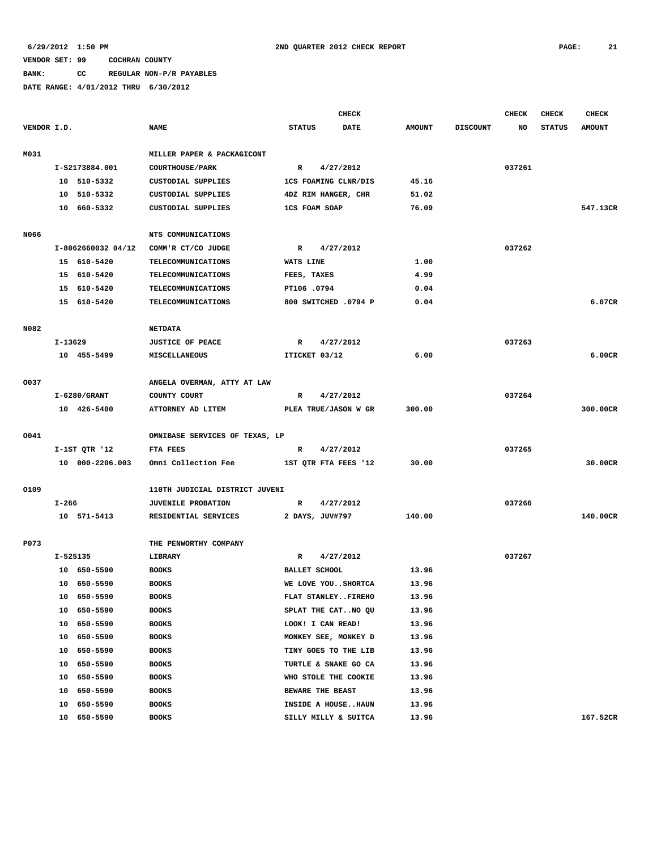**BANK: CC REGULAR NON-P/R PAYABLES**

|             |         |                    |                                |                      | CHECK                |               |                 | <b>CHECK</b> | <b>CHECK</b>  | CHECK         |
|-------------|---------|--------------------|--------------------------------|----------------------|----------------------|---------------|-----------------|--------------|---------------|---------------|
| VENDOR I.D. |         |                    | <b>NAME</b>                    | <b>STATUS</b>        | <b>DATE</b>          | <b>AMOUNT</b> | <b>DISCOUNT</b> | NO           | <b>STATUS</b> | <b>AMOUNT</b> |
| M031        |         |                    | MILLER PAPER & PACKAGICONT     |                      |                      |               |                 |              |               |               |
|             |         | I-S2173884.001     | <b>COURTHOUSE/PARK</b>         | R                    | 4/27/2012            |               |                 | 037261       |               |               |
|             |         | 10 510-5332        | <b>CUSTODIAL SUPPLIES</b>      |                      | 1CS FOAMING CLNR/DIS | 45.16         |                 |              |               |               |
|             |         | 10 510-5332        | CUSTODIAL SUPPLIES             | 4DZ RIM HANGER, CHR  |                      | 51.02         |                 |              |               |               |
|             |         | 10 660-5332        | CUSTODIAL SUPPLIES             | <b>1CS FOAM SOAP</b> |                      | 76.09         |                 |              |               | 547.13CR      |
|             |         |                    |                                |                      |                      |               |                 |              |               |               |
| N066        |         |                    | NTS COMMUNICATIONS             |                      |                      |               |                 |              |               |               |
|             |         | I-8062660032 04/12 | COMM'R CT/CO JUDGE             | R                    | 4/27/2012            |               |                 | 037262       |               |               |
|             |         | 15 610-5420        | <b>TELECOMMUNICATIONS</b>      | WATS LINE            |                      | 1.00          |                 |              |               |               |
|             |         | 15 610-5420        | TELECOMMUNICATIONS             | FEES, TAXES          |                      | 4.99          |                 |              |               |               |
|             |         | 15 610-5420        | <b>TELECOMMUNICATIONS</b>      | PT106.0794           |                      | 0.04          |                 |              |               |               |
|             |         | 15 610-5420        | <b>TELECOMMUNICATIONS</b>      |                      | 800 SWITCHED .0794 P | 0.04          |                 |              |               | 6.07CR        |
|             |         |                    |                                |                      |                      |               |                 |              |               |               |
| N082        |         |                    | <b>NETDATA</b>                 |                      |                      |               |                 |              |               |               |
|             | I-13629 |                    | <b>JUSTICE OF PEACE</b>        | R                    | 4/27/2012            |               |                 | 037263       |               |               |
|             |         | 10 455-5499        | MISCELLANEOUS                  | ITICKET 03/12        |                      | 6.00          |                 |              |               | 6.00CR        |
| 0037        |         |                    | ANGELA OVERMAN, ATTY AT LAW    |                      |                      |               |                 |              |               |               |
|             |         | $I-6280/GRANT$     | COUNTY COURT                   | R                    | 4/27/2012            |               |                 | 037264       |               |               |
|             |         | 10 426-5400        | ATTORNEY AD LITEM              |                      | PLEA TRUE/JASON W GR | 300.00        |                 |              |               | 300.00CR      |
|             |         |                    |                                |                      |                      |               |                 |              |               |               |
| 0041        |         |                    | OMNIBASE SERVICES OF TEXAS, LP |                      |                      |               |                 |              |               |               |
|             |         | $I-1STQTR$ '12     | FTA FEES                       | R                    | 4/27/2012            |               |                 | 037265       |               |               |
|             |         | 10 000-2206.003    | Omni Collection Fee            |                      | 1ST QTR FTA FEES '12 | 30.00         |                 |              |               | 30.00CR       |
|             |         |                    |                                |                      |                      |               |                 |              |               |               |
| 0109        |         |                    | 110TH JUDICIAL DISTRICT JUVENI |                      |                      |               |                 |              |               |               |
|             | I-266   |                    | <b>JUVENILE PROBATION</b>      | R                    | 4/27/2012            |               |                 | 037266       |               |               |
|             |         | 10 571-5413        | RESIDENTIAL SERVICES           | 2 DAYS, JUV#797      |                      | 140.00        |                 |              |               | 140.00CR      |
| P073        |         |                    | THE PENWORTHY COMPANY          |                      |                      |               |                 |              |               |               |
|             |         | I-525135           | LIBRARY                        | R                    | 4/27/2012            |               |                 | 037267       |               |               |
|             |         | 10 650-5590        | <b>BOOKS</b>                   | <b>BALLET SCHOOL</b> |                      | 13.96         |                 |              |               |               |
|             |         | 10 650-5590        | <b>BOOKS</b>                   |                      | WE LOVE YOUSHORTCA   | 13.96         |                 |              |               |               |
|             | 10      | 650-5590           | <b>BOOKS</b>                   |                      | FLAT STANLEYFIREHO   | 13.96         |                 |              |               |               |
|             | 10      | 650-5590           | <b>BOOKS</b>                   |                      | SPLAT THE CATNO QU   | 13.96         |                 |              |               |               |
|             | 10      | 650-5590           | <b>BOOKS</b>                   | LOOK! I CAN READ!    |                      | 13.96         |                 |              |               |               |
|             | 10      | 650-5590           | <b>BOOKS</b>                   |                      | MONKEY SEE, MONKEY D | 13.96         |                 |              |               |               |
|             | 10      | 650-5590           | <b>BOOKS</b>                   |                      | TINY GOES TO THE LIB | 13.96         |                 |              |               |               |
|             | 10      | 650-5590           | <b>BOOKS</b>                   |                      | TURTLE & SNAKE GO CA | 13.96         |                 |              |               |               |
|             | 10      | 650-5590           | <b>BOOKS</b>                   |                      | WHO STOLE THE COOKIE | 13.96         |                 |              |               |               |
|             | 10      | 650-5590           | <b>BOOKS</b>                   | BEWARE THE BEAST     |                      | 13.96         |                 |              |               |               |
|             | 10      | 650-5590           | <b>BOOKS</b>                   |                      | INSIDE A HOUSEHAUN   | 13.96         |                 |              |               |               |
|             | 10      | 650-5590           | <b>BOOKS</b>                   |                      | SILLY MILLY & SUITCA | 13.96         |                 |              |               | 167.52CR      |
|             |         |                    |                                |                      |                      |               |                 |              |               |               |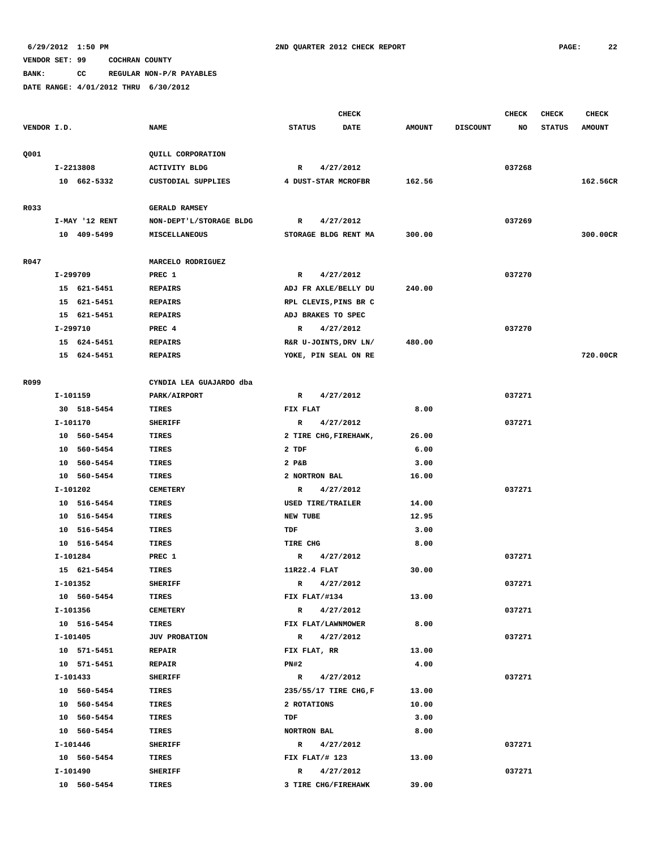# **BANK: CC REGULAR NON-P/R PAYABLES**

|             |                |                             | <b>CHECK</b>             |             |               |                 | <b>CHECK</b> | <b>CHECK</b>  | <b>CHECK</b>  |
|-------------|----------------|-----------------------------|--------------------------|-------------|---------------|-----------------|--------------|---------------|---------------|
| VENDOR I.D. |                | <b>NAME</b>                 | <b>STATUS</b>            | <b>DATE</b> | <b>AMOUNT</b> | <b>DISCOUNT</b> | NO           | <b>STATUS</b> | <b>AMOUNT</b> |
|             |                |                             |                          |             |               |                 |              |               |               |
| Q001        |                | QUILL CORPORATION           |                          |             |               |                 |              |               |               |
|             | I-2213808      | <b>ACTIVITY BLDG</b>        | R                        | 4/27/2012   |               |                 | 037268       |               |               |
|             | 10 662-5332    | CUSTODIAL SUPPLIES          | 4 DUST-STAR MCROFBR      |             | 162.56        |                 |              |               | 162.56CR      |
| R033        |                | <b>GERALD RAMSEY</b>        |                          |             |               |                 |              |               |               |
|             | I-MAY '12 RENT | NON-DEPT'L/STORAGE BLDG     | R                        | 4/27/2012   |               |                 | 037269       |               |               |
|             | 10 409-5499    | MISCELLANEOUS               | STORAGE BLDG RENT MA     |             | 300.00        |                 |              |               | 300.00CR      |
|             |                |                             |                          |             |               |                 |              |               |               |
| R047        | I-299709       | MARCELO RODRIGUEZ<br>PREC 1 | R                        | 4/27/2012   |               |                 | 037270       |               |               |
|             | 15 621-5451    | <b>REPAIRS</b>              | ADJ FR AXLE/BELLY DU     |             | 240.00        |                 |              |               |               |
|             | 15 621-5451    | <b>REPAIRS</b>              | RPL CLEVIS, PINS BR C    |             |               |                 |              |               |               |
|             | 15 621-5451    | <b>REPAIRS</b>              | ADJ BRAKES TO SPEC       |             |               |                 |              |               |               |
|             |                | PREC 4                      |                          |             |               |                 |              |               |               |
|             | I-299710       |                             | R                        | 4/27/2012   |               |                 | 037270       |               |               |
|             | 15 624-5451    | <b>REPAIRS</b>              | R&R U-JOINTS, DRV LN/    |             | 480.00        |                 |              |               |               |
|             | 15 624-5451    | <b>REPAIRS</b>              | YOKE, PIN SEAL ON RE     |             |               |                 |              |               | 720.00CR      |
| R099        |                | CYNDIA LEA GUAJARDO dba     |                          |             |               |                 |              |               |               |
|             | I-101159       | PARK/AIRPORT                | R                        | 4/27/2012   |               |                 | 037271       |               |               |
|             | 30 518-5454    | TIRES                       | FIX FLAT                 |             | 8.00          |                 |              |               |               |
|             | I-101170       | <b>SHERIFF</b>              | R                        | 4/27/2012   |               |                 | 037271       |               |               |
|             | 10 560-5454    | TIRES                       | 2 TIRE CHG, FIREHAWK,    |             | 26.00         |                 |              |               |               |
|             | 10 560-5454    | TIRES                       | 2 TDF                    |             | 6.00          |                 |              |               |               |
|             | 10 560-5454    | TIRES                       | 2 P&B                    |             | 3.00          |                 |              |               |               |
|             | 10 560-5454    | TIRES                       | 2 NORTRON BAL            |             | 16.00         |                 |              |               |               |
|             | I-101202       | <b>CEMETERY</b>             | R                        | 4/27/2012   |               |                 | 037271       |               |               |
|             | 10 516-5454    | <b>TIRES</b>                | <b>USED TIRE/TRAILER</b> |             | 14.00         |                 |              |               |               |
|             | 10 516-5454    | TIRES                       | <b>NEW TUBE</b>          |             | 12.95         |                 |              |               |               |
|             | 10 516-5454    | TIRES                       | TDF                      |             | 3.00          |                 |              |               |               |
|             | 10 516-5454    | TIRES                       | TIRE CHG                 |             | 8.00          |                 |              |               |               |
|             | I-101284       | PREC 1                      | R                        | 4/27/2012   |               |                 | 037271       |               |               |
|             | 15 621-5454    | TIRES                       | 11R22.4 FLAT             |             | 30.00         |                 |              |               |               |
|             | I-101352       | <b>SHERIFF</b>              | $\mathbb{R}$             | 4/27/2012   |               |                 | 037271       |               |               |
|             | 10 560-5454    | TIRES                       | FIX FLAT/#134            |             | 13.00         |                 |              |               |               |
|             | I-101356       | <b>CEMETERY</b>             | R 4/27/2012              |             |               |                 | 037271       |               |               |
|             | 10 516-5454    | TIRES                       | FIX FLAT/LAWNMOWER       |             | 8.00          |                 |              |               |               |
|             | I-101405       | <b>JUV PROBATION</b>        | R 4/27/2012              |             |               |                 | 037271       |               |               |
|             | 10 571-5451    | <b>REPAIR</b>               | FIX FLAT, RR             |             | 13.00         |                 |              |               |               |
|             | 10 571-5451    | <b>REPAIR</b>               | PN#2                     |             | 4.00          |                 |              |               |               |
|             | I-101433       | <b>SHERIFF</b>              | R 4/27/2012              |             |               |                 | 037271       |               |               |
|             | 10 560-5454    | TIRES                       | 235/55/17 TIRE CHG, F    |             | 13.00         |                 |              |               |               |
|             | 10 560-5454    | TIRES                       | 2 ROTATIONS              |             | 10.00         |                 |              |               |               |
|             | 10 560-5454    | TIRES                       | TDF                      |             | 3.00          |                 |              |               |               |
|             | 10 560-5454    | TIRES                       | <b>NORTRON BAL</b>       |             | 8.00          |                 |              |               |               |
|             |                |                             |                          |             |               |                 |              |               |               |
|             | I-101446       | <b>SHERIFF</b>              | R 4/27/2012              |             |               |                 | 037271       |               |               |
|             | 10 560-5454    | TIRES                       | FIX FLAT/# 123           |             | 13.00         |                 |              |               |               |
|             | I-101490       | <b>SHERIFF</b>              | $\mathbb{R}$             | 4/27/2012   |               |                 | 037271       |               |               |
|             | 10 560-5454    | TIRES                       | 3 TIRE CHG/FIREHAWK      |             | 39.00         |                 |              |               |               |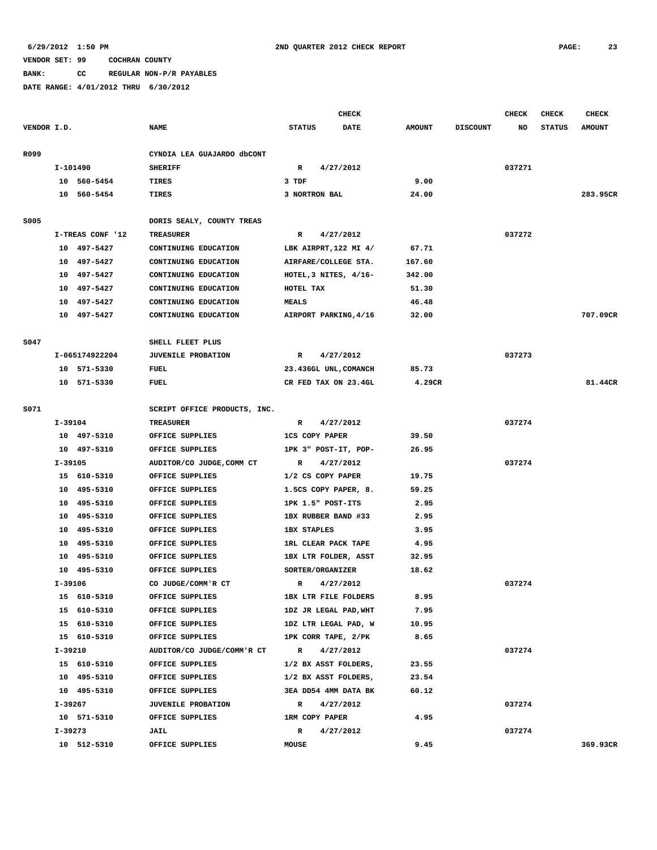**BANK: CC REGULAR NON-P/R PAYABLES**

|             |          |                               |                              | <b>CHECK</b><br>CHECK<br><b>CHECK</b> |             |                                    | <b>CHECK</b>  |                 |        |               |               |
|-------------|----------|-------------------------------|------------------------------|---------------------------------------|-------------|------------------------------------|---------------|-----------------|--------|---------------|---------------|
| VENDOR I.D. |          |                               | <b>NAME</b>                  | <b>STATUS</b>                         |             | DATE                               | <b>AMOUNT</b> | <b>DISCOUNT</b> | NO     | <b>STATUS</b> | <b>AMOUNT</b> |
|             |          |                               |                              |                                       |             |                                    |               |                 |        |               |               |
| R099        |          |                               | CYNDIA LEA GUAJARDO dbCONT   |                                       |             |                                    |               |                 |        |               |               |
|             | I-101490 |                               | <b>SHERIFF</b>               | R                                     |             | 4/27/2012                          |               |                 | 037271 |               |               |
|             |          | 10 560-5454                   | TIRES                        | 3 TDF                                 |             |                                    | 9.00          |                 |        |               |               |
|             |          | 10 560-5454                   | TIRES                        | 3 NORTRON BAL                         |             |                                    | 24.00         |                 |        |               | 283.95CR      |
|             |          |                               |                              |                                       |             |                                    |               |                 |        |               |               |
| S005        |          |                               | DORIS SEALY, COUNTY TREAS    |                                       |             |                                    |               |                 |        |               |               |
|             |          | I-TREAS CONF '12              | <b>TREASURER</b>             | R                                     |             | 4/27/2012                          |               |                 | 037272 |               |               |
|             |          | 10 497-5427                   | CONTINUING EDUCATION         |                                       |             | LBK AIRPRT, 122 MI 4/              | 67.71         |                 |        |               |               |
|             |          | 10 497-5427                   | CONTINUING EDUCATION         |                                       |             | AIRFARE/COLLEGE STA.               | 167.60        |                 |        |               |               |
|             |          | 10 497-5427                   | CONTINUING EDUCATION         |                                       |             | HOTEL, $3$ NITES, $4/16-$          | 342.00        |                 |        |               |               |
|             |          | 10 497-5427                   | CONTINUING EDUCATION         | HOTEL TAX                             |             |                                    | 51.30         |                 |        |               |               |
|             | 10       | 497-5427                      | CONTINUING EDUCATION         | <b>MEALS</b>                          |             |                                    | 46.48         |                 |        |               |               |
|             |          | 10 497-5427                   | CONTINUING EDUCATION         |                                       |             | AIRPORT PARKING, 4/16              | 32.00         |                 |        |               | 707.09CR      |
|             |          |                               |                              |                                       |             |                                    |               |                 |        |               |               |
| S047        |          |                               | SHELL FLEET PLUS             |                                       |             |                                    |               |                 |        |               |               |
|             |          | I-065174922204<br>10 571-5330 | <b>JUVENILE PROBATION</b>    | R                                     |             | 4/27/2012<br>23.436GL UNL, COMANCH |               |                 | 037273 |               |               |
|             |          |                               | FUEL                         |                                       |             | CR FED TAX ON 23.4GL               | 85.73         |                 |        |               | 81.44CR       |
|             |          | 10 571-5330                   | <b>FUEL</b>                  |                                       |             |                                    | 4.29CR        |                 |        |               |               |
| S071        |          |                               | SCRIPT OFFICE PRODUCTS, INC. |                                       |             |                                    |               |                 |        |               |               |
|             | I-39104  |                               | <b>TREASURER</b>             | R                                     |             | 4/27/2012                          |               |                 | 037274 |               |               |
|             |          | 10 497-5310                   | OFFICE SUPPLIES              | <b>1CS COPY PAPER</b>                 |             |                                    | 39.50         |                 |        |               |               |
|             |          | 10 497-5310                   | OFFICE SUPPLIES              |                                       |             | 1PK 3" POST-IT, POP-               | 26.95         |                 |        |               |               |
|             | I-39105  |                               | AUDITOR/CO JUDGE, COMM CT    | R                                     |             | 4/27/2012                          |               |                 | 037274 |               |               |
|             |          | 15 610-5310                   | OFFICE SUPPLIES              | 1/2 CS COPY PAPER                     |             |                                    | 19.75         |                 |        |               |               |
|             | 10       | 495-5310                      | OFFICE SUPPLIES              |                                       |             | 1.5CS COPY PAPER, 8.               | 59.25         |                 |        |               |               |
|             |          | 10 495-5310                   | OFFICE SUPPLIES              | 1PK 1.5" POST-ITS                     |             |                                    | 2.95          |                 |        |               |               |
|             |          | 10 495-5310                   | OFFICE SUPPLIES              |                                       |             | 1BX RUBBER BAND #33                | 2.95          |                 |        |               |               |
|             |          | 10 495-5310                   | OFFICE SUPPLIES              | <b>1BX STAPLES</b>                    |             |                                    | 3.95          |                 |        |               |               |
|             |          | 10 495-5310                   | OFFICE SUPPLIES              |                                       |             | 1RL CLEAR PACK TAPE                | 4.95          |                 |        |               |               |
|             |          | 10 495-5310                   | OFFICE SUPPLIES              |                                       |             | 1BX LTR FOLDER, ASST               | 32.95         |                 |        |               |               |
|             |          | 10 495-5310                   | OFFICE SUPPLIES              | SORTER/ORGANIZER                      |             |                                    | 18.62         |                 |        |               |               |
|             | I-39106  |                               | CO JUDGE/COMM'R CT           | R                                     |             | 4/27/2012                          |               |                 | 037274 |               |               |
|             |          | 15 610-5310                   | OFFICE SUPPLIES              |                                       |             | 1BX LTR FILE FOLDERS               | 8.95          |                 |        |               |               |
|             |          | 15 610-5310                   | OFFICE SUPPLIES              |                                       |             | 1DZ JR LEGAL PAD, WHT              | 7.95          |                 |        |               |               |
|             |          | 15 610-5310                   | OFFICE SUPPLIES              |                                       |             | 1DZ LTR LEGAL PAD, W               | 10.95         |                 |        |               |               |
|             |          | 15 610-5310                   | OFFICE SUPPLIES              |                                       |             | 1PK CORR TAPE, 2/PK                | 8.65          |                 |        |               |               |
|             | I-39210  |                               | AUDITOR/CO JUDGE/COMM'R CT   |                                       | R 4/27/2012 |                                    |               |                 | 037274 |               |               |
|             |          | 15 610-5310                   | OFFICE SUPPLIES              |                                       |             | 1/2 BX ASST FOLDERS,               | 23.55         |                 |        |               |               |
|             |          | 10 495-5310                   | OFFICE SUPPLIES              |                                       |             | 1/2 BX ASST FOLDERS,               | 23.54         |                 |        |               |               |
|             |          | 10 495-5310                   | OFFICE SUPPLIES              |                                       |             | 3EA DD54 4MM DATA BK               | 60.12         |                 |        |               |               |
|             | I-39267  |                               | <b>JUVENILE PROBATION</b>    | $\mathbb{R}$                          |             | 4/27/2012                          |               |                 | 037274 |               |               |
|             |          | 10 571-5310                   | OFFICE SUPPLIES              | 1RM COPY PAPER                        |             |                                    | 4.95          |                 |        |               |               |
|             | I-39273  |                               | <b>JAIL</b>                  | R                                     |             | 4/27/2012                          |               |                 | 037274 |               |               |
|             |          | 10 512-5310                   | OFFICE SUPPLIES              | MOUSE                                 |             |                                    | 9.45          |                 |        |               | 369.93CR      |
|             |          |                               |                              |                                       |             |                                    |               |                 |        |               |               |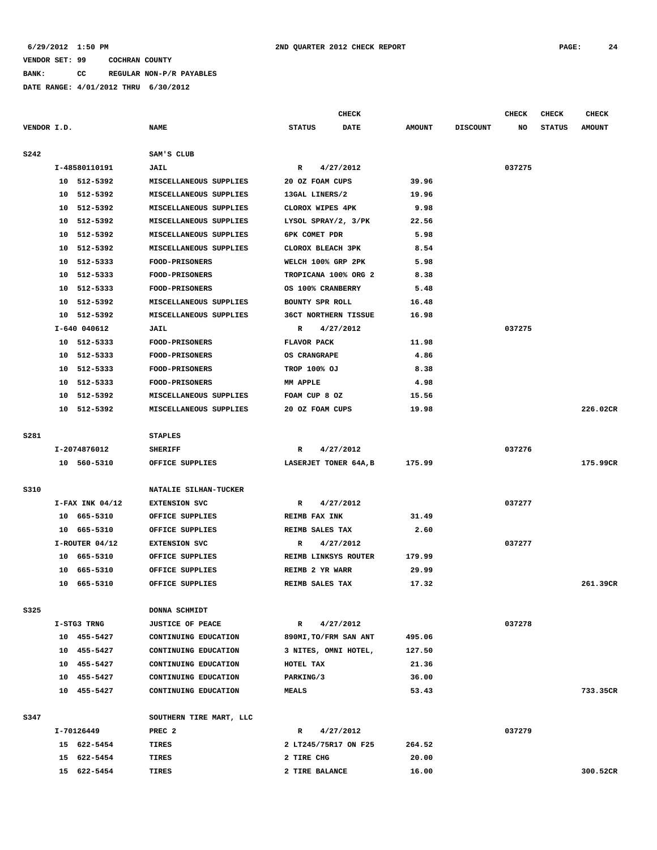**BANK: CC REGULAR NON-P/R PAYABLES**

|             |                     |                         | <b>CHECK</b>                 |               |                 | <b>CHECK</b> | <b>CHECK</b>  | <b>CHECK</b>  |
|-------------|---------------------|-------------------------|------------------------------|---------------|-----------------|--------------|---------------|---------------|
| VENDOR I.D. |                     | <b>NAME</b>             | <b>STATUS</b><br><b>DATE</b> | <b>AMOUNT</b> | <b>DISCOUNT</b> | NO           | <b>STATUS</b> | <b>AMOUNT</b> |
| s242        |                     | SAM'S CLUB              |                              |               |                 |              |               |               |
|             | I-48580110191       | <b>JAIL</b>             | 4/27/2012<br>R               |               |                 | 037275       |               |               |
|             | 10 512-5392         | MISCELLANEOUS SUPPLIES  | 20 OZ FOAM CUPS              | 39.96         |                 |              |               |               |
|             | 10 512-5392         | MISCELLANEOUS SUPPLIES  | 13GAL LINERS/2               | 19.96         |                 |              |               |               |
|             | 10 512-5392         | MISCELLANEOUS SUPPLIES  | CLOROX WIPES 4PK             | 9.98          |                 |              |               |               |
|             | 10 512-5392         | MISCELLANEOUS SUPPLIES  | LYSOL SPRAY/2, 3/PK          | 22.56         |                 |              |               |               |
|             | 10<br>512-5392      | MISCELLANEOUS SUPPLIES  | 6PK COMET PDR                | 5.98          |                 |              |               |               |
|             | 10 512-5392         | MISCELLANEOUS SUPPLIES  | CLOROX BLEACH 3PK            | 8.54          |                 |              |               |               |
|             | 10 512-5333         | FOOD-PRISONERS          | WELCH 100% GRP 2PK           | 5.98          |                 |              |               |               |
|             | 10 512-5333         | <b>FOOD-PRISONERS</b>   | TROPICANA 100% ORG 2         | 8.38          |                 |              |               |               |
|             | 10 512-5333         | <b>FOOD-PRISONERS</b>   | OS 100% CRANBERRY            | 5.48          |                 |              |               |               |
|             | 10 512-5392         | MISCELLANEOUS SUPPLIES  | BOUNTY SPR ROLL              | 16.48         |                 |              |               |               |
|             | 10<br>512-5392      | MISCELLANEOUS SUPPLIES  | 36CT NORTHERN TISSUE         | 16.98         |                 |              |               |               |
|             | I-640 040612        | <b>JAIL</b>             | 4/27/2012<br>R               |               |                 | 037275       |               |               |
|             | 10 512-5333         | FOOD-PRISONERS          | FLAVOR PACK                  | 11.98         |                 |              |               |               |
|             | 10 512-5333         | <b>FOOD-PRISONERS</b>   | OS CRANGRAPE                 | 4.86          |                 |              |               |               |
|             | 10 512-5333         | FOOD-PRISONERS          | <b>TROP 100% OJ</b>          | 8.38          |                 |              |               |               |
|             | 512-5333<br>10      | <b>FOOD-PRISONERS</b>   | MM APPLE                     | 4.98          |                 |              |               |               |
|             | 10<br>512-5392      | MISCELLANEOUS SUPPLIES  | FOAM CUP 8 OZ                | 15.56         |                 |              |               |               |
|             | 10 512-5392         | MISCELLANEOUS SUPPLIES  | 20 OZ FOAM CUPS              | 19.98         |                 |              |               | 226.02CR      |
| s281        |                     | <b>STAPLES</b>          |                              |               |                 |              |               |               |
|             | I-2074876012        | <b>SHERIFF</b>          | 4/27/2012<br>R               |               |                 | 037276       |               |               |
|             | 10 560-5310         | OFFICE SUPPLIES         | LASERJET TONER 64A, B        | 175.99        |                 |              |               | 175.99CR      |
| <b>S310</b> |                     | NATALIE SILHAN-TUCKER   |                              |               |                 |              |               |               |
|             | $I-FAX$ INK $04/12$ | <b>EXTENSION SVC</b>    | 4/27/2012<br>R               |               |                 | 037277       |               |               |
|             | 10 665-5310         | OFFICE SUPPLIES         | REIMB FAX INK                | 31.49         |                 |              |               |               |
|             | 10 665-5310         | OFFICE SUPPLIES         | REIMB SALES TAX              | 2.60          |                 |              |               |               |
|             | I-ROUTER 04/12      | <b>EXTENSION SVC</b>    | 4/27/2012<br>R               |               |                 | 037277       |               |               |
|             | 10 665-5310         | OFFICE SUPPLIES         | REIMB LINKSYS ROUTER         | 179.99        |                 |              |               |               |
|             | 10 665-5310         | OFFICE SUPPLIES         | REIMB 2 YR WARR              | 29.99         |                 |              |               |               |
|             | 10 665-5310         | OFFICE SUPPLIES         | REIMB SALES TAX              | 17.32         |                 |              |               | 261.39CR      |
|             |                     |                         |                              |               |                 |              |               |               |
| S325        |                     | DONNA SCHMIDT           |                              |               |                 |              |               |               |
|             | I-STG3 TRNG         | <b>JUSTICE OF PEACE</b> | $\mathbb{R}$<br>4/27/2012    |               |                 | 037278       |               |               |
|             | 10 455-5427         | CONTINUING EDUCATION    | 890MI, TO/FRM SAN ANT        | 495.06        |                 |              |               |               |
|             | 10 455-5427         | CONTINUING EDUCATION    | 3 NITES, OMNI HOTEL,         | 127.50        |                 |              |               |               |
|             | 10 455-5427         | CONTINUING EDUCATION    | HOTEL TAX                    | 21.36         |                 |              |               |               |
|             | 10 455-5427         | CONTINUING EDUCATION    | PARKING/3                    | 36.00         |                 |              |               |               |
|             | 10 455-5427         | CONTINUING EDUCATION    | <b>MEALS</b>                 | 53.43         |                 |              |               | 733.35CR      |
| s347        |                     | SOUTHERN TIRE MART, LLC |                              |               |                 |              |               |               |
|             | I-70126449          | PREC <sub>2</sub>       | 4/27/2012<br>R               |               |                 | 037279       |               |               |
|             | 15 622-5454         | TIRES                   | 2 LT245/75R17 ON F25         | 264.52        |                 |              |               |               |
|             | 15 622-5454         | TIRES                   | 2 TIRE CHG                   | 20.00         |                 |              |               |               |
|             | 15 622-5454         | TIRES                   | 2 TIRE BALANCE               | 16.00         |                 |              |               | 300.52CR      |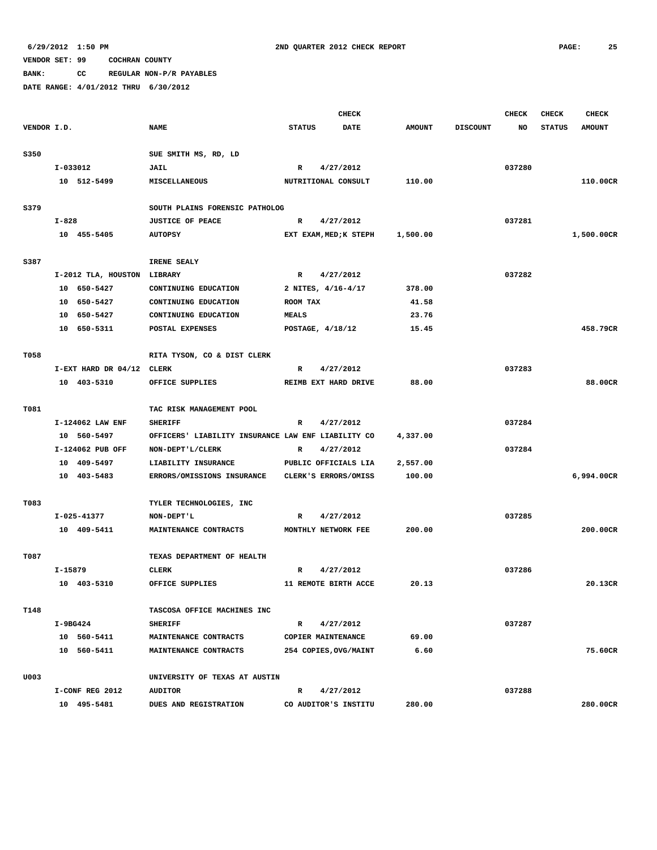**BANK: CC REGULAR NON-P/R PAYABLES**

|             |           |                             |                                                    |               | <b>CHECK</b>           |               |                 | <b>CHECK</b> | <b>CHECK</b>  | <b>CHECK</b>  |
|-------------|-----------|-----------------------------|----------------------------------------------------|---------------|------------------------|---------------|-----------------|--------------|---------------|---------------|
| VENDOR I.D. |           |                             | <b>NAME</b>                                        | <b>STATUS</b> | <b>DATE</b>            | <b>AMOUNT</b> | <b>DISCOUNT</b> | NO           | <b>STATUS</b> | <b>AMOUNT</b> |
|             |           |                             |                                                    |               |                        |               |                 |              |               |               |
| S350        |           |                             | SUE SMITH MS, RD, LD                               |               |                        |               |                 |              |               |               |
|             | I-033012  |                             | JAIL                                               | R             | 4/27/2012              |               |                 | 037280       |               |               |
|             |           | 10 512-5499                 | MISCELLANEOUS                                      |               | NUTRITIONAL CONSULT    | 110.00        |                 |              |               | 110.00CR      |
|             |           |                             |                                                    |               |                        |               |                 |              |               |               |
| S379        |           |                             | SOUTH PLAINS FORENSIC PATHOLOG                     |               |                        |               |                 |              |               |               |
|             | $I - 828$ |                             | <b>JUSTICE OF PEACE</b>                            | R             | 4/27/2012              |               |                 | 037281       |               |               |
|             |           | 10 455-5405                 | <b>AUTOPSY</b>                                     |               | EXT EXAM, MED; K STEPH | 1,500.00      |                 |              |               | 1,500.00CR    |
|             |           |                             |                                                    |               |                        |               |                 |              |               |               |
| S387        |           |                             | IRENE SEALY                                        |               |                        |               |                 |              |               |               |
|             |           | I-2012 TLA, HOUSTON LIBRARY |                                                    | $\mathbb{R}$  | 4/27/2012              |               |                 | 037282       |               |               |
|             |           | 10 650-5427                 | CONTINUING EDUCATION                               |               | 2 NITES, 4/16-4/17     | 378.00        |                 |              |               |               |
|             |           | 10 650-5427                 | CONTINUING EDUCATION                               | ROOM TAX      |                        | 41.58         |                 |              |               |               |
|             |           | 10 650-5427                 | CONTINUING EDUCATION                               | <b>MEALS</b>  |                        | 23.76         |                 |              |               |               |
|             |           | 10 650-5311                 | POSTAL EXPENSES                                    |               | POSTAGE, 4/18/12       | 15.45         |                 |              |               | 458.79CR      |
| T058        |           |                             | RITA TYSON, CO & DIST CLERK                        |               |                        |               |                 |              |               |               |
|             |           | I-EXT HARD DR 04/12 CLERK   |                                                    | R             | 4/27/2012              |               |                 | 037283       |               |               |
|             |           | 10 403-5310                 | OFFICE SUPPLIES                                    |               | REIMB EXT HARD DRIVE   | 88.00         |                 |              |               | 88.00CR       |
|             |           |                             |                                                    |               |                        |               |                 |              |               |               |
| T081        |           |                             | TAC RISK MANAGEMENT POOL                           |               |                        |               |                 |              |               |               |
|             |           | I-124062 LAW ENF            | <b>SHERIFF</b>                                     | R             | 4/27/2012              |               |                 | 037284       |               |               |
|             |           | 10 560-5497                 | OFFICERS' LIABILITY INSURANCE LAW ENF LIABILITY CO |               |                        | 4,337.00      |                 |              |               |               |
|             |           | I-124062 PUB OFF            | NON-DEPT'L/CLERK                                   | R             | 4/27/2012              |               |                 | 037284       |               |               |
|             |           | 10 409-5497                 | LIABILITY INSURANCE                                |               | PUBLIC OFFICIALS LIA   | 2,557.00      |                 |              |               |               |
|             |           | 10 403-5483                 | <b>ERRORS/OMISSIONS INSURANCE</b>                  |               | CLERK'S ERRORS/OMISS   | 100.00        |                 |              |               | 6,994.00CR    |
|             |           |                             |                                                    |               |                        |               |                 |              |               |               |
| T083        |           |                             | TYLER TECHNOLOGIES, INC                            |               |                        |               |                 |              |               |               |
|             |           | I-025-41377                 | NON-DEPT'L                                         | R             | 4/27/2012              |               |                 | 037285       |               |               |
|             |           | 10 409-5411                 | MAINTENANCE CONTRACTS                              |               | MONTHLY NETWORK FEE    | 200.00        |                 |              |               | 200.00CR      |
| T087        |           |                             | TEXAS DEPARTMENT OF HEALTH                         |               |                        |               |                 |              |               |               |
|             | I-15879   |                             | <b>CLERK</b>                                       | R             | 4/27/2012              |               |                 | 037286       |               |               |
|             |           | 10 403-5310                 | OFFICE SUPPLIES                                    |               | 11 REMOTE BIRTH ACCE   | 20.13         |                 |              |               | 20.13CR       |
|             |           |                             |                                                    |               |                        |               |                 |              |               |               |
| T148        |           |                             | TASCOSA OFFICE MACHINES INC                        |               |                        |               |                 |              |               |               |
|             | I-9BG424  |                             | <b>SHERIFF</b>                                     | $\mathbb{R}$  | 4/27/2012              |               |                 | 037287       |               |               |
|             |           | 10 560-5411                 | MAINTENANCE CONTRACTS                              |               | COPIER MAINTENANCE     | 69.00         |                 |              |               |               |
|             |           | 10 560-5411                 | MAINTENANCE CONTRACTS                              |               | 254 COPIES, OVG/MAINT  | 6.60          |                 |              |               | 75.60CR       |
| U003        |           |                             | UNIVERSITY OF TEXAS AT AUSTIN                      |               |                        |               |                 |              |               |               |
|             |           | I-CONF REG 2012             | <b>AUDITOR</b>                                     | R             | 4/27/2012              |               |                 | 037288       |               |               |
|             |           | 10 495-5481                 | DUES AND REGISTRATION                              |               | CO AUDITOR'S INSTITU   | 280.00        |                 |              |               | 280.00CR      |
|             |           |                             |                                                    |               |                        |               |                 |              |               |               |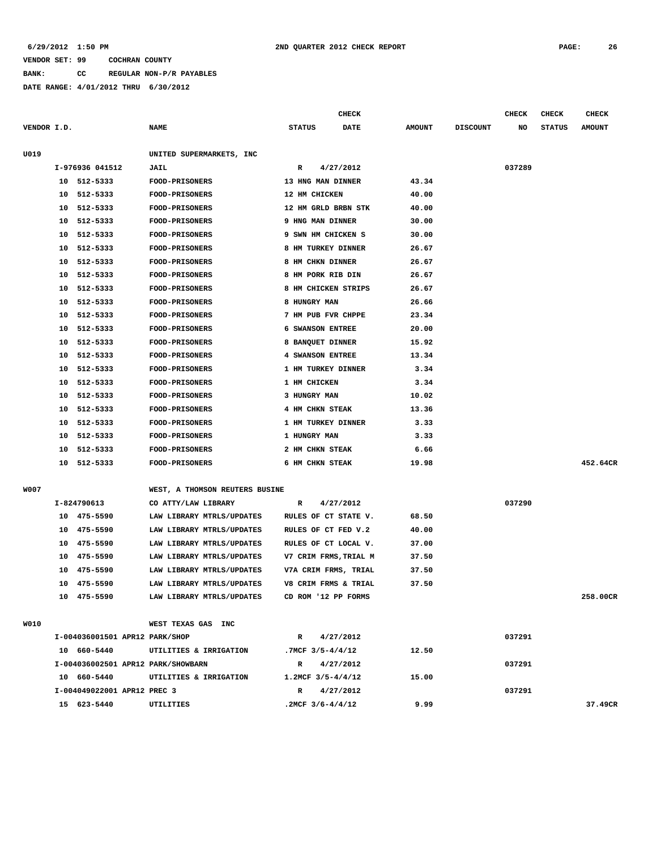#### **6/29/2012 1:50 PM 2ND QUARTER 2012 CHECK REPORT PAGE: 26**

#### **VENDOR SET: 99 COCHRAN COUNTY**

**BANK: CC REGULAR NON-P/R PAYABLES**

**DATE RANGE: 4/01/2012 THRU 6/30/2012**

|             |    |                 |                                |               | <b>CHECK</b>            |               |                 | CHECK  | <b>CHECK</b>  | <b>CHECK</b>  |
|-------------|----|-----------------|--------------------------------|---------------|-------------------------|---------------|-----------------|--------|---------------|---------------|
| VENDOR I.D. |    |                 | <b>NAME</b>                    | <b>STATUS</b> | DATE                    | <b>AMOUNT</b> | <b>DISCOUNT</b> | NO     | <b>STATUS</b> | <b>AMOUNT</b> |
| U019        |    |                 | UNITED SUPERMARKETS, INC       |               |                         |               |                 |        |               |               |
|             |    | I-976936 041512 | <b>JAIL</b>                    | R             | 4/27/2012               |               |                 | 037289 |               |               |
|             |    | 10 512-5333     | <b>FOOD-PRISONERS</b>          |               | 13 HNG MAN DINNER       | 43.34         |                 |        |               |               |
|             | 10 | 512-5333        | <b>FOOD-PRISONERS</b>          |               | 12 HM CHICKEN           | 40.00         |                 |        |               |               |
|             | 10 | 512-5333        | <b>FOOD-PRISONERS</b>          |               | 12 HM GRLD BRBN STK     | 40.00         |                 |        |               |               |
|             | 10 | 512-5333        | FOOD-PRISONERS                 |               | 9 HNG MAN DINNER        | 30.00         |                 |        |               |               |
|             | 10 | 512-5333        | <b>FOOD-PRISONERS</b>          |               | 9 SWN HM CHICKEN S      | 30.00         |                 |        |               |               |
|             | 10 | 512-5333        | <b>FOOD-PRISONERS</b>          |               | 8 HM TURKEY DINNER      | 26.67         |                 |        |               |               |
|             | 10 | 512-5333        | <b>FOOD-PRISONERS</b>          |               | 8 HM CHKN DINNER        | 26.67         |                 |        |               |               |
|             | 10 | 512-5333        | FOOD-PRISONERS                 |               | 8 HM PORK RIB DIN       | 26.67         |                 |        |               |               |
|             | 10 | 512-5333        | <b>FOOD-PRISONERS</b>          |               | 8 HM CHICKEN STRIPS     | 26.67         |                 |        |               |               |
|             | 10 | 512-5333        | FOOD-PRISONERS                 | 8 HUNGRY MAN  |                         | 26.66         |                 |        |               |               |
|             | 10 | 512-5333        | FOOD-PRISONERS                 |               | 7 HM PUB FVR CHPPE      | 23.34         |                 |        |               |               |
|             | 10 | 512-5333        | FOOD-PRISONERS                 |               | <b>6 SWANSON ENTREE</b> | 20.00         |                 |        |               |               |
|             | 10 | 512-5333        | <b>FOOD-PRISONERS</b>          |               | 8 BANQUET DINNER        | 15.92         |                 |        |               |               |
|             | 10 | 512-5333        | <b>FOOD-PRISONERS</b>          |               | 4 SWANSON ENTREE        | 13.34         |                 |        |               |               |
|             | 10 | 512-5333        | <b>FOOD-PRISONERS</b>          |               | 1 HM TURKEY DINNER      | 3.34          |                 |        |               |               |
|             | 10 | 512-5333        | <b>FOOD-PRISONERS</b>          | 1 HM CHICKEN  |                         | 3.34          |                 |        |               |               |
|             | 10 | 512-5333        | <b>FOOD-PRISONERS</b>          | 3 HUNGRY MAN  |                         | 10.02         |                 |        |               |               |
|             | 10 | 512-5333        | <b>FOOD-PRISONERS</b>          |               | 4 HM CHKN STEAK         | 13.36         |                 |        |               |               |
|             | 10 | 512-5333        | <b>FOOD-PRISONERS</b>          |               | 1 HM TURKEY DINNER      | 3.33          |                 |        |               |               |
|             | 10 | 512-5333        | FOOD-PRISONERS                 | 1 HUNGRY MAN  |                         | 3.33          |                 |        |               |               |
|             | 10 | 512-5333        | FOOD-PRISONERS                 |               | 2 HM CHKN STEAK         | 6.66          |                 |        |               |               |
|             | 10 | 512-5333        | <b>FOOD-PRISONERS</b>          |               | 6 HM CHKN STEAK         | 19.98         |                 |        |               | 452.64CR      |
| W007        |    |                 | WEST, A THOMSON REUTERS BUSINE |               |                         |               |                 |        |               |               |
|             |    | I-824790613     | CO ATTY/LAW LIBRARY            | R             | 4/27/2012               |               |                 | 037290 |               |               |
|             |    | 10 475-5590     | LAW LIBRARY MTRLS/UPDATES      |               | RULES OF CT STATE V.    | 68.50         |                 |        |               |               |
|             | 10 | 475-5590        | LAW LIBRARY MTRLS/UPDATES      |               | RULES OF CT FED V.2     | 40.00         |                 |        |               |               |
|             | 10 | 475-5590        | LAW LIBRARY MTRLS/UPDATES      |               | RULES OF CT LOCAL V.    | 37.00         |                 |        |               |               |
|             | 10 | 475-5590        | LAW LIBRARY MTRLS/UPDATES      |               | V7 CRIM FRMS, TRIAL M   | 37.50         |                 |        |               |               |
|             |    | 10 475-5590     | LAW LIBRARY MTRLS/UPDATES      |               | V7A CRIM FRMS, TRIAL    | 37.50         |                 |        |               |               |
|             |    |                 |                                |               |                         |               |                 |        |               |               |

|      | 10 475-5590                        | LAW LIBRARY MTRLS/UPDATES |              | CD ROM '12 PP FORMS     |       |        | 258.00CR |
|------|------------------------------------|---------------------------|--------------|-------------------------|-------|--------|----------|
| WO10 |                                    | WEST TEXAS GAS<br>INC     |              |                         |       |        |          |
|      | I-004036001501 APR12 PARK/SHOP     |                           | $\mathbf{R}$ | 4/27/2012               |       | 037291 |          |
|      | 10 660-5440                        | UTILITIES & IRRIGATION    |              | .7MCF $3/5 - 4/4/12$    | 12.50 |        |          |
|      | I-004036002501 APR12 PARK/SHOWBARN |                           | $\mathbb{R}$ | 4/27/2012               |       | 037291 |          |
|      | 10 660-5440                        | UTILITIES & IRRIGATION    |              | $1.2MCF$ $3/5 - 4/4/12$ | 15.00 |        |          |
|      | I-004049022001 APR12 PREC 3        |                           | R            | 4/27/2012               |       | 037291 |          |
|      | 15 623-5440                        | UTILITIES                 |              | .2MCF $3/6 - 4/4/12$    | 9.99  |        | 37.49CR  |

 **10 475-5590 LAW LIBRARY MTRLS/UPDATES V8 CRIM FRMS & TRIAL 37.50**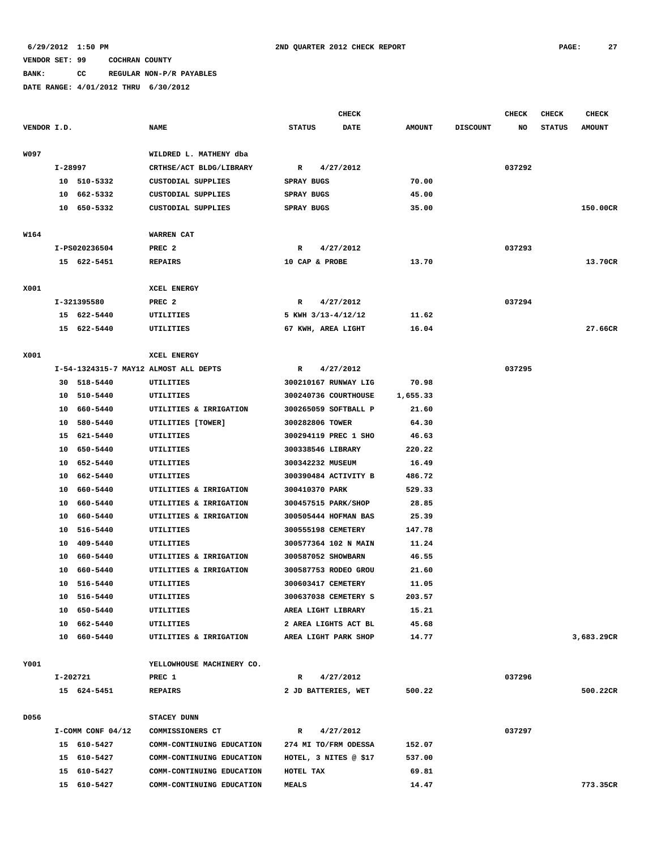## **BANK: CC REGULAR NON-P/R PAYABLES**

|             |          |                      |                                                  |               |                    | <b>CHECK</b>          |                 |                 | <b>CHECK</b> | <b>CHECK</b>  | <b>CHECK</b>  |
|-------------|----------|----------------------|--------------------------------------------------|---------------|--------------------|-----------------------|-----------------|-----------------|--------------|---------------|---------------|
| VENDOR I.D. |          |                      | <b>NAME</b>                                      | <b>STATUS</b> |                    | <b>DATE</b>           | <b>AMOUNT</b>   | <b>DISCOUNT</b> | NO           | <b>STATUS</b> | <b>AMOUNT</b> |
|             |          |                      |                                                  |               |                    |                       |                 |                 |              |               |               |
| W097        |          |                      | WILDRED L. MATHENY dba                           |               |                    |                       |                 |                 |              |               |               |
|             | I-28997  |                      | CRTHSE/ACT BLDG/LIBRARY                          | $\mathbb{R}$  |                    | 4/27/2012             |                 |                 | 037292       |               |               |
|             |          | 10 510-5332          | CUSTODIAL SUPPLIES                               | SPRAY BUGS    |                    |                       | 70.00           |                 |              |               |               |
|             |          | 10 662-5332          | CUSTODIAL SUPPLIES                               | SPRAY BUGS    |                    |                       | 45.00           |                 |              |               |               |
|             |          | 10 650-5332          | CUSTODIAL SUPPLIES                               | SPRAY BUGS    |                    |                       | 35.00           |                 |              |               | 150.00CR      |
|             |          |                      |                                                  |               |                    |                       |                 |                 |              |               |               |
| W164        |          |                      | <b>WARREN CAT</b>                                |               |                    |                       |                 |                 |              |               |               |
|             |          | I-PS020236504        | PREC <sub>2</sub>                                | R             |                    | 4/27/2012             |                 |                 | 037293       |               |               |
|             |          | 15 622-5451          | <b>REPAIRS</b>                                   |               | 10 CAP & PROBE     |                       | 13.70           |                 |              |               | 13.70CR       |
|             |          |                      |                                                  |               |                    |                       |                 |                 |              |               |               |
| X001        |          |                      | XCEL ENERGY                                      |               |                    |                       |                 |                 |              |               |               |
|             |          | I-321395580          | PREC 2                                           | R             |                    | 4/27/2012             |                 |                 | 037294       |               |               |
|             |          | 15 622-5440          | UTILITIES                                        |               | 5 KWH 3/13-4/12/12 |                       | 11.62           |                 |              |               |               |
|             |          | 15 622-5440          | UTILITIES                                        |               | 67 KWH, AREA LIGHT |                       | 16.04           |                 |              |               | 27.66CR       |
|             |          |                      |                                                  |               |                    |                       |                 |                 |              |               |               |
| X001        |          |                      | XCEL ENERGY                                      |               |                    |                       |                 |                 |              |               |               |
|             |          |                      | I-54-1324315-7 MAY12 ALMOST ALL DEPTS            | $\mathbb{R}$  |                    | 4/27/2012             |                 |                 | 037295       |               |               |
|             |          | 30 518-5440          | UTILITIES                                        |               |                    | 300210167 RUNWAY LIG  | 70.98           |                 |              |               |               |
|             |          | 10 510-5440          | UTILITIES                                        |               |                    | 300240736 COURTHOUSE  | 1,655.33        |                 |              |               |               |
|             |          | 10 660-5440          | UTILITIES & IRRIGATION                           |               |                    | 300265059 SOFTBALL P  | 21.60           |                 |              |               |               |
|             |          | 10 580-5440          | UTILITIES [TOWER]                                |               | 300282806 TOWER    |                       | 64.30           |                 |              |               |               |
|             |          | 15 621-5440          | UTILITIES                                        |               |                    | 300294119 PREC 1 SHO  | 46.63           |                 |              |               |               |
|             | 10       | 650-5440             | UTILITIES                                        |               | 300338546 LIBRARY  |                       | 220.22          |                 |              |               |               |
|             | 10<br>10 | 652–5440<br>662-5440 | UTILITIES<br>UTILITIES                           |               | 300342232 MUSEUM   | 300390484 ACTIVITY B  | 16.49<br>486.72 |                 |              |               |               |
|             | 10       | 660-5440             |                                                  |               | 300410370 PARK     |                       | 529.33          |                 |              |               |               |
|             | 10       | 660-5440             | UTILITIES & IRRIGATION<br>UTILITIES & IRRIGATION |               |                    | 300457515 PARK/SHOP   | 28.85           |                 |              |               |               |
|             | 10       | 660-5440             | UTILITIES & IRRIGATION                           |               |                    | 300505444 HOFMAN BAS  | 25.39           |                 |              |               |               |
|             | 10       | 516-5440             | UTILITIES                                        |               | 300555198 CEMETERY |                       | 147.78          |                 |              |               |               |
|             | 10       | 409-5440             | UTILITIES                                        |               |                    | 300577364 102 N MAIN  | 11.24           |                 |              |               |               |
|             | 10       | 660-5440             | UTILITIES & IRRIGATION                           |               | 300587052 SHOWBARN |                       | 46.55           |                 |              |               |               |
|             | 10       | 660-5440             | UTILITIES & IRRIGATION                           |               |                    | 300587753 RODEO GROU  | 21.60           |                 |              |               |               |
|             | 10       | 516-5440             | UTILITIES                                        |               | 300603417 CEMETERY |                       | 11.05           |                 |              |               |               |
|             |          | 10 516-5440          | UTILITIES                                        |               |                    | 300637038 CEMETERY S  | 203.57          |                 |              |               |               |
|             |          | 10 650-5440          | <b>UTILITIES</b>                                 |               | AREA LIGHT LIBRARY |                       | 15.21           |                 |              |               |               |
|             |          | 10 662-5440          | UTILITIES                                        |               |                    | 2 AREA LIGHTS ACT BL  | 45.68           |                 |              |               |               |
|             |          | 10 660-5440          | UTILITIES & IRRIGATION                           |               |                    | AREA LIGHT PARK SHOP  | 14.77           |                 |              |               | 3,683.29CR    |
|             |          |                      |                                                  |               |                    |                       |                 |                 |              |               |               |
| Y001        |          |                      | YELLOWHOUSE MACHINERY CO.                        |               |                    |                       |                 |                 |              |               |               |
|             | I-202721 |                      | PREC 1                                           | R             |                    | 4/27/2012             |                 |                 | 037296       |               |               |
|             |          | 15 624-5451          | <b>REPAIRS</b>                                   |               |                    | 2 JD BATTERIES, WET   | 500.22          |                 |              |               | 500.22CR      |
|             |          |                      |                                                  |               |                    |                       |                 |                 |              |               |               |
| D056        |          |                      | STACEY DUNN                                      |               |                    |                       |                 |                 |              |               |               |
|             |          | I-COMM CONF 04/12    | COMMISSIONERS CT                                 | $\mathbb{R}$  |                    | 4/27/2012             |                 |                 | 037297       |               |               |
|             |          | 15 610-5427          | COMM-CONTINUING EDUCATION                        |               |                    | 274 MI TO/FRM ODESSA  | 152.07          |                 |              |               |               |
|             |          | 15 610-5427          | COMM-CONTINUING EDUCATION                        |               |                    | HOTEL, 3 NITES @ \$17 | 537.00          |                 |              |               |               |
|             |          | 15 610-5427          | COMM-CONTINUING EDUCATION                        | HOTEL TAX     |                    |                       | 69.81           |                 |              |               |               |
|             |          | 15 610-5427          | COMM-CONTINUING EDUCATION                        | <b>MEALS</b>  |                    |                       | 14.47           |                 |              |               | 773.35CR      |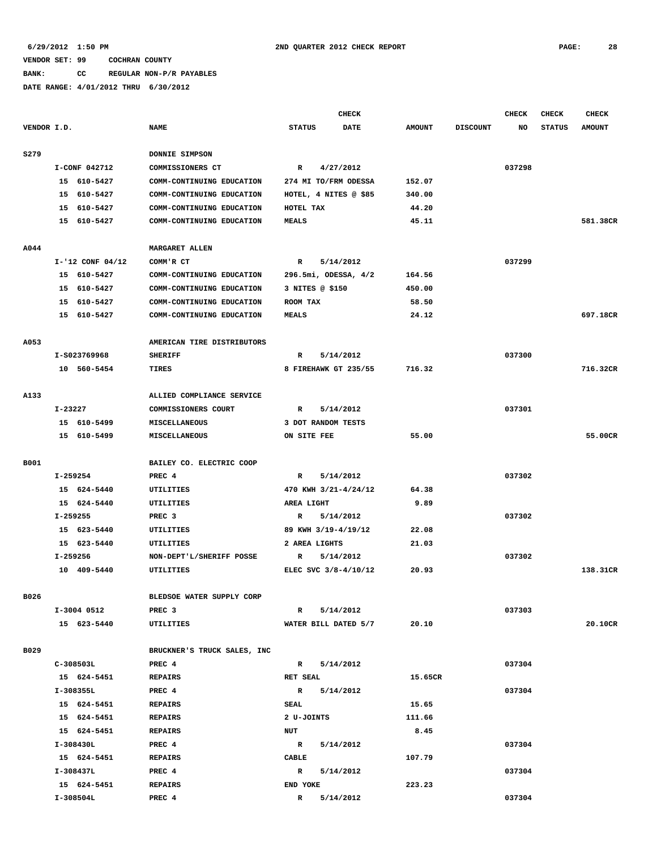# **BANK: CC REGULAR NON-P/R PAYABLES**

|             |                      |                             |                       | <b>CHECK</b> |               |                 | <b>CHECK</b> | <b>CHECK</b>  | <b>CHECK</b>  |
|-------------|----------------------|-----------------------------|-----------------------|--------------|---------------|-----------------|--------------|---------------|---------------|
| VENDOR I.D. |                      | <b>NAME</b>                 | <b>STATUS</b>         | DATE         | <b>AMOUNT</b> | <b>DISCOUNT</b> | NO           | <b>STATUS</b> | <b>AMOUNT</b> |
| S279        |                      | DONNIE SIMPSON              |                       |              |               |                 |              |               |               |
|             | I-CONF 042712        | COMMISSIONERS CT            |                       | 4/27/2012    |               |                 | 037298       |               |               |
|             | 15 610-5427          |                             | R                     |              |               |                 |              |               |               |
|             |                      | COMM-CONTINUING EDUCATION   | 274 MI TO/FRM ODESSA  |              | 152.07        |                 |              |               |               |
|             | 15 610-5427          | COMM-CONTINUING EDUCATION   | HOTEL, 4 NITES @ \$85 |              | 340.00        |                 |              |               |               |
|             | 15 610-5427          | COMM-CONTINUING EDUCATION   | HOTEL TAX             |              | 44.20         |                 |              |               |               |
|             | 15 610-5427          | COMM-CONTINUING EDUCATION   | <b>MEALS</b>          |              | 45.11         |                 |              |               | 581.38CR      |
| A044        |                      | <b>MARGARET ALLEN</b>       |                       |              |               |                 |              |               |               |
|             | $I - '12$ CONF 04/12 | COMM'R CT                   | R                     | 5/14/2012    |               |                 | 037299       |               |               |
|             | 15 610-5427          | COMM-CONTINUING EDUCATION   | 296.5mi, ODESSA, 4/2  |              | 164.56        |                 |              |               |               |
|             | 15 610-5427          | COMM-CONTINUING EDUCATION   | 3 NITES @ \$150       |              | 450.00        |                 |              |               |               |
|             | 15 610-5427          | COMM-CONTINUING EDUCATION   | ROOM TAX              |              | 58.50         |                 |              |               |               |
|             | 15 610-5427          | COMM-CONTINUING EDUCATION   | <b>MEALS</b>          |              | 24.12         |                 |              |               | 697.18CR      |
| A053        |                      | AMERICAN TIRE DISTRIBUTORS  |                       |              |               |                 |              |               |               |
|             | I-S023769968         | <b>SHERIFF</b>              | R                     | 5/14/2012    |               |                 | 037300       |               |               |
|             | 10 560-5454          | TIRES                       | 8 FIREHAWK GT 235/55  |              | 716.32        |                 |              |               | 716.32CR      |
|             |                      |                             |                       |              |               |                 |              |               |               |
| A133        |                      | ALLIED COMPLIANCE SERVICE   |                       |              |               |                 |              |               |               |
|             | I-23227              | COMMISSIONERS COURT         | R                     | 5/14/2012    |               |                 | 037301       |               |               |
|             | 15 610-5499          | MISCELLANEOUS               | 3 DOT RANDOM TESTS    |              |               |                 |              |               |               |
|             | 15 610-5499          | MISCELLANEOUS               | ON SITE FEE           |              | 55.00         |                 |              |               | 55.00CR       |
| B001        |                      | BAILEY CO. ELECTRIC COOP    |                       |              |               |                 |              |               |               |
|             | I-259254             | PREC <sub>4</sub>           | $\mathbb{R}$          | 5/14/2012    |               |                 | 037302       |               |               |
|             | 15 624-5440          | UTILITIES                   | 470 KWH 3/21-4/24/12  |              | 64.38         |                 |              |               |               |
|             | 15 624-5440          | UTILITIES                   | AREA LIGHT            |              | 9.89          |                 |              |               |               |
|             | I-259255             | PREC <sub>3</sub>           | R                     | 5/14/2012    |               |                 | 037302       |               |               |
|             | 15 623-5440          | UTILITIES                   | 89 KWH 3/19-4/19/12   |              | 22.08         |                 |              |               |               |
|             | 15 623-5440          | UTILITIES                   | 2 AREA LIGHTS         |              | 21.03         |                 |              |               |               |
|             | I-259256             | NON-DEPT'L/SHERIFF POSSE    | R                     | 5/14/2012    |               |                 | 037302       |               |               |
|             | 10 409-5440          | UTILITIES                   | ELEC SVC 3/8-4/10/12  |              | 20.93         |                 |              |               | 138.31CR      |
| B026        |                      | BLEDSOE WATER SUPPLY CORP   |                       |              |               |                 |              |               |               |
|             | I-3004 0512          | PREC 3                      | $\mathbb{R}$          | 5/14/2012    |               |                 | 037303       |               |               |
|             | 15 623-5440          | UTILITIES                   | WATER BILL DATED 5/7  |              | 20.10         |                 |              |               | 20.10CR       |
|             |                      |                             |                       |              |               |                 |              |               |               |
| B029        |                      | BRUCKNER'S TRUCK SALES, INC |                       |              |               |                 |              |               |               |
|             | C-308503L            | PREC 4                      | R 5/14/2012           |              |               |                 | 037304       |               |               |
|             | 15 624-5451          | <b>REPAIRS</b>              | <b>RET SEAL</b>       |              | 15.65CR       |                 |              |               |               |
|             | I-308355L            | PREC 4                      | $\mathbb{R}$          | 5/14/2012    |               |                 | 037304       |               |               |
|             | 15 624-5451          | <b>REPAIRS</b>              | SEAL                  |              | 15.65         |                 |              |               |               |
|             | 15 624-5451          | REPAIRS                     | 2 U-JOINTS            |              | 111.66        |                 |              |               |               |
|             | 15 624-5451          | REPAIRS                     | NUT                   |              | 8.45          |                 |              |               |               |
|             | I-308430L            | PREC 4                      | R 5/14/2012           |              |               |                 | 037304       |               |               |
|             | 15 624-5451          | REPAIRS                     | CABLE                 |              | 107.79        |                 |              |               |               |
|             | I-308437L            | PREC 4                      | $\mathbf{R}$          | 5/14/2012    |               |                 | 037304       |               |               |
|             | 15 624-5451          | <b>REPAIRS</b>              | END YOKE              |              | 223.23        |                 |              |               |               |
|             | I-308504L            | PREC 4                      | R 5/14/2012           |              |               |                 | 037304       |               |               |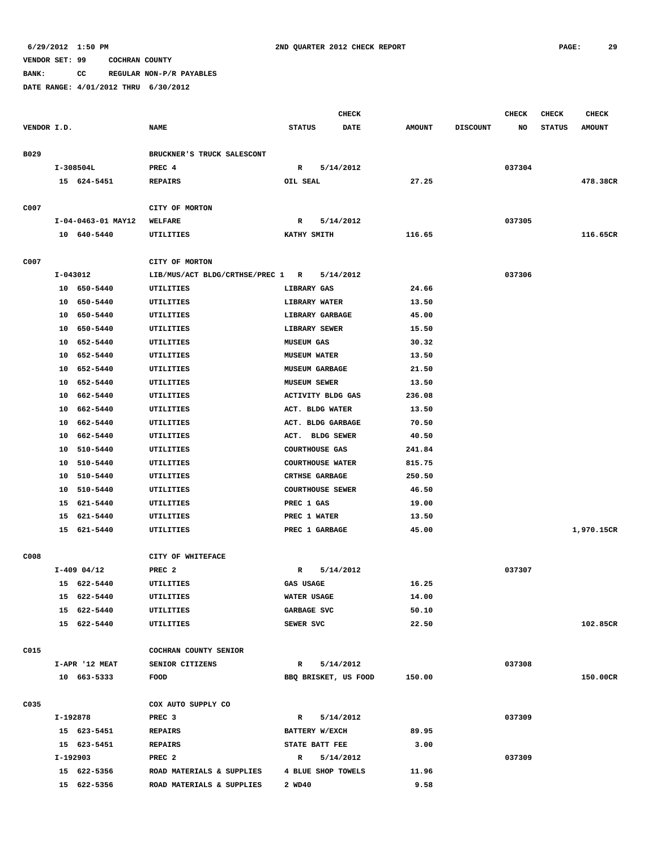**BANK: CC REGULAR NON-P/R PAYABLES**

|             |          |                            |                                  | <b>CHECK</b>                                     |                      |                  |                 | <b>CHECK</b> | <b>CHECK</b>  | CHECK         |
|-------------|----------|----------------------------|----------------------------------|--------------------------------------------------|----------------------|------------------|-----------------|--------------|---------------|---------------|
| VENDOR I.D. |          |                            | <b>NAME</b>                      | <b>STATUS</b>                                    | <b>DATE</b>          | <b>AMOUNT</b>    | <b>DISCOUNT</b> | NO           | <b>STATUS</b> | <b>AMOUNT</b> |
|             |          |                            |                                  |                                                  |                      |                  |                 |              |               |               |
| B029        |          |                            | BRUCKNER'S TRUCK SALESCONT       |                                                  |                      |                  |                 |              |               |               |
|             |          | I-308504L                  | PREC 4                           | R                                                | 5/14/2012            |                  |                 | 037304       |               |               |
|             |          | 15 624-5451                | <b>REPAIRS</b>                   | OIL SEAL                                         |                      | 27.25            |                 |              |               | 478.38CR      |
|             |          |                            |                                  |                                                  |                      |                  |                 |              |               |               |
| C007        |          |                            | CITY OF MORTON                   |                                                  |                      |                  |                 |              |               |               |
|             |          | I-04-0463-01 MAY12         | WELFARE                          | R                                                | 5/14/2012            |                  |                 | 037305       |               |               |
|             |          | 10 640-5440                | UTILITIES                        | KATHY SMITH                                      |                      | 116.65           |                 |              |               | 116.65CR      |
|             |          |                            |                                  |                                                  |                      |                  |                 |              |               |               |
| C007        |          |                            | CITY OF MORTON                   |                                                  |                      |                  |                 |              |               |               |
|             | I-043012 |                            | LIB/MUS/ACT BLDG/CRTHSE/PREC 1 R |                                                  | 5/14/2012            |                  |                 | 037306       |               |               |
|             |          | 10 650-5440                | UTILITIES                        | LIBRARY GAS                                      |                      | 24.66            |                 |              |               |               |
|             |          | 10 650-5440                | UTILITIES                        | LIBRARY WATER                                    |                      | 13.50            |                 |              |               |               |
|             |          | 10 650-5440                | UTILITIES                        | LIBRARY GARBAGE                                  |                      | 45.00            |                 |              |               |               |
|             |          | 10 650-5440                | UTILITIES                        | LIBRARY SEWER                                    |                      | 15.50            |                 |              |               |               |
|             |          | 10 652-5440                | UTILITIES                        | <b>MUSEUM GAS</b>                                |                      | 30.32            |                 |              |               |               |
|             |          | 10 652-5440                | UTILITIES                        | <b>MUSEUM WATER</b>                              |                      | 13.50            |                 |              |               |               |
|             |          | 10 652-5440                | UTILITIES                        | <b>MUSEUM GARBAGE</b>                            |                      | 21.50            |                 |              |               |               |
|             |          | 10 652-5440                | UTILITIES                        | <b>MUSEUM SEWER</b>                              |                      | 13.50            |                 |              |               |               |
|             |          | 10 662-5440                | UTILITIES                        | ACTIVITY BLDG GAS                                |                      | 236.08           |                 |              |               |               |
|             |          | 10 662-5440                | UTILITIES                        | ACT. BLDG WATER                                  |                      | 13.50            |                 |              |               |               |
|             |          | 10 662-5440                | UTILITIES                        | ACT. BLDG GARBAGE                                |                      | 70.50            |                 |              |               |               |
|             |          | 10 662-5440                | UTILITIES                        | ACT. BLDG SEWER                                  |                      | 40.50            |                 |              |               |               |
|             |          | 10 510-5440<br>10 510-5440 | UTILITIES<br>UTILITIES           | <b>COURTHOUSE GAS</b><br><b>COURTHOUSE WATER</b> |                      | 241.84<br>815.75 |                 |              |               |               |
|             |          | 10 510-5440                | UTILITIES                        | <b>CRTHSE GARBAGE</b>                            |                      | 250.50           |                 |              |               |               |
|             |          |                            |                                  |                                                  |                      |                  |                 |              |               |               |
|             |          | 10 510-5440<br>15 621-5440 | UTILITIES<br>UTILITIES           | <b>COURTHOUSE SEWER</b><br>PREC 1 GAS            |                      | 46.50<br>19.00   |                 |              |               |               |
|             |          | 15 621-5440                | UTILITIES                        | PREC 1 WATER                                     |                      | 13.50            |                 |              |               |               |
|             |          | 15 621-5440                | UTILITIES                        | PREC 1 GARBAGE                                   |                      | 45.00            |                 |              |               | 1,970.15CR    |
|             |          |                            |                                  |                                                  |                      |                  |                 |              |               |               |
| C008        |          |                            | CITY OF WHITEFACE                |                                                  |                      |                  |                 |              |               |               |
|             |          | $I-409$ 04/12              | PREC <sub>2</sub>                | R                                                | 5/14/2012            |                  |                 | 037307       |               |               |
|             |          | 15 622-5440                | UTILITIES                        | <b>GAS USAGE</b>                                 |                      | 16.25            |                 |              |               |               |
|             |          | 15 622-5440                | UTILITIES                        | WATER USAGE                                      |                      | 14.00            |                 |              |               |               |
|             |          | 15 622-5440                | UTILITIES                        | GARBAGE SVC                                      |                      | 50.10            |                 |              |               |               |
|             |          | 15 622-5440                | UTILITIES                        | SEWER SVC                                        |                      | 22.50            |                 |              |               | 102.85CR      |
|             |          |                            |                                  |                                                  |                      |                  |                 |              |               |               |
| C015        |          |                            | COCHRAN COUNTY SENIOR            |                                                  |                      |                  |                 |              |               |               |
|             |          | I-APR '12 MEAT             | SENIOR CITIZENS                  | $\mathbf{R}$                                     | 5/14/2012            |                  |                 | 037308       |               |               |
|             |          | 10 663-5333                | FOOD                             |                                                  | BBQ BRISKET, US FOOD | 150.00           |                 |              |               | 150.00CR      |
|             |          |                            |                                  |                                                  |                      |                  |                 |              |               |               |
| C035        |          |                            | COX AUTO SUPPLY CO               |                                                  |                      |                  |                 |              |               |               |
|             | I-192878 |                            | PREC 3                           | $\mathbb{R}$                                     | 5/14/2012            |                  |                 | 037309       |               |               |
|             |          | 15 623-5451                | <b>REPAIRS</b>                   | BATTERY W/EXCH                                   |                      | 89.95            |                 |              |               |               |
|             |          | 15 623-5451                | <b>REPAIRS</b>                   | STATE BATT FEE                                   |                      | 3.00             |                 |              |               |               |
|             |          | I-192903                   | PREC <sub>2</sub>                | $\mathbb{R}$                                     | 5/14/2012            |                  |                 | 037309       |               |               |
|             |          | 15 622-5356                | ROAD MATERIALS & SUPPLIES        | 4 BLUE SHOP TOWELS                               |                      | 11.96            |                 |              |               |               |
|             |          | 15 622-5356                | ROAD MATERIALS & SUPPLIES        | 2 WD40                                           |                      | 9.58             |                 |              |               |               |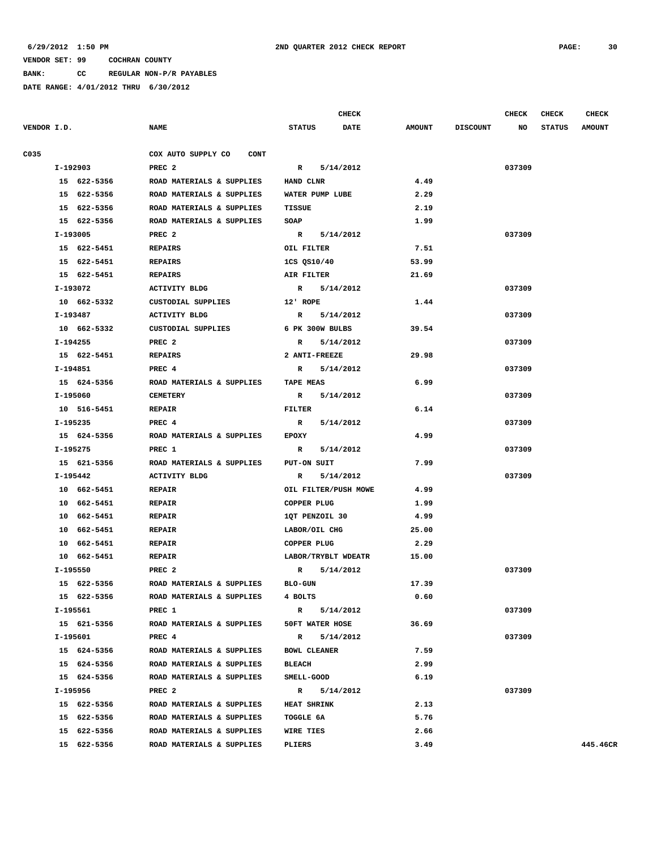**BANK: CC REGULAR NON-P/R PAYABLES**

| VENDOR I.D.<br><b>NAME</b><br><b>STATUS</b><br><b>DATE</b><br><b>AMOUNT</b><br><b>DISCOUNT</b><br>NO<br>COX AUTO SUPPLY CO<br>C035<br><b>CONT</b><br>I-192903<br>PREC <sub>2</sub><br>R<br>5/14/2012<br>037309<br>15 622-5356<br>ROAD MATERIALS & SUPPLIES<br>HAND CLNR<br>4.49<br>2.29<br>15 622-5356<br>ROAD MATERIALS & SUPPLIES<br>WATER PUMP LUBE<br>2.19<br>15 622-5356<br>ROAD MATERIALS & SUPPLIES<br>TISSUE<br>15 622-5356<br>ROAD MATERIALS & SUPPLIES<br>SOAP<br>1.99<br>I-193005<br>PREC <sub>2</sub><br>R 5/14/2012<br>037309<br>15 622-5451<br>7.51<br>REPAIRS<br>OIL FILTER<br>15 622-5451<br><b>REPAIRS</b><br>1CS QS10/40<br>53.99<br>15 622-5451<br><b>REPAIRS</b><br>AIR FILTER<br>21.69<br>I-193072<br>5/14/2012<br>037309<br>ACTIVITY BLDG<br>$\mathbf{R}$<br>10 662-5332<br>CUSTODIAL SUPPLIES<br>12' ROPE<br>1.44<br>I-193487<br><b>ACTIVITY BLDG</b><br>$\mathbb{R}$<br>5/14/2012<br>037309<br>10 662-5332<br>CUSTODIAL SUPPLIES<br>6 PK 300W BULBS<br>39.54<br>I-194255<br>PREC <sub>2</sub><br>5/14/2012<br>037309<br>$\mathbb{R}$<br>29.98<br>15 622-5451<br>2 ANTI-FREEZE<br><b>REPAIRS</b><br>I-194851<br>PREC 4<br>5/14/2012<br>037309<br>$\mathbb{R}$<br>15 624-5356<br>ROAD MATERIALS & SUPPLIES<br><b>TAPE MEAS</b><br>6.99<br>I-195060<br><b>CEMETERY</b><br>$\mathbb{R}$<br>5/14/2012<br>037309<br>10 516-5451<br>6.14<br><b>REPAIR</b><br><b>FILTER</b><br>I-195235<br>PREC <sub>4</sub><br>5/14/2012<br>037309<br>$\mathbb{R}$<br>4.99<br>15 624-5356<br>ROAD MATERIALS & SUPPLIES<br><b>EPOXY</b><br>I-195275<br>PREC 1<br>5/14/2012<br>037309<br>$\mathbf{R}$<br>15 621-5356<br>ROAD MATERIALS & SUPPLIES<br>PUT-ON SUIT<br>7.99<br>I-195442<br><b>ACTIVITY BLDG</b><br>$\mathbf R$<br>5/14/2012<br>037309<br>4.99<br>10 662-5451<br><b>REPAIR</b><br>OIL FILTER/PUSH MOWE<br>10 662-5451<br><b>REPAIR</b><br>COPPER PLUG<br>1.99<br>4.99<br>10 662-5451<br><b>REPAIR</b><br>1QT PENZOIL 30<br>25.00<br>10 662-5451<br><b>REPAIR</b><br>LABOR/OIL CHG<br>10 662-5451<br><b>REPAIR</b><br>COPPER PLUG<br>2.29<br>10 662-5451<br><b>REPAIR</b><br>LABOR/TRYBLT WDEATR<br>15.00<br>I-195550<br>PREC <sub>2</sub><br>037309<br>$\mathbb{R}$<br>5/14/2012<br>15 622-5356<br>ROAD MATERIALS & SUPPLIES<br><b>BLO-GUN</b><br>17.39<br>15 622-5356<br>ROAD MATERIALS & SUPPLIES<br>4 BOLTS<br>0.60<br>I-195561<br>5/14/2012<br>037309<br>PREC 1<br>$\mathbb{R}$<br>36.69<br>15 621-5356 ROAD MATERIALS & SUPPLIES<br>50FT WATER HOSE<br>037309<br>I-195601<br>PREC 4<br>R 5/14/2012<br>7.59<br>15 624-5356<br>ROAD MATERIALS & SUPPLIES<br><b>BOWL CLEANER</b><br>15 624-5356<br>ROAD MATERIALS & SUPPLIES<br><b>BLEACH</b><br>2.99<br>6.19<br>15 624-5356<br>ROAD MATERIALS & SUPPLIES<br><b>SMELL-GOOD</b><br>I-195956<br>PREC <sub>2</sub><br>R 5/14/2012<br>037309<br>15 622-5356<br>ROAD MATERIALS & SUPPLIES<br><b>HEAT SHRINK</b><br>2.13 | <b>CHECK</b><br><b>CHECK</b>   |
|---------------------------------------------------------------------------------------------------------------------------------------------------------------------------------------------------------------------------------------------------------------------------------------------------------------------------------------------------------------------------------------------------------------------------------------------------------------------------------------------------------------------------------------------------------------------------------------------------------------------------------------------------------------------------------------------------------------------------------------------------------------------------------------------------------------------------------------------------------------------------------------------------------------------------------------------------------------------------------------------------------------------------------------------------------------------------------------------------------------------------------------------------------------------------------------------------------------------------------------------------------------------------------------------------------------------------------------------------------------------------------------------------------------------------------------------------------------------------------------------------------------------------------------------------------------------------------------------------------------------------------------------------------------------------------------------------------------------------------------------------------------------------------------------------------------------------------------------------------------------------------------------------------------------------------------------------------------------------------------------------------------------------------------------------------------------------------------------------------------------------------------------------------------------------------------------------------------------------------------------------------------------------------------------------------------------------------------------------------------------------------------------------------------------------------------------------------------------------------------------------------------------------------------------------------------------------------------------------------------------------------------------------------------------------------------------------------------------------------------------------------------------------------------------------------------------------------------------------------------------------------|--------------------------------|
|                                                                                                                                                                                                                                                                                                                                                                                                                                                                                                                                                                                                                                                                                                                                                                                                                                                                                                                                                                                                                                                                                                                                                                                                                                                                                                                                                                                                                                                                                                                                                                                                                                                                                                                                                                                                                                                                                                                                                                                                                                                                                                                                                                                                                                                                                                                                                                                                                                                                                                                                                                                                                                                                                                                                                                                                                                                                                 | <b>STATUS</b><br><b>AMOUNT</b> |
|                                                                                                                                                                                                                                                                                                                                                                                                                                                                                                                                                                                                                                                                                                                                                                                                                                                                                                                                                                                                                                                                                                                                                                                                                                                                                                                                                                                                                                                                                                                                                                                                                                                                                                                                                                                                                                                                                                                                                                                                                                                                                                                                                                                                                                                                                                                                                                                                                                                                                                                                                                                                                                                                                                                                                                                                                                                                                 |                                |
|                                                                                                                                                                                                                                                                                                                                                                                                                                                                                                                                                                                                                                                                                                                                                                                                                                                                                                                                                                                                                                                                                                                                                                                                                                                                                                                                                                                                                                                                                                                                                                                                                                                                                                                                                                                                                                                                                                                                                                                                                                                                                                                                                                                                                                                                                                                                                                                                                                                                                                                                                                                                                                                                                                                                                                                                                                                                                 |                                |
|                                                                                                                                                                                                                                                                                                                                                                                                                                                                                                                                                                                                                                                                                                                                                                                                                                                                                                                                                                                                                                                                                                                                                                                                                                                                                                                                                                                                                                                                                                                                                                                                                                                                                                                                                                                                                                                                                                                                                                                                                                                                                                                                                                                                                                                                                                                                                                                                                                                                                                                                                                                                                                                                                                                                                                                                                                                                                 |                                |
|                                                                                                                                                                                                                                                                                                                                                                                                                                                                                                                                                                                                                                                                                                                                                                                                                                                                                                                                                                                                                                                                                                                                                                                                                                                                                                                                                                                                                                                                                                                                                                                                                                                                                                                                                                                                                                                                                                                                                                                                                                                                                                                                                                                                                                                                                                                                                                                                                                                                                                                                                                                                                                                                                                                                                                                                                                                                                 |                                |
|                                                                                                                                                                                                                                                                                                                                                                                                                                                                                                                                                                                                                                                                                                                                                                                                                                                                                                                                                                                                                                                                                                                                                                                                                                                                                                                                                                                                                                                                                                                                                                                                                                                                                                                                                                                                                                                                                                                                                                                                                                                                                                                                                                                                                                                                                                                                                                                                                                                                                                                                                                                                                                                                                                                                                                                                                                                                                 |                                |
|                                                                                                                                                                                                                                                                                                                                                                                                                                                                                                                                                                                                                                                                                                                                                                                                                                                                                                                                                                                                                                                                                                                                                                                                                                                                                                                                                                                                                                                                                                                                                                                                                                                                                                                                                                                                                                                                                                                                                                                                                                                                                                                                                                                                                                                                                                                                                                                                                                                                                                                                                                                                                                                                                                                                                                                                                                                                                 |                                |
|                                                                                                                                                                                                                                                                                                                                                                                                                                                                                                                                                                                                                                                                                                                                                                                                                                                                                                                                                                                                                                                                                                                                                                                                                                                                                                                                                                                                                                                                                                                                                                                                                                                                                                                                                                                                                                                                                                                                                                                                                                                                                                                                                                                                                                                                                                                                                                                                                                                                                                                                                                                                                                                                                                                                                                                                                                                                                 |                                |
|                                                                                                                                                                                                                                                                                                                                                                                                                                                                                                                                                                                                                                                                                                                                                                                                                                                                                                                                                                                                                                                                                                                                                                                                                                                                                                                                                                                                                                                                                                                                                                                                                                                                                                                                                                                                                                                                                                                                                                                                                                                                                                                                                                                                                                                                                                                                                                                                                                                                                                                                                                                                                                                                                                                                                                                                                                                                                 |                                |
|                                                                                                                                                                                                                                                                                                                                                                                                                                                                                                                                                                                                                                                                                                                                                                                                                                                                                                                                                                                                                                                                                                                                                                                                                                                                                                                                                                                                                                                                                                                                                                                                                                                                                                                                                                                                                                                                                                                                                                                                                                                                                                                                                                                                                                                                                                                                                                                                                                                                                                                                                                                                                                                                                                                                                                                                                                                                                 |                                |
|                                                                                                                                                                                                                                                                                                                                                                                                                                                                                                                                                                                                                                                                                                                                                                                                                                                                                                                                                                                                                                                                                                                                                                                                                                                                                                                                                                                                                                                                                                                                                                                                                                                                                                                                                                                                                                                                                                                                                                                                                                                                                                                                                                                                                                                                                                                                                                                                                                                                                                                                                                                                                                                                                                                                                                                                                                                                                 |                                |
|                                                                                                                                                                                                                                                                                                                                                                                                                                                                                                                                                                                                                                                                                                                                                                                                                                                                                                                                                                                                                                                                                                                                                                                                                                                                                                                                                                                                                                                                                                                                                                                                                                                                                                                                                                                                                                                                                                                                                                                                                                                                                                                                                                                                                                                                                                                                                                                                                                                                                                                                                                                                                                                                                                                                                                                                                                                                                 |                                |
|                                                                                                                                                                                                                                                                                                                                                                                                                                                                                                                                                                                                                                                                                                                                                                                                                                                                                                                                                                                                                                                                                                                                                                                                                                                                                                                                                                                                                                                                                                                                                                                                                                                                                                                                                                                                                                                                                                                                                                                                                                                                                                                                                                                                                                                                                                                                                                                                                                                                                                                                                                                                                                                                                                                                                                                                                                                                                 |                                |
|                                                                                                                                                                                                                                                                                                                                                                                                                                                                                                                                                                                                                                                                                                                                                                                                                                                                                                                                                                                                                                                                                                                                                                                                                                                                                                                                                                                                                                                                                                                                                                                                                                                                                                                                                                                                                                                                                                                                                                                                                                                                                                                                                                                                                                                                                                                                                                                                                                                                                                                                                                                                                                                                                                                                                                                                                                                                                 |                                |
|                                                                                                                                                                                                                                                                                                                                                                                                                                                                                                                                                                                                                                                                                                                                                                                                                                                                                                                                                                                                                                                                                                                                                                                                                                                                                                                                                                                                                                                                                                                                                                                                                                                                                                                                                                                                                                                                                                                                                                                                                                                                                                                                                                                                                                                                                                                                                                                                                                                                                                                                                                                                                                                                                                                                                                                                                                                                                 |                                |
|                                                                                                                                                                                                                                                                                                                                                                                                                                                                                                                                                                                                                                                                                                                                                                                                                                                                                                                                                                                                                                                                                                                                                                                                                                                                                                                                                                                                                                                                                                                                                                                                                                                                                                                                                                                                                                                                                                                                                                                                                                                                                                                                                                                                                                                                                                                                                                                                                                                                                                                                                                                                                                                                                                                                                                                                                                                                                 |                                |
|                                                                                                                                                                                                                                                                                                                                                                                                                                                                                                                                                                                                                                                                                                                                                                                                                                                                                                                                                                                                                                                                                                                                                                                                                                                                                                                                                                                                                                                                                                                                                                                                                                                                                                                                                                                                                                                                                                                                                                                                                                                                                                                                                                                                                                                                                                                                                                                                                                                                                                                                                                                                                                                                                                                                                                                                                                                                                 |                                |
|                                                                                                                                                                                                                                                                                                                                                                                                                                                                                                                                                                                                                                                                                                                                                                                                                                                                                                                                                                                                                                                                                                                                                                                                                                                                                                                                                                                                                                                                                                                                                                                                                                                                                                                                                                                                                                                                                                                                                                                                                                                                                                                                                                                                                                                                                                                                                                                                                                                                                                                                                                                                                                                                                                                                                                                                                                                                                 |                                |
|                                                                                                                                                                                                                                                                                                                                                                                                                                                                                                                                                                                                                                                                                                                                                                                                                                                                                                                                                                                                                                                                                                                                                                                                                                                                                                                                                                                                                                                                                                                                                                                                                                                                                                                                                                                                                                                                                                                                                                                                                                                                                                                                                                                                                                                                                                                                                                                                                                                                                                                                                                                                                                                                                                                                                                                                                                                                                 |                                |
|                                                                                                                                                                                                                                                                                                                                                                                                                                                                                                                                                                                                                                                                                                                                                                                                                                                                                                                                                                                                                                                                                                                                                                                                                                                                                                                                                                                                                                                                                                                                                                                                                                                                                                                                                                                                                                                                                                                                                                                                                                                                                                                                                                                                                                                                                                                                                                                                                                                                                                                                                                                                                                                                                                                                                                                                                                                                                 |                                |
|                                                                                                                                                                                                                                                                                                                                                                                                                                                                                                                                                                                                                                                                                                                                                                                                                                                                                                                                                                                                                                                                                                                                                                                                                                                                                                                                                                                                                                                                                                                                                                                                                                                                                                                                                                                                                                                                                                                                                                                                                                                                                                                                                                                                                                                                                                                                                                                                                                                                                                                                                                                                                                                                                                                                                                                                                                                                                 |                                |
|                                                                                                                                                                                                                                                                                                                                                                                                                                                                                                                                                                                                                                                                                                                                                                                                                                                                                                                                                                                                                                                                                                                                                                                                                                                                                                                                                                                                                                                                                                                                                                                                                                                                                                                                                                                                                                                                                                                                                                                                                                                                                                                                                                                                                                                                                                                                                                                                                                                                                                                                                                                                                                                                                                                                                                                                                                                                                 |                                |
|                                                                                                                                                                                                                                                                                                                                                                                                                                                                                                                                                                                                                                                                                                                                                                                                                                                                                                                                                                                                                                                                                                                                                                                                                                                                                                                                                                                                                                                                                                                                                                                                                                                                                                                                                                                                                                                                                                                                                                                                                                                                                                                                                                                                                                                                                                                                                                                                                                                                                                                                                                                                                                                                                                                                                                                                                                                                                 |                                |
|                                                                                                                                                                                                                                                                                                                                                                                                                                                                                                                                                                                                                                                                                                                                                                                                                                                                                                                                                                                                                                                                                                                                                                                                                                                                                                                                                                                                                                                                                                                                                                                                                                                                                                                                                                                                                                                                                                                                                                                                                                                                                                                                                                                                                                                                                                                                                                                                                                                                                                                                                                                                                                                                                                                                                                                                                                                                                 |                                |
|                                                                                                                                                                                                                                                                                                                                                                                                                                                                                                                                                                                                                                                                                                                                                                                                                                                                                                                                                                                                                                                                                                                                                                                                                                                                                                                                                                                                                                                                                                                                                                                                                                                                                                                                                                                                                                                                                                                                                                                                                                                                                                                                                                                                                                                                                                                                                                                                                                                                                                                                                                                                                                                                                                                                                                                                                                                                                 |                                |
|                                                                                                                                                                                                                                                                                                                                                                                                                                                                                                                                                                                                                                                                                                                                                                                                                                                                                                                                                                                                                                                                                                                                                                                                                                                                                                                                                                                                                                                                                                                                                                                                                                                                                                                                                                                                                                                                                                                                                                                                                                                                                                                                                                                                                                                                                                                                                                                                                                                                                                                                                                                                                                                                                                                                                                                                                                                                                 |                                |
|                                                                                                                                                                                                                                                                                                                                                                                                                                                                                                                                                                                                                                                                                                                                                                                                                                                                                                                                                                                                                                                                                                                                                                                                                                                                                                                                                                                                                                                                                                                                                                                                                                                                                                                                                                                                                                                                                                                                                                                                                                                                                                                                                                                                                                                                                                                                                                                                                                                                                                                                                                                                                                                                                                                                                                                                                                                                                 |                                |
|                                                                                                                                                                                                                                                                                                                                                                                                                                                                                                                                                                                                                                                                                                                                                                                                                                                                                                                                                                                                                                                                                                                                                                                                                                                                                                                                                                                                                                                                                                                                                                                                                                                                                                                                                                                                                                                                                                                                                                                                                                                                                                                                                                                                                                                                                                                                                                                                                                                                                                                                                                                                                                                                                                                                                                                                                                                                                 |                                |
|                                                                                                                                                                                                                                                                                                                                                                                                                                                                                                                                                                                                                                                                                                                                                                                                                                                                                                                                                                                                                                                                                                                                                                                                                                                                                                                                                                                                                                                                                                                                                                                                                                                                                                                                                                                                                                                                                                                                                                                                                                                                                                                                                                                                                                                                                                                                                                                                                                                                                                                                                                                                                                                                                                                                                                                                                                                                                 |                                |
|                                                                                                                                                                                                                                                                                                                                                                                                                                                                                                                                                                                                                                                                                                                                                                                                                                                                                                                                                                                                                                                                                                                                                                                                                                                                                                                                                                                                                                                                                                                                                                                                                                                                                                                                                                                                                                                                                                                                                                                                                                                                                                                                                                                                                                                                                                                                                                                                                                                                                                                                                                                                                                                                                                                                                                                                                                                                                 |                                |
|                                                                                                                                                                                                                                                                                                                                                                                                                                                                                                                                                                                                                                                                                                                                                                                                                                                                                                                                                                                                                                                                                                                                                                                                                                                                                                                                                                                                                                                                                                                                                                                                                                                                                                                                                                                                                                                                                                                                                                                                                                                                                                                                                                                                                                                                                                                                                                                                                                                                                                                                                                                                                                                                                                                                                                                                                                                                                 |                                |
|                                                                                                                                                                                                                                                                                                                                                                                                                                                                                                                                                                                                                                                                                                                                                                                                                                                                                                                                                                                                                                                                                                                                                                                                                                                                                                                                                                                                                                                                                                                                                                                                                                                                                                                                                                                                                                                                                                                                                                                                                                                                                                                                                                                                                                                                                                                                                                                                                                                                                                                                                                                                                                                                                                                                                                                                                                                                                 |                                |
|                                                                                                                                                                                                                                                                                                                                                                                                                                                                                                                                                                                                                                                                                                                                                                                                                                                                                                                                                                                                                                                                                                                                                                                                                                                                                                                                                                                                                                                                                                                                                                                                                                                                                                                                                                                                                                                                                                                                                                                                                                                                                                                                                                                                                                                                                                                                                                                                                                                                                                                                                                                                                                                                                                                                                                                                                                                                                 |                                |
|                                                                                                                                                                                                                                                                                                                                                                                                                                                                                                                                                                                                                                                                                                                                                                                                                                                                                                                                                                                                                                                                                                                                                                                                                                                                                                                                                                                                                                                                                                                                                                                                                                                                                                                                                                                                                                                                                                                                                                                                                                                                                                                                                                                                                                                                                                                                                                                                                                                                                                                                                                                                                                                                                                                                                                                                                                                                                 |                                |
|                                                                                                                                                                                                                                                                                                                                                                                                                                                                                                                                                                                                                                                                                                                                                                                                                                                                                                                                                                                                                                                                                                                                                                                                                                                                                                                                                                                                                                                                                                                                                                                                                                                                                                                                                                                                                                                                                                                                                                                                                                                                                                                                                                                                                                                                                                                                                                                                                                                                                                                                                                                                                                                                                                                                                                                                                                                                                 |                                |
|                                                                                                                                                                                                                                                                                                                                                                                                                                                                                                                                                                                                                                                                                                                                                                                                                                                                                                                                                                                                                                                                                                                                                                                                                                                                                                                                                                                                                                                                                                                                                                                                                                                                                                                                                                                                                                                                                                                                                                                                                                                                                                                                                                                                                                                                                                                                                                                                                                                                                                                                                                                                                                                                                                                                                                                                                                                                                 |                                |
|                                                                                                                                                                                                                                                                                                                                                                                                                                                                                                                                                                                                                                                                                                                                                                                                                                                                                                                                                                                                                                                                                                                                                                                                                                                                                                                                                                                                                                                                                                                                                                                                                                                                                                                                                                                                                                                                                                                                                                                                                                                                                                                                                                                                                                                                                                                                                                                                                                                                                                                                                                                                                                                                                                                                                                                                                                                                                 |                                |
|                                                                                                                                                                                                                                                                                                                                                                                                                                                                                                                                                                                                                                                                                                                                                                                                                                                                                                                                                                                                                                                                                                                                                                                                                                                                                                                                                                                                                                                                                                                                                                                                                                                                                                                                                                                                                                                                                                                                                                                                                                                                                                                                                                                                                                                                                                                                                                                                                                                                                                                                                                                                                                                                                                                                                                                                                                                                                 |                                |
|                                                                                                                                                                                                                                                                                                                                                                                                                                                                                                                                                                                                                                                                                                                                                                                                                                                                                                                                                                                                                                                                                                                                                                                                                                                                                                                                                                                                                                                                                                                                                                                                                                                                                                                                                                                                                                                                                                                                                                                                                                                                                                                                                                                                                                                                                                                                                                                                                                                                                                                                                                                                                                                                                                                                                                                                                                                                                 |                                |
|                                                                                                                                                                                                                                                                                                                                                                                                                                                                                                                                                                                                                                                                                                                                                                                                                                                                                                                                                                                                                                                                                                                                                                                                                                                                                                                                                                                                                                                                                                                                                                                                                                                                                                                                                                                                                                                                                                                                                                                                                                                                                                                                                                                                                                                                                                                                                                                                                                                                                                                                                                                                                                                                                                                                                                                                                                                                                 |                                |
|                                                                                                                                                                                                                                                                                                                                                                                                                                                                                                                                                                                                                                                                                                                                                                                                                                                                                                                                                                                                                                                                                                                                                                                                                                                                                                                                                                                                                                                                                                                                                                                                                                                                                                                                                                                                                                                                                                                                                                                                                                                                                                                                                                                                                                                                                                                                                                                                                                                                                                                                                                                                                                                                                                                                                                                                                                                                                 |                                |
|                                                                                                                                                                                                                                                                                                                                                                                                                                                                                                                                                                                                                                                                                                                                                                                                                                                                                                                                                                                                                                                                                                                                                                                                                                                                                                                                                                                                                                                                                                                                                                                                                                                                                                                                                                                                                                                                                                                                                                                                                                                                                                                                                                                                                                                                                                                                                                                                                                                                                                                                                                                                                                                                                                                                                                                                                                                                                 |                                |
|                                                                                                                                                                                                                                                                                                                                                                                                                                                                                                                                                                                                                                                                                                                                                                                                                                                                                                                                                                                                                                                                                                                                                                                                                                                                                                                                                                                                                                                                                                                                                                                                                                                                                                                                                                                                                                                                                                                                                                                                                                                                                                                                                                                                                                                                                                                                                                                                                                                                                                                                                                                                                                                                                                                                                                                                                                                                                 |                                |
|                                                                                                                                                                                                                                                                                                                                                                                                                                                                                                                                                                                                                                                                                                                                                                                                                                                                                                                                                                                                                                                                                                                                                                                                                                                                                                                                                                                                                                                                                                                                                                                                                                                                                                                                                                                                                                                                                                                                                                                                                                                                                                                                                                                                                                                                                                                                                                                                                                                                                                                                                                                                                                                                                                                                                                                                                                                                                 |                                |
| 15 622-5356<br>ROAD MATERIALS & SUPPLIES<br><b>TOGGLE 6A</b><br>5.76                                                                                                                                                                                                                                                                                                                                                                                                                                                                                                                                                                                                                                                                                                                                                                                                                                                                                                                                                                                                                                                                                                                                                                                                                                                                                                                                                                                                                                                                                                                                                                                                                                                                                                                                                                                                                                                                                                                                                                                                                                                                                                                                                                                                                                                                                                                                                                                                                                                                                                                                                                                                                                                                                                                                                                                                            |                                |
| 15 622-5356<br>ROAD MATERIALS & SUPPLIES<br><b>WIRE TIES</b><br>2.66                                                                                                                                                                                                                                                                                                                                                                                                                                                                                                                                                                                                                                                                                                                                                                                                                                                                                                                                                                                                                                                                                                                                                                                                                                                                                                                                                                                                                                                                                                                                                                                                                                                                                                                                                                                                                                                                                                                                                                                                                                                                                                                                                                                                                                                                                                                                                                                                                                                                                                                                                                                                                                                                                                                                                                                                            |                                |
| 15 622-5356<br>ROAD MATERIALS & SUPPLIES<br>PLIERS<br>3.49                                                                                                                                                                                                                                                                                                                                                                                                                                                                                                                                                                                                                                                                                                                                                                                                                                                                                                                                                                                                                                                                                                                                                                                                                                                                                                                                                                                                                                                                                                                                                                                                                                                                                                                                                                                                                                                                                                                                                                                                                                                                                                                                                                                                                                                                                                                                                                                                                                                                                                                                                                                                                                                                                                                                                                                                                      | 445.46CR                       |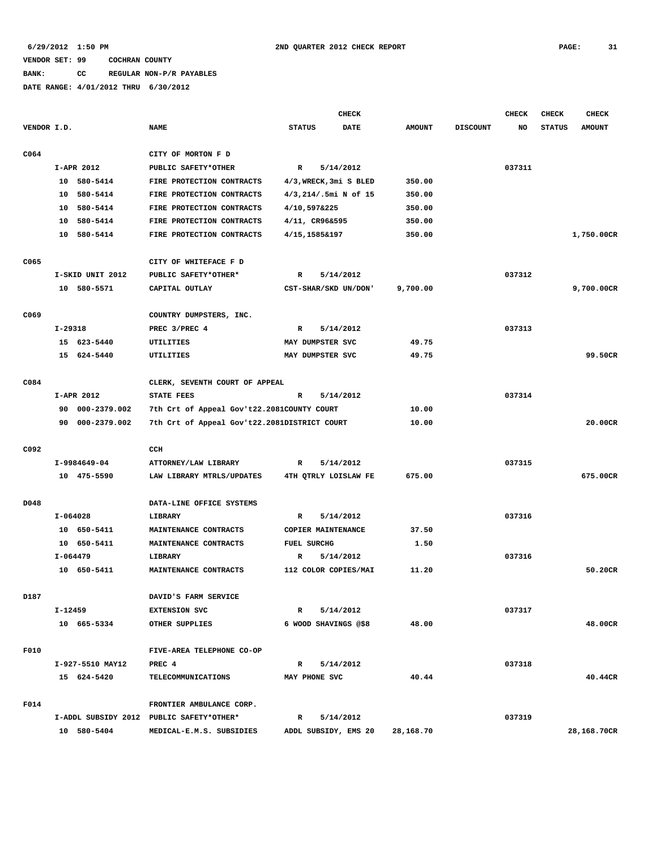## **BANK: CC REGULAR NON-P/R PAYABLES**

|             |                  |                                              | <b>CHECK</b>              |               |                 | <b>CHECK</b> | <b>CHECK</b>  | <b>CHECK</b>  |
|-------------|------------------|----------------------------------------------|---------------------------|---------------|-----------------|--------------|---------------|---------------|
| VENDOR I.D. |                  | <b>NAME</b>                                  | <b>STATUS</b><br>DATE     | <b>AMOUNT</b> | <b>DISCOUNT</b> | NO           | <b>STATUS</b> | <b>AMOUNT</b> |
| C064        |                  | CITY OF MORTON F D                           |                           |               |                 |              |               |               |
|             | I-APR 2012       | PUBLIC SAFETY*OTHER                          | R<br>5/14/2012            |               |                 | 037311       |               |               |
|             | 10 580-5414      | FIRE PROTECTION CONTRACTS                    | 4/3, WRECK, 3mi S BLED    | 350.00        |                 |              |               |               |
|             | 10 580-5414      | FIRE PROTECTION CONTRACTS                    | 4/3,214/.5mi N of 15      | 350.00        |                 |              |               |               |
|             | 10 580-5414      | FIRE PROTECTION CONTRACTS                    | 4/10,597&225              | 350.00        |                 |              |               |               |
|             | 10 580-5414      | FIRE PROTECTION CONTRACTS                    | 4/11, CR96&595            | 350.00        |                 |              |               |               |
|             | 10 580-5414      | FIRE PROTECTION CONTRACTS                    | 4/15,1585&197             | 350.00        |                 |              |               | 1,750.00CR    |
|             |                  |                                              |                           |               |                 |              |               |               |
| C065        |                  | CITY OF WHITEFACE F D                        |                           |               |                 |              |               |               |
|             | I-SKID UNIT 2012 | PUBLIC SAFETY*OTHER*                         | 5/14/2012<br>R            |               |                 | 037312       |               |               |
|             | 10 580-5571      | CAPITAL OUTLAY                               | CST-SHAR/SKD UN/DON'      | 9,700.00      |                 |              |               | 9,700.00CR    |
| C069        |                  | COUNTRY DUMPSTERS, INC.                      |                           |               |                 |              |               |               |
|             | I-29318          | PREC 3/PREC 4                                | 5/14/2012<br>R            |               |                 | 037313       |               |               |
|             | 15 623-5440      | UTILITIES                                    | MAY DUMPSTER SVC          | 49.75         |                 |              |               |               |
|             | 15 624-5440      | UTILITIES                                    | MAY DUMPSTER SVC          | 49.75         |                 |              |               | 99.50CR       |
|             |                  |                                              |                           |               |                 |              |               |               |
| C084        |                  | CLERK, SEVENTH COURT OF APPEAL               |                           |               |                 |              |               |               |
|             | I-APR 2012       | <b>STATE FEES</b>                            | R<br>5/14/2012            |               |                 | 037314       |               |               |
|             | 90 000-2379.002  | 7th Crt of Appeal Gov't22.2081COUNTY COURT   |                           | 10.00         |                 |              |               |               |
|             | 90 000-2379.002  | 7th Crt of Appeal Gov't22.2081DISTRICT COURT |                           | 10.00         |                 |              |               | 20.00CR       |
| C092        |                  | CCH                                          |                           |               |                 |              |               |               |
|             | I-9984649-04     | ATTORNEY/LAW LIBRARY                         | R<br>5/14/2012            |               |                 | 037315       |               |               |
|             | 10 475-5590      | LAW LIBRARY MTRLS/UPDATES                    | 4TH QTRLY LOISLAW FE      | 675.00        |                 |              |               | 675.00CR      |
|             |                  |                                              |                           |               |                 |              |               |               |
| D048        |                  | DATA-LINE OFFICE SYSTEMS                     |                           |               |                 |              |               |               |
|             | I-064028         | LIBRARY                                      | 5/14/2012<br>R            |               |                 | 037316       |               |               |
|             | 10 650-5411      | MAINTENANCE CONTRACTS                        | COPIER MAINTENANCE        | 37.50         |                 |              |               |               |
|             | 10 650-5411      | MAINTENANCE CONTRACTS                        | <b>FUEL SURCHG</b>        | 1.50          |                 |              |               |               |
|             | I-064479         | LIBRARY                                      | 5/14/2012<br>R            |               |                 | 037316       |               |               |
|             | 10 650-5411      | MAINTENANCE CONTRACTS                        | 112 COLOR COPIES/MAI      | 11.20         |                 |              |               | 50.20CR       |
| D187        |                  | DAVID'S FARM SERVICE                         |                           |               |                 |              |               |               |
|             | $I - 12459$      | <b>EXTENSION SVC</b>                         | 5/14/2012<br>R            |               |                 | 037317       |               |               |
|             | 10 665-5334      | OTHER SUPPLIES                               | 6 WOOD SHAVINGS @\$8      | 48.00         |                 |              |               | 48.00CR       |
|             |                  |                                              |                           |               |                 |              |               |               |
| F010        |                  | FIVE-AREA TELEPHONE CO-OP                    |                           |               |                 |              |               |               |
|             | I-927-5510 MAY12 | PREC 4                                       | 5/14/2012<br>$\mathbb{R}$ |               |                 | 037318       |               |               |
|             | 15 624-5420      | <b>TELECOMMUNICATIONS</b>                    | MAY PHONE SVC             | 40.44         |                 |              |               | 40.44CR       |
| F014        |                  | FRONTIER AMBULANCE CORP.                     |                           |               |                 |              |               |               |
|             |                  | I-ADDL SUBSIDY 2012 PUBLIC SAFETY*OTHER*     | $\mathbb{R}$<br>5/14/2012 |               |                 | 037319       |               |               |
|             | 10 580-5404      | MEDICAL-E.M.S. SUBSIDIES                     | ADDL SUBSIDY, EMS 20      | 28,168.70     |                 |              |               | 28,168.70CR   |
|             |                  |                                              |                           |               |                 |              |               |               |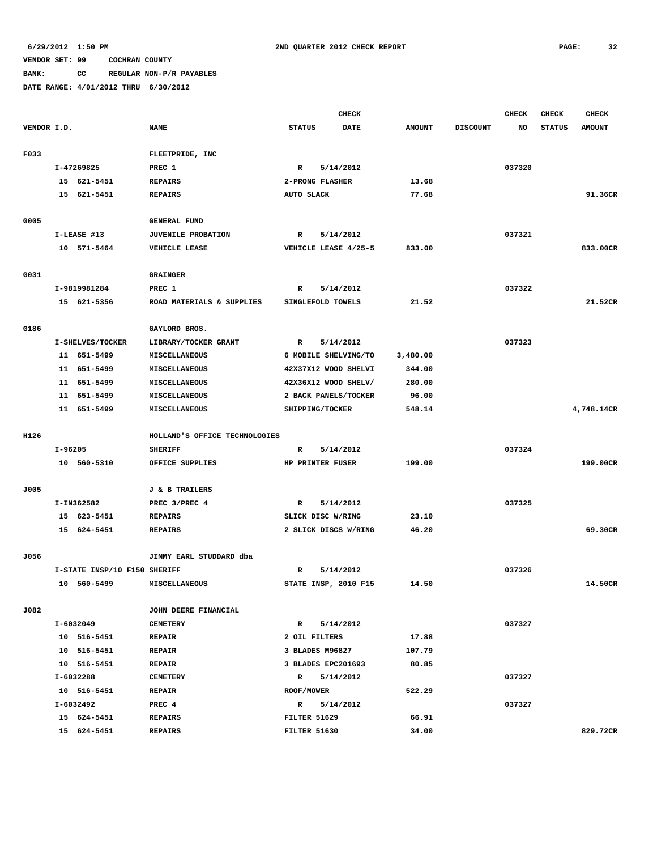**BANK: CC REGULAR NON-P/R PAYABLES**

|             |         |                              |                               |                   | <b>CHECK</b>         |               |                 | CHECK  | <b>CHECK</b>  | <b>CHECK</b>  |
|-------------|---------|------------------------------|-------------------------------|-------------------|----------------------|---------------|-----------------|--------|---------------|---------------|
| VENDOR I.D. |         |                              | <b>NAME</b>                   | <b>STATUS</b>     | <b>DATE</b>          | <b>AMOUNT</b> | <b>DISCOUNT</b> | NO     | <b>STATUS</b> | <b>AMOUNT</b> |
|             |         |                              |                               |                   |                      |               |                 |        |               |               |
| F033        |         |                              | FLEETPRIDE, INC               |                   |                      |               |                 |        |               |               |
|             |         | I-47269825                   | PREC 1                        | $\mathbb{R}$      | 5/14/2012            |               |                 | 037320 |               |               |
|             |         | 15 621-5451                  | <b>REPAIRS</b>                |                   | 2-PRONG FLASHER      | 13.68         |                 |        |               |               |
|             |         | 15 621-5451                  | <b>REPAIRS</b>                | AUTO SLACK        |                      | 77.68         |                 |        |               | 91.36CR       |
|             |         |                              |                               |                   |                      |               |                 |        |               |               |
| G005        |         |                              | <b>GENERAL FUND</b>           |                   |                      |               |                 |        |               |               |
|             |         | I-LEASE #13                  | JUVENILE PROBATION            | R                 | 5/14/2012            |               |                 | 037321 |               |               |
|             |         | 10 571-5464                  | VEHICLE LEASE                 |                   | VEHICLE LEASE 4/25-5 | 833.00        |                 |        |               | 833.00CR      |
|             |         |                              |                               |                   |                      |               |                 |        |               |               |
| G031        |         |                              | <b>GRAINGER</b>               |                   |                      |               |                 |        |               |               |
|             |         | I-9819981284                 | PREC 1                        | R                 | 5/14/2012            |               |                 | 037322 |               |               |
|             |         | 15 621-5356                  | ROAD MATERIALS & SUPPLIES     |                   | SINGLEFOLD TOWELS    | 21.52         |                 |        |               | 21.52CR       |
|             |         |                              |                               |                   |                      |               |                 |        |               |               |
| G186        |         |                              | GAYLORD BROS.                 |                   |                      |               |                 |        |               |               |
|             |         | I-SHELVES/TOCKER             | LIBRARY/TOCKER GRANT          | $\mathbf{R}$      | 5/14/2012            |               |                 | 037323 |               |               |
|             |         | 11 651-5499                  | <b>MISCELLANEOUS</b>          |                   | 6 MOBILE SHELVING/TO | 3,480.00      |                 |        |               |               |
|             |         | 11 651-5499                  | MISCELLANEOUS                 |                   | 42X37X12 WOOD SHELVI | 344.00        |                 |        |               |               |
|             |         | 11 651-5499                  | MISCELLANEOUS                 |                   | 42X36X12 WOOD SHELV/ | 280.00        |                 |        |               |               |
|             |         | 11 651-5499                  | MISCELLANEOUS                 |                   | 2 BACK PANELS/TOCKER | 96.00         |                 |        |               |               |
|             |         | 11 651-5499                  | MISCELLANEOUS                 |                   | SHIPPING/TOCKER      | 548.14        |                 |        |               | 4,748.14CR    |
|             |         |                              |                               |                   |                      |               |                 |        |               |               |
| H126        |         |                              | HOLLAND'S OFFICE TECHNOLOGIES |                   |                      |               |                 |        |               |               |
|             | I-96205 |                              | <b>SHERIFF</b>                | R                 | 5/14/2012            |               |                 | 037324 |               |               |
|             |         | 10 560-5310                  | OFFICE SUPPLIES               |                   | HP PRINTER FUSER     | 199.00        |                 |        |               | 199.00CR      |
|             |         |                              |                               |                   |                      |               |                 |        |               |               |
| J005        |         |                              | <b>J &amp; B TRAILERS</b>     |                   |                      |               |                 |        |               |               |
|             |         | I-IN362582                   | PREC 3/PREC 4                 | R                 | 5/14/2012            |               |                 | 037325 |               |               |
|             |         | 15 623-5451                  | <b>REPAIRS</b>                |                   | SLICK DISC W/RING    | 23.10         |                 |        |               |               |
|             |         | 15 624-5451                  | <b>REPAIRS</b>                |                   | 2 SLICK DISCS W/RING | 46.20         |                 |        |               | 69.30CR       |
|             |         |                              |                               |                   |                      |               |                 |        |               |               |
| J056        |         |                              | JIMMY EARL STUDDARD dba       |                   |                      |               |                 |        |               |               |
|             |         | I-STATE INSP/10 F150 SHERIFF |                               | R                 | 5/14/2012            |               |                 | 037326 |               |               |
|             |         | 10 560-5499                  | <b>MISCELLANEOUS</b>          |                   | STATE INSP, 2010 F15 | 14.50         |                 |        |               | 14.50CR       |
|             |         |                              |                               |                   |                      |               |                 |        |               |               |
| J082        |         |                              | JOHN DEERE FINANCIAL          |                   |                      |               |                 |        |               |               |
|             |         | I-6032049                    | <b>CEMETERY</b>               | $\mathbb{R}$      | 5/14/2012            |               |                 | 037327 |               |               |
|             |         | 10 516-5451                  | <b>REPAIR</b>                 | 2 OIL FILTERS     |                      | 17.88         |                 |        |               |               |
|             |         | 10 516-5451                  | <b>REPAIR</b>                 |                   | 3 BLADES M96827      | 107.79        |                 |        |               |               |
|             |         | 10 516-5451                  | <b>REPAIR</b>                 |                   | 3 BLADES EPC201693   | 80.85         |                 |        |               |               |
|             |         | I-6032288                    | <b>CEMETERY</b>               |                   | R 5/14/2012          |               |                 | 037327 |               |               |
|             |         | 10 516-5451                  | <b>REPAIR</b>                 | <b>ROOF/MOWER</b> |                      | 522.29        |                 |        |               |               |
|             |         | I-6032492                    | PREC 4                        |                   | R 5/14/2012          |               |                 | 037327 |               |               |
|             |         | 15 624-5451                  | <b>REPAIRS</b>                | FILTER 51629      |                      | 66.91         |                 |        |               |               |
|             |         | 15 624-5451                  | <b>REPAIRS</b>                | FILTER 51630      |                      | 34.00         |                 |        |               | 829.72CR      |
|             |         |                              |                               |                   |                      |               |                 |        |               |               |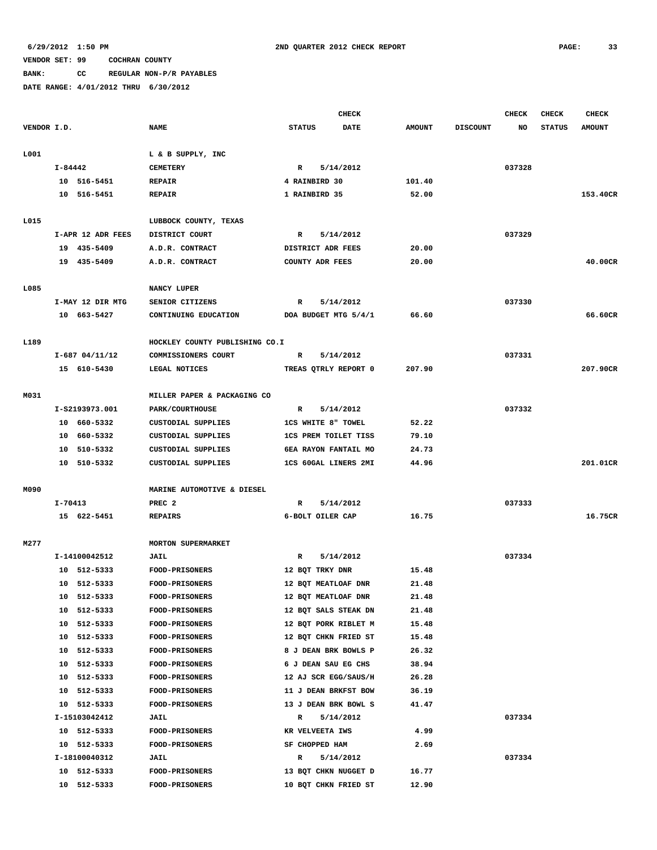**BANK: CC REGULAR NON-P/R PAYABLES**

|             |         |                   |                                |                             | CHECK                |               |                 | <b>CHECK</b> | <b>CHECK</b>  | <b>CHECK</b>  |
|-------------|---------|-------------------|--------------------------------|-----------------------------|----------------------|---------------|-----------------|--------------|---------------|---------------|
| VENDOR I.D. |         |                   | <b>NAME</b>                    | <b>STATUS</b>               | DATE                 | <b>AMOUNT</b> | <b>DISCOUNT</b> | NO           | <b>STATUS</b> | <b>AMOUNT</b> |
| L001        |         |                   | L & B SUPPLY, INC              |                             |                      |               |                 |              |               |               |
|             | I-84442 |                   | <b>CEMETERY</b>                | $\mathbb{R}$                | 5/14/2012            |               |                 | 037328       |               |               |
|             |         | 10 516-5451       | <b>REPAIR</b>                  | 4 RAINBIRD 30               |                      | 101.40        |                 |              |               |               |
|             |         | 10 516-5451       | <b>REPAIR</b>                  | 1 RAINBIRD 35               |                      | 52.00         |                 |              |               | 153.40CR      |
|             |         |                   |                                |                             |                      |               |                 |              |               |               |
| L015        |         |                   | LUBBOCK COUNTY, TEXAS          |                             |                      |               |                 |              |               |               |
|             |         | I-APR 12 ADR FEES | DISTRICT COURT                 | $\mathbb{R}$                | 5/14/2012            |               |                 | 037329       |               |               |
|             |         | 19 435-5409       | A.D.R. CONTRACT                | DISTRICT ADR FEES           |                      | 20.00         |                 |              |               |               |
|             |         | 19 435-5409       | A.D.R. CONTRACT                | <b>COUNTY ADR FEES</b>      |                      | 20.00         |                 |              |               | 40.00CR       |
| L085        |         |                   | NANCY LUPER                    |                             |                      |               |                 |              |               |               |
|             |         | I-MAY 12 DIR MTG  | SENIOR CITIZENS                | R                           | 5/14/2012            |               |                 | 037330       |               |               |
|             |         | 10 663-5427       | CONTINUING EDUCATION           | DOA BUDGET MTG 5/4/1        |                      | 66.60         |                 |              |               | 66.60CR       |
|             |         |                   |                                |                             |                      |               |                 |              |               |               |
| L189        |         |                   | HOCKLEY COUNTY PUBLISHING CO.I |                             |                      |               |                 |              |               |               |
|             |         | $I-687$ 04/11/12  | COMMISSIONERS COURT            | R                           | 5/14/2012            |               |                 | 037331       |               |               |
|             |         | 15 610-5430       | LEGAL NOTICES                  |                             | TREAS QTRLY REPORT 0 | 207.90        |                 |              |               | 207.90CR      |
|             |         |                   |                                |                             |                      |               |                 |              |               |               |
| M031        |         |                   | MILLER PAPER & PACKAGING CO    |                             |                      |               |                 |              |               |               |
|             |         | I-S2193973.001    | <b>PARK/COURTHOUSE</b>         | R                           | 5/14/2012            |               |                 | 037332       |               |               |
|             |         | 10 660-5332       | CUSTODIAL SUPPLIES             | <b>1CS WHITE 8" TOWEL</b>   |                      | 52.22         |                 |              |               |               |
|             |         | 10 660-5332       | CUSTODIAL SUPPLIES             | <b>1CS PREM TOILET TISS</b> |                      | 79.10         |                 |              |               |               |
|             |         | 10 510-5332       | CUSTODIAL SUPPLIES             | 6EA RAYON FANTAIL MO        |                      | 24.73         |                 |              |               |               |
|             |         | 10 510-5332       | CUSTODIAL SUPPLIES             | 1CS 60GAL LINERS 2MI        |                      | 44.96         |                 |              |               | 201.01CR      |
| M090        |         |                   | MARINE AUTOMOTIVE & DIESEL     |                             |                      |               |                 |              |               |               |
|             | I-70413 |                   | PREC <sub>2</sub>              | R                           | 5/14/2012            |               |                 | 037333       |               |               |
|             |         | 15 622-5451       | <b>REPAIRS</b>                 | 6-BOLT OILER CAP            |                      | 16.75         |                 |              |               | 16.75CR       |
|             |         |                   |                                |                             |                      |               |                 |              |               |               |
| M277        |         |                   | <b>MORTON SUPERMARKET</b>      |                             |                      |               |                 |              |               |               |
|             |         | I-14100042512     | <b>JAIL</b>                    | R                           | 5/14/2012            |               |                 | 037334       |               |               |
|             |         | 10 512-5333       | <b>FOOD-PRISONERS</b>          | 12 BQT TRKY DNR             |                      | 15.48         |                 |              |               |               |
|             |         | 10 512-5333       | FOOD-PRISONERS                 | 12 BQT MEATLOAF DNR         |                      | 21.48         |                 |              |               |               |
|             | 10      | 512-5333          | <b>FOOD-PRISONERS</b>          | 12 BQT MEATLOAF DNR         |                      | 21.48         |                 |              |               |               |
|             | 10      | 512-5333          | <b>FOOD-PRISONERS</b>          | 12 BQT SALS STEAK DN        |                      | 21.48         |                 |              |               |               |
|             |         | 10 512-5333       | FOOD-PRISONERS                 | 12 BOT PORK RIBLET M        |                      | 15.48         |                 |              |               |               |
|             | 10      | 512-5333          | FOOD-PRISONERS                 | 12 BQT CHKN FRIED ST        |                      | 15.48         |                 |              |               |               |
|             | 10      | 512-5333          | FOOD-PRISONERS                 | 8 J DEAN BRK BOWLS P        |                      | 26.32         |                 |              |               |               |
|             | 10      | 512-5333          | FOOD-PRISONERS                 | 6 J DEAN SAU EG CHS         |                      | 38.94         |                 |              |               |               |
|             |         | 10 512-5333       | FOOD-PRISONERS                 | 12 AJ SCR EGG/SAUS/H        |                      | 26.28         |                 |              |               |               |
|             |         | 10 512-5333       | <b>FOOD-PRISONERS</b>          | 11 J DEAN BRKFST BOW        |                      | 36.19         |                 |              |               |               |
|             |         | 10 512-5333       | <b>FOOD-PRISONERS</b>          | 13 J DEAN BRK BOWL S        |                      | 41.47         |                 |              |               |               |
|             |         | I-15103042412     | <b>JAIL</b>                    | $\mathbb{R}$                | 5/14/2012            |               |                 | 037334       |               |               |
|             |         | 10 512-5333       | <b>FOOD-PRISONERS</b>          | KR VELVEETA IWS             |                      | 4.99          |                 |              |               |               |
|             |         | 10 512-5333       | FOOD-PRISONERS                 | SF CHOPPED HAM              |                      | 2.69          |                 |              |               |               |
|             |         | I-18100040312     | <b>JAIL</b>                    | $\mathbb{R}$                | 5/14/2012            |               |                 | 037334       |               |               |
|             |         | 10 512-5333       | <b>FOOD-PRISONERS</b>          | 13 BQT CHKN NUGGET D        |                      | 16.77         |                 |              |               |               |
|             |         | 10 512-5333       | FOOD-PRISONERS                 | 10 BQT CHKN FRIED ST        |                      | 12.90         |                 |              |               |               |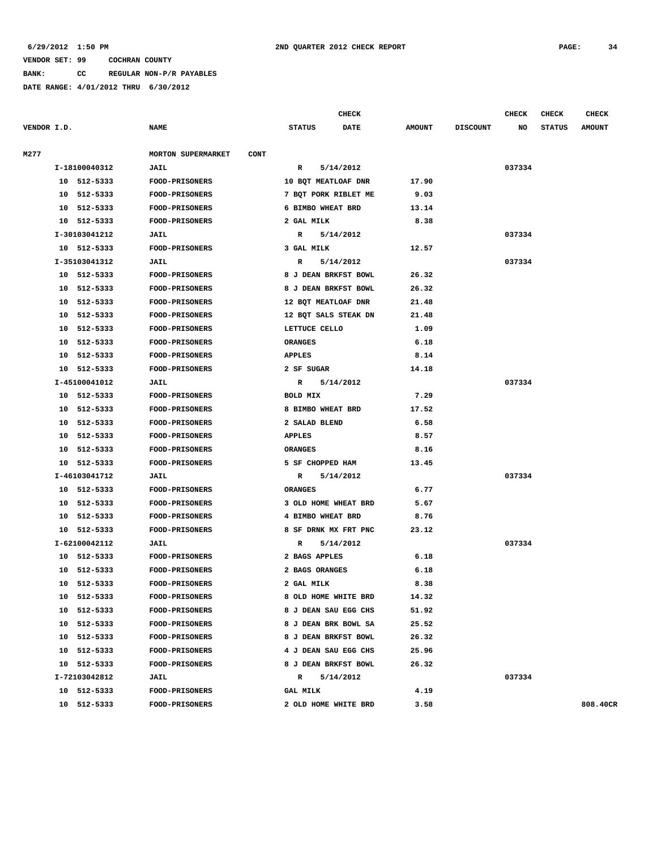#### **6/29/2012 1:50 PM 2ND QUARTER 2012 CHECK REPORT PAGE: 34**

#### **VENDOR SET: 99 COCHRAN COUNTY**

**BANK: CC REGULAR NON-P/R PAYABLES**

|             |                       |               |                                          |                              | <b>CHECK</b><br><b>CHECK</b><br><b>CHECK</b> |                 |        |               |               |
|-------------|-----------------------|---------------|------------------------------------------|------------------------------|----------------------------------------------|-----------------|--------|---------------|---------------|
| VENDOR I.D. |                       |               | <b>NAME</b>                              | <b>STATUS</b><br><b>DATE</b> | <b>AMOUNT</b>                                | <b>DISCOUNT</b> | NO     | <b>STATUS</b> | <b>AMOUNT</b> |
| M277        |                       |               | <b>MORTON SUPERMARKET</b><br><b>CONT</b> |                              |                                              |                 |        |               |               |
|             | I-18100040312<br>JAIL |               |                                          | R<br>5/14/2012               |                                              |                 | 037334 |               |               |
|             |                       | 10 512-5333   | <b>FOOD-PRISONERS</b>                    | 10 BQT MEATLOAF DNR          | 17.90                                        |                 |        |               |               |
|             |                       | 10 512-5333   | FOOD-PRISONERS                           | 7 BQT PORK RIBLET ME         | 9.03                                         |                 |        |               |               |
|             | 10                    | 512-5333      | <b>FOOD-PRISONERS</b>                    | 6 BIMBO WHEAT BRD            | 13.14                                        |                 |        |               |               |
|             | 10                    | 512-5333      | FOOD-PRISONERS                           | 2 GAL MILK                   | 8.38                                         |                 |        |               |               |
|             |                       | I-30103041212 | JAIL                                     | $\mathbb{R}$<br>5/14/2012    |                                              |                 | 037334 |               |               |
|             |                       | 10 512-5333   | FOOD-PRISONERS                           | 3 GAL MILK                   | 12.57                                        |                 |        |               |               |
|             |                       | I-35103041312 | JAIL                                     | 5/14/2012<br>R               |                                              |                 | 037334 |               |               |
|             |                       | 10 512-5333   | FOOD-PRISONERS                           | 8 J DEAN BRKFST BOWL         | 26.32                                        |                 |        |               |               |
|             | 10                    | 512-5333      | <b>FOOD-PRISONERS</b>                    | 8 J DEAN BRKFST BOWL         | 26.32                                        |                 |        |               |               |
|             | 10                    | 512-5333      | <b>FOOD-PRISONERS</b>                    | 12 BQT MEATLOAF DNR          | 21.48                                        |                 |        |               |               |
|             | 10                    | 512-5333      | FOOD-PRISONERS                           | 12 BQT SALS STEAK DN         | 21.48                                        |                 |        |               |               |
|             | 10                    | 512-5333      | <b>FOOD-PRISONERS</b>                    | LETTUCE CELLO                | 1.09                                         |                 |        |               |               |
|             | 10                    | 512-5333      | <b>FOOD-PRISONERS</b>                    | <b>ORANGES</b>               | 6.18                                         |                 |        |               |               |
|             | 10                    | 512-5333      | FOOD-PRISONERS                           | <b>APPLES</b>                | 8.14                                         |                 |        |               |               |
|             | 10                    | 512-5333      | <b>FOOD-PRISONERS</b>                    | 2 SF SUGAR                   | 14.18                                        |                 |        |               |               |
|             |                       | I-45100041012 | JAIL                                     | $\mathbb{R}$<br>5/14/2012    |                                              |                 | 037334 |               |               |
|             |                       | 10 512-5333   | FOOD-PRISONERS                           | BOLD MIX                     | 7.29                                         |                 |        |               |               |
|             | 10                    | 512-5333      | FOOD-PRISONERS                           | 8 BIMBO WHEAT BRD            | 17.52                                        |                 |        |               |               |
|             | 10                    | 512-5333      | <b>FOOD-PRISONERS</b>                    | 2 SALAD BLEND                | 6.58                                         |                 |        |               |               |
|             | 10                    | 512-5333      | FOOD-PRISONERS                           | <b>APPLES</b>                | 8.57                                         |                 |        |               |               |
|             | 10                    | 512-5333      | <b>FOOD-PRISONERS</b>                    | <b>ORANGES</b>               | 8.16                                         |                 |        |               |               |
|             |                       | 10 512-5333   | <b>FOOD-PRISONERS</b>                    | 5 SF CHOPPED HAM             | 13.45                                        |                 |        |               |               |
|             |                       | I-46103041712 | JAIL                                     | 5/14/2012<br>R               |                                              |                 | 037334 |               |               |
|             | 10                    | 512-5333      | <b>FOOD-PRISONERS</b>                    | <b>ORANGES</b>               | 6.77                                         |                 |        |               |               |
|             | 10                    | 512-5333      | <b>FOOD-PRISONERS</b>                    | 3 OLD HOME WHEAT BRD         | 5.67                                         |                 |        |               |               |
|             | 10                    | 512-5333      | FOOD-PRISONERS                           | 4 BIMBO WHEAT BRD            | 8.76                                         |                 |        |               |               |
|             | 10                    | 512-5333      | <b>FOOD-PRISONERS</b>                    | 8 SF DRNK MX FRT PNC         | 23.12                                        |                 |        |               |               |
|             |                       | I-62100042112 | JAIL                                     | 5/14/2012<br>R               |                                              |                 | 037334 |               |               |
|             |                       | 10 512-5333   | FOOD-PRISONERS                           | 2 BAGS APPLES                | 6.18                                         |                 |        |               |               |
|             | 10                    | 512-5333      | FOOD-PRISONERS                           | 2 BAGS ORANGES               | 6.18                                         |                 |        |               |               |
|             |                       | 10 512-5333   | <b>FOOD-PRISONERS</b>                    | 2 GAL MILK                   | 8.38                                         |                 |        |               |               |
|             |                       | 10 512-5333   | <b>FOOD-PRISONERS</b>                    | 8 OLD HOME WHITE BRD         | 14.32                                        |                 |        |               |               |
|             |                       | 10 512-5333   | <b>FOOD-PRISONERS</b>                    | 8 J DEAN SAU EGG CHS         | 51.92                                        |                 |        |               |               |
|             |                       | 10 512-5333   | <b>FOOD-PRISONERS</b>                    | 8 J DEAN BRK BOWL SA         | 25.52                                        |                 |        |               |               |
|             |                       | 10 512-5333   | <b>FOOD-PRISONERS</b>                    | 8 J DEAN BRKFST BOWL         | 26.32                                        |                 |        |               |               |
|             |                       | 10 512-5333   | <b>FOOD-PRISONERS</b>                    | 4 J DEAN SAU EGG CHS         | 25.96                                        |                 |        |               |               |
|             |                       | 10 512-5333   | FOOD-PRISONERS                           | 8 J DEAN BRKFST BOWL         | 26.32                                        |                 |        |               |               |
|             |                       | I-72103042812 | JAIL                                     | R 5/14/2012                  |                                              |                 | 037334 |               |               |
|             |                       | 10 512-5333   | <b>FOOD-PRISONERS</b>                    | <b>GAL MILK</b>              | 4.19                                         |                 |        |               |               |
|             |                       | 10 512-5333   | <b>FOOD-PRISONERS</b>                    | 2 OLD HOME WHITE BRD         | 3.58                                         |                 |        |               | 808,40CR      |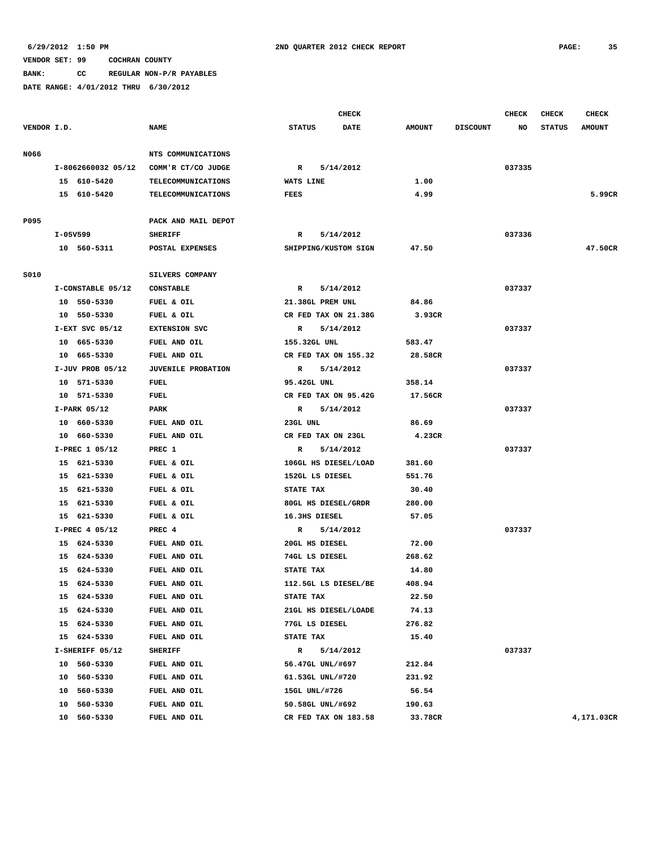**BANK: CC REGULAR NON-P/R PAYABLES**

|             |                    |                           |                      | <b>CHECK</b> |               |                 | CHECK  | <b>CHECK</b>  | <b>CHECK</b>  |
|-------------|--------------------|---------------------------|----------------------|--------------|---------------|-----------------|--------|---------------|---------------|
| VENDOR I.D. |                    | <b>NAME</b>               | <b>STATUS</b>        | <b>DATE</b>  | <b>AMOUNT</b> | <b>DISCOUNT</b> | NO     | <b>STATUS</b> | <b>AMOUNT</b> |
| N066        |                    | NTS COMMUNICATIONS        |                      |              |               |                 |        |               |               |
|             | I-8062660032 05/12 | COMM'R CT/CO JUDGE        | R                    | 5/14/2012    |               |                 | 037335 |               |               |
|             | 15 610-5420        | TELECOMMUNICATIONS        | WATS LINE            |              | 1.00          |                 |        |               |               |
|             | 15 610-5420        | <b>TELECOMMUNICATIONS</b> | FEES                 |              | 4.99          |                 |        |               | 5.99CR        |
|             |                    |                           |                      |              |               |                 |        |               |               |
| P095        |                    | PACK AND MAIL DEPOT       |                      |              |               |                 |        |               |               |
|             | I-05V599           | <b>SHERIFF</b>            | R                    | 5/14/2012    |               |                 | 037336 |               |               |
|             | 10 560-5311        | POSTAL EXPENSES           | SHIPPING/KUSTOM SIGN |              | 47.50         |                 |        |               | 47.50CR       |
|             |                    |                           |                      |              |               |                 |        |               |               |
| S010        |                    | SILVERS COMPANY           |                      |              |               |                 |        |               |               |
|             | I-CONSTABLE 05/12  | <b>CONSTABLE</b>          | R                    | 5/14/2012    |               |                 | 037337 |               |               |
|             | 10 550-5330        | FUEL & OIL                | 21.38GL PREM UNL     |              | 84.86         |                 |        |               |               |
|             | 10 550-5330        | FUEL & OIL                | CR FED TAX ON 21.38G |              | 3.93CR        |                 |        |               |               |
|             | $I-EXT$ SVC 05/12  | <b>EXTENSION SVC</b>      | R                    | 5/14/2012    |               |                 | 037337 |               |               |
|             | 10 665-5330        | FUEL AND OIL              | 155.32GL UNL         |              | 583.47        |                 |        |               |               |
|             | 10 665-5330        | FUEL AND OIL              | CR FED TAX ON 155.32 |              | 28.58CR       |                 |        |               |               |
|             | $I-JUV$ PROB 05/12 | <b>JUVENILE PROBATION</b> | R                    | 5/14/2012    |               |                 | 037337 |               |               |
|             | 10 571-5330        | FUEL                      | 95.42GL UNL          |              | 358.14        |                 |        |               |               |
|             | 10 571-5330        | FUEL                      | CR FED TAX ON 95.42G |              | 17.56CR       |                 |        |               |               |
|             | $I-PARK$ 05/12     | PARK                      | R                    | 5/14/2012    |               |                 | 037337 |               |               |
|             | 10 660-5330        | FUEL AND OIL              | 23GL UNL             |              | 86.69         |                 |        |               |               |
|             | 10 660-5330        | FUEL AND OIL              | CR FED TAX ON 23GL   |              | 4.23CR        |                 |        |               |               |
|             | I-PREC 1 05/12     | PREC 1                    | R                    | 5/14/2012    |               |                 | 037337 |               |               |
|             | 15 621-5330        | FUEL & OIL                | 106GL HS DIESEL/LOAD |              | 381.60        |                 |        |               |               |
|             | 15 621-5330        | FUEL & OIL                | 152GL LS DIESEL      |              | 551.76        |                 |        |               |               |
|             | 15 621-5330        | FUEL & OIL                | STATE TAX            |              | 30.40         |                 |        |               |               |
|             | 15 621-5330        | FUEL & OIL                | 80GL HS DIESEL/GRDR  |              | 280.00        |                 |        |               |               |
|             | 15 621-5330        | FUEL & OIL                | 16.3HS DIESEL        |              | 57.05         |                 |        |               |               |
|             | I-PREC 4 05/12     | PREC 4                    | $\mathbb{R}$         | 5/14/2012    |               |                 | 037337 |               |               |
|             | 15 624-5330        | FUEL AND OIL              | 20GL HS DIESEL       |              | 72.00         |                 |        |               |               |
|             | 15 624-5330        | FUEL AND OIL              | 74GL LS DIESEL       |              | 268.62        |                 |        |               |               |
|             | 15<br>624-5330     | FUEL AND OIL              | STATE TAX            |              | 14.80         |                 |        |               |               |
|             | 15 624-5330        | FUEL AND OIL              | 112.5GL LS DIESEL/BE |              | 408.94        |                 |        |               |               |
|             | 15<br>624-5330     | FUEL AND OIL              | STATE TAX            |              | 22.50         |                 |        |               |               |
|             | 15 624-5330        | FUEL AND OIL              | 21GL HS DIESEL/LOADE |              | 74.13         |                 |        |               |               |
|             | 15 624-5330        | FUEL AND OIL              | 77GL LS DIESEL       |              | 276.82        |                 |        |               |               |
|             | 15 624-5330        | FUEL AND OIL              | STATE TAX            |              | 15.40         |                 |        |               |               |
|             | I-SHERIFF 05/12    | <b>SHERIFF</b>            | R                    | 5/14/2012    |               |                 | 037337 |               |               |
|             | 10 560-5330        | FUEL AND OIL              | 56.47GL UNL/#697     |              | 212.84        |                 |        |               |               |
|             | 10 560-5330        | FUEL AND OIL              | 61.53GL UNL/#720     |              | 231.92        |                 |        |               |               |
|             | 10 560-5330        | FUEL AND OIL              | 15GL UNL/#726        |              | 56.54         |                 |        |               |               |
|             | 10 560-5330        | FUEL AND OIL              | 50.58GL UNL/#692     |              | 190.63        |                 |        |               |               |
|             | 10 560-5330        | FUEL AND OIL              | CR FED TAX ON 183.58 |              | 33.78CR       |                 |        |               | 4,171.03CR    |
|             |                    |                           |                      |              |               |                 |        |               |               |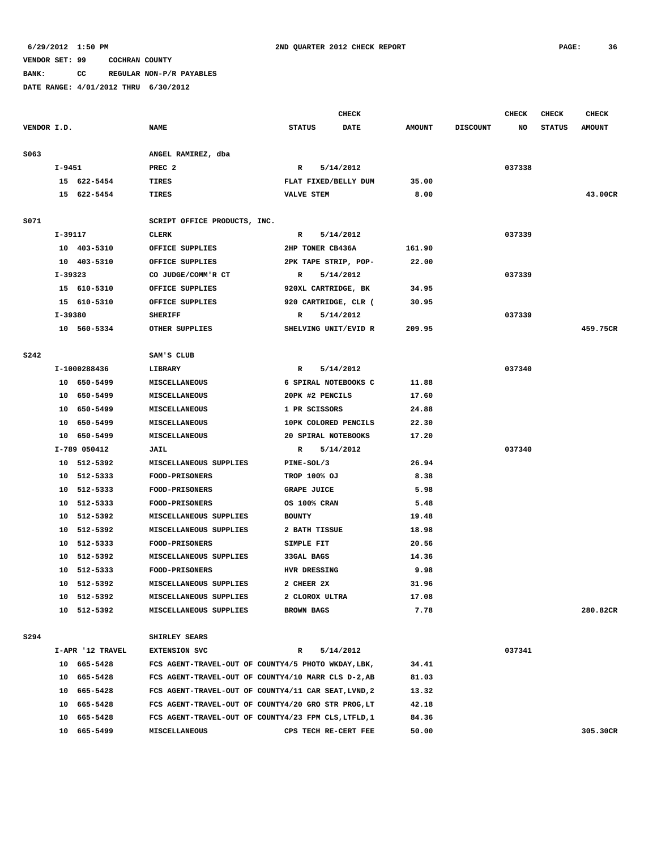**BANK: CC REGULAR NON-P/R PAYABLES**

|             |                  |                                                      | <b>CHECK</b>         |             |               |                 | <b>CHECK</b> | <b>CHECK</b>  | <b>CHECK</b>  |
|-------------|------------------|------------------------------------------------------|----------------------|-------------|---------------|-----------------|--------------|---------------|---------------|
| VENDOR I.D. |                  | <b>NAME</b>                                          | <b>STATUS</b>        | <b>DATE</b> | <b>AMOUNT</b> | <b>DISCOUNT</b> | NO           | <b>STATUS</b> | <b>AMOUNT</b> |
|             |                  |                                                      |                      |             |               |                 |              |               |               |
| S063        |                  | ANGEL RAMIREZ, dba                                   |                      |             |               |                 |              |               |               |
|             | $I-9451$         | PREC <sub>2</sub>                                    | R                    | 5/14/2012   |               |                 | 037338       |               |               |
|             | 15 622-5454      | TIRES                                                | FLAT FIXED/BELLY DUM |             | 35.00         |                 |              |               |               |
|             | 15 622-5454      | TIRES                                                | <b>VALVE STEM</b>    |             | 8.00          |                 |              |               | 43.00CR       |
|             |                  |                                                      |                      |             |               |                 |              |               |               |
| S071        |                  | SCRIPT OFFICE PRODUCTS, INC.                         |                      |             |               |                 |              |               |               |
|             | I-39117          | CLERK                                                | R                    | 5/14/2012   |               |                 | 037339       |               |               |
|             | 10 403-5310      | OFFICE SUPPLIES                                      | 2HP TONER CB436A     |             | 161.90        |                 |              |               |               |
|             | 10 403-5310      | OFFICE SUPPLIES                                      | 2PK TAPE STRIP, POP- |             | 22.00         |                 |              |               |               |
|             | I-39323          | CO JUDGE/COMM'R CT                                   | R                    | 5/14/2012   |               |                 | 037339       |               |               |
|             | 15 610-5310      | OFFICE SUPPLIES                                      | 920XL CARTRIDGE, BK  |             | 34.95         |                 |              |               |               |
|             | 15 610-5310      | OFFICE SUPPLIES                                      | 920 CARTRIDGE, CLR ( |             | 30.95         |                 |              |               |               |
|             | I-39380          | <b>SHERIFF</b>                                       | R                    | 5/14/2012   |               |                 | 037339       |               | 459.75CR      |
|             | 10 560-5334      | OTHER SUPPLIES                                       | SHELVING UNIT/EVID R |             | 209.95        |                 |              |               |               |
| <b>S242</b> |                  | SAM'S CLUB                                           |                      |             |               |                 |              |               |               |
|             | I-1000288436     | LIBRARY                                              | R                    | 5/14/2012   |               |                 | 037340       |               |               |
|             | 10 650-5499      | MISCELLANEOUS                                        | 6 SPIRAL NOTEBOOKS C |             | 11.88         |                 |              |               |               |
|             | 10 650-5499      | MISCELLANEOUS                                        | 20PK #2 PENCILS      |             | 17.60         |                 |              |               |               |
|             | 10 650-5499      | MISCELLANEOUS                                        | 1 PR SCISSORS        |             | 24.88         |                 |              |               |               |
|             | 10 650-5499      | MISCELLANEOUS                                        | 10PK COLORED PENCILS |             | 22.30         |                 |              |               |               |
|             | 10 650-5499      | MISCELLANEOUS                                        | 20 SPIRAL NOTEBOOKS  |             | 17.20         |                 |              |               |               |
|             | I-789 050412     | JAIL                                                 | $\mathbb{R}$         | 5/14/2012   |               |                 | 037340       |               |               |
|             | 10 512-5392      | MISCELLANEOUS SUPPLIES                               | PINE-SOL/3           |             | 26.94         |                 |              |               |               |
|             | 10 512-5333      | <b>FOOD-PRISONERS</b>                                | <b>TROP 100% OJ</b>  |             | 8.38          |                 |              |               |               |
|             | 10 512-5333      | <b>FOOD-PRISONERS</b>                                | <b>GRAPE JUICE</b>   |             | 5.98          |                 |              |               |               |
|             | 10 512-5333      | <b>FOOD-PRISONERS</b>                                | OS 100% CRAN         |             | 5.48          |                 |              |               |               |
|             | 10 512-5392      | MISCELLANEOUS SUPPLIES                               | <b>BOUNTY</b>        |             | 19.48         |                 |              |               |               |
|             | 10 512-5392      | MISCELLANEOUS SUPPLIES                               | 2 BATH TISSUE        |             | 18.98         |                 |              |               |               |
|             | 10 512-5333      | <b>FOOD-PRISONERS</b>                                | SIMPLE FIT           |             | 20.56         |                 |              |               |               |
|             | 10 512-5392      | MISCELLANEOUS SUPPLIES                               | 33GAL BAGS           |             | 14.36         |                 |              |               |               |
|             | 10 512-5333      | FOOD-PRISONERS                                       | HVR DRESSING         |             | 9.98          |                 |              |               |               |
|             | 10 512-5392      | MISCELLANEOUS SUPPLIES                               | 2 CHEER 2X           |             | 31.96         |                 |              |               |               |
|             | 10 512-5392      | MISCELLANEOUS SUPPLIES                               | 2 CLOROX ULTRA       |             | 17.08         |                 |              |               |               |
|             | 10 512-5392      | MISCELLANEOUS SUPPLIES                               | <b>BROWN BAGS</b>    |             | 7.78          |                 |              |               | 280.82CR      |
|             |                  |                                                      |                      |             |               |                 |              |               |               |
| S294        |                  | SHIRLEY SEARS                                        |                      |             |               |                 |              |               |               |
|             | I-APR '12 TRAVEL | <b>EXTENSION SVC</b>                                 | R                    | 5/14/2012   |               |                 | 037341       |               |               |
|             | 10 665-5428      | FCS AGENT-TRAVEL-OUT OF COUNTY4/5 PHOTO WKDAY, LBK,  |                      |             | 34.41         |                 |              |               |               |
|             | 10 665-5428      | FCS AGENT-TRAVEL-OUT OF COUNTY4/10 MARR CLS D-2, AB  |                      |             | 81.03         |                 |              |               |               |
|             | 10 665-5428      | FCS AGENT-TRAVEL-OUT OF COUNTY4/11 CAR SEAT, LVND, 2 |                      |             | 13.32         |                 |              |               |               |
|             | 10 665-5428      | FCS AGENT-TRAVEL-OUT OF COUNTY4/20 GRO STR PROG, LT  |                      |             | 42.18         |                 |              |               |               |
|             | 10 665-5428      | FCS AGENT-TRAVEL-OUT OF COUNTY4/23 FPM CLS, LTFLD, 1 |                      |             | 84.36         |                 |              |               |               |
|             | 10 665-5499      | MISCELLANEOUS                                        | CPS TECH RE-CERT FEE |             | 50.00         |                 |              |               | 305.30CR      |
|             |                  |                                                      |                      |             |               |                 |              |               |               |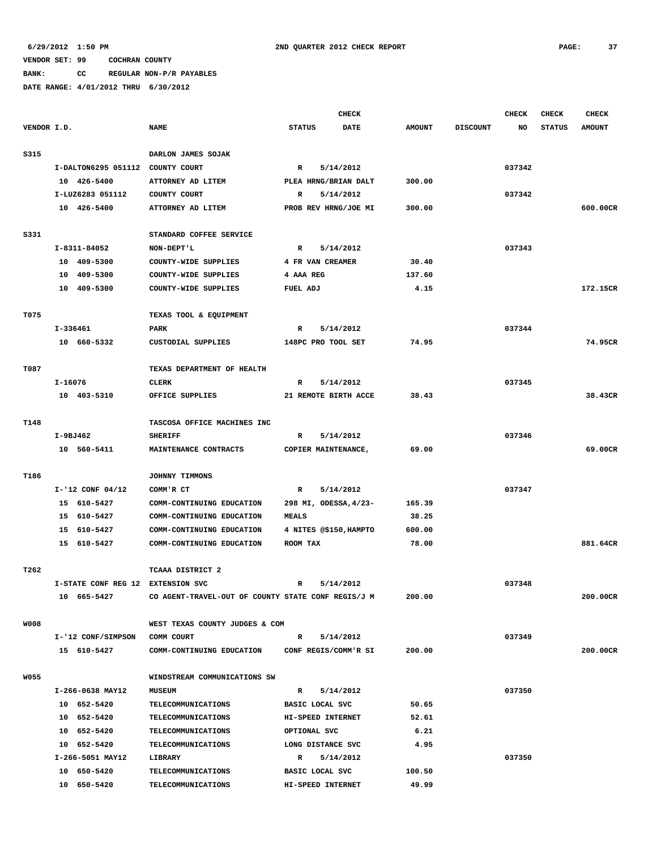**BANK: CC REGULAR NON-P/R PAYABLES**

| <b>STATUS</b><br><b>AMOUNT</b><br>600.00CR<br>172.15CR<br>74.95CR<br>38.43CR |
|------------------------------------------------------------------------------|
|                                                                              |
|                                                                              |
|                                                                              |
|                                                                              |
|                                                                              |
|                                                                              |
|                                                                              |
|                                                                              |
|                                                                              |
|                                                                              |
|                                                                              |
|                                                                              |
|                                                                              |
|                                                                              |
|                                                                              |
|                                                                              |
|                                                                              |
|                                                                              |
|                                                                              |
|                                                                              |
|                                                                              |
|                                                                              |
|                                                                              |
| 69.00CR                                                                      |
|                                                                              |
|                                                                              |
|                                                                              |
|                                                                              |
|                                                                              |
|                                                                              |
| 881.64CR                                                                     |
|                                                                              |
|                                                                              |
|                                                                              |
|                                                                              |
| 200.00CR                                                                     |
|                                                                              |
|                                                                              |
|                                                                              |
| 200.00CR                                                                     |
|                                                                              |
|                                                                              |
|                                                                              |
|                                                                              |
|                                                                              |
|                                                                              |
|                                                                              |
|                                                                              |
|                                                                              |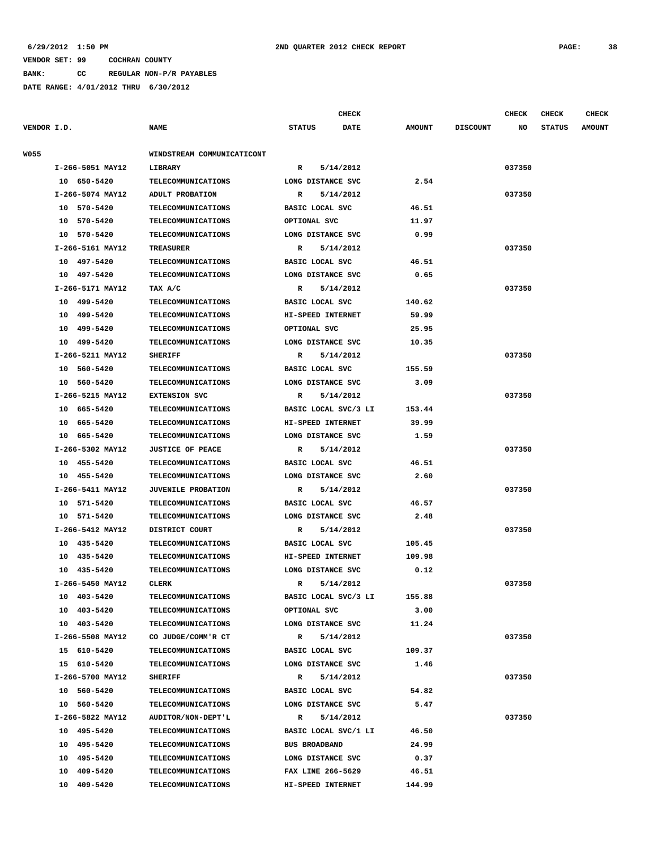#### **6/29/2012 1:50 PM 2ND QUARTER 2012 CHECK REPORT PAGE: 38**

#### **VENDOR SET: 99 COCHRAN COUNTY**

**BANK: CC REGULAR NON-P/R PAYABLES**

|             |                  |                            |                      | <b>CHECK</b>         |               |                 | <b>CHECK</b> | <b>CHECK</b>  | <b>CHECK</b>  |
|-------------|------------------|----------------------------|----------------------|----------------------|---------------|-----------------|--------------|---------------|---------------|
| VENDOR I.D. |                  | <b>NAME</b>                | <b>STATUS</b>        | <b>DATE</b>          | <b>AMOUNT</b> | <b>DISCOUNT</b> | NO           | <b>STATUS</b> | <b>AMOUNT</b> |
| W055        |                  | WINDSTREAM COMMUNICATICONT |                      |                      |               |                 |              |               |               |
|             | I-266-5051 MAY12 | LIBRARY                    | R                    | 5/14/2012            |               |                 | 037350       |               |               |
|             | 10 650-5420      | TELECOMMUNICATIONS         | LONG DISTANCE SVC    |                      | 2.54          |                 |              |               |               |
|             | I-266-5074 MAY12 | ADULT PROBATION            | R                    | 5/14/2012            |               |                 | 037350       |               |               |
|             | 10 570-5420      | <b>TELECOMMUNICATIONS</b>  | BASIC LOCAL SVC      |                      | 46.51         |                 |              |               |               |
|             | 10 570-5420      | <b>TELECOMMUNICATIONS</b>  | OPTIONAL SVC         |                      | 11.97         |                 |              |               |               |
|             | 10 570-5420      | <b>TELECOMMUNICATIONS</b>  | LONG DISTANCE SVC    |                      | 0.99          |                 |              |               |               |
|             | I-266-5161 MAY12 | TREASURER                  | R                    | 5/14/2012            |               |                 | 037350       |               |               |
|             | 10 497-5420      | TELECOMMUNICATIONS         | BASIC LOCAL SVC      |                      | 46.51         |                 |              |               |               |
|             | 10 497-5420      | <b>TELECOMMUNICATIONS</b>  | LONG DISTANCE SVC    |                      | 0.65          |                 |              |               |               |
|             | I-266-5171 MAY12 | TAX A/C                    | R                    | 5/14/2012            |               |                 | 037350       |               |               |
|             | 10 499-5420      | <b>TELECOMMUNICATIONS</b>  | BASIC LOCAL SVC      |                      | 140.62        |                 |              |               |               |
|             |                  |                            |                      |                      |               |                 |              |               |               |
|             | 10 499-5420      | <b>TELECOMMUNICATIONS</b>  | HI-SPEED INTERNET    |                      | 59.99         |                 |              |               |               |
|             | 10 499-5420      | <b>TELECOMMUNICATIONS</b>  | OPTIONAL SVC         |                      | 25.95         |                 |              |               |               |
|             | 10 499-5420      | <b>TELECOMMUNICATIONS</b>  | LONG DISTANCE SVC    |                      | 10.35         |                 |              |               |               |
|             | I-266-5211 MAY12 | <b>SHERIFF</b>             | $\mathbb{R}$         | 5/14/2012            |               |                 | 037350       |               |               |
|             | 10 560-5420      | <b>TELECOMMUNICATIONS</b>  | BASIC LOCAL SVC      |                      | 155.59        |                 |              |               |               |
|             | 10 560-5420      | TELECOMMUNICATIONS         | LONG DISTANCE SVC    |                      | 3.09          |                 |              |               |               |
|             | I-266-5215 MAY12 | <b>EXTENSION SVC</b>       | R                    | 5/14/2012            |               |                 | 037350       |               |               |
|             | 10 665-5420      | <b>TELECOMMUNICATIONS</b>  |                      | BASIC LOCAL SVC/3 LI | 153.44        |                 |              |               |               |
|             | 10 665-5420      | <b>TELECOMMUNICATIONS</b>  | HI-SPEED INTERNET    |                      | 39.99         |                 |              |               |               |
|             | 10 665-5420      | <b>TELECOMMUNICATIONS</b>  | LONG DISTANCE SVC    |                      | 1.59          |                 |              |               |               |
|             | I-266-5302 MAY12 | <b>JUSTICE OF PEACE</b>    | R                    | 5/14/2012            |               |                 | 037350       |               |               |
|             | 10 455-5420      | <b>TELECOMMUNICATIONS</b>  | BASIC LOCAL SVC      |                      | 46.51         |                 |              |               |               |
|             | 10 455-5420      | <b>TELECOMMUNICATIONS</b>  | LONG DISTANCE SVC    |                      | 2.60          |                 |              |               |               |
|             | I-266-5411 MAY12 | <b>JUVENILE PROBATION</b>  | R                    | 5/14/2012            |               |                 | 037350       |               |               |
|             | 10 571-5420      | <b>TELECOMMUNICATIONS</b>  | BASIC LOCAL SVC      |                      | 46.57         |                 |              |               |               |
|             | 10 571-5420      | <b>TELECOMMUNICATIONS</b>  | LONG DISTANCE SVC    |                      | 2.48          |                 |              |               |               |
|             | I-266-5412 MAY12 | DISTRICT COURT             | R                    | 5/14/2012            |               |                 | 037350       |               |               |
|             | 10 435-5420      | <b>TELECOMMUNICATIONS</b>  | BASIC LOCAL SVC      |                      | 105.45        |                 |              |               |               |
|             | 10 435-5420      | <b>TELECOMMUNICATIONS</b>  | HI-SPEED INTERNET    |                      | 109.98        |                 |              |               |               |
|             | 10 435-5420      | <b>TELECOMMUNICATIONS</b>  | LONG DISTANCE SVC    |                      | 0.12          |                 |              |               |               |
|             | I-266-5450 MAY12 | <b>CLERK</b>               | R                    | 5/14/2012            |               |                 | 037350       |               |               |
|             | 10 403-5420      | <b>TELECOMMUNICATIONS</b>  |                      | BASIC LOCAL SVC/3 LI | 155.88        |                 |              |               |               |
|             | 10 403-5420      | <b>TELECOMMUNICATIONS</b>  | OPTIONAL SVC         |                      | 3.00          |                 |              |               |               |
|             | 10 403-5420      | TELECOMMUNICATIONS         | LONG DISTANCE SVC    |                      | 11.24         |                 |              |               |               |
|             | I-266-5508 MAY12 | CO JUDGE/COMM'R CT         | $\mathbf{R}$         | 5/14/2012            |               |                 | 037350       |               |               |
|             | 15 610-5420      | <b>TELECOMMUNICATIONS</b>  | BASIC LOCAL SVC      |                      | 109.37        |                 |              |               |               |
|             | 15 610-5420      | <b>TELECOMMUNICATIONS</b>  | LONG DISTANCE SVC    |                      | 1.46          |                 |              |               |               |
|             | I-266-5700 MAY12 | <b>SHERIFF</b>             | $\mathbb{R}$         | 5/14/2012            |               |                 | 037350       |               |               |
|             | 10 560-5420      | <b>TELECOMMUNICATIONS</b>  | BASIC LOCAL SVC      |                      | 54.82         |                 |              |               |               |
|             | 10 560-5420      | <b>TELECOMMUNICATIONS</b>  | LONG DISTANCE SVC    |                      | 5.47          |                 |              |               |               |
|             | I-266-5822 MAY12 | AUDITOR/NON-DEPT'L         | $\mathbb{R}$         | 5/14/2012            |               |                 | 037350       |               |               |
|             | 10 495-5420      | <b>TELECOMMUNICATIONS</b>  |                      | BASIC LOCAL SVC/1 LI | 46.50         |                 |              |               |               |
|             | 10 495-5420      | <b>TELECOMMUNICATIONS</b>  | <b>BUS BROADBAND</b> |                      | 24.99         |                 |              |               |               |
|             | 10 495-5420      | <b>TELECOMMUNICATIONS</b>  | LONG DISTANCE SVC    |                      | 0.37          |                 |              |               |               |
|             | 10 409-5420      | <b>TELECOMMUNICATIONS</b>  | FAX LINE 266-5629    |                      | 46.51         |                 |              |               |               |
|             | 10 409-5420      | <b>TELECOMMUNICATIONS</b>  | HI-SPEED INTERNET    |                      | 144.99        |                 |              |               |               |
|             |                  |                            |                      |                      |               |                 |              |               |               |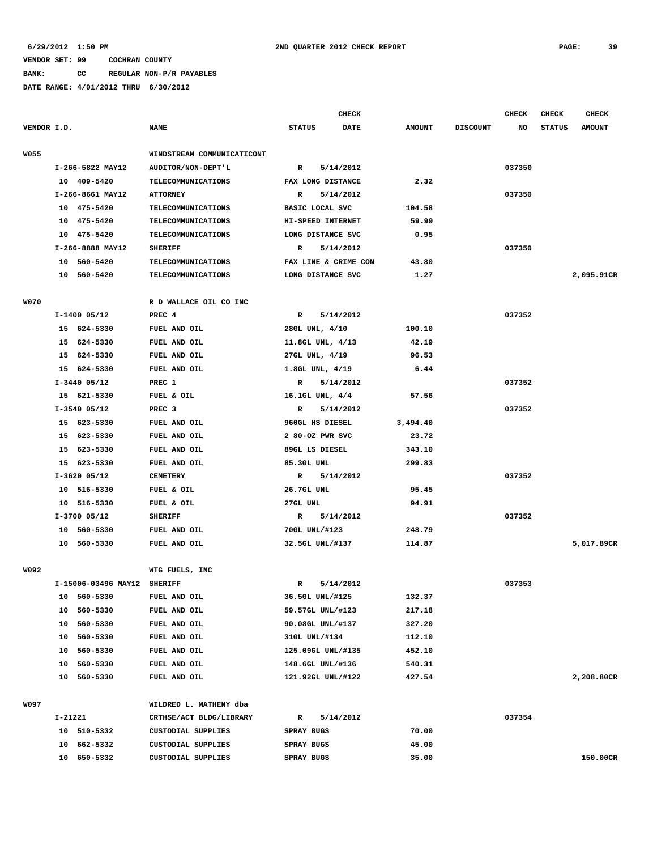**BANK: CC REGULAR NON-P/R PAYABLES**

|             |                             |                            |                      | <b>CHECK</b> |               |                 |        | <b>CHECK</b>  | CHECK         |
|-------------|-----------------------------|----------------------------|----------------------|--------------|---------------|-----------------|--------|---------------|---------------|
| VENDOR I.D. |                             | <b>NAME</b>                | <b>STATUS</b>        | <b>DATE</b>  | <b>AMOUNT</b> | <b>DISCOUNT</b> | NO     | <b>STATUS</b> | <b>AMOUNT</b> |
| <b>W055</b> |                             | WINDSTREAM COMMUNICATICONT |                      |              |               |                 |        |               |               |
|             | I-266-5822 MAY12            | AUDITOR/NON-DEPT'L         | R                    | 5/14/2012    |               |                 | 037350 |               |               |
|             | 10 409-5420                 | <b>TELECOMMUNICATIONS</b>  | FAX LONG DISTANCE    |              | 2.32          |                 |        |               |               |
|             | I-266-8661 MAY12            | <b>ATTORNEY</b>            | $\mathbb{R}$         | 5/14/2012    |               |                 | 037350 |               |               |
|             | 10 475-5420                 | <b>TELECOMMUNICATIONS</b>  | BASIC LOCAL SVC      |              | 104.58        |                 |        |               |               |
|             | 10 475-5420                 | <b>TELECOMMUNICATIONS</b>  | HI-SPEED INTERNET    |              | 59.99         |                 |        |               |               |
|             | 10 475-5420                 | <b>TELECOMMUNICATIONS</b>  | LONG DISTANCE SVC    |              | 0.95          |                 |        |               |               |
|             | I-266-8888 MAY12            | <b>SHERIFF</b>             | R                    | 5/14/2012    |               |                 | 037350 |               |               |
|             | 10 560-5420                 | <b>TELECOMMUNICATIONS</b>  | FAX LINE & CRIME CON |              | 43.80         |                 |        |               |               |
|             | 10 560-5420                 | TELECOMMUNICATIONS         | LONG DISTANCE SVC    |              | 1.27          |                 |        |               | 2,095.91CR    |
| <b>W070</b> |                             | R D WALLACE OIL CO INC     |                      |              |               |                 |        |               |               |
|             | $I-1400$ 05/12              | PREC 4                     | $\mathbb{R}$         | 5/14/2012    |               |                 | 037352 |               |               |
|             | 15 624-5330                 | FUEL AND OIL               | 28GL UNL, 4/10       |              | 100.10        |                 |        |               |               |
|             | 15 624-5330                 | FUEL AND OIL               | 11.8GL UNL, 4/13     |              | 42.19         |                 |        |               |               |
|             | 15 624-5330                 | FUEL AND OIL               | 27GL UNL, 4/19       |              | 96.53         |                 |        |               |               |
|             | 15 624-5330                 | FUEL AND OIL               | 1.8GL UNL, 4/19      |              | 6.44          |                 |        |               |               |
|             | $I-3440$ 05/12              | PREC 1                     | R                    | 5/14/2012    |               |                 | 037352 |               |               |
|             | 15 621-5330                 | FUEL & OIL                 | 16.1GL UNL, 4/4      |              | 57.56         |                 |        |               |               |
|             | $I-3540$ 05/12              | PREC <sub>3</sub>          | $\mathbb{R}$         | 5/14/2012    |               |                 | 037352 |               |               |
|             | 15 623-5330                 | FUEL AND OIL               | 960GL HS DIESEL      |              | 3,494.40      |                 |        |               |               |
|             | 15 623-5330                 | FUEL AND OIL               | 2 80-OZ PWR SVC      |              | 23.72         |                 |        |               |               |
|             | 15 623-5330                 | FUEL AND OIL               | 89GL LS DIESEL       |              | 343.10        |                 |        |               |               |
|             | 15 623-5330                 | FUEL AND OIL               | 85.3GL UNL           |              | 299.83        |                 |        |               |               |
|             | $I-3620$ 05/12              | <b>CEMETERY</b>            | R                    | 5/14/2012    |               |                 | 037352 |               |               |
|             | 10 516-5330                 | FUEL & OIL                 | 26.7GL UNL           |              | 95.45         |                 |        |               |               |
|             | 10 516-5330                 | FUEL & OIL                 | 27GL UNL             |              | 94.91         |                 |        |               |               |
|             | $I-3700$ 05/12              | <b>SHERIFF</b>             | R                    | 5/14/2012    |               |                 | 037352 |               |               |
|             | 10 560-5330                 | FUEL AND OIL               | 70GL UNL/#123        |              | 248.79        |                 |        |               |               |
|             | 10 560-5330                 | FUEL AND OIL               | 32.5GL UNL/#137      |              | 114.87        |                 |        |               | 5,017.89CR    |
| W092        |                             | WTG FUELS, INC             |                      |              |               |                 |        |               |               |
|             | I-15006-03496 MAY12 SHERIFF |                            | R                    | 5/14/2012    |               |                 | 037353 |               |               |
|             | 10 560-5330                 | FUEL AND OIL               | 36.5GL UNL/#125      |              | 132.37        |                 |        |               |               |
|             | 10 560-5330                 | FUEL AND OIL               | 59.57GL UNL/#123     |              | 217.18        |                 |        |               |               |
|             | 10 560-5330                 | FUEL AND OIL               | 90.08GL UNL/#137     |              | 327.20        |                 |        |               |               |
|             | 10 560-5330                 | FUEL AND OIL               | 31GL UNL/#134        |              | 112.10        |                 |        |               |               |
|             | 10 560-5330                 | FUEL AND OIL               | 125.09GL UNL/#135    |              | 452.10        |                 |        |               |               |
|             | 10 560-5330                 | FUEL AND OIL               | 148.6GL UNL/#136     |              | 540.31        |                 |        |               |               |
|             | 10 560-5330                 | FUEL AND OIL               | 121.92GL UNL/#122    |              | 427.54        |                 |        |               | 2,208.80CR    |
| W097        |                             | WILDRED L. MATHENY dba     |                      |              |               |                 |        |               |               |
|             | I-21221                     | CRTHSE/ACT BLDG/LIBRARY    | R                    | 5/14/2012    |               |                 | 037354 |               |               |
|             | 10 510-5332                 | CUSTODIAL SUPPLIES         | SPRAY BUGS           |              | 70.00         |                 |        |               |               |
|             | 10 662-5332                 | CUSTODIAL SUPPLIES         | SPRAY BUGS           |              | 45.00         |                 |        |               |               |
|             | 10 650-5332                 | CUSTODIAL SUPPLIES         | SPRAY BUGS           |              | 35.00         |                 |        |               | 150.00CR      |
|             |                             |                            |                      |              |               |                 |        |               |               |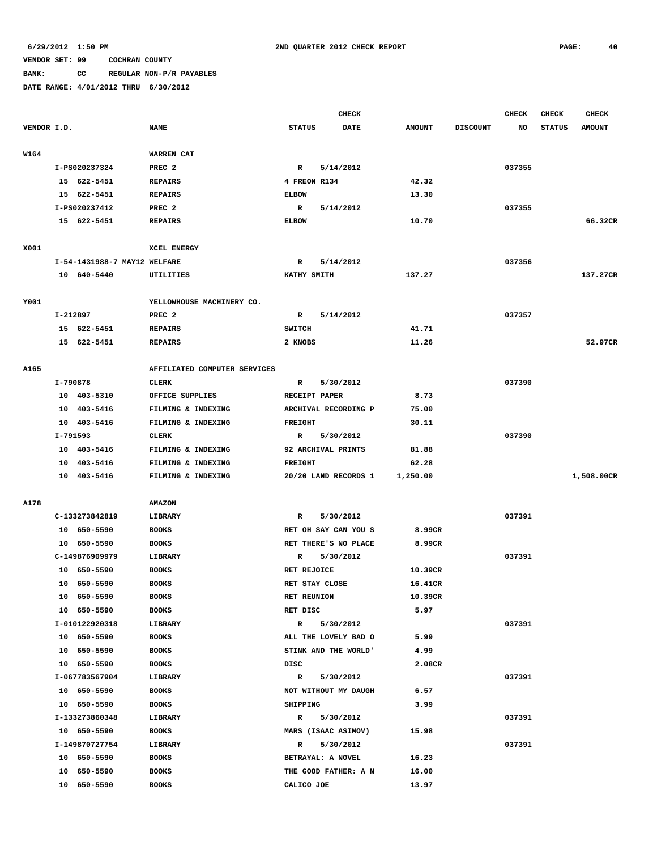## **BANK: CC REGULAR NON-P/R PAYABLES**

|             |                              |                                          | <b>CHECK</b>                           |                |                 | CHECK  | <b>CHECK</b>  | <b>CHECK</b>  |
|-------------|------------------------------|------------------------------------------|----------------------------------------|----------------|-----------------|--------|---------------|---------------|
| VENDOR I.D. |                              | <b>NAME</b>                              | <b>STATUS</b><br><b>DATE</b>           | <b>AMOUNT</b>  | <b>DISCOUNT</b> | NO     | <b>STATUS</b> | <b>AMOUNT</b> |
|             |                              |                                          |                                        |                |                 |        |               |               |
| W164        |                              | WARREN CAT                               |                                        |                |                 |        |               |               |
|             | I-PS020237324                | PREC <sub>2</sub>                        | 5/14/2012<br>R                         |                |                 | 037355 |               |               |
|             | 15 622-5451                  | <b>REPAIRS</b>                           | 4 FREON R134                           | 42.32          |                 |        |               |               |
|             | 15 622-5451                  | <b>REPAIRS</b>                           | <b>ELBOW</b>                           | 13.30          |                 |        |               |               |
|             | I-PS020237412                | PREC 2                                   | R<br>5/14/2012                         |                |                 | 037355 |               |               |
|             | 15 622-5451                  | <b>REPAIRS</b>                           | <b>ELBOW</b>                           | 10.70          |                 |        |               | 66.32CR       |
|             |                              |                                          |                                        |                |                 |        |               |               |
| X001        |                              | XCEL ENERGY                              |                                        |                |                 |        |               |               |
|             | I-54-1431988-7 MAY12 WELFARE |                                          | 5/14/2012<br>R                         |                |                 | 037356 |               |               |
|             | 10 640-5440                  | UTILITIES                                | KATHY SMITH                            | 137.27         |                 |        |               | 137.27CR      |
|             |                              |                                          |                                        |                |                 |        |               |               |
| Y001        |                              | YELLOWHOUSE MACHINERY CO.                |                                        |                |                 |        |               |               |
|             | I-212897                     | PREC <sub>2</sub>                        | 5/14/2012<br>R                         |                |                 | 037357 |               |               |
|             | 15 622-5451                  | <b>REPAIRS</b>                           | SWITCH                                 | 41.71          |                 |        |               |               |
|             | 15 622-5451                  | <b>REPAIRS</b>                           | 2 KNOBS                                | 11.26          |                 |        |               | 52.97CR       |
|             |                              |                                          |                                        |                |                 |        |               |               |
| A165        |                              | AFFILIATED COMPUTER SERVICES             |                                        |                |                 |        |               |               |
|             | I-790878                     | <b>CLERK</b>                             | 5/30/2012<br>R                         |                |                 | 037390 |               |               |
|             | 10 403-5310                  | OFFICE SUPPLIES                          | RECEIPT PAPER                          | 8.73           |                 |        |               |               |
|             | 10 403-5416<br>10 403-5416   | FILMING & INDEXING<br>FILMING & INDEXING | ARCHIVAL RECORDING P<br><b>FREIGHT</b> | 75.00<br>30.11 |                 |        |               |               |
|             | I-791593                     |                                          |                                        |                |                 |        |               |               |
|             | 10 403-5416                  | <b>CLERK</b>                             | 5/30/2012<br>R<br>92 ARCHIVAL PRINTS   | 81.88          |                 | 037390 |               |               |
|             | 10 403-5416                  | FILMING & INDEXING<br>FILMING & INDEXING | <b>FREIGHT</b>                         | 62.28          |                 |        |               |               |
|             | 10 403-5416                  | FILMING & INDEXING                       | 20/20 LAND RECORDS 1                   | 1,250.00       |                 |        |               | 1,508.00CR    |
|             |                              |                                          |                                        |                |                 |        |               |               |
| A178        |                              | <b>AMAZON</b>                            |                                        |                |                 |        |               |               |
|             | C-133273842819               | LIBRARY                                  | 5/30/2012<br>R                         |                |                 | 037391 |               |               |
|             | 10 650-5590                  | <b>BOOKS</b>                             | RET OH SAY CAN YOU S                   | 8.99CR         |                 |        |               |               |
|             | 10 650-5590                  | <b>BOOKS</b>                             | RET THERE'S NO PLACE                   | 8.99CR         |                 |        |               |               |
|             | C-149876909979               | LIBRARY                                  | 5/30/2012<br>R                         |                |                 | 037391 |               |               |
|             | 10 650-5590                  | <b>BOOKS</b>                             | RET REJOICE                            | 10.39CR        |                 |        |               |               |
|             | 10 650-5590                  | <b>BOOKS</b>                             | RET STAY CLOSE                         | 16.41CR        |                 |        |               |               |
|             | 10 650-5590                  | <b>BOOKS</b>                             | <b>RET REUNION</b>                     | 10.39CR        |                 |        |               |               |
|             | 10 650-5590                  | <b>BOOKS</b>                             | RET DISC                               | 5.97           |                 |        |               |               |
|             | I-010122920318               | LIBRARY                                  | R 5/30/2012                            |                |                 | 037391 |               |               |
|             | 10 650-5590                  | <b>BOOKS</b>                             | ALL THE LOVELY BAD O                   | 5.99           |                 |        |               |               |
|             | 10 650-5590                  | <b>BOOKS</b>                             | STINK AND THE WORLD'                   | 4.99           |                 |        |               |               |
|             | 10 650-5590                  | <b>BOOKS</b>                             | DISC                                   | 2.08CR         |                 |        |               |               |
|             | I-067783567904               | LIBRARY                                  | 5/30/2012<br>$\mathbf{R}$              |                |                 | 037391 |               |               |
|             | 10 650-5590                  | <b>BOOKS</b>                             | NOT WITHOUT MY DAUGH                   | 6.57           |                 |        |               |               |
|             | 10 650-5590                  | <b>BOOKS</b>                             | SHIPPING                               | 3.99           |                 |        |               |               |
|             | I-133273860348               | LIBRARY                                  | R 5/30/2012                            |                |                 | 037391 |               |               |
|             | 10 650-5590                  | <b>BOOKS</b>                             | MARS (ISAAC ASIMOV)                    | 15.98          |                 |        |               |               |
|             | I-149870727754               | LIBRARY                                  | 5/30/2012<br>$\mathbb{R}$              |                |                 | 037391 |               |               |
|             | 10 650-5590                  | <b>BOOKS</b>                             | BETRAYAL: A NOVEL                      | 16.23          |                 |        |               |               |
|             | 10 650-5590                  | <b>BOOKS</b>                             | THE GOOD FATHER: A N                   | 16.00          |                 |        |               |               |
|             | 10 650-5590                  | <b>BOOKS</b>                             | CALICO JOE                             | 13.97          |                 |        |               |               |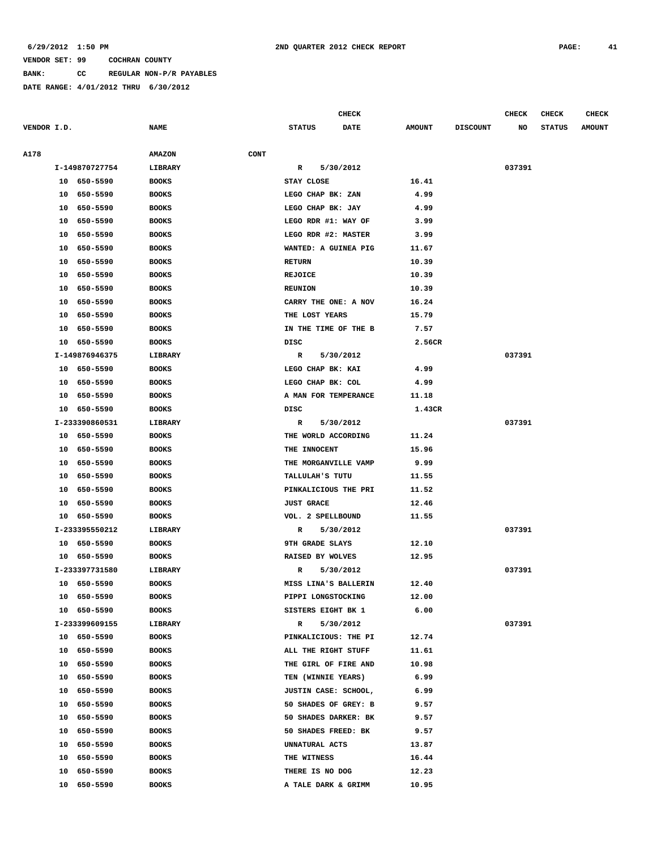**BANK: CC REGULAR NON-P/R PAYABLES**

|             |                |                       | <b>CHECK</b>           |             |               | CHECK           | <b>CHECK</b> | <b>CHECK</b>  |               |
|-------------|----------------|-----------------------|------------------------|-------------|---------------|-----------------|--------------|---------------|---------------|
| VENDOR I.D. |                | <b>NAME</b>           | <b>STATUS</b>          | <b>DATE</b> | <b>AMOUNT</b> | <b>DISCOUNT</b> | NO           | <b>STATUS</b> | <b>AMOUNT</b> |
|             |                |                       |                        |             |               |                 |              |               |               |
| A178        |                | <b>AMAZON</b><br>CONT |                        |             |               |                 |              |               |               |
|             | I-149870727754 | LIBRARY               | R                      | 5/30/2012   |               |                 | 037391       |               |               |
|             | 10 650-5590    | <b>BOOKS</b>          | STAY CLOSE             |             | 16.41         |                 |              |               |               |
|             | 650-5590<br>10 | <b>BOOKS</b>          | LEGO CHAP BK: ZAN      |             | 4.99          |                 |              |               |               |
|             | 650-5590<br>10 | <b>BOOKS</b>          | LEGO CHAP BK: JAY      |             | 4.99          |                 |              |               |               |
|             | 650-5590<br>10 | <b>BOOKS</b>          | LEGO RDR #1: WAY OF    |             | 3.99          |                 |              |               |               |
|             | 10<br>650-5590 | <b>BOOKS</b>          | LEGO RDR #2: MASTER    |             | 3.99          |                 |              |               |               |
|             | 650-5590<br>10 | <b>BOOKS</b>          | WANTED: A GUINEA PIG   |             | 11.67         |                 |              |               |               |
|             | 650-5590<br>10 | <b>BOOKS</b>          | <b>RETURN</b>          |             | 10.39         |                 |              |               |               |
|             | 650-5590<br>10 | <b>BOOKS</b>          | <b>REJOICE</b>         |             | 10.39         |                 |              |               |               |
|             | 650-5590<br>10 | <b>BOOKS</b>          | <b>REUNION</b>         |             | 10.39         |                 |              |               |               |
|             | 10<br>650-5590 | <b>BOOKS</b>          | CARRY THE ONE: A NOV   |             | 16.24         |                 |              |               |               |
|             | 10<br>650-5590 | <b>BOOKS</b>          | THE LOST YEARS         |             | 15.79         |                 |              |               |               |
|             | 650-5590<br>10 | <b>BOOKS</b>          | IN THE TIME OF THE B   |             | 7.57          |                 |              |               |               |
|             | 650-5590<br>10 | <b>BOOKS</b>          | DISC                   |             | 2.56CR        |                 |              |               |               |
|             | I-149876946375 | LIBRARY               | R                      | 5/30/2012   |               |                 | 037391       |               |               |
|             | 10 650-5590    | <b>BOOKS</b>          | LEGO CHAP BK: KAI      |             | 4.99          |                 |              |               |               |
|             | 10 650-5590    | <b>BOOKS</b>          | LEGO CHAP BK: COL      |             | 4.99          |                 |              |               |               |
|             | 650-5590<br>10 | <b>BOOKS</b>          | A MAN FOR TEMPERANCE   |             | 11.18         |                 |              |               |               |
|             | 10<br>650-5590 | <b>BOOKS</b>          | DISC                   |             | 1.43CR        |                 |              |               |               |
|             | I-233390860531 | LIBRARY               | R                      | 5/30/2012   |               |                 | 037391       |               |               |
|             | 650-5590<br>10 | <b>BOOKS</b>          | THE WORLD ACCORDING    |             | 11.24         |                 |              |               |               |
|             | 650-5590<br>10 | <b>BOOKS</b>          | THE INNOCENT           |             | 15.96         |                 |              |               |               |
|             | 10<br>650-5590 | <b>BOOKS</b>          | THE MORGANVILLE VAMP   |             | 9.99          |                 |              |               |               |
|             | 10<br>650-5590 | <b>BOOKS</b>          | TALLULAH'S TUTU        |             | 11.55         |                 |              |               |               |
|             | 650-5590<br>10 | <b>BOOKS</b>          | PINKALICIOUS THE PRI   |             | 11.52         |                 |              |               |               |
|             | 650-5590<br>10 | <b>BOOKS</b>          | <b>JUST GRACE</b>      |             | 12.46         |                 |              |               |               |
|             | 10 650-5590    | <b>BOOKS</b>          | VOL. 2 SPELLBOUND      |             | 11.55         |                 |              |               |               |
|             | I-233395550212 | LIBRARY               | $\mathbb{R}$           | 5/30/2012   |               |                 | 037391       |               |               |
|             | 10 650-5590    | <b>BOOKS</b>          | <b>9TH GRADE SLAYS</b> |             | 12.10         |                 |              |               |               |
|             | 10 650-5590    | <b>BOOKS</b>          | RAISED BY WOLVES       |             | 12.95         |                 |              |               |               |
|             | I-233397731580 | LIBRARY               | R                      | 5/30/2012   |               |                 | 037391       |               |               |
|             | 10 650-5590    | <b>BOOKS</b>          | MISS LINA'S BALLERIN   |             | 12.40         |                 |              |               |               |
|             | 10 650-5590    | <b>BOOKS</b>          | PIPPI LONGSTOCKING     |             | 12.00         |                 |              |               |               |
|             | 10 650-5590    | <b>BOOKS</b>          | SISTERS EIGHT BK 1     |             | 6.00          |                 |              |               |               |
|             | I-233399609155 | LIBRARY               | R                      | 5/30/2012   |               |                 | 037391       |               |               |
|             | 10 650-5590    | <b>BOOKS</b>          | PINKALICIOUS: THE PI   |             | 12.74         |                 |              |               |               |
|             | 10 650-5590    | <b>BOOKS</b>          | ALL THE RIGHT STUFF    |             | 11.61         |                 |              |               |               |
|             | 10 650-5590    | <b>BOOKS</b>          | THE GIRL OF FIRE AND   |             | 10.98         |                 |              |               |               |
|             | 10 650-5590    | <b>BOOKS</b>          | TEN (WINNIE YEARS)     |             | 6.99          |                 |              |               |               |
|             | 10 650-5590    | <b>BOOKS</b>          | JUSTIN CASE: SCHOOL,   |             | 6.99          |                 |              |               |               |
|             | 10 650-5590    | <b>BOOKS</b>          | 50 SHADES OF GREY: B   |             | 9.57          |                 |              |               |               |
|             | 650-5590<br>10 | <b>BOOKS</b>          | 50 SHADES DARKER: BK   |             | 9.57          |                 |              |               |               |
|             | 10 650-5590    | <b>BOOKS</b>          | 50 SHADES FREED: BK    |             | 9.57          |                 |              |               |               |
|             | 10 650-5590    | <b>BOOKS</b>          | UNNATURAL ACTS         |             | 13.87         |                 |              |               |               |
|             | 10<br>650-5590 | <b>BOOKS</b>          | THE WITNESS            |             | 16.44         |                 |              |               |               |
|             | 650-5590<br>10 | <b>BOOKS</b>          | THERE IS NO DOG        |             | 12.23         |                 |              |               |               |
|             | 650-5590<br>10 | <b>BOOKS</b>          | A TALE DARK & GRIMM    |             | 10.95         |                 |              |               |               |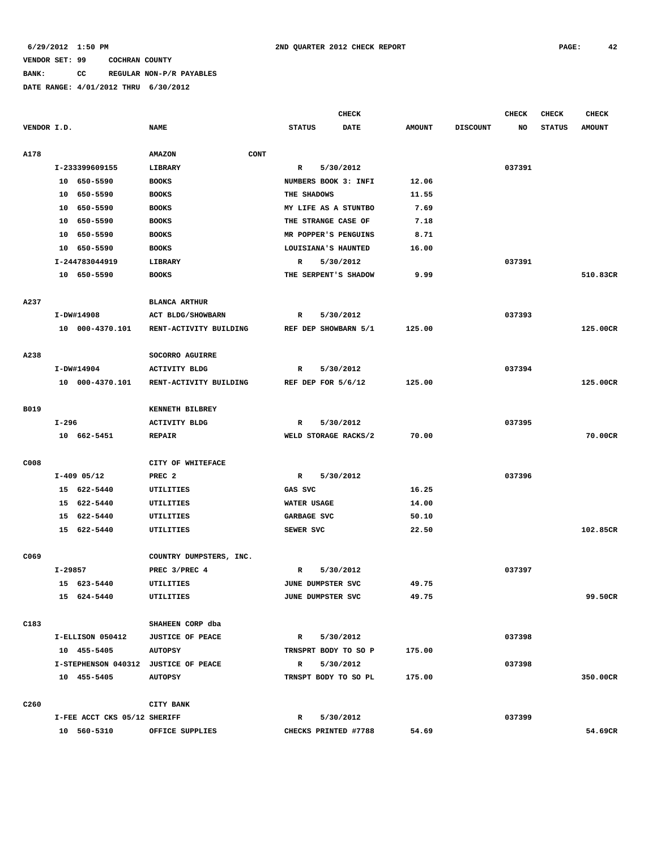# **BANK: CC REGULAR NON-P/R PAYABLES**

|                  |         |                              |                                      |      |                      | <b>CHECK</b> |               |                 | <b>CHECK</b> | <b>CHECK</b>  | <b>CHECK</b>  |
|------------------|---------|------------------------------|--------------------------------------|------|----------------------|--------------|---------------|-----------------|--------------|---------------|---------------|
| VENDOR I.D.      |         |                              | <b>NAME</b>                          |      | <b>STATUS</b>        | <b>DATE</b>  | <b>AMOUNT</b> | <b>DISCOUNT</b> | NO           | <b>STATUS</b> | <b>AMOUNT</b> |
| A178             |         |                              | <b>AMAZON</b>                        | CONT |                      |              |               |                 |              |               |               |
|                  |         | I-233399609155               | <b>LIBRARY</b>                       |      | R                    | 5/30/2012    |               |                 | 037391       |               |               |
|                  |         | 10 650-5590                  | <b>BOOKS</b>                         |      | NUMBERS BOOK 3: INFI |              | 12.06         |                 |              |               |               |
|                  |         | 10 650-5590                  | <b>BOOKS</b>                         |      | THE SHADOWS          |              | 11.55         |                 |              |               |               |
|                  | 10      | 650–5590                     | <b>BOOKS</b>                         |      | MY LIFE AS A STUNTBO |              | 7.69          |                 |              |               |               |
|                  | 10      | 650-5590                     | <b>BOOKS</b>                         |      | THE STRANGE CASE OF  |              | 7.18          |                 |              |               |               |
|                  | 10      | 650-5590                     | <b>BOOKS</b>                         |      | MR POPPER'S PENGUINS |              | 8.71          |                 |              |               |               |
|                  | 10      | 650-5590                     | <b>BOOKS</b>                         |      | LOUISIANA'S HAUNTED  |              | 16.00         |                 |              |               |               |
|                  |         | I-244783044919               | LIBRARY                              |      | R                    | 5/30/2012    |               |                 | 037391       |               |               |
|                  |         | 10 650-5590                  | <b>BOOKS</b>                         |      | THE SERPENT'S SHADOW |              | 9.99          |                 |              |               | 510.83CR      |
| A237             |         |                              | <b>BLANCA ARTHUR</b>                 |      |                      |              |               |                 |              |               |               |
|                  |         | I-DW#14908                   | ACT BLDG/SHOWBARN                    |      | R                    | 5/30/2012    |               |                 | 037393       |               |               |
|                  |         | 10 000-4370.101              | RENT-ACTIVITY BUILDING               |      | REF DEP SHOWBARN 5/1 |              | 125.00        |                 |              |               | 125.00CR      |
| A238             |         |                              | SOCORRO AGUIRRE                      |      |                      |              |               |                 |              |               |               |
|                  |         | I-DW#14904                   | <b>ACTIVITY BLDG</b>                 |      | R                    | 5/30/2012    |               |                 | 037394       |               |               |
|                  |         | 10 000-4370.101              | RENT-ACTIVITY BUILDING               |      | REF DEP FOR 5/6/12   |              | 125.00        |                 |              |               | 125.00CR      |
|                  |         |                              |                                      |      |                      |              |               |                 |              |               |               |
| B019             |         |                              | KENNETH BILBREY                      |      |                      |              |               |                 |              |               |               |
|                  | I-296   |                              | <b>ACTIVITY BLDG</b>                 |      | R                    | 5/30/2012    |               |                 | 037395       |               |               |
|                  |         | 10 662-5451                  | <b>REPAIR</b>                        |      | WELD STORAGE RACKS/2 |              | 70.00         |                 |              |               | 70.00CR       |
| C008             |         |                              | CITY OF WHITEFACE                    |      |                      |              |               |                 |              |               |               |
|                  |         | $I-409$ 05/12                | PREC <sub>2</sub>                    |      | R                    | 5/30/2012    |               |                 | 037396       |               |               |
|                  |         | 15 622-5440                  | UTILITIES                            |      | GAS SVC              |              | 16.25         |                 |              |               |               |
|                  |         | 15 622-5440                  | UTILITIES                            |      | WATER USAGE          |              | 14.00         |                 |              |               |               |
|                  |         | 15 622-5440                  | UTILITIES                            |      | GARBAGE SVC          |              | 50.10         |                 |              |               |               |
|                  |         | 15 622-5440                  | UTILITIES                            |      | SEWER SVC            |              | 22.50         |                 |              |               | 102.85CR      |
| C069             |         |                              | COUNTRY DUMPSTERS, INC.              |      |                      |              |               |                 |              |               |               |
|                  | I-29857 |                              | PREC 3/PREC 4                        |      | R                    | 5/30/2012    |               |                 | 037397       |               |               |
|                  |         | 15 623-5440                  | <b>UTILITIES</b>                     |      | JUNE DUMPSTER SVC    |              | 49.75         |                 |              |               |               |
|                  |         | 15 624-5440                  | UTILITIES                            |      | JUNE DUMPSTER SVC    |              | 49.75         |                 |              |               | 99.50CR       |
| C183             |         |                              | SHAHEEN CORP dba                     |      |                      |              |               |                 |              |               |               |
|                  |         |                              | I-ELLISON 050412 JUSTICE OF PEACE    |      | R 5/30/2012          |              |               |                 | 037398       |               |               |
|                  |         | 10 455-5405                  | <b>AUTOPSY</b>                       |      | TRNSPRT BODY TO SO P |              | 175.00        |                 |              |               |               |
|                  |         |                              | I-STEPHENSON 040312 JUSTICE OF PEACE |      | R 5/30/2012          |              |               |                 | 037398       |               |               |
|                  |         | 10 455-5405                  | <b>AUTOPSY</b>                       |      | TRNSPT BODY TO SO PL |              | 175.00        |                 |              |               | 350.00CR      |
|                  |         |                              |                                      |      |                      |              |               |                 |              |               |               |
| C <sub>260</sub> |         |                              | CITY BANK                            |      |                      |              |               |                 |              |               |               |
|                  |         | I-FEE ACCT CKS 05/12 SHERIFF |                                      |      | R 5/30/2012          |              |               |                 | 037399       |               |               |
|                  |         | 10 560-5310                  | OFFICE SUPPLIES                      |      | CHECKS PRINTED #7788 |              | 54.69         |                 |              |               | 54.69CR       |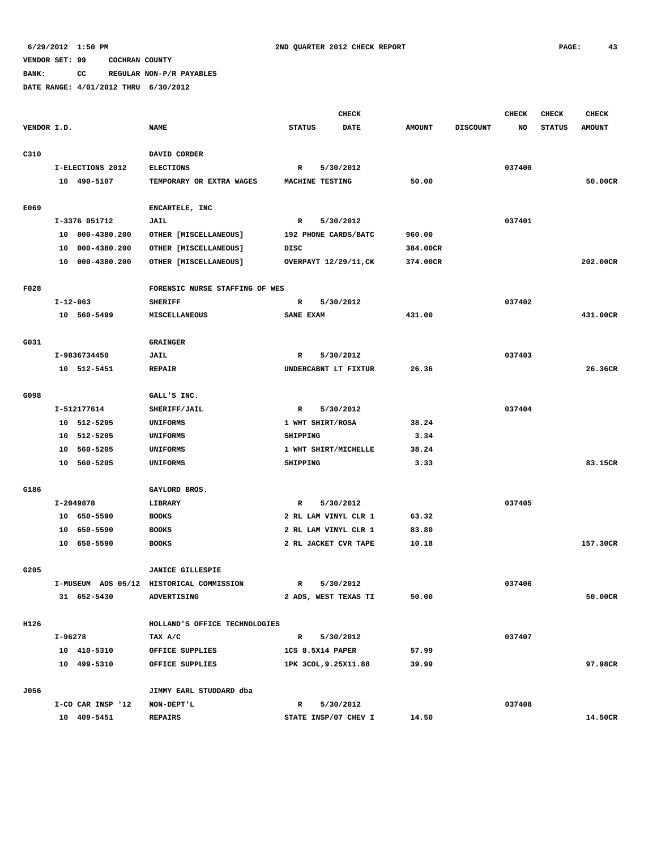**BANK: CC REGULAR NON-P/R PAYABLES**

|             |                    |                                          | <b>CHECK</b>              |               |                 | <b>CHECK</b> | <b>CHECK</b>  | <b>CHECK</b>  |
|-------------|--------------------|------------------------------------------|---------------------------|---------------|-----------------|--------------|---------------|---------------|
| VENDOR I.D. |                    | <b>NAME</b>                              | <b>STATUS</b><br>DATE     | <b>AMOUNT</b> | <b>DISCOUNT</b> | NO           | <b>STATUS</b> | <b>AMOUNT</b> |
|             |                    |                                          |                           |               |                 |              |               |               |
| C310        |                    | DAVID CORDER                             |                           |               |                 |              |               |               |
|             | I-ELECTIONS 2012   | <b>ELECTIONS</b>                         | 5/30/2012<br>R            |               |                 | 037400       |               |               |
|             | 10 490-5107        | TEMPORARY OR EXTRA WAGES                 | MACHINE TESTING           | 50.00         |                 |              |               | 50.00CR       |
|             |                    |                                          |                           |               |                 |              |               |               |
| E069        |                    | ENCARTELE, INC                           |                           |               |                 |              |               |               |
|             | I-3376 051712      | JAIL                                     | 5/30/2012<br>R            |               |                 | 037401       |               |               |
|             | 000-4380.200<br>10 | OTHER [MISCELLANEOUS]                    | 192 PHONE CARDS/BATC      | 960.00        |                 |              |               |               |
|             | 000-4380.200<br>10 | OTHER [MISCELLANEOUS]                    | DISC                      | 384.00CR      |                 |              |               |               |
|             | 000-4380.200<br>10 | OTHER [MISCELLANEOUS]                    | OVERPAYT 12/29/11, CK     | 374.00CR      |                 |              |               | 202.00CR      |
| F028        |                    | FORENSIC NURSE STAFFING OF WES           |                           |               |                 |              |               |               |
|             | $I - 12 - 063$     | <b>SHERIFF</b>                           | 5/30/2012<br>R            |               |                 | 037402       |               |               |
|             | 10 560-5499        | MISCELLANEOUS                            | SANE EXAM                 | 431.00        |                 |              |               | 431.00CR      |
|             |                    |                                          |                           |               |                 |              |               |               |
| G031        |                    | <b>GRAINGER</b>                          |                           |               |                 |              |               |               |
|             | I-9836734450       | JAIL                                     | $\mathbb{R}$<br>5/30/2012 |               |                 | 037403       |               |               |
|             | 10 512-5451        | <b>REPAIR</b>                            | UNDERCABNT LT FIXTUR      | 26.36         |                 |              |               | 26.36CR       |
|             |                    |                                          |                           |               |                 |              |               |               |
| G098        |                    | GALL'S INC.                              |                           |               |                 |              |               |               |
|             | I-512177614        | SHERIFF/JAIL                             | $\mathbb{R}$<br>5/30/2012 |               |                 | 037404       |               |               |
|             | 512-5205<br>10     | UNIFORMS                                 | 1 WHT SHIRT/ROSA          | 38.24         |                 |              |               |               |
|             | 512-5205<br>10     | <b>UNIFORMS</b>                          | SHIPPING                  | 3.34          |                 |              |               |               |
|             | 560-5205<br>10     | <b>UNIFORMS</b>                          | 1 WHT SHIRT/MICHELLE      | 38.24         |                 |              |               |               |
|             | 560-5205<br>10     | UNIFORMS                                 | SHIPPING                  | 3.33          |                 |              |               | 83.15CR       |
|             |                    |                                          |                           |               |                 |              |               |               |
| G186        |                    | GAYLORD BROS.                            |                           |               |                 |              |               |               |
|             | I-2049878          | LIBRARY                                  | 5/30/2012<br>R            |               |                 | 037405       |               |               |
|             | 10 650-5590        | <b>BOOKS</b>                             | 2 RL LAM VINYL CLR 1      | 63.32         |                 |              |               |               |
|             | 650-5590<br>10     | <b>BOOKS</b>                             | 2 RL LAM VINYL CLR 1      | 83.80         |                 |              |               |               |
|             | 650-5590<br>10     | <b>BOOKS</b>                             | 2 RL JACKET CVR TAPE      | 10.18         |                 |              |               | 157.30CR      |
| G205        |                    | <b>JANICE GILLESPIE</b>                  |                           |               |                 |              |               |               |
|             |                    | I-MUSEUM ADS 05/12 HISTORICAL COMMISSION | 5/30/2012<br>R            |               |                 | 037406       |               |               |
|             | 31 652-5430        | ADVERTISING                              | 2 ADS, WEST TEXAS TI      | 50.00         |                 |              |               | 50.00CR       |
|             |                    |                                          |                           |               |                 |              |               |               |
| H126        |                    | HOLLAND'S OFFICE TECHNOLOGIES            |                           |               |                 |              |               |               |
|             | I-96278            | TAX A/C                                  | $\mathbf{R}$<br>5/30/2012 |               |                 | 037407       |               |               |
|             | 10 410-5310        | OFFICE SUPPLIES                          | 1CS 8.5X14 PAPER          | 57.99         |                 |              |               |               |
|             | 10 499-5310        | OFFICE SUPPLIES                          | 1PK 3COL, 9.25X11.88      | 39.99         |                 |              |               | 97.98CR       |
| J056        |                    | JIMMY EARL STUDDARD dba                  |                           |               |                 |              |               |               |
|             | I-CO CAR INSP '12  | NON-DEPT'L                               | $\mathbb{R}$<br>5/30/2012 |               |                 | 037408       |               |               |
|             | 10 409-5451        | <b>REPAIRS</b>                           | STATE INSP/07 CHEV I      | 14.50         |                 |              |               | 14.50CR       |
|             |                    |                                          |                           |               |                 |              |               |               |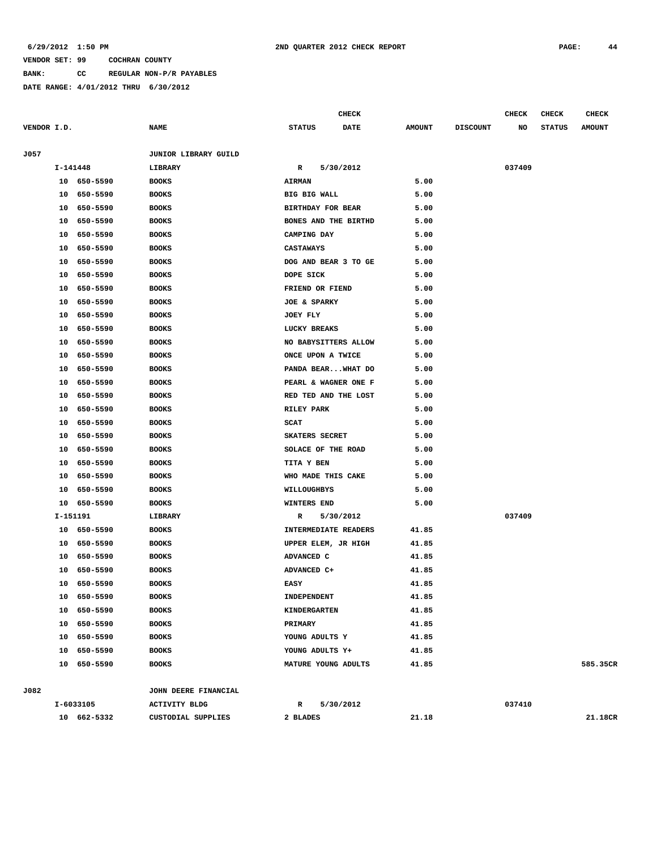**BANK: CC REGULAR NON-P/R PAYABLES**

**DATE RANGE: 4/01/2012 THRU 6/30/2012**

| VENDOR I.D. |             | <b>NAME</b>          | <b>STATUS</b><br><b>DATE</b> | <b>AMOUNT</b> | <b>DISCOUNT</b> | NO     | <b>STATUS</b> | <b>AMOUNT</b> |
|-------------|-------------|----------------------|------------------------------|---------------|-----------------|--------|---------------|---------------|
| J057        |             | JUNIOR LIBRARY GUILD |                              |               |                 |        |               |               |
|             | I-141448    | LIBRARY              | 5/30/2012<br>R               |               |                 | 037409 |               |               |
|             | 10 650-5590 | <b>BOOKS</b>         | <b>AIRMAN</b>                | 5.00          |                 |        |               |               |
| 10          | 650-5590    | <b>BOOKS</b>         | <b>BIG BIG WALL</b>          | 5.00          |                 |        |               |               |
| 10          | 650-5590    | <b>BOOKS</b>         | BIRTHDAY FOR BEAR            | 5.00          |                 |        |               |               |
| 10          | 650-5590    | <b>BOOKS</b>         | BONES AND THE BIRTHD         | 5.00          |                 |        |               |               |
| 10          | 650-5590    | <b>BOOKS</b>         | CAMPING DAY                  | 5.00          |                 |        |               |               |
| 10          | 650-5590    | <b>BOOKS</b>         | CASTAWAYS                    | 5.00          |                 |        |               |               |
| 10          | 650-5590    | <b>BOOKS</b>         | DOG AND BEAR 3 TO GE         | 5.00          |                 |        |               |               |
| 10          | 650-5590    | <b>BOOKS</b>         | DOPE SICK                    | 5.00          |                 |        |               |               |
| 10          | 650-5590    | <b>BOOKS</b>         | FRIEND OR FIEND              | 5.00          |                 |        |               |               |
| 10          | 650-5590    | <b>BOOKS</b>         | JOE & SPARKY                 | 5.00          |                 |        |               |               |
| 10          | 650-5590    | <b>BOOKS</b>         | JOEY FLY                     | 5.00          |                 |        |               |               |
| 10          | 650-5590    | <b>BOOKS</b>         | LUCKY BREAKS                 | 5.00          |                 |        |               |               |
| 10          | 650-5590    | <b>BOOKS</b>         | NO BABYSITTERS ALLOW         | 5.00          |                 |        |               |               |
| 10          | 650-5590    | <b>BOOKS</b>         | ONCE UPON A TWICE            | 5.00          |                 |        |               |               |
| 10          | 650-5590    | <b>BOOKS</b>         | PANDA BEARWHAT DO            | 5.00          |                 |        |               |               |
| 10          | 650-5590    | <b>BOOKS</b>         | PEARL & WAGNER ONE F         | 5.00          |                 |        |               |               |
| 10          | 650-5590    | <b>BOOKS</b>         | RED TED AND THE LOST         | 5.00          |                 |        |               |               |
| 10          | 650-5590    | <b>BOOKS</b>         | RILEY PARK                   | 5.00          |                 |        |               |               |
| 10          | 650-5590    | <b>BOOKS</b>         | <b>SCAT</b>                  | 5.00          |                 |        |               |               |
| 10          | 650-5590    | <b>BOOKS</b>         | SKATERS SECRET               | 5.00          |                 |        |               |               |
| 10          | 650-5590    | <b>BOOKS</b>         | SOLACE OF THE ROAD           | 5.00          |                 |        |               |               |
| 10          | 650-5590    | <b>BOOKS</b>         | TITA Y BEN                   | 5.00          |                 |        |               |               |
| 10          | 650-5590    | <b>BOOKS</b>         | WHO MADE THIS CAKE           | 5.00          |                 |        |               |               |
| 10          | 650-5590    | <b>BOOKS</b>         | WILLOUGHBYS                  | 5.00          |                 |        |               |               |
| 10          | 650-5590    | <b>BOOKS</b>         | WINTERS END                  | 5.00          |                 |        |               |               |
|             | I-151191    | LIBRARY              | 5/30/2012<br>R               |               |                 | 037409 |               |               |
|             | 10 650-5590 | <b>BOOKS</b>         | INTERMEDIATE READERS         | 41.85         |                 |        |               |               |
| 10          | 650-5590    | <b>BOOKS</b>         | UPPER ELEM, JR HIGH          | 41.85         |                 |        |               |               |
|             | 10 650-5590 | <b>BOOKS</b>         | ADVANCED C                   | 41.85         |                 |        |               |               |
| 10          | 650-5590    | <b>BOOKS</b>         | ADVANCED C+                  | 41.85         |                 |        |               |               |
| 10          | 650-5590    | <b>BOOKS</b>         | <b>EASY</b>                  | 41.85         |                 |        |               |               |
|             | 10 650-5590 | <b>BOOKS</b>         | INDEPENDENT                  | 41.85         |                 |        |               |               |
| 10          | 650-5590    | <b>BOOKS</b>         | <b>KINDERGARTEN</b>          | 41.85         |                 |        |               |               |
|             | 10 650-5590 | <b>BOOKS</b>         | PRIMARY                      | 41.85         |                 |        |               |               |
|             | 10 650-5590 | <b>BOOKS</b>         | YOUNG ADULTS Y               | 41.85         |                 |        |               |               |
|             | 10 650-5590 | <b>BOOKS</b>         | YOUNG ADULTS Y+              | 41.85         |                 |        |               |               |
|             | 10 650-5590 | <b>BOOKS</b>         | MATURE YOUNG ADULTS          | 41.85         |                 |        |               | 585.35CR      |
| J082        |             | JOHN DEERE FINANCIAL |                              |               |                 |        |               |               |
|             | I-6033105   | <b>ACTIVITY BLDG</b> | 5/30/2012<br>$\mathbb{R}$    |               |                 | 037410 |               |               |
|             | 10 662-5332 | CUSTODIAL SUPPLIES   | 2 BLADES                     | 21.18         |                 |        |               | 21.18CR       |

**CHECK CHECK CHECK CHECK CHECK CHECK CHECK**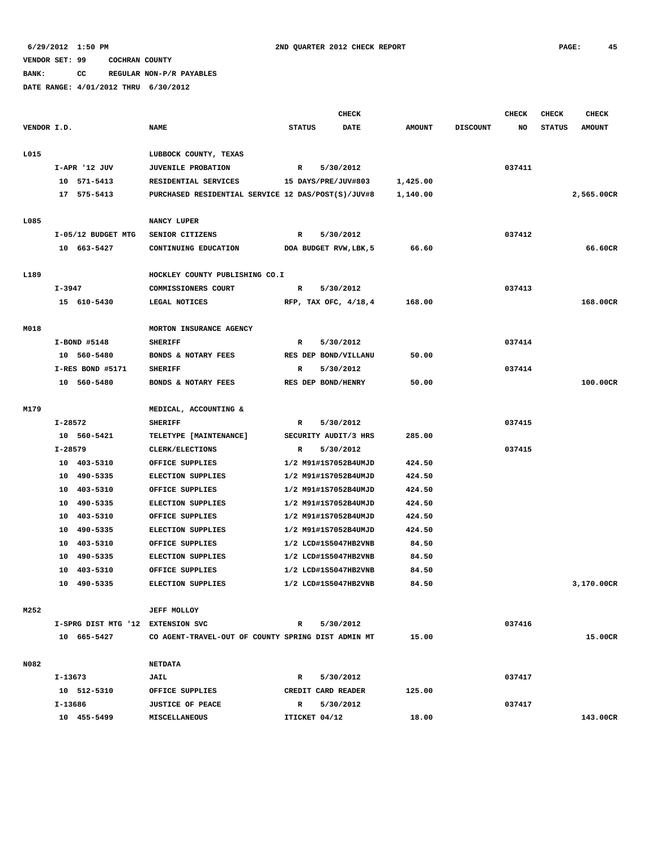**BANK: CC REGULAR NON-P/R PAYABLES**

|             |                                   |                                                    | <b>CHECK</b>        |                        |               |                 | <b>CHECK</b> | <b>CHECK</b>  | <b>CHECK</b>  |
|-------------|-----------------------------------|----------------------------------------------------|---------------------|------------------------|---------------|-----------------|--------------|---------------|---------------|
| VENDOR I.D. |                                   | <b>NAME</b>                                        | <b>STATUS</b>       | <b>DATE</b>            | <b>AMOUNT</b> | <b>DISCOUNT</b> | NO           | <b>STATUS</b> | <b>AMOUNT</b> |
|             |                                   |                                                    |                     |                        |               |                 |              |               |               |
| L015        |                                   | LUBBOCK COUNTY, TEXAS                              |                     |                        |               |                 |              |               |               |
|             | I-APR '12 JUV                     | <b>JUVENILE PROBATION</b>                          | $\mathbb{R}$        | 5/30/2012              |               |                 | 037411       |               |               |
|             | 10 571-5413                       | RESIDENTIAL SERVICES                               | 15 DAYS/PRE/JUV#803 |                        | 1,425.00      |                 |              |               |               |
|             | 17 575-5413                       | PURCHASED RESIDENTIAL SERVICE 12 DAS/POST(S)/JUV#8 |                     |                        | 1,140.00      |                 |              |               | 2,565.00CR    |
| L085        |                                   | NANCY LUPER                                        |                     |                        |               |                 |              |               |               |
|             | I-05/12 BUDGET MTG                | SENIOR CITIZENS                                    | R                   | 5/30/2012              |               |                 | 037412       |               |               |
|             | 10 663-5427                       | CONTINUING EDUCATION                               |                     | DOA BUDGET RVW, LBK, 5 | 66.60         |                 |              |               | 66.60CR       |
|             |                                   |                                                    |                     |                        |               |                 |              |               |               |
| L189        |                                   | HOCKLEY COUNTY PUBLISHING CO.I                     |                     |                        |               |                 |              |               |               |
|             | I-3947                            | COMMISSIONERS COURT                                | R                   | 5/30/2012              |               |                 | 037413       |               |               |
|             | 15 610-5430                       | LEGAL NOTICES                                      |                     | RFP, TAX OFC, 4/18,4   | 168.00        |                 |              |               | 168.00CR      |
|             |                                   |                                                    |                     |                        |               |                 |              |               |               |
| M018        |                                   | MORTON INSURANCE AGENCY                            |                     |                        |               |                 |              |               |               |
|             | I-BOND #5148                      | <b>SHERIFF</b>                                     | R                   | 5/30/2012              |               |                 | 037414       |               |               |
|             | 10 560-5480                       | BONDS & NOTARY FEES                                |                     | RES DEP BOND/VILLANU   | 50.00         |                 |              |               |               |
|             | I-RES BOND #5171                  | <b>SHERIFF</b>                                     | R                   | 5/30/2012              |               |                 | 037414       |               |               |
|             | 10 560-5480                       | BONDS & NOTARY FEES                                | RES DEP BOND/HENRY  |                        | 50.00         |                 |              |               | 100.00CR      |
| M179        |                                   | MEDICAL, ACCOUNTING &                              |                     |                        |               |                 |              |               |               |
|             | I-28572                           | <b>SHERIFF</b>                                     | R                   | 5/30/2012              |               |                 | 037415       |               |               |
|             | 10 560-5421                       | TELETYPE [MAINTENANCE]                             |                     | SECURITY AUDIT/3 HRS   | 285.00        |                 |              |               |               |
|             | $I - 28579$                       | CLERK/ELECTIONS                                    | R                   | 5/30/2012              |               |                 | 037415       |               |               |
|             | 10 403-5310                       | OFFICE SUPPLIES                                    |                     | 1/2 M91#1S7052B4UMJD   | 424.50        |                 |              |               |               |
|             | 10 490-5335                       | <b>ELECTION SUPPLIES</b>                           |                     | 1/2 M91#1S7052B4UMJD   | 424.50        |                 |              |               |               |
|             | 10 403-5310                       | OFFICE SUPPLIES                                    |                     | 1/2 M91#1S7052B4UMJD   | 424.50        |                 |              |               |               |
|             | 10 490-5335                       | <b>ELECTION SUPPLIES</b>                           |                     | 1/2 M91#1S7052B4UMJD   | 424.50        |                 |              |               |               |
|             | 403-5310<br>10                    | OFFICE SUPPLIES                                    |                     | 1/2 M91#1S7052B4UMJD   | 424.50        |                 |              |               |               |
|             | 490-5335<br>10                    | <b>ELECTION SUPPLIES</b>                           |                     | 1/2 M91#1S7052B4UMJD   | 424.50        |                 |              |               |               |
|             | 10 403-5310                       | OFFICE SUPPLIES                                    |                     | 1/2 LCD#1S5047HB2VNB   | 84.50         |                 |              |               |               |
|             | 10 490-5335                       | <b>ELECTION SUPPLIES</b>                           |                     | 1/2 LCD#1S5047HB2VNB   | 84.50         |                 |              |               |               |
|             | 10 403-5310                       | OFFICE SUPPLIES                                    |                     | 1/2 LCD#1S5047HB2VNB   | 84.50         |                 |              |               |               |
|             | 10 490-5335                       | ELECTION SUPPLIES                                  |                     | 1/2 LCD#1S5047HB2VNB   | 84.50         |                 |              |               | 3,170.00CR    |
|             |                                   |                                                    |                     |                        |               |                 |              |               |               |
| M252        |                                   | <b>JEFF MOLLOY</b>                                 |                     |                        |               |                 |              |               |               |
|             | I-SPRG DIST MTG '12 EXTENSION SVC |                                                    | R                   | 5/30/2012              |               |                 | 037416       |               |               |
|             | 10 665-5427                       | CO AGENT-TRAVEL-OUT OF COUNTY SPRING DIST ADMIN MT |                     |                        | 15.00         |                 |              |               | 15.00CR       |
|             |                                   |                                                    |                     |                        |               |                 |              |               |               |
| N082        |                                   | <b>NETDATA</b>                                     |                     |                        |               |                 |              |               |               |
|             | I-13673                           | JAIL                                               | R                   | 5/30/2012              |               |                 | 037417       |               |               |
|             | 10 512-5310                       | OFFICE SUPPLIES                                    | CREDIT CARD READER  |                        | 125.00        |                 |              |               |               |
|             | I-13686                           | <b>JUSTICE OF PEACE</b>                            | R                   | 5/30/2012              |               |                 | 037417       |               |               |
|             | 10 455-5499                       | <b>MISCELLANEOUS</b>                               | ITICKET 04/12       |                        | 18.00         |                 |              |               | 143.00CR      |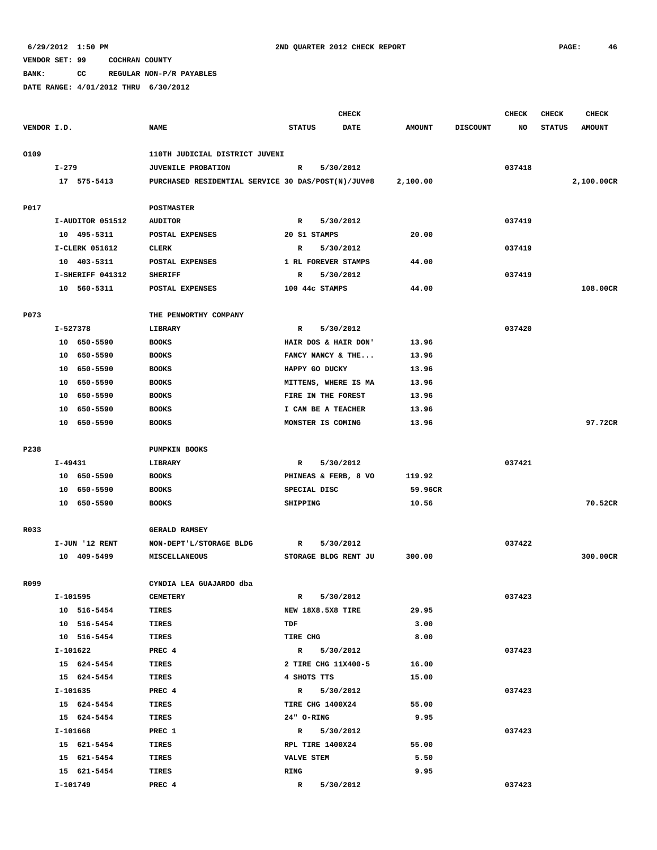**BANK: CC REGULAR NON-P/R PAYABLES**

|             |                         |                                                    | <b>CHECK</b>         |             |               |                 | <b>CHECK</b> | <b>CHECK</b>  | <b>CHECK</b>  |
|-------------|-------------------------|----------------------------------------------------|----------------------|-------------|---------------|-----------------|--------------|---------------|---------------|
| VENDOR I.D. |                         | <b>NAME</b>                                        | <b>STATUS</b>        | <b>DATE</b> | <b>AMOUNT</b> | <b>DISCOUNT</b> | NO           | <b>STATUS</b> | <b>AMOUNT</b> |
|             |                         |                                                    |                      |             |               |                 |              |               |               |
| 0109        |                         | 110TH JUDICIAL DISTRICT JUVENI                     |                      |             |               |                 |              |               |               |
|             | $I-279$                 | <b>JUVENILE PROBATION</b>                          | R                    | 5/30/2012   |               |                 | 037418       |               |               |
|             | 17 575-5413             | PURCHASED RESIDENTIAL SERVICE 30 DAS/POST(N)/JUV#8 |                      |             | 2,100.00      |                 |              |               | 2,100.00CR    |
|             |                         |                                                    |                      |             |               |                 |              |               |               |
| P017        |                         | <b>POSTMASTER</b>                                  |                      |             |               |                 |              |               |               |
|             | I-AUDITOR 051512        | <b>AUDITOR</b>                                     | R                    | 5/30/2012   |               |                 | 037419       |               |               |
|             | 10 495-5311             | POSTAL EXPENSES                                    | 20 \$1 STAMPS        |             | 20.00         |                 |              |               |               |
|             | I-CLERK 051612          | CLERK                                              | R                    | 5/30/2012   |               |                 | 037419       |               |               |
|             | 10 403-5311             | POSTAL EXPENSES                                    | 1 RL FOREVER STAMPS  |             | 44.00         |                 |              |               |               |
|             | I-SHERIFF 041312        | <b>SHERIFF</b>                                     | R                    | 5/30/2012   |               |                 | 037419       |               |               |
|             | 10 560-5311             | POSTAL EXPENSES                                    | 100 44c STAMPS       |             | 44.00         |                 |              |               | 108.00CR      |
| P073        |                         | THE PENWORTHY COMPANY                              |                      |             |               |                 |              |               |               |
|             | I-527378                | LIBRARY                                            | R                    | 5/30/2012   |               |                 | 037420       |               |               |
|             | 10 650-5590             | <b>BOOKS</b>                                       | HAIR DOS & HAIR DON' |             | 13.96         |                 |              |               |               |
|             | 10 650-5590             | <b>BOOKS</b>                                       | FANCY NANCY & THE    |             | 13.96         |                 |              |               |               |
|             | 10 650-5590             | <b>BOOKS</b>                                       | HAPPY GO DUCKY       |             | 13.96         |                 |              |               |               |
|             | 10 650-5590             | <b>BOOKS</b>                                       | MITTENS, WHERE IS MA |             | 13.96         |                 |              |               |               |
|             | 10 650-5590             | <b>BOOKS</b>                                       | FIRE IN THE FOREST   |             | 13.96         |                 |              |               |               |
|             | 10 650-5590             | <b>BOOKS</b>                                       | I CAN BE A TEACHER   |             | 13.96         |                 |              |               |               |
|             | 10 650-5590             | <b>BOOKS</b>                                       | MONSTER IS COMING    |             | 13.96         |                 |              |               | 97.72CR       |
|             |                         |                                                    |                      |             |               |                 |              |               |               |
| P238        |                         | <b>PUMPKIN BOOKS</b>                               |                      |             |               |                 |              |               |               |
|             | I-49431                 | LIBRARY                                            | R                    | 5/30/2012   |               |                 | 037421       |               |               |
|             | 10 650-5590             | <b>BOOKS</b>                                       | PHINEAS & FERB, 8 VO |             | 119.92        |                 |              |               |               |
|             | 10 650-5590             | <b>BOOKS</b>                                       | SPECIAL DISC         |             | 59.96CR       |                 |              |               |               |
|             | 10 650-5590             | <b>BOOKS</b>                                       | SHIPPING             |             | 10.56         |                 |              |               | 70.52CR       |
|             |                         |                                                    |                      |             |               |                 |              |               |               |
| R033        |                         | <b>GERALD RAMSEY</b>                               |                      |             |               |                 |              |               |               |
|             | I-JUN '12 RENT          | NON-DEPT'L/STORAGE BLDG                            | R                    | 5/30/2012   |               |                 | 037422       |               |               |
|             | 10 409-5499             | MISCELLANEOUS                                      | STORAGE BLDG RENT JU |             | 300.00        |                 |              |               | 300.00CR      |
|             |                         |                                                    |                      |             |               |                 |              |               |               |
| R099        |                         | CYNDIA LEA GUAJARDO dba                            |                      |             |               |                 |              |               |               |
|             | I-101595                | <b>CEMETERY</b>                                    | R 5/30/2012          |             |               |                 | 037423       |               |               |
|             | 10 516-5454             | TIRES                                              | NEW 18X8.5X8 TIRE    |             | 29.95         |                 |              |               |               |
|             | 10 516-5454             | TIRES                                              | TDF                  |             | 3.00          |                 |              |               |               |
|             | 10 516-5454             | TIRES                                              | TIRE CHG             |             | 8.00          |                 |              |               |               |
|             | I-101622                | PREC 4                                             | R 5/30/2012          |             |               |                 | 037423       |               |               |
|             | 15 624-5454             | TIRES                                              | 2 TIRE CHG 11X400-5  |             | 16.00         |                 |              |               |               |
|             | 15 624-5454             | TIRES                                              | 4 SHOTS TTS          |             | 15.00         |                 |              |               |               |
|             | I-101635                | PREC 4                                             | R 5/30/2012          |             |               |                 | 037423       |               |               |
|             | 15 624-5454             | TIRES                                              | TIRE CHG 1400X24     |             | 55.00         |                 |              |               |               |
|             | 15 624-5454             | TIRES                                              | 24" O-RING           |             | 9.95          |                 |              |               |               |
|             | I-101668                | PREC 1                                             | R 5/30/2012          |             |               |                 | 037423       |               |               |
|             | 15 621-5454             | TIRES                                              | RPL TIRE 1400X24     |             | 55.00         |                 |              |               |               |
|             | 15 621-5454             | TIRES                                              | <b>VALVE STEM</b>    |             | 5.50          |                 |              |               |               |
|             | 15 621-5454<br>I-101749 | TIRES<br>PREC 4                                    | RING<br>$\mathbf R$  | 5/30/2012   | 9.95          |                 | 037423       |               |               |
|             |                         |                                                    |                      |             |               |                 |              |               |               |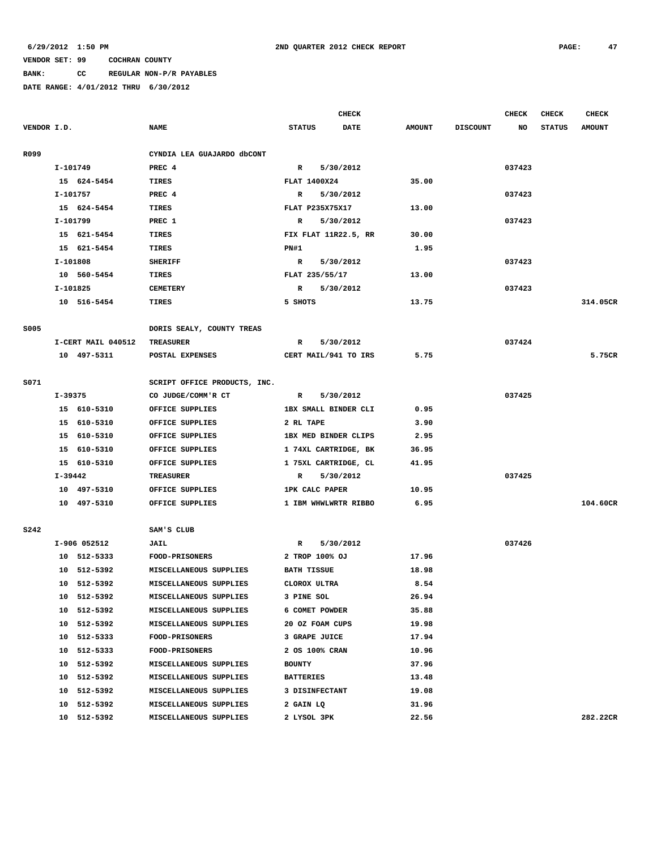# **BANK: CC REGULAR NON-P/R PAYABLES**

|             |           |                    |                              | CHECK            |                       |                      |               |                 | CHECK  | <b>CHECK</b>  | <b>CHECK</b>  |
|-------------|-----------|--------------------|------------------------------|------------------|-----------------------|----------------------|---------------|-----------------|--------|---------------|---------------|
| VENDOR I.D. |           |                    | <b>NAME</b>                  | <b>STATUS</b>    |                       | <b>DATE</b>          | <b>AMOUNT</b> | <b>DISCOUNT</b> | NO     | <b>STATUS</b> | <b>AMOUNT</b> |
|             |           |                    |                              |                  |                       |                      |               |                 |        |               |               |
| R099        |           |                    | CYNDIA LEA GUAJARDO dbCONT   |                  |                       |                      |               |                 |        |               |               |
|             | I-101749  |                    | PREC 4                       | R                |                       | 5/30/2012            |               |                 | 037423 |               |               |
|             |           | 15 624-5454        | TIRES                        |                  | <b>FLAT 1400X24</b>   |                      | 35.00         |                 |        |               |               |
|             | I-101757  |                    | PREC 4                       | R                |                       | 5/30/2012            |               |                 | 037423 |               |               |
|             |           | 15 624-5454        | TIRES                        |                  | FLAT P235X75X17       |                      | 13.00         |                 |        |               |               |
|             | I-101799  |                    | PREC 1                       | R                |                       | 5/30/2012            |               |                 | 037423 |               |               |
|             |           | 15 621-5454        | TIRES                        |                  |                       | FIX FLAT 11R22.5, RR | 30.00         |                 |        |               |               |
|             |           | 15 621-5454        | TIRES                        | PN#1             |                       |                      | 1.95          |                 |        |               |               |
|             | I-101808  |                    | <b>SHERIFF</b>               | $\mathbb{R}$     |                       | 5/30/2012            |               |                 | 037423 |               |               |
|             |           | 10 560-5454        | TIRES                        |                  | FLAT 235/55/17        |                      | 13.00         |                 |        |               |               |
|             | I-101825  |                    | <b>CEMETERY</b>              | R                |                       | 5/30/2012            |               |                 | 037423 |               |               |
|             |           | 10 516-5454        | TIRES                        | 5 SHOTS          |                       |                      | 13.75         |                 |        |               | 314.05CR      |
|             |           |                    |                              |                  |                       |                      |               |                 |        |               |               |
| S005        |           | I-CERT MAIL 040512 | DORIS SEALY, COUNTY TREAS    |                  |                       |                      |               |                 |        |               |               |
|             |           |                    | <b>TREASURER</b>             | R                |                       | 5/30/2012            |               |                 | 037424 |               | 5.75CR        |
|             |           | 10 497-5311        | POSTAL EXPENSES              |                  |                       | CERT MAIL/941 TO IRS | 5.75          |                 |        |               |               |
| S071        |           |                    | SCRIPT OFFICE PRODUCTS, INC. |                  |                       |                      |               |                 |        |               |               |
|             | I-39375   |                    | CO JUDGE/COMM'R CT           | R                |                       | 5/30/2012            |               |                 | 037425 |               |               |
|             |           | 15 610-5310        | OFFICE SUPPLIES              |                  |                       | 1BX SMALL BINDER CLI | 0.95          |                 |        |               |               |
|             |           | 15 610-5310        | OFFICE SUPPLIES              | 2 RL TAPE        |                       |                      | 3.90          |                 |        |               |               |
|             |           | 15 610-5310        | OFFICE SUPPLIES              |                  |                       | 1BX MED BINDER CLIPS | 2.95          |                 |        |               |               |
|             |           | 15 610-5310        | OFFICE SUPPLIES              |                  |                       | 1 74XL CARTRIDGE, BK | 36.95         |                 |        |               |               |
|             |           | 15 610-5310        | OFFICE SUPPLIES              |                  |                       | 1 75XL CARTRIDGE, CL | 41.95         |                 |        |               |               |
|             | $I-39442$ |                    | <b>TREASURER</b>             | R                |                       | 5/30/2012            |               |                 | 037425 |               |               |
|             |           | 10 497-5310        | OFFICE SUPPLIES              |                  | <b>1PK CALC PAPER</b> |                      | 10.95         |                 |        |               |               |
|             |           | 10 497-5310        | OFFICE SUPPLIES              |                  |                       | 1 IBM WHWLWRTR RIBBO | 6.95          |                 |        |               | 104.60CR      |
|             |           |                    |                              |                  |                       |                      |               |                 |        |               |               |
| <b>S242</b> |           |                    | SAM'S CLUB                   |                  |                       |                      |               |                 |        |               |               |
|             |           | I-906 052512       | <b>JAIL</b>                  | R                |                       | 5/30/2012            |               |                 | 037426 |               |               |
|             |           | 10 512-5333        | <b>FOOD-PRISONERS</b>        |                  | 2 TROP 100% OJ        |                      | 17.96         |                 |        |               |               |
|             |           | 10 512-5392        | MISCELLANEOUS SUPPLIES       |                  | <b>BATH TISSUE</b>    |                      | 18.98         |                 |        |               |               |
|             |           | 10 512-5392        | MISCELLANEOUS SUPPLIES       |                  | CLOROX ULTRA          |                      | 8.54          |                 |        |               |               |
|             |           | 10 512-5392        | MISCELLANEOUS SUPPLIES       | 3 PINE SOL       |                       |                      | 26.94         |                 |        |               |               |
|             |           | 10 512-5392        | MISCELLANEOUS SUPPLIES       |                  | 6 COMET POWDER        |                      | 35.88         |                 |        |               |               |
|             |           | 10 512-5392        | MISCELLANEOUS SUPPLIES       |                  | 20 OZ FOAM CUPS       |                      | 19.98         |                 |        |               |               |
|             |           | 10 512-5333        | <b>FOOD-PRISONERS</b>        |                  | 3 GRAPE JUICE         |                      | 17.94         |                 |        |               |               |
|             |           | 10 512-5333        | <b>FOOD-PRISONERS</b>        |                  | 2 OS 100% CRAN        |                      | 10.96         |                 |        |               |               |
|             |           | 10 512-5392        | MISCELLANEOUS SUPPLIES       | <b>BOUNTY</b>    |                       |                      | 37.96         |                 |        |               |               |
|             |           | 10 512-5392        | MISCELLANEOUS SUPPLIES       | <b>BATTERIES</b> |                       |                      | 13.48         |                 |        |               |               |
|             |           | 10 512-5392        | MISCELLANEOUS SUPPLIES       |                  | 3 DISINFECTANT        |                      | 19.08         |                 |        |               |               |
|             |           | 10 512-5392        | MISCELLANEOUS SUPPLIES       | 2 GAIN LQ        |                       |                      | 31.96         |                 |        |               |               |
|             |           | 10 512-5392        | MISCELLANEOUS SUPPLIES       |                  | 2 LYSOL 3PK           |                      | 22.56         |                 |        |               | 282.22CR      |
|             |           |                    |                              |                  |                       |                      |               |                 |        |               |               |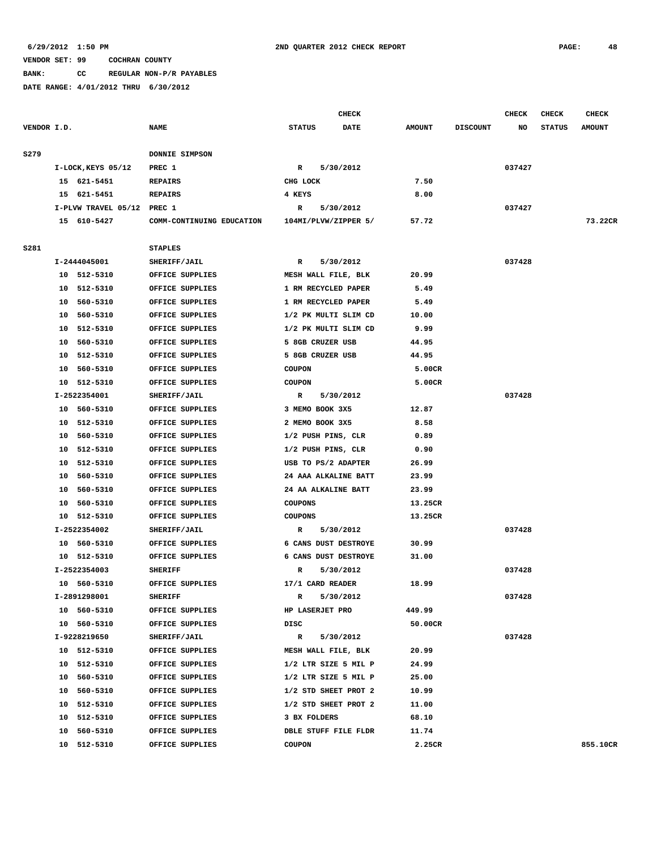**BANK: CC REGULAR NON-P/R PAYABLES**

|             |                            |                           | <b>CHECK</b>                 |               |                 | <b>CHECK</b> | <b>CHECK</b>  | <b>CHECK</b>  |
|-------------|----------------------------|---------------------------|------------------------------|---------------|-----------------|--------------|---------------|---------------|
| VENDOR I.D. |                            | <b>NAME</b>               | <b>STATUS</b><br><b>DATE</b> | <b>AMOUNT</b> | <b>DISCOUNT</b> | NO           | <b>STATUS</b> | <b>AMOUNT</b> |
| S279        |                            | DONNIE SIMPSON            |                              |               |                 |              |               |               |
|             | I-LOCK, KEYS 05/12         | PREC 1                    | 5/30/2012<br>R               |               |                 | 037427       |               |               |
|             | 15 621-5451                | <b>REPAIRS</b>            | CHG LOCK                     | 7.50          |                 |              |               |               |
|             | 15 621-5451                | <b>REPAIRS</b>            | 4 KEYS                       | 8.00          |                 |              |               |               |
|             | I-PLVW TRAVEL 05/12 PREC 1 |                           | 5/30/2012<br>R               |               |                 | 037427       |               |               |
|             | 15 610-5427                | COMM-CONTINUING EDUCATION | 104MI/PLVW/ZIPPER 5/         | 57.72         |                 |              |               | 73.22CR       |
|             |                            |                           |                              |               |                 |              |               |               |
| S281        |                            | <b>STAPLES</b>            |                              |               |                 |              |               |               |
|             | I-2444045001               | SHERIFF/JAIL              | 5/30/2012<br>R               |               |                 | 037428       |               |               |
|             | 10 512-5310                | OFFICE SUPPLIES           | MESH WALL FILE, BLK          | 20.99         |                 |              |               |               |
|             | 10<br>512-5310             | OFFICE SUPPLIES           | 1 RM RECYCLED PAPER          | 5.49          |                 |              |               |               |
|             | 560-5310<br>10             | OFFICE SUPPLIES           | 1 RM RECYCLED PAPER          | 5.49          |                 |              |               |               |
|             | 560-5310<br>10             | OFFICE SUPPLIES           | 1/2 PK MULTI SLIM CD         | 10.00         |                 |              |               |               |
|             | 10<br>512-5310             | OFFICE SUPPLIES           | 1/2 PK MULTI SLIM CD         | 9.99          |                 |              |               |               |
|             | 560-5310<br>10             | OFFICE SUPPLIES           | 5 8GB CRUZER USB             | 44.95         |                 |              |               |               |
|             | 512-5310<br>10             | OFFICE SUPPLIES           | 5 8GB CRUZER USB             | 44.95         |                 |              |               |               |
|             | 10<br>560-5310             | OFFICE SUPPLIES           | <b>COUPON</b>                | 5.00CR        |                 |              |               |               |
|             | 10 512-5310                | OFFICE SUPPLIES           | <b>COUPON</b>                | 5.00CR        |                 |              |               |               |
|             | I-2522354001               | SHERIFF/JAIL              | $\mathbb{R}$<br>5/30/2012    |               |                 | 037428       |               |               |
|             | 10<br>560-5310             | OFFICE SUPPLIES           | 3 MEMO BOOK 3X5              | 12.87         |                 |              |               |               |
|             | 512-5310<br>10             | OFFICE SUPPLIES           | 2 MEMO BOOK 3X5              | 8.58          |                 |              |               |               |
|             | 560-5310<br>10             | OFFICE SUPPLIES           | 1/2 PUSH PINS, CLR           | 0.89          |                 |              |               |               |
|             | 10<br>512-5310             | OFFICE SUPPLIES           | 1/2 PUSH PINS, CLR           | 0.90          |                 |              |               |               |
|             | 512-5310<br>10             | OFFICE SUPPLIES           | USB TO PS/2 ADAPTER          | 26.99         |                 |              |               |               |
|             | 560-5310<br>10             | OFFICE SUPPLIES           | 24 AAA ALKALINE BATT         | 23.99         |                 |              |               |               |
|             | 10<br>560-5310             | OFFICE SUPPLIES           | 24 AA ALKALINE BATT          | 23.99         |                 |              |               |               |
|             | 560-5310<br>10             | OFFICE SUPPLIES           | <b>COUPONS</b>               | 13.25CR       |                 |              |               |               |
|             | 10 512-5310                | OFFICE SUPPLIES           | <b>COUPONS</b>               | 13.25CR       |                 |              |               |               |
|             | I-2522354002               | SHERIFF/JAIL              | 5/30/2012<br>R               |               |                 | 037428       |               |               |
|             | 10 560-5310                | OFFICE SUPPLIES           | 6 CANS DUST DESTROYE         | 30.99         |                 |              |               |               |
|             | 10 512-5310                | OFFICE SUPPLIES           | 6 CANS DUST DESTROYE         | 31.00         |                 |              |               |               |
|             | I-2522354003               | <b>SHERIFF</b>            | R<br>5/30/2012               |               |                 | 037428       |               |               |
|             | 10 560-5310                | OFFICE SUPPLIES           | 17/1 CARD READER             | 18.99         |                 |              |               |               |
|             | I-2891298001               | <b>SHERIFF</b>            | 5/30/2012<br>R               |               |                 | 037428       |               |               |
|             | 10 560-5310                | OFFICE SUPPLIES           | <b>HP LASERJET PRO</b>       | 449.99        |                 |              |               |               |
|             | 10 560-5310                | OFFICE SUPPLIES           | DISC                         | 50.00CR       |                 |              |               |               |
|             | I-9228219650               | SHERIFF/JAIL              | $\mathbb{R}$<br>5/30/2012    |               |                 | 037428       |               |               |
|             | 10 512-5310                | OFFICE SUPPLIES           | MESH WALL FILE, BLK          | 20.99         |                 |              |               |               |
|             | 10 512-5310                | OFFICE SUPPLIES           | 1/2 LTR SIZE 5 MIL P         | 24.99         |                 |              |               |               |
|             | 10 560-5310                | OFFICE SUPPLIES           | 1/2 LTR SIZE 5 MIL P         | 25.00         |                 |              |               |               |
|             | 10 560-5310                | OFFICE SUPPLIES           | 1/2 STD SHEET PROT 2         | 10.99         |                 |              |               |               |
|             | 10 512-5310                | OFFICE SUPPLIES           | 1/2 STD SHEET PROT 2         | 11.00         |                 |              |               |               |
|             | 10 512-5310                | OFFICE SUPPLIES           | 3 BX FOLDERS                 | 68.10         |                 |              |               |               |
|             | 10 560-5310                | OFFICE SUPPLIES           | DBLE STUFF FILE FLDR         | 11.74         |                 |              |               |               |
|             | 10 512-5310                | OFFICE SUPPLIES           | <b>COUPON</b>                | 2.25CR        |                 |              |               | 855.10CR      |
|             |                            |                           |                              |               |                 |              |               |               |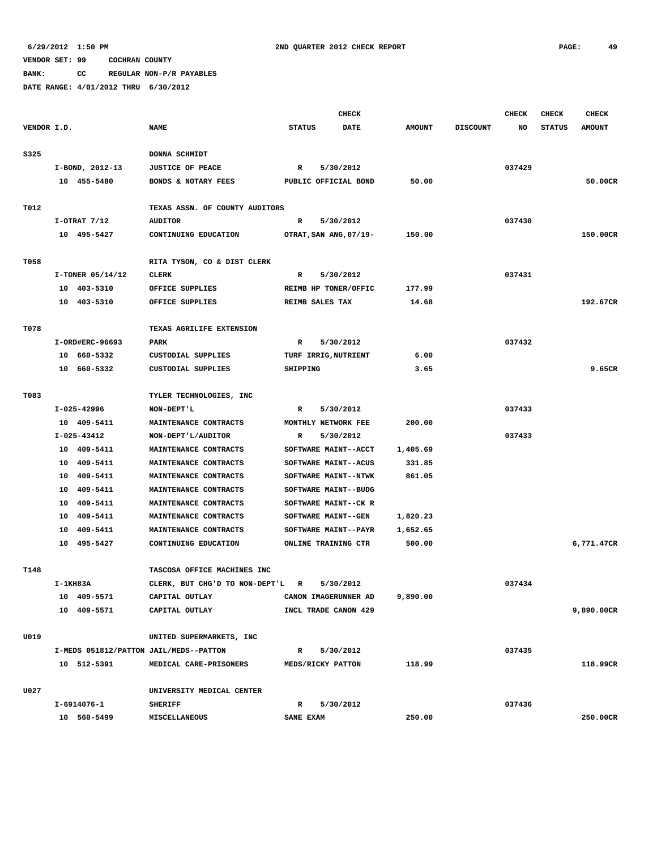**BANK: CC REGULAR NON-P/R PAYABLES**

|             |          |                  |                                        |               | <b>CHECK</b>           |               |                 | CHECK  | <b>CHECK</b>  | <b>CHECK</b>  |
|-------------|----------|------------------|----------------------------------------|---------------|------------------------|---------------|-----------------|--------|---------------|---------------|
| VENDOR I.D. |          |                  | <b>NAME</b>                            | <b>STATUS</b> | <b>DATE</b>            | <b>AMOUNT</b> | <b>DISCOUNT</b> | NO     | <b>STATUS</b> | <b>AMOUNT</b> |
|             |          |                  |                                        |               |                        |               |                 |        |               |               |
| S325        |          |                  | DONNA SCHMIDT                          |               |                        |               |                 |        |               |               |
|             |          | I-BOND, 2012-13  | <b>JUSTICE OF PEACE</b>                | R             | 5/30/2012              |               |                 | 037429 |               |               |
|             |          | 10 455-5480      | BONDS & NOTARY FEES                    |               | PUBLIC OFFICIAL BOND   | 50.00         |                 |        |               | 50.00CR       |
|             |          |                  |                                        |               |                        |               |                 |        |               |               |
| T012        |          |                  | TEXAS ASSN. OF COUNTY AUDITORS         |               |                        |               |                 |        |               |               |
|             |          | $I-OTRAT$ 7/12   | <b>AUDITOR</b>                         | R             | 5/30/2012              |               |                 | 037430 |               |               |
|             |          | 10 495-5427      | CONTINUING EDUCATION                   |               | OTRAT, SAN ANG, 07/19- | 150.00        |                 |        |               | 150.00CR      |
|             |          |                  |                                        |               |                        |               |                 |        |               |               |
| T058        |          |                  | RITA TYSON, CO & DIST CLERK            |               |                        |               |                 |        |               |               |
|             |          | I-TONER 05/14/12 | CLERK                                  | R             | 5/30/2012              |               |                 | 037431 |               |               |
|             |          | 10 403-5310      | OFFICE SUPPLIES                        |               | REIMB HP TONER/OFFIC   | 177.99        |                 |        |               |               |
|             |          | 10 403-5310      | OFFICE SUPPLIES                        |               | REIMB SALES TAX        | 14.68         |                 |        |               | 192.67CR      |
|             |          |                  |                                        |               |                        |               |                 |        |               |               |
| T078        |          |                  | TEXAS AGRILIFE EXTENSION               |               |                        |               |                 |        |               |               |
|             |          | I-ORD#ERC-96693  | PARK                                   | R             | 5/30/2012              |               |                 | 037432 |               |               |
|             |          | 10 660-5332      | CUSTODIAL SUPPLIES                     |               | TURF IRRIG, NUTRIENT   | 6.00          |                 |        |               |               |
|             |          | 10 660-5332      | CUSTODIAL SUPPLIES                     | SHIPPING      |                        | 3.65          |                 |        |               | 9.65CR        |
|             |          |                  |                                        |               |                        |               |                 |        |               |               |
| T083        |          |                  | TYLER TECHNOLOGIES, INC                |               |                        |               |                 |        |               |               |
|             |          | I-025-42996      | NON-DEPT'L                             | R             | 5/30/2012              |               |                 | 037433 |               |               |
|             |          | 10 409-5411      | MAINTENANCE CONTRACTS                  |               | MONTHLY NETWORK FEE    | 200.00        |                 |        |               |               |
|             |          | I-025-43412      | NON-DEPT'L/AUDITOR                     | R             | 5/30/2012              |               |                 | 037433 |               |               |
|             |          | 10 409-5411      | MAINTENANCE CONTRACTS                  |               | SOFTWARE MAINT--ACCT   | 1,405.69      |                 |        |               |               |
|             |          | 10 409-5411      | MAINTENANCE CONTRACTS                  |               | SOFTWARE MAINT--ACUS   | 331.85        |                 |        |               |               |
|             |          | 10 409-5411      | MAINTENANCE CONTRACTS                  |               | SOFTWARE MAINT--NTWK   | 861.05        |                 |        |               |               |
|             |          | 10 409-5411      | MAINTENANCE CONTRACTS                  |               | SOFTWARE MAINT--BUDG   |               |                 |        |               |               |
|             |          | 10 409-5411      | MAINTENANCE CONTRACTS                  |               | SOFTWARE MAINT--CK R   |               |                 |        |               |               |
|             |          | 10 409-5411      | MAINTENANCE CONTRACTS                  |               | SOFTWARE MAINT--GEN    | 1,820.23      |                 |        |               |               |
|             |          | 10 409-5411      | MAINTENANCE CONTRACTS                  |               | SOFTWARE MAINT--PAYR   | 1,652.65      |                 |        |               |               |
|             |          | 10 495-5427      | CONTINUING EDUCATION                   |               | ONLINE TRAINING CTR    | 500.00        |                 |        |               | 6,771.47CR    |
|             |          |                  |                                        |               |                        |               |                 |        |               |               |
| T148        |          |                  | TASCOSA OFFICE MACHINES INC            |               |                        |               |                 |        |               |               |
|             | I-1KH83A |                  | CLERK, BUT CHG'D TO NON-DEPT'L R       |               | 5/30/2012              |               |                 | 037434 |               |               |
|             |          | 10 409-5571      | CAPITAL OUTLAY                         |               | CANON IMAGERUNNER AD   | 9,890.00      |                 |        |               |               |
|             |          | 10 409-5571      | CAPITAL OUTLAY                         |               | INCL TRADE CANON 429   |               |                 |        |               | 9,890.00CR    |
|             |          |                  |                                        |               |                        |               |                 |        |               |               |
| U019        |          |                  | UNITED SUPERMARKETS, INC               |               |                        |               |                 |        |               |               |
|             |          |                  | I-MEDS 051812/PATTON JAIL/MEDS--PATTON | $\mathbb{R}$  | 5/30/2012              |               |                 | 037435 |               |               |
|             |          | 10 512-5391      | MEDICAL CARE-PRISONERS                 |               | MEDS/RICKY PATTON      | 118.99        |                 |        |               | 118.99CR      |
|             |          |                  |                                        |               |                        |               |                 |        |               |               |
| U027        |          |                  | UNIVERSITY MEDICAL CENTER              |               |                        |               |                 |        |               |               |
|             |          | I-6914076-1      | <b>SHERIFF</b>                         | $\mathbb{R}$  | 5/30/2012              |               |                 | 037436 |               |               |
|             |          | 10 560-5499      | MISCELLANEOUS                          | SANE EXAM     |                        | 250.00        |                 |        |               | 250.00CR      |
|             |          |                  |                                        |               |                        |               |                 |        |               |               |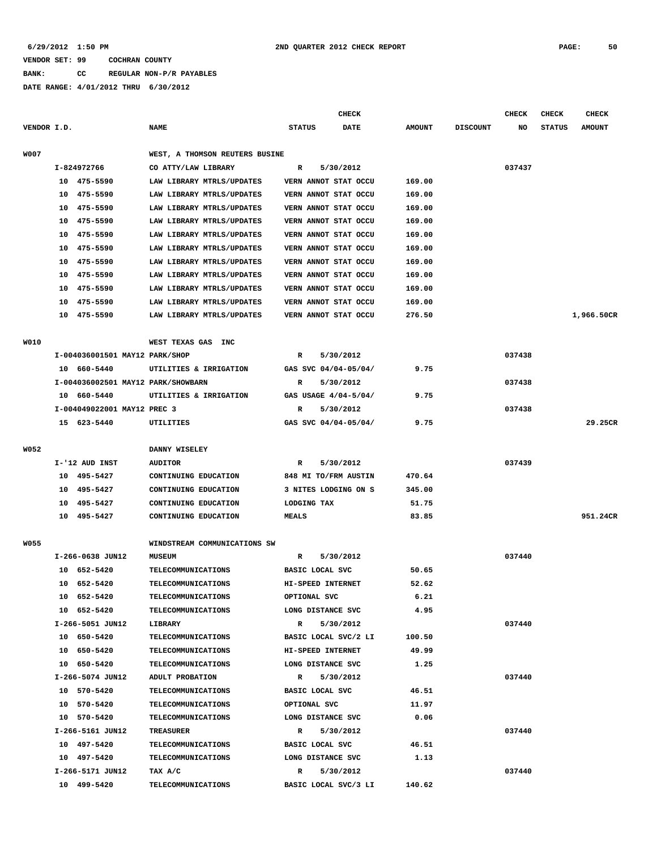# **BANK: CC REGULAR NON-P/R PAYABLES**

|             |    |                                    |                                |               |                 | <b>CHECK</b>         |               |                 | <b>CHECK</b> | <b>CHECK</b>  | <b>CHECK</b>  |
|-------------|----|------------------------------------|--------------------------------|---------------|-----------------|----------------------|---------------|-----------------|--------------|---------------|---------------|
| VENDOR I.D. |    |                                    | <b>NAME</b>                    | <b>STATUS</b> |                 | <b>DATE</b>          | <b>AMOUNT</b> | <b>DISCOUNT</b> | NO           | <b>STATUS</b> | <b>AMOUNT</b> |
|             |    |                                    |                                |               |                 |                      |               |                 |              |               |               |
| W007        |    |                                    | WEST, A THOMSON REUTERS BUSINE |               |                 |                      |               |                 |              |               |               |
|             |    | I-824972766                        | CO ATTY/LAW LIBRARY            | R             |                 | 5/30/2012            |               |                 | 037437       |               |               |
|             |    | 10 475-5590                        | LAW LIBRARY MTRLS/UPDATES      |               |                 | VERN ANNOT STAT OCCU | 169.00        |                 |              |               |               |
|             |    | 10 475-5590                        | LAW LIBRARY MTRLS/UPDATES      |               |                 | VERN ANNOT STAT OCCU | 169.00        |                 |              |               |               |
|             |    | 10 475-5590                        | LAW LIBRARY MTRLS/UPDATES      |               |                 | VERN ANNOT STAT OCCU | 169.00        |                 |              |               |               |
|             |    | 10 475-5590                        | LAW LIBRARY MTRLS/UPDATES      |               |                 | VERN ANNOT STAT OCCU | 169.00        |                 |              |               |               |
|             |    | 10 475-5590                        | LAW LIBRARY MTRLS/UPDATES      |               |                 | VERN ANNOT STAT OCCU | 169.00        |                 |              |               |               |
|             |    | 10 475-5590                        | LAW LIBRARY MTRLS/UPDATES      |               |                 | VERN ANNOT STAT OCCU | 169.00        |                 |              |               |               |
|             |    | 10 475-5590                        | LAW LIBRARY MTRLS/UPDATES      |               |                 | VERN ANNOT STAT OCCU | 169.00        |                 |              |               |               |
|             | 10 | 475-5590                           | LAW LIBRARY MTRLS/UPDATES      |               |                 | VERN ANNOT STAT OCCU | 169.00        |                 |              |               |               |
|             |    | 10 475-5590                        | LAW LIBRARY MTRLS/UPDATES      |               |                 | VERN ANNOT STAT OCCU | 169.00        |                 |              |               |               |
|             | 10 | 475-5590                           | LAW LIBRARY MTRLS/UPDATES      |               |                 | VERN ANNOT STAT OCCU | 169.00        |                 |              |               |               |
|             |    | 10 475-5590                        | LAW LIBRARY MTRLS/UPDATES      |               |                 | VERN ANNOT STAT OCCU | 276.50        |                 |              |               | 1,966.50CR    |
|             |    |                                    |                                |               |                 |                      |               |                 |              |               |               |
| W010        |    |                                    | WEST TEXAS GAS INC             |               |                 |                      |               |                 |              |               |               |
|             |    | I-004036001501 MAY12 PARK/SHOP     |                                | R             |                 | 5/30/2012            |               |                 | 037438       |               |               |
|             |    | 10 660-5440                        | UTILITIES & IRRIGATION         |               |                 | GAS SVC 04/04-05/04/ | 9.75          |                 |              |               |               |
|             |    | I-004036002501 MAY12 PARK/SHOWBARN |                                | R             |                 | 5/30/2012            |               |                 | 037438       |               |               |
|             |    | 10 660-5440                        | UTILITIES & IRRIGATION         |               |                 | GAS USAGE 4/04-5/04/ | 9.75          |                 |              |               |               |
|             |    | I-004049022001 MAY12 PREC 3        |                                | R             |                 | 5/30/2012            |               |                 | 037438       |               |               |
|             |    | 15 623-5440                        | UTILITIES                      |               |                 | GAS SVC 04/04-05/04/ | 9.75          |                 |              |               | 29.25CR       |
|             |    |                                    |                                |               |                 |                      |               |                 |              |               |               |
| W052        |    |                                    | DANNY WISELEY                  |               |                 |                      |               |                 |              |               |               |
|             |    | I-'12 AUD INST                     | <b>AUDITOR</b>                 | $\mathbb{R}$  |                 | 5/30/2012            |               |                 | 037439       |               |               |
|             |    | 10 495-5427                        | CONTINUING EDUCATION           |               |                 | 848 MI TO/FRM AUSTIN | 470.64        |                 |              |               |               |
|             | 10 | 495-5427                           | CONTINUING EDUCATION           |               |                 | 3 NITES LODGING ON S | 345.00        |                 |              |               |               |
|             | 10 | 495-5427                           | CONTINUING EDUCATION           |               | LODGING TAX     |                      | 51.75         |                 |              |               |               |
|             |    | 10 495-5427                        | CONTINUING EDUCATION           | <b>MEALS</b>  |                 |                      | 83.85         |                 |              |               | 951.24CR      |
|             |    |                                    |                                |               |                 |                      |               |                 |              |               |               |
| <b>W055</b> |    |                                    | WINDSTREAM COMMUNICATIONS SW   |               |                 |                      |               |                 |              |               |               |
|             |    | I-266-0638 JUN12                   | <b>MUSEUM</b>                  | R             |                 | 5/30/2012            |               |                 | 037440       |               |               |
|             |    | 10 652-5420                        | <b>TELECOMMUNICATIONS</b>      |               | BASIC LOCAL SVC |                      | 50.65         |                 |              |               |               |
|             |    | 10 652-5420                        | TELECOMMUNICATIONS             |               |                 | HI-SPEED INTERNET    | 52.62         |                 |              |               |               |
|             |    | 10 652-5420                        | <b>TELECOMMUNICATIONS</b>      |               | OPTIONAL SVC    |                      | 6.21          |                 |              |               |               |
|             |    | 10 652-5420                        | <b>TELECOMMUNICATIONS</b>      |               |                 | LONG DISTANCE SVC    | 4.95          |                 |              |               |               |
|             |    | I-266-5051 JUN12                   | LIBRARY                        |               | $\mathbf{R}$    | 5/30/2012            |               |                 | 037440       |               |               |
|             |    | 10 650-5420                        | TELECOMMUNICATIONS             |               |                 | BASIC LOCAL SVC/2 LI | 100.50        |                 |              |               |               |
|             |    | 10 650-5420                        | <b>TELECOMMUNICATIONS</b>      |               |                 | HI-SPEED INTERNET    | 49.99         |                 |              |               |               |
|             |    | 10 650-5420                        | <b>TELECOMMUNICATIONS</b>      |               |                 | LONG DISTANCE SVC    | 1.25          |                 |              |               |               |
|             |    | I-266-5074 JUN12                   | ADULT PROBATION                | R             |                 | 5/30/2012            |               |                 | 037440       |               |               |
|             |    | 10 570-5420                        | TELECOMMUNICATIONS             |               | BASIC LOCAL SVC |                      | 46.51         |                 |              |               |               |
|             |    | 10 570-5420                        | <b>TELECOMMUNICATIONS</b>      |               | OPTIONAL SVC    |                      | 11.97         |                 |              |               |               |
|             |    | 10 570-5420                        | <b>TELECOMMUNICATIONS</b>      |               |                 | LONG DISTANCE SVC    | 0.06          |                 |              |               |               |
|             |    | I-266-5161 JUN12                   | TREASURER                      | R             |                 | 5/30/2012            |               |                 | 037440       |               |               |
|             |    | 10 497-5420                        | <b>TELECOMMUNICATIONS</b>      |               | BASIC LOCAL SVC |                      | 46.51         |                 |              |               |               |
|             |    | 10 497-5420                        | <b>TELECOMMUNICATIONS</b>      |               |                 | LONG DISTANCE SVC    | 1.13          |                 |              |               |               |
|             |    | I-266-5171 JUN12                   | TAX A/C                        | $\mathbb{R}$  |                 | 5/30/2012            |               |                 | 037440       |               |               |
|             |    | 10 499-5420                        | TELECOMMUNICATIONS             |               |                 | BASIC LOCAL SVC/3 LI | 140.62        |                 |              |               |               |
|             |    |                                    |                                |               |                 |                      |               |                 |              |               |               |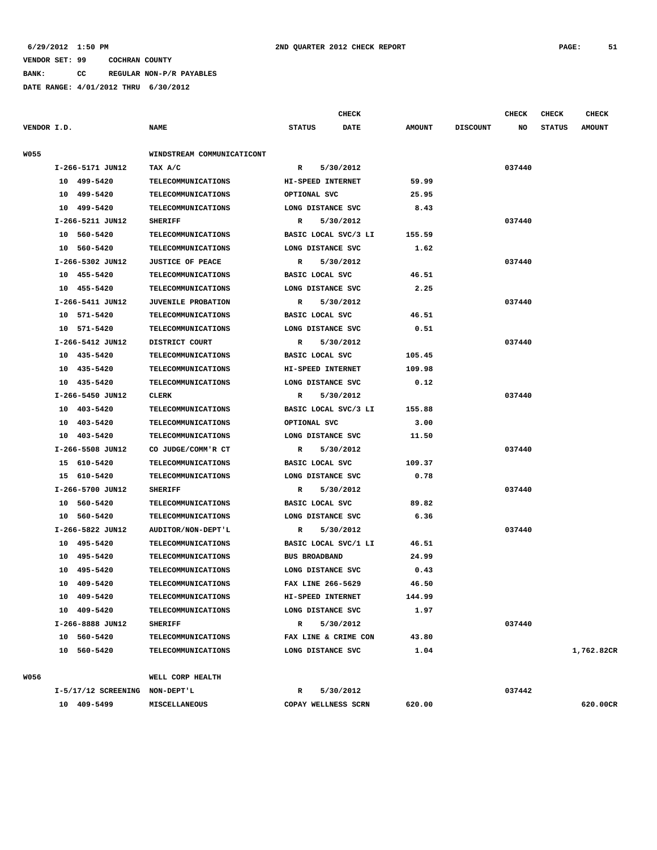**BANK: CC REGULAR NON-P/R PAYABLES**

|             |                                |                            |                      | <b>CHECK</b>         |               |                 | CHECK  | <b>CHECK</b>  | <b>CHECK</b>  |
|-------------|--------------------------------|----------------------------|----------------------|----------------------|---------------|-----------------|--------|---------------|---------------|
| VENDOR I.D. |                                | NAME                       | <b>STATUS</b>        | <b>DATE</b>          | <b>AMOUNT</b> | <b>DISCOUNT</b> | NO     | <b>STATUS</b> | <b>AMOUNT</b> |
| <b>W055</b> |                                | WINDSTREAM COMMUNICATICONT |                      |                      |               |                 |        |               |               |
|             | I-266-5171 JUN12               | TAX A/C                    | $\mathbb{R}$         | 5/30/2012            |               |                 | 037440 |               |               |
|             | 10 499-5420                    | TELECOMMUNICATIONS         | HI-SPEED INTERNET    |                      | 59.99         |                 |        |               |               |
|             | 499-5420<br>10                 | <b>TELECOMMUNICATIONS</b>  | OPTIONAL SVC         |                      | 25.95         |                 |        |               |               |
|             | 499-5420<br>10                 | <b>TELECOMMUNICATIONS</b>  | LONG DISTANCE SVC    |                      | 8.43          |                 |        |               |               |
|             | I-266-5211 JUN12               | <b>SHERIFF</b>             | R                    | 5/30/2012            |               |                 | 037440 |               |               |
|             | 10 560-5420                    | <b>TELECOMMUNICATIONS</b>  |                      | BASIC LOCAL SVC/3 LI | 155.59        |                 |        |               |               |
|             | 10 560-5420                    | TELECOMMUNICATIONS         | LONG DISTANCE SVC    |                      | 1.62          |                 |        |               |               |
|             | I-266-5302 JUN12               | <b>JUSTICE OF PEACE</b>    | R                    | 5/30/2012            |               |                 | 037440 |               |               |
|             | 10 455-5420                    | <b>TELECOMMUNICATIONS</b>  | BASIC LOCAL SVC      |                      | 46.51         |                 |        |               |               |
|             | 10 455-5420                    | <b>TELECOMMUNICATIONS</b>  | LONG DISTANCE SVC    |                      | 2.25          |                 |        |               |               |
|             | I-266-5411 JUN12               | <b>JUVENILE PROBATION</b>  | R                    | 5/30/2012            |               |                 | 037440 |               |               |
|             | 10 571-5420                    | <b>TELECOMMUNICATIONS</b>  | BASIC LOCAL SVC      |                      | 46.51         |                 |        |               |               |
|             | 10 571-5420                    | <b>TELECOMMUNICATIONS</b>  | LONG DISTANCE SVC    |                      | 0.51          |                 |        |               |               |
|             | I-266-5412 JUN12               | DISTRICT COURT             | R                    | 5/30/2012            |               |                 | 037440 |               |               |
|             | 10 435-5420                    | <b>TELECOMMUNICATIONS</b>  | BASIC LOCAL SVC      |                      | 105.45        |                 |        |               |               |
|             | 10 435-5420                    | TELECOMMUNICATIONS         | HI-SPEED INTERNET    |                      | 109.98        |                 |        |               |               |
|             | 10 435-5420                    | <b>TELECOMMUNICATIONS</b>  | LONG DISTANCE SVC    |                      | 0.12          |                 |        |               |               |
|             | I-266-5450 JUN12               | CLERK                      | R                    | 5/30/2012            |               |                 | 037440 |               |               |
|             | 10 403-5420                    | <b>TELECOMMUNICATIONS</b>  |                      | BASIC LOCAL SVC/3 LI | 155.88        |                 |        |               |               |
|             | 10 403-5420                    | TELECOMMUNICATIONS         | OPTIONAL SVC         |                      | 3.00          |                 |        |               |               |
|             | 10 403-5420                    | <b>TELECOMMUNICATIONS</b>  | LONG DISTANCE SVC    |                      | 11.50         |                 |        |               |               |
|             | I-266-5508 JUN12               | CO JUDGE/COMM'R CT         | $\mathbb{R}$         | 5/30/2012            |               |                 | 037440 |               |               |
|             | 15 610-5420                    | TELECOMMUNICATIONS         | BASIC LOCAL SVC      |                      | 109.37        |                 |        |               |               |
|             | 15 610-5420                    | <b>TELECOMMUNICATIONS</b>  | LONG DISTANCE SVC    |                      | 0.78          |                 |        |               |               |
|             | I-266-5700 JUN12               | <b>SHERIFF</b>             | R                    | 5/30/2012            |               |                 | 037440 |               |               |
|             | 10 560-5420                    | TELECOMMUNICATIONS         | BASIC LOCAL SVC      |                      | 89.82         |                 |        |               |               |
|             | 10 560-5420                    | <b>TELECOMMUNICATIONS</b>  | LONG DISTANCE SVC    |                      | 6.36          |                 |        |               |               |
|             | I-266-5822 JUN12               | AUDITOR/NON-DEPT'L         | $\mathbb{R}$         | 5/30/2012            |               |                 | 037440 |               |               |
|             | 10 495-5420                    | TELECOMMUNICATIONS         |                      | BASIC LOCAL SVC/1 LI | 46.51         |                 |        |               |               |
|             | 495–5420<br>10                 | <b>TELECOMMUNICATIONS</b>  | <b>BUS BROADBAND</b> |                      | 24.99         |                 |        |               |               |
|             | 495-5420<br>10                 | TELECOMMUNICATIONS         | LONG DISTANCE SVC    |                      | 0.43          |                 |        |               |               |
|             | 10 409-5420                    | TELECOMMUNICATIONS         | FAX LINE 266-5629    |                      | 46.50         |                 |        |               |               |
|             | 10 409-5420                    | <b>TELECOMMUNICATIONS</b>  | HI-SPEED INTERNET    |                      | 144.99        |                 |        |               |               |
|             | 10 409-5420                    | <b>TELECOMMUNICATIONS</b>  | LONG DISTANCE SVC    |                      | 1.97          |                 |        |               |               |
|             | I-266-8888 JUN12               | <b>SHERIFF</b>             | R                    | 5/30/2012            |               |                 | 037440 |               |               |
|             | 10 560-5420                    | <b>TELECOMMUNICATIONS</b>  | FAX LINE & CRIME CON |                      | 43.80         |                 |        |               |               |
|             | 10 560-5420                    | <b>TELECOMMUNICATIONS</b>  | LONG DISTANCE SVC    |                      | 1.04          |                 |        |               | 1,762.82CR    |
| W056        |                                | WELL CORP HEALTH           |                      |                      |               |                 |        |               |               |
|             | I-5/17/12 SCREENING NON-DEPT'L |                            | $\mathbb{R}$         | 5/30/2012            |               |                 | 037442 |               |               |
|             | 10 409-5499                    | MISCELLANEOUS              | COPAY WELLNESS SCRN  |                      | 620.00        |                 |        |               | 620.00CR      |
|             |                                |                            |                      |                      |               |                 |        |               |               |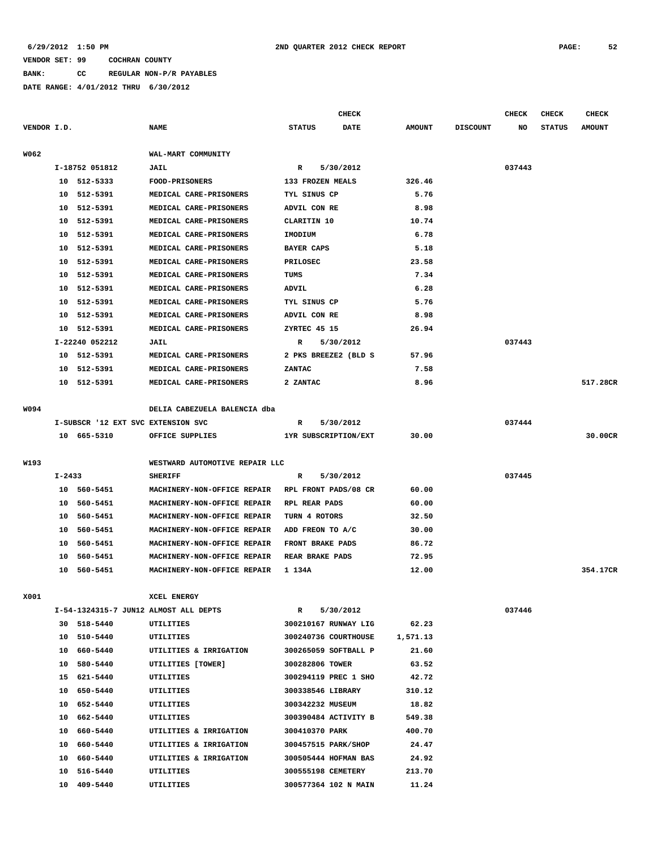# **BANK: CC REGULAR NON-P/R PAYABLES**

**DATE RANGE: 4/01/2012 THRU 6/30/2012**

|             |        |                                    |                                       |                        | <b>CHECK</b> |               |                 | <b>CHECK</b> | <b>CHECK</b>  | CHECK         |
|-------------|--------|------------------------------------|---------------------------------------|------------------------|--------------|---------------|-----------------|--------------|---------------|---------------|
| VENDOR I.D. |        |                                    | <b>NAME</b>                           | <b>STATUS</b>          | <b>DATE</b>  | <b>AMOUNT</b> | <b>DISCOUNT</b> | NO           | <b>STATUS</b> | <b>AMOUNT</b> |
|             |        |                                    |                                       |                        |              |               |                 |              |               |               |
| W062        |        |                                    | WAL-MART COMMUNITY                    |                        |              |               |                 |              |               |               |
|             |        | I-18752 051812                     | JAIL                                  | R                      | 5/30/2012    |               |                 | 037443       |               |               |
|             |        | 10 512-5333                        | <b>FOOD-PRISONERS</b>                 | 133 FROZEN MEALS       |              | 326.46        |                 |              |               |               |
|             |        | 10 512-5391                        | MEDICAL CARE-PRISONERS                | TYL SINUS CP           |              | 5.76          |                 |              |               |               |
|             | 10     | 512-5391                           | MEDICAL CARE-PRISONERS                | ADVIL CON RE           |              | 8.98          |                 |              |               |               |
|             | 10     | 512-5391                           | MEDICAL CARE-PRISONERS                | CLARITIN 10            |              | 10.74         |                 |              |               |               |
|             |        | 10 512-5391                        | MEDICAL CARE-PRISONERS                | IMODIUM                |              | 6.78          |                 |              |               |               |
|             | 10     | 512-5391                           | MEDICAL CARE-PRISONERS                | <b>BAYER CAPS</b>      |              | 5.18          |                 |              |               |               |
|             |        | 10 512-5391                        | MEDICAL CARE-PRISONERS                | <b>PRILOSEC</b>        |              | 23.58         |                 |              |               |               |
|             |        | 10 512-5391                        | MEDICAL CARE-PRISONERS                | TUMS                   |              | 7.34          |                 |              |               |               |
|             |        | 10 512-5391                        | MEDICAL CARE-PRISONERS                | ADVIL                  |              | 6.28          |                 |              |               |               |
|             |        | 10 512-5391                        | MEDICAL CARE-PRISONERS                | TYL SINUS CP           |              | 5.76          |                 |              |               |               |
|             |        | 10 512-5391                        | MEDICAL CARE-PRISONERS                | ADVIL CON RE           |              | 8.98          |                 |              |               |               |
|             |        | 10 512-5391                        | MEDICAL CARE-PRISONERS                | ZYRTEC 45 15           |              | 26.94         |                 |              |               |               |
|             |        | I-22240 052212                     | JAIL                                  | $\mathbb{R}$           | 5/30/2012    |               |                 | 037443       |               |               |
|             |        | 10 512-5391                        | MEDICAL CARE-PRISONERS                | 2 PKS BREEZE2 (BLD S   |              | 57.96         |                 |              |               |               |
|             | 10     | 512-5391                           | MEDICAL CARE-PRISONERS                | ZANTAC                 |              | 7.58          |                 |              |               |               |
|             |        | 10 512-5391                        | MEDICAL CARE-PRISONERS                | 2 ZANTAC               |              | 8.96          |                 |              |               | 517.28CR      |
|             |        |                                    |                                       |                        |              |               |                 |              |               |               |
| W094        |        |                                    | DELIA CABEZUELA BALENCIA dba          |                        |              |               |                 |              |               |               |
|             |        | I-SUBSCR '12 EXT SVC EXTENSION SVC |                                       | R                      | 5/30/2012    |               |                 | 037444       |               |               |
|             |        | 10 665-5310                        | OFFICE SUPPLIES                       | 1YR SUBSCRIPTION/EXT   |              | 30.00         |                 |              |               | 30.00CR       |
|             |        |                                    |                                       |                        |              |               |                 |              |               |               |
| W193        |        |                                    | WESTWARD AUTOMOTIVE REPAIR LLC        |                        |              |               |                 |              |               |               |
|             | I-2433 |                                    | <b>SHERIFF</b>                        | R                      | 5/30/2012    |               |                 | 037445       |               |               |
|             |        | 10 560-5451                        | MACHINERY-NON-OFFICE REPAIR           | RPL FRONT PADS/08 CR   |              | 60.00         |                 |              |               |               |
|             |        | 10 560-5451                        | MACHINERY-NON-OFFICE REPAIR           | RPL REAR PADS          |              | 60.00         |                 |              |               |               |
|             | 10     | 560-5451                           | MACHINERY-NON-OFFICE REPAIR           | TURN 4 ROTORS          |              | 32.50         |                 |              |               |               |
|             | 10     | 560-5451                           | MACHINERY-NON-OFFICE REPAIR           | ADD FREON TO A/C       |              | 30.00         |                 |              |               |               |
|             | 10     | 560-5451                           | MACHINERY-NON-OFFICE REPAIR           | FRONT BRAKE PADS       |              | 86.72         |                 |              |               |               |
|             | 10     | 560-5451                           | MACHINERY-NON-OFFICE REPAIR           | <b>REAR BRAKE PADS</b> |              | 72.95         |                 |              |               |               |
|             |        | 10 560-5451                        | MACHINERY-NON-OFFICE REPAIR 1 134A    |                        |              | 12.00         |                 |              |               | 354.17CR      |
|             |        |                                    |                                       |                        |              |               |                 |              |               |               |
| X001        |        |                                    | XCEL ENERGY                           |                        |              |               |                 |              |               |               |
|             |        |                                    | I-54-1324315-7 JUN12 ALMOST ALL DEPTS | R                      | 5/30/2012    |               |                 | 037446       |               |               |
|             |        | 30 518-5440                        | UTILITIES                             | 300210167 RUNWAY LIG   |              | 62.23         |                 |              |               |               |
|             |        | 10 510-5440                        | UTILITIES                             | 300240736 COURTHOUSE   |              | 1,571.13      |                 |              |               |               |
|             |        | 10 660-5440                        | UTILITIES & IRRIGATION                | 300265059 SOFTBALL P   |              | 21.60         |                 |              |               |               |
|             |        | 10 580-5440                        | UTILITIES [TOWER]                     | 300282806 TOWER        |              | 63.52         |                 |              |               |               |
|             |        | 15 621-5440                        | UTILITIES                             | 300294119 PREC 1 SHO   |              | 42.72         |                 |              |               |               |
|             |        | 10 650-5440                        | UTILITIES                             | 300338546 LIBRARY      |              | 310.12        |                 |              |               |               |
|             |        | 10 652-5440                        | UTILITIES                             | 300342232 MUSEUM       |              | 18.82         |                 |              |               |               |
|             |        | 10 662-5440                        | UTILITIES                             | 300390484 ACTIVITY B   |              | 549.38        |                 |              |               |               |
|             |        | 10 660-5440                        | UTILITIES & IRRIGATION                | 300410370 PARK         |              | 400.70        |                 |              |               |               |
|             |        | 10 660-5440                        | UTILITIES & IRRIGATION                | 300457515 PARK/SHOP    |              | 24.47         |                 |              |               |               |
|             |        | 10 660-5440                        | UTILITIES & IRRIGATION                | 300505444 HOFMAN BAS   |              | 24.92         |                 |              |               |               |
|             |        | 10 516-5440                        | UTILITIES                             | 300555198 CEMETERY     |              | 213.70        |                 |              |               |               |

 **10 409-5440 UTILITIES 300577364 102 N MAIN 11.24**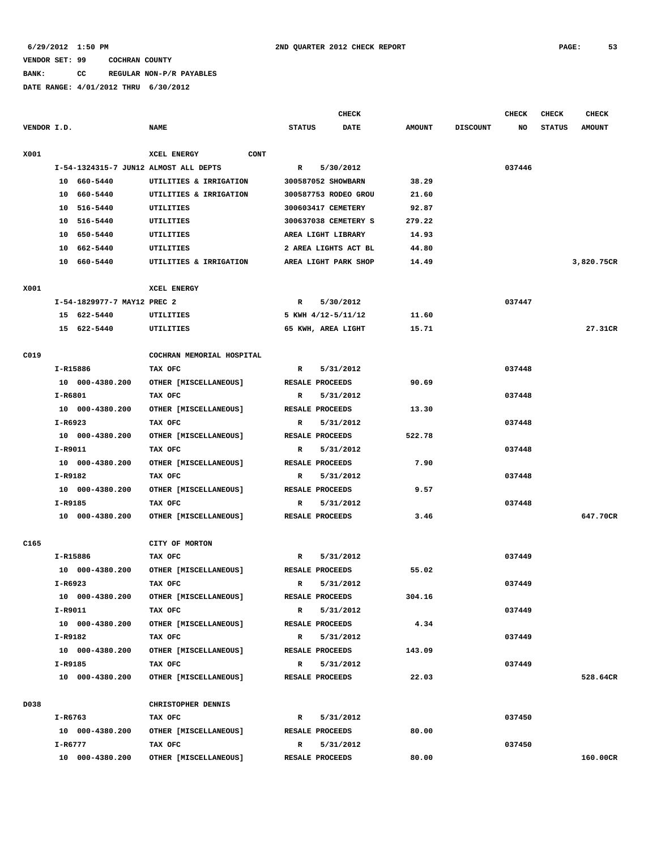#### **BANK: CC REGULAR NON-P/R PAYABLES**

|                  |                                       |                           |               | <b>CHECK</b>         |               |                 | <b>CHECK</b> | <b>CHECK</b>  | <b>CHECK</b>  |
|------------------|---------------------------------------|---------------------------|---------------|----------------------|---------------|-----------------|--------------|---------------|---------------|
| VENDOR I.D.      |                                       | <b>NAME</b>               | <b>STATUS</b> | <b>DATE</b>          | <b>AMOUNT</b> | <b>DISCOUNT</b> | NO           | <b>STATUS</b> | <b>AMOUNT</b> |
| X001             |                                       | CONT<br>XCEL ENERGY       |               |                      |               |                 |              |               |               |
|                  | I-54-1324315-7 JUN12 ALMOST ALL DEPTS |                           | R             | 5/30/2012            |               |                 | 037446       |               |               |
|                  | 10 660-5440                           | UTILITIES & IRRIGATION    |               | 300587052 SHOWBARN   | 38.29         |                 |              |               |               |
|                  | 10 660-5440                           | UTILITIES & IRRIGATION    |               | 300587753 RODEO GROU | 21.60         |                 |              |               |               |
|                  | 10 516-5440                           | UTILITIES                 |               | 300603417 CEMETERY   | 92.87         |                 |              |               |               |
|                  | 10 516-5440                           | UTILITIES                 |               | 300637038 CEMETERY S | 279.22        |                 |              |               |               |
|                  | 10 650-5440                           | UTILITIES                 |               | AREA LIGHT LIBRARY   | 14.93         |                 |              |               |               |
|                  | 10 662-5440                           | UTILITIES                 |               | 2 AREA LIGHTS ACT BL | 44.80         |                 |              |               |               |
|                  | 10 660-5440                           | UTILITIES & IRRIGATION    |               | AREA LIGHT PARK SHOP | 14.49         |                 |              |               | 3,820.75CR    |
| X001             |                                       | XCEL ENERGY               |               |                      |               |                 |              |               |               |
|                  | I-54-1829977-7 MAY12 PREC 2           |                           | $\mathbb{R}$  | 5/30/2012            |               |                 | 037447       |               |               |
|                  | 15 622-5440                           | UTILITIES                 |               | 5 KWH 4/12-5/11/12   | 11.60         |                 |              |               |               |
|                  | 15 622-5440                           | UTILITIES                 |               | 65 KWH, AREA LIGHT   | 15.71         |                 |              |               | 27.31CR       |
| C019             |                                       | COCHRAN MEMORIAL HOSPITAL |               |                      |               |                 |              |               |               |
|                  | I-R15886                              | TAX OFC                   | R             | 5/31/2012            |               |                 | 037448       |               |               |
|                  | 10 000-4380.200                       | OTHER [MISCELLANEOUS]     |               | RESALE PROCEEDS      | 90.69         |                 |              |               |               |
|                  | I-R6801                               | TAX OFC                   | R             | 5/31/2012            |               |                 | 037448       |               |               |
|                  | 10 000-4380.200                       | OTHER [MISCELLANEOUS]     |               | RESALE PROCEEDS      | 13.30         |                 |              |               |               |
|                  | I-R6923                               | TAX OFC                   | R             | 5/31/2012            |               |                 | 037448       |               |               |
|                  | 10 000-4380.200                       | OTHER [MISCELLANEOUS]     |               | RESALE PROCEEDS      | 522.78        |                 |              |               |               |
|                  | I-R9011                               | TAX OFC                   | R             | 5/31/2012            |               |                 | 037448       |               |               |
|                  | 10 000-4380.200                       | OTHER [MISCELLANEOUS]     |               | RESALE PROCEEDS      | 7.90          |                 |              |               |               |
|                  | I-R9182                               | TAX OFC                   | $\mathbb{R}$  | 5/31/2012            |               |                 | 037448       |               |               |
|                  | 10 000-4380.200                       | OTHER [MISCELLANEOUS]     |               | RESALE PROCEEDS      | 9.57          |                 |              |               |               |
|                  | I-R9185                               | TAX OFC                   | R             | 5/31/2012            |               |                 | 037448       |               |               |
|                  | 10 000-4380.200                       | OTHER [MISCELLANEOUS]     |               | RESALE PROCEEDS      | 3.46          |                 |              |               | 647.70CR      |
| C <sub>165</sub> |                                       | CITY OF MORTON            |               |                      |               |                 |              |               |               |
|                  | I-R15886                              | TAX OFC                   | R             | 5/31/2012            |               |                 | 037449       |               |               |
|                  | 10 000-4380.200                       | OTHER [MISCELLANEOUS]     |               | RESALE PROCEEDS      | 55.02         |                 |              |               |               |
|                  | I-R6923                               | TAX OFC                   | $\mathbb{R}$  | 5/31/2012            |               |                 | 037449       |               |               |
|                  | 10 000-4380.200                       | OTHER [MISCELLANEOUS]     |               | RESALE PROCEEDS      | 304.16        |                 |              |               |               |
|                  | I-R9011                               | TAX OFC                   | $\mathbb{R}$  | 5/31/2012            |               |                 | 037449       |               |               |
|                  | 10 000-4380.200                       | OTHER [MISCELLANEOUS]     |               | RESALE PROCEEDS      | 4.34          |                 |              |               |               |
|                  | I-R9182                               | TAX OFC                   | $\mathbf{R}$  | 5/31/2012            |               |                 | 037449       |               |               |
|                  | 10 000-4380.200                       | OTHER [MISCELLANEOUS]     |               | RESALE PROCEEDS      | 143.09        |                 |              |               |               |
|                  | I-R9185                               | TAX OFC                   | $\mathbf{R}$  | 5/31/2012            |               |                 | 037449       |               |               |
|                  | 10 000-4380.200                       | OTHER [MISCELLANEOUS]     |               | RESALE PROCEEDS      | 22.03         |                 |              |               | 528.64CR      |
| D038             |                                       | CHRISTOPHER DENNIS        |               |                      |               |                 |              |               |               |
|                  | I-R6763                               | TAX OFC                   | $\mathbf{R}$  | 5/31/2012            |               |                 | 037450       |               |               |
|                  | 10 000-4380.200                       | OTHER [MISCELLANEOUS]     |               | RESALE PROCEEDS      | 80.00         |                 |              |               |               |
|                  | I-R6777                               | TAX OFC                   | R             | 5/31/2012            |               |                 | 037450       |               |               |
|                  | 10 000-4380.200                       | OTHER [MISCELLANEOUS]     |               | RESALE PROCEEDS      | 80.00         |                 |              |               | 160.00CR      |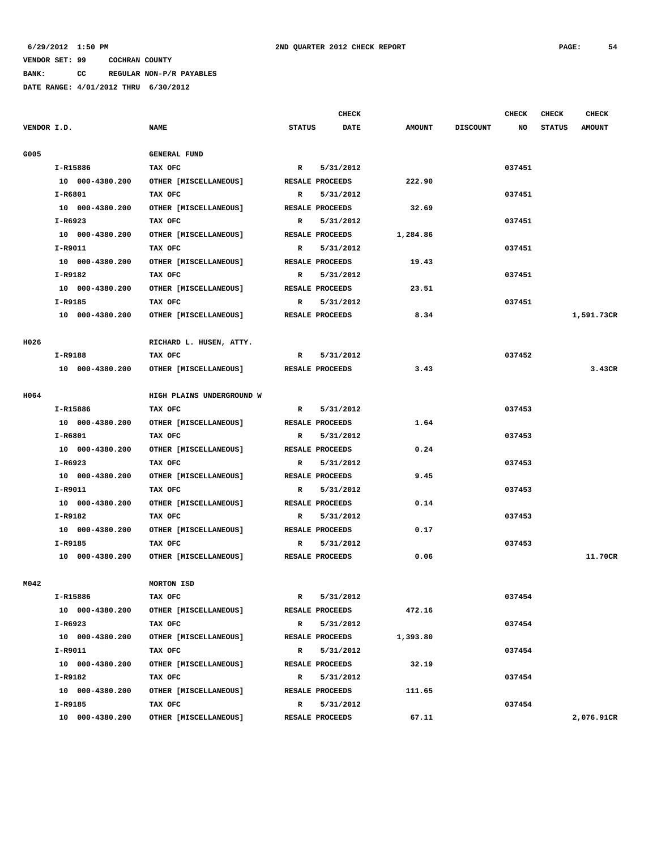**CHECK CHECK CHECK CHECK** 

| VENDOR I.D. |                 | <b>NAME</b>               | <b>STATUS</b> | <b>DATE</b>     | <b>AMOUNT</b> | <b>DISCOUNT</b> | NO     | <b>STATUS</b> | <b>AMOUNT</b> |
|-------------|-----------------|---------------------------|---------------|-----------------|---------------|-----------------|--------|---------------|---------------|
| G005        |                 | <b>GENERAL FUND</b>       |               |                 |               |                 |        |               |               |
|             | I-R15886        | TAX OFC                   | $\mathbb{R}$  | 5/31/2012       |               |                 | 037451 |               |               |
|             | 10 000-4380.200 | OTHER [MISCELLANEOUS]     |               | RESALE PROCEEDS | 222.90        |                 |        |               |               |
|             | $I-R6801$       | TAX OFC                   | R             | 5/31/2012       |               |                 | 037451 |               |               |
|             | 10 000-4380.200 | OTHER [MISCELLANEOUS]     |               | RESALE PROCEEDS | 32.69         |                 |        |               |               |
|             | $I-R6923$       | TAX OFC                   | $\mathbb{R}$  | 5/31/2012       |               |                 | 037451 |               |               |
|             | 10 000-4380.200 | OTHER [MISCELLANEOUS]     |               | RESALE PROCEEDS | 1,284.86      |                 |        |               |               |
|             | I-R9011         | TAX OFC                   | R             | 5/31/2012       |               |                 | 037451 |               |               |
|             | 10 000-4380.200 | OTHER [MISCELLANEOUS]     |               | RESALE PROCEEDS | 19.43         |                 |        |               |               |
|             | I-R9182         | TAX OFC                   | $\mathbb{R}$  | 5/31/2012       |               |                 | 037451 |               |               |
|             | 10 000-4380.200 | OTHER [MISCELLANEOUS]     |               | RESALE PROCEEDS | 23.51         |                 |        |               |               |
|             | I-R9185         | TAX OFC                   | $\mathbf{R}$  | 5/31/2012       |               |                 | 037451 |               |               |
|             | 10 000-4380.200 | OTHER [MISCELLANEOUS]     |               | RESALE PROCEEDS | 8.34          |                 |        |               | 1,591.73CR    |
| <b>H026</b> |                 | RICHARD L. HUSEN, ATTY.   |               |                 |               |                 |        |               |               |
|             | I-R9188         | TAX OFC                   | R             | 5/31/2012       |               |                 | 037452 |               |               |
|             | 10 000-4380.200 | OTHER [MISCELLANEOUS]     |               | RESALE PROCEEDS | 3.43          |                 |        |               | 3.43CR        |
| H064        |                 | HIGH PLAINS UNDERGROUND W |               |                 |               |                 |        |               |               |
|             | I-R15886        | TAX OFC                   | $\mathbb{R}$  | 5/31/2012       |               |                 | 037453 |               |               |
|             | 10 000-4380.200 | OTHER [MISCELLANEOUS]     |               | RESALE PROCEEDS | 1.64          |                 |        |               |               |
|             | I-R6801         | TAX OFC                   | $\mathbf R$   | 5/31/2012       |               |                 | 037453 |               |               |
|             | 10 000-4380.200 | OTHER [MISCELLANEOUS]     |               | RESALE PROCEEDS | 0.24          |                 |        |               |               |
|             | $I-R6923$       | TAX OFC                   | $\mathbf R$   | 5/31/2012       |               |                 | 037453 |               |               |
|             | 10 000-4380.200 | OTHER [MISCELLANEOUS]     |               | RESALE PROCEEDS | 9.45          |                 |        |               |               |
|             | I-R9011         | TAX OFC                   | R             | 5/31/2012       |               |                 | 037453 |               |               |
|             | 10 000-4380.200 | OTHER [MISCELLANEOUS]     |               | RESALE PROCEEDS | 0.14          |                 |        |               |               |
|             | I-R9182         | TAX OFC                   | $\mathbb{R}$  | 5/31/2012       |               |                 | 037453 |               |               |
|             | 10 000-4380.200 | OTHER [MISCELLANEOUS]     |               | RESALE PROCEEDS | 0.17          |                 |        |               |               |
|             | I-R9185         | TAX OFC                   | R             | 5/31/2012       |               |                 | 037453 |               |               |
|             | 10 000-4380.200 | OTHER [MISCELLANEOUS]     |               | RESALE PROCEEDS | 0.06          |                 |        |               | 11.70CR       |
| M042        |                 | MORTON ISD                |               |                 |               |                 |        |               |               |
|             | I-R15886        | TAX OFC                   | $\mathbb{R}$  | 5/31/2012       |               |                 | 037454 |               |               |
|             | 10 000-4380.200 | OTHER [MISCELLANEOUS]     |               | RESALE PROCEEDS | 472.16        |                 |        |               |               |
|             | I-R6923         | TAX OFC                   | $\mathbf R$   | 5/31/2012       |               |                 | 037454 |               |               |
|             | 10 000-4380.200 | OTHER [MISCELLANEOUS]     |               | RESALE PROCEEDS | 1,393.80      |                 |        |               |               |
|             | I-R9011         | TAX OFC                   | R             | 5/31/2012       |               |                 | 037454 |               |               |
|             | 10 000-4380.200 | OTHER [MISCELLANEOUS]     |               | RESALE PROCEEDS | 32.19         |                 |        |               |               |

 **I-R9182 TAX OFC R 5/31/2012 037454**

 **I-R9185 TAX OFC** R 5/31/2012 **R** 5/31/2012 **037454** 

 **10 000-4380.200 OTHER [MISCELLANEOUS] RESALE PROCEEDS 111.65**

 **10 000-4380.200 OTHER [MISCELLANEOUS] RESALE PROCEEDS 67.11 2,076.91CR**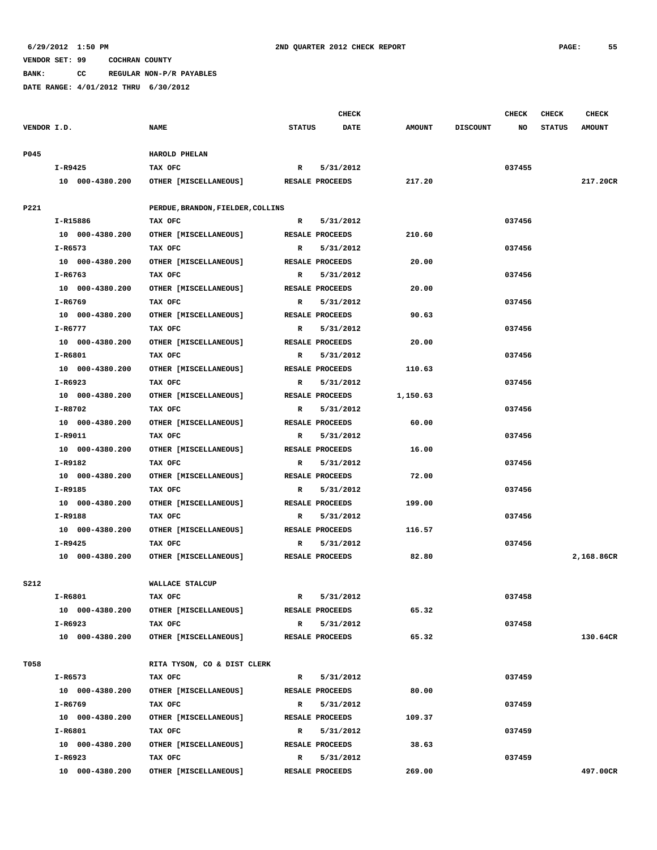**BANK: CC REGULAR NON-P/R PAYABLES**

|             |                            |                                   |               | <b>CHECK</b>                 |               |                 | <b>CHECK</b> | <b>CHECK</b>  | <b>CHECK</b>  |
|-------------|----------------------------|-----------------------------------|---------------|------------------------------|---------------|-----------------|--------------|---------------|---------------|
| VENDOR I.D. |                            | <b>NAME</b>                       | <b>STATUS</b> | <b>DATE</b>                  | <b>AMOUNT</b> | <b>DISCOUNT</b> | NO           | <b>STATUS</b> | <b>AMOUNT</b> |
|             |                            |                                   |               |                              |               |                 |              |               |               |
| P045        |                            | HAROLD PHELAN                     |               |                              |               |                 |              |               |               |
|             | I-R9425                    | TAX OFC                           | $\mathbb{R}$  | 5/31/2012                    |               |                 | 037455       |               |               |
|             | 10 000-4380.200            | OTHER [MISCELLANEOUS]             |               | RESALE PROCEEDS              | 217.20        |                 |              |               | 217.20CR      |
|             |                            |                                   |               |                              |               |                 |              |               |               |
| P221        |                            | PERDUE, BRANDON, FIELDER, COLLINS |               |                              |               |                 |              |               |               |
|             | I-R15886                   | TAX OFC                           | R             | 5/31/2012                    |               |                 | 037456       |               |               |
|             | 10 000-4380.200            | OTHER [MISCELLANEOUS]<br>TAX OFC  |               | RESALE PROCEEDS              | 210.60        |                 |              |               |               |
|             | I-R6573                    |                                   | R             | 5/31/2012                    |               |                 | 037456       |               |               |
|             | 10 000-4380.200            | OTHER [MISCELLANEOUS]             | $\mathbb{R}$  | RESALE PROCEEDS<br>5/31/2012 | 20.00         |                 |              |               |               |
|             | I-R6763<br>10 000-4380.200 | TAX OFC<br>OTHER [MISCELLANEOUS]  |               | RESALE PROCEEDS              | 20.00         |                 | 037456       |               |               |
|             | I-R6769                    | TAX OFC                           | R             | 5/31/2012                    |               |                 | 037456       |               |               |
|             | 10 000-4380.200            | OTHER [MISCELLANEOUS]             |               | RESALE PROCEEDS              | 90.63         |                 |              |               |               |
|             | I-R6777                    | TAX OFC                           | R             | 5/31/2012                    |               |                 | 037456       |               |               |
|             | 10 000-4380.200            | OTHER [MISCELLANEOUS]             |               | RESALE PROCEEDS              | 20.00         |                 |              |               |               |
|             | I-R6801                    | TAX OFC                           | $\mathbb{R}$  | 5/31/2012                    |               |                 | 037456       |               |               |
|             | 10 000-4380.200            | OTHER [MISCELLANEOUS]             |               | <b>RESALE PROCEEDS</b>       | 110.63        |                 |              |               |               |
|             | I-R6923                    | TAX OFC                           | $\mathbb{R}$  | 5/31/2012                    |               |                 | 037456       |               |               |
|             | 10 000-4380.200            | OTHER [MISCELLANEOUS]             |               | RESALE PROCEEDS              | 1,150.63      |                 |              |               |               |
|             | I-R8702                    | TAX OFC                           | $\mathbb{R}$  | 5/31/2012                    |               |                 | 037456       |               |               |
|             | 10 000-4380.200            | OTHER [MISCELLANEOUS]             |               | RESALE PROCEEDS              | 60.00         |                 |              |               |               |
|             | I-R9011                    | TAX OFC                           | $\mathbb{R}$  | 5/31/2012                    |               |                 | 037456       |               |               |
|             | 10 000-4380.200            | OTHER [MISCELLANEOUS]             |               | RESALE PROCEEDS              | 16.00         |                 |              |               |               |
|             | I-R9182                    | TAX OFC                           | $\mathbb{R}$  | 5/31/2012                    |               |                 | 037456       |               |               |
|             | 10 000-4380.200            | OTHER [MISCELLANEOUS]             |               | RESALE PROCEEDS              | 72.00         |                 |              |               |               |
|             | I-R9185                    | TAX OFC                           | R             | 5/31/2012                    |               |                 | 037456       |               |               |
|             | 10 000-4380.200            | OTHER [MISCELLANEOUS]             |               | RESALE PROCEEDS              | 199.00        |                 |              |               |               |
|             | I-R9188                    | TAX OFC                           | R             | 5/31/2012                    |               |                 | 037456       |               |               |
|             | 10 000-4380.200            | OTHER [MISCELLANEOUS]             |               | RESALE PROCEEDS              | 116.57        |                 |              |               |               |
|             | I-R9425                    | TAX OFC                           | R             | 5/31/2012                    |               |                 | 037456       |               |               |
|             | 10 000-4380.200            | OTHER [MISCELLANEOUS]             |               | RESALE PROCEEDS              | 82.80         |                 |              |               | 2,168.86CR    |
|             |                            |                                   |               |                              |               |                 |              |               |               |
| <b>S212</b> |                            | WALLACE STALCUP                   |               |                              |               |                 |              |               |               |
|             | I-R6801                    | TAX OFC                           | R             | 5/31/2012                    |               |                 | 037458       |               |               |
|             | 10 000-4380.200            | OTHER [MISCELLANEOUS]             |               | RESALE PROCEEDS              | 65.32         |                 |              |               |               |
|             | I-R6923                    | TAX OFC                           | $\mathbb{R}$  | 5/31/2012                    |               |                 | 037458       |               |               |
|             | 10 000-4380.200            | OTHER [MISCELLANEOUS]             |               | RESALE PROCEEDS              | 65.32         |                 |              |               | 130.64CR      |
|             |                            |                                   |               |                              |               |                 |              |               |               |
| T058        |                            | RITA TYSON, CO & DIST CLERK       |               |                              |               |                 |              |               |               |
|             | I-R6573                    | TAX OFC                           | R             | 5/31/2012                    |               |                 | 037459       |               |               |
|             | 10 000-4380.200            | OTHER [MISCELLANEOUS]             |               | RESALE PROCEEDS              | 80.00         |                 |              |               |               |
|             | I-R6769                    | TAX OFC                           | $\mathbf{R}$  | 5/31/2012                    |               |                 | 037459       |               |               |
|             | 10 000-4380.200            | OTHER [MISCELLANEOUS]             |               | RESALE PROCEEDS              | 109.37        |                 |              |               |               |
|             | I-R6801                    | TAX OFC                           | $\mathbf{R}$  | 5/31/2012                    |               |                 | 037459       |               |               |
|             | 10 000-4380.200            | OTHER [MISCELLANEOUS]             |               | RESALE PROCEEDS              | 38.63         |                 |              |               |               |
|             | I-R6923                    | TAX OFC                           | R             | 5/31/2012                    |               |                 | 037459       |               |               |
|             | 10 000-4380.200            | OTHER [MISCELLANEOUS]             |               | RESALE PROCEEDS              | 269.00        |                 |              |               | 497.00CR      |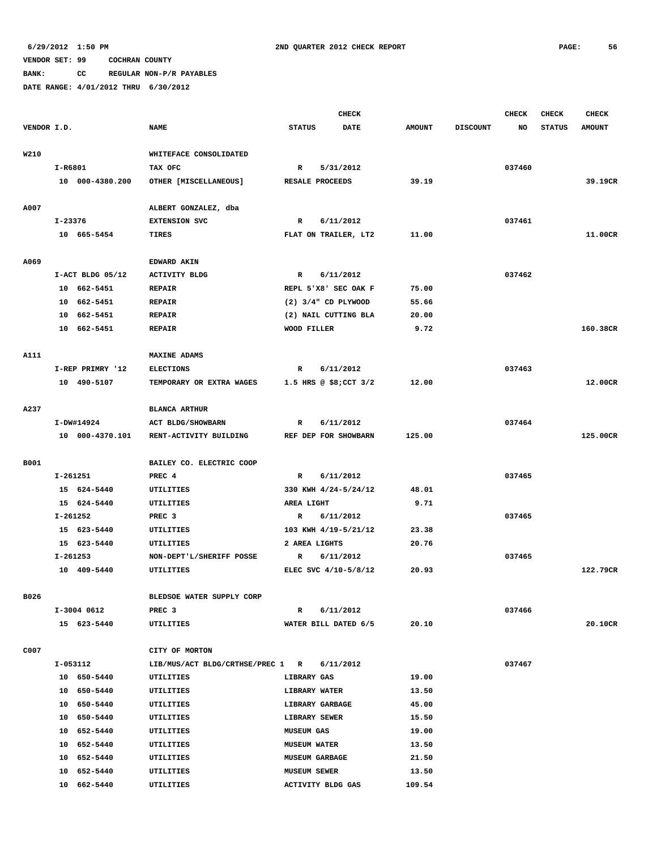**BANK: CC REGULAR NON-P/R PAYABLES**

|             |                  |                                            | <b>CHECK</b>                 |               |                 | <b>CHECK</b> | <b>CHECK</b>  | <b>CHECK</b>  |
|-------------|------------------|--------------------------------------------|------------------------------|---------------|-----------------|--------------|---------------|---------------|
| VENDOR I.D. |                  | <b>NAME</b>                                | <b>STATUS</b><br><b>DATE</b> | <b>AMOUNT</b> | <b>DISCOUNT</b> | NO           | <b>STATUS</b> | <b>AMOUNT</b> |
| W210        |                  | WHITEFACE CONSOLIDATED                     |                              |               |                 |              |               |               |
|             | I-R6801          | TAX OFC                                    | $\mathbb{R}$<br>5/31/2012    |               |                 | 037460       |               |               |
|             | 10 000-4380.200  | OTHER [MISCELLANEOUS]                      | RESALE PROCEEDS              | 39.19         |                 |              |               | 39.19CR       |
|             |                  |                                            |                              |               |                 |              |               |               |
| A007        |                  | ALBERT GONZALEZ, dba                       |                              |               |                 |              |               |               |
|             | I-23376          | <b>EXTENSION SVC</b>                       | 6/11/2012<br>R               |               |                 | 037461       |               |               |
|             | 10 665-5454      | <b>TIRES</b>                               | FLAT ON TRAILER, LT2         | 11.00         |                 |              |               | 11.00CR       |
| A069        |                  | <b>EDWARD AKIN</b>                         |                              |               |                 |              |               |               |
|             | I-ACT BLDG 05/12 | <b>ACTIVITY BLDG</b>                       | 6/11/2012<br>R               |               |                 | 037462       |               |               |
|             | 10 662-5451      | <b>REPAIR</b>                              | REPL 5'X8' SEC OAK F         | 75.00         |                 |              |               |               |
|             | 10 662-5451      | <b>REPAIR</b>                              | $(2)$ 3/4" CD PLYWOOD        | 55.66         |                 |              |               |               |
|             | 10 662-5451      | <b>REPAIR</b>                              | (2) NAIL CUTTING BLA         | 20.00         |                 |              |               |               |
|             | 10 662-5451      | <b>REPAIR</b>                              | WOOD FILLER                  | 9.72          |                 |              |               | 160.38CR      |
|             |                  |                                            |                              |               |                 |              |               |               |
| A111        |                  | <b>MAXINE ADAMS</b>                        |                              |               |                 |              |               |               |
|             | I-REP PRIMRY '12 | <b>ELECTIONS</b>                           | 6/11/2012<br>R               |               |                 | 037463       |               |               |
|             | 10 490-5107      | TEMPORARY OR EXTRA WAGES                   | 1.5 HRS @ $$8;$ CCT $3/2$    | 12.00         |                 |              |               | 12.00CR       |
| A237        |                  | <b>BLANCA ARTHUR</b>                       |                              |               |                 |              |               |               |
|             | I-DW#14924       | ACT BLDG/SHOWBARN                          | 6/11/2012<br>R               |               |                 | 037464       |               |               |
|             | 10 000-4370.101  | RENT-ACTIVITY BUILDING                     | REF DEP FOR SHOWBARN         | 125.00        |                 |              |               | 125.00CR      |
|             |                  |                                            |                              |               |                 |              |               |               |
| B001        |                  | BAILEY CO. ELECTRIC COOP                   |                              |               |                 |              |               |               |
|             | I-261251         | PREC 4                                     | 6/11/2012<br>R               |               |                 | 037465       |               |               |
|             | 15 624-5440      | UTILITIES                                  | 330 KWH 4/24-5/24/12         | 48.01         |                 |              |               |               |
|             | 15 624-5440      | UTILITIES                                  | AREA LIGHT                   | 9.71          |                 |              |               |               |
|             | I-261252         | PREC <sub>3</sub>                          | R<br>6/11/2012               |               |                 | 037465       |               |               |
|             | 15 623-5440      | UTILITIES                                  | 103 KWH 4/19-5/21/12         | 23.38         |                 |              |               |               |
|             | 15 623-5440      | <b>UTILITIES</b>                           | 2 AREA LIGHTS                | 20.76         |                 |              |               |               |
|             | I-261253         | NON-DEPT'L/SHERIFF POSSE                   | 6/11/2012<br>R               |               |                 | 037465       |               |               |
|             | 10 409-5440      | UTILITIES                                  | ELEC SVC 4/10-5/8/12         | 20.93         |                 |              |               | 122.79CR      |
| B026        |                  | BLEDSOE WATER SUPPLY CORP                  |                              |               |                 |              |               |               |
|             | I-3004 0612      | PREC <sub>3</sub>                          | 6/11/2012<br>R               |               |                 | 037466       |               |               |
|             | 15 623-5440      | UTILITIES                                  | WATER BILL DATED 6/5         | 20.10         |                 |              |               | 20.10CR       |
|             |                  |                                            |                              |               |                 |              |               |               |
| C007        |                  | CITY OF MORTON                             |                              |               |                 |              |               |               |
|             | I-053112         | LIB/MUS/ACT BLDG/CRTHSE/PREC 1 R 6/11/2012 |                              |               |                 | 037467       |               |               |
|             | 10 650-5440      | UTILITIES                                  | <b>LIBRARY GAS</b>           | 19.00         |                 |              |               |               |
|             | 10 650-5440      | UTILITIES                                  | <b>LIBRARY WATER</b>         | 13.50         |                 |              |               |               |
|             | 10 650-5440      | UTILITIES                                  | LIBRARY GARBAGE              | 45.00         |                 |              |               |               |
|             | 10 650-5440      | UTILITIES                                  | LIBRARY SEWER                | 15.50         |                 |              |               |               |
|             | 10 652-5440      | UTILITIES                                  | <b>MUSEUM GAS</b>            | 19.00         |                 |              |               |               |
|             | 10 652-5440      | UTILITIES                                  | <b>MUSEUM WATER</b>          | 13.50         |                 |              |               |               |
|             | 10 652-5440      | UTILITIES                                  | <b>MUSEUM GARBAGE</b>        | 21.50         |                 |              |               |               |
|             | 10 652-5440      | UTILITIES                                  | <b>MUSEUM SEWER</b>          | 13.50         |                 |              |               |               |
|             | 10 662-5440      | UTILITIES                                  | ACTIVITY BLDG GAS            | 109.54        |                 |              |               |               |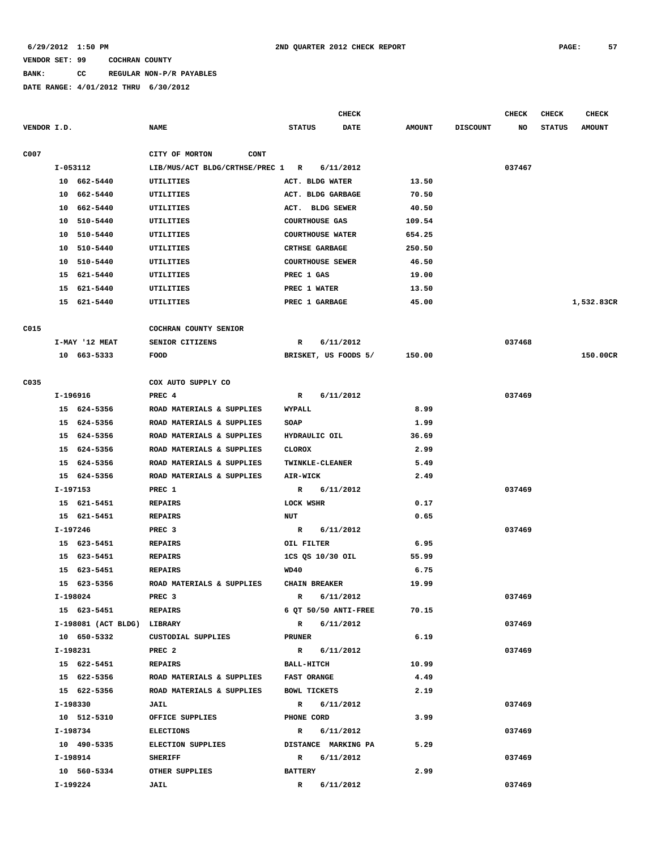#### **BANK: CC REGULAR NON-P/R PAYABLES**

|             |          |                             |                                  |                    | <b>CHECK</b>            |               |                 | CHECK  | <b>CHECK</b>  | <b>CHECK</b>  |
|-------------|----------|-----------------------------|----------------------------------|--------------------|-------------------------|---------------|-----------------|--------|---------------|---------------|
| VENDOR I.D. |          |                             | <b>NAME</b>                      | <b>STATUS</b>      | <b>DATE</b>             | <b>AMOUNT</b> | <b>DISCOUNT</b> | NO     | <b>STATUS</b> | <b>AMOUNT</b> |
| C007        |          |                             | CITY OF MORTON<br><b>CONT</b>    |                    |                         |               |                 |        |               |               |
|             | I-053112 |                             | LIB/MUS/ACT BLDG/CRTHSE/PREC 1 R |                    | 6/11/2012               |               |                 | 037467 |               |               |
|             |          | 10 662-5440                 | UTILITIES                        |                    | ACT. BLDG WATER         | 13.50         |                 |        |               |               |
|             | 10       | 662-5440                    | UTILITIES                        |                    | ACT. BLDG GARBAGE       | 70.50         |                 |        |               |               |
|             | 10       | 662-5440                    | UTILITIES                        |                    | ACT. BLDG SEWER         | 40.50         |                 |        |               |               |
|             | 10       | 510-5440                    | UTILITIES                        |                    | <b>COURTHOUSE GAS</b>   | 109.54        |                 |        |               |               |
|             |          | 10 510-5440                 | UTILITIES                        |                    | <b>COURTHOUSE WATER</b> | 654.25        |                 |        |               |               |
|             |          | 10 510-5440                 | <b>UTILITIES</b>                 |                    | CRTHSE GARBAGE          | 250.50        |                 |        |               |               |
|             | 10       | 510-5440                    | UTILITIES                        |                    | <b>COURTHOUSE SEWER</b> | 46.50         |                 |        |               |               |
|             | 15       | 621-5440                    | UTILITIES                        | PREC 1 GAS         |                         | 19.00         |                 |        |               |               |
|             |          | 15 621-5440                 | UTILITIES                        |                    | PREC 1 WATER            | 13.50         |                 |        |               |               |
|             |          | 15 621-5440                 | UTILITIES                        |                    | PREC 1 GARBAGE          | 45.00         |                 |        |               | 1,532.83CR    |
|             |          |                             |                                  |                    |                         |               |                 |        |               |               |
| C015        |          |                             | COCHRAN COUNTY SENIOR            |                    |                         |               |                 |        |               |               |
|             |          | I-MAY '12 MEAT              | SENIOR CITIZENS                  | R                  | 6/11/2012               |               |                 | 037468 |               |               |
|             |          | 10 663-5333                 | <b>FOOD</b>                      |                    | BRISKET, US FOODS 5/    | 150.00        |                 |        |               | 150.00CR      |
| C035        |          |                             | COX AUTO SUPPLY CO               |                    |                         |               |                 |        |               |               |
|             | I-196916 |                             | PREC 4                           | R                  | 6/11/2012               |               |                 | 037469 |               |               |
|             |          | 15 624-5356                 | ROAD MATERIALS & SUPPLIES        | WYPALL             |                         | 8.99          |                 |        |               |               |
|             |          | 15 624-5356                 | ROAD MATERIALS & SUPPLIES        | SOAP               |                         | 1.99          |                 |        |               |               |
|             |          | 15 624-5356                 | ROAD MATERIALS & SUPPLIES        |                    | HYDRAULIC OIL           | 36.69         |                 |        |               |               |
|             |          | 15 624-5356                 | ROAD MATERIALS & SUPPLIES        | <b>CLOROX</b>      |                         | 2.99          |                 |        |               |               |
|             |          | 15 624-5356                 | ROAD MATERIALS & SUPPLIES        |                    | TWINKLE-CLEANER         | 5.49          |                 |        |               |               |
|             |          | 15 624-5356                 | ROAD MATERIALS & SUPPLIES        | <b>AIR-WICK</b>    |                         | 2.49          |                 |        |               |               |
|             | I-197153 |                             | PREC 1                           | R                  | 6/11/2012               |               |                 | 037469 |               |               |
|             |          | 15 621-5451                 | <b>REPAIRS</b>                   | LOCK WSHR          |                         | 0.17          |                 |        |               |               |
|             |          | 15 621-5451                 | <b>REPAIRS</b>                   | <b>NUT</b>         |                         | 0.65          |                 |        |               |               |
|             | I-197246 |                             | PREC <sub>3</sub>                | R                  | 6/11/2012               |               |                 | 037469 |               |               |
|             |          | 15 623-5451                 | <b>REPAIRS</b>                   | OIL FILTER         |                         | 6.95          |                 |        |               |               |
|             |          | 15 623-5451                 | <b>REPAIRS</b>                   |                    | 1CS QS 10/30 OIL        | 55.99         |                 |        |               |               |
|             |          | 15 623-5451                 | <b>REPAIRS</b>                   | WD40               |                         | 6.75          |                 |        |               |               |
|             |          | 15 623-5356                 | ROAD MATERIALS & SUPPLIES        |                    | <b>CHAIN BREAKER</b>    | 19.99         |                 |        |               |               |
|             | I-198024 |                             | PREC 3                           | $\mathbb{R}$       | 6/11/2012               |               |                 | 037469 |               |               |
|             |          | 15 623-5451                 | <b>REPAIRS</b>                   |                    | 6 QT 50/50 ANTI-FREE    | 70.15         |                 |        |               |               |
|             |          | I-198081 (ACT BLDG) LIBRARY |                                  |                    | R 6/11/2012             |               |                 | 037469 |               |               |
|             |          | 10 650-5332                 | CUSTODIAL SUPPLIES               | PRUNER             |                         | 6.19          |                 |        |               |               |
|             |          | I-198231                    | PREC <sub>2</sub>                |                    | R 6/11/2012             |               |                 | 037469 |               |               |
|             |          | 15 622-5451                 | REPAIRS                          | <b>BALL-HITCH</b>  |                         | 10.99         |                 |        |               |               |
|             |          | 15 622-5356                 | ROAD MATERIALS & SUPPLIES        | <b>FAST ORANGE</b> |                         | 4.49          |                 |        |               |               |
|             |          | 15 622-5356                 | ROAD MATERIALS & SUPPLIES        |                    | <b>BOWL TICKETS</b>     | 2.19          |                 |        |               |               |
|             | I-198330 |                             | JAIL                             |                    | R 6/11/2012             |               |                 | 037469 |               |               |
|             |          | 10 512-5310                 | OFFICE SUPPLIES                  | PHONE CORD         |                         | 3.99          |                 |        |               |               |
|             | I-198734 |                             | <b>ELECTIONS</b>                 |                    | R 6/11/2012             |               |                 | 037469 |               |               |
|             |          | 10 490-5335                 | <b>ELECTION SUPPLIES</b>         |                    | DISTANCE MARKING PA     | 5.29          |                 |        |               |               |
|             |          | I-198914                    | SHERIFF                          |                    | R 6/11/2012             |               |                 | 037469 |               |               |
|             |          | 10 560-5334                 | OTHER SUPPLIES                   | <b>BATTERY</b>     |                         | 2.99          |                 |        |               |               |
|             | I-199224 |                             | JAIL                             | $\mathbf{R}$       | 6/11/2012               |               |                 | 037469 |               |               |
|             |          |                             |                                  |                    |                         |               |                 |        |               |               |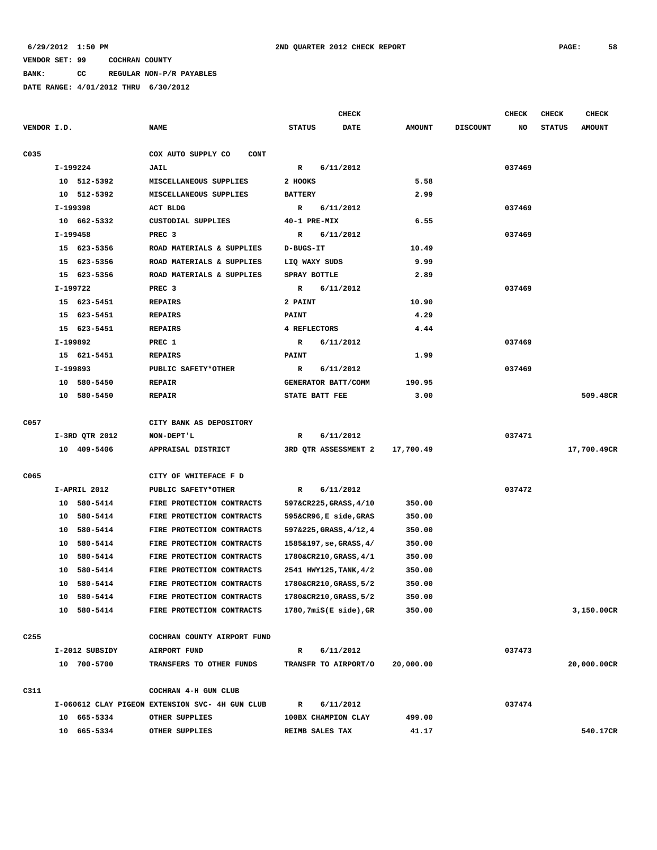**BANK: CC REGULAR NON-P/R PAYABLES**

|                  |                |                                                 | <b>CHECK</b>                 |               |                 | <b>CHECK</b> | <b>CHECK</b>  | <b>CHECK</b>  |
|------------------|----------------|-------------------------------------------------|------------------------------|---------------|-----------------|--------------|---------------|---------------|
| VENDOR I.D.      |                | <b>NAME</b>                                     | <b>DATE</b><br><b>STATUS</b> | <b>AMOUNT</b> | <b>DISCOUNT</b> | NO           | <b>STATUS</b> | <b>AMOUNT</b> |
| C035             |                | COX AUTO SUPPLY CO<br><b>CONT</b>               |                              |               |                 |              |               |               |
|                  | I-199224       | JAIL                                            | $\mathbf R$<br>6/11/2012     |               |                 | 037469       |               |               |
|                  | 10 512-5392    | MISCELLANEOUS SUPPLIES                          | 2 HOOKS                      | 5.58          |                 |              |               |               |
|                  | 10 512-5392    | MISCELLANEOUS SUPPLIES                          | <b>BATTERY</b>               | 2.99          |                 |              |               |               |
|                  | I-199398       | ACT BLDG                                        | 6/11/2012<br>R               |               |                 | 037469       |               |               |
|                  | 10 662-5332    | CUSTODIAL SUPPLIES                              | 40-1 PRE-MIX                 | 6.55          |                 |              |               |               |
|                  | I-199458       | PREC <sub>3</sub>                               | $\mathbb{R}$<br>6/11/2012    |               |                 | 037469       |               |               |
|                  | 15 623-5356    | ROAD MATERIALS & SUPPLIES                       | D-BUGS-IT                    | 10.49         |                 |              |               |               |
|                  | 15 623-5356    | ROAD MATERIALS & SUPPLIES                       | LIQ WAXY SUDS                | 9.99          |                 |              |               |               |
|                  | 15 623-5356    | ROAD MATERIALS & SUPPLIES                       | SPRAY BOTTLE                 | 2.89          |                 |              |               |               |
|                  | I-199722       | PREC <sub>3</sub>                               | 6/11/2012<br>R               |               |                 | 037469       |               |               |
|                  | 15 623-5451    | <b>REPAIRS</b>                                  | 2 PAINT                      | 10.90         |                 |              |               |               |
|                  | 15 623-5451    | <b>REPAIRS</b>                                  | <b>PAINT</b>                 | 4.29          |                 |              |               |               |
|                  | 15 623-5451    | <b>REPAIRS</b>                                  | 4 REFLECTORS                 | 4.44          |                 |              |               |               |
|                  | I-199892       | PREC 1                                          | R<br>6/11/2012               |               |                 | 037469       |               |               |
|                  | 15 621-5451    | <b>REPAIRS</b>                                  | <b>PAINT</b>                 | 1.99          |                 |              |               |               |
|                  | I-199893       | PUBLIC SAFETY*OTHER                             | 6/11/2012<br>R               |               |                 | 037469       |               |               |
|                  | 10 580-5450    | <b>REPAIR</b>                                   | GENERATOR BATT/COMM          | 190.95        |                 |              |               |               |
|                  | 10 580-5450    | <b>REPAIR</b>                                   | STATE BATT FEE               | 3.00          |                 |              |               | 509.48CR      |
| C057             |                | CITY BANK AS DEPOSITORY                         |                              |               |                 |              |               |               |
|                  | I-3RD QTR 2012 | NON-DEPT'L                                      | 6/11/2012<br>R               |               |                 | 037471       |               |               |
|                  | 10 409-5406    | APPRAISAL DISTRICT                              | 3RD QTR ASSESSMENT 2         | 17,700.49     |                 |              |               | 17,700.49CR   |
| C065             |                | CITY OF WHITEFACE F D                           |                              |               |                 |              |               |               |
|                  | I-APRIL 2012   | PUBLIC SAFETY*OTHER                             | $\mathbf R$<br>6/11/2012     |               |                 | 037472       |               |               |
|                  | 10 580-5414    | FIRE PROTECTION CONTRACTS                       | 597&CR225, GRASS, 4/10       | 350.00        |                 |              |               |               |
|                  | 10 580-5414    | FIRE PROTECTION CONTRACTS                       | 595&CR96, E side, GRAS       | 350.00        |                 |              |               |               |
|                  | 10 580-5414    | FIRE PROTECTION CONTRACTS                       | 597&225, GRASS, 4/12, 4      | 350.00        |                 |              |               |               |
|                  | 10 580-5414    | FIRE PROTECTION CONTRACTS                       | 1585&197, se, GRASS, 4/      | 350.00        |                 |              |               |               |
|                  | 10 580-5414    | FIRE PROTECTION CONTRACTS                       | 1780&CR210, GRASS, 4/1       | 350.00        |                 |              |               |               |
|                  | 10<br>580-5414 | FIRE PROTECTION CONTRACTS                       | 2541 HWY125, TANK, 4/2       | 350.00        |                 |              |               |               |
|                  | 10 580-5414    | FIRE PROTECTION CONTRACTS                       | 1780&CR210, GRASS, 5/2       | 350.00        |                 |              |               |               |
|                  | 10 580-5414    | FIRE PROTECTION CONTRACTS                       | 1780&CR210, GRASS, 5/2       | 350.00        |                 |              |               |               |
|                  | 10 580-5414    | FIRE PROTECTION CONTRACTS                       | $1780, 7mis(E side)$ , GR    | 350.00        |                 |              |               | 3,150.00CR    |
| C <sub>255</sub> |                | COCHRAN COUNTY AIRPORT FUND                     |                              |               |                 |              |               |               |
|                  | I-2012 SUBSIDY | AIRPORT FUND                                    | 6/11/2012<br>R               |               |                 | 037473       |               |               |
|                  | 10 700-5700    | TRANSFERS TO OTHER FUNDS                        | TRANSFR TO AIRPORT/O         | 20,000.00     |                 |              |               | 20,000.00CR   |
| C311             |                | COCHRAN 4-H GUN CLUB                            |                              |               |                 |              |               |               |
|                  |                | I-060612 CLAY PIGEON EXTENSION SVC- 4H GUN CLUB | 6/11/2012<br>R               |               |                 | 037474       |               |               |
|                  | 10 665-5334    | OTHER SUPPLIES                                  | 100BX CHAMPION CLAY          | 499.00        |                 |              |               |               |
|                  | 10 665-5334    | OTHER SUPPLIES                                  | REIMB SALES TAX              | 41.17         |                 |              |               | 540.17CR      |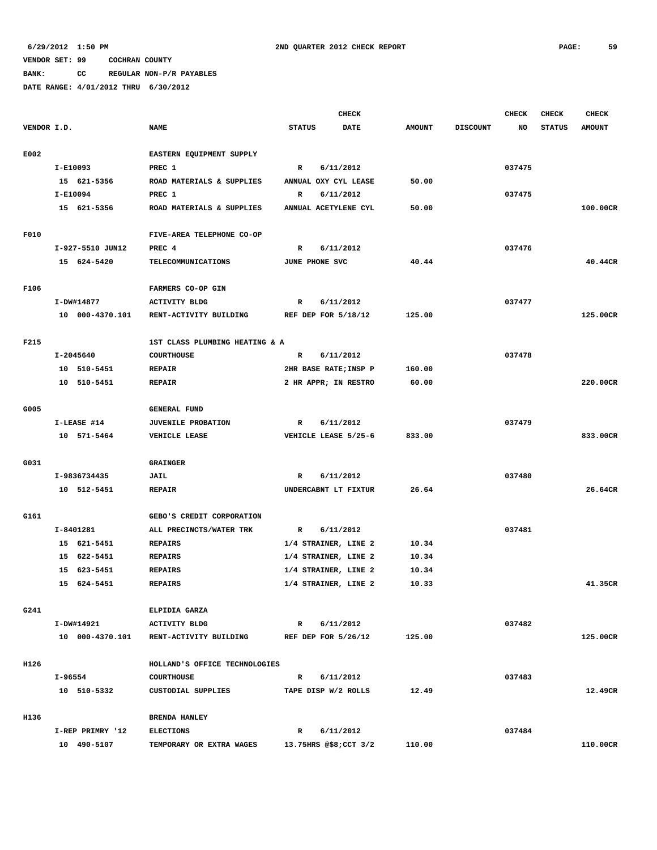**BANK: CC REGULAR NON-P/R PAYABLES**

|             |                  |                                |                       | <b>CHECK</b> |               |                 | CHECK  | <b>CHECK</b>  | <b>CHECK</b>  |
|-------------|------------------|--------------------------------|-----------------------|--------------|---------------|-----------------|--------|---------------|---------------|
| VENDOR I.D. |                  | <b>NAME</b>                    | <b>STATUS</b>         | DATE         | <b>AMOUNT</b> | <b>DISCOUNT</b> | NO     | <b>STATUS</b> | <b>AMOUNT</b> |
|             |                  |                                |                       |              |               |                 |        |               |               |
| E002        |                  | EASTERN EQUIPMENT SUPPLY       |                       |              |               |                 |        |               |               |
|             | I-E10093         | PREC 1                         | $\mathbb{R}$          | 6/11/2012    |               |                 | 037475 |               |               |
|             | 15 621-5356      | ROAD MATERIALS & SUPPLIES      | ANNUAL OXY CYL LEASE  |              | 50.00         |                 |        |               |               |
|             | I-E10094         | PREC 1                         | $\mathbf R$           | 6/11/2012    |               |                 | 037475 |               |               |
|             | 15 621-5356      | ROAD MATERIALS & SUPPLIES      | ANNUAL ACETYLENE CYL  |              | 50.00         |                 |        |               | 100.00CR      |
|             |                  |                                |                       |              |               |                 |        |               |               |
| F010        |                  | FIVE-AREA TELEPHONE CO-OP      |                       |              |               |                 |        |               |               |
|             | I-927-5510 JUN12 | PREC 4                         | $\mathbb{R}$          | 6/11/2012    |               |                 | 037476 |               |               |
|             | 15 624-5420      | TELECOMMUNICATIONS             | JUNE PHONE SVC        |              | 40.44         |                 |        |               | 40.44CR       |
|             |                  |                                |                       |              |               |                 |        |               |               |
| F106        |                  | FARMERS CO-OP GIN              |                       |              |               |                 |        |               |               |
|             | I-DW#14877       | <b>ACTIVITY BLDG</b>           | R                     | 6/11/2012    |               |                 | 037477 |               |               |
|             | 10 000-4370.101  | RENT-ACTIVITY BUILDING         | REF DEP FOR 5/18/12   |              | 125.00        |                 |        |               | 125.00CR      |
|             |                  |                                |                       |              |               |                 |        |               |               |
| F215        |                  | 1ST CLASS PLUMBING HEATING & A |                       |              |               |                 |        |               |               |
|             | I-2045640        | <b>COURTHOUSE</b>              | $\mathbb{R}$          | 6/11/2012    |               |                 | 037478 |               |               |
|             | 10 510-5451      | <b>REPAIR</b>                  | 2HR BASE RATE; INSP P |              | 160.00        |                 |        |               |               |
|             | 10 510-5451      | <b>REPAIR</b>                  | 2 HR APPR; IN RESTRO  |              | 60.00         |                 |        |               | 220.00CR      |
|             |                  |                                |                       |              |               |                 |        |               |               |
| G005        |                  | <b>GENERAL FUND</b>            |                       |              |               |                 |        |               |               |
|             | I-LEASE #14      | <b>JUVENILE PROBATION</b>      | R                     | 6/11/2012    |               |                 | 037479 |               |               |
|             | 10 571-5464      | VEHICLE LEASE                  | VEHICLE LEASE 5/25-6  |              | 833.00        |                 |        |               | 833.00CR      |
|             |                  |                                |                       |              |               |                 |        |               |               |
| G031        |                  | <b>GRAINGER</b>                |                       |              |               |                 |        |               |               |
|             | I-9836734435     | JAIL                           | R                     | 6/11/2012    |               |                 | 037480 |               |               |
|             | 10 512-5451      | <b>REPAIR</b>                  | UNDERCABNT LT FIXTUR  |              | 26.64         |                 |        |               | 26.64CR       |
|             |                  |                                |                       |              |               |                 |        |               |               |
| G161        |                  | GEBO'S CREDIT CORPORATION      |                       |              |               |                 |        |               |               |
|             | I-8401281        | ALL PRECINCTS/WATER TRK        | $\mathbb{R}$          | 6/11/2012    |               |                 | 037481 |               |               |
|             | 15 621-5451      | <b>REPAIRS</b>                 | 1/4 STRAINER, LINE 2  |              | 10.34         |                 |        |               |               |
|             | 15 622-5451      | <b>REPAIRS</b>                 | 1/4 STRAINER, LINE 2  |              | 10.34         |                 |        |               |               |
|             | 15 623-5451      | <b>REPAIRS</b>                 | 1/4 STRAINER, LINE 2  |              | 10.34         |                 |        |               |               |
|             | 15 624-5451      | <b>REPAIRS</b>                 | 1/4 STRAINER, LINE 2  |              | 10.33         |                 |        |               | 41.35CR       |
|             |                  |                                |                       |              |               |                 |        |               |               |
| G241        |                  | ELPIDIA GARZA                  |                       |              |               |                 |        |               |               |
|             | I-DW#14921       | <b>ACTIVITY BLDG</b>           | $\mathbf{R}$          | 6/11/2012    |               |                 | 037482 |               |               |
|             | 10 000-4370.101  | RENT-ACTIVITY BUILDING         | REF DEP FOR 5/26/12   |              | 125.00        |                 |        |               | 125.00CR      |
|             |                  |                                |                       |              |               |                 |        |               |               |
| H126        |                  | HOLLAND'S OFFICE TECHNOLOGIES  |                       |              |               |                 |        |               |               |
|             | I-96554          | <b>COURTHOUSE</b>              | R                     | 6/11/2012    |               |                 | 037483 |               |               |
|             | 10 510-5332      | CUSTODIAL SUPPLIES             | TAPE DISP W/2 ROLLS   |              | 12.49         |                 |        |               | 12.49CR       |
|             |                  |                                |                       |              |               |                 |        |               |               |
| H136        |                  | <b>BRENDA HANLEY</b>           |                       |              |               |                 |        |               |               |
|             | I-REP PRIMRY '12 | <b>ELECTIONS</b>               | $\mathbb{R}$          | 6/11/2012    |               |                 | 037484 |               |               |
|             | 10 490-5107      | TEMPORARY OR EXTRA WAGES       | 13.75HRS @\$8;CCT 3/2 |              | 110.00        |                 |        |               | 110.00CR      |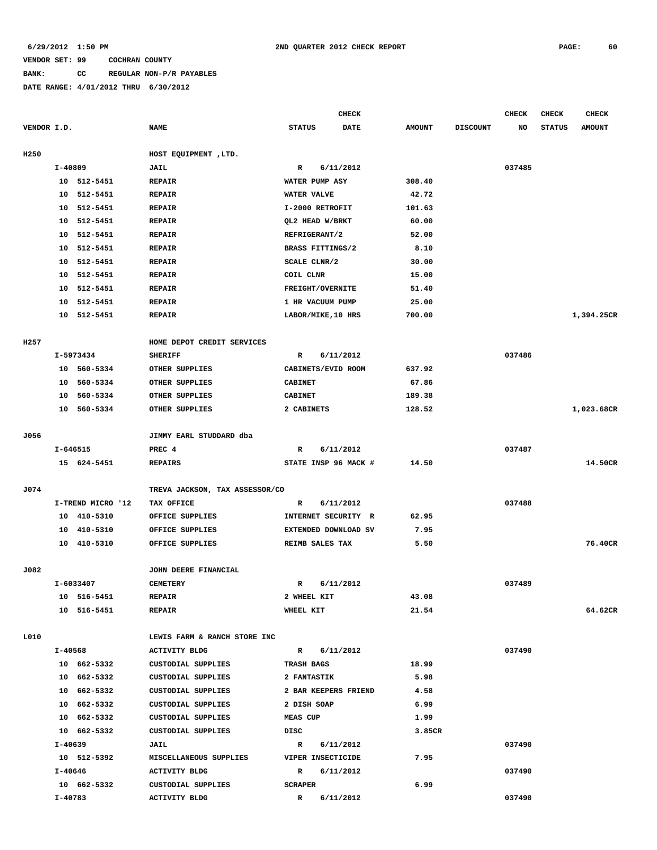# **BANK: CC REGULAR NON-P/R PAYABLES**

|                        |                                               | <b>CHECK</b>                                                                                                                                                                                                                                                                                                                                                                                                                                                                                                                     |                                                                                                                                                                                                                                                                                |                                         | CHECK  | <b>CHECK</b>               | CHECK         |
|------------------------|-----------------------------------------------|----------------------------------------------------------------------------------------------------------------------------------------------------------------------------------------------------------------------------------------------------------------------------------------------------------------------------------------------------------------------------------------------------------------------------------------------------------------------------------------------------------------------------------|--------------------------------------------------------------------------------------------------------------------------------------------------------------------------------------------------------------------------------------------------------------------------------|-----------------------------------------|--------|----------------------------|---------------|
|                        | <b>NAME</b>                                   | <b>STATUS</b><br><b>DATE</b>                                                                                                                                                                                                                                                                                                                                                                                                                                                                                                     | <b>AMOUNT</b>                                                                                                                                                                                                                                                                  | <b>DISCOUNT</b>                         | NO     | <b>STATUS</b>              | <b>AMOUNT</b> |
|                        |                                               |                                                                                                                                                                                                                                                                                                                                                                                                                                                                                                                                  |                                                                                                                                                                                                                                                                                |                                         |        |                            |               |
|                        |                                               |                                                                                                                                                                                                                                                                                                                                                                                                                                                                                                                                  |                                                                                                                                                                                                                                                                                |                                         |        |                            |               |
|                        |                                               | WATER PUMP ASY                                                                                                                                                                                                                                                                                                                                                                                                                                                                                                                   |                                                                                                                                                                                                                                                                                |                                         |        |                            |               |
| 10                     | <b>REPAIR</b>                                 | WATER VALVE                                                                                                                                                                                                                                                                                                                                                                                                                                                                                                                      | 42.72                                                                                                                                                                                                                                                                          |                                         |        |                            |               |
| 10                     | <b>REPAIR</b>                                 | I-2000 RETROFIT                                                                                                                                                                                                                                                                                                                                                                                                                                                                                                                  | 101.63                                                                                                                                                                                                                                                                         |                                         |        |                            |               |
| 10                     | <b>REPAIR</b>                                 | QL2 HEAD W/BRKT                                                                                                                                                                                                                                                                                                                                                                                                                                                                                                                  | 60.00                                                                                                                                                                                                                                                                          |                                         |        |                            |               |
| 10                     | <b>REPAIR</b>                                 | REFRIGERANT/2                                                                                                                                                                                                                                                                                                                                                                                                                                                                                                                    | 52.00                                                                                                                                                                                                                                                                          |                                         |        |                            |               |
| 10                     | <b>REPAIR</b>                                 |                                                                                                                                                                                                                                                                                                                                                                                                                                                                                                                                  |                                                                                                                                                                                                                                                                                |                                         |        |                            |               |
| 10                     | <b>REPAIR</b>                                 | <b>SCALE CLNR/2</b>                                                                                                                                                                                                                                                                                                                                                                                                                                                                                                              | 30.00                                                                                                                                                                                                                                                                          |                                         |        |                            |               |
| 10                     | <b>REPAIR</b>                                 | COIL CLNR                                                                                                                                                                                                                                                                                                                                                                                                                                                                                                                        | 15.00                                                                                                                                                                                                                                                                          |                                         |        |                            |               |
| 10                     | <b>REPAIR</b>                                 | FREIGHT/OVERNITE                                                                                                                                                                                                                                                                                                                                                                                                                                                                                                                 | 51.40                                                                                                                                                                                                                                                                          |                                         |        |                            |               |
| 10                     | <b>REPAIR</b>                                 | 1 HR VACUUM PUMP                                                                                                                                                                                                                                                                                                                                                                                                                                                                                                                 | 25.00                                                                                                                                                                                                                                                                          |                                         |        |                            |               |
| 10                     | <b>REPAIR</b>                                 | LABOR/MIKE, 10 HRS                                                                                                                                                                                                                                                                                                                                                                                                                                                                                                               | 700.00                                                                                                                                                                                                                                                                         |                                         |        |                            | 1,394.25CR    |
|                        |                                               |                                                                                                                                                                                                                                                                                                                                                                                                                                                                                                                                  |                                                                                                                                                                                                                                                                                |                                         |        |                            |               |
|                        |                                               |                                                                                                                                                                                                                                                                                                                                                                                                                                                                                                                                  |                                                                                                                                                                                                                                                                                |                                         |        |                            |               |
| I-5973434              | <b>SHERIFF</b>                                | 6/11/2012<br>R                                                                                                                                                                                                                                                                                                                                                                                                                                                                                                                   |                                                                                                                                                                                                                                                                                |                                         | 037486 |                            |               |
|                        | OTHER SUPPLIES                                | CABINETS/EVID ROOM                                                                                                                                                                                                                                                                                                                                                                                                                                                                                                               | 637.92                                                                                                                                                                                                                                                                         |                                         |        |                            |               |
| 10                     | OTHER SUPPLIES                                | <b>CABINET</b>                                                                                                                                                                                                                                                                                                                                                                                                                                                                                                                   | 67.86                                                                                                                                                                                                                                                                          |                                         |        |                            |               |
| 10                     | OTHER SUPPLIES                                | <b>CABINET</b>                                                                                                                                                                                                                                                                                                                                                                                                                                                                                                                   | 189.38                                                                                                                                                                                                                                                                         |                                         |        |                            |               |
| 10                     | <b>OTHER SUPPLIES</b>                         | 2 CABINETS                                                                                                                                                                                                                                                                                                                                                                                                                                                                                                                       | 128.52                                                                                                                                                                                                                                                                         |                                         |        |                            | 1,023.68CR    |
|                        |                                               |                                                                                                                                                                                                                                                                                                                                                                                                                                                                                                                                  |                                                                                                                                                                                                                                                                                |                                         |        |                            |               |
|                        |                                               |                                                                                                                                                                                                                                                                                                                                                                                                                                                                                                                                  |                                                                                                                                                                                                                                                                                |                                         |        |                            |               |
|                        | <b>REPAIRS</b>                                | STATE INSP 96 MACK #                                                                                                                                                                                                                                                                                                                                                                                                                                                                                                             | 14.50                                                                                                                                                                                                                                                                          |                                         |        |                            | 14.50CR       |
|                        |                                               |                                                                                                                                                                                                                                                                                                                                                                                                                                                                                                                                  |                                                                                                                                                                                                                                                                                |                                         |        |                            |               |
|                        |                                               |                                                                                                                                                                                                                                                                                                                                                                                                                                                                                                                                  |                                                                                                                                                                                                                                                                                |                                         |        |                            |               |
|                        | TAX OFFICE                                    | 6/11/2012<br>R                                                                                                                                                                                                                                                                                                                                                                                                                                                                                                                   |                                                                                                                                                                                                                                                                                |                                         | 037488 |                            |               |
|                        | OFFICE SUPPLIES                               | INTERNET SECURITY R                                                                                                                                                                                                                                                                                                                                                                                                                                                                                                              | 62.95                                                                                                                                                                                                                                                                          |                                         |        |                            |               |
| 10                     | OFFICE SUPPLIES                               | EXTENDED DOWNLOAD SV                                                                                                                                                                                                                                                                                                                                                                                                                                                                                                             | 7.95                                                                                                                                                                                                                                                                           |                                         |        |                            |               |
|                        | OFFICE SUPPLIES                               | REIMB SALES TAX                                                                                                                                                                                                                                                                                                                                                                                                                                                                                                                  | 5.50                                                                                                                                                                                                                                                                           |                                         |        |                            | 76.40CR       |
|                        |                                               |                                                                                                                                                                                                                                                                                                                                                                                                                                                                                                                                  |                                                                                                                                                                                                                                                                                |                                         |        |                            |               |
|                        | JOHN DEERE FINANCIAL                          |                                                                                                                                                                                                                                                                                                                                                                                                                                                                                                                                  |                                                                                                                                                                                                                                                                                |                                         |        |                            |               |
| I-6033407              | <b>CEMETERY</b>                               | 6/11/2012<br>R                                                                                                                                                                                                                                                                                                                                                                                                                                                                                                                   |                                                                                                                                                                                                                                                                                |                                         | 037489 |                            |               |
|                        | <b>REPAIR</b>                                 | 2 WHEEL KIT                                                                                                                                                                                                                                                                                                                                                                                                                                                                                                                      | 43.08                                                                                                                                                                                                                                                                          |                                         |        |                            |               |
|                        | <b>REPAIR</b>                                 | WHEEL KIT                                                                                                                                                                                                                                                                                                                                                                                                                                                                                                                        | 21.54                                                                                                                                                                                                                                                                          |                                         |        |                            | 64.62CR       |
|                        |                                               |                                                                                                                                                                                                                                                                                                                                                                                                                                                                                                                                  |                                                                                                                                                                                                                                                                                |                                         |        |                            |               |
|                        | ACTIVITY BLDG                                 | $\mathbf{R}$                                                                                                                                                                                                                                                                                                                                                                                                                                                                                                                     |                                                                                                                                                                                                                                                                                |                                         |        |                            |               |
|                        |                                               |                                                                                                                                                                                                                                                                                                                                                                                                                                                                                                                                  |                                                                                                                                                                                                                                                                                |                                         |        |                            |               |
|                        |                                               | <b>2 FANTASTIK</b>                                                                                                                                                                                                                                                                                                                                                                                                                                                                                                               | 5.98                                                                                                                                                                                                                                                                           |                                         |        |                            |               |
|                        |                                               |                                                                                                                                                                                                                                                                                                                                                                                                                                                                                                                                  |                                                                                                                                                                                                                                                                                |                                         |        |                            |               |
|                        |                                               |                                                                                                                                                                                                                                                                                                                                                                                                                                                                                                                                  |                                                                                                                                                                                                                                                                                |                                         |        |                            |               |
|                        | CUSTODIAL SUPPLIES                            | <b>MEAS CUP</b>                                                                                                                                                                                                                                                                                                                                                                                                                                                                                                                  | 1.99                                                                                                                                                                                                                                                                           |                                         |        |                            |               |
|                        |                                               |                                                                                                                                                                                                                                                                                                                                                                                                                                                                                                                                  | 3.85CR                                                                                                                                                                                                                                                                         |                                         |        |                            |               |
| 10 662-5332            |                                               |                                                                                                                                                                                                                                                                                                                                                                                                                                                                                                                                  |                                                                                                                                                                                                                                                                                |                                         |        |                            |               |
|                        | CUSTODIAL SUPPLIES                            | DISC                                                                                                                                                                                                                                                                                                                                                                                                                                                                                                                             |                                                                                                                                                                                                                                                                                |                                         |        |                            |               |
| I-40639<br>10 512-5392 | JAIL<br>MISCELLANEOUS SUPPLIES                | 6/11/2012<br>R<br>VIPER INSECTICIDE                                                                                                                                                                                                                                                                                                                                                                                                                                                                                              | 7.95                                                                                                                                                                                                                                                                           |                                         | 037490 |                            |               |
| $I - 40646$            |                                               | $\mathbb{R}$                                                                                                                                                                                                                                                                                                                                                                                                                                                                                                                     |                                                                                                                                                                                                                                                                                |                                         |        |                            |               |
| 10 662-5332            | <b>ACTIVITY BLDG</b><br>CUSTODIAL SUPPLIES    | 6/11/2012<br><b>SCRAPER</b>                                                                                                                                                                                                                                                                                                                                                                                                                                                                                                      | 6.99                                                                                                                                                                                                                                                                           |                                         | 037490 |                            |               |
|                        | VENDOR I.D.<br>I-40809<br>I-646515<br>I-40568 | HOST EQUIPMENT, LTD.<br>JAIL<br>10 512-5451<br><b>REPAIR</b><br>512-5451<br>512-5451<br>512-5451<br>512-5451<br>512-5451<br>512-5451<br>512-5451<br>512-5451<br>512-5451<br>512-5451<br>10 560-5334<br>560-5334<br>560-5334<br>560-5334<br>PREC 4<br>15 624-5451<br>I-TREND MICRO '12<br>10 410-5310<br>410-5310<br>10 410-5310<br>10 516-5451<br>10 516-5451<br>10 662-5332<br>CUSTODIAL SUPPLIES<br>10 662-5332<br>CUSTODIAL SUPPLIES<br>10 662-5332<br>CUSTODIAL SUPPLIES<br>10 662-5332<br>CUSTODIAL SUPPLIES<br>10 662-5332 | $\mathbb{R}$<br>6/11/2012<br>BRASS FITTINGS/2<br>HOME DEPOT CREDIT SERVICES<br>JIMMY EARL STUDDARD dba<br>$\mathbb{R}$<br>6/11/2012<br>TREVA JACKSON, TAX ASSESSOR/CO<br>LEWIS FARM & RANCH STORE INC<br>6/11/2012<br><b>TRASH BAGS</b><br>2 BAR KEEPERS FRIEND<br>2 DISH SOAP | 308.40<br>8.10<br>18.99<br>4.58<br>6.99 |        | 037485<br>037487<br>037490 |               |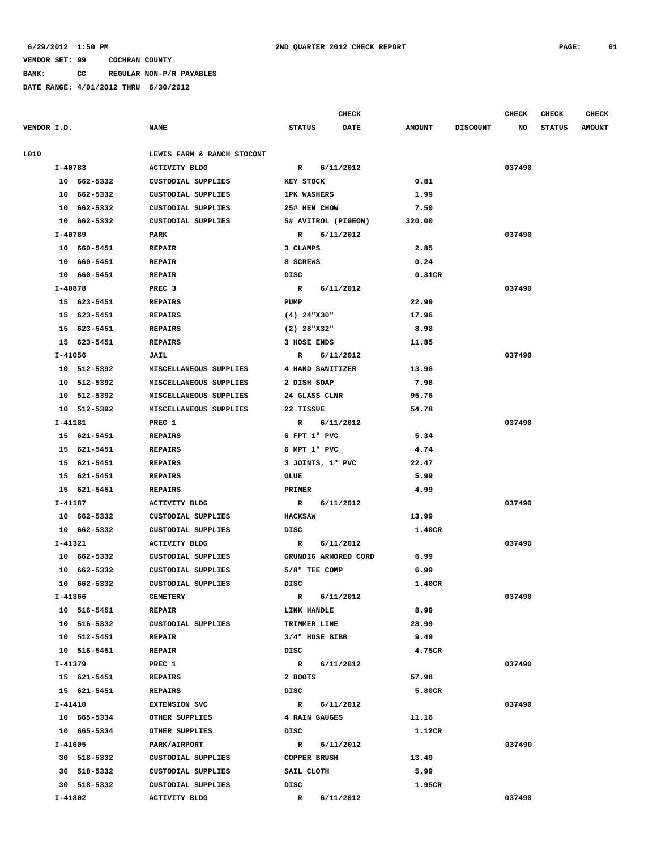**BANK: CC REGULAR NON-P/R PAYABLES**

|                |                            |                  | <b>CHECK</b> |                                                                                                                                                                                                                                                                                                                                                                                                                                                                                                                    |                 | <b>CHECK</b> | <b>CHECK</b>  | <b>CHECK</b>  |
|----------------|----------------------------|------------------|--------------|--------------------------------------------------------------------------------------------------------------------------------------------------------------------------------------------------------------------------------------------------------------------------------------------------------------------------------------------------------------------------------------------------------------------------------------------------------------------------------------------------------------------|-----------------|--------------|---------------|---------------|
|                | <b>NAME</b>                | <b>STATUS</b>    | <b>DATE</b>  | <b>AMOUNT</b>                                                                                                                                                                                                                                                                                                                                                                                                                                                                                                      | <b>DISCOUNT</b> | NO           | <b>STATUS</b> | <b>AMOUNT</b> |
|                | LEWIS FARM & RANCH STOCONT |                  |              |                                                                                                                                                                                                                                                                                                                                                                                                                                                                                                                    |                 |              |               |               |
| I-40783        | <b>ACTIVITY BLDG</b>       | $\mathbb{R}$     |              |                                                                                                                                                                                                                                                                                                                                                                                                                                                                                                                    |                 | 037490       |               |               |
| 10 662-5332    | CUSTODIAL SUPPLIES         | <b>KEY STOCK</b> |              | 0.81                                                                                                                                                                                                                                                                                                                                                                                                                                                                                                               |                 |              |               |               |
| 10 662-5332    | CUSTODIAL SUPPLIES         |                  |              | 1.99                                                                                                                                                                                                                                                                                                                                                                                                                                                                                                               |                 |              |               |               |
| 10 662-5332    | CUSTODIAL SUPPLIES         |                  |              | 7.50                                                                                                                                                                                                                                                                                                                                                                                                                                                                                                               |                 |              |               |               |
| 10 662-5332    | CUSTODIAL SUPPLIES         |                  |              | 320.00                                                                                                                                                                                                                                                                                                                                                                                                                                                                                                             |                 |              |               |               |
| $I - 40789$    | PARK                       | $\mathbb{R}$     |              |                                                                                                                                                                                                                                                                                                                                                                                                                                                                                                                    |                 | 037490       |               |               |
| 10 660-5451    | <b>REPAIR</b>              | 3 CLAMPS         |              | 2.85                                                                                                                                                                                                                                                                                                                                                                                                                                                                                                               |                 |              |               |               |
| 10 660-5451    | <b>REPAIR</b>              | 8 SCREWS         |              | 0.24                                                                                                                                                                                                                                                                                                                                                                                                                                                                                                               |                 |              |               |               |
| 10 660-5451    | <b>REPAIR</b>              | DISC             |              | 0.31CR                                                                                                                                                                                                                                                                                                                                                                                                                                                                                                             |                 |              |               |               |
| I-40878        | PREC <sub>3</sub>          | R                |              |                                                                                                                                                                                                                                                                                                                                                                                                                                                                                                                    |                 | 037490       |               |               |
| 15 623-5451    | <b>REPAIRS</b>             | PUMP             |              | 22.99                                                                                                                                                                                                                                                                                                                                                                                                                                                                                                              |                 |              |               |               |
| 15 623-5451    | <b>REPAIRS</b>             |                  |              | 17.96                                                                                                                                                                                                                                                                                                                                                                                                                                                                                                              |                 |              |               |               |
| 15 623-5451    | <b>REPAIRS</b>             |                  |              | 8.98                                                                                                                                                                                                                                                                                                                                                                                                                                                                                                               |                 |              |               |               |
| 15 623-5451    | <b>REPAIRS</b>             |                  |              | 11.85                                                                                                                                                                                                                                                                                                                                                                                                                                                                                                              |                 |              |               |               |
| I-41056        | JAIL                       | R                |              |                                                                                                                                                                                                                                                                                                                                                                                                                                                                                                                    |                 | 037490       |               |               |
| 10 512-5392    | MISCELLANEOUS SUPPLIES     |                  |              | 13.96                                                                                                                                                                                                                                                                                                                                                                                                                                                                                                              |                 |              |               |               |
| 10 512-5392    | MISCELLANEOUS SUPPLIES     |                  |              | 7.98                                                                                                                                                                                                                                                                                                                                                                                                                                                                                                               |                 |              |               |               |
| 10 512-5392    | MISCELLANEOUS SUPPLIES     |                  |              | 95.76                                                                                                                                                                                                                                                                                                                                                                                                                                                                                                              |                 |              |               |               |
| 10 512-5392    | MISCELLANEOUS SUPPLIES     | 22 TISSUE        |              | 54.78                                                                                                                                                                                                                                                                                                                                                                                                                                                                                                              |                 |              |               |               |
| I-41181        | PREC 1                     | R                |              |                                                                                                                                                                                                                                                                                                                                                                                                                                                                                                                    |                 | 037490       |               |               |
| 15 621-5451    | <b>REPAIRS</b>             |                  |              |                                                                                                                                                                                                                                                                                                                                                                                                                                                                                                                    |                 |              |               |               |
| 15 621-5451    | <b>REPAIRS</b>             |                  |              | 4.74                                                                                                                                                                                                                                                                                                                                                                                                                                                                                                               |                 |              |               |               |
| 15 621-5451    | <b>REPAIRS</b>             |                  |              | 22.47                                                                                                                                                                                                                                                                                                                                                                                                                                                                                                              |                 |              |               |               |
| 15 621-5451    | <b>REPAIRS</b>             | <b>GLUE</b>      |              | 5.99                                                                                                                                                                                                                                                                                                                                                                                                                                                                                                               |                 |              |               |               |
| 15 621-5451    | <b>REPAIRS</b>             | PRIMER           |              | 4.99                                                                                                                                                                                                                                                                                                                                                                                                                                                                                                               |                 |              |               |               |
| I-41187        | ACTIVITY BLDG              | R                |              |                                                                                                                                                                                                                                                                                                                                                                                                                                                                                                                    |                 | 037490       |               |               |
| 10 662-5332    | CUSTODIAL SUPPLIES         | <b>HACKSAW</b>   |              | 13.99                                                                                                                                                                                                                                                                                                                                                                                                                                                                                                              |                 |              |               |               |
| 10 662-5332    | CUSTODIAL SUPPLIES         | DISC             |              | 1.40CR                                                                                                                                                                                                                                                                                                                                                                                                                                                                                                             |                 |              |               |               |
| $I - 41321$    | <b>ACTIVITY BLDG</b>       | R                |              |                                                                                                                                                                                                                                                                                                                                                                                                                                                                                                                    |                 | 037490       |               |               |
| 10 662-5332    | CUSTODIAL SUPPLIES         |                  |              | 6.99                                                                                                                                                                                                                                                                                                                                                                                                                                                                                                               |                 |              |               |               |
| 10<br>662-5332 | CUSTODIAL SUPPLIES         |                  |              | 6.99                                                                                                                                                                                                                                                                                                                                                                                                                                                                                                               |                 |              |               |               |
| 10 662-5332    | <b>CUSTODIAL SUPPLIES</b>  | DISC             |              | 1.40CR                                                                                                                                                                                                                                                                                                                                                                                                                                                                                                             |                 |              |               |               |
| I-41366        | <b>CEMETERY</b>            | $\mathbf{R}$     |              |                                                                                                                                                                                                                                                                                                                                                                                                                                                                                                                    |                 | 037490       |               |               |
| 10 516-5451    | <b>REPAIR</b>              |                  |              | 8.99                                                                                                                                                                                                                                                                                                                                                                                                                                                                                                               |                 |              |               |               |
| 10 516-5332    | CUSTODIAL SUPPLIES         |                  |              | 28.99                                                                                                                                                                                                                                                                                                                                                                                                                                                                                                              |                 |              |               |               |
| 10 512-5451    | <b>REPAIR</b>              |                  |              | 9.49                                                                                                                                                                                                                                                                                                                                                                                                                                                                                                               |                 |              |               |               |
| 10 516-5451    | <b>REPAIR</b>              | DISC             |              | 4.75CR                                                                                                                                                                                                                                                                                                                                                                                                                                                                                                             |                 |              |               |               |
| I-41379        | PREC 1                     |                  |              |                                                                                                                                                                                                                                                                                                                                                                                                                                                                                                                    |                 | 037490       |               |               |
| 15 621-5451    | <b>REPAIRS</b>             | 2 BOOTS          |              | 57.98                                                                                                                                                                                                                                                                                                                                                                                                                                                                                                              |                 |              |               |               |
| 15 621-5451    | <b>REPAIRS</b>             | DISC             |              | 5.80CR                                                                                                                                                                                                                                                                                                                                                                                                                                                                                                             |                 |              |               |               |
| I-41410        | <b>EXTENSION SVC</b>       | $\mathbb{R}$     |              |                                                                                                                                                                                                                                                                                                                                                                                                                                                                                                                    |                 | 037490       |               |               |
| 10 665-5334    | OTHER SUPPLIES             |                  |              | 11.16                                                                                                                                                                                                                                                                                                                                                                                                                                                                                                              |                 |              |               |               |
| 10 665-5334    | OTHER SUPPLIES             | DISC             |              | 1.12CR                                                                                                                                                                                                                                                                                                                                                                                                                                                                                                             |                 |              |               |               |
| I-41605        | PARK/AIRPORT               | $\mathbb{R}$     |              |                                                                                                                                                                                                                                                                                                                                                                                                                                                                                                                    |                 | 037490       |               |               |
| 30 518-5332    | CUSTODIAL SUPPLIES         |                  |              | 13.49                                                                                                                                                                                                                                                                                                                                                                                                                                                                                                              |                 |              |               |               |
| 30 518-5332    | CUSTODIAL SUPPLIES         | SAIL CLOTH       |              | 5.99                                                                                                                                                                                                                                                                                                                                                                                                                                                                                                               |                 |              |               |               |
| 30 518-5332    | CUSTODIAL SUPPLIES         | DISC             |              | 1.95CR                                                                                                                                                                                                                                                                                                                                                                                                                                                                                                             |                 |              |               |               |
| I-41802        | <b>ACTIVITY BLDG</b>       | $\mathbb{R}$     |              |                                                                                                                                                                                                                                                                                                                                                                                                                                                                                                                    |                 | 037490       |               |               |
|                | VENDOR I.D.                |                  |              | 6/11/2012<br><b>1PK WASHERS</b><br>25# HEN CHOW<br>5# AVITROL (PIGEON)<br>6/11/2012<br>6/11/2012<br>$(4)$ 24"X30"<br>$(2)$ 28"X32"<br>3 HOSE ENDS<br>6/11/2012<br>4 HAND SANITIZER<br>2 DISH SOAP<br>24 GLASS CLNR<br>6/11/2012<br>6 FPT 1" PVC<br>6 MPT 1" PVC<br>3 JOINTS, 1" PVC<br>6/11/2012<br>6/11/2012<br>GRUNDIG ARMORED CORD<br>5/8" TEE COMP<br>6/11/2012<br>LINK HANDLE<br>TRIMMER LINE<br>3/4" HOSE BIBB<br>R 6/11/2012<br>6/11/2012<br>4 RAIN GAUGES<br>6/11/2012<br><b>COPPER BRUSH</b><br>6/11/2012 | 5.34            |              |               |               |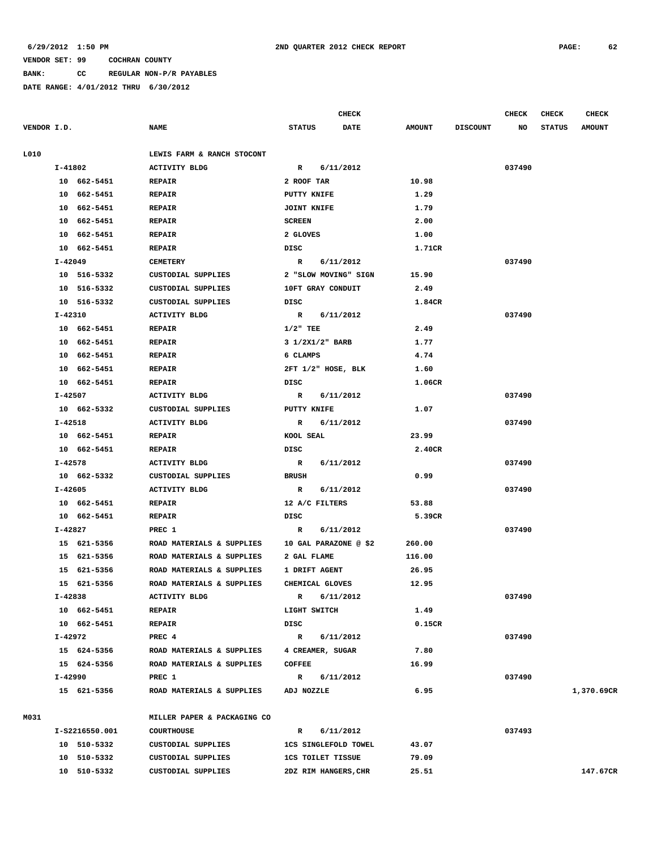### **BANK: CC REGULAR NON-P/R PAYABLES**

|             | CHECK   |                |                             |                          |  |                             | CHECK         | <b>CHECK</b>    | <b>CHECK</b> |               |               |
|-------------|---------|----------------|-----------------------------|--------------------------|--|-----------------------------|---------------|-----------------|--------------|---------------|---------------|
| VENDOR I.D. |         |                | <b>NAME</b>                 | <b>STATUS</b>            |  | <b>DATE</b>                 | <b>AMOUNT</b> | <b>DISCOUNT</b> | NO           | <b>STATUS</b> | <b>AMOUNT</b> |
| L010        |         |                | LEWIS FARM & RANCH STOCONT  |                          |  |                             |               |                 |              |               |               |
|             | I-41802 |                | <b>ACTIVITY BLDG</b>        | $\mathbb{R}$             |  | 6/11/2012                   |               |                 | 037490       |               |               |
|             |         | 10 662-5451    | <b>REPAIR</b>               | 2 ROOF TAR               |  |                             | 10.98         |                 |              |               |               |
|             |         | 10 662-5451    | <b>REPAIR</b>               | PUTTY KNIFE              |  |                             | 1.29          |                 |              |               |               |
|             |         | 10 662-5451    | <b>REPAIR</b>               | <b>JOINT KNIFE</b>       |  |                             | 1.79          |                 |              |               |               |
|             |         | 10 662-5451    | <b>REPAIR</b>               | <b>SCREEN</b>            |  |                             | 2.00          |                 |              |               |               |
|             |         | 10 662-5451    | <b>REPAIR</b>               | 2 GLOVES                 |  |                             | 1.00          |                 |              |               |               |
|             |         | 10 662-5451    | <b>REPAIR</b>               | DISC                     |  |                             | 1.71CR        |                 |              |               |               |
|             | I-42049 |                | <b>CEMETERY</b>             | R                        |  | 6/11/2012                   |               |                 | 037490       |               |               |
|             |         | 10 516-5332    | CUSTODIAL SUPPLIES          |                          |  | 2 "SLOW MOVING" SIGN        | 15.90         |                 |              |               |               |
|             |         | 10 516-5332    | CUSTODIAL SUPPLIES          | 10FT GRAY CONDUIT        |  |                             | 2.49          |                 |              |               |               |
|             |         | 10 516-5332    | CUSTODIAL SUPPLIES          | DISC                     |  |                             | 1.84CR        |                 |              |               |               |
|             | I-42310 |                | <b>ACTIVITY BLDG</b>        | R 6/11/2012              |  |                             |               |                 | 037490       |               |               |
|             |         | 10 662-5451    | <b>REPAIR</b>               | $1/2$ " TEE              |  |                             | 2.49          |                 |              |               |               |
|             |         | 10 662-5451    | <b>REPAIR</b>               | 3 1/2X1/2" BARB          |  |                             | 1.77          |                 |              |               |               |
|             |         | 10 662-5451    | <b>REPAIR</b>               | 6 CLAMPS                 |  |                             | 4.74          |                 |              |               |               |
|             |         | 10 662-5451    | <b>REPAIR</b>               |                          |  | 2FT 1/2" HOSE, BLK          | 1.60          |                 |              |               |               |
|             |         | 10 662-5451    | <b>REPAIR</b>               | DISC                     |  |                             | 1.06CR        |                 |              |               |               |
|             | I-42507 |                | ACTIVITY BLDG               | $\mathbf{R}$             |  | 6/11/2012                   |               |                 | 037490       |               |               |
|             |         | 10 662-5332    | CUSTODIAL SUPPLIES          | <b>PUTTY KNIFE</b>       |  |                             | 1.07          |                 |              |               |               |
|             | I-42518 |                | <b>ACTIVITY BLDG</b>        | $\mathbb{R}$             |  | 6/11/2012                   |               |                 | 037490       |               |               |
|             |         | 10 662-5451    | <b>REPAIR</b>               | KOOL SEAL                |  |                             | 23.99         |                 |              |               |               |
|             |         | 10 662-5451    | <b>REPAIR</b>               | DISC                     |  |                             | 2.40CR        |                 |              |               |               |
|             | I-42578 |                | <b>ACTIVITY BLDG</b>        | $\mathbb{R}$             |  | 6/11/2012                   |               |                 | 037490       |               |               |
|             |         | 10 662-5332    | CUSTODIAL SUPPLIES          | <b>BRUSH</b>             |  |                             | 0.99          |                 |              |               |               |
|             | I-42605 |                | <b>ACTIVITY BLDG</b>        | R                        |  | 6/11/2012                   |               |                 | 037490       |               |               |
|             |         | 10 662-5451    | <b>REPAIR</b>               | 12 A/C FILTERS           |  |                             | 53.88         |                 |              |               |               |
|             |         | 10 662-5451    | <b>REPAIR</b>               | DISC                     |  |                             | 5.39CR        |                 |              |               |               |
|             | I-42827 |                | PREC 1                      | R                        |  | 6/11/2012                   |               |                 | 037490       |               |               |
|             |         | 15 621-5356    | ROAD MATERIALS & SUPPLIES   |                          |  | 10 GAL PARAZONE @ \$2       | 260.00        |                 |              |               |               |
|             |         | 15 621-5356    | ROAD MATERIALS & SUPPLIES   | 2 GAL FLAME              |  |                             | 116.00        |                 |              |               |               |
|             |         | 15 621-5356    | ROAD MATERIALS & SUPPLIES   | 1 DRIFT AGENT            |  |                             | 26.95         |                 |              |               |               |
|             |         | 15 621-5356    | ROAD MATERIALS & SUPPLIES   | CHEMICAL GLOVES          |  |                             | 12.95         |                 |              |               |               |
|             | I-42838 |                | <b>ACTIVITY BLDG</b>        | R                        |  | 6/11/2012                   |               |                 | 037490       |               |               |
|             |         | 10 662-5451    | <b>REPAIR</b>               | LIGHT SWITCH             |  |                             | 1.49          |                 |              |               |               |
|             |         | 10 662-5451    | <b>REPAIR</b>               | DISC                     |  |                             | 0.15CR        |                 |              |               |               |
|             | I-42972 |                | PREC 4                      | $\mathbb{R}$             |  | 6/11/2012                   |               |                 | 037490       |               |               |
|             |         | 15 624-5356    | ROAD MATERIALS & SUPPLIES   | 4 CREAMER, SUGAR         |  |                             | 7.80          |                 |              |               |               |
|             |         | 15 624-5356    | ROAD MATERIALS & SUPPLIES   | <b>COFFEE</b>            |  |                             | 16.99         |                 |              |               |               |
|             | I-42990 |                | PREC 1                      | $\mathbb{R}$             |  | 6/11/2012                   |               |                 | 037490       |               |               |
|             |         | 15 621-5356    | ROAD MATERIALS & SUPPLIES   | ADJ NOZZLE               |  |                             | 6.95          |                 |              |               | 1,370.69CR    |
| M031        |         |                | MILLER PAPER & PACKAGING CO |                          |  |                             |               |                 |              |               |               |
|             |         | I-S2216550.001 | <b>COURTHOUSE</b>           | $\mathbb{R}$             |  | 6/11/2012                   |               |                 | 037493       |               |               |
|             |         | 10 510-5332    | CUSTODIAL SUPPLIES          |                          |  | <b>1CS SINGLEFOLD TOWEL</b> | 43.07         |                 |              |               |               |
|             |         | 10 510-5332    | CUSTODIAL SUPPLIES          | <b>1CS TOILET TISSUE</b> |  |                             | 79.09         |                 |              |               |               |
|             |         | 10 510-5332    | CUSTODIAL SUPPLIES          |                          |  | 2DZ RIM HANGERS, CHR        | 25.51         |                 |              |               | 147.67CR      |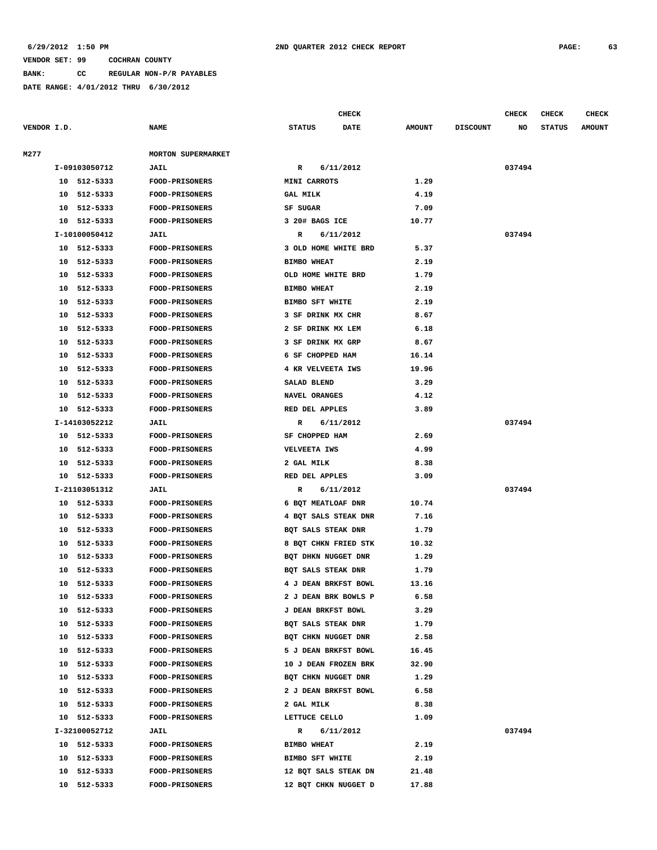**BANK: CC REGULAR NON-P/R PAYABLES**

**DATE RANGE: 4/01/2012 THRU 6/30/2012**

**CHECK CHECK CHECK CHECK CHECK CHECK CHECK** 

| VENDOR I.D. |    |               | <b>NAME</b>               | <b>STATUS</b>             | <b>DATE</b><br><b>AMOUNT</b> | <b>DISCOUNT</b> | <b>STATUS</b><br>NO | <b>AMOUNT</b> |
|-------------|----|---------------|---------------------------|---------------------------|------------------------------|-----------------|---------------------|---------------|
| M277        |    |               | <b>MORTON SUPERMARKET</b> |                           |                              |                 |                     |               |
|             |    | I-09103050712 | <b>JAIL</b>               | 6/11/2012<br>R            |                              |                 | 037494              |               |
|             |    | 10 512-5333   | <b>FOOD-PRISONERS</b>     | MINI CARROTS              | 1.29                         |                 |                     |               |
|             |    | 10 512-5333   | FOOD-PRISONERS            | <b>GAL MILK</b>           | 4.19                         |                 |                     |               |
|             |    | 10 512-5333   | <b>FOOD-PRISONERS</b>     | SF SUGAR                  | 7.09                         |                 |                     |               |
|             |    | 10 512-5333   | <b>FOOD-PRISONERS</b>     | 3 20# BAGS ICE            | 10.77                        |                 |                     |               |
|             |    | I-10100050412 | <b>JAIL</b>               | R<br>6/11/2012            |                              |                 | 037494              |               |
|             |    | 10 512-5333   | <b>FOOD-PRISONERS</b>     | 3 OLD HOME WHITE BRD      | 5.37                         |                 |                     |               |
|             | 10 | 512-5333      | <b>FOOD-PRISONERS</b>     | <b>BIMBO WHEAT</b>        | 2.19                         |                 |                     |               |
|             |    | 10 512-5333   | FOOD-PRISONERS            | OLD HOME WHITE BRD        | 1.79                         |                 |                     |               |
|             | 10 | 512-5333      | <b>FOOD-PRISONERS</b>     | <b>BIMBO WHEAT</b>        | 2.19                         |                 |                     |               |
|             | 10 | 512-5333      | <b>FOOD-PRISONERS</b>     | BIMBO SFT WHITE           | 2.19                         |                 |                     |               |
|             | 10 | 512-5333      | FOOD-PRISONERS            | 3 SF DRINK MX CHR         | 8.67                         |                 |                     |               |
|             | 10 | 512-5333      | <b>FOOD-PRISONERS</b>     | 2 SF DRINK MX LEM         | 6.18                         |                 |                     |               |
|             | 10 | 512-5333      | <b>FOOD-PRISONERS</b>     | 3 SF DRINK MX GRP         | 8.67                         |                 |                     |               |
|             | 10 | 512-5333      | FOOD-PRISONERS            | 6 SF CHOPPED HAM          | 16.14                        |                 |                     |               |
|             |    | 10 512-5333   | <b>FOOD-PRISONERS</b>     | 4 KR VELVEETA IWS         | 19.96                        |                 |                     |               |
|             |    | 10 512-5333   | <b>FOOD-PRISONERS</b>     | SALAD BLEND               | 3.29                         |                 |                     |               |
|             |    | 10 512-5333   | FOOD-PRISONERS            | <b>NAVEL ORANGES</b>      | 4.12                         |                 |                     |               |
|             |    | 10 512-5333   | <b>FOOD-PRISONERS</b>     | RED DEL APPLES            | 3.89                         |                 |                     |               |
|             |    | I-14103052212 | <b>JAIL</b>               | R<br>6/11/2012            |                              |                 | 037494              |               |
|             |    | 10 512-5333   | FOOD-PRISONERS            | SF CHOPPED HAM            | 2.69                         |                 |                     |               |
|             |    | 10 512-5333   | <b>FOOD-PRISONERS</b>     | VELVEETA IWS              | 4.99                         |                 |                     |               |
|             |    | 10 512-5333   | <b>FOOD-PRISONERS</b>     | 2 GAL MILK                | 8.38                         |                 |                     |               |
|             |    | 10 512-5333   | <b>FOOD-PRISONERS</b>     | RED DEL APPLES            | 3.09                         |                 |                     |               |
|             |    | I-21103051312 | <b>JAIL</b>               | 6/11/2012<br>R            |                              |                 | 037494              |               |
|             |    | 10 512-5333   | <b>FOOD-PRISONERS</b>     | 6 BQT MEATLOAF DNR        | 10.74                        |                 |                     |               |
|             |    | 10 512-5333   | FOOD-PRISONERS            | 4 BQT SALS STEAK DNR      | 7.16                         |                 |                     |               |
|             |    | 10 512-5333   | <b>FOOD-PRISONERS</b>     | BQT SALS STEAK DNR        | 1.79                         |                 |                     |               |
|             | 10 | 512-5333      | FOOD-PRISONERS            | 8 BQT CHKN FRIED STK      | 10.32                        |                 |                     |               |
|             |    | 10 512-5333   | FOOD-PRISONERS            | BQT DHKN NUGGET DNR       | 1.29                         |                 |                     |               |
|             | 10 | 512-5333      | <b>FOOD-PRISONERS</b>     | BOT SALS STEAK DNR        | 1.79                         |                 |                     |               |
|             | 10 | 512-5333      | <b>FOOD-PRISONERS</b>     | 4 J DEAN BRKFST BOWL      | 13.16                        |                 |                     |               |
|             |    | 10 512-5333   | <b>FOOD-PRISONERS</b>     | 2 J DEAN BRK BOWLS P      | 6.58                         |                 |                     |               |
|             | 10 | 512-5333      | <b>FOOD-PRISONERS</b>     | <b>J DEAN BRKFST BOWL</b> | 3.29                         |                 |                     |               |
|             | 10 | 512-5333      | <b>FOOD-PRISONERS</b>     | BQT SALS STEAK DNR        | 1.79                         |                 |                     |               |
|             | 10 | 512-5333      | FOOD-PRISONERS            | BOT CHKN NUGGET DNR       | 2.58                         |                 |                     |               |
|             | 10 | 512-5333      | FOOD-PRISONERS            | 5 J DEAN BRKFST BOWL      | 16.45                        |                 |                     |               |
|             | 10 | 512-5333      | FOOD-PRISONERS            | 10 J DEAN FROZEN BRK      | 32.90                        |                 |                     |               |
|             | 10 | 512-5333      | <b>FOOD-PRISONERS</b>     | BQT CHKN NUGGET DNR       | 1.29                         |                 |                     |               |
|             | 10 | 512-5333      | FOOD-PRISONERS            | 2 J DEAN BRKFST BOWL      | 6.58                         |                 |                     |               |
|             | 10 | 512-5333      | <b>FOOD-PRISONERS</b>     | 2 GAL MILK                | 8.38                         |                 |                     |               |
|             |    | 10 512-5333   | <b>FOOD-PRISONERS</b>     | LETTUCE CELLO             | 1.09                         |                 |                     |               |
|             |    | I-32100052712 | <b>JAIL</b>               | R<br>6/11/2012            |                              |                 | 037494              |               |
|             |    | 10 512-5333   | <b>FOOD-PRISONERS</b>     | <b>BIMBO WHEAT</b>        | 2.19                         |                 |                     |               |
|             |    | 10 512-5333   | <b>FOOD-PRISONERS</b>     | BIMBO SFT WHITE           | 2.19                         |                 |                     |               |
|             | 10 | 512-5333      | <b>FOOD-PRISONERS</b>     | 12 BQT SALS STEAK DN      | 21.48                        |                 |                     |               |
|             |    | 10 512-5333   | <b>FOOD-PRISONERS</b>     | 12 BQT CHKN NUGGET D      | 17.88                        |                 |                     |               |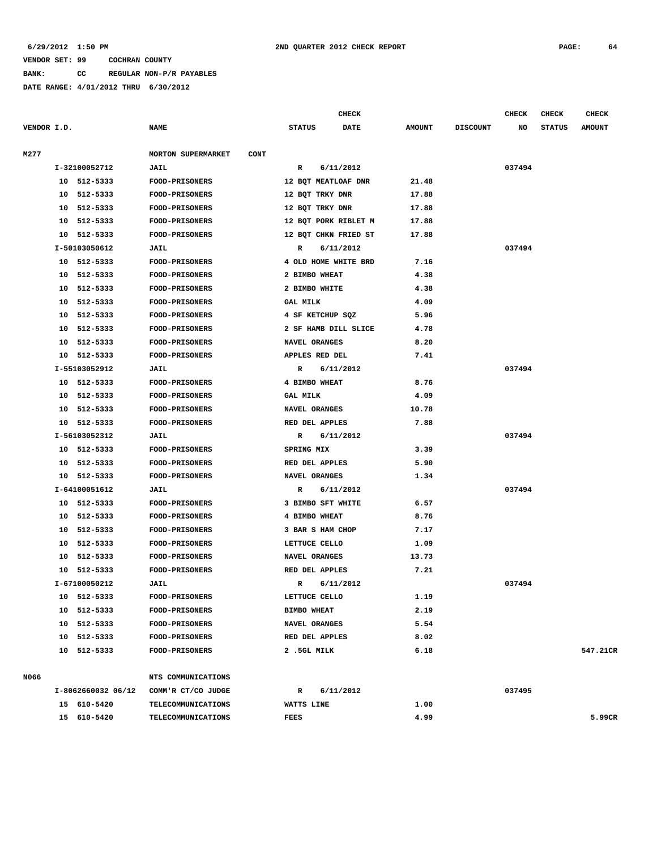#### **6/29/2012 1:50 PM 2ND QUARTER 2012 CHECK REPORT PAGE: 64**

#### **VENDOR SET: 99 COCHRAN COUNTY**

**BANK: CC REGULAR NON-P/R PAYABLES**

|             |    |                    |                                          |                      | <b>CHECK</b> |               |                 | CHECK  | <b>CHECK</b>  | <b>CHECK</b>  |
|-------------|----|--------------------|------------------------------------------|----------------------|--------------|---------------|-----------------|--------|---------------|---------------|
| VENDOR I.D. |    |                    | <b>NAME</b>                              | <b>STATUS</b>        | <b>DATE</b>  | <b>AMOUNT</b> | <b>DISCOUNT</b> | NO     | <b>STATUS</b> | <b>AMOUNT</b> |
| M277        |    |                    | <b>MORTON SUPERMARKET</b><br><b>CONT</b> |                      |              |               |                 |        |               |               |
|             |    | I-32100052712      | JAIL                                     | R                    | 6/11/2012    |               |                 | 037494 |               |               |
|             |    | 10 512-5333        | FOOD-PRISONERS                           | 12 BQT MEATLOAF DNR  |              | 21.48         |                 |        |               |               |
|             |    | 10 512-5333        | <b>FOOD-PRISONERS</b>                    | 12 BQT TRKY DNR      |              | 17.88         |                 |        |               |               |
|             | 10 | 512-5333           | <b>FOOD-PRISONERS</b>                    | 12 BQT TRKY DNR      |              | 17.88         |                 |        |               |               |
|             | 10 | 512-5333           | FOOD-PRISONERS                           | 12 BQT PORK RIBLET M |              | 17.88         |                 |        |               |               |
|             | 10 | 512-5333           | <b>FOOD-PRISONERS</b>                    | 12 BQT CHKN FRIED ST |              | 17.88         |                 |        |               |               |
|             |    | I-50103050612      | <b>JAIL</b>                              | R                    | 6/11/2012    |               |                 | 037494 |               |               |
|             |    | 10 512-5333        | <b>FOOD-PRISONERS</b>                    | 4 OLD HOME WHITE BRD |              | 7.16          |                 |        |               |               |
|             |    | 10 512-5333        | <b>FOOD-PRISONERS</b>                    | 2 BIMBO WHEAT        |              | 4.38          |                 |        |               |               |
|             |    | 10 512-5333        | FOOD-PRISONERS                           | 2 BIMBO WHITE        |              | 4.38          |                 |        |               |               |
|             | 10 | 512-5333           | <b>FOOD-PRISONERS</b>                    | <b>GAL MILK</b>      |              | 4.09          |                 |        |               |               |
|             | 10 | 512-5333           | <b>FOOD-PRISONERS</b>                    | 4 SF KETCHUP SQZ     |              | 5.96          |                 |        |               |               |
|             | 10 | 512-5333           | FOOD-PRISONERS                           | 2 SF HAMB DILL SLICE |              | 4.78          |                 |        |               |               |
|             | 10 | 512-5333           | <b>FOOD-PRISONERS</b>                    | NAVEL ORANGES        |              | 8.20          |                 |        |               |               |
|             |    | 10 512-5333        | <b>FOOD-PRISONERS</b>                    | APPLES RED DEL       |              | 7.41          |                 |        |               |               |
|             |    | I-55103052912      | JAIL                                     | R                    | 6/11/2012    |               |                 | 037494 |               |               |
|             |    | 10 512-5333        | FOOD-PRISONERS                           | 4 BIMBO WHEAT        |              | 8.76          |                 |        |               |               |
|             | 10 | 512-5333           | <b>FOOD-PRISONERS</b>                    | <b>GAL MILK</b>      |              | 4.09          |                 |        |               |               |
|             | 10 | 512-5333           | FOOD-PRISONERS                           | NAVEL ORANGES        |              | 10.78         |                 |        |               |               |
|             | 10 | 512-5333           | <b>FOOD-PRISONERS</b>                    | RED DEL APPLES       |              | 7.88          |                 |        |               |               |
|             |    | I-56103052312      | <b>JAIL</b>                              | R                    | 6/11/2012    |               |                 | 037494 |               |               |
|             |    | 10 512-5333        | FOOD-PRISONERS                           | SPRING MIX           |              | 3.39          |                 |        |               |               |
|             | 10 | 512-5333           | <b>FOOD-PRISONERS</b>                    | RED DEL APPLES       |              | 5.90          |                 |        |               |               |
|             | 10 | 512-5333           | <b>FOOD-PRISONERS</b>                    | NAVEL ORANGES        |              | 1.34          |                 |        |               |               |
|             |    | I-64100051612      | JAIL                                     | R                    | 6/11/2012    |               |                 | 037494 |               |               |
|             |    | 10 512-5333        | <b>FOOD-PRISONERS</b>                    | 3 BIMBO SFT WHITE    |              | 6.57          |                 |        |               |               |
|             |    | 10 512-5333        | <b>FOOD-PRISONERS</b>                    | 4 BIMBO WHEAT        |              | 8.76          |                 |        |               |               |
|             | 10 | 512-5333           | FOOD-PRISONERS                           | 3 BAR S HAM CHOP     |              | 7.17          |                 |        |               |               |
|             | 10 | 512-5333           | FOOD-PRISONERS                           | LETTUCE CELLO        |              | 1.09          |                 |        |               |               |
|             | 10 | 512-5333           | FOOD-PRISONERS                           | NAVEL ORANGES        |              | 13.73         |                 |        |               |               |
|             | 10 | 512-5333           | FOOD-PRISONERS                           | RED DEL APPLES       |              | 7.21          |                 |        |               |               |
|             |    | I-67100050212      | JAIL                                     | R                    | 6/11/2012    |               |                 | 037494 |               |               |
|             |    | 10 512-5333        | <b>FOOD-PRISONERS</b>                    | LETTUCE CELLO        |              | 1.19          |                 |        |               |               |
|             |    | 10 512-5333        | FOOD-PRISONERS                           | <b>BIMBO WHEAT</b>   |              | 2.19          |                 |        |               |               |
|             |    | 10 512-5333        | <b>FOOD-PRISONERS</b>                    | NAVEL ORANGES        |              | 5.54          |                 |        |               |               |
|             |    | 10 512-5333        | <b>FOOD-PRISONERS</b>                    | RED DEL APPLES       |              | 8.02          |                 |        |               |               |
|             |    | 10 512-5333        | FOOD-PRISONERS                           | 2.5GL MILK           |              | 6.18          |                 |        |               | 547.21CR      |
| N066        |    |                    | NTS COMMUNICATIONS                       |                      |              |               |                 |        |               |               |
|             |    | I-8062660032 06/12 | COMM'R CT/CO JUDGE                       | R                    | 6/11/2012    |               |                 | 037495 |               |               |
|             |    | 15 610-5420        | TELECOMMUNICATIONS                       | <b>WATTS LINE</b>    |              | 1.00          |                 |        |               |               |
|             |    | 15 610-5420        | TELECOMMUNICATIONS                       | FEES                 |              | 4.99          |                 |        |               | 5.99CR        |
|             |    |                    |                                          |                      |              |               |                 |        |               |               |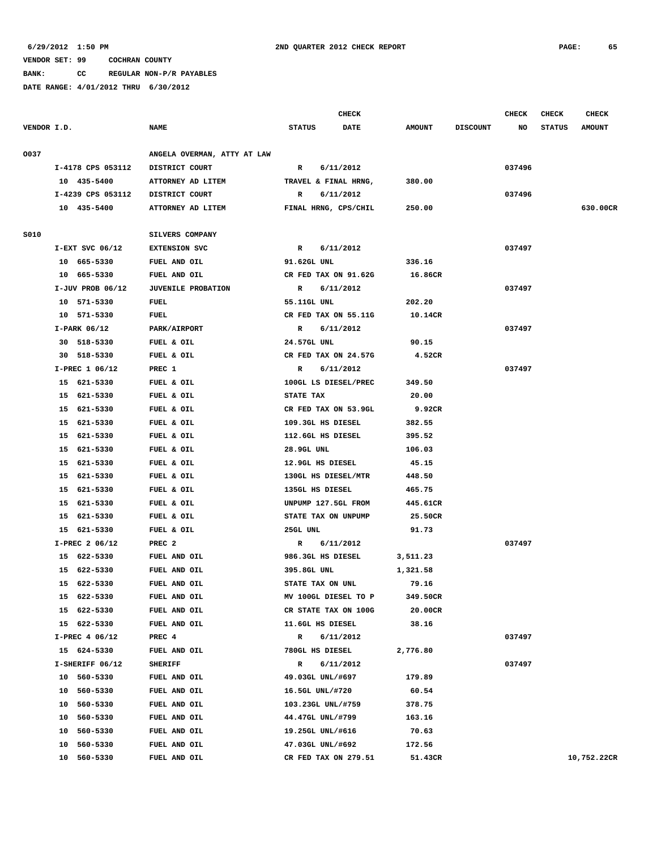**BANK: CC REGULAR NON-P/R PAYABLES**

|             |                    |                             |                      | <b>CHECK</b> |               |                 | <b>CHECK</b> | <b>CHECK</b>  | <b>CHECK</b>  |
|-------------|--------------------|-----------------------------|----------------------|--------------|---------------|-----------------|--------------|---------------|---------------|
| VENDOR I.D. |                    | <b>NAME</b>                 | <b>STATUS</b>        | <b>DATE</b>  | <b>AMOUNT</b> | <b>DISCOUNT</b> | NO           | <b>STATUS</b> | <b>AMOUNT</b> |
| 0037        |                    | ANGELA OVERMAN, ATTY AT LAW |                      |              |               |                 |              |               |               |
|             | I-4178 CPS 053112  | DISTRICT COURT              | 6/11/2012<br>R       |              |               |                 | 037496       |               |               |
|             | 10 435-5400        | ATTORNEY AD LITEM           | TRAVEL & FINAL HRNG, |              | 380.00        |                 |              |               |               |
|             | I-4239 CPS 053112  | DISTRICT COURT              | R<br>6/11/2012       |              |               |                 | 037496       |               |               |
|             | 10 435-5400        | ATTORNEY AD LITEM           | FINAL HRNG, CPS/CHIL |              | 250.00        |                 |              |               | 630.00CR      |
|             |                    |                             |                      |              |               |                 |              |               |               |
| <b>S010</b> |                    | SILVERS COMPANY             |                      |              |               |                 |              |               |               |
|             | $I-EXT$ SVC 06/12  | <b>EXTENSION SVC</b>        | R<br>6/11/2012       |              |               |                 | 037497       |               |               |
|             | 10 665-5330        | FUEL AND OIL                | 91.62GL UNL          |              | 336.16        |                 |              |               |               |
|             | 10 665-5330        | FUEL AND OIL                | CR FED TAX ON 91.62G |              | 16.86CR       |                 |              |               |               |
|             | $I-JUV$ PROB 06/12 | <b>JUVENILE PROBATION</b>   | R<br>6/11/2012       |              |               |                 | 037497       |               |               |
|             | 10 571-5330        | FUEL                        | 55.11GL UNL          |              | 202.20        |                 |              |               |               |
|             | 10 571-5330        | <b>FUEL</b>                 | CR FED TAX ON 55.11G |              | 10.14CR       |                 |              |               |               |
|             | I-PARK 06/12       | PARK/AIRPORT                | 6/11/2012<br>R       |              |               |                 | 037497       |               |               |
|             | 30 518-5330        | FUEL & OIL                  | 24.57GL UNL          |              | 90.15         |                 |              |               |               |
|             | 30 518-5330        | FUEL & OIL                  | CR FED TAX ON 24.57G |              | 4.52CR        |                 |              |               |               |
|             | I-PREC 1 06/12     | PREC 1                      | R<br>6/11/2012       |              |               |                 | 037497       |               |               |
|             | 15 621-5330        | FUEL & OIL                  | 100GL LS DIESEL/PREC |              | 349.50        |                 |              |               |               |
|             | 15 621-5330        | FUEL & OIL                  | STATE TAX            |              | 20.00         |                 |              |               |               |
|             | 15<br>621-5330     | FUEL & OIL                  | CR FED TAX ON 53.9GL |              | 9.92CR        |                 |              |               |               |
|             | 15 621-5330        | FUEL & OIL                  | 109.3GL HS DIESEL    |              | 382.55        |                 |              |               |               |
|             | 15 621-5330        | FUEL & OIL                  | 112.6GL HS DIESEL    |              | 395.52        |                 |              |               |               |
|             | 15<br>621-5330     | FUEL & OIL                  | 28.9GL UNL           |              | 106.03        |                 |              |               |               |
|             | 15 621-5330        | FUEL & OIL                  | 12.9GL HS DIESEL     |              | 45.15         |                 |              |               |               |
|             | 15 621-5330        | FUEL & OIL                  | 130GL HS DIESEL/MTR  |              | 448.50        |                 |              |               |               |
|             | 621-5330<br>15     | FUEL & OIL                  | 135GL HS DIESEL      |              | 465.75        |                 |              |               |               |
|             | 621-5330<br>15     | FUEL & OIL                  | UNPUMP 127.5GL FROM  |              | 445.61CR      |                 |              |               |               |
|             | 15<br>621-5330     | FUEL & OIL                  | STATE TAX ON UNPUMP  |              | 25.50CR       |                 |              |               |               |
|             | 15<br>621-5330     | FUEL & OIL                  | 25GL UNL             |              | 91.73         |                 |              |               |               |
|             | I-PREC 2 06/12     | PREC <sub>2</sub>           | R<br>6/11/2012       |              |               |                 | 037497       |               |               |
|             | 15 622-5330        | FUEL AND OIL                | 986.3GL HS DIESEL    |              | 3,511.23      |                 |              |               |               |
|             | 15<br>622-5330     | FUEL AND OIL                | 395.8GL UNL          |              | 1,321.58      |                 |              |               |               |
|             | 15 622-5330        | FUEL AND OIL                | STATE TAX ON UNL     |              | 79.16         |                 |              |               |               |
|             | 15 622-5330        | FUEL AND OIL                | MV 100GL DIESEL TO P |              | 349.50CR      |                 |              |               |               |
|             | 15 622-5330        | FUEL AND OIL                | CR STATE TAX ON 100G |              | 20.00CR       |                 |              |               |               |
|             | 15 622-5330        | FUEL AND OIL                | 11.6GL HS DIESEL     |              | 38.16         |                 |              |               |               |
|             | I-PREC 4 06/12     | PREC 4                      | 6/11/2012<br>R       |              |               |                 | 037497       |               |               |
|             | 15 624-5330        | FUEL AND OIL                | 780GL HS DIESEL      |              | 2,776.80      |                 |              |               |               |
|             | I-SHERIFF 06/12    | <b>SHERIFF</b>              | 6/11/2012<br>R       |              |               |                 | 037497       |               |               |
|             | 10 560-5330        | FUEL AND OIL                | 49.03GL UNL/#697     |              | 179.89        |                 |              |               |               |
|             | 10 560-5330        | FUEL AND OIL                | 16.5GL UNL/#720      |              | 60.54         |                 |              |               |               |
|             | 10 560-5330        | FUEL AND OIL                | 103.23GL UNL/#759    |              | 378.75        |                 |              |               |               |
|             | 10 560-5330        |                             | 44.47GL UNL/#799     |              | 163.16        |                 |              |               |               |
|             |                    | FUEL AND OIL                |                      |              |               |                 |              |               |               |
|             | 10 560-5330        | FUEL AND OIL                | 19.25GL UNL/#616     |              | 70.63         |                 |              |               |               |
|             | 10 560-5330        | FUEL AND OIL                | 47.03GL UNL/#692     |              | 172.56        |                 |              |               |               |
|             | 10 560-5330        | FUEL AND OIL                | CR FED TAX ON 279.51 |              | 51.43CR       |                 |              |               | 10,752.22CR   |
|             |                    |                             |                      |              |               |                 |              |               |               |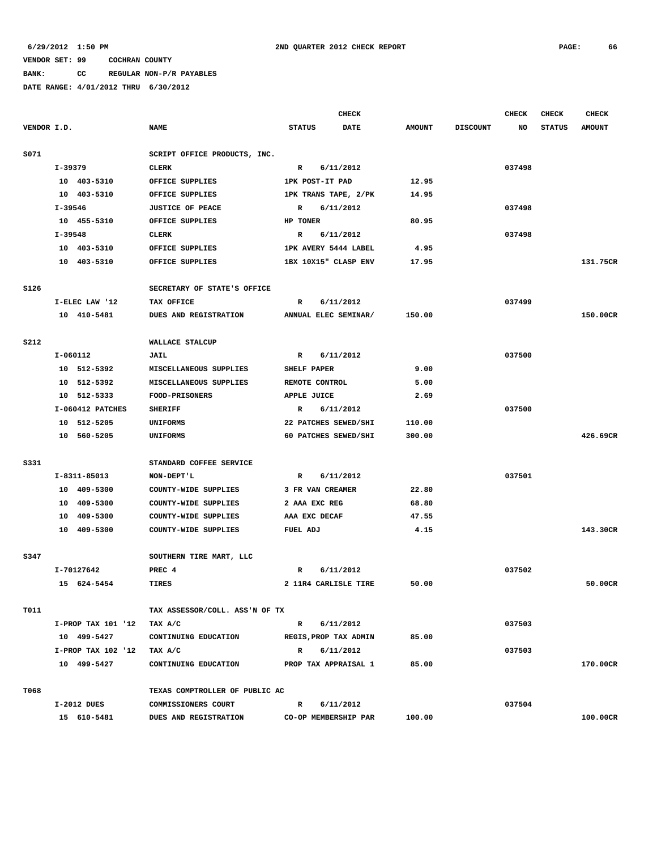## **BANK: CC REGULAR NON-P/R PAYABLES**

|             |                    |                                | <b>CHECK</b>              |               |                 | <b>CHECK</b> | <b>CHECK</b>  | CHECK         |
|-------------|--------------------|--------------------------------|---------------------------|---------------|-----------------|--------------|---------------|---------------|
| VENDOR I.D. |                    | <b>NAME</b>                    | <b>STATUS</b><br>DATE     | <b>AMOUNT</b> | <b>DISCOUNT</b> | NO           | <b>STATUS</b> | <b>AMOUNT</b> |
| S071        |                    | SCRIPT OFFICE PRODUCTS, INC.   |                           |               |                 |              |               |               |
|             | I-39379            | <b>CLERK</b>                   | 6/11/2012<br>R            |               |                 | 037498       |               |               |
|             | 10 403-5310        | OFFICE SUPPLIES                | 1PK POST-IT PAD           | 12.95         |                 |              |               |               |
|             | 10 403-5310        | OFFICE SUPPLIES                | 1PK TRANS TAPE, 2/PK      | 14.95         |                 |              |               |               |
|             | I-39546            | <b>JUSTICE OF PEACE</b>        | 6/11/2012<br>R            |               |                 | 037498       |               |               |
|             | 10 455-5310        | OFFICE SUPPLIES                | HP TONER                  | 80.95         |                 |              |               |               |
|             | $I - 39548$        | <b>CLERK</b>                   | 6/11/2012<br>R            |               |                 | 037498       |               |               |
|             | 10 403-5310        | OFFICE SUPPLIES                | 1PK AVERY 5444 LABEL      | 4.95          |                 |              |               |               |
|             | 10 403-5310        | OFFICE SUPPLIES                | 1BX 10X15" CLASP ENV      | 17.95         |                 |              |               | 131.75CR      |
| S126        |                    | SECRETARY OF STATE'S OFFICE    |                           |               |                 |              |               |               |
|             | I-ELEC LAW '12     | TAX OFFICE                     | 6/11/2012<br>R            |               |                 | 037499       |               |               |
|             | 10 410-5481        | DUES AND REGISTRATION          | ANNUAL ELEC SEMINAR/      | 150.00        |                 |              |               | 150.00CR      |
|             |                    |                                |                           |               |                 |              |               |               |
| <b>S212</b> |                    | WALLACE STALCUP                |                           |               |                 |              |               |               |
|             | I-060112           | JAIL                           | 6/11/2012<br>R            |               |                 | 037500       |               |               |
|             | 10 512-5392        | MISCELLANEOUS SUPPLIES         | SHELF PAPER               | 9.00          |                 |              |               |               |
|             | 10 512-5392        | MISCELLANEOUS SUPPLIES         | REMOTE CONTROL            | 5.00          |                 |              |               |               |
|             | 10 512-5333        | FOOD-PRISONERS                 | APPLE JUICE               | 2.69          |                 |              |               |               |
|             | I-060412 PATCHES   | <b>SHERIFF</b>                 | R<br>6/11/2012            |               |                 | 037500       |               |               |
|             | 10 512-5205        | <b>UNIFORMS</b>                | 22 PATCHES SEWED/SHI      | 110.00        |                 |              |               |               |
|             | 10 560-5205        | <b>UNIFORMS</b>                | 60 PATCHES SEWED/SHI      | 300.00        |                 |              |               | 426.69CR      |
| S331        |                    | STANDARD COFFEE SERVICE        |                           |               |                 |              |               |               |
|             | I-8311-85013       | NON-DEPT'L                     | $\mathbb{R}$<br>6/11/2012 |               |                 | 037501       |               |               |
|             | 10 409-5300        | COUNTY-WIDE SUPPLIES           | 3 FR VAN CREAMER          | 22.80         |                 |              |               |               |
|             | 10 409-5300        | COUNTY-WIDE SUPPLIES           | 2 AAA EXC REG             | 68.80         |                 |              |               |               |
|             | 10 409-5300        | COUNTY-WIDE SUPPLIES           | AAA EXC DECAF             | 47.55         |                 |              |               |               |
|             | 10 409-5300        | COUNTY-WIDE SUPPLIES           | FUEL ADJ                  | 4.15          |                 |              |               | 143.30CR      |
| S347        |                    | SOUTHERN TIRE MART, LLC        |                           |               |                 |              |               |               |
|             | I-70127642         | PREC <sub>4</sub>              | R<br>6/11/2012            |               |                 | 037502       |               |               |
|             | 15 624-5454        | <b>TIRES</b>                   | 2 11R4 CARLISLE TIRE      | 50.00         |                 |              |               | 50.00CR       |
| T011        |                    | TAX ASSESSOR/COLL. ASS'N OF TX |                           |               |                 |              |               |               |
|             | I-PROP TAX 101 '12 | TAX A/C                        | 6/11/2012<br>$\mathbf{R}$ |               |                 | 037503       |               |               |
|             | 10 499-5427        | CONTINUING EDUCATION           | REGIS, PROP TAX ADMIN     | 85.00         |                 |              |               |               |
|             | I-PROP TAX 102 '12 | TAX A/C                        | R 6/11/2012               |               |                 | 037503       |               |               |
|             | 10 499-5427        | CONTINUING EDUCATION           | PROP TAX APPRAISAL 1      | 85.00         |                 |              |               | 170.00CR      |
|             |                    |                                |                           |               |                 |              |               |               |
| T068        |                    | TEXAS COMPTROLLER OF PUBLIC AC |                           |               |                 |              |               |               |
|             | I-2012 DUES        | COMMISSIONERS COURT            | 6/11/2012<br>$\mathbf{R}$ |               |                 | 037504       |               |               |
|             | 15 610-5481        | DUES AND REGISTRATION          | CO-OP MEMBERSHIP PAR      | 100.00        |                 |              |               | 100.00CR      |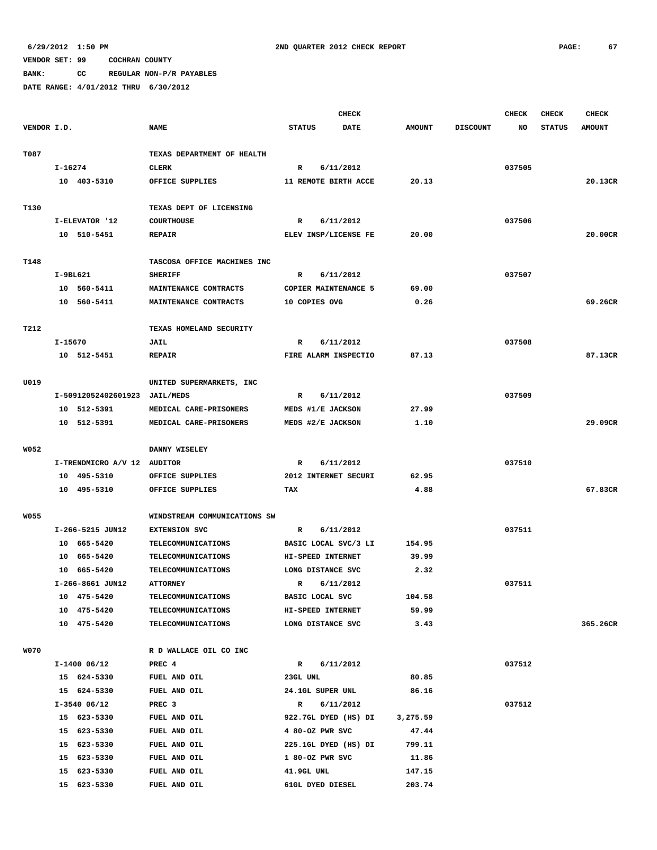**BANK: CC REGULAR NON-P/R PAYABLES**

|             |                             |                                 |                           | <b>CHECK</b> |               |                 | <b>CHECK</b> | <b>CHECK</b>  | <b>CHECK</b>  |
|-------------|-----------------------------|---------------------------------|---------------------------|--------------|---------------|-----------------|--------------|---------------|---------------|
| VENDOR I.D. |                             | <b>NAME</b>                     | <b>STATUS</b>             | DATE         | <b>AMOUNT</b> | <b>DISCOUNT</b> | NO           | <b>STATUS</b> | <b>AMOUNT</b> |
|             |                             |                                 |                           |              |               |                 |              |               |               |
| T087        |                             | TEXAS DEPARTMENT OF HEALTH      |                           |              |               |                 |              |               |               |
|             | I-16274                     | <b>CLERK</b>                    | 6/11/2012<br>R            |              |               |                 | 037505       |               |               |
|             | 10 403-5310                 | OFFICE SUPPLIES                 | 11 REMOTE BIRTH ACCE      |              | 20.13         |                 |              |               | 20.13CR       |
|             |                             |                                 |                           |              |               |                 |              |               |               |
| T130        |                             | TEXAS DEPT OF LICENSING         |                           |              |               |                 |              |               |               |
|             | I-ELEVATOR '12              | <b>COURTHOUSE</b>               | 6/11/2012<br>R            |              |               |                 | 037506       |               |               |
|             | 10 510-5451                 | <b>REPAIR</b>                   | ELEV INSP/LICENSE FE      |              | 20.00         |                 |              |               | 20.00CR       |
|             |                             |                                 |                           |              |               |                 |              |               |               |
| T148        |                             | TASCOSA OFFICE MACHINES INC     |                           |              |               |                 |              |               |               |
|             | I-9BL621                    | <b>SHERIFF</b>                  | 6/11/2012<br>R            |              |               |                 | 037507       |               |               |
|             | 10 560-5411                 | MAINTENANCE CONTRACTS           | COPIER MAINTENANCE 5      |              | 69.00         |                 |              |               |               |
|             | 10 560-5411                 | MAINTENANCE CONTRACTS           | 10 COPIES OVG             |              | 0.26          |                 |              |               | 69.26CR       |
| T212        |                             |                                 |                           |              |               |                 |              |               |               |
|             | I-15670                     | TEXAS HOMELAND SECURITY<br>JAIL | 6/11/2012<br>R            |              |               |                 | 037508       |               |               |
|             | 10 512-5451                 | <b>REPAIR</b>                   | FIRE ALARM INSPECTIO      |              | 87.13         |                 |              |               | 87.13CR       |
|             |                             |                                 |                           |              |               |                 |              |               |               |
| U019        |                             | UNITED SUPERMARKETS, INC        |                           |              |               |                 |              |               |               |
|             | I-50912052402601923         | <b>JAIL/MEDS</b>                | 6/11/2012<br>R            |              |               |                 | 037509       |               |               |
|             | 10 512-5391                 | MEDICAL CARE-PRISONERS          | MEDS #1/E JACKSON         |              | 27.99         |                 |              |               |               |
|             | 10 512-5391                 | MEDICAL CARE-PRISONERS          | MEDS #2/E JACKSON         |              | 1.10          |                 |              |               | 29.09CR       |
|             |                             |                                 |                           |              |               |                 |              |               |               |
| <b>W052</b> |                             | DANNY WISELEY                   |                           |              |               |                 |              |               |               |
|             | I-TRENDMICRO A/V 12 AUDITOR |                                 | 6/11/2012<br>R            |              |               |                 | 037510       |               |               |
|             | 10 495-5310                 | OFFICE SUPPLIES                 | 2012 INTERNET SECURI      |              | 62.95         |                 |              |               |               |
|             | 10 495-5310                 | OFFICE SUPPLIES                 | TAX                       |              | 4.88          |                 |              |               | 67.83CR       |
|             |                             |                                 |                           |              |               |                 |              |               |               |
| <b>W055</b> |                             | WINDSTREAM COMMUNICATIONS SW    |                           |              |               |                 |              |               |               |
|             | I-266-5215 JUN12            | <b>EXTENSION SVC</b>            | 6/11/2012<br>R            |              |               |                 | 037511       |               |               |
|             | 10 665-5420                 | <b>TELECOMMUNICATIONS</b>       | BASIC LOCAL SVC/3 LI      |              | 154.95        |                 |              |               |               |
|             | 10 665-5420                 | TELECOMMUNICATIONS              | HI-SPEED INTERNET         |              | 39.99         |                 |              |               |               |
|             | 10 665-5420                 | <b>TELECOMMUNICATIONS</b>       | LONG DISTANCE SVC         |              | 2.32          |                 |              |               |               |
|             | I-266-8661 JUN12            | <b>ATTORNEY</b>                 | 6/11/2012<br>R            |              |               |                 | 037511       |               |               |
|             | 10 475-5420                 | <b>TELECOMMUNICATIONS</b>       | BASIC LOCAL SVC           |              | 104.58        |                 |              |               |               |
|             | 10 475-5420                 | TELECOMMUNICATIONS              | HI-SPEED INTERNET         |              | 59.99         |                 |              |               |               |
|             | 10 475-5420                 | TELECOMMUNICATIONS              | LONG DISTANCE SVC         |              | 3.43          |                 |              |               | 365.26CR      |
|             |                             |                                 |                           |              |               |                 |              |               |               |
| <b>W070</b> |                             | R D WALLACE OIL CO INC          |                           |              |               |                 |              |               |               |
|             | $I-1400$ 06/12              | PREC 4                          | R 6/11/2012               |              |               |                 | 037512       |               |               |
|             | 15 624-5330                 | FUEL AND OIL                    | 23GL UNL                  |              | 80.85         |                 |              |               |               |
|             | 15 624-5330                 | FUEL AND OIL                    | 24.1GL SUPER UNL          |              | 86.16         |                 |              |               |               |
|             | $I-3540$ 06/12              | PREC <sub>3</sub>               | 6/11/2012<br>$\mathbf{R}$ |              |               |                 | 037512       |               |               |
|             | 15 623-5330                 | FUEL AND OIL                    | 922.7GL DYED (HS) DI      |              | 3,275.59      |                 |              |               |               |
|             | 15 623-5330                 | FUEL AND OIL                    | 4 80-OZ PWR SVC           |              | 47.44         |                 |              |               |               |
|             | 15 623-5330                 | FUEL AND OIL                    | 225.1GL DYED (HS) DI      |              | 799.11        |                 |              |               |               |
|             | 15 623-5330                 | FUEL AND OIL                    | 1 80-OZ PWR SVC           |              | 11.86         |                 |              |               |               |
|             | 15 623-5330                 | FUEL AND OIL                    | 41.9GL UNL                |              | 147.15        |                 |              |               |               |
|             | 15 623-5330                 | FUEL AND OIL                    | 61GL DYED DIESEL          |              | 203.74        |                 |              |               |               |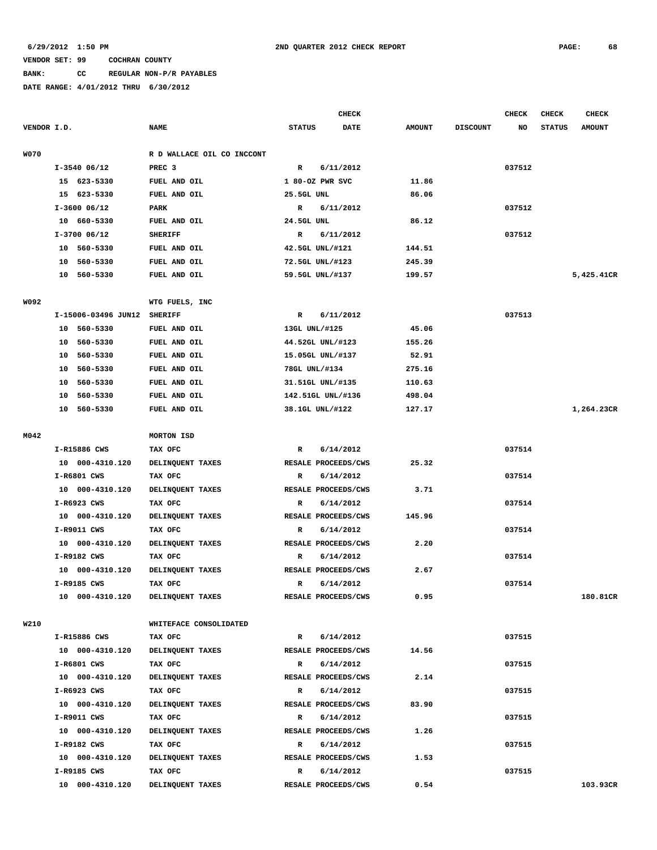# **BANK: CC REGULAR NON-P/R PAYABLES**

|             |                     |                            |                     | <b>CHECK</b> |               |                 | <b>CHECK</b> | <b>CHECK</b>  | <b>CHECK</b>  |
|-------------|---------------------|----------------------------|---------------------|--------------|---------------|-----------------|--------------|---------------|---------------|
| VENDOR I.D. |                     | <b>NAME</b>                | <b>STATUS</b>       | <b>DATE</b>  | <b>AMOUNT</b> | <b>DISCOUNT</b> | NO           | <b>STATUS</b> | <b>AMOUNT</b> |
|             |                     |                            |                     |              |               |                 |              |               |               |
| <b>W070</b> |                     | R D WALLACE OIL CO INCCONT |                     |              |               |                 |              |               |               |
|             | $I-3540$ 06/12      | PREC <sub>3</sub>          | $\mathbb{R}$        | 6/11/2012    |               |                 | 037512       |               |               |
|             | 15 623-5330         | FUEL AND OIL               | 1 80-OZ PWR SVC     |              | 11.86         |                 |              |               |               |
|             | 15 623-5330         | FUEL AND OIL               | 25.5GL UNL          |              | 86.06         |                 |              |               |               |
|             | $I-3600$ 06/12      | PARK                       | R                   | 6/11/2012    |               |                 | 037512       |               |               |
|             | 10 660-5330         | FUEL AND OIL               | 24.5GL UNL          |              | 86.12         |                 |              |               |               |
|             | I-3700 06/12        | <b>SHERIFF</b>             | R                   | 6/11/2012    |               |                 | 037512       |               |               |
|             | 10 560-5330         | FUEL AND OIL               | 42.5GL UNL/#121     |              | 144.51        |                 |              |               |               |
|             | 10 560-5330         | FUEL AND OIL               | 72.5GL UNL/#123     |              | 245.39        |                 |              |               |               |
|             | 10 560-5330         | FUEL AND OIL               | 59.5GL UNL/#137     |              | 199.57        |                 |              |               | 5,425.41CR    |
| W092        |                     | WTG FUELS, INC             |                     |              |               |                 |              |               |               |
|             | I-15006-03496 JUN12 | <b>SHERIFF</b>             | R                   | 6/11/2012    |               |                 | 037513       |               |               |
|             | 10 560-5330         | FUEL AND OIL               | 13GL UNL/#125       |              | 45.06         |                 |              |               |               |
|             | 560-5330<br>10      | FUEL AND OIL               | 44.52GL UNL/#123    |              | 155.26        |                 |              |               |               |
|             | 560-5330<br>10      | FUEL AND OIL               | 15.05GL UNL/#137    |              | 52.91         |                 |              |               |               |
|             | 560-5330<br>10      | FUEL AND OIL               | 78GL UNL/#134       |              | 275.16        |                 |              |               |               |
|             | 560-5330<br>10      | FUEL AND OIL               | 31.51GL UNL/#135    |              | 110.63        |                 |              |               |               |
|             | 560-5330<br>10      | FUEL AND OIL               | 142.51GL UNL/#136   |              | 498.04        |                 |              |               |               |
|             | 10 560-5330         | FUEL AND OIL               | 38.1GL UNL/#122     |              | 127.17        |                 |              |               | 1,264.23CR    |
| M042        |                     | <b>MORTON ISD</b>          |                     |              |               |                 |              |               |               |
|             | I-R15886 CWS        | TAX OFC                    | $\mathbf R$         | 6/14/2012    |               |                 | 037514       |               |               |
|             | 10 000-4310.120     | DELINQUENT TAXES           | RESALE PROCEEDS/CWS |              | 25.32         |                 |              |               |               |
|             | I-R6801 CWS         | TAX OFC                    | R                   | 6/14/2012    |               |                 | 037514       |               |               |
|             | 10 000-4310.120     | DELINQUENT TAXES           | RESALE PROCEEDS/CWS |              | 3.71          |                 |              |               |               |
|             | I-R6923 CWS         | TAX OFC                    | R                   | 6/14/2012    |               |                 | 037514       |               |               |
|             | 10 000-4310.120     | DELINQUENT TAXES           | RESALE PROCEEDS/CWS |              | 145.96        |                 |              |               |               |
|             | I-R9011 CWS         | TAX OFC                    | R                   | 6/14/2012    |               |                 | 037514       |               |               |
|             | 10 000-4310.120     | DELINQUENT TAXES           | RESALE PROCEEDS/CWS |              | 2.20          |                 |              |               |               |
|             | I-R9182 CWS         | TAX OFC                    | R                   | 6/14/2012    |               |                 | 037514       |               |               |
|             | 10 000-4310.120     | DELINQUENT TAXES           | RESALE PROCEEDS/CWS |              | 2.67          |                 |              |               |               |
|             | I-R9185 CWS         | TAX OFC                    | R                   | 6/14/2012    |               |                 | 037514       |               |               |
|             | 10 000-4310.120     | DELINQUENT TAXES           | RESALE PROCEEDS/CWS |              | 0.95          |                 |              |               | 180.81CR      |
|             |                     |                            |                     |              |               |                 |              |               |               |
| W210        |                     | WHITEFACE CONSOLIDATED     |                     |              |               |                 |              |               |               |
|             | I-R15886 CWS        | TAX OFC                    | $\mathbb{R}$        | 6/14/2012    |               |                 | 037515       |               |               |
|             | 10 000-4310.120     | DELINQUENT TAXES           | RESALE PROCEEDS/CWS |              | 14.56         |                 |              |               |               |
|             | I-R6801 CWS         | TAX OFC                    | $\mathbb{R}$        | 6/14/2012    |               |                 | 037515       |               |               |
|             | 10 000-4310.120     | DELINQUENT TAXES           | RESALE PROCEEDS/CWS |              | 2.14          |                 |              |               |               |
|             | I-R6923 CWS         | TAX OFC                    | R                   | 6/14/2012    |               |                 | 037515       |               |               |
|             | 10 000-4310.120     | DELINQUENT TAXES           | RESALE PROCEEDS/CWS |              | 83.90         |                 |              |               |               |
|             | I-R9011 CWS         | TAX OFC                    | R                   | 6/14/2012    |               |                 | 037515       |               |               |
|             | 10 000-4310.120     | DELINQUENT TAXES           | RESALE PROCEEDS/CWS |              | 1.26          |                 |              |               |               |
|             | I-R9182 CWS         | TAX OFC                    | R                   | 6/14/2012    |               |                 | 037515       |               |               |
|             | 10 000-4310.120     | DELINQUENT TAXES           | RESALE PROCEEDS/CWS |              | 1.53          |                 |              |               |               |
|             | I-R9185 CWS         | TAX OFC                    | $\mathbb{R}$        | 6/14/2012    |               |                 | 037515       |               |               |
|             | 10 000-4310.120     | DELINQUENT TAXES           | RESALE PROCEEDS/CWS |              | 0.54          |                 |              |               | 103.93CR      |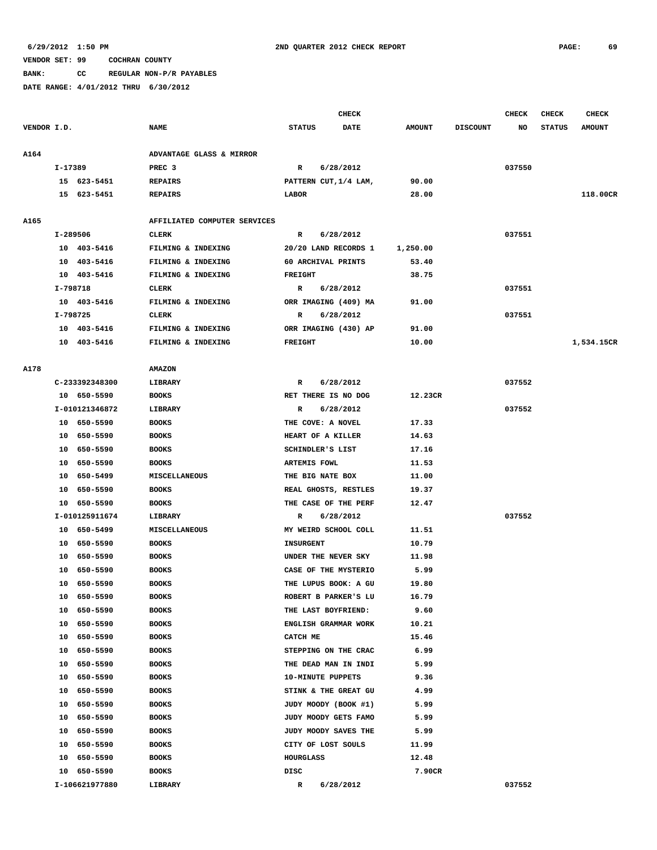**BANK: CC REGULAR NON-P/R PAYABLES**

|             |          |                |                              |                  | <b>CHECK</b>             |               |                 | CHECK  | <b>CHECK</b>  | <b>CHECK</b>  |
|-------------|----------|----------------|------------------------------|------------------|--------------------------|---------------|-----------------|--------|---------------|---------------|
| VENDOR I.D. |          |                | <b>NAME</b>                  | <b>STATUS</b>    | <b>DATE</b>              | <b>AMOUNT</b> | <b>DISCOUNT</b> | NO     | <b>STATUS</b> | <b>AMOUNT</b> |
|             |          |                |                              |                  |                          |               |                 |        |               |               |
| A164        |          |                | ADVANTAGE GLASS & MIRROR     |                  |                          |               |                 |        |               |               |
|             | I-17389  |                | PREC <sub>3</sub>            | $\mathbf R$      | 6/28/2012                |               |                 | 037550 |               |               |
|             |          | 15 623-5451    | <b>REPAIRS</b>               |                  | PATTERN CUT, 1/4 LAM,    | 90.00         |                 |        |               |               |
|             |          | 15 623-5451    | <b>REPAIRS</b>               | LABOR            |                          | 28.00         |                 |        |               | 118.00CR      |
| A165        |          |                | AFFILIATED COMPUTER SERVICES |                  |                          |               |                 |        |               |               |
|             | I-289506 |                | <b>CLERK</b>                 | R                | 6/28/2012                |               |                 | 037551 |               |               |
|             |          | 10 403-5416    | FILMING & INDEXING           |                  | 20/20 LAND RECORDS 1     | 1,250.00      |                 |        |               |               |
|             |          | 10 403-5416    | FILMING & INDEXING           |                  | 60 ARCHIVAL PRINTS       | 53.40         |                 |        |               |               |
|             |          | 10 403-5416    | FILMING & INDEXING           | <b>FREIGHT</b>   |                          | 38.75         |                 |        |               |               |
|             | I-798718 |                | CLERK                        | R                | 6/28/2012                |               |                 | 037551 |               |               |
|             |          | 10 403-5416    | FILMING & INDEXING           |                  | ORR IMAGING (409) MA     | 91.00         |                 |        |               |               |
|             | I-798725 |                | CLERK                        | R                | 6/28/2012                |               |                 | 037551 |               |               |
|             |          | 10 403-5416    | FILMING & INDEXING           |                  | ORR IMAGING (430) AP     | 91.00         |                 |        |               |               |
|             |          | 10 403-5416    | FILMING & INDEXING           | <b>FREIGHT</b>   |                          | 10.00         |                 |        |               | 1,534.15CR    |
|             |          |                |                              |                  |                          |               |                 |        |               |               |
| A178        |          |                | <b>AMAZON</b>                |                  |                          |               |                 |        |               |               |
|             |          | C-233392348300 | LIBRARY                      | R                | 6/28/2012                |               |                 | 037552 |               |               |
|             |          | 10 650-5590    | <b>BOOKS</b>                 |                  | RET THERE IS NO DOG      | 12.23CR       |                 |        |               |               |
|             |          | I-010121346872 | LIBRARY                      | R                | 6/28/2012                |               |                 | 037552 |               |               |
|             |          | 10 650-5590    | <b>BOOKS</b>                 |                  | THE COVE: A NOVEL        | 17.33         |                 |        |               |               |
|             |          | 10 650-5590    | <b>BOOKS</b>                 |                  | HEART OF A KILLER        | 14.63         |                 |        |               |               |
|             |          | 10 650-5590    | <b>BOOKS</b>                 |                  | SCHINDLER'S LIST         | 17.16         |                 |        |               |               |
|             |          | 10 650-5590    | <b>BOOKS</b>                 | ARTEMIS FOWL     |                          | 11.53         |                 |        |               |               |
|             |          | 10 650-5499    | MISCELLANEOUS                |                  | THE BIG NATE BOX         | 11.00         |                 |        |               |               |
|             |          | 10 650-5590    | <b>BOOKS</b>                 |                  | REAL GHOSTS, RESTLES     | 19.37         |                 |        |               |               |
|             |          | 10 650-5590    | <b>BOOKS</b>                 |                  | THE CASE OF THE PERF     | 12.47         |                 |        |               |               |
|             |          | I-010125911674 | LIBRARY                      | R                | 6/28/2012                |               |                 | 037552 |               |               |
|             |          | 10 650-5499    | MISCELLANEOUS                |                  | MY WEIRD SCHOOL COLL     | 11.51         |                 |        |               |               |
|             |          | 10 650-5590    | <b>BOOKS</b>                 | <b>INSURGENT</b> |                          | 10.79         |                 |        |               |               |
|             |          | 10 650-5590    | <b>BOOKS</b>                 |                  | UNDER THE NEVER SKY      | 11.98         |                 |        |               |               |
|             | 10       | 650-5590       | <b>BOOKS</b>                 |                  | CASE OF THE MYSTERIO     | 5.99          |                 |        |               |               |
|             |          | 10 650-5590    | <b>BOOKS</b>                 |                  | THE LUPUS BOOK: A GU     | 19.80         |                 |        |               |               |
|             |          | 10 650-5590    | <b>BOOKS</b>                 |                  | ROBERT B PARKER'S LU     | 16.79         |                 |        |               |               |
|             |          | 10 650-5590    | <b>BOOKS</b>                 |                  | THE LAST BOYFRIEND:      | 9.60          |                 |        |               |               |
|             |          | 10 650-5590    | <b>BOOKS</b>                 |                  | ENGLISH GRAMMAR WORK     | 10.21         |                 |        |               |               |
|             |          | 10 650-5590    | <b>BOOKS</b>                 | CATCH ME         |                          | 15.46         |                 |        |               |               |
|             |          | 10 650-5590    | <b>BOOKS</b>                 |                  | STEPPING ON THE CRAC     | 6.99          |                 |        |               |               |
|             | 10       | 650-5590       | <b>BOOKS</b>                 |                  | THE DEAD MAN IN INDI     | 5.99          |                 |        |               |               |
|             |          | 10 650-5590    | <b>BOOKS</b>                 |                  | <b>10-MINUTE PUPPETS</b> | 9.36          |                 |        |               |               |
|             |          | 10 650-5590    | <b>BOOKS</b>                 |                  | STINK & THE GREAT GU     | 4.99          |                 |        |               |               |
|             |          | 10 650-5590    | <b>BOOKS</b>                 |                  | JUDY MOODY (BOOK #1)     | 5.99          |                 |        |               |               |
|             |          | 10 650-5590    | <b>BOOKS</b>                 |                  | JUDY MOODY GETS FAMO     | 5.99          |                 |        |               |               |
|             |          | 10 650-5590    | <b>BOOKS</b>                 |                  | JUDY MOODY SAVES THE     | 5.99          |                 |        |               |               |
|             | 10       | 650-5590       | <b>BOOKS</b>                 |                  | CITY OF LOST SOULS       | 11.99         |                 |        |               |               |
|             |          | 10 650-5590    | <b>BOOKS</b>                 | HOURGLASS        |                          | 12.48         |                 |        |               |               |
|             |          | 10 650-5590    | <b>BOOKS</b>                 | DISC             |                          | 7.90CR        |                 |        |               |               |
|             |          | I-106621977880 | LIBRARY                      | R                | 6/28/2012                |               |                 | 037552 |               |               |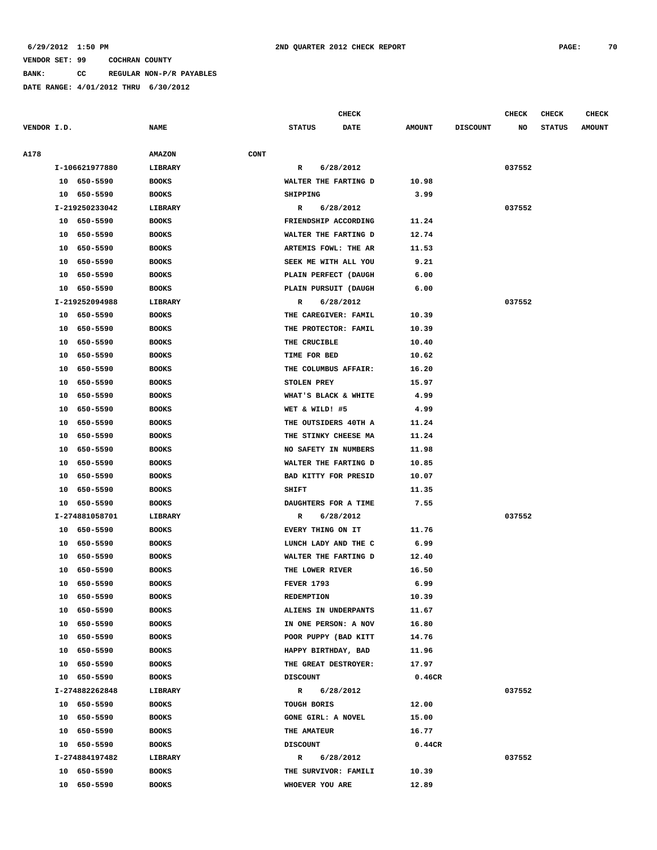**BANK: CC REGULAR NON-P/R PAYABLES**

|             |                |                              | <b>CHECK</b>         |             |               |                 | CHECK  | <b>CHECK</b>  | <b>CHECK</b>  |
|-------------|----------------|------------------------------|----------------------|-------------|---------------|-----------------|--------|---------------|---------------|
| VENDOR I.D. |                | <b>NAME</b>                  | <b>STATUS</b>        | <b>DATE</b> | <b>AMOUNT</b> | <b>DISCOUNT</b> | NO     | <b>STATUS</b> | <b>AMOUNT</b> |
|             |                |                              |                      |             |               |                 |        |               |               |
| A178        |                | <b>AMAZON</b><br><b>CONT</b> |                      |             |               |                 |        |               |               |
|             | I-106621977880 | LIBRARY                      | R                    | 6/28/2012   |               |                 | 037552 |               |               |
|             | 10 650-5590    | <b>BOOKS</b>                 | WALTER THE FARTING D |             | 10.98         |                 |        |               |               |
|             | 10 650-5590    | <b>BOOKS</b>                 | SHIPPING             |             | 3.99          |                 |        |               |               |
|             | I-219250233042 | LIBRARY                      | $\mathbf{R}$         | 6/28/2012   |               |                 | 037552 |               |               |
|             | 10 650-5590    | <b>BOOKS</b>                 | FRIENDSHIP ACCORDING |             | 11.24         |                 |        |               |               |
|             | 650-5590<br>10 | <b>BOOKS</b>                 | WALTER THE FARTING D |             | 12.74         |                 |        |               |               |
|             | 650-5590<br>10 | <b>BOOKS</b>                 | ARTEMIS FOWL: THE AR |             | 11.53         |                 |        |               |               |
|             | 650-5590<br>10 | <b>BOOKS</b>                 | SEEK ME WITH ALL YOU |             | 9.21          |                 |        |               |               |
|             | 650-5590<br>10 | <b>BOOKS</b>                 | PLAIN PERFECT (DAUGH |             | 6.00          |                 |        |               |               |
|             | 650-5590<br>10 | <b>BOOKS</b>                 | PLAIN PURSUIT (DAUGH |             | 6.00          |                 |        |               |               |
|             | I-219252094988 | LIBRARY                      | R                    | 6/28/2012   |               |                 | 037552 |               |               |
|             | 10<br>650-5590 | <b>BOOKS</b>                 | THE CAREGIVER: FAMIL |             | 10.39         |                 |        |               |               |
|             | 650-5590<br>10 | <b>BOOKS</b>                 | THE PROTECTOR: FAMIL |             | 10.39         |                 |        |               |               |
|             | 650-5590<br>10 | <b>BOOKS</b>                 | THE CRUCIBLE         |             | 10.40         |                 |        |               |               |
|             | 650-5590<br>10 | <b>BOOKS</b>                 | TIME FOR BED         |             | 10.62         |                 |        |               |               |
|             | 650-5590<br>10 | <b>BOOKS</b>                 | THE COLUMBUS AFFAIR: |             | 16.20         |                 |        |               |               |
|             | 650-5590<br>10 | <b>BOOKS</b>                 | STOLEN PREY          |             | 15.97         |                 |        |               |               |
|             | 10<br>650-5590 | <b>BOOKS</b>                 | WHAT'S BLACK & WHITE |             | 4.99          |                 |        |               |               |
|             | 650-5590<br>10 | <b>BOOKS</b>                 | WET & WILD! #5       |             | 4.99          |                 |        |               |               |
|             | 650-5590<br>10 | <b>BOOKS</b>                 | THE OUTSIDERS 40TH A |             | 11.24         |                 |        |               |               |
|             | 650-5590<br>10 | <b>BOOKS</b>                 | THE STINKY CHEESE MA |             | 11.24         |                 |        |               |               |
|             | 650-5590<br>10 | <b>BOOKS</b>                 | NO SAFETY IN NUMBERS |             | 11.98         |                 |        |               |               |
|             | 650-5590<br>10 | <b>BOOKS</b>                 | WALTER THE FARTING D |             | 10.85         |                 |        |               |               |
|             | 10<br>650-5590 | <b>BOOKS</b>                 | BAD KITTY FOR PRESID |             | 10.07         |                 |        |               |               |
|             | 650-5590<br>10 | <b>BOOKS</b>                 | <b>SHIFT</b>         |             | 11.35         |                 |        |               |               |
|             | 650-5590<br>10 | <b>BOOKS</b>                 | DAUGHTERS FOR A TIME |             | 7.55          |                 |        |               |               |
|             | I-274881058701 | LIBRARY                      | R                    | 6/28/2012   |               |                 | 037552 |               |               |
|             | 650-5590<br>10 | <b>BOOKS</b>                 | EVERY THING ON IT    |             | 11.76         |                 |        |               |               |
|             | 650-5590<br>10 | <b>BOOKS</b>                 | LUNCH LADY AND THE C |             | 6.99          |                 |        |               |               |
|             | 10<br>650-5590 | <b>BOOKS</b>                 | WALTER THE FARTING D |             | 12.40         |                 |        |               |               |
|             | 650-5590<br>10 | <b>BOOKS</b>                 | THE LOWER RIVER      |             | 16.50         |                 |        |               |               |
|             | 10<br>650-5590 | <b>BOOKS</b>                 | <b>FEVER 1793</b>    |             | 6.99          |                 |        |               |               |
|             | 10 650-5590    | <b>BOOKS</b>                 | REDEMPTION           |             | 10.39         |                 |        |               |               |
|             | 10 650-5590    | <b>BOOKS</b>                 | ALIENS IN UNDERPANTS |             | 11.67         |                 |        |               |               |
|             | 650-5590<br>10 | <b>BOOKS</b>                 | IN ONE PERSON: A NOV |             | 16.80         |                 |        |               |               |
|             | 10<br>650-5590 | <b>BOOKS</b>                 | POOR PUPPY (BAD KITT |             | 14.76         |                 |        |               |               |
|             | 650-5590<br>10 | <b>BOOKS</b>                 | HAPPY BIRTHDAY, BAD  |             | 11.96         |                 |        |               |               |
|             | 650-5590<br>10 | <b>BOOKS</b>                 | THE GREAT DESTROYER: |             | 17.97         |                 |        |               |               |
|             | 10 650-5590    | <b>BOOKS</b>                 | <b>DISCOUNT</b>      |             | 0.46CR        |                 |        |               |               |
|             | I-274882262848 | LIBRARY                      | R                    | 6/28/2012   |               |                 | 037552 |               |               |
|             | 10 650-5590    | <b>BOOKS</b>                 | TOUGH BORIS          |             | 12.00         |                 |        |               |               |
|             | 10<br>650-5590 | <b>BOOKS</b>                 | GONE GIRL: A NOVEL   |             | 15.00         |                 |        |               |               |
|             | 10 650-5590    | <b>BOOKS</b>                 | THE AMATEUR          |             | 16.77         |                 |        |               |               |
|             | 10 650-5590    | <b>BOOKS</b>                 | <b>DISCOUNT</b>      |             | 0.44CR        |                 |        |               |               |
|             | I-274884197482 | LIBRARY                      | R                    | 6/28/2012   |               |                 | 037552 |               |               |
|             | 10 650-5590    | <b>BOOKS</b>                 | THE SURVIVOR: FAMILI |             | 10.39         |                 |        |               |               |
|             | 10 650-5590    | <b>BOOKS</b>                 | WHOEVER YOU ARE      |             | 12.89         |                 |        |               |               |
|             |                |                              |                      |             |               |                 |        |               |               |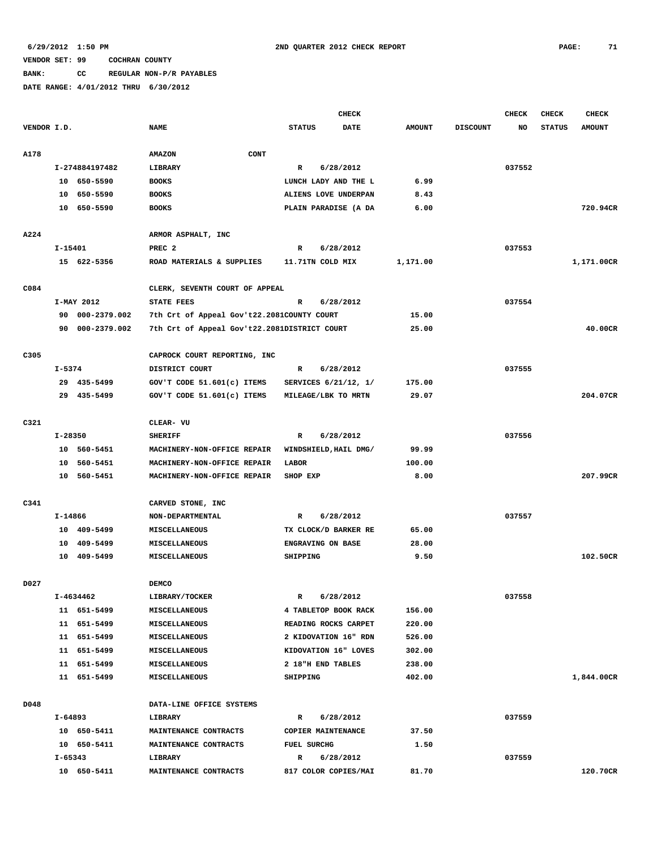**BANK: CC REGULAR NON-P/R PAYABLES**

|             |           |                 |                                              |                           | <b>CHECK</b> |               |                 | <b>CHECK</b> | <b>CHECK</b>  | <b>CHECK</b>  |
|-------------|-----------|-----------------|----------------------------------------------|---------------------------|--------------|---------------|-----------------|--------------|---------------|---------------|
| VENDOR I.D. |           |                 | <b>NAME</b>                                  | <b>STATUS</b>             | <b>DATE</b>  | <b>AMOUNT</b> | <b>DISCOUNT</b> | NO           | <b>STATUS</b> | <b>AMOUNT</b> |
|             |           |                 |                                              |                           |              |               |                 |              |               |               |
| A178        |           |                 | CONT<br><b>AMAZON</b>                        |                           |              |               |                 |              |               |               |
|             |           | I-274884197482  | <b>LIBRARY</b>                               | R                         | 6/28/2012    |               |                 | 037552       |               |               |
|             |           | 10 650-5590     | <b>BOOKS</b>                                 | LUNCH LADY AND THE L      |              | 6.99          |                 |              |               |               |
|             |           | 10 650-5590     | <b>BOOKS</b>                                 | ALIENS LOVE UNDERPAN      |              | 8.43          |                 |              |               |               |
|             |           | 10 650-5590     | <b>BOOKS</b>                                 | PLAIN PARADISE (A DA      |              | 6.00          |                 |              |               | 720.94CR      |
|             |           |                 |                                              |                           |              |               |                 |              |               |               |
| A224        |           |                 | ARMOR ASPHALT, INC                           |                           |              |               |                 |              |               |               |
|             | $I-15401$ |                 | PREC <sub>2</sub>                            | R                         | 6/28/2012    |               |                 | 037553       |               |               |
|             |           | 15 622-5356     | ROAD MATERIALS & SUPPLIES                    | 11.71TN COLD MIX          |              | 1,171.00      |                 |              |               | 1,171.00CR    |
|             |           |                 |                                              |                           |              |               |                 |              |               |               |
| C084        |           |                 | CLERK, SEVENTH COURT OF APPEAL               |                           |              |               |                 |              |               |               |
|             |           | I-MAY 2012      | <b>STATE FEES</b>                            | $\mathbb{R}$              | 6/28/2012    |               |                 | 037554       |               |               |
|             |           | 90 000-2379.002 | 7th Crt of Appeal Gov't22.2081COUNTY COURT   |                           |              | 15.00         |                 |              |               |               |
|             |           | 90 000-2379.002 | 7th Crt of Appeal Gov't22.2081DISTRICT COURT |                           |              | 25.00         |                 |              |               | 40.00CR       |
|             |           |                 |                                              |                           |              |               |                 |              |               |               |
| C305        |           |                 | CAPROCK COURT REPORTING, INC                 |                           |              |               |                 |              |               |               |
|             | I-5374    |                 | DISTRICT COURT                               | R                         | 6/28/2012    |               |                 | 037555       |               |               |
|             |           | 29 435-5499     | GOV'T CODE 51.601(c) ITEMS                   | SERVICES 6/21/12, 1/      |              | 175.00        |                 |              |               |               |
|             |           | 29 435-5499     | GOV'T CODE 51.601(c) ITEMS                   | MILEAGE/LBK TO MRTN       |              | 29.07         |                 |              |               | 204.07CR      |
|             |           |                 |                                              |                           |              |               |                 |              |               |               |
| C321        |           |                 | CLEAR- VU                                    |                           |              |               |                 |              |               |               |
|             | I-28350   |                 | <b>SHERIFF</b>                               | R                         | 6/28/2012    |               |                 | 037556       |               |               |
|             |           | 10 560-5451     | MACHINERY-NON-OFFICE REPAIR                  | WINDSHIELD, HAIL DMG/     |              | 99.99         |                 |              |               |               |
|             |           | 10 560-5451     | MACHINERY-NON-OFFICE REPAIR                  | LABOR                     |              | 100.00        |                 |              |               |               |
|             |           | 10 560-5451     | MACHINERY-NON-OFFICE REPAIR                  | SHOP EXP                  |              | 8.00          |                 |              |               | 207.99CR      |
|             |           |                 |                                              |                           |              |               |                 |              |               |               |
| C341        |           |                 | CARVED STONE, INC                            |                           |              |               |                 |              |               |               |
|             | I-14866   |                 | NON-DEPARTMENTAL                             | R                         | 6/28/2012    |               |                 | 037557       |               |               |
|             |           | 10 409-5499     | <b>MISCELLANEOUS</b>                         | TX CLOCK/D BARKER RE      |              | 65.00         |                 |              |               |               |
|             |           | 10 409-5499     | MISCELLANEOUS                                | ENGRAVING ON BASE         |              | 28.00         |                 |              |               |               |
|             |           | 10 409-5499     | MISCELLANEOUS                                | SHIPPING                  |              | 9.50          |                 |              |               | 102.50CR      |
|             |           |                 |                                              |                           |              |               |                 |              |               |               |
| D027        |           |                 | <b>DEMCO</b>                                 |                           |              |               |                 |              |               |               |
|             |           | I-4634462       | <b>LIBRARY/TOCKER</b>                        | R                         | 6/28/2012    |               |                 | 037558       |               |               |
|             |           | 11 651-5499     | MISCELLANEOUS                                | 4 TABLETOP BOOK RACK      |              | 156.00        |                 |              |               |               |
|             |           | 11 651-5499     | MISCELLANEOUS                                | READING ROCKS CARPET      |              | 220.00        |                 |              |               |               |
|             |           | 11 651-5499     | MISCELLANEOUS                                | 2 KIDOVATION 16" RDN      |              | 526.00        |                 |              |               |               |
|             |           | 11 651-5499     | MISCELLANEOUS                                | KIDOVATION 16" LOVES      |              | 302.00        |                 |              |               |               |
|             |           | 11 651-5499     | <b>MISCELLANEOUS</b>                         | 2 18"H END TABLES         |              | 238.00        |                 |              |               |               |
|             |           | 11 651-5499     | MISCELLANEOUS                                | SHIPPING                  |              | 402.00        |                 |              |               | 1,844.00CR    |
|             |           |                 |                                              |                           |              |               |                 |              |               |               |
| D048        |           |                 | DATA-LINE OFFICE SYSTEMS                     |                           |              |               |                 |              |               |               |
|             | I-64893   |                 | LIBRARY                                      | R                         | 6/28/2012    |               |                 | 037559       |               |               |
|             |           | 10 650-5411     | MAINTENANCE CONTRACTS                        | COPIER MAINTENANCE        |              | 37.50         |                 |              |               |               |
|             | I-65343   | 10 650-5411     | MAINTENANCE CONTRACTS<br>LIBRARY             | <b>FUEL SURCHG</b>        | 6/28/2012    | 1.50          |                 | 037559       |               |               |
|             |           | 10 650-5411     | MAINTENANCE CONTRACTS                        | R<br>817 COLOR COPIES/MAI |              | 81.70         |                 |              |               | 120.70CR      |
|             |           |                 |                                              |                           |              |               |                 |              |               |               |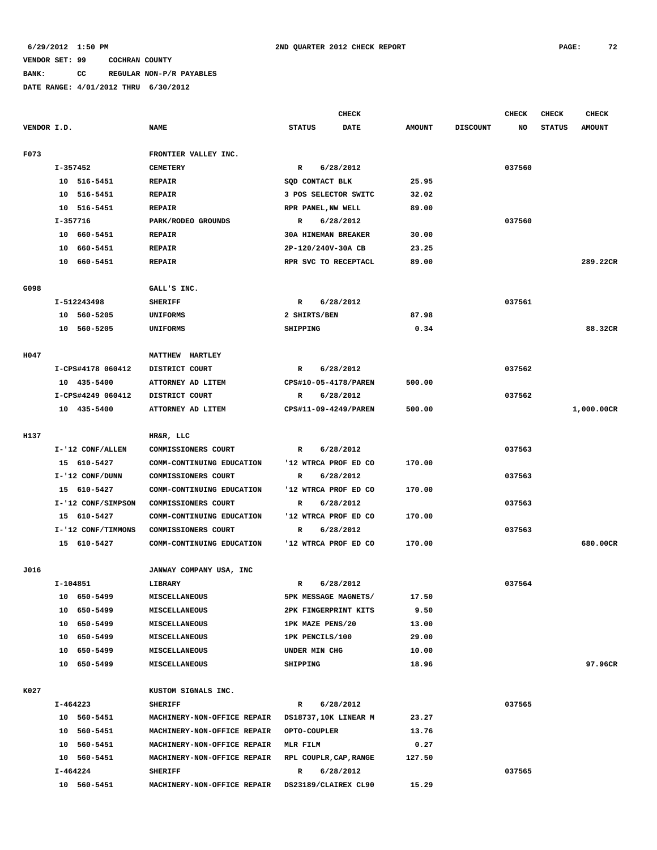# **BANK: CC REGULAR NON-P/R PAYABLES**

|             |                    |                             | CHECK                        |               |                 | <b>CHECK</b> | <b>CHECK</b>  | CHECK         |
|-------------|--------------------|-----------------------------|------------------------------|---------------|-----------------|--------------|---------------|---------------|
| VENDOR I.D. |                    | <b>NAME</b>                 | <b>STATUS</b><br><b>DATE</b> | <b>AMOUNT</b> | <b>DISCOUNT</b> | NO           | <b>STATUS</b> | <b>AMOUNT</b> |
| F073        |                    | FRONTIER VALLEY INC.        |                              |               |                 |              |               |               |
|             | I-357452           | <b>CEMETERY</b>             | 6/28/2012<br>R               |               |                 | 037560       |               |               |
|             | 10 516-5451        | <b>REPAIR</b>               | SQD CONTACT BLK              | 25.95         |                 |              |               |               |
|             | 10 516-5451        | <b>REPAIR</b>               | 3 POS SELECTOR SWITC         | 32.02         |                 |              |               |               |
|             | 10 516-5451        | <b>REPAIR</b>               | RPR PANEL, NW WELL           | 89.00         |                 |              |               |               |
|             | I-357716           | PARK/RODEO GROUNDS          | 6/28/2012<br>R               |               |                 | 037560       |               |               |
|             | 10 660-5451        | <b>REPAIR</b>               | <b>30A HINEMAN BREAKER</b>   | 30.00         |                 |              |               |               |
|             | 10 660-5451        | <b>REPAIR</b>               | 2P-120/240V-30A CB           | 23.25         |                 |              |               |               |
|             | 10 660-5451        | <b>REPAIR</b>               | RPR SVC TO RECEPTACL         | 89.00         |                 |              |               | 289.22CR      |
|             |                    |                             |                              |               |                 |              |               |               |
| G098        |                    | GALL'S INC.                 |                              |               |                 |              |               |               |
|             | I-512243498        | <b>SHERIFF</b>              | 6/28/2012<br>R               |               |                 | 037561       |               |               |
|             | 10 560-5205        | UNIFORMS                    | 2 SHIRTS/BEN                 | 87.98         |                 |              |               |               |
|             | 10 560-5205        | UNIFORMS                    | SHIPPING                     | 0.34          |                 |              |               | 88.32CR       |
|             |                    |                             |                              |               |                 |              |               |               |
| H047        |                    | MATTHEW HARTLEY             |                              |               |                 |              |               |               |
|             | I-CPS#4178 060412  | DISTRICT COURT              | R<br>6/28/2012               |               |                 | 037562       |               |               |
|             | 10 435-5400        | ATTORNEY AD LITEM           | CPS#10-05-4178/PAREN         | 500.00        |                 |              |               |               |
|             | I-CPS#4249 060412  | DISTRICT COURT              | 6/28/2012<br>R               |               |                 | 037562       |               |               |
|             | 10 435-5400        | ATTORNEY AD LITEM           | CPS#11-09-4249/PAREN         | 500.00        |                 |              |               | 1,000.00CR    |
| H137        |                    | HR&R, LLC                   |                              |               |                 |              |               |               |
|             | I-'12 CONF/ALLEN   | COMMISSIONERS COURT         | 6/28/2012<br>R               |               |                 | 037563       |               |               |
|             | 15 610-5427        | COMM-CONTINUING EDUCATION   | '12 WTRCA PROF ED CO         | 170.00        |                 |              |               |               |
|             | I-'12 CONF/DUNN    | COMMISSIONERS COURT         | 6/28/2012<br>R               |               |                 | 037563       |               |               |
|             | 15 610-5427        | COMM-CONTINUING EDUCATION   | '12 WTRCA PROF ED CO         | 170.00        |                 |              |               |               |
|             | I-'12 CONF/SIMPSON | COMMISSIONERS COURT         | 6/28/2012<br>R               |               |                 | 037563       |               |               |
|             | 15 610-5427        | COMM-CONTINUING EDUCATION   | '12 WTRCA PROF ED CO         | 170.00        |                 |              |               |               |
|             | I-'12 CONF/TIMMONS | COMMISSIONERS COURT         | 6/28/2012<br>R               |               |                 | 037563       |               |               |
|             | 15 610-5427        | COMM-CONTINUING EDUCATION   | '12 WTRCA PROF ED CO         | 170.00        |                 |              |               | 680.00CR      |
|             |                    |                             |                              |               |                 |              |               |               |
| J016        |                    | JANWAY COMPANY USA, INC     |                              |               |                 |              |               |               |
|             | I-104851           | LIBRARY                     | 6/28/2012<br>R               |               |                 | 037564       |               |               |
|             | 10 650-5499        | MISCELLANEOUS               | 5PK MESSAGE MAGNETS/         | 17.50         |                 |              |               |               |
|             | 10 650-5499        | <b>MISCELLANEOUS</b>        | 2PK FINGERPRINT KITS         | 9.50          |                 |              |               |               |
|             | 10 650-5499        | MISCELLANEOUS               | 1PK MAZE PENS/20             | 13.00         |                 |              |               |               |
|             | 10 650-5499        | MISCELLANEOUS               | 1PK PENCILS/100              | 29.00         |                 |              |               |               |
|             | 10 650-5499        | MISCELLANEOUS               | UNDER MIN CHG                | 10.00         |                 |              |               |               |
|             | 10 650-5499        | <b>MISCELLANEOUS</b>        | SHIPPING                     | 18.96         |                 |              |               | 97.96CR       |
| K027        |                    | KUSTOM SIGNALS INC.         |                              |               |                 |              |               |               |
|             | I-464223           | <b>SHERIFF</b>              | 6/28/2012<br>$\mathbf{R}$    |               |                 | 037565       |               |               |
|             | 10 560-5451        | MACHINERY-NON-OFFICE REPAIR | DS18737,10K LINEAR M         | 23.27         |                 |              |               |               |
|             | 10 560-5451        | MACHINERY-NON-OFFICE REPAIR | <b>OPTO-COUPLER</b>          | 13.76         |                 |              |               |               |
|             | 10 560-5451        | MACHINERY-NON-OFFICE REPAIR | MLR FILM                     | 0.27          |                 |              |               |               |
|             | 10 560-5451        | MACHINERY-NON-OFFICE REPAIR | RPL COUPLR, CAP, RANGE       | 127.50        |                 |              |               |               |
|             | I-464224           | <b>SHERIFF</b>              | $\mathbb{R}$<br>6/28/2012    |               |                 | 037565       |               |               |
|             | 10 560-5451        | MACHINERY-NON-OFFICE REPAIR | DS23189/CLAIREX CL90         | 15.29         |                 |              |               |               |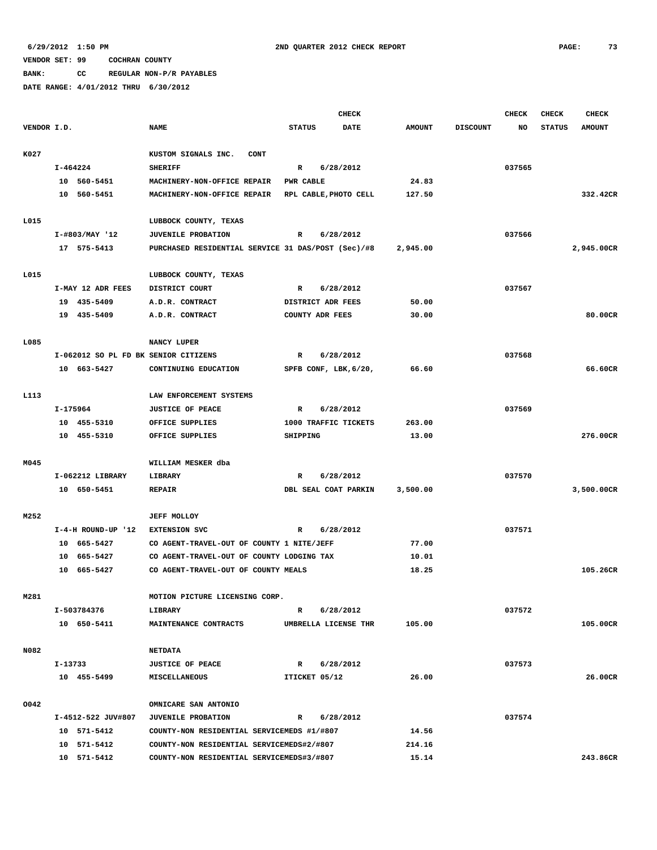**BANK: CC REGULAR NON-P/R PAYABLES**

|             |          |                                 |                                                    |                  | <b>CHECK</b>                      |               |                 | <b>CHECK</b> | <b>CHECK</b>  | <b>CHECK</b>  |
|-------------|----------|---------------------------------|----------------------------------------------------|------------------|-----------------------------------|---------------|-----------------|--------------|---------------|---------------|
| VENDOR I.D. |          |                                 | <b>NAME</b>                                        | <b>STATUS</b>    | <b>DATE</b>                       | <b>AMOUNT</b> | <b>DISCOUNT</b> | <b>NO</b>    | <b>STATUS</b> | <b>AMOUNT</b> |
|             |          |                                 |                                                    |                  |                                   |               |                 |              |               |               |
| K027        |          |                                 | KUSTOM SIGNALS INC.<br><b>CONT</b>                 |                  |                                   |               |                 |              |               |               |
|             | I-464224 |                                 | <b>SHERIFF</b>                                     | $\mathbb{R}$     | 6/28/2012                         |               |                 | 037565       |               |               |
|             |          | 10 560-5451                     | MACHINERY-NON-OFFICE REPAIR                        | <b>PWR CABLE</b> |                                   | 24.83         |                 |              |               |               |
|             |          | 10 560-5451                     | MACHINERY-NON-OFFICE REPAIR                        |                  | RPL CABLE, PHOTO CELL             | 127.50        |                 |              |               | 332.42CR      |
|             |          |                                 |                                                    |                  |                                   |               |                 |              |               |               |
| L015        |          |                                 | LUBBOCK COUNTY, TEXAS                              |                  |                                   |               |                 |              |               |               |
|             |          | I-#803/MAY '12                  | <b>JUVENILE PROBATION</b>                          | R                | 6/28/2012                         |               |                 | 037566       |               |               |
|             |          | 17 575-5413                     | PURCHASED RESIDENTIAL SERVICE 31 DAS/POST (Sec)/#8 |                  |                                   | 2,945.00      |                 |              |               | 2,945.00CR    |
| L015        |          |                                 | LUBBOCK COUNTY, TEXAS                              |                  |                                   |               |                 |              |               |               |
|             |          | I-MAY 12 ADR FEES               | DISTRICT COURT                                     | R                | 6/28/2012                         |               |                 | 037567       |               |               |
|             |          | 19 435-5409                     | A.D.R. CONTRACT                                    |                  | DISTRICT ADR FEES                 | 50.00         |                 |              |               |               |
|             |          | 19 435-5409                     | A.D.R. CONTRACT                                    |                  | COUNTY ADR FEES                   | 30.00         |                 |              |               | 80.00CR       |
|             |          |                                 |                                                    |                  |                                   |               |                 |              |               |               |
| L085        |          |                                 | NANCY LUPER                                        |                  |                                   |               |                 |              |               |               |
|             |          |                                 | I-062012 SO PL FD BK SENIOR CITIZENS               | R                | 6/28/2012                         |               |                 | 037568       |               |               |
|             |          | 10 663-5427                     | CONTINUING EDUCATION                               |                  | SPFB CONF, LBK, 6/20,             | 66.60         |                 |              |               | 66.60CR       |
|             |          |                                 |                                                    |                  |                                   |               |                 |              |               |               |
| L113        |          |                                 | LAW ENFORCEMENT SYSTEMS                            |                  |                                   |               |                 |              |               |               |
|             | I-175964 |                                 | <b>JUSTICE OF PEACE</b>                            | $\mathbb{R}$     | 6/28/2012                         |               |                 | 037569       |               |               |
|             |          | 10 455-5310                     | OFFICE SUPPLIES                                    |                  | 1000 TRAFFIC TICKETS              | 263.00        |                 |              |               |               |
|             |          | 10 455-5310                     | OFFICE SUPPLIES                                    | SHIPPING         |                                   | 13.00         |                 |              |               | 276.00CR      |
|             |          |                                 |                                                    |                  |                                   |               |                 |              |               |               |
| M045        |          |                                 | WILLIAM MESKER dba                                 |                  |                                   |               |                 | 037570       |               |               |
|             |          | I-062212 LIBRARY<br>10 650-5451 | LIBRARY<br><b>REPAIR</b>                           | R                | 6/28/2012<br>DBL SEAL COAT PARKIN | 3,500.00      |                 |              |               | 3,500.00CR    |
|             |          |                                 |                                                    |                  |                                   |               |                 |              |               |               |
| M252        |          |                                 | <b>JEFF MOLLOY</b>                                 |                  |                                   |               |                 |              |               |               |
|             |          | I-4-H ROUND-UP '12              | <b>EXTENSION SVC</b>                               | R                | 6/28/2012                         |               |                 | 037571       |               |               |
|             |          | 10 665-5427                     | CO AGENT-TRAVEL-OUT OF COUNTY 1 NITE/JEFF          |                  |                                   | 77.00         |                 |              |               |               |
|             |          | 10 665-5427                     | CO AGENT-TRAVEL-OUT OF COUNTY LODGING TAX          |                  |                                   | 10.01         |                 |              |               |               |
|             |          | 10 665-5427                     | CO AGENT-TRAVEL-OUT OF COUNTY MEALS                |                  |                                   | 18.25         |                 |              |               | 105.26CR      |
|             |          |                                 |                                                    |                  |                                   |               |                 |              |               |               |
| M281        |          |                                 | MOTION PICTURE LICENSING CORP.                     |                  |                                   |               |                 |              |               |               |
|             |          | I-503784376                     | LIBRARY                                            | R                | 6/28/2012                         |               |                 | 037572       |               |               |
|             |          | 10 650-5411                     | MAINTENANCE CONTRACTS                              |                  | UMBRELLA LICENSE THR              | 105.00        |                 |              |               | 105.00CR      |
|             |          |                                 |                                                    |                  |                                   |               |                 |              |               |               |
| N082        |          |                                 | <b>NETDATA</b>                                     |                  | R 6/28/2012                       |               |                 |              |               |               |
|             | I-13733  | 10 455-5499                     | <b>JUSTICE OF PEACE</b><br>MISCELLANEOUS           | ITICKET 05/12    |                                   | 26.00         |                 | 037573       |               | 26.00CR       |
|             |          |                                 |                                                    |                  |                                   |               |                 |              |               |               |
| 0042        |          |                                 | OMNICARE SAN ANTONIO                               |                  |                                   |               |                 |              |               |               |
|             |          | I-4512-522 JUV#807              | <b>JUVENILE PROBATION</b>                          | $\mathbb{R}$     | 6/28/2012                         |               |                 | 037574       |               |               |
|             |          | 10 571-5412                     | COUNTY-NON RESIDENTIAL SERVICEMEDS #1/#807         |                  |                                   | 14.56         |                 |              |               |               |
|             |          | 10 571-5412                     | COUNTY-NON RESIDENTIAL SERVICEMEDS#2/#807          |                  |                                   | 214.16        |                 |              |               |               |
|             |          | 10 571-5412                     | COUNTY-NON RESIDENTIAL SERVICEMEDS#3/#807          |                  |                                   | 15.14         |                 |              |               | 243.86CR      |
|             |          |                                 |                                                    |                  |                                   |               |                 |              |               |               |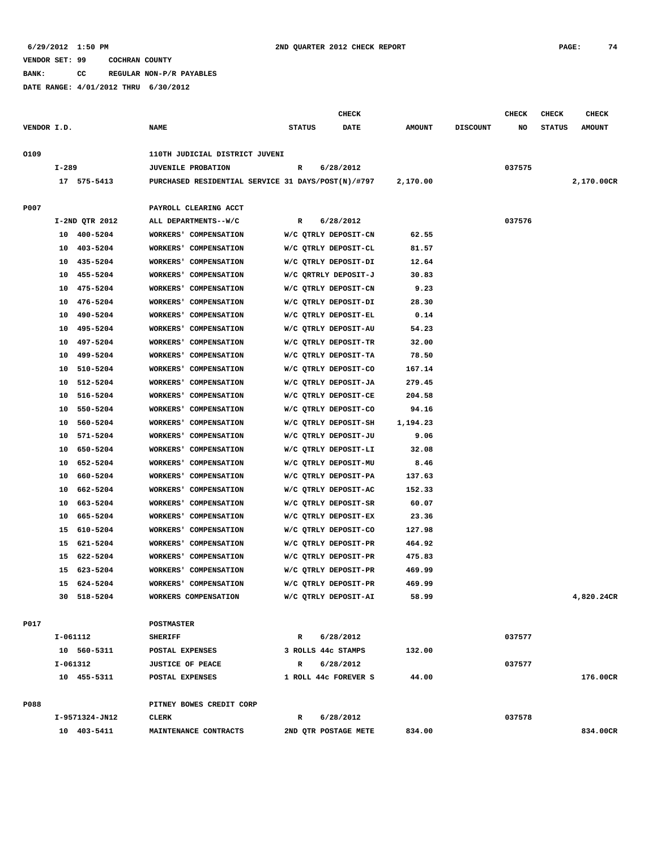**BANK: CC REGULAR NON-P/R PAYABLES**

|             |          |                      |                                                    |                    | <b>CHECK</b>                                 |                |                 | <b>CHECK</b> | <b>CHECK</b>  | <b>CHECK</b>  |
|-------------|----------|----------------------|----------------------------------------------------|--------------------|----------------------------------------------|----------------|-----------------|--------------|---------------|---------------|
| VENDOR I.D. |          |                      | <b>NAME</b>                                        | <b>STATUS</b>      | DATE                                         | <b>AMOUNT</b>  | <b>DISCOUNT</b> | NO           | <b>STATUS</b> | <b>AMOUNT</b> |
|             |          |                      |                                                    |                    |                                              |                |                 |              |               |               |
| 0109        |          |                      | 110TH JUDICIAL DISTRICT JUVENI                     |                    |                                              |                |                 |              |               |               |
|             | I-289    |                      | <b>JUVENILE PROBATION</b>                          | R                  | 6/28/2012                                    |                |                 | 037575       |               |               |
|             |          | 17 575-5413          | PURCHASED RESIDENTIAL SERVICE 31 DAYS/POST(N)/#797 |                    |                                              | 2,170.00       |                 |              |               | 2,170.00CR    |
|             |          |                      |                                                    |                    |                                              |                |                 |              |               |               |
| P007        |          |                      | PAYROLL CLEARING ACCT                              |                    |                                              |                |                 |              |               |               |
|             |          | I-2ND QTR 2012       | ALL DEPARTMENTS--W/C                               | R                  | 6/28/2012                                    |                |                 | 037576       |               |               |
|             |          | 10 400-5204          | WORKERS' COMPENSATION                              |                    | W/C QTRLY DEPOSIT-CN                         | 62.55          |                 |              |               |               |
|             | 10<br>10 | 403-5204<br>435-5204 | WORKERS' COMPENSATION<br>WORKERS' COMPENSATION     |                    | W/C QTRLY DEPOSIT-CL<br>W/C QTRLY DEPOSIT-DI | 81.57<br>12.64 |                 |              |               |               |
|             | 10       | 455-5204             | WORKERS' COMPENSATION                              |                    | W/C QRTRLY DEPOSIT-J                         | 30.83          |                 |              |               |               |
|             | 10       | 475-5204             | WORKERS' COMPENSATION                              |                    | W/C QTRLY DEPOSIT-CN                         | 9.23           |                 |              |               |               |
|             | 10       | 476-5204             | <b>WORKERS' COMPENSATION</b>                       |                    | W/C QTRLY DEPOSIT-DI                         | 28.30          |                 |              |               |               |
|             | 10       | 490-5204             | WORKERS' COMPENSATION                              |                    | W/C QTRLY DEPOSIT-EL                         | 0.14           |                 |              |               |               |
|             | 10       | 495-5204             | WORKERS' COMPENSATION                              |                    | W/C QTRLY DEPOSIT-AU                         | 54.23          |                 |              |               |               |
|             | 10       | 497-5204             | <b>WORKERS' COMPENSATION</b>                       |                    | W/C QTRLY DEPOSIT-TR                         | 32.00          |                 |              |               |               |
|             | 10       | 499-5204             | WORKERS' COMPENSATION                              |                    | W/C QTRLY DEPOSIT-TA                         | 78.50          |                 |              |               |               |
|             | 10       | 510-5204             | WORKERS' COMPENSATION                              |                    | W/C QTRLY DEPOSIT-CO                         | 167.14         |                 |              |               |               |
|             | 10       | 512-5204             | <b>WORKERS'</b><br>COMPENSATION                    |                    | W/C QTRLY DEPOSIT-JA                         | 279.45         |                 |              |               |               |
|             | 10       | 516-5204             | WORKERS' COMPENSATION                              |                    | W/C QTRLY DEPOSIT-CE                         | 204.58         |                 |              |               |               |
|             | 10       | 550-5204             | WORKERS' COMPENSATION                              |                    | W/C QTRLY DEPOSIT-CO                         | 94.16          |                 |              |               |               |
|             | 10       | 560-5204             | WORKERS' COMPENSATION                              |                    | W/C QTRLY DEPOSIT-SH                         | 1,194.23       |                 |              |               |               |
|             | 10       | 571-5204             | WORKERS' COMPENSATION                              |                    | W/C QTRLY DEPOSIT-JU                         | 9.06           |                 |              |               |               |
|             | 10       | 650-5204             | WORKERS' COMPENSATION                              |                    | W/C QTRLY DEPOSIT-LI                         | 32.08          |                 |              |               |               |
|             | 10       | 652-5204             | WORKERS' COMPENSATION                              |                    | W/C QTRLY DEPOSIT-MU                         | 8.46           |                 |              |               |               |
|             | 10       | 660-5204             | WORKERS' COMPENSATION                              |                    | W/C QTRLY DEPOSIT-PA                         | 137.63         |                 |              |               |               |
|             | 10       | 662-5204             | WORKERS' COMPENSATION                              |                    | W/C QTRLY DEPOSIT-AC                         | 152.33         |                 |              |               |               |
|             | 10       | 663-5204             | WORKERS' COMPENSATION                              |                    | W/C QTRLY DEPOSIT-SR                         | 60.07          |                 |              |               |               |
|             | 10       | 665-5204             | WORKERS' COMPENSATION                              |                    | W/C QTRLY DEPOSIT-EX                         | 23.36          |                 |              |               |               |
|             | 15       | 610-5204             | <b>WORKERS'</b><br>COMPENSATION                    |                    | W/C QTRLY DEPOSIT-CO                         | 127.98         |                 |              |               |               |
|             | 15       | 621-5204             | <b>WORKERS'</b><br><b>COMPENSATION</b>             |                    | W/C QTRLY DEPOSIT-PR                         | 464.92         |                 |              |               |               |
|             | 15       | 622-5204             | WORKERS' COMPENSATION                              |                    | W/C QTRLY DEPOSIT-PR                         | 475.83         |                 |              |               |               |
|             | 15       | 623-5204             | WORKERS' COMPENSATION                              |                    | W/C QTRLY DEPOSIT-PR                         | 469.99         |                 |              |               |               |
|             |          | 15 624-5204          | WORKERS' COMPENSATION                              |                    | W/C QTRLY DEPOSIT-PR                         | 469.99         |                 |              |               |               |
|             |          | 30 518-5204          | WORKERS COMPENSATION                               |                    | W/C QTRLY DEPOSIT-AI                         | 58.99          |                 |              |               | 4,820.24CR    |
|             |          |                      |                                                    |                    |                                              |                |                 |              |               |               |
| <b>P017</b> |          |                      | POSTMASTER                                         |                    |                                              |                |                 |              |               |               |
|             | I-061112 |                      | <b>SHERIFF</b>                                     | $\mathbb{R}$       | 6/28/2012                                    |                |                 | 037577       |               |               |
|             |          | 10 560-5311          | POSTAL EXPENSES                                    | 3 ROLLS 44c STAMPS |                                              | 132.00         |                 |              |               |               |
|             | I-061312 | 10 455-5311          | <b>JUSTICE OF PEACE</b><br>POSTAL EXPENSES         | R                  | 6/28/2012<br>1 ROLL 44c FOREVER S            | 44.00          |                 | 037577       |               | 176.00CR      |
|             |          |                      |                                                    |                    |                                              |                |                 |              |               |               |
| P088        |          |                      | PITNEY BOWES CREDIT CORP                           |                    |                                              |                |                 |              |               |               |
|             |          | I-9571324-JN12       | <b>CLERK</b>                                       | $\mathbb{R}$       | 6/28/2012                                    |                |                 | 037578       |               |               |
|             |          | 10 403-5411          | MAINTENANCE CONTRACTS                              |                    | 2ND QTR POSTAGE METE                         | 834.00         |                 |              |               | 834.00CR      |
|             |          |                      |                                                    |                    |                                              |                |                 |              |               |               |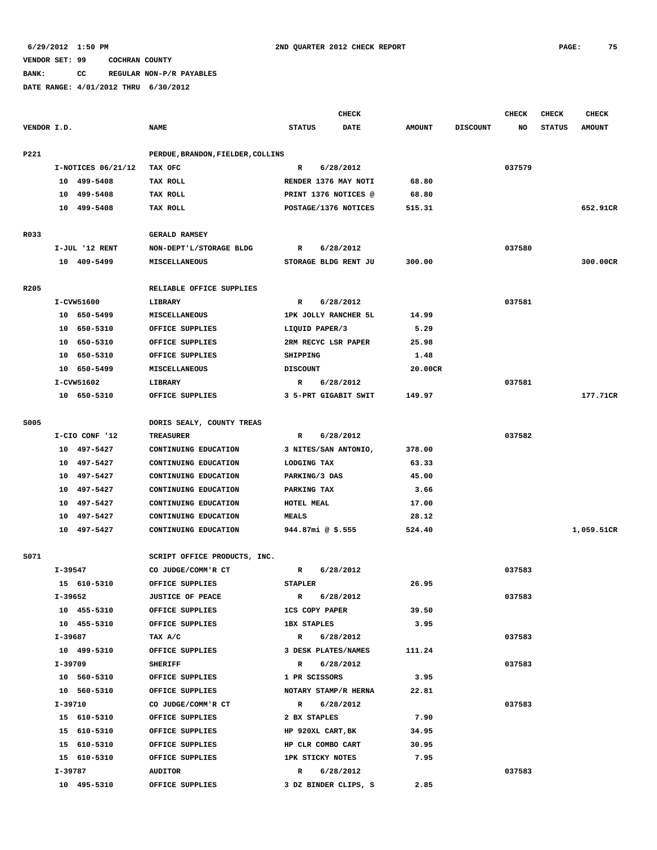**BANK: CC REGULAR NON-P/R PAYABLES**

|             |         |                      |                                   |                         |             | <b>CHECK</b>         |               |                 | CHECK  | <b>CHECK</b>  | <b>CHECK</b>  |
|-------------|---------|----------------------|-----------------------------------|-------------------------|-------------|----------------------|---------------|-----------------|--------|---------------|---------------|
| VENDOR I.D. |         |                      | <b>NAME</b>                       | <b>STATUS</b>           |             | <b>DATE</b>          | <b>AMOUNT</b> | <b>DISCOUNT</b> | NO     | <b>STATUS</b> | <b>AMOUNT</b> |
|             |         |                      |                                   |                         |             |                      |               |                 |        |               |               |
| P221        |         |                      | PERDUE, BRANDON, FIELDER, COLLINS |                         |             |                      |               |                 |        |               |               |
|             |         | $I-NOTICES$ 06/21/12 | TAX OFC                           | R                       |             | 6/28/2012            |               |                 | 037579 |               |               |
|             |         | 10 499-5408          | TAX ROLL                          |                         |             | RENDER 1376 MAY NOTI | 68.80         |                 |        |               |               |
|             | 10      | 499-5408             | TAX ROLL                          |                         |             | PRINT 1376 NOTICES @ | 68.80         |                 |        |               |               |
|             | 10      | 499-5408             | TAX ROLL                          |                         |             | POSTAGE/1376 NOTICES | 515.31        |                 |        |               | 652.91CR      |
|             |         |                      |                                   |                         |             |                      |               |                 |        |               |               |
| R033        |         |                      | <b>GERALD RAMSEY</b>              |                         |             |                      |               |                 |        |               |               |
|             |         | I-JUL '12 RENT       | NON-DEPT'L/STORAGE BLDG           | R                       |             | 6/28/2012            |               |                 | 037580 |               |               |
|             |         | 10 409-5499          | <b>MISCELLANEOUS</b>              |                         |             | STORAGE BLDG RENT JU | 300.00        |                 |        |               | 300.00CR      |
|             |         |                      |                                   |                         |             |                      |               |                 |        |               |               |
| R205        |         |                      | RELIABLE OFFICE SUPPLIES          |                         |             |                      |               |                 |        |               |               |
|             |         | I-CVW51600           | LIBRARY                           | R                       |             | 6/28/2012            |               |                 | 037581 |               |               |
|             |         | 10 650-5499          | MISCELLANEOUS                     |                         |             | 1PK JOLLY RANCHER 5L | 14.99         |                 |        |               |               |
|             | 10      | 650-5310             | OFFICE SUPPLIES                   | LIQUID PAPER/3          |             |                      | 5.29          |                 |        |               |               |
|             | 10      | 650-5310             | OFFICE SUPPLIES                   |                         |             | 2RM RECYC LSR PAPER  | 25.98         |                 |        |               |               |
|             | 10      | 650-5310             | OFFICE SUPPLIES                   | SHIPPING                |             |                      | 1.48          |                 |        |               |               |
|             |         | 10 650-5499          | MISCELLANEOUS                     | <b>DISCOUNT</b>         |             |                      | 20.00CR       |                 |        |               |               |
|             |         | I-CVW51602           | LIBRARY                           | R                       |             | 6/28/2012            |               |                 | 037581 |               |               |
|             |         | 10 650-5310          | OFFICE SUPPLIES                   |                         |             | 3 5-PRT GIGABIT SWIT | 149.97        |                 |        |               | 177.71CR      |
|             |         |                      |                                   |                         |             |                      |               |                 |        |               |               |
| S005        |         |                      | DORIS SEALY, COUNTY TREAS         |                         |             |                      |               |                 |        |               |               |
|             |         | I-CIO CONF '12       | <b>TREASURER</b>                  | R                       | 6/28/2012   |                      |               |                 | 037582 |               |               |
|             |         | 10 497-5427          | CONTINUING EDUCATION              |                         |             | 3 NITES/SAN ANTONIO, | 378.00        |                 |        |               |               |
|             |         | 10 497-5427          | CONTINUING EDUCATION              | LODGING TAX             |             |                      | 63.33         |                 |        |               |               |
|             | 10      | 497-5427             | CONTINUING EDUCATION              | PARKING/3 DAS           |             |                      | 45.00         |                 |        |               |               |
|             | 10      | 497-5427             | CONTINUING EDUCATION              | PARKING TAX             |             |                      | 3.66          |                 |        |               |               |
|             | 10      | 497-5427             | CONTINUING EDUCATION              | HOTEL MEAL              |             |                      | 17.00         |                 |        |               |               |
|             | 10      | 497-5427             | CONTINUING EDUCATION              | <b>MEALS</b>            |             |                      | 28.12         |                 |        |               |               |
|             |         | 10 497-5427          | CONTINUING EDUCATION              | 944.87mi @ $$.555$      |             |                      | 524.40        |                 |        |               | 1,059.51CR    |
|             |         |                      |                                   |                         |             |                      |               |                 |        |               |               |
| S071        |         |                      | SCRIPT OFFICE PRODUCTS, INC.      |                         |             |                      |               |                 |        |               |               |
|             | I-39547 |                      | CO JUDGE/COMM'R CT                | R                       |             | 6/28/2012            |               |                 | 037583 |               |               |
|             |         | 15 610-5310          | OFFICE SUPPLIES                   | <b>STAPLER</b>          |             |                      | 26.95         |                 |        |               |               |
|             | I-39652 |                      | <b>JUSTICE OF PEACE</b>           | $\mathbb{R}$            |             | 6/28/2012            |               |                 | 037583 |               |               |
|             |         | 10 455-5310          | OFFICE SUPPLIES                   | <b>1CS COPY PAPER</b>   |             |                      | 39.50         |                 |        |               |               |
|             |         | 10 455-5310          | OFFICE SUPPLIES                   | <b>1BX STAPLES</b>      |             |                      | 3.95          |                 |        |               |               |
|             |         | I-39687              | TAX A/C                           | R 6/28/2012             |             |                      |               |                 | 037583 |               |               |
|             |         | 10 499-5310          | OFFICE SUPPLIES                   |                         |             | 3 DESK PLATES/NAMES  | 111.24        |                 |        |               |               |
|             | I-39709 |                      | <b>SHERIFF</b>                    |                         | R 6/28/2012 |                      |               |                 | 037583 |               |               |
|             |         | 10 560-5310          | OFFICE SUPPLIES                   | 1 PR SCISSORS           |             |                      | 3.95          |                 |        |               |               |
|             |         | 10 560-5310          | OFFICE SUPPLIES                   |                         |             | NOTARY STAMP/R HERNA | 22.81         |                 |        |               |               |
|             | I-39710 |                      | CO JUDGE/COMM'R CT                | R 6/28/2012             |             |                      |               |                 | 037583 |               |               |
|             |         | 15 610-5310          | OFFICE SUPPLIES                   | 2 BX STAPLES            |             |                      | 7.90          |                 |        |               |               |
|             |         | 15 610-5310          | OFFICE SUPPLIES                   | HP 920XL CART, BK       |             |                      | 34.95         |                 |        |               |               |
|             |         | 15 610-5310          | OFFICE SUPPLIES                   | HP CLR COMBO CART       |             |                      | 30.95         |                 |        |               |               |
|             |         | 15 610-5310          | OFFICE SUPPLIES                   | <b>1PK STICKY NOTES</b> |             |                      | 7.95          |                 |        |               |               |
|             |         | I-39787              | <b>AUDITOR</b>                    |                         | R 6/28/2012 |                      |               |                 | 037583 |               |               |
|             |         | 10 495-5310          | OFFICE SUPPLIES                   |                         |             | 3 DZ BINDER CLIPS, S | 2.85          |                 |        |               |               |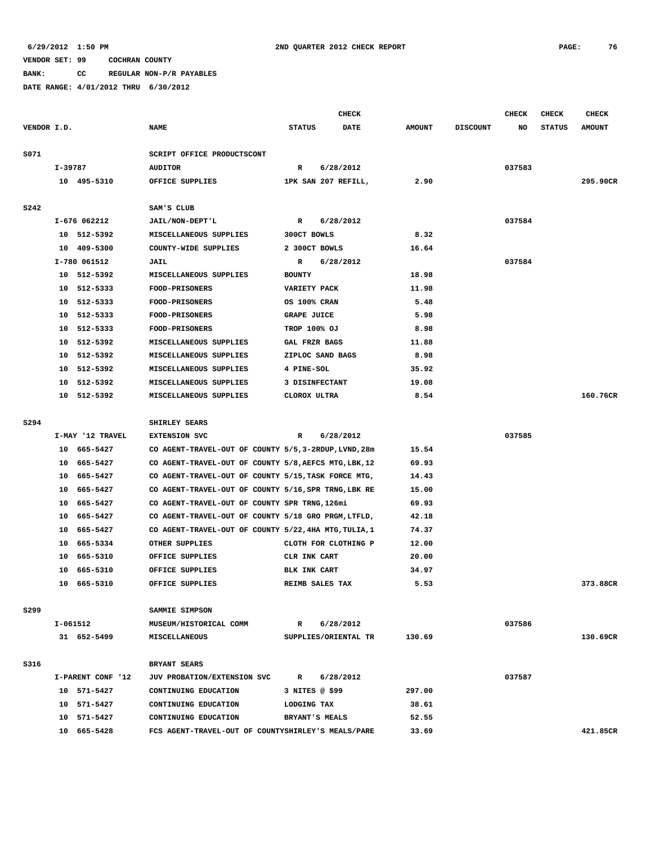**BANK: CC REGULAR NON-P/R PAYABLES**

|             |          |                   |                                                       |                     | <b>CHECK</b>         |               |                 | CHECK  | <b>CHECK</b>  | <b>CHECK</b>  |
|-------------|----------|-------------------|-------------------------------------------------------|---------------------|----------------------|---------------|-----------------|--------|---------------|---------------|
| VENDOR I.D. |          |                   | <b>NAME</b>                                           | <b>STATUS</b>       | DATE                 | <b>AMOUNT</b> | <b>DISCOUNT</b> | NO     | <b>STATUS</b> | <b>AMOUNT</b> |
|             |          |                   |                                                       |                     |                      |               |                 |        |               |               |
| S071        |          |                   | SCRIPT OFFICE PRODUCTSCONT                            |                     |                      |               |                 |        |               |               |
|             | I-39787  |                   | <b>AUDITOR</b>                                        | $\mathbb{R}$        | 6/28/2012            |               |                 | 037583 |               |               |
|             |          | 10 495-5310       | OFFICE SUPPLIES                                       |                     | 1PK SAN 207 REFILL,  | 2.90          |                 |        |               | 295.90CR      |
| <b>S242</b> |          |                   | SAM'S CLUB                                            |                     |                      |               |                 |        |               |               |
|             |          | I-676 062212      | JAIL/NON-DEPT'L                                       | R                   | 6/28/2012            |               |                 | 037584 |               |               |
|             |          | 10 512-5392       | MISCELLANEOUS SUPPLIES                                | 300CT BOWLS         |                      | 8.32          |                 |        |               |               |
|             |          | 10 409-5300       | COUNTY-WIDE SUPPLIES                                  | 2 300CT BOWLS       |                      | 16.64         |                 |        |               |               |
|             |          | I-780 061512      | JAIL                                                  | R                   | 6/28/2012            |               |                 | 037584 |               |               |
|             | 10       | 512-5392          | MISCELLANEOUS SUPPLIES                                | <b>BOUNTY</b>       |                      | 18.98         |                 |        |               |               |
|             | 10       | 512-5333          | <b>FOOD-PRISONERS</b>                                 | <b>VARIETY PACK</b> |                      | 11.98         |                 |        |               |               |
|             | 10       | 512-5333          | <b>FOOD-PRISONERS</b>                                 | OS 100% CRAN        |                      | 5.48          |                 |        |               |               |
|             | 10       | 512-5333          | <b>FOOD-PRISONERS</b>                                 | <b>GRAPE JUICE</b>  |                      | 5.98          |                 |        |               |               |
|             | 10       | 512-5333          | FOOD-PRISONERS                                        | TROP 100% OJ        |                      | 8.98          |                 |        |               |               |
|             | 10       | 512-5392          | MISCELLANEOUS SUPPLIES                                | GAL FRZR BAGS       |                      | 11.88         |                 |        |               |               |
|             | 10       | 512-5392          | MISCELLANEOUS SUPPLIES                                |                     | ZIPLOC SAND BAGS     | 8.98          |                 |        |               |               |
|             | 10       | 512-5392          | MISCELLANEOUS SUPPLIES                                | 4 PINE-SOL          |                      | 35.92         |                 |        |               |               |
|             | 10       | 512-5392          | MISCELLANEOUS SUPPLIES                                | 3 DISINFECTANT      |                      | 19.08         |                 |        |               |               |
|             | 10       | 512-5392          | MISCELLANEOUS SUPPLIES                                | CLOROX ULTRA        |                      | 8.54          |                 |        |               | 160.76CR      |
|             |          |                   |                                                       |                     |                      |               |                 |        |               |               |
| S294        |          |                   | SHIRLEY SEARS                                         |                     |                      |               |                 |        |               |               |
|             |          | I-MAY '12 TRAVEL  | <b>EXTENSION SVC</b>                                  | R                   | 6/28/2012            |               |                 | 037585 |               |               |
|             |          | 10 665-5427       | CO AGENT-TRAVEL-OUT OF COUNTY 5/5, 3-2RDUP, LVND, 28m |                     |                      | 15.54         |                 |        |               |               |
|             | 10       | 665–5427          | CO AGENT-TRAVEL-OUT OF COUNTY 5/8, AEFCS MTG, LBK, 12 |                     |                      | 69.93         |                 |        |               |               |
|             | 10       | 665–5427          | CO AGENT-TRAVEL-OUT OF COUNTY 5/15, TASK FORCE MTG,   |                     |                      | 14.43         |                 |        |               |               |
|             | 10       | 665-5427          | CO AGENT-TRAVEL-OUT OF COUNTY 5/16, SPR TRNG, LBK RE  |                     |                      | 15.00         |                 |        |               |               |
|             | 10       | 665-5427          | CO AGENT-TRAVEL-OUT OF COUNTY SPR TRNG, 126mi         |                     |                      | 69.93         |                 |        |               |               |
|             | 10       | 665-5427          | CO AGENT-TRAVEL-OUT OF COUNTY 5/18 GRO PRGM, LTFLD,   |                     |                      | 42.18         |                 |        |               |               |
|             | 10       | 665-5427          | CO AGENT-TRAVEL-OUT OF COUNTY 5/22, 4HA MTG, TULIA, 1 |                     |                      | 74.37         |                 |        |               |               |
|             | 10       | 665-5334          | OTHER SUPPLIES                                        |                     | CLOTH FOR CLOTHING P | 12.00         |                 |        |               |               |
|             | 10       | 665-5310          | OFFICE SUPPLIES                                       | CLR INK CART        |                      | 20.00         |                 |        |               |               |
|             | 10       | 665-5310          | OFFICE SUPPLIES                                       | BLK INK CART        |                      | 34.97         |                 |        |               |               |
|             | 10       | 665-5310          | OFFICE SUPPLIES                                       |                     | REIMB SALES TAX      | 5.53          |                 |        |               | 373.88CR      |
| S299        |          |                   | SAMMIE SIMPSON                                        |                     |                      |               |                 |        |               |               |
|             | I-061512 |                   | MUSEUM/HISTORICAL COMM                                | R                   | 6/28/2012            |               |                 | 037586 |               |               |
|             |          | 31 652-5499       | MISCELLANEOUS                                         |                     | SUPPLIES/ORIENTAL TR | 130.69        |                 |        |               | 130.69CR      |
|             |          |                   |                                                       |                     |                      |               |                 |        |               |               |
| S316        |          |                   | BRYANT SEARS                                          |                     |                      |               |                 |        |               |               |
|             |          | I-PARENT CONF '12 | JUV PROBATION/EXTENSION SVC                           | $\mathbb{R}$        | 6/28/2012            |               |                 | 037587 |               |               |
|             |          | 10 571-5427       | CONTINUING EDUCATION                                  | 3 NITES @ \$99      |                      | 297.00        |                 |        |               |               |
|             |          | 10 571-5427       | CONTINUING EDUCATION                                  | LODGING TAX         |                      | 38.61         |                 |        |               |               |
|             |          | 10 571-5427       | CONTINUING EDUCATION                                  | BRYANT'S MEALS      |                      | 52.55         |                 |        |               |               |
|             |          | 10 665-5428       | FCS AGENT-TRAVEL-OUT OF COUNTYSHIRLEY'S MEALS/PARE    |                     |                      | 33.69         |                 |        |               | 421.85CR      |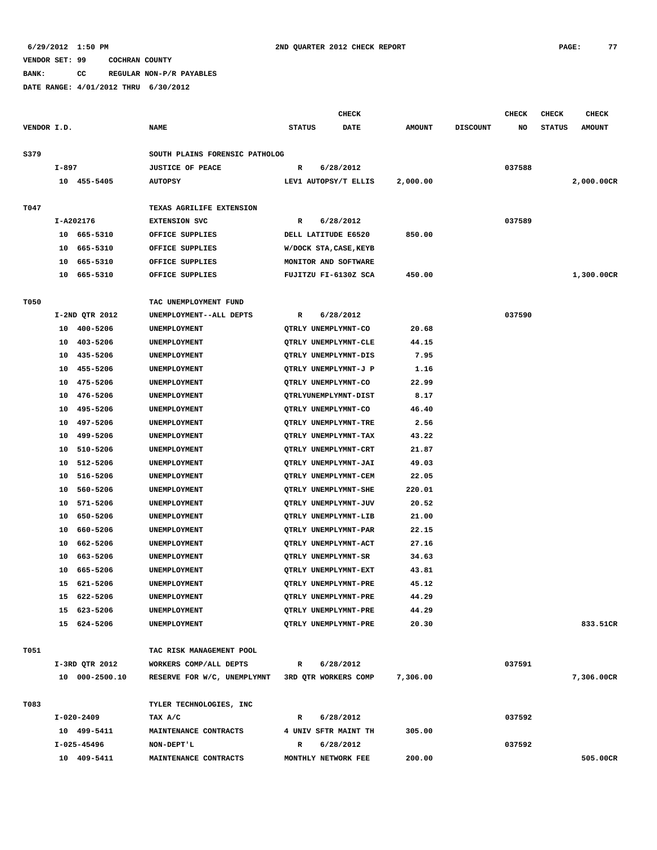**BANK: CC REGULAR NON-P/R PAYABLES**

|             |            |                |                                |               | <b>CHECK</b>           |               |                 | CHECK  | <b>CHECK</b>  | <b>CHECK</b>  |
|-------------|------------|----------------|--------------------------------|---------------|------------------------|---------------|-----------------|--------|---------------|---------------|
| VENDOR I.D. |            |                | <b>NAME</b>                    | <b>STATUS</b> | <b>DATE</b>            | <b>AMOUNT</b> | <b>DISCOUNT</b> | NO     | <b>STATUS</b> | <b>AMOUNT</b> |
|             |            |                |                                |               |                        |               |                 |        |               |               |
| S379        |            |                | SOUTH PLAINS FORENSIC PATHOLOG |               |                        |               |                 |        |               |               |
|             | I-897      |                | <b>JUSTICE OF PEACE</b>        | R             | 6/28/2012              |               |                 | 037588 |               |               |
|             |            | 10 455-5405    | <b>AUTOPSY</b>                 |               | LEV1 AUTOPSY/T ELLIS   | 2,000.00      |                 |        |               | 2,000.00CR    |
|             |            |                |                                |               |                        |               |                 |        |               |               |
| T047        |            |                | TEXAS AGRILIFE EXTENSION       |               |                        |               |                 |        |               |               |
|             | I-A202176  |                | <b>EXTENSION SVC</b>           | R             | 6/28/2012              |               |                 | 037589 |               |               |
|             |            | 10 665-5310    | OFFICE SUPPLIES                |               | DELL LATITUDE E6520    | 850.00        |                 |        |               |               |
|             | 10         | 665-5310       | OFFICE SUPPLIES                |               | W/DOCK STA, CASE, KEYB |               |                 |        |               |               |
|             | 10         | 665-5310       | OFFICE SUPPLIES                |               | MONITOR AND SOFTWARE   |               |                 |        |               |               |
|             | 10         | 665-5310       | OFFICE SUPPLIES                |               | FUJITZU FI-6130Z SCA   | 450.00        |                 |        |               | 1,300.00CR    |
|             |            |                |                                |               |                        |               |                 |        |               |               |
| T050        |            |                | TAC UNEMPLOYMENT FUND          |               |                        |               |                 |        |               |               |
|             |            | I-2ND QTR 2012 | UNEMPLOYMENT--ALL DEPTS        | R             | 6/28/2012              |               |                 | 037590 |               |               |
|             | 10         | 400-5206       | UNEMPLOYMENT                   |               | QTRLY UNEMPLYMNT-CO    | 20.68         |                 |        |               |               |
|             | 10         | 403-5206       | UNEMPLOYMENT                   |               | QTRLY UNEMPLYMNT-CLE   | 44.15         |                 |        |               |               |
|             | 10         | 435-5206       | UNEMPLOYMENT                   |               | QTRLY UNEMPLYMNT-DIS   | 7.95          |                 |        |               |               |
|             | 10         | 455-5206       | UNEMPLOYMENT                   |               | QTRLY UNEMPLYMNT-J P   | 1.16          |                 |        |               |               |
|             | 10         | 475-5206       | UNEMPLOYMENT                   |               | QTRLY UNEMPLYMNT-CO    | 22.99         |                 |        |               |               |
|             |            | 10 476-5206    | UNEMPLOYMENT                   |               | QTRLYUNEMPLYMNT-DIST   | 8.17          |                 |        |               |               |
|             | 10         | 495-5206       | UNEMPLOYMENT                   |               | QTRLY UNEMPLYMNT-CO    | 46.40         |                 |        |               |               |
|             | 10         | 497-5206       | UNEMPLOYMENT                   |               | QTRLY UNEMPLYMNT-TRE   | 2.56          |                 |        |               |               |
|             | 10         | 499-5206       | UNEMPLOYMENT                   |               | QTRLY UNEMPLYMNT-TAX   | 43.22         |                 |        |               |               |
|             | 10         | 510-5206       | UNEMPLOYMENT                   |               | QTRLY UNEMPLYMNT-CRT   | 21.87         |                 |        |               |               |
|             | 10         | 512-5206       | UNEMPLOYMENT                   |               | QTRLY UNEMPLYMNT-JAI   | 49.03         |                 |        |               |               |
|             | 10         | 516-5206       | UNEMPLOYMENT                   |               | QTRLY UNEMPLYMNT-CEM   | 22.05         |                 |        |               |               |
|             | 10         | 560-5206       | UNEMPLOYMENT                   |               | QTRLY UNEMPLYMNT-SHE   | 220.01        |                 |        |               |               |
|             | 10         | 571-5206       | UNEMPLOYMENT                   |               | QTRLY UNEMPLYMNT-JUV   | 20.52         |                 |        |               |               |
|             | 10         | 650-5206       | UNEMPLOYMENT                   |               | QTRLY UNEMPLYMNT-LIB   | 21.00         |                 |        |               |               |
|             | 10         | 660-5206       | UNEMPLOYMENT                   |               | QTRLY UNEMPLYMNT-PAR   | 22.15         |                 |        |               |               |
|             | 10         | 662-5206       | UNEMPLOYMENT                   |               | QTRLY UNEMPLYMNT-ACT   | 27.16         |                 |        |               |               |
|             | 10         | 663-5206       | UNEMPLOYMENT                   |               | QTRLY UNEMPLYMNT-SR    | 34.63         |                 |        |               |               |
|             | 10         | 665-5206       | UNEMPLOYMENT                   |               | QTRLY UNEMPLYMNT-EXT   | 43.81         |                 |        |               |               |
|             | 15         | 621-5206       | <b>UNEMPLOYMENT</b>            |               | QTRLY UNEMPLYMNT-PRE   | 45.12         |                 |        |               |               |
|             |            | 15 622-5206    | UNEMPLOYMENT                   |               | QTRLY UNEMPLYMNT-PRE   | 44.29         |                 |        |               |               |
|             |            | 15 623-5206    | UNEMPLOYMENT                   |               | QTRLY UNEMPLYMNT-PRE   | 44.29         |                 |        |               |               |
|             |            | 15 624-5206    | UNEMPLOYMENT                   |               | QTRLY UNEMPLYMNT-PRE   | 20.30         |                 |        |               | 833.51CR      |
|             |            |                |                                |               |                        |               |                 |        |               |               |
| T051        |            |                | TAC RISK MANAGEMENT POOL       |               |                        |               |                 |        |               |               |
|             |            | I-3RD QTR 2012 | WORKERS COMP/ALL DEPTS         | $\mathbf{R}$  | 6/28/2012              |               |                 | 037591 |               |               |
|             |            | 10 000-2500.10 | RESERVE FOR W/C, UNEMPLYMNT    |               | 3RD QTR WORKERS COMP   | 7,306.00      |                 |        |               | 7,306.00CR    |
|             |            |                |                                |               |                        |               |                 |        |               |               |
| T083        |            |                | TYLER TECHNOLOGIES, INC        |               |                        |               |                 |        |               |               |
|             | I-020-2409 |                | TAX A/C                        | $\mathbb{R}$  | 6/28/2012              |               |                 | 037592 |               |               |
|             |            | 10 499-5411    | MAINTENANCE CONTRACTS          |               | 4 UNIV SFTR MAINT TH   | 305.00        |                 |        |               |               |
|             |            | I-025-45496    | NON-DEPT'L                     | R             | 6/28/2012              |               |                 | 037592 |               |               |
|             |            | 10 409-5411    | MAINTENANCE CONTRACTS          |               | MONTHLY NETWORK FEE    | 200.00        |                 |        |               | 505.00CR      |
|             |            |                |                                |               |                        |               |                 |        |               |               |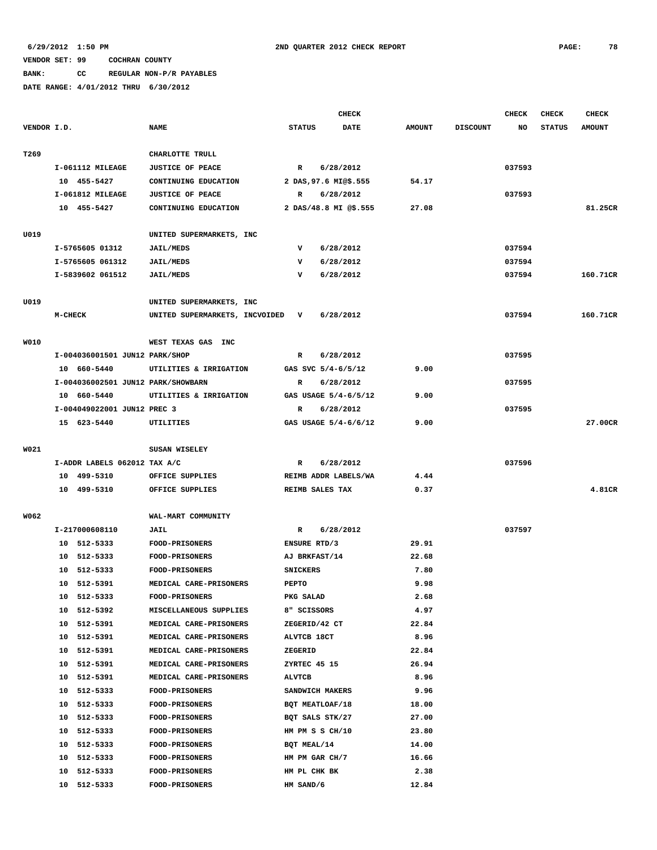# **BANK: CC REGULAR NON-P/R PAYABLES**

|             |                |                                    |                                  |                 | <b>CHECK</b>          |               |                 | <b>CHECK</b> | <b>CHECK</b>  | <b>CHECK</b>  |
|-------------|----------------|------------------------------------|----------------------------------|-----------------|-----------------------|---------------|-----------------|--------------|---------------|---------------|
| VENDOR I.D. |                |                                    | <b>NAME</b>                      | <b>STATUS</b>   | DATE                  | <b>AMOUNT</b> | <b>DISCOUNT</b> | NO           | <b>STATUS</b> | <b>AMOUNT</b> |
|             |                |                                    |                                  |                 |                       |               |                 |              |               |               |
| T269        |                |                                    | CHARLOTTE TRULL                  |                 |                       |               |                 |              |               |               |
|             |                | I-061112 MILEAGE                   | <b>JUSTICE OF PEACE</b>          | $\mathbb{R}$    | 6/28/2012             |               |                 | 037593       |               |               |
|             |                | 10 455-5427                        | CONTINUING EDUCATION             |                 | 2 DAS, 97.6 MI@\$.555 | 54.17         |                 |              |               |               |
|             |                | I-061812 MILEAGE                   | <b>JUSTICE OF PEACE</b>          | R               | 6/28/2012             |               |                 | 037593       |               |               |
|             |                | 10 455-5427                        | CONTINUING EDUCATION             |                 | 2 DAS/48.8 MI @\$.555 | 27.08         |                 |              |               | 81.25CR       |
|             |                |                                    |                                  |                 |                       |               |                 |              |               |               |
| U019        |                |                                    | UNITED SUPERMARKETS, INC         |                 |                       |               |                 |              |               |               |
|             |                | I-5765605 01312                    | <b>JAIL/MEDS</b>                 | v               | 6/28/2012             |               |                 | 037594       |               |               |
|             |                | I-5765605 061312                   | <b>JAIL/MEDS</b>                 | v               | 6/28/2012             |               |                 | 037594       |               |               |
|             |                | I-5839602 061512                   | <b>JAIL/MEDS</b>                 | v               | 6/28/2012             |               |                 | 037594       |               | 160.71CR      |
|             |                |                                    |                                  |                 |                       |               |                 |              |               |               |
| U019        |                |                                    | UNITED SUPERMARKETS, INC         |                 |                       |               |                 |              |               |               |
|             | <b>M-CHECK</b> |                                    | UNITED SUPERMARKETS, INCVOIDED V |                 | 6/28/2012             |               |                 | 037594       |               | 160.71CR      |
|             |                |                                    |                                  |                 |                       |               |                 |              |               |               |
| W010        |                |                                    | WEST TEXAS GAS INC               |                 |                       |               |                 |              |               |               |
|             |                | I-004036001501 JUN12 PARK/SHOP     |                                  | R               | 6/28/2012             |               |                 | 037595       |               |               |
|             |                | 10 660-5440                        | UTILITIES & IRRIGATION           |                 | GAS SVC 5/4-6/5/12    | 9.00          |                 |              |               |               |
|             |                | I-004036002501 JUN12 PARK/SHOWBARN |                                  | R               | 6/28/2012             |               |                 | 037595       |               |               |
|             |                | 10 660-5440                        | UTILITIES & IRRIGATION           |                 | GAS USAGE 5/4-6/5/12  | 9.00          |                 |              |               |               |
|             |                | I-004049022001 JUN12 PREC 3        |                                  | R               | 6/28/2012             |               |                 | 037595       |               |               |
|             |                | 15 623-5440                        | UTILITIES                        |                 | GAS USAGE 5/4-6/6/12  | 9.00          |                 |              |               | 27.00CR       |
|             |                |                                    |                                  |                 |                       |               |                 |              |               |               |
| W021        |                |                                    | SUSAN WISELEY                    |                 |                       |               |                 |              |               |               |
|             |                | I-ADDR LABELS 062012 TAX A/C       |                                  | R               | 6/28/2012             |               |                 | 037596       |               |               |
|             |                | 10 499-5310                        | OFFICE SUPPLIES                  |                 | REIMB ADDR LABELS/WA  | 4.44          |                 |              |               |               |
|             |                | 10 499-5310                        | OFFICE SUPPLIES                  |                 | REIMB SALES TAX       | 0.37          |                 |              |               | 4.81CR        |
|             |                |                                    |                                  |                 |                       |               |                 |              |               |               |
| W062        |                |                                    | WAL-MART COMMUNITY               |                 |                       |               |                 |              |               |               |
|             |                | I-217000608110                     | JAIL                             | R               | 6/28/2012             |               |                 | 037597       |               |               |
|             |                | 10 512-5333                        | <b>FOOD-PRISONERS</b>            | ENSURE RTD/3    |                       | 29.91         |                 |              |               |               |
|             |                | 10 512-5333                        | FOOD-PRISONERS                   |                 | AJ BRKFAST/14         | 22.68         |                 |              |               |               |
|             |                | 10 512-5333                        | FOOD-PRISONERS                   | <b>SNICKERS</b> |                       | 7.80          |                 |              |               |               |
|             |                | 10 512-5391                        | MEDICAL CARE-PRISONERS           | PEPTO           |                       | 9.98          |                 |              |               |               |
|             |                | 10 512-5333                        | <b>FOOD-PRISONERS</b>            | PKG SALAD       |                       | 2.68          |                 |              |               |               |
|             |                | 10 512-5392                        | MISCELLANEOUS SUPPLIES           | 8" SCISSORS     |                       | 4.97          |                 |              |               |               |
|             |                | 10 512-5391                        | MEDICAL CARE-PRISONERS           |                 | ZEGERID/42 CT         | 22.84         |                 |              |               |               |
|             |                | 10 512-5391                        | MEDICAL CARE-PRISONERS           | ALVTCB 18CT     |                       | 8.96          |                 |              |               |               |
|             | 10             | 512-5391                           | MEDICAL CARE-PRISONERS           | ZEGERID         |                       | 22.84         |                 |              |               |               |
|             |                | 10 512-5391                        | MEDICAL CARE-PRISONERS           | ZYRTEC 45 15    |                       | 26.94         |                 |              |               |               |
|             |                | 10 512-5391                        | MEDICAL CARE-PRISONERS           | <b>ALVTCB</b>   |                       | 8.96          |                 |              |               |               |
|             |                | 10 512-5333                        | <b>FOOD-PRISONERS</b>            |                 | SANDWICH MAKERS       | 9.96          |                 |              |               |               |
|             |                | 10 512-5333                        | <b>FOOD-PRISONERS</b>            |                 | BQT MEATLOAF/18       | 18.00         |                 |              |               |               |
|             |                | 10 512-5333                        | <b>FOOD-PRISONERS</b>            |                 | BQT SALS STK/27       | 27.00         |                 |              |               |               |
|             | 10             | 512-5333                           | <b>FOOD-PRISONERS</b>            |                 | HM PM S S CH/10       | 23.80         |                 |              |               |               |
|             |                | 10 512-5333                        | <b>FOOD-PRISONERS</b>            | BQT MEAL/14     |                       | 14.00         |                 |              |               |               |
|             |                | 10 512-5333                        | <b>FOOD-PRISONERS</b>            |                 | HM PM GAR CH/7        | 16.66         |                 |              |               |               |
|             | 10             | 512-5333                           | <b>FOOD-PRISONERS</b>            | HM PL CHK BK    |                       | 2.38          |                 |              |               |               |
|             |                | 10 512-5333                        | FOOD-PRISONERS                   | HM SAND/6       |                       | 12.84         |                 |              |               |               |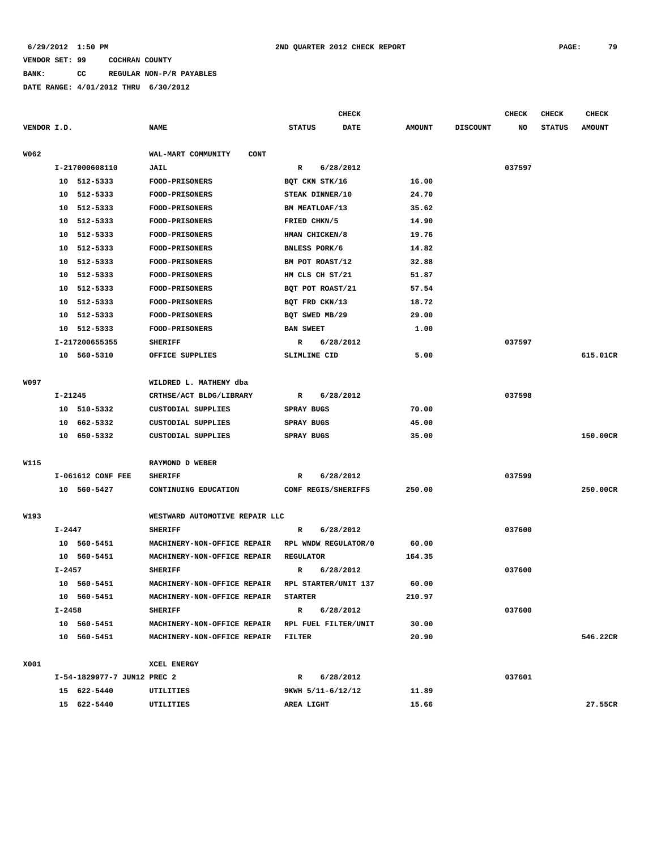**BANK: CC REGULAR NON-P/R PAYABLES**

|             |             |                             |                                    |                   | <b>CHECK</b>         |               |                 | CHECK  | <b>CHECK</b>  | <b>CHECK</b>  |
|-------------|-------------|-----------------------------|------------------------------------|-------------------|----------------------|---------------|-----------------|--------|---------------|---------------|
| VENDOR I.D. |             |                             | <b>NAME</b>                        | <b>STATUS</b>     | DATE                 | <b>AMOUNT</b> | <b>DISCOUNT</b> | NO     | <b>STATUS</b> | <b>AMOUNT</b> |
|             |             |                             |                                    |                   |                      |               |                 |        |               |               |
| W062        |             |                             | WAL-MART COMMUNITY<br>CONT         |                   |                      |               |                 |        |               |               |
|             |             | I-217000608110              | <b>JAIL</b>                        | R                 | 6/28/2012            |               |                 | 037597 |               |               |
|             |             | 10 512-5333                 | <b>FOOD-PRISONERS</b>              |                   | BQT CKN STK/16       | 16.00         |                 |        |               |               |
|             |             | 10 512-5333                 | FOOD-PRISONERS                     |                   | STEAK DINNER/10      | 24.70         |                 |        |               |               |
|             |             | 10 512-5333                 | <b>FOOD-PRISONERS</b>              |                   | BM MEATLOAF/13       | 35.62         |                 |        |               |               |
|             |             | 10 512-5333                 | <b>FOOD-PRISONERS</b>              | FRIED CHKN/5      |                      | 14.90         |                 |        |               |               |
|             |             | 10 512-5333                 | FOOD-PRISONERS                     |                   | HMAN CHICKEN/8       | 19.76         |                 |        |               |               |
|             |             | 10 512-5333                 | <b>FOOD-PRISONERS</b>              |                   | BNLESS PORK/6        | 14.82         |                 |        |               |               |
|             |             | 10 512-5333                 | <b>FOOD-PRISONERS</b>              |                   | BM POT ROAST/12      | 32.88         |                 |        |               |               |
|             | 10          | 512-5333                    | <b>FOOD-PRISONERS</b>              |                   | HM CLS CH ST/21      | 51.87         |                 |        |               |               |
|             | 10          | 512-5333                    | <b>FOOD-PRISONERS</b>              |                   | BQT POT ROAST/21     | 57.54         |                 |        |               |               |
|             | 10          | 512-5333                    | <b>FOOD-PRISONERS</b>              |                   | BQT FRD CKN/13       | 18.72         |                 |        |               |               |
|             | 10          | 512-5333                    | FOOD-PRISONERS                     |                   | BQT SWED MB/29       | 29.00         |                 |        |               |               |
|             |             | 10 512-5333                 | <b>FOOD-PRISONERS</b>              | <b>BAN SWEET</b>  |                      | 1.00          |                 |        |               |               |
|             |             | I-217200655355              | <b>SHERIFF</b>                     | R                 | 6/28/2012            |               |                 | 037597 |               |               |
|             |             | 10 560-5310                 | OFFICE SUPPLIES                    | SLIMLINE CID      |                      | 5.00          |                 |        |               | 615.01CR      |
|             |             |                             |                                    |                   |                      |               |                 |        |               |               |
| W097        |             |                             | WILDRED L. MATHENY dba             |                   |                      |               |                 |        |               |               |
|             | $I - 21245$ |                             | CRTHSE/ACT BLDG/LIBRARY            | R                 | 6/28/2012            |               |                 | 037598 |               |               |
|             |             | 10 510-5332                 | CUSTODIAL SUPPLIES                 | SPRAY BUGS        |                      | 70.00         |                 |        |               |               |
|             |             | 10 662-5332                 | CUSTODIAL SUPPLIES                 | <b>SPRAY BUGS</b> |                      | 45.00         |                 |        |               |               |
|             |             | 10 650-5332                 | CUSTODIAL SUPPLIES                 | SPRAY BUGS        |                      | 35.00         |                 |        |               | 150.00CR      |
|             |             |                             |                                    |                   |                      |               |                 |        |               |               |
| W115        |             |                             | RAYMOND D WEBER                    |                   |                      |               |                 |        |               |               |
|             |             | I-061612 CONF FEE           | <b>SHERIFF</b>                     | R                 | 6/28/2012            |               |                 | 037599 |               |               |
|             |             | 10 560-5427                 | CONTINUING EDUCATION               |                   | CONF REGIS/SHERIFFS  | 250.00        |                 |        |               | 250.00CR      |
|             |             |                             |                                    |                   |                      |               |                 |        |               |               |
| W193        |             |                             | WESTWARD AUTOMOTIVE REPAIR LLC     |                   |                      |               |                 |        |               |               |
|             | I-2447      |                             | <b>SHERIFF</b>                     | R                 | 6/28/2012            |               |                 | 037600 |               |               |
|             |             | 10 560-5451                 | MACHINERY-NON-OFFICE REPAIR        |                   | RPL WNDW REGULATOR/0 | 60.00         |                 |        |               |               |
|             |             | 10 560-5451                 | MACHINERY-NON-OFFICE REPAIR        | REGULATOR         |                      | 164.35        |                 |        |               |               |
|             | $I - 2457$  |                             | <b>SHERIFF</b>                     | R                 | 6/28/2012            |               |                 | 037600 |               |               |
|             |             | 10 560-5451                 | MACHINERY-NON-OFFICE REPAIR        |                   | RPL STARTER/UNIT 137 | 60.00         |                 |        |               |               |
|             |             | 10 560-5451                 | MACHINERY-NON-OFFICE REPAIR        | <b>STARTER</b>    |                      | 210.97        |                 |        |               |               |
|             | I-2458      |                             | <b>SHERIFF</b>                     | $\mathbf{R}$      | 6/28/2012            |               |                 | 037600 |               |               |
|             |             | 10 560-5451                 | MACHINERY-NON-OFFICE REPAIR        |                   | RPL FUEL FILTER/UNIT | 30.00         |                 |        |               |               |
|             |             | 10 560-5451                 | MACHINERY-NON-OFFICE REPAIR FILTER |                   |                      | 20.90         |                 |        |               | 546.22CR      |
|             |             |                             |                                    |                   |                      |               |                 |        |               |               |
| X001        |             |                             | <b>XCEL ENERGY</b>                 |                   |                      |               |                 |        |               |               |
|             |             | I-54-1829977-7 JUN12 PREC 2 |                                    | R                 | 6/28/2012            |               |                 | 037601 |               |               |
|             |             | 15 622-5440                 | UTILITIES                          |                   | 9KWH 5/11-6/12/12    | 11.89         |                 |        |               |               |
|             |             | 15 622-5440                 | UTILITIES                          | AREA LIGHT        |                      | 15.66         |                 |        |               | 27.55CR       |
|             |             |                             |                                    |                   |                      |               |                 |        |               |               |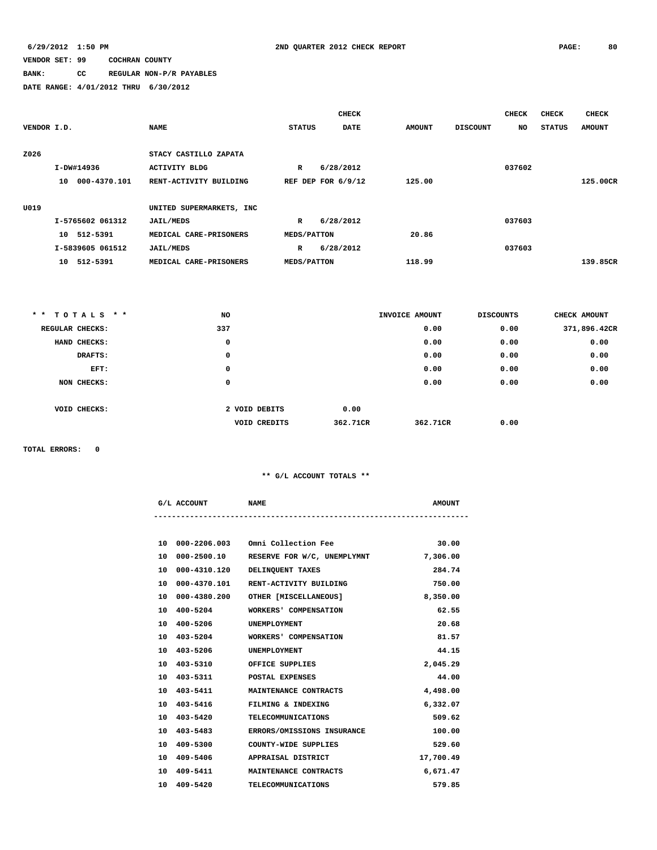# **BANK: CC REGULAR NON-P/R PAYABLES**

**DATE RANGE: 4/01/2012 THRU 6/30/2012**

|             |                    |                          |                    | <b>CHECK</b>         |               |                 | <b>CHECK</b> | <b>CHECK</b>  | <b>CHECK</b>  |
|-------------|--------------------|--------------------------|--------------------|----------------------|---------------|-----------------|--------------|---------------|---------------|
| VENDOR I.D. |                    | <b>NAME</b>              | <b>STATUS</b>      | <b>DATE</b>          | <b>AMOUNT</b> | <b>DISCOUNT</b> | NO.          | <b>STATUS</b> | <b>AMOUNT</b> |
|             |                    |                          |                    |                      |               |                 |              |               |               |
| Z026        |                    | STACY CASTILLO ZAPATA    |                    |                      |               |                 |              |               |               |
|             | I-DW#14936         | <b>ACTIVITY BLDG</b>     | $\mathbb{R}$       | 6/28/2012            |               |                 | 037602       |               |               |
|             | 000-4370.101<br>10 | RENT-ACTIVITY BUILDING   |                    | REF DEP FOR $6/9/12$ | 125.00        |                 |              |               | 125.00CR      |
|             |                    |                          |                    |                      |               |                 |              |               |               |
| U019        |                    | UNITED SUPERMARKETS, INC |                    |                      |               |                 |              |               |               |
|             | I-5765602 061312   | <b>JAIL/MEDS</b>         | $\mathbf{R}$       | 6/28/2012            |               |                 | 037603       |               |               |
|             | 10 512-5391        | MEDICAL CARE-PRISONERS   | <b>MEDS/PATTON</b> |                      | 20.86         |                 |              |               |               |
|             | I-5839605 061512   | <b>JAIL/MEDS</b>         | R                  | 6/28/2012            |               |                 | 037603       |               |               |
|             | 512-5391<br>10     | MEDICAL CARE-PRISONERS   | <b>MEDS/PATTON</b> |                      | 118.99        |                 |              |               | 139.85CR      |

|                 | ** TOTALS ** | <b>NO</b> |                     |          | INVOICE AMOUNT | <b>DISCOUNTS</b> | CHECK AMOUNT |
|-----------------|--------------|-----------|---------------------|----------|----------------|------------------|--------------|
| REGULAR CHECKS: |              | 337       |                     |          | 0.00           | 0.00             | 371,896.42CR |
|                 | HAND CHECKS: | 0         |                     |          | 0.00           | 0.00             | 0.00         |
|                 | DRAFTS:      | 0         |                     |          | 0.00           | 0.00             | 0.00         |
|                 | EFT:         | 0         |                     |          | 0.00           | 0.00             | 0.00         |
|                 | NON CHECKS:  | 0         |                     |          | 0.00           | 0.00             | 0.00         |
|                 |              |           |                     |          |                |                  |              |
|                 | VOID CHECKS: |           | 2 VOID DEBITS       | 0.00     |                |                  |              |
|                 |              |           | <b>VOID CREDITS</b> | 362.71CR | 362.71CR       | 0.00             |              |

**TOTAL ERRORS: 0**

### **\*\* G/L ACCOUNT TOTALS \*\***

|    | G/L ACCOUNT     | <b>NAME</b>                             | <b>AMOUNT</b> |
|----|-----------------|-----------------------------------------|---------------|
|    |                 |                                         |               |
|    |                 | 10 000-2206.003 Omni Collection Fee     | 30.00         |
| 10 |                 | 000-2500.10 RESERVE FOR W/C, UNEMPLYMNT | 7,306.00      |
|    | 10 000-4310.120 | DELINQUENT TAXES                        | 284.74        |
|    | 10 000-4370.101 | RENT-ACTIVITY BUILDING                  | 750.00        |
| 10 |                 | 000-4380.200 OTHER [MISCELLANEOUS]      | 8,350.00      |
|    | 10 400-5204     | WORKERS' COMPENSATION                   | 62.55         |
|    | 10 400-5206     | UNEMPLOYMENT                            | 20.68         |
|    | 10 403-5204     | WORKERS' COMPENSATION                   | 81.57         |
|    | 10 403-5206     | UNEMPLOYMENT                            | 44.15         |
|    | 10 403-5310     | OFFICE SUPPLIES                         | 2,045.29      |
|    | 10 403-5311     | POSTAL EXPENSES                         | 44.00         |
|    | 10 403-5411     | MAINTENANCE CONTRACTS                   | 4,498.00      |
|    | 10 403-5416     | FILMING & INDEXING                      | 6,332.07      |
|    | 10 403-5420     | TELECOMMUNICATIONS                      | 509.62        |

 **10 403-5483 ERRORS/OMISSIONS INSURANCE 100.00**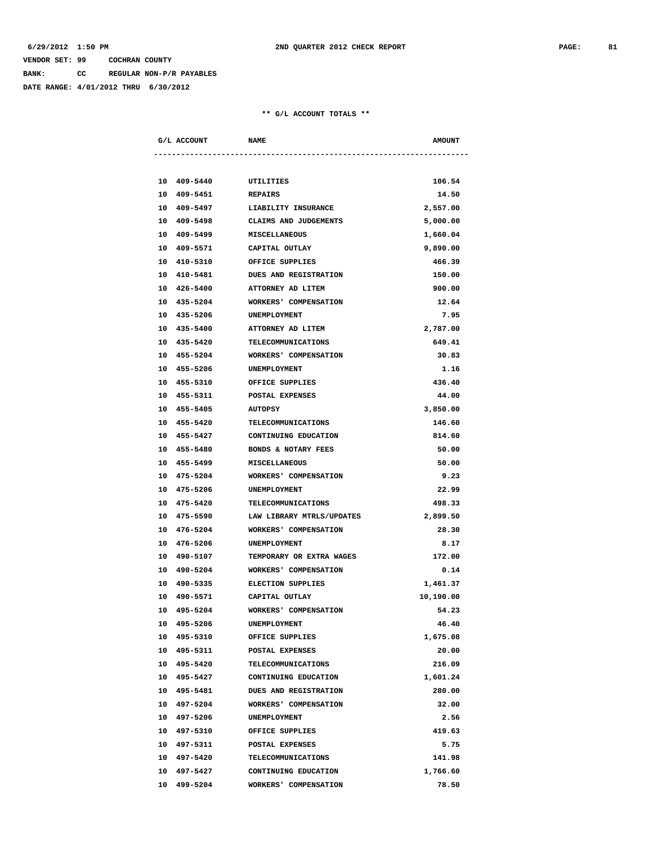**BANK: CC REGULAR NON-P/R PAYABLES**

**DATE RANGE: 4/01/2012 THRU 6/30/2012**

|  | G/L ACCOUNT           | <b>NAME</b>                    | <b>AMOUNT</b> |
|--|-----------------------|--------------------------------|---------------|
|  |                       |                                |               |
|  |                       |                                |               |
|  | 10 409-5440 UTILITIES |                                | 106.54        |
|  | 10 409-5451           | <b>REPAIRS</b>                 | 14.50         |
|  | 10 409-5497           | LIABILITY INSURANCE            | 2,557.00      |
|  | 10 409-5498           | CLAIMS AND JUDGEMENTS          | 5,000.00      |
|  | 10 409-5499           | <b>MISCELLANEOUS</b>           | 1,660.04      |
|  | 10 409-5571           | CAPITAL OUTLAY                 | 9,890.00      |
|  | 10 410-5310           | OFFICE SUPPLIES                | 466.39        |
|  | 10 410-5481           | <b>DUES AND REGISTRATION</b>   | 150.00        |
|  | 10 426-5400           | ATTORNEY AD LITEM              | 900.00        |
|  | 10 435-5204           | WORKERS' COMPENSATION          | 12.64         |
|  | 10 435-5206           | <b>UNEMPLOYMENT</b>            | 7.95          |
|  | 10 435-5400           | ATTORNEY AD LITEM              | 2,787.00      |
|  | 10 435-5420           | TELECOMMUNICATIONS             | 649.41        |
|  | 10 455-5204           | WORKERS' COMPENSATION          | 30.83         |
|  | 10 455-5206           | <b>UNEMPLOYMENT</b>            | 1.16          |
|  | 10 455-5310           | OFFICE SUPPLIES                | 436.40        |
|  | 10 455-5311           | POSTAL EXPENSES                | 44.00         |
|  | 10 455-5405           | <b>AUTOPSY</b>                 | 3,850.00      |
|  | 10 455-5420           | TELECOMMUNICATIONS             | 146.60        |
|  | 10 455-5427           | CONTINUING EDUCATION           | 814.60        |
|  | 10 455-5480           | <b>BONDS &amp; NOTARY FEES</b> | 50.00         |
|  | 10 455-5499           | <b>MISCELLANEOUS</b>           | 50.00         |
|  | 10 475-5204           | WORKERS' COMPENSATION          | 9.23          |
|  | 10 475-5206           | <b>UNEMPLOYMENT</b>            | 22.99         |
|  | 10 475-5420           | <b>TELECOMMUNICATIONS</b>      | 498.33        |
|  | 10 475-5590           | LAW LIBRARY MTRLS/UPDATES      | 2,899.50      |
|  | 10 476-5204           | WORKERS' COMPENSATION          | 28.30         |
|  | 10 476-5206           | UNEMPLOYMENT                   | 8.17          |
|  | 10 490-5107           | TEMPORARY OR EXTRA WAGES       | 172.00        |
|  | 10 490-5204           | WORKERS' COMPENSATION          | 0.14          |
|  | 10 490-5335           | <b>ELECTION SUPPLIES</b>       | 1,461.37      |
|  | 10 490-5571           | CAPITAL OUTLAY                 | 10,190.00     |
|  | 10 495-5204           | WORKERS' COMPENSATION          | 54.23         |
|  | 10 495-5206           | UNEMPLOYMENT                   | 46.40         |
|  | 10 495-5310           | OFFICE SUPPLIES                | 1,675.08      |
|  | 10 495-5311           |                                |               |
|  | 10 495-5420           | POSTAL EXPENSES                | 20.00         |
|  |                       | <b>TELECOMMUNICATIONS</b>      | 216.09        |
|  | 10 495-5427           | CONTINUING EDUCATION           | 1,601.24      |
|  | 10 495-5481           | DUES AND REGISTRATION          | 280.00        |
|  | 10 497-5204           | WORKERS' COMPENSATION          | 32.00         |
|  | 10 497-5206           | UNEMPLOYMENT                   | 2.56          |
|  | 10 497-5310           | OFFICE SUPPLIES                | 419.63        |
|  | 10 497-5311           | POSTAL EXPENSES                | 5.75          |
|  | 10 497-5420           | <b>TELECOMMUNICATIONS</b>      | 141.98        |
|  | 10 497-5427           | CONTINUING EDUCATION           | 1,766.60      |
|  | 10 499-5204           | WORKERS' COMPENSATION          | 78.50         |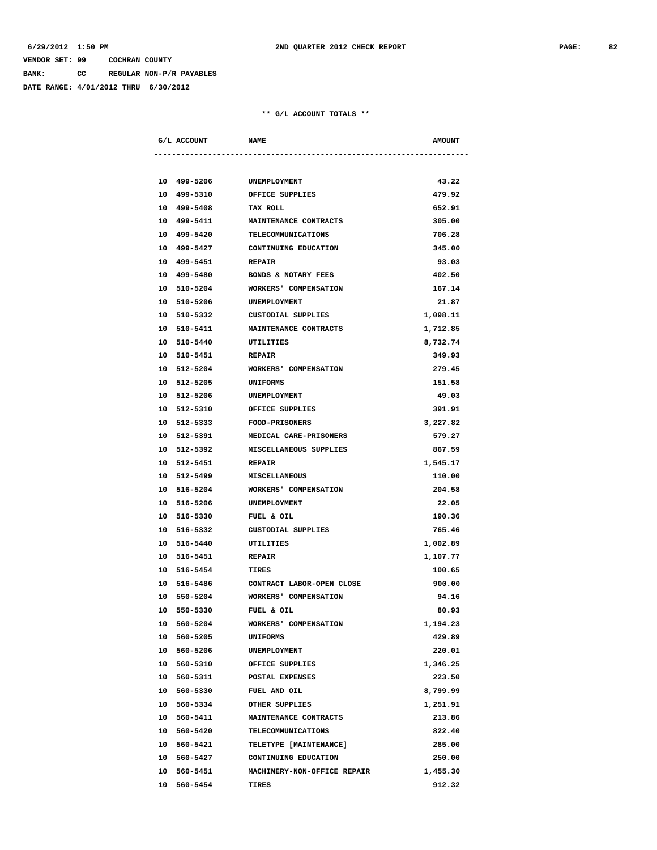**BANK: CC REGULAR NON-P/R PAYABLES**

**DATE RANGE: 4/01/2012 THRU 6/30/2012**

|    | G/L ACCOUNT | <b>NAME</b>                     | <b>AMOUNT</b> |
|----|-------------|---------------------------------|---------------|
|    |             |                                 |               |
|    | 10 499-5206 |                                 | 43.22         |
|    | 10 499-5310 | UNEMPLOYMENT<br>OFFICE SUPPLIES | 479.92        |
|    | 10 499-5408 | <b>TAX ROLL</b>                 | 652.91        |
|    | 10 499-5411 | <b>MAINTENANCE CONTRACTS</b>    | 305.00        |
|    | 10 499-5420 |                                 | 706.28        |
|    |             | <b>TELECOMMUNICATIONS</b>       |               |
|    | 10 499-5427 | CONTINUING EDUCATION            | 345.00        |
|    | 10 499-5451 | <b>REPAIR</b>                   | 93.03         |
|    | 10 499-5480 | BONDS & NOTARY FEES             | 402.50        |
|    | 10 510-5204 | WORKERS' COMPENSATION           | 167.14        |
|    | 10 510-5206 | UNEMPLOYMENT                    | 21.87         |
|    | 10 510-5332 | CUSTODIAL SUPPLIES              | 1,098.11      |
|    | 10 510-5411 | <b>MAINTENANCE CONTRACTS</b>    | 1,712.85      |
|    | 10 510-5440 | UTILITIES                       | 8,732.74      |
|    | 10 510-5451 | <b>REPAIR</b>                   | 349.93        |
|    | 10 512-5204 | WORKERS' COMPENSATION           | 279.45        |
|    | 10 512-5205 | <b>UNIFORMS</b>                 | 151.58        |
|    | 10 512-5206 | UNEMPLOYMENT                    | 49.03         |
|    | 10 512-5310 | OFFICE SUPPLIES                 | 391.91        |
|    | 10 512-5333 | <b>FOOD-PRISONERS</b>           | 3,227.82      |
|    | 10 512-5391 | MEDICAL CARE-PRISONERS          | 579.27        |
|    | 10 512-5392 | MISCELLANEOUS SUPPLIES          | 867.59        |
|    | 10 512-5451 | <b>REPAIR</b>                   | 1,545.17      |
|    | 10 512-5499 | <b>MISCELLANEOUS</b>            | 110.00        |
|    | 10 516-5204 | WORKERS' COMPENSATION           | 204.58        |
|    | 10 516-5206 | UNEMPLOYMENT                    | 22.05         |
|    | 10 516-5330 | FUEL & OIL                      | 190.36        |
|    | 10 516-5332 | CUSTODIAL SUPPLIES              | 765.46        |
|    | 10 516-5440 | UTILITIES                       | 1,002.89      |
|    | 10 516-5451 | <b>REPAIR</b>                   | 1,107.77      |
|    | 10 516-5454 | <b>TIRES</b>                    | 100.65        |
|    | 10 516-5486 | CONTRACT LABOR-OPEN CLOSE       | 900.00        |
|    | 10 550-5204 | WORKERS' COMPENSATION           | 94.16         |
|    | 10 550-5330 | FUEL & OIL                      | 80.93         |
|    | 10 560-5204 | WORKERS' COMPENSATION           | 1,194.23      |
|    | 10 560-5205 | <b>UNIFORMS</b>                 | 429.89        |
|    | 10 560-5206 | UNEMPLOYMENT                    | 220.01        |
| 10 | 560-5310    | OFFICE SUPPLIES                 | 1,346.25      |
|    | 10 560-5311 | POSTAL EXPENSES                 | 223.50        |
| 10 | 560-5330    | FUEL AND OIL                    | 8,799.99      |
|    | 10 560-5334 | OTHER SUPPLIES                  | 1,251.91      |
|    | 10 560-5411 | MAINTENANCE CONTRACTS           | 213.86        |
|    | 10 560-5420 | <b>TELECOMMUNICATIONS</b>       | 822.40        |
|    | 10 560-5421 | TELETYPE [MAINTENANCE]          | 285.00        |
|    | 10 560-5427 | CONTINUING EDUCATION            | 250.00        |
|    | 10 560-5451 | MACHINERY-NON-OFFICE REPAIR     | 1,455.30      |
|    | 10 560-5454 | TIRES                           | 912.32        |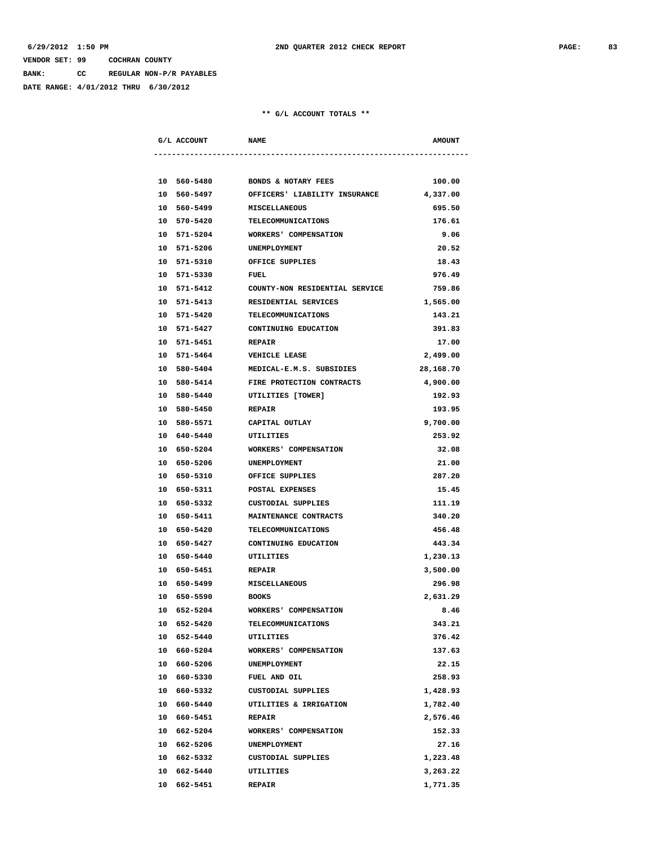**BANK: CC REGULAR NON-P/R PAYABLES**

**DATE RANGE: 4/01/2012 THRU 6/30/2012**

|  | G/L ACCOUNT NAME      |                                            | <b>AMOUNT</b>        |
|--|-----------------------|--------------------------------------------|----------------------|
|  |                       |                                            |                      |
|  | 10 560-5480           | <b>BONDS &amp; NOTARY FEES</b>             | 100.00               |
|  | 10 560-5497           | OFFICERS' LIABILITY INSURANCE              | 4,337.00             |
|  | 10 560-5499           | <b>MISCELLANEOUS</b>                       | 695.50               |
|  | 10 570-5420           | TELECOMMUNICATIONS                         | 176.61               |
|  | 10 571-5204           | <b>WORKERS' COMPENSATION</b>               | 9.06                 |
|  | 10 571-5206           | UNEMPLOYMENT                               | 20.52                |
|  |                       | 10 571-5310 OFFICE SUPPLIES                | 18.43                |
|  | 10 571-5330 FUEL      |                                            | 976.49               |
|  |                       | 10 571-5412 COUNTY-NON RESIDENTIAL SERVICE | 759.86               |
|  |                       | 10 571-5413 RESIDENTIAL SERVICES           | 1,565.00             |
|  | 10 571-5420           | TELECOMMUNICATIONS                         | 143.21               |
|  | 10 571-5427           | CONTINUING EDUCATION                       | 391.83               |
|  | 10 571-5451           | <b>REPAIR</b>                              | 17.00                |
|  | 10 571-5464           | <b>VEHICLE LEASE</b>                       | 2,499.00             |
|  | 10 580-5404           | MEDICAL-E.M.S. SUBSIDIES                   | 28,168.70            |
|  | 10 580-5414           | FIRE PROTECTION CONTRACTS                  | 4,900.00             |
|  | 10 580-5440           | UTILITIES [TOWER]                          | 192.93               |
|  | 10 580-5450           | <b>REPAIR</b>                              | 193.95               |
|  |                       | 10 580-5571 CAPITAL OUTLAY                 | 9,700.00             |
|  | 10 640-5440 UTILITIES |                                            | 253.92               |
|  |                       | 10 650-5204 WORKERS' COMPENSATION          | 32.08                |
|  | 10 650-5206           | UNEMPLOYMENT                               | 21.00                |
|  | 10 650-5310           | OFFICE SUPPLIES                            | 287.20               |
|  | 10 650-5311           | POSTAL EXPENSES                            | 15.45                |
|  | 10 650-5332           | CUSTODIAL SUPPLIES                         | 111.19               |
|  | 10 650-5411           | MAINTENANCE CONTRACTS                      | 340.20               |
|  | 10 650-5420           | <b>TELECOMMUNICATIONS</b>                  | 456.48               |
|  | 10 650-5427           | CONTINUING EDUCATION                       | 443.34               |
|  | 10 650-5440           | UTILITIES                                  | 1,230.13             |
|  | 10 650-5451           | <b>REPAIR</b>                              | 3,500.00             |
|  | 10 650-5499           | <b>MISCELLANEOUS</b>                       | 296.98               |
|  | 10 650-5590 BOOKS     |                                            | 2,631.29             |
|  | 10 652-5204           | WORKERS' COMPENSATION                      | 8.46                 |
|  | 10 652-5420           | TELECOMMUNICATIONS                         | 343.21               |
|  | 10 652-5440           | UTILITIES                                  | 376.42               |
|  | 10 660-5204           | WORKERS' COMPENSATION                      | 137.63               |
|  | 10 660-5206           | UNEMPLOYMENT                               | 22.15                |
|  | 10 660-5330           | FUEL AND OIL                               | 258.93               |
|  | 10 660-5332           | CUSTODIAL SUPPLIES                         | 1,428.93             |
|  | 10 660-5440           | UTILITIES & IRRIGATION                     | 1,782.40             |
|  | 10 660-5451           | <b>REPAIR</b>                              | 2,576.46             |
|  | 10 662-5204           | WORKERS' COMPENSATION                      | 152.33               |
|  | 10 662-5206           | UNEMPLOYMENT                               | 27.16                |
|  | 10 662-5332           | CUSTODIAL SUPPLIES                         | 1,223.48             |
|  | 10 662-5440           | UTILITIES                                  |                      |
|  | 10 662-5451           | <b>REPAIR</b>                              | 3,263.22<br>1,771.35 |
|  |                       |                                            |                      |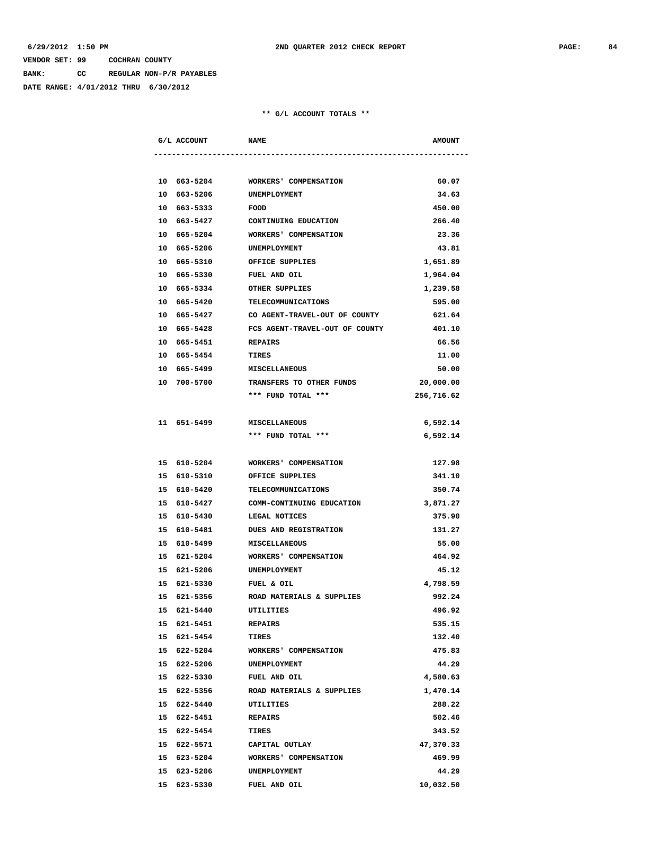**BANK: CC REGULAR NON-P/R PAYABLES**

**DATE RANGE: 4/01/2012 THRU 6/30/2012**

| G/L ACCOUNT |             | <b>NAME</b>                                | <b>AMOUNT</b> |
|-------------|-------------|--------------------------------------------|---------------|
|             |             |                                            |               |
|             |             | 10 663-5204 WORKERS' COMPENSATION          | 60.07         |
|             | 10 663-5206 | UNEMPLOYMENT                               | 34.63         |
| 10 663-5333 |             | <b>FOOD</b>                                | 450.00        |
| 10 663-5427 |             | CONTINUING EDUCATION                       | 266.40        |
| 10 665-5204 |             | WORKERS' COMPENSATION                      | 23.36         |
| 10 665-5206 |             | UNEMPLOYMENT                               | 43.81         |
| 10 665-5310 |             | OFFICE SUPPLIES                            | 1,651.89      |
| 10 665-5330 |             | FUEL AND OIL                               | 1,964.04      |
|             | 10 665-5334 | OTHER SUPPLIES                             | 1,239.58      |
|             | 10 665-5420 | TELECOMMUNICATIONS                         | 595.00        |
|             |             | 10 665-5427 CO AGENT-TRAVEL-OUT OF COUNTY  | 621.64        |
|             |             | 10 665-5428 FCS AGENT-TRAVEL-OUT OF COUNTY | 401.10        |
|             |             | 10 665-5451 REPAIRS                        | 66.56         |
| 10 665-5454 |             | TIRES                                      | 11.00         |
| 10 665-5499 |             | <b>MISCELLANEOUS</b>                       | 50.00         |
| 10 700-5700 |             | TRANSFERS TO OTHER FUNDS                   | 20,000.00     |
|             |             | *** FUND TOTAL ***                         | 256,716.62    |
|             |             |                                            |               |
| 11 651-5499 |             | <b>MISCELLANEOUS</b>                       | 6,592.14      |
|             |             | *** FUND TOTAL ***                         | 6,592.14      |
|             |             |                                            |               |
| 15 610-5204 |             | WORKERS' COMPENSATION                      | 127.98        |
|             |             | 15 610-5310 OFFICE SUPPLIES                | 341.10        |
|             |             | 15 610-5420 TELECOMMUNICATIONS             | 350.74        |
|             |             | 15 610-5427 COMM-CONTINUING EDUCATION      | 3,871.27      |
| 15 610-5430 |             | <b>LEGAL NOTICES</b>                       | 375.90        |
| 15 610-5481 |             | <b>DUES AND REGISTRATION</b>               | 131.27        |
| 15 610-5499 |             | <b>MISCELLANEOUS</b>                       | 55.00         |
| 15 621-5204 |             | WORKERS' COMPENSATION                      | 464.92        |
| 15 621-5206 |             | UNEMPLOYMENT                               | 45.12         |
| 15 621-5330 |             | FUEL & OIL                                 | 4,798.59      |
| 15 621-5356 |             | ROAD MATERIALS & SUPPLIES                  | 992.24        |
| 15 621-5440 |             | UTILITIES                                  | 496.92        |
| 15 621-5451 |             | <b>REPAIRS</b>                             | 535.15        |
| 15 621-5454 |             | <b>TIRES</b>                               | 132.40        |
| 15 622-5204 |             | WORKERS' COMPENSATION                      | 475.83        |
| 15 622-5206 |             | UNEMPLOYMENT                               | 44.29         |
| 15 622-5330 |             | FUEL AND OIL                               | 4,580.63      |
| 15 622-5356 |             | ROAD MATERIALS & SUPPLIES                  | 1,470.14      |
| 15 622-5440 |             | UTILITIES                                  | 288.22        |
| 15 622-5451 |             | REPAIRS                                    | 502.46        |
| 15 622-5454 |             | TIRES                                      | 343.52        |
| 15 622-5571 |             | CAPITAL OUTLAY                             | 47,370.33     |
| 15 623-5204 |             | WORKERS' COMPENSATION                      | 469.99        |
| 15 623-5206 |             | UNEMPLOYMENT                               | 44.29         |
| 15 623-5330 |             | FUEL AND OIL                               | 10,032.50     |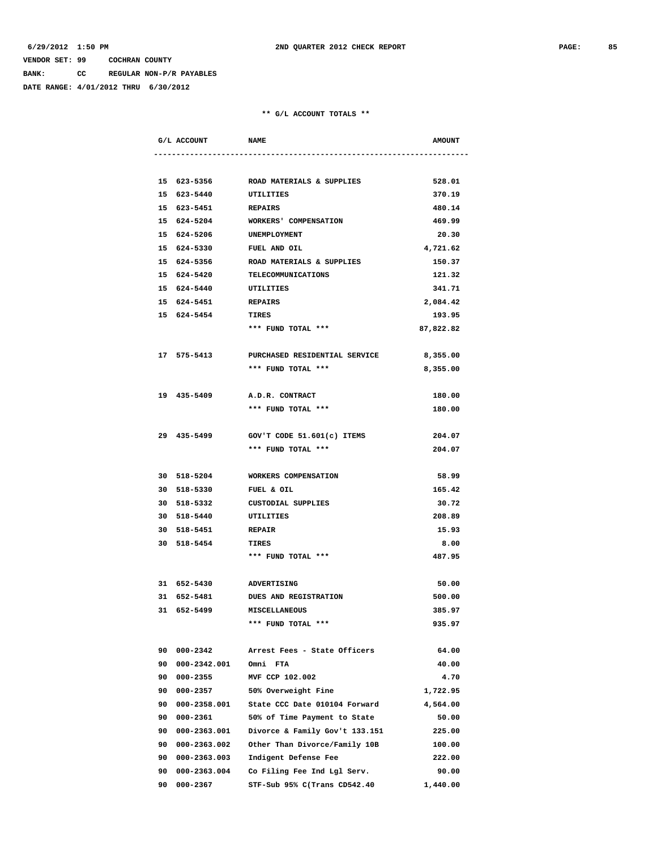**BANK: CC REGULAR NON-P/R PAYABLES**

**DATE RANGE: 4/01/2012 THRU 6/30/2012**

| G/L ACCOUNT           | <b>NAME</b>                                        | <b>AMOUNT</b> |
|-----------------------|----------------------------------------------------|---------------|
|                       |                                                    |               |
|                       | 15 623-5356 ROAD MATERIALS & SUPPLIES              | 528.01        |
| 15 623-5440 UTILITIES |                                                    | 370.19        |
| 15 623-5451           | <b>REPAIRS</b>                                     | 480.14        |
| 15 624-5204           | WORKERS' COMPENSATION                              | 469.99        |
| 15 624-5206           | UNEMPLOYMENT                                       | 20.30         |
| 15 624-5330           | FUEL AND OIL                                       | 4,721.62      |
| 15 624-5356           | ROAD MATERIALS & SUPPLIES                          | 150.37        |
| 15 624-5420           | TELECOMMUNICATIONS                                 | 121.32        |
| 15 624-5440           | UTILITIES                                          | 341.71        |
| 15 624-5451           | <b>REPAIRS</b>                                     | 2,084.42      |
| 15 624-5454           | TIRES                                              | 193.95        |
|                       | *** FUND TOTAL ***                                 | 87,822.82     |
|                       | 17 575-5413 PURCHASED RESIDENTIAL SERVICE 8,355.00 |               |
|                       | *** FUND TOTAL ***                                 | 8,355.00      |
|                       |                                                    |               |
| 19 435-5409           | A.D.R. CONTRACT                                    | 180.00        |
|                       | *** FUND TOTAL ***                                 | 180.00        |
|                       |                                                    |               |
| 29 435-5499           | GOV'T CODE 51.601(c) ITEMS                         | 204.07        |
|                       | *** FUND TOTAL ***                                 | 204.07        |
| 30 518-5204           | WORKERS COMPENSATION                               | 58.99         |
| 30 518-5330           | FUEL & OIL                                         | 165.42        |
| 30 518-5332           | <b>CUSTODIAL SUPPLIES</b>                          | 30.72         |
| 30 518-5440           | UTILITIES                                          | 208.89        |
| 30 518-5451 REPAIR    |                                                    | 15.93         |
| 30 518-5454           | TIRES                                              | 8.00          |
|                       | *** FUND TOTAL ***                                 | 487.95        |
| 31 652-5430           | ADVERTISING                                        | 50.00         |
| 31 652-5481           | <b>DUES AND REGISTRATION</b>                       | 500.00        |
| 31 652-5499           | <b>MISCELLANEOUS</b>                               | 385.97        |
|                       | *** FUND TOTAL ***                                 | 935.97        |
| 90 000-2342           | Arrest Fees - State Officers                       | 64.00         |
| 90 000-2342.001       | Omni FTA                                           | 40.00         |
| 90 000-2355           | MVF CCP 102.002                                    | 4.70          |
| 90 000-2357           | 50% Overweight Fine                                | 1,722.95      |
| 90 000-2358.001       | State CCC Date 010104 Forward                      | 4,564.00      |
| 90 000-2361           | 50% of Time Payment to State                       | 50.00         |
| 90 000-2363.001       | Divorce & Family Gov't 133.151                     | 225.00        |
| 90 000-2363.002       | Other Than Divorce/Family 10B                      | 100.00        |
| 90 000-2363.003       | Indigent Defense Fee                               | 222.00        |
| 90 000-2363.004       | Co Filing Fee Ind Lgl Serv.                        | 90.00         |
| 90 000-2367           | STF-Sub 95% C(Trans CD542.40                       | 1,440.00      |
|                       |                                                    |               |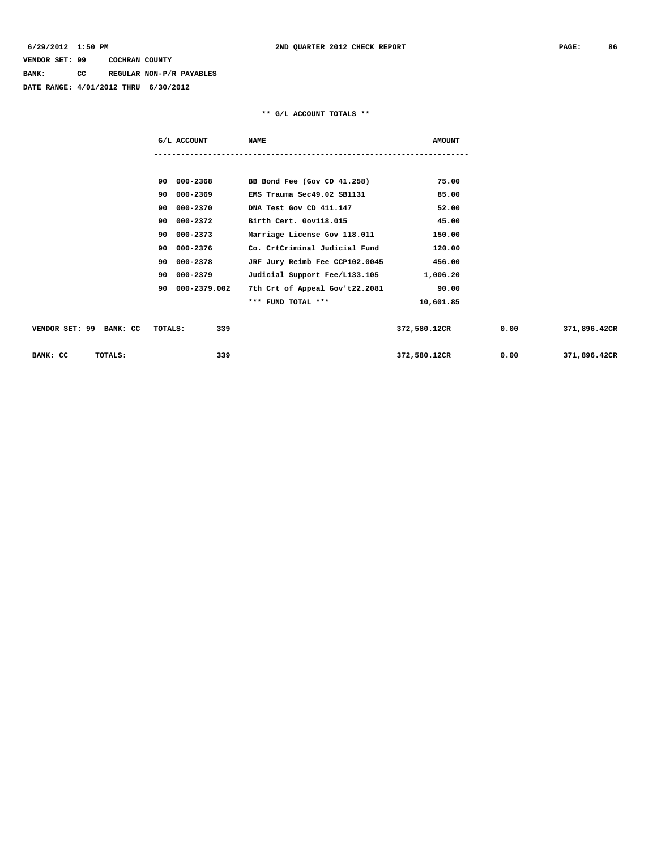**BANK: CC REGULAR NON-P/R PAYABLES**

**DATE RANGE: 4/01/2012 THRU 6/30/2012**

| G/L ACCOUNT                               | <b>NAME</b>                    | <b>AMOUNT</b> |      |              |
|-------------------------------------------|--------------------------------|---------------|------|--------------|
|                                           |                                |               |      |              |
| 90 000-2368                               | BB Bond Fee (Gov CD 41.258)    | 75.00         |      |              |
| 90 000-2369                               | EMS Trauma Sec49.02 SB1131     | 85.00         |      |              |
| 90 000-2370                               | DNA Test Gov CD 411.147        | 52.00         |      |              |
| 90 000-2372                               | Birth Cert. Gov118.015         | 45.00         |      |              |
| 90 000-2373                               | Marriage License Gov 118.011   | 150.00        |      |              |
| 90 000-2376                               | Co. CrtCriminal Judicial Fund  | 120.00        |      |              |
| 90 000-2378                               | JRF Jury Reimb Fee CCP102.0045 | 456.00        |      |              |
| 90 000-2379                               | Judicial Support Fee/L133.105  | 1,006.20      |      |              |
| 90 000-2379.002                           | 7th Crt of Appeal Gov't22.2081 | 90.00         |      |              |
|                                           | *** FUND TOTAL ***             | 10,601.85     |      |              |
|                                           |                                |               |      |              |
| VENDOR SET: 99 BANK: CC<br><b>TOTALS:</b> | 339                            | 372,580.12CR  | 0.00 | 371,896.42CR |
| BANK: CC<br>TOTALS:                       | 339                            | 372,580.12CR  | 0.00 | 371,896.42CR |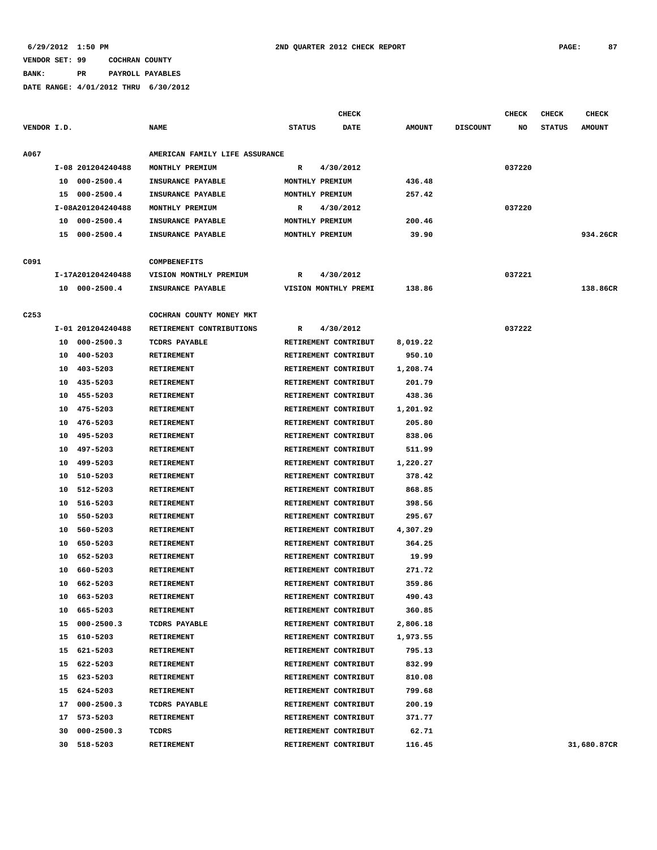**BANK: PR PAYROLL PAYABLES**

|             |    |                   |                                |               | CHECK                |               |                 | <b>CHECK</b> | <b>CHECK</b>  | CHECK         |
|-------------|----|-------------------|--------------------------------|---------------|----------------------|---------------|-----------------|--------------|---------------|---------------|
| VENDOR I.D. |    |                   | <b>NAME</b>                    | <b>STATUS</b> | <b>DATE</b>          | <b>AMOUNT</b> | <b>DISCOUNT</b> | NO           | <b>STATUS</b> | <b>AMOUNT</b> |
| A067        |    |                   | AMERICAN FAMILY LIFE ASSURANCE |               |                      |               |                 |              |               |               |
|             |    | I-08 201204240488 | MONTHLY PREMIUM                | R             | 4/30/2012            |               |                 | 037220       |               |               |
|             | 10 | $000 - 2500.4$    | INSURANCE PAYABLE              |               | MONTHLY PREMIUM      | 436.48        |                 |              |               |               |
|             | 15 | $000 - 2500.4$    | INSURANCE PAYABLE              |               | MONTHLY PREMIUM      | 257.42        |                 |              |               |               |
|             |    | I-08A201204240488 | MONTHLY PREMIUM                | R             | 4/30/2012            |               |                 | 037220       |               |               |
|             | 10 | $000 - 2500.4$    | INSURANCE PAYABLE              |               | MONTHLY PREMIUM      | 200.46        |                 |              |               |               |
|             | 15 | 000-2500.4        | INSURANCE PAYABLE              |               | MONTHLY PREMIUM      | 39.90         |                 |              |               | 934.26CR      |
| C091        |    |                   | COMPBENEFITS                   |               |                      |               |                 |              |               |               |
|             |    | I-17A201204240488 | VISION MONTHLY PREMIUM         | R             | 4/30/2012            |               |                 | 037221       |               |               |
|             | 10 | 000-2500.4        | INSURANCE PAYABLE              |               | VISION MONTHLY PREMI | 138.86        |                 |              |               | 138.86CR      |
| C253        |    |                   | COCHRAN COUNTY MONEY MKT       |               |                      |               |                 |              |               |               |
|             |    | I-01 201204240488 | RETIREMENT CONTRIBUTIONS       | R             | 4/30/2012            |               |                 | 037222       |               |               |
|             | 10 | $000 - 2500.3$    | <b>TCDRS PAYABLE</b>           |               | RETIREMENT CONTRIBUT | 8,019.22      |                 |              |               |               |
|             | 10 | $400 - 5203$      | <b>RETIREMENT</b>              |               | RETIREMENT CONTRIBUT | 950.10        |                 |              |               |               |
|             | 10 | 403-5203          | <b>RETIREMENT</b>              |               | RETIREMENT CONTRIBUT | 1,208.74      |                 |              |               |               |
|             | 10 | 435-5203          | <b>RETIREMENT</b>              |               | RETIREMENT CONTRIBUT | 201.79        |                 |              |               |               |
|             | 10 | 455-5203          | RETIREMENT                     |               | RETIREMENT CONTRIBUT | 438.36        |                 |              |               |               |
|             | 10 | 475-5203          | <b>RETIREMENT</b>              |               | RETIREMENT CONTRIBUT | 1,201.92      |                 |              |               |               |
|             | 10 | 476-5203          | <b>RETIREMENT</b>              |               | RETIREMENT CONTRIBUT | 205.80        |                 |              |               |               |
|             | 10 | 495-5203          | <b>RETIREMENT</b>              |               | RETIREMENT CONTRIBUT | 838.06        |                 |              |               |               |
|             | 10 | 497-5203          | <b>RETIREMENT</b>              |               | RETIREMENT CONTRIBUT | 511.99        |                 |              |               |               |
|             | 10 | 499-5203          | <b>RETIREMENT</b>              |               | RETIREMENT CONTRIBUT | 1,220.27      |                 |              |               |               |
|             | 10 | 510-5203          | <b>RETIREMENT</b>              |               | RETIREMENT CONTRIBUT | 378.42        |                 |              |               |               |
|             | 10 | 512-5203          | <b>RETIREMENT</b>              |               | RETIREMENT CONTRIBUT | 868.85        |                 |              |               |               |
|             | 10 | 516-5203          | <b>RETIREMENT</b>              |               | RETIREMENT CONTRIBUT | 398.56        |                 |              |               |               |
|             | 10 | 550-5203          | <b>RETIREMENT</b>              |               | RETIREMENT CONTRIBUT | 295.67        |                 |              |               |               |
|             | 10 | 560-5203          | <b>RETIREMENT</b>              |               | RETIREMENT CONTRIBUT | 4,307.29      |                 |              |               |               |
|             | 10 | 650-5203          | <b>RETIREMENT</b>              |               | RETIREMENT CONTRIBUT | 364.25        |                 |              |               |               |
|             | 10 | 652-5203          | <b>RETIREMENT</b>              |               | RETIREMENT CONTRIBUT | 19.99         |                 |              |               |               |
|             | 10 | 660-5203          | <b>RETIREMENT</b>              |               | RETIREMENT CONTRIBUT | 271.72        |                 |              |               |               |
|             | 10 | 662-5203          | <b>RETIREMENT</b>              |               | RETIREMENT CONTRIBUT | 359.86        |                 |              |               |               |
|             | 10 | 663-5203          | <b>RETIREMENT</b>              |               | RETIREMENT CONTRIBUT | 490.43        |                 |              |               |               |
|             | 10 | 665-5203          | RETIREMENT                     |               | RETIREMENT CONTRIBUT | 360.85        |                 |              |               |               |
|             | 15 | $000 - 2500.3$    | TCDRS PAYABLE                  |               | RETIREMENT CONTRIBUT | 2,806.18      |                 |              |               |               |
|             | 15 | 610-5203          | <b>RETIREMENT</b>              |               | RETIREMENT CONTRIBUT | 1,973.55      |                 |              |               |               |
|             | 15 | 621-5203          | <b>RETIREMENT</b>              |               | RETIREMENT CONTRIBUT | 795.13        |                 |              |               |               |
|             |    | 15 622-5203       | RETIREMENT                     |               | RETIREMENT CONTRIBUT | 832.99        |                 |              |               |               |
|             | 15 | 623-5203          | RETIREMENT                     |               | RETIREMENT CONTRIBUT | 810.08        |                 |              |               |               |
|             | 15 | 624-5203          | RETIREMENT                     |               | RETIREMENT CONTRIBUT | 799.68        |                 |              |               |               |
|             | 17 | $000 - 2500.3$    | TCDRS PAYABLE                  |               | RETIREMENT CONTRIBUT | 200.19        |                 |              |               |               |
|             | 17 | 573-5203          | RETIREMENT                     |               | RETIREMENT CONTRIBUT | 371.77        |                 |              |               |               |
|             | 30 | $000 - 2500.3$    | TCDRS                          |               | RETIREMENT CONTRIBUT | 62.71         |                 |              |               |               |
|             | 30 | 518-5203          | RETIREMENT                     |               | RETIREMENT CONTRIBUT | 116.45        |                 |              |               | 31,680.87CR   |
|             |    |                   |                                |               |                      |               |                 |              |               |               |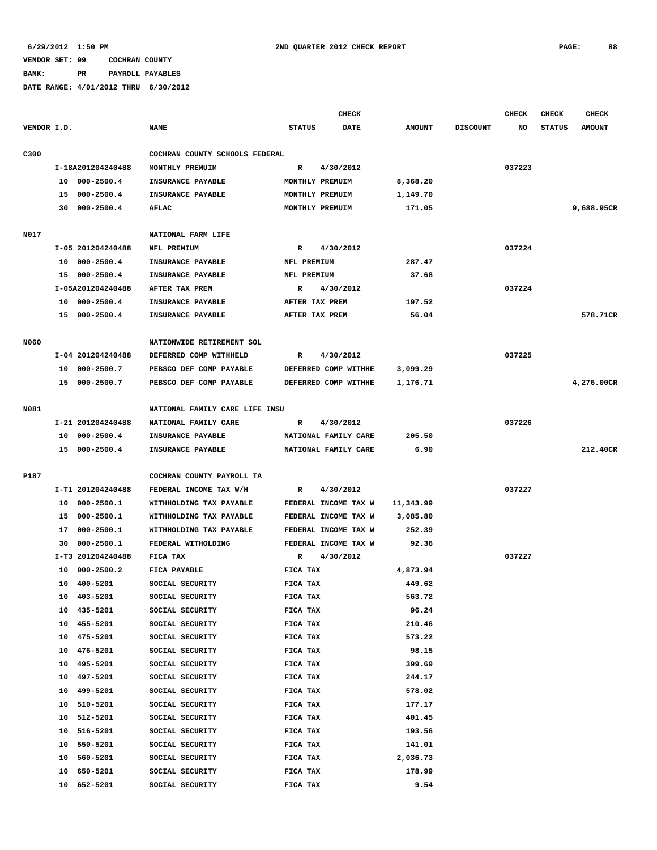**BANK: PR PAYROLL PAYABLES**

|             |                      |                                |                      | <b>CHECK</b>          |                 | <b>CHECK</b> | <b>CHECK</b>  | <b>CHECK</b>  |
|-------------|----------------------|--------------------------------|----------------------|-----------------------|-----------------|--------------|---------------|---------------|
| VENDOR I.D. |                      | <b>NAME</b>                    | <b>STATUS</b>        | DATE<br><b>AMOUNT</b> | <b>DISCOUNT</b> | NO           | <b>STATUS</b> | <b>AMOUNT</b> |
| C300        |                      | COCHRAN COUNTY SCHOOLS FEDERAL |                      |                       |                 |              |               |               |
|             | I-18A201204240488    | MONTHLY PREMUIM                | 4/30/2012<br>R       |                       |                 | 037223       |               |               |
|             | 10 000-2500.4        | INSURANCE PAYABLE              | MONTHLY PREMUIM      | 8,368.20              |                 |              |               |               |
|             | 15 000-2500.4        | INSURANCE PAYABLE              | MONTHLY PREMUIM      | 1,149.70              |                 |              |               |               |
|             | 30 000-2500.4        | AFLAC                          | MONTHLY PREMUIM      | 171.05                |                 |              |               | 9,688.95CR    |
|             |                      |                                |                      |                       |                 |              |               |               |
| N017        |                      | NATIONAL FARM LIFE             |                      |                       |                 |              |               |               |
|             | I-05 201204240488    | NFL PREMIUM                    | 4/30/2012<br>R       |                       |                 | 037224       |               |               |
|             | 10 000-2500.4        | INSURANCE PAYABLE              | NFL PREMIUM          | 287.47                |                 |              |               |               |
|             | 15 000-2500.4        | INSURANCE PAYABLE              | NFL PREMIUM          | 37.68                 |                 |              |               |               |
|             | I-05A201204240488    | AFTER TAX PREM                 | 4/30/2012<br>R       |                       |                 | 037224       |               |               |
|             | 10 000-2500.4        | INSURANCE PAYABLE              | AFTER TAX PREM       | 197.52                |                 |              |               |               |
|             | 15 000-2500.4        | INSURANCE PAYABLE              | AFTER TAX PREM       | 56.04                 |                 |              |               | 578.71CR      |
|             |                      |                                |                      |                       |                 |              |               |               |
| <b>N060</b> |                      | NATIONWIDE RETIREMENT SOL      |                      |                       |                 |              |               |               |
|             | I-04 201204240488    | DEFERRED COMP WITHHELD         | 4/30/2012<br>R       |                       |                 | 037225       |               |               |
|             | 10 000-2500.7        | PEBSCO DEF COMP PAYABLE        | DEFERRED COMP WITHHE | 3,099.29              |                 |              |               |               |
|             | 15 000-2500.7        | PEBSCO DEF COMP PAYABLE        | DEFERRED COMP WITHHE | 1,176.71              |                 |              |               | 4,276.00CR    |
|             |                      |                                |                      |                       |                 |              |               |               |
| N081        |                      | NATIONAL FAMILY CARE LIFE INSU |                      |                       |                 |              |               |               |
|             | I-21 201204240488    | NATIONAL FAMILY CARE           | 4/30/2012<br>R       |                       |                 | 037226       |               |               |
|             | 10 000-2500.4        | INSURANCE PAYABLE              | NATIONAL FAMILY CARE | 205.50                |                 |              |               |               |
|             | 15 000-2500.4        | INSURANCE PAYABLE              | NATIONAL FAMILY CARE | 6.90                  |                 |              |               | 212.40CR      |
|             |                      |                                |                      |                       |                 |              |               |               |
| P187        |                      | COCHRAN COUNTY PAYROLL TA      |                      |                       |                 |              |               |               |
|             | I-T1 201204240488    | FEDERAL INCOME TAX W/H         | 4/30/2012<br>R       |                       |                 | 037227       |               |               |
|             | 000-2500.1<br>10     | WITHHOLDING TAX PAYABLE        | FEDERAL INCOME TAX W | 11,343.99             |                 |              |               |               |
|             | 15 000-2500.1        | WITHHOLDING TAX PAYABLE        | FEDERAL INCOME TAX W | 3,085.80              |                 |              |               |               |
|             | 000-2500.1<br>17     | WITHHOLDING TAX PAYABLE        | FEDERAL INCOME TAX W | 252.39                |                 |              |               |               |
|             | $000 - 2500.1$<br>30 | FEDERAL WITHOLDING             | FEDERAL INCOME TAX W | 92.36                 |                 |              |               |               |
|             | I-T3 201204240488    | FICA TAX                       | 4/30/2012<br>R       |                       |                 | 037227       |               |               |
|             | $000 - 2500.2$<br>10 | FICA PAYABLE                   | FICA TAX             | 4,873.94              |                 |              |               |               |
|             | 10 400-5201          | SOCIAL SECURITY                | FICA TAX             | 449.62                |                 |              |               |               |
|             | 403-5201<br>10       | SOCIAL SECURITY                | FICA TAX             | 563.72                |                 |              |               |               |
|             | 435-5201<br>10       | SOCIAL SECURITY                | FICA TAX             | 96.24                 |                 |              |               |               |
|             | 455-5201<br>10       | SOCIAL SECURITY                | FICA TAX             | 210.46                |                 |              |               |               |
|             | 475-5201<br>10       | SOCIAL SECURITY                | FICA TAX             | 573.22                |                 |              |               |               |
|             | 476-5201<br>10       | SOCIAL SECURITY                | FICA TAX             | 98.15                 |                 |              |               |               |
|             | 10<br>495-5201       | SOCIAL SECURITY                | FICA TAX             | 399.69                |                 |              |               |               |
|             | 497-5201<br>10       | SOCIAL SECURITY                | FICA TAX             | 244.17                |                 |              |               |               |
|             | 499-5201<br>10       | SOCIAL SECURITY                | FICA TAX             | 578.02                |                 |              |               |               |
|             | 10<br>510-5201       | SOCIAL SECURITY                | FICA TAX             | 177.17                |                 |              |               |               |
|             | 512-5201<br>10       | SOCIAL SECURITY                | FICA TAX             | 401.45                |                 |              |               |               |
|             | 516-5201<br>10       | SOCIAL SECURITY                | FICA TAX             | 193.56                |                 |              |               |               |
|             | 10<br>550-5201       | SOCIAL SECURITY                | FICA TAX             | 141.01                |                 |              |               |               |
|             | 10<br>560-5201       | SOCIAL SECURITY                | FICA TAX             | 2,036.73              |                 |              |               |               |
|             | 650-5201<br>10<br>10 | SOCIAL SECURITY                | FICA TAX             | 178.99                |                 |              |               |               |
|             | 652-5201             | SOCIAL SECURITY                | FICA TAX             | 9.54                  |                 |              |               |               |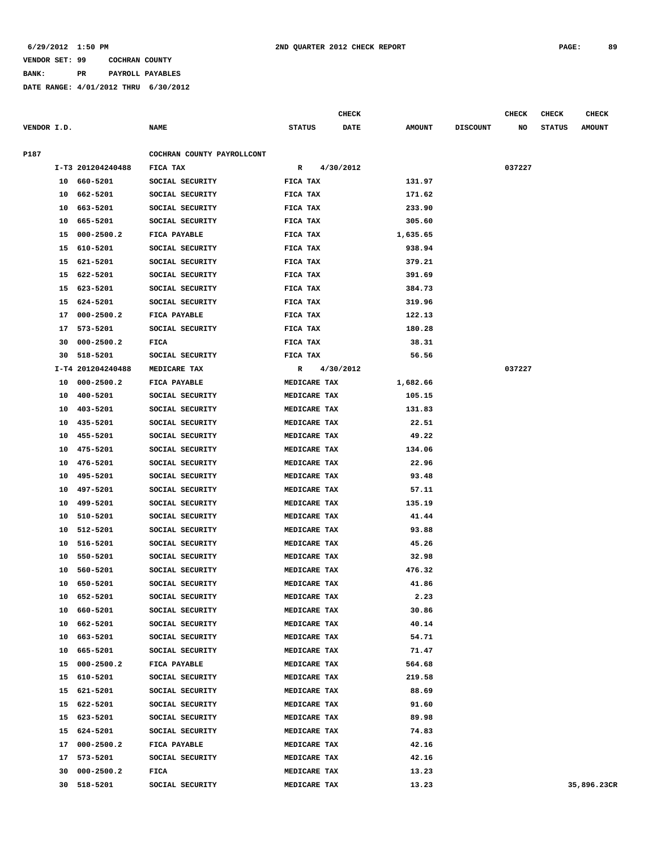**BANK: PR PAYROLL PAYABLES**

|             |    |                         |                                    |                          | CHECK       |                  |                 | <b>CHECK</b> | <b>CHECK</b>  | <b>CHECK</b>  |
|-------------|----|-------------------------|------------------------------------|--------------------------|-------------|------------------|-----------------|--------------|---------------|---------------|
| VENDOR I.D. |    |                         | <b>NAME</b>                        | <b>STATUS</b>            | <b>DATE</b> | <b>AMOUNT</b>    | <b>DISCOUNT</b> | NO           | <b>STATUS</b> | <b>AMOUNT</b> |
|             |    |                         |                                    |                          |             |                  |                 |              |               |               |
| P187        |    |                         | COCHRAN COUNTY PAYROLLCONT         |                          |             |                  |                 |              |               |               |
|             |    | I-T3 201204240488       | FICA TAX                           | $\mathbb{R}$<br>FICA TAX | 4/30/2012   |                  |                 | 037227       |               |               |
|             |    | 10 660-5201             | SOCIAL SECURITY                    |                          |             | 131.97           |                 |              |               |               |
|             |    | 10 662-5201             | SOCIAL SECURITY                    | FICA TAX                 |             | 171.62           |                 |              |               |               |
|             | 10 | 663-5201<br>10 665-5201 | SOCIAL SECURITY<br>SOCIAL SECURITY | FICA TAX<br>FICA TAX     |             | 233.90<br>305.60 |                 |              |               |               |
|             | 15 | 000-2500.2              | FICA PAYABLE                       | FICA TAX                 |             | 1,635.65         |                 |              |               |               |
|             | 15 | 610-5201                | SOCIAL SECURITY                    | FICA TAX                 |             | 938.94           |                 |              |               |               |
|             | 15 | 621–5201                | SOCIAL SECURITY                    | FICA TAX                 |             | 379.21           |                 |              |               |               |
|             | 15 | 622-5201                | SOCIAL SECURITY                    | FICA TAX                 |             | 391.69           |                 |              |               |               |
|             | 15 | 623-5201                | SOCIAL SECURITY                    | FICA TAX                 |             | 384.73           |                 |              |               |               |
|             | 15 | 624-5201                | SOCIAL SECURITY                    | FICA TAX                 |             | 319.96           |                 |              |               |               |
|             |    | 17 000-2500.2           | FICA PAYABLE                       | FICA TAX                 |             | 122.13           |                 |              |               |               |
|             |    |                         |                                    |                          |             |                  |                 |              |               |               |
|             | 17 | 573-5201                | SOCIAL SECURITY                    | FICA TAX                 |             | 180.28           |                 |              |               |               |
|             | 30 | $000 - 2500.2$          | FICA                               | FICA TAX                 |             | 38.31            |                 |              |               |               |
|             | 30 | 518-5201                | SOCIAL SECURITY                    | FICA TAX                 |             | 56.56            |                 |              |               |               |
|             |    | I-T4 201204240488       | MEDICARE TAX                       | R                        | 4/30/2012   |                  |                 | 037227       |               |               |
|             | 10 | $000 - 2500.2$          | FICA PAYABLE                       | MEDICARE TAX             |             | 1,682.66         |                 |              |               |               |
|             | 10 | 400-5201                | SOCIAL SECURITY                    | MEDICARE TAX             |             | 105.15           |                 |              |               |               |
|             | 10 | 403-5201                | SOCIAL SECURITY                    | MEDICARE TAX             |             | 131.83           |                 |              |               |               |
|             | 10 | 435-5201                | SOCIAL SECURITY                    | MEDICARE TAX             |             | 22.51            |                 |              |               |               |
|             | 10 | 455-5201                | SOCIAL SECURITY                    | MEDICARE TAX             |             | 49.22            |                 |              |               |               |
|             | 10 | 475-5201                | SOCIAL SECURITY                    | MEDICARE TAX             |             | 134.06           |                 |              |               |               |
|             | 10 | 476-5201                | SOCIAL SECURITY                    | MEDICARE TAX             |             | 22.96            |                 |              |               |               |
|             | 10 | 495-5201                | SOCIAL SECURITY                    | MEDICARE TAX             |             | 93.48            |                 |              |               |               |
|             | 10 | 497-5201                | SOCIAL SECURITY                    | MEDICARE TAX             |             | 57.11            |                 |              |               |               |
|             | 10 | 499-5201                | SOCIAL SECURITY                    | MEDICARE TAX             |             | 135.19           |                 |              |               |               |
|             | 10 | 510-5201                | SOCIAL SECURITY                    | MEDICARE TAX             |             | 41.44            |                 |              |               |               |
|             | 10 | 512-5201                | SOCIAL SECURITY                    | MEDICARE TAX             |             | 93.88            |                 |              |               |               |
|             | 10 | 516-5201                | SOCIAL SECURITY                    | MEDICARE TAX             |             | 45.26            |                 |              |               |               |
|             | 10 | 550-5201                | SOCIAL SECURITY                    | MEDICARE TAX             |             | 32.98            |                 |              |               |               |
|             | 10 | 560-5201                | SOCIAL SECURITY                    | MEDICARE TAX             |             | 476.32           |                 |              |               |               |
|             |    | 10 650-5201             | SOCIAL SECURITY                    | MEDICARE TAX             |             | 41.86            |                 |              |               |               |
|             |    | 10 652-5201             | SOCIAL SECURITY                    | MEDICARE TAX             |             | 2.23             |                 |              |               |               |
|             |    | 10 660-5201             | SOCIAL SECURITY                    | MEDICARE TAX             |             | 30.86            |                 |              |               |               |
|             |    | 10 662-5201             | SOCIAL SECURITY                    | MEDICARE TAX             |             | 40.14            |                 |              |               |               |
|             |    | 10 663-5201             | SOCIAL SECURITY                    | MEDICARE TAX             |             | 54.71            |                 |              |               |               |
|             |    | 10 665-5201             | SOCIAL SECURITY                    | <b>MEDICARE TAX</b>      |             | 71.47            |                 |              |               |               |
|             |    | 15 000-2500.2           | FICA PAYABLE                       | MEDICARE TAX             |             | 564.68           |                 |              |               |               |
|             |    | 15 610-5201             | SOCIAL SECURITY                    | MEDICARE TAX             |             | 219.58           |                 |              |               |               |
|             |    | 15 621-5201             | SOCIAL SECURITY                    | MEDICARE TAX             |             | 88.69            |                 |              |               |               |
|             |    | 15 622-5201             | SOCIAL SECURITY                    | MEDICARE TAX             |             | 91.60            |                 |              |               |               |
|             |    | 15 623-5201             | SOCIAL SECURITY                    | MEDICARE TAX             |             | 89.98            |                 |              |               |               |
|             |    | 15 624-5201             | SOCIAL SECURITY                    | MEDICARE TAX             |             | 74.83            |                 |              |               |               |
|             |    | 17 000-2500.2           | FICA PAYABLE                       | MEDICARE TAX             |             | 42.16            |                 |              |               |               |
|             |    | 17 573-5201             | SOCIAL SECURITY                    | MEDICARE TAX             |             | 42.16            |                 |              |               |               |
|             |    | 30 000-2500.2           | <b>FICA</b>                        | MEDICARE TAX             |             | 13.23            |                 |              |               |               |
|             |    | 30 518-5201             | SOCIAL SECURITY                    | MEDICARE TAX             |             | 13.23            |                 |              |               | 35,896.23CR   |
|             |    |                         |                                    |                          |             |                  |                 |              |               |               |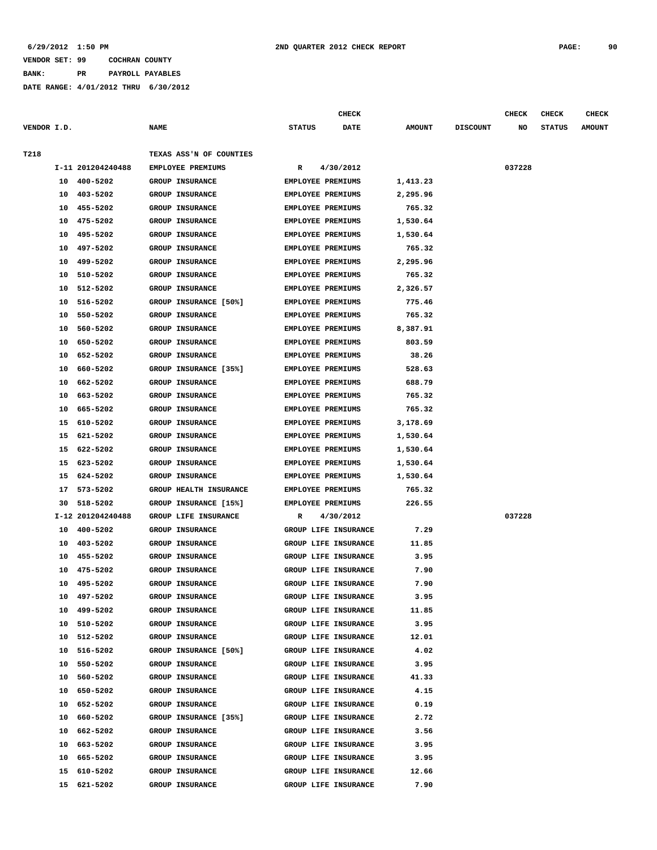**BANK: PR PAYROLL PAYABLES**

|             |          |                   |                          |                          | <b>CHECK</b>         |                    |                 | CHECK  | <b>CHECK</b>  | <b>CHECK</b>  |
|-------------|----------|-------------------|--------------------------|--------------------------|----------------------|--------------------|-----------------|--------|---------------|---------------|
| VENDOR I.D. |          |                   | <b>NAME</b>              | <b>STATUS</b>            | <b>DATE</b>          | <b>AMOUNT</b>      | <b>DISCOUNT</b> | NO     | <b>STATUS</b> | <b>AMOUNT</b> |
| T218        |          |                   | TEXAS ASS'N OF COUNTIES  |                          |                      |                    |                 |        |               |               |
|             |          | I-11 201204240488 | <b>EMPLOYEE PREMIUMS</b> | R                        | 4/30/2012            |                    |                 | 037228 |               |               |
|             |          | 10 400-5202       | <b>GROUP INSURANCE</b>   | EMPLOYEE PREMIUMS        |                      | 1,413.23           |                 |        |               |               |
|             | 10       | 403-5202          | GROUP INSURANCE          | EMPLOYEE PREMIUMS        |                      | 2,295.96           |                 |        |               |               |
|             | 10       | 455-5202          | GROUP INSURANCE          | EMPLOYEE PREMIUMS        |                      |                    |                 |        |               |               |
|             |          | 475-5202          | GROUP INSURANCE          | EMPLOYEE PREMIUMS        |                      | 765.32<br>1,530.64 |                 |        |               |               |
|             | 10<br>10 | 495-5202          | GROUP INSURANCE          | <b>EMPLOYEE PREMIUMS</b> |                      | 1,530.64           |                 |        |               |               |
|             | 10       | 497-5202          | <b>GROUP INSURANCE</b>   | <b>EMPLOYEE PREMIUMS</b> |                      | 765.32             |                 |        |               |               |
|             | 10       | 499-5202          | GROUP INSURANCE          | EMPLOYEE PREMIUMS        |                      | 2,295.96           |                 |        |               |               |
|             | 10       | 510-5202          | <b>GROUP INSURANCE</b>   | EMPLOYEE PREMIUMS        |                      | 765.32             |                 |        |               |               |
|             | 10       | 512-5202          | <b>GROUP INSURANCE</b>   | <b>EMPLOYEE PREMIUMS</b> |                      | 2,326.57           |                 |        |               |               |
|             | 10       | 516-5202          | GROUP INSURANCE [50%]    | EMPLOYEE PREMIUMS        |                      | 775.46             |                 |        |               |               |
|             | 10       | 550-5202          | GROUP INSURANCE          | <b>EMPLOYEE PREMIUMS</b> |                      | 765.32             |                 |        |               |               |
|             | 10       | 560-5202          | <b>GROUP INSURANCE</b>   | <b>EMPLOYEE PREMIUMS</b> |                      | 8,387.91           |                 |        |               |               |
|             | 10       | 650-5202          | GROUP INSURANCE          | EMPLOYEE PREMIUMS        |                      | 803.59             |                 |        |               |               |
|             | 10       | 652-5202          | <b>GROUP INSURANCE</b>   | EMPLOYEE PREMIUMS        |                      | 38.26              |                 |        |               |               |
|             | 10       | 660-5202          | GROUP INSURANCE [35%]    | EMPLOYEE PREMIUMS        |                      | 528.63             |                 |        |               |               |
|             | 10       | 662-5202          | GROUP INSURANCE          | <b>EMPLOYEE PREMIUMS</b> |                      | 688.79             |                 |        |               |               |
|             | 10       | 663-5202          | GROUP INSURANCE          | <b>EMPLOYEE PREMIUMS</b> |                      | 765.32             |                 |        |               |               |
|             | 10       | 665-5202          | <b>GROUP INSURANCE</b>   | <b>EMPLOYEE PREMIUMS</b> |                      | 765.32             |                 |        |               |               |
|             | 15       | 610-5202          | <b>GROUP INSURANCE</b>   | <b>EMPLOYEE PREMIUMS</b> |                      | 3,178.69           |                 |        |               |               |
|             | 15       | 621-5202          | <b>GROUP INSURANCE</b>   | <b>EMPLOYEE PREMIUMS</b> |                      | 1,530.64           |                 |        |               |               |
|             | 15       | 622-5202          | GROUP INSURANCE          | <b>EMPLOYEE PREMIUMS</b> |                      | 1,530.64           |                 |        |               |               |
|             | 15       | 623–5202          | GROUP INSURANCE          | EMPLOYEE PREMIUMS        |                      | 1,530.64           |                 |        |               |               |
|             | 15       | 624-5202          | GROUP INSURANCE          | <b>EMPLOYEE PREMIUMS</b> |                      | 1,530.64           |                 |        |               |               |
|             | 17       | 573-5202          | GROUP HEALTH INSURANCE   | EMPLOYEE PREMIUMS        |                      | 765.32             |                 |        |               |               |
|             | 30       | 518-5202          | GROUP INSURANCE [15%]    | EMPLOYEE PREMIUMS        |                      | 226.55             |                 |        |               |               |
|             |          | I-12 201204240488 | GROUP LIFE INSURANCE     | R                        | 4/30/2012            |                    |                 | 037228 |               |               |
|             |          | 10 400-5202       | GROUP INSURANCE          |                          | GROUP LIFE INSURANCE | 7.29               |                 |        |               |               |
|             | 10       | 403-5202          | GROUP INSURANCE          |                          | GROUP LIFE INSURANCE | 11.85              |                 |        |               |               |
|             | 10       | 455-5202          | GROUP INSURANCE          |                          | GROUP LIFE INSURANCE | 3.95               |                 |        |               |               |
|             | 10       | 475-5202          | <b>GROUP INSURANCE</b>   |                          | GROUP LIFE INSURANCE | 7.90               |                 |        |               |               |
|             | 10       | 495-5202          | GROUP INSURANCE          |                          | GROUP LIFE INSURANCE | 7.90               |                 |        |               |               |
|             |          | 10 497-5202       | GROUP INSURANCE          |                          | GROUP LIFE INSURANCE | 3.95               |                 |        |               |               |
|             |          | 10 499-5202       | GROUP INSURANCE          |                          | GROUP LIFE INSURANCE | 11.85              |                 |        |               |               |
|             | 10       | 510-5202          | GROUP INSURANCE          |                          | GROUP LIFE INSURANCE | 3.95               |                 |        |               |               |
|             | 10       | 512-5202          | GROUP INSURANCE          |                          | GROUP LIFE INSURANCE | 12.01              |                 |        |               |               |
|             | 10       | 516-5202          | GROUP INSURANCE [50%]    |                          | GROUP LIFE INSURANCE | 4.02               |                 |        |               |               |
|             | 10       | 550-5202          | GROUP INSURANCE          |                          | GROUP LIFE INSURANCE | 3.95               |                 |        |               |               |
|             | 10       | 560-5202          | GROUP INSURANCE          |                          | GROUP LIFE INSURANCE | 41.33              |                 |        |               |               |
|             |          | 10 650-5202       | GROUP INSURANCE          |                          | GROUP LIFE INSURANCE | 4.15               |                 |        |               |               |
|             |          | 10 652-5202       | GROUP INSURANCE          |                          | GROUP LIFE INSURANCE | 0.19               |                 |        |               |               |
|             | 10       | 660-5202          | GROUP INSURANCE [35%]    |                          | GROUP LIFE INSURANCE | 2.72               |                 |        |               |               |
|             |          | 10 662-5202       | GROUP INSURANCE          |                          | GROUP LIFE INSURANCE | 3.56               |                 |        |               |               |
|             |          | 10 663-5202       | GROUP INSURANCE          |                          | GROUP LIFE INSURANCE | 3.95               |                 |        |               |               |
|             | 10       | 665–5202          | GROUP INSURANCE          |                          | GROUP LIFE INSURANCE | 3.95               |                 |        |               |               |
|             | 15       | 610-5202          | GROUP INSURANCE          |                          | GROUP LIFE INSURANCE | 12.66              |                 |        |               |               |
|             |          | 15 621-5202       | GROUP INSURANCE          |                          | GROUP LIFE INSURANCE | 7.90               |                 |        |               |               |
|             |          |                   |                          |                          |                      |                    |                 |        |               |               |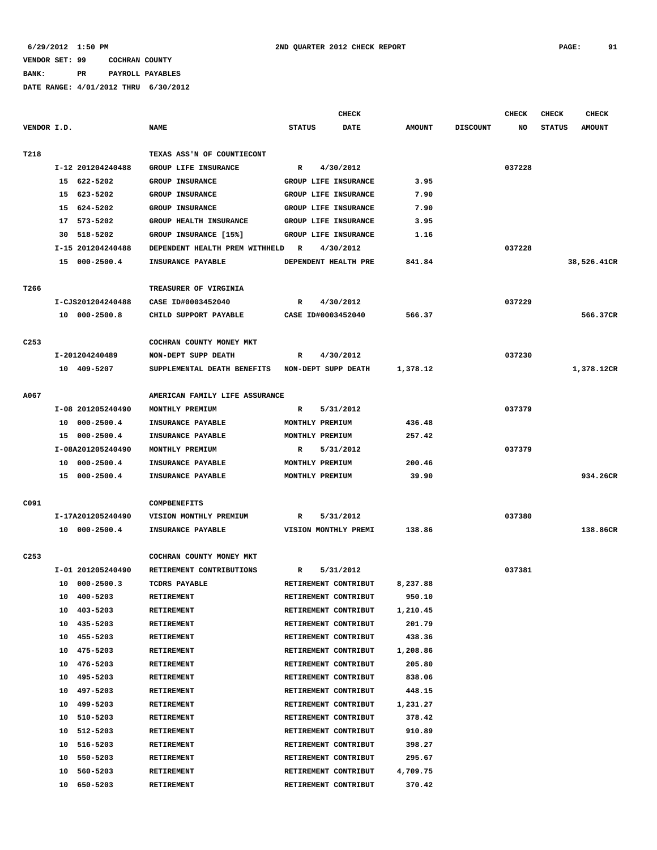**BANK: PR PAYROLL PAYABLES**

|                  |                   |                                | <b>CHECK</b>                 |               |                 | <b>CHECK</b> | <b>CHECK</b>  | CHECK         |
|------------------|-------------------|--------------------------------|------------------------------|---------------|-----------------|--------------|---------------|---------------|
| VENDOR I.D.      |                   | <b>NAME</b>                    | <b>STATUS</b><br><b>DATE</b> | <b>AMOUNT</b> | <b>DISCOUNT</b> | NO           | <b>STATUS</b> | <b>AMOUNT</b> |
| T218             |                   | TEXAS ASS'N OF COUNTIECONT     |                              |               |                 |              |               |               |
|                  | I-12 201204240488 | GROUP LIFE INSURANCE           | 4/30/2012<br>R               |               |                 | 037228       |               |               |
|                  | 15 622-5202       | <b>GROUP INSURANCE</b>         | GROUP LIFE INSURANCE         | 3.95          |                 |              |               |               |
|                  | 15 623-5202       | GROUP INSURANCE                | GROUP LIFE INSURANCE         | 7.90          |                 |              |               |               |
|                  | 15 624-5202       | <b>GROUP INSURANCE</b>         | GROUP LIFE INSURANCE         | 7.90          |                 |              |               |               |
|                  | 17 573-5202       | <b>GROUP HEALTH INSURANCE</b>  | GROUP LIFE INSURANCE         | 3.95          |                 |              |               |               |
|                  | 30 518-5202       | GROUP INSURANCE [15%]          | GROUP LIFE INSURANCE         | 1.16          |                 |              |               |               |
|                  | I-15 201204240488 | DEPENDENT HEALTH PREM WITHHELD | R<br>4/30/2012               |               |                 | 037228       |               |               |
|                  | 15 000-2500.4     | INSURANCE PAYABLE              | DEPENDENT HEALTH PRE         | 841.84        |                 |              |               | 38,526.41CR   |
|                  |                   |                                |                              |               |                 |              |               |               |
| T266             |                   | TREASURER OF VIRGINIA          |                              |               |                 |              |               |               |
|                  | I-CJS201204240488 | CASE ID#0003452040             | 4/30/2012<br>R               |               |                 | 037229       |               |               |
|                  | 10 000-2500.8     | CHILD SUPPORT PAYABLE          | CASE ID#0003452040           | 566.37        |                 |              |               | 566.37CR      |
| C <sub>253</sub> |                   | COCHRAN COUNTY MONEY MKT       |                              |               |                 |              |               |               |
|                  | I-201204240489    | NON-DEPT SUPP DEATH            | 4/30/2012<br>R               |               |                 | 037230       |               |               |
|                  | 10 409-5207       | SUPPLEMENTAL DEATH BENEFITS    | NON-DEPT SUPP DEATH          | 1,378.12      |                 |              |               | 1,378.12CR    |
|                  |                   |                                |                              |               |                 |              |               |               |
| A067             |                   | AMERICAN FAMILY LIFE ASSURANCE |                              |               |                 |              |               |               |
|                  | I-08 201205240490 | MONTHLY PREMIUM                | 5/31/2012<br>R               |               |                 | 037379       |               |               |
|                  | 10 000-2500.4     | INSURANCE PAYABLE              | MONTHLY PREMIUM              | 436.48        |                 |              |               |               |
|                  | 15 000-2500.4     | INSURANCE PAYABLE              | MONTHLY PREMIUM              | 257.42        |                 |              |               |               |
|                  | I-08A201205240490 | MONTHLY PREMIUM                | 5/31/2012<br>R               |               |                 | 037379       |               |               |
|                  | 10 000-2500.4     | INSURANCE PAYABLE              | MONTHLY PREMIUM              | 200.46        |                 |              |               |               |
|                  | 15 000-2500.4     | INSURANCE PAYABLE              | MONTHLY PREMIUM              | 39.90         |                 |              |               | 934.26CR      |
| C091             |                   | <b>COMPBENEFITS</b>            |                              |               |                 |              |               |               |
|                  | I-17A201205240490 | VISION MONTHLY PREMIUM         | 5/31/2012<br>R               |               |                 | 037380       |               |               |
|                  | 10 000-2500.4     | INSURANCE PAYABLE              | VISION MONTHLY PREMI         | 138.86        |                 |              |               | 138.86CR      |
|                  |                   |                                |                              |               |                 |              |               |               |
| C <sub>253</sub> |                   | COCHRAN COUNTY MONEY MKT       |                              |               |                 |              |               |               |
|                  | I-01 201205240490 | RETIREMENT CONTRIBUTIONS       | R<br>5/31/2012               |               |                 | 037381       |               |               |
|                  | 10 000-2500.3     | <b>TCDRS PAYABLE</b>           | RETIREMENT CONTRIBUT         | 8,237.88      |                 |              |               |               |
|                  | 400-5203<br>10    | RETIREMENT                     | RETIREMENT CONTRIBUT         | 950.10        |                 |              |               |               |
|                  | 403-5203<br>10    | <b>RETIREMENT</b>              | RETIREMENT CONTRIBUT         | 1,210.45      |                 |              |               |               |
|                  | 435-5203<br>10    | RETIREMENT                     | RETIREMENT CONTRIBUT         | 201.79        |                 |              |               |               |
|                  | 455-5203<br>10    | RETIREMENT                     | RETIREMENT CONTRIBUT         | 438.36        |                 |              |               |               |
|                  | 475-5203<br>10    | RETIREMENT                     | RETIREMENT CONTRIBUT         | 1,208.86      |                 |              |               |               |
|                  | 476-5203<br>10    | RETIREMENT                     | RETIREMENT CONTRIBUT         | 205.80        |                 |              |               |               |
|                  | 495-5203<br>10    | RETIREMENT                     | RETIREMENT CONTRIBUT         | 838.06        |                 |              |               |               |
|                  | 10<br>497-5203    | <b>RETIREMENT</b>              | RETIREMENT CONTRIBUT         | 448.15        |                 |              |               |               |
|                  | 499-5203<br>10    | <b>RETIREMENT</b>              | RETIREMENT CONTRIBUT         | 1,231.27      |                 |              |               |               |
|                  | 510-5203<br>10    | RETIREMENT                     | RETIREMENT CONTRIBUT         | 378.42        |                 |              |               |               |
|                  | 512-5203<br>10    | RETIREMENT                     | RETIREMENT CONTRIBUT         | 910.89        |                 |              |               |               |
|                  | 516-5203<br>10    | RETIREMENT                     | RETIREMENT CONTRIBUT         | 398.27        |                 |              |               |               |
|                  | 550-5203<br>10    | RETIREMENT                     | RETIREMENT CONTRIBUT         | 295.67        |                 |              |               |               |
|                  | 10<br>560-5203    | RETIREMENT                     | RETIREMENT CONTRIBUT         | 4,709.75      |                 |              |               |               |
|                  | 650-5203<br>10    | <b>RETIREMENT</b>              | RETIREMENT CONTRIBUT         | 370.42        |                 |              |               |               |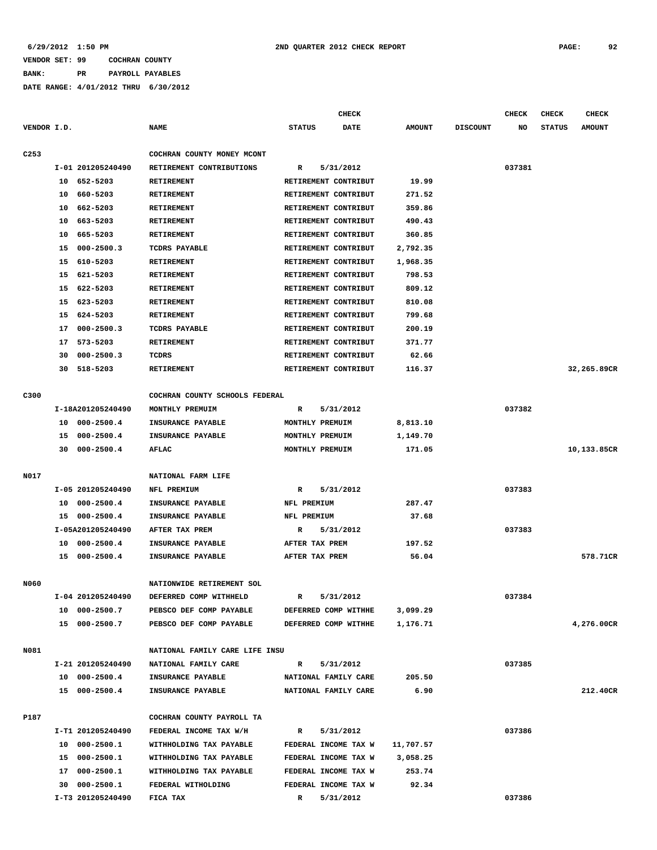# **BANK: PR PAYROLL PAYABLES**

|                  |    |                   |                                                        |                           | <b>CHECK</b> |               |                 | <b>CHECK</b> | <b>CHECK</b>  | <b>CHECK</b>  |
|------------------|----|-------------------|--------------------------------------------------------|---------------------------|--------------|---------------|-----------------|--------------|---------------|---------------|
| VENDOR I.D.      |    |                   | <b>NAME</b>                                            | <b>STATUS</b>             | <b>DATE</b>  | <b>AMOUNT</b> | <b>DISCOUNT</b> | NO           | <b>STATUS</b> | <b>AMOUNT</b> |
| C <sub>253</sub> |    |                   | COCHRAN COUNTY MONEY MCONT                             |                           |              |               |                 |              |               |               |
|                  |    | I-01 201205240490 | RETIREMENT CONTRIBUTIONS                               | R                         | 5/31/2012    |               |                 | 037381       |               |               |
|                  | 10 | 652-5203          | <b>RETIREMENT</b>                                      | RETIREMENT CONTRIBUT      |              | 19.99         |                 |              |               |               |
|                  | 10 | 660-5203          | RETIREMENT                                             | RETIREMENT CONTRIBUT      |              | 271.52        |                 |              |               |               |
|                  | 10 | 662-5203          | RETIREMENT                                             | RETIREMENT CONTRIBUT      |              | 359.86        |                 |              |               |               |
|                  | 10 | 663-5203          | <b>RETIREMENT</b>                                      | RETIREMENT CONTRIBUT      |              | 490.43        |                 |              |               |               |
|                  | 10 | 665-5203          | <b>RETIREMENT</b>                                      | RETIREMENT CONTRIBUT      |              | 360.85        |                 |              |               |               |
|                  | 15 | $000 - 2500.3$    | TCDRS PAYABLE                                          | RETIREMENT CONTRIBUT      |              | 2,792.35      |                 |              |               |               |
|                  | 15 | 610-5203          | <b>RETIREMENT</b>                                      | RETIREMENT CONTRIBUT      |              | 1,968.35      |                 |              |               |               |
|                  | 15 | 621-5203          | RETIREMENT                                             | RETIREMENT CONTRIBUT      |              | 798.53        |                 |              |               |               |
|                  | 15 | 622-5203          | RETIREMENT                                             | RETIREMENT CONTRIBUT      |              | 809.12        |                 |              |               |               |
|                  |    | 15 623-5203       | <b>RETIREMENT</b>                                      | RETIREMENT CONTRIBUT      |              | 810.08        |                 |              |               |               |
|                  | 15 | 624-5203          | RETIREMENT                                             | RETIREMENT CONTRIBUT      |              | 799.68        |                 |              |               |               |
|                  | 17 | $000 - 2500.3$    | TCDRS PAYABLE                                          | RETIREMENT CONTRIBUT      |              | 200.19        |                 |              |               |               |
|                  | 17 | 573-5203          | <b>RETIREMENT</b>                                      | RETIREMENT CONTRIBUT      |              | 371.77        |                 |              |               |               |
|                  | 30 | $000 - 2500.3$    | TCDRS                                                  | RETIREMENT CONTRIBUT      |              | 62.66         |                 |              |               |               |
|                  | 30 | 518-5203          | RETIREMENT                                             | RETIREMENT CONTRIBUT      |              | 116.37        |                 |              |               | 32,265.89CR   |
|                  |    |                   |                                                        |                           |              |               |                 |              |               |               |
| C300             |    |                   | COCHRAN COUNTY SCHOOLS FEDERAL                         |                           |              |               |                 |              |               |               |
|                  |    | I-18A201205240490 | MONTHLY PREMUIM                                        | R                         | 5/31/2012    |               |                 | 037382       |               |               |
|                  | 10 | $000 - 2500.4$    | INSURANCE PAYABLE                                      | MONTHLY PREMUIM           |              | 8,813.10      |                 |              |               |               |
|                  | 15 | $000 - 2500.4$    | INSURANCE PAYABLE                                      | MONTHLY PREMUIM           |              | 1,149.70      |                 |              |               |               |
|                  | 30 | $000 - 2500.4$    | AFLAC                                                  | MONTHLY PREMUIM           |              | 171.05        |                 |              |               | 10,133.85CR   |
| N017             |    |                   | NATIONAL FARM LIFE                                     |                           |              |               |                 |              |               |               |
|                  |    | I-05 201205240490 | NFL PREMIUM                                            | R                         | 5/31/2012    |               |                 | 037383       |               |               |
|                  | 10 | $000 - 2500.4$    | INSURANCE PAYABLE                                      | NFL PREMIUM               |              | 287.47        |                 |              |               |               |
|                  |    | 15 000-2500.4     | INSURANCE PAYABLE                                      | NFL PREMIUM               |              | 37.68         |                 |              |               |               |
|                  |    | I-05A201205240490 | AFTER TAX PREM                                         | R                         | 5/31/2012    |               |                 | 037383       |               |               |
|                  | 10 | $000 - 2500.4$    | INSURANCE PAYABLE                                      | AFTER TAX PREM            |              | 197.52        |                 |              |               |               |
|                  |    | 15 000-2500.4     | INSURANCE PAYABLE                                      | AFTER TAX PREM            |              | 56.04         |                 |              |               | 578.71CR      |
|                  |    |                   |                                                        |                           |              |               |                 |              |               |               |
| <b>N060</b>      |    |                   | NATIONWIDE RETIREMENT SOL                              |                           |              |               |                 |              |               |               |
|                  |    | I-04 201205240490 | DEFERRED COMP WITHHELD                                 | R                         | 5/31/2012    |               |                 | 037384       |               |               |
|                  |    | 10 000-2500.7     | PEBSCO DEF COMP PAYABLE                                | DEFERRED COMP WITHHE      |              | 3,099.29      |                 |              |               |               |
|                  |    | 15 000-2500.7     | PEBSCO DEF COMP PAYABLE                                | DEFERRED COMP WITHHE      |              | 1,176.71      |                 |              |               | 4,276.00CR    |
|                  |    |                   |                                                        |                           |              |               |                 |              |               |               |
| N081             |    | I-21 201205240490 | NATIONAL FAMILY CARE LIFE INSU<br>NATIONAL FAMILY CARE |                           |              |               |                 | 037385       |               |               |
|                  |    | 10 000-2500.4     | <b>INSURANCE PAYABLE</b>                               | R<br>NATIONAL FAMILY CARE | 5/31/2012    | 205.50        |                 |              |               |               |
|                  |    | 15 000-2500.4     | <b>INSURANCE PAYABLE</b>                               |                           |              | 6.90          |                 |              |               | 212.40CR      |
|                  |    |                   |                                                        | NATIONAL FAMILY CARE      |              |               |                 |              |               |               |
| P187             |    |                   | COCHRAN COUNTY PAYROLL TA                              |                           |              |               |                 |              |               |               |
|                  |    | I-T1 201205240490 | FEDERAL INCOME TAX W/H                                 | R                         | 5/31/2012    |               |                 | 037386       |               |               |
|                  |    | 10 000-2500.1     | WITHHOLDING TAX PAYABLE                                | FEDERAL INCOME TAX W      |              | 11,707.57     |                 |              |               |               |
|                  |    | 15 000-2500.1     | WITHHOLDING TAX PAYABLE                                | FEDERAL INCOME TAX W      |              | 3,058.25      |                 |              |               |               |
|                  |    | 17 000-2500.1     | WITHHOLDING TAX PAYABLE                                | FEDERAL INCOME TAX W      |              | 253.74        |                 |              |               |               |
|                  |    | 30 000-2500.1     | FEDERAL WITHOLDING                                     | FEDERAL INCOME TAX W      |              | 92.34         |                 |              |               |               |
|                  |    | I-T3 201205240490 | FICA TAX                                               | R                         | 5/31/2012    |               |                 | 037386       |               |               |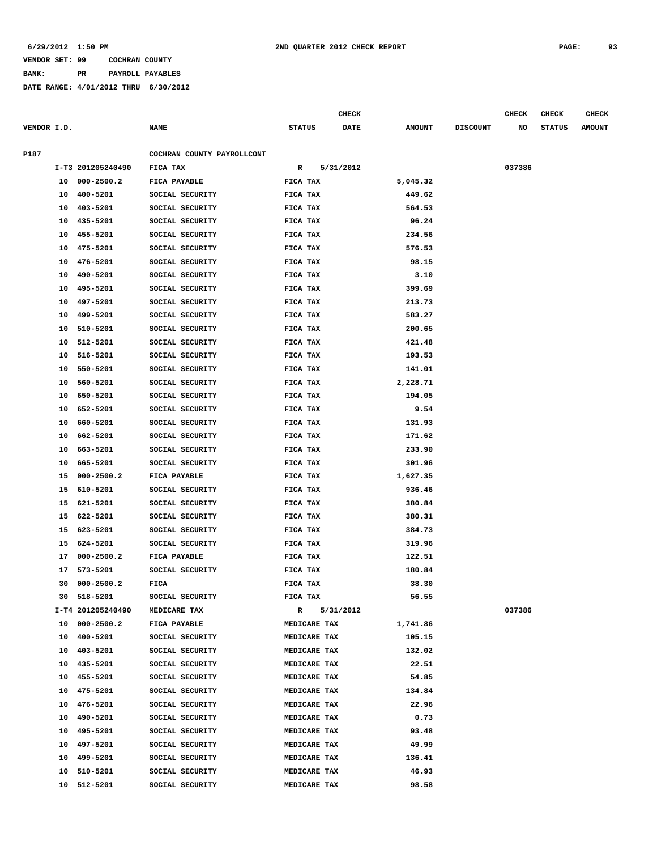**BANK: PR PAYROLL PAYABLES**

|             |    |                   |                            |               |              | <b>CHECK</b> |               |                 | <b>CHECK</b> | <b>CHECK</b>  | <b>CHECK</b>  |
|-------------|----|-------------------|----------------------------|---------------|--------------|--------------|---------------|-----------------|--------------|---------------|---------------|
| VENDOR I.D. |    |                   | <b>NAME</b>                | <b>STATUS</b> |              | DATE         | <b>AMOUNT</b> | <b>DISCOUNT</b> | NO           | <b>STATUS</b> | <b>AMOUNT</b> |
|             |    |                   |                            |               |              |              |               |                 |              |               |               |
| P187        |    |                   | COCHRAN COUNTY PAYROLLCONT |               |              |              |               |                 |              |               |               |
|             |    | I-T3 201205240490 | FICA TAX                   | R             |              | 5/31/2012    |               |                 | 037386       |               |               |
|             |    | 10 000-2500.2     | FICA PAYABLE               | FICA TAX      |              |              | 5,045.32      |                 |              |               |               |
|             | 10 | 400-5201          | SOCIAL SECURITY            | FICA TAX      |              |              | 449.62        |                 |              |               |               |
|             | 10 | 403-5201          | SOCIAL SECURITY            | FICA TAX      |              |              | 564.53        |                 |              |               |               |
|             | 10 | 435-5201          | SOCIAL SECURITY            | FICA TAX      |              |              | 96.24         |                 |              |               |               |
|             | 10 | 455-5201          | SOCIAL SECURITY            | FICA TAX      |              |              | 234.56        |                 |              |               |               |
|             | 10 | 475-5201          | SOCIAL SECURITY            | FICA TAX      |              |              | 576.53        |                 |              |               |               |
|             | 10 | 476-5201          | SOCIAL SECURITY            | FICA TAX      |              |              | 98.15         |                 |              |               |               |
|             | 10 | 490-5201          | SOCIAL SECURITY            | FICA TAX      |              |              | 3.10          |                 |              |               |               |
|             | 10 | 495-5201          | SOCIAL SECURITY            | FICA TAX      |              |              | 399.69        |                 |              |               |               |
|             | 10 | 497-5201          | SOCIAL SECURITY            | FICA TAX      |              |              | 213.73        |                 |              |               |               |
|             | 10 | 499-5201          | SOCIAL SECURITY            | FICA TAX      |              |              | 583.27        |                 |              |               |               |
|             | 10 | 510-5201          | SOCIAL SECURITY            | FICA TAX      |              |              | 200.65        |                 |              |               |               |
|             | 10 | 512-5201          | SOCIAL SECURITY            | FICA TAX      |              |              | 421.48        |                 |              |               |               |
|             | 10 | 516-5201          | SOCIAL SECURITY            | FICA TAX      |              |              | 193.53        |                 |              |               |               |
|             | 10 | 550-5201          | SOCIAL SECURITY            | FICA TAX      |              |              | 141.01        |                 |              |               |               |
|             | 10 | 560-5201          | SOCIAL SECURITY            | FICA TAX      |              |              | 2,228.71      |                 |              |               |               |
|             | 10 | 650-5201          | SOCIAL SECURITY            | FICA TAX      |              |              | 194.05        |                 |              |               |               |
|             | 10 | 652-5201          | SOCIAL SECURITY            | FICA TAX      |              |              | 9.54          |                 |              |               |               |
|             | 10 | 660-5201          | SOCIAL SECURITY            | FICA TAX      |              |              | 131.93        |                 |              |               |               |
|             | 10 | 662-5201          | SOCIAL SECURITY            | FICA TAX      |              |              | 171.62        |                 |              |               |               |
|             | 10 | 663-5201          | SOCIAL SECURITY            | FICA TAX      |              |              | 233.90        |                 |              |               |               |
|             | 10 | 665-5201          | SOCIAL SECURITY            | FICA TAX      |              |              | 301.96        |                 |              |               |               |
|             | 15 | $000 - 2500.2$    | FICA PAYABLE               | FICA TAX      |              |              | 1,627.35      |                 |              |               |               |
|             | 15 | 610-5201          | SOCIAL SECURITY            | FICA TAX      |              |              | 936.46        |                 |              |               |               |
|             |    | 15 621-5201       | SOCIAL SECURITY            | FICA TAX      |              |              | 380.84        |                 |              |               |               |
|             | 15 | 622-5201          | SOCIAL SECURITY            | FICA TAX      |              |              | 380.31        |                 |              |               |               |
|             | 15 | 623-5201          | SOCIAL SECURITY            | FICA TAX      |              |              | 384.73        |                 |              |               |               |
|             | 15 | 624-5201          | SOCIAL SECURITY            | FICA TAX      |              |              | 319.96        |                 |              |               |               |
|             | 17 | $000 - 2500.2$    | FICA PAYABLE               | FICA TAX      |              |              | 122.51        |                 |              |               |               |
|             | 17 | 573-5201          | SOCIAL SECURITY            | FICA TAX      |              |              | 180.84        |                 |              |               |               |
|             | 30 | $000 - 2500.2$    | FICA                       | FICA TAX      |              |              | 38.30         |                 |              |               |               |
|             |    | 30 518-5201       | SOCIAL SECURITY            | FICA TAX      |              |              | 56.55         |                 |              |               |               |
|             |    | I-T4 201205240490 | MEDICARE TAX               | R             |              | 5/31/2012    |               |                 | 037386       |               |               |
|             |    | 10 000-2500.2     | FICA PAYABLE               |               | MEDICARE TAX |              | 1,741.86      |                 |              |               |               |
|             |    | 10 400-5201       | SOCIAL SECURITY            |               | MEDICARE TAX |              | 105.15        |                 |              |               |               |
|             |    | 10 403-5201       | SOCIAL SECURITY            |               | MEDICARE TAX |              | 132.02        |                 |              |               |               |
|             |    | 10 435-5201       | SOCIAL SECURITY            |               | MEDICARE TAX |              | 22.51         |                 |              |               |               |
|             |    | 10 455-5201       | SOCIAL SECURITY            |               | MEDICARE TAX |              | 54.85         |                 |              |               |               |
|             | 10 | 475-5201          | SOCIAL SECURITY            |               | MEDICARE TAX |              | 134.84        |                 |              |               |               |
|             |    | 10 476-5201       | SOCIAL SECURITY            |               | MEDICARE TAX |              | 22.96         |                 |              |               |               |
|             |    | 10 490-5201       | SOCIAL SECURITY            |               | MEDICARE TAX |              | 0.73          |                 |              |               |               |
|             |    | 10 495-5201       | SOCIAL SECURITY            |               | MEDICARE TAX |              | 93.48         |                 |              |               |               |
|             |    | 10 497-5201       | SOCIAL SECURITY            |               | MEDICARE TAX |              | 49.99         |                 |              |               |               |
|             |    | 10 499-5201       | SOCIAL SECURITY            |               | MEDICARE TAX |              | 136.41        |                 |              |               |               |
|             | 10 | 510-5201          | SOCIAL SECURITY            |               | MEDICARE TAX |              | 46.93         |                 |              |               |               |
|             | 10 | 512-5201          | SOCIAL SECURITY            |               | MEDICARE TAX |              | 98.58         |                 |              |               |               |
|             |    |                   |                            |               |              |              |               |                 |              |               |               |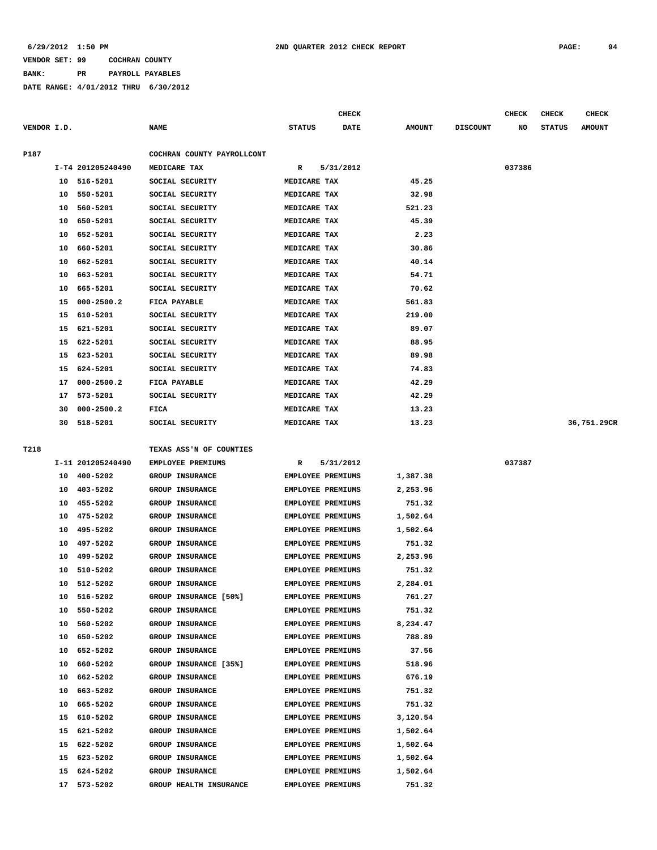# **BANK: PR PAYROLL PAYABLES**

|             |          |                   |                              |                                               | <b>CHECK</b> |               |                 | <b>CHECK</b> | <b>CHECK</b>  | <b>CHECK</b>  |
|-------------|----------|-------------------|------------------------------|-----------------------------------------------|--------------|---------------|-----------------|--------------|---------------|---------------|
| VENDOR I.D. |          |                   | <b>NAME</b>                  | <b>STATUS</b>                                 | DATE         | <b>AMOUNT</b> | <b>DISCOUNT</b> | NO           | <b>STATUS</b> | <b>AMOUNT</b> |
| P187        |          |                   | COCHRAN COUNTY PAYROLLCONT   |                                               |              |               |                 |              |               |               |
|             |          | I-T4 201205240490 | MEDICARE TAX                 | $\mathbb{R}$                                  | 5/31/2012    |               |                 | 037386       |               |               |
|             | 10       | 516-5201          | SOCIAL SECURITY              | MEDICARE TAX                                  |              | 45.25         |                 |              |               |               |
|             | 10       | 550-5201          | SOCIAL SECURITY              | MEDICARE TAX                                  |              | 32.98         |                 |              |               |               |
|             | 10       | 560-5201          | SOCIAL SECURITY              | MEDICARE TAX                                  |              | 521.23        |                 |              |               |               |
|             | 10       | 650-5201          | SOCIAL SECURITY              | MEDICARE TAX                                  |              | 45.39         |                 |              |               |               |
|             | 10       | 652-5201          | SOCIAL SECURITY              | MEDICARE TAX                                  |              | 2.23          |                 |              |               |               |
|             | 10       | 660-5201          | SOCIAL SECURITY              | MEDICARE TAX                                  |              | 30.86         |                 |              |               |               |
|             | 10       | 662-5201          | SOCIAL SECURITY              | MEDICARE TAX                                  |              | 40.14         |                 |              |               |               |
|             | 10       | 663-5201          | SOCIAL SECURITY              | MEDICARE TAX                                  |              | 54.71         |                 |              |               |               |
|             | 10       | 665-5201          | SOCIAL SECURITY              | MEDICARE TAX                                  |              | 70.62         |                 |              |               |               |
|             | 15       | $000 - 2500.2$    | FICA PAYABLE                 | MEDICARE TAX                                  |              | 561.83        |                 |              |               |               |
|             | 15       | 610-5201          | SOCIAL SECURITY              | MEDICARE TAX                                  |              | 219.00        |                 |              |               |               |
|             | 15       | 621-5201          | SOCIAL SECURITY              | MEDICARE TAX                                  |              | 89.07         |                 |              |               |               |
|             | 15       | 622-5201          | SOCIAL SECURITY              | MEDICARE TAX                                  |              | 88.95         |                 |              |               |               |
|             | 15       | 623-5201          | SOCIAL SECURITY              | MEDICARE TAX                                  |              | 89.98         |                 |              |               |               |
|             | 15       | 624-5201          | SOCIAL SECURITY              | MEDICARE TAX                                  |              | 74.83         |                 |              |               |               |
|             | 17       | $000 - 2500.2$    | FICA PAYABLE                 | MEDICARE TAX                                  |              | 42.29         |                 |              |               |               |
|             | 17       | 573-5201          | SOCIAL SECURITY              | MEDICARE TAX                                  |              | 42.29         |                 |              |               |               |
|             | 30       | $000 - 2500.2$    | FICA                         | MEDICARE TAX                                  |              | 13.23         |                 |              |               |               |
|             | 30       | 518-5201          | SOCIAL SECURITY              | MEDICARE TAX                                  |              | 13.23         |                 |              |               | 36,751.29CR   |
|             |          |                   |                              |                                               |              |               |                 |              |               |               |
| T218        |          |                   | TEXAS ASS'N OF COUNTIES      |                                               |              |               |                 |              |               |               |
|             |          | I-11 201205240490 | EMPLOYEE PREMIUMS            | R                                             | 5/31/2012    |               |                 | 037387       |               |               |
|             | 10       | 400-5202          | <b>GROUP INSURANCE</b>       | <b>EMPLOYEE PREMIUMS</b>                      |              | 1,387.38      |                 |              |               |               |
|             | 10       | 403-5202          | GROUP INSURANCE              | EMPLOYEE PREMIUMS                             |              | 2,253.96      |                 |              |               |               |
|             | 10       | 455-5202          | GROUP INSURANCE              | <b>EMPLOYEE PREMIUMS</b>                      |              | 751.32        |                 |              |               |               |
|             | 10       | 475-5202          | <b>GROUP INSURANCE</b>       | <b>EMPLOYEE PREMIUMS</b>                      |              | 1,502.64      |                 |              |               |               |
|             | 10       | 495-5202          | GROUP INSURANCE              | EMPLOYEE PREMIUMS                             |              | 1,502.64      |                 |              |               |               |
|             | 10       | 497-5202          | GROUP INSURANCE              | <b>EMPLOYEE PREMIUMS</b>                      |              | 751.32        |                 |              |               |               |
|             | 10       | 499-5202          | GROUP INSURANCE              | EMPLOYEE PREMIUMS                             |              | 2,253.96      |                 |              |               |               |
|             | 10       | 510-5202          | GROUP INSURANCE              | EMPLOYEE PREMIUMS                             |              | 751.32        |                 |              |               |               |
|             | 10       | 512-5202          | GROUP INSURANCE              | EMPLOYEE PREMIUMS                             |              | 2,284.01      |                 |              |               |               |
|             | 10       | 516-5202          | <b>GROUP INSURANCE [50%]</b> | EMPLOYEE PREMIUMS                             |              | 761.27        |                 |              |               |               |
|             | 10       | 550-5202          | <b>GROUP INSURANCE</b>       | EMPLOYEE PREMIUMS                             |              | 751.32        |                 |              |               |               |
|             | 10       | 560-5202          | <b>GROUP INSURANCE</b>       | EMPLOYEE PREMIUMS                             |              | 8,234.47      |                 |              |               |               |
|             | 10       | 650-5202          | <b>GROUP INSURANCE</b>       | EMPLOYEE PREMIUMS                             |              | 788.89        |                 |              |               |               |
|             | 10       | 652-5202          | GROUP INSURANCE              | EMPLOYEE PREMIUMS                             |              | 37.56         |                 |              |               |               |
|             | 10       | 660-5202          | GROUP INSURANCE [35%]        | EMPLOYEE PREMIUMS                             |              | 518.96        |                 |              |               |               |
|             | 10       | 662-5202          | <b>GROUP INSURANCE</b>       | EMPLOYEE PREMIUMS                             |              | 676.19        |                 |              |               |               |
|             | 10       | 663-5202          | GROUP INSURANCE              | EMPLOYEE PREMIUMS                             |              | 751.32        |                 |              |               |               |
|             |          |                   | <b>GROUP INSURANCE</b>       |                                               |              | 751.32        |                 |              |               |               |
|             | 10<br>15 | 665-5202          | <b>GROUP INSURANCE</b>       | EMPLOYEE PREMIUMS<br><b>EMPLOYEE PREMIUMS</b> |              | 3,120.54      |                 |              |               |               |
|             |          | 610-5202          |                              |                                               |              |               |                 |              |               |               |
|             | 15       | 621-5202          | GROUP INSURANCE              | EMPLOYEE PREMIUMS                             |              | 1,502.64      |                 |              |               |               |
|             | 15       | 622-5202          | <b>GROUP INSURANCE</b>       | EMPLOYEE PREMIUMS                             |              | 1,502.64      |                 |              |               |               |
|             | 15       | 623-5202          | GROUP INSURANCE              | EMPLOYEE PREMIUMS                             |              | 1,502.64      |                 |              |               |               |
|             | 15       | 624-5202          | GROUP INSURANCE              | EMPLOYEE PREMIUMS                             |              | 1,502.64      |                 |              |               |               |
|             | 17       | 573-5202          | GROUP HEALTH INSURANCE       | EMPLOYEE PREMIUMS                             |              | 751.32        |                 |              |               |               |
|             |          |                   |                              |                                               |              |               |                 |              |               |               |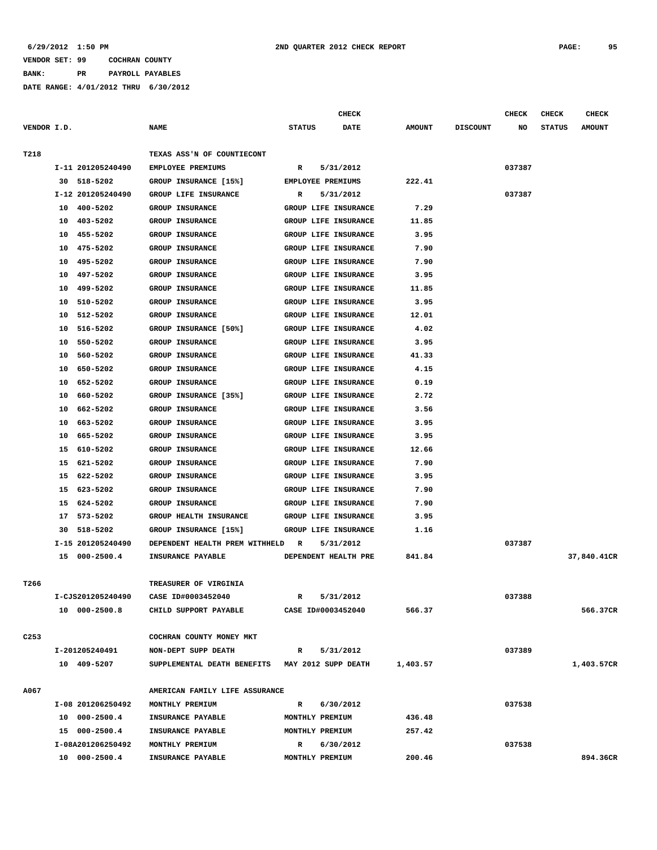**BANK: PR PAYROLL PAYABLES**

|                  |    |                   |                                |                 | <b>CHECK</b>                |               |                 | CHECK  | <b>CHECK</b>  | <b>CHECK</b>  |
|------------------|----|-------------------|--------------------------------|-----------------|-----------------------------|---------------|-----------------|--------|---------------|---------------|
| VENDOR I.D.      |    |                   | <b>NAME</b>                    | <b>STATUS</b>   | <b>DATE</b>                 | <b>AMOUNT</b> | <b>DISCOUNT</b> | NO     | <b>STATUS</b> | <b>AMOUNT</b> |
| T218             |    |                   | TEXAS ASS'N OF COUNTIECONT     |                 |                             |               |                 |        |               |               |
|                  |    | I-11 201205240490 | <b>EMPLOYEE PREMIUMS</b>       | R               | 5/31/2012                   |               |                 | 037387 |               |               |
|                  | 30 | 518-5202          | GROUP INSURANCE [15%]          |                 | <b>EMPLOYEE PREMIUMS</b>    | 222.41        |                 |        |               |               |
|                  |    | I-12 201205240490 | GROUP LIFE INSURANCE           | R               | 5/31/2012                   |               |                 | 037387 |               |               |
|                  | 10 | 400-5202          | <b>GROUP INSURANCE</b>         |                 | GROUP LIFE INSURANCE        | 7.29          |                 |        |               |               |
|                  | 10 | 403-5202          | <b>GROUP INSURANCE</b>         |                 | GROUP LIFE INSURANCE        | 11.85         |                 |        |               |               |
|                  | 10 | 455-5202          | GROUP INSURANCE                |                 | GROUP LIFE INSURANCE        | 3.95          |                 |        |               |               |
|                  | 10 | 475-5202          | <b>GROUP INSURANCE</b>         |                 | GROUP LIFE INSURANCE        | 7.90          |                 |        |               |               |
|                  | 10 | 495-5202          | <b>GROUP INSURANCE</b>         |                 | GROUP LIFE INSURANCE        | 7.90          |                 |        |               |               |
|                  |    |                   |                                |                 |                             |               |                 |        |               |               |
|                  | 10 | 497-5202          | GROUP INSURANCE                |                 | GROUP LIFE INSURANCE        | 3.95          |                 |        |               |               |
|                  | 10 | 499-5202          | <b>GROUP INSURANCE</b>         |                 | GROUP LIFE INSURANCE        | 11.85         |                 |        |               |               |
|                  | 10 | 510-5202          | <b>GROUP INSURANCE</b>         |                 | GROUP LIFE INSURANCE        | 3.95          |                 |        |               |               |
|                  | 10 | 512-5202          | GROUP INSURANCE                |                 | GROUP LIFE INSURANCE        | 12.01         |                 |        |               |               |
|                  | 10 | 516-5202          | GROUP INSURANCE [50%]          |                 | <b>GROUP LIFE INSURANCE</b> | 4.02          |                 |        |               |               |
|                  | 10 | 550-5202          | <b>GROUP INSURANCE</b>         |                 | GROUP LIFE INSURANCE        | 3.95          |                 |        |               |               |
|                  | 10 | 560-5202          | <b>GROUP INSURANCE</b>         |                 | GROUP LIFE INSURANCE        | 41.33         |                 |        |               |               |
|                  | 10 | 650-5202          | <b>GROUP INSURANCE</b>         |                 | GROUP LIFE INSURANCE        | 4.15          |                 |        |               |               |
|                  | 10 | 652-5202          | <b>GROUP INSURANCE</b>         |                 | GROUP LIFE INSURANCE        | 0.19          |                 |        |               |               |
|                  | 10 | 660-5202          | GROUP INSURANCE [35%]          |                 | GROUP LIFE INSURANCE        | 2.72          |                 |        |               |               |
|                  | 10 | 662-5202          | <b>GROUP INSURANCE</b>         |                 | GROUP LIFE INSURANCE        | 3.56          |                 |        |               |               |
|                  | 10 | 663-5202          | <b>GROUP INSURANCE</b>         |                 | GROUP LIFE INSURANCE        | 3.95          |                 |        |               |               |
|                  | 10 | 665-5202          | GROUP INSURANCE                |                 | GROUP LIFE INSURANCE        | 3.95          |                 |        |               |               |
|                  | 15 | 610-5202          | <b>GROUP INSURANCE</b>         |                 | GROUP LIFE INSURANCE        | 12.66         |                 |        |               |               |
|                  | 15 | 621-5202          | <b>GROUP INSURANCE</b>         |                 | GROUP LIFE INSURANCE        | 7.90          |                 |        |               |               |
|                  | 15 | 622-5202          | <b>GROUP INSURANCE</b>         |                 | GROUP LIFE INSURANCE        | 3.95          |                 |        |               |               |
|                  | 15 | 623-5202          | <b>GROUP INSURANCE</b>         |                 | GROUP LIFE INSURANCE        | 7.90          |                 |        |               |               |
|                  | 15 | 624-5202          | <b>GROUP INSURANCE</b>         |                 | GROUP LIFE INSURANCE        | 7.90          |                 |        |               |               |
|                  | 17 | 573-5202          | GROUP HEALTH INSURANCE         |                 | GROUP LIFE INSURANCE        | 3.95          |                 |        |               |               |
|                  | 30 | 518-5202          | GROUP INSURANCE [15%]          |                 | GROUP LIFE INSURANCE        | 1.16          |                 |        |               |               |
|                  |    | I-15 201205240490 | DEPENDENT HEALTH PREM WITHHELD | R               | 5/31/2012                   |               |                 | 037387 |               |               |
|                  |    | 15 000-2500.4     | INSURANCE PAYABLE              |                 | DEPENDENT HEALTH PRE        | 841.84        |                 |        |               | 37,840.41CR   |
|                  |    |                   |                                |                 |                             |               |                 |        |               |               |
| T266             |    |                   | TREASURER OF VIRGINIA          |                 |                             |               |                 |        |               |               |
|                  |    | I-CJS201205240490 | CASE ID#0003452040             | R               | 5/31/2012                   |               |                 | 037388 |               |               |
|                  |    | 10 000-2500.8     | CHILD SUPPORT PAYABLE          |                 | CASE ID#0003452040          | 566.37        |                 |        |               | 566.37CR      |
| C <sub>253</sub> |    |                   | COCHRAN COUNTY MONEY MKT       |                 |                             |               |                 |        |               |               |
|                  |    | I-201205240491    | NON-DEPT SUPP DEATH            | R               | 5/31/2012                   |               |                 | 037389 |               |               |
|                  |    | 10 409-5207       | SUPPLEMENTAL DEATH BENEFITS    |                 | MAY 2012 SUPP DEATH         | 1,403.57      |                 |        |               | 1,403.57CR    |
|                  |    |                   |                                |                 |                             |               |                 |        |               |               |
| A067             |    |                   | AMERICAN FAMILY LIFE ASSURANCE |                 |                             |               |                 |        |               |               |
|                  |    | I-08 201206250492 | MONTHLY PREMIUM                | R               | 6/30/2012                   |               |                 | 037538 |               |               |
|                  |    | 10 000-2500.4     | INSURANCE PAYABLE              | MONTHLY PREMIUM |                             | 436.48        |                 |        |               |               |
|                  |    | 15 000-2500.4     | INSURANCE PAYABLE              | MONTHLY PREMIUM |                             | 257.42        |                 |        |               |               |
|                  |    | I-08A201206250492 | MONTHLY PREMIUM                | $\mathbb{R}$    | 6/30/2012                   |               |                 | 037538 |               |               |
|                  |    | 10 000-2500.4     | INSURANCE PAYABLE              | MONTHLY PREMIUM |                             | 200.46        |                 |        |               | 894.36CR      |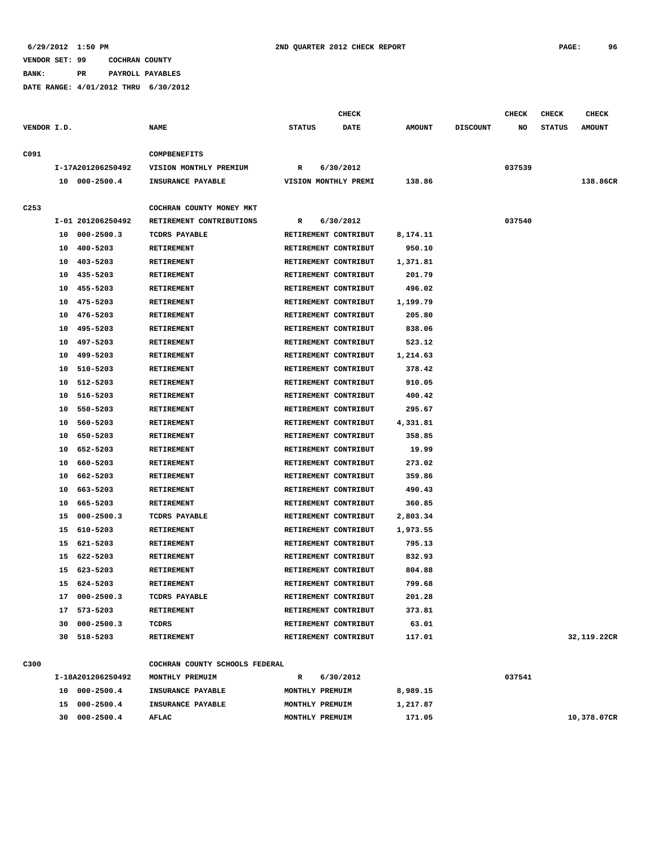**BANK: PR PAYROLL PAYABLES**

**DATE RANGE: 4/01/2012 THRU 6/30/2012**

**CHECK CHECK CHECK CHECK CHECK CHECK CHECK** 

| VENDOR I.D. |    |                   | <b>NAME</b>                    | <b>STATUS</b>   | DATE                 | <b>AMOUNT</b> | <b>DISCOUNT</b> | NO     | <b>STATUS</b> | <b>AMOUNT</b> |
|-------------|----|-------------------|--------------------------------|-----------------|----------------------|---------------|-----------------|--------|---------------|---------------|
| C091        |    |                   | COMPBENEFITS                   |                 |                      |               |                 |        |               |               |
|             |    | I-17A201206250492 | VISION MONTHLY PREMIUM         | R               | 6/30/2012            |               |                 | 037539 |               |               |
|             |    | 10 000-2500.4     | INSURANCE PAYABLE              |                 | VISION MONTHLY PREMI | 138.86        |                 |        |               | 138.86CR      |
| C253        |    |                   | COCHRAN COUNTY MONEY MKT       |                 |                      |               |                 |        |               |               |
|             |    | I-01 201206250492 | RETIREMENT CONTRIBUTIONS       | R               | 6/30/2012            |               |                 | 037540 |               |               |
|             |    | 10 000-2500.3     | <b>TCDRS PAYABLE</b>           |                 | RETIREMENT CONTRIBUT | 8,174.11      |                 |        |               |               |
|             |    | 10 400-5203       | <b>RETIREMENT</b>              |                 | RETIREMENT CONTRIBUT | 950.10        |                 |        |               |               |
|             |    | 10 403-5203       | <b>RETIREMENT</b>              |                 | RETIREMENT CONTRIBUT | 1,371.81      |                 |        |               |               |
|             |    | 10 435-5203       | RETIREMENT                     |                 | RETIREMENT CONTRIBUT | 201.79        |                 |        |               |               |
|             | 10 | 455-5203          | <b>RETIREMENT</b>              |                 | RETIREMENT CONTRIBUT | 496.02        |                 |        |               |               |
|             | 10 | 475-5203          | <b>RETIREMENT</b>              |                 | RETIREMENT CONTRIBUT | 1,199.79      |                 |        |               |               |
|             | 10 | 476-5203          | <b>RETIREMENT</b>              |                 | RETIREMENT CONTRIBUT | 205.80        |                 |        |               |               |
|             | 10 | 495-5203          | <b>RETIREMENT</b>              |                 | RETIREMENT CONTRIBUT | 838.06        |                 |        |               |               |
|             | 10 | 497-5203          | <b>RETIREMENT</b>              |                 | RETIREMENT CONTRIBUT | 523.12        |                 |        |               |               |
|             | 10 | 499-5203          | <b>RETIREMENT</b>              |                 | RETIREMENT CONTRIBUT | 1,214.63      |                 |        |               |               |
|             | 10 | 510-5203          | <b>RETIREMENT</b>              |                 | RETIREMENT CONTRIBUT | 378.42        |                 |        |               |               |
|             | 10 | 512-5203          | <b>RETIREMENT</b>              |                 | RETIREMENT CONTRIBUT | 910.05        |                 |        |               |               |
|             | 10 | 516-5203          | <b>RETIREMENT</b>              |                 | RETIREMENT CONTRIBUT | 400.42        |                 |        |               |               |
|             | 10 | 550-5203          | <b>RETIREMENT</b>              |                 | RETIREMENT CONTRIBUT | 295.67        |                 |        |               |               |
|             | 10 | 560-5203          | <b>RETIREMENT</b>              |                 | RETIREMENT CONTRIBUT | 4,331.81      |                 |        |               |               |
|             | 10 | 650-5203          | RETIREMENT                     |                 | RETIREMENT CONTRIBUT | 358.85        |                 |        |               |               |
|             | 10 | 652-5203          | <b>RETIREMENT</b>              |                 | RETIREMENT CONTRIBUT | 19.99         |                 |        |               |               |
|             | 10 | 660-5203          | <b>RETIREMENT</b>              |                 | RETIREMENT CONTRIBUT | 273.02        |                 |        |               |               |
|             | 10 | 662-5203          | RETIREMENT                     |                 | RETIREMENT CONTRIBUT | 359.86        |                 |        |               |               |
|             | 10 | 663-5203          | <b>RETIREMENT</b>              |                 | RETIREMENT CONTRIBUT | 490.43        |                 |        |               |               |
|             | 10 | 665-5203          | <b>RETIREMENT</b>              |                 | RETIREMENT CONTRIBUT | 360.85        |                 |        |               |               |
|             | 15 | $000 - 2500.3$    | <b>TCDRS PAYABLE</b>           |                 | RETIREMENT CONTRIBUT | 2,803.34      |                 |        |               |               |
|             | 15 | 610-5203          | <b>RETIREMENT</b>              |                 | RETIREMENT CONTRIBUT | 1,973.55      |                 |        |               |               |
|             | 15 | 621-5203          | RETIREMENT                     |                 | RETIREMENT CONTRIBUT | 795.13        |                 |        |               |               |
|             | 15 | 622-5203          | RETIREMENT                     |                 | RETIREMENT CONTRIBUT | 832.93        |                 |        |               |               |
|             | 15 | 623-5203          | <b>RETIREMENT</b>              |                 | RETIREMENT CONTRIBUT | 804.88        |                 |        |               |               |
|             | 15 | 624-5203          | <b>RETIREMENT</b>              |                 | RETIREMENT CONTRIBUT | 799.68        |                 |        |               |               |
|             |    | 17 000-2500.3     | <b>TCDRS PAYABLE</b>           |                 | RETIREMENT CONTRIBUT | 201.28        |                 |        |               |               |
|             |    | 17 573-5203       | <b>RETIREMENT</b>              |                 | RETIREMENT CONTRIBUT | 373.81        |                 |        |               |               |
|             |    | 30 000-2500.3     | TCDRS                          |                 | RETIREMENT CONTRIBUT | 63.01         |                 |        |               |               |
|             |    | 30 518-5203       | RETIREMENT                     |                 | RETIREMENT CONTRIBUT | 117.01        |                 |        |               | 32,119.22CR   |
| C300        |    |                   | COCHRAN COUNTY SCHOOLS FEDERAL |                 |                      |               |                 |        |               |               |
|             |    | I-18A201206250492 | MONTHLY PREMUIM                | R               | 6/30/2012            |               |                 | 037541 |               |               |
|             |    | 10 000-2500.4     | INSURANCE PAYABLE              | MONTHLY PREMUIM |                      | 8,989.15      |                 |        |               |               |

 **30 000-2500.4 AFLAC MONTHLY PREMUIM 171.05 10,378.07CR**

 **15 000-2500.4 INSURANCE PAYABLE MONTHLY PREMUIM 1,217.87**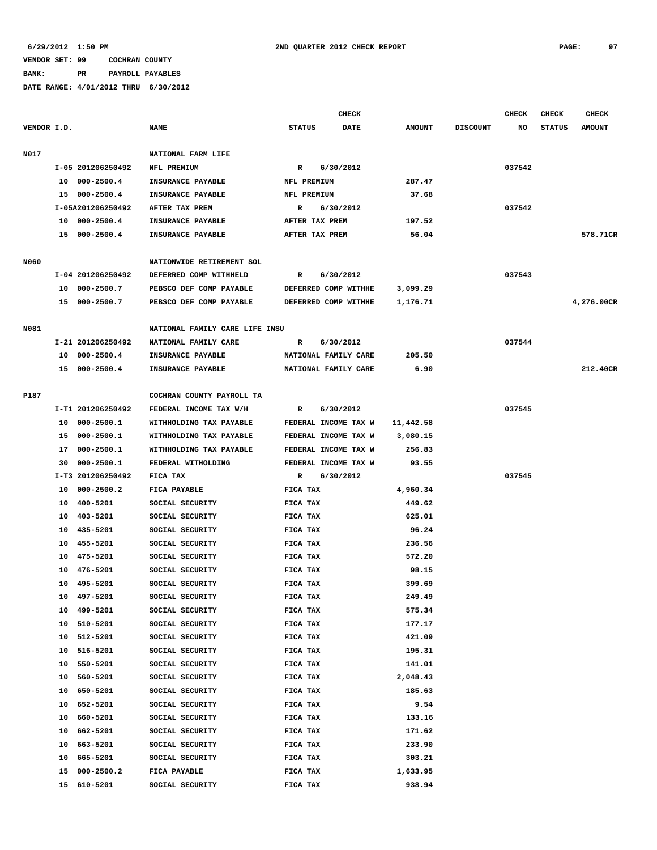# **BANK: PR PAYROLL PAYABLES**

|             |    |                   |                                |                      | <b>CHECK</b> |               |                 | <b>CHECK</b> | <b>CHECK</b>  | CHECK         |
|-------------|----|-------------------|--------------------------------|----------------------|--------------|---------------|-----------------|--------------|---------------|---------------|
| VENDOR I.D. |    |                   | <b>NAME</b>                    | <b>STATUS</b>        | <b>DATE</b>  | <b>AMOUNT</b> | <b>DISCOUNT</b> | NO           | <b>STATUS</b> | <b>AMOUNT</b> |
| N017        |    |                   | NATIONAL FARM LIFE             |                      |              |               |                 |              |               |               |
|             |    | I-05 201206250492 | NFL PREMIUM                    | R                    | 6/30/2012    |               |                 | 037542       |               |               |
|             |    | 10 000-2500.4     | INSURANCE PAYABLE              | NFL PREMIUM          |              | 287.47        |                 |              |               |               |
|             |    | 15 000-2500.4     | INSURANCE PAYABLE              | NFL PREMIUM          |              | 37.68         |                 |              |               |               |
|             |    | I-05A201206250492 | AFTER TAX PREM                 | R                    | 6/30/2012    |               |                 | 037542       |               |               |
|             |    | 10 000-2500.4     | INSURANCE PAYABLE              | AFTER TAX PREM       |              | 197.52        |                 |              |               |               |
|             |    | 15 000-2500.4     | INSURANCE PAYABLE              | AFTER TAX PREM       |              | 56.04         |                 |              |               | 578.71CR      |
|             |    |                   |                                |                      |              |               |                 |              |               |               |
| N060        |    |                   | NATIONWIDE RETIREMENT SOL      |                      |              |               |                 |              |               |               |
|             |    | I-04 201206250492 | DEFERRED COMP WITHHELD         | R                    | 6/30/2012    |               |                 | 037543       |               |               |
|             |    | 10 000-2500.7     | PEBSCO DEF COMP PAYABLE        | DEFERRED COMP WITHHE |              | 3,099.29      |                 |              |               |               |
|             |    | 15 000-2500.7     | PEBSCO DEF COMP PAYABLE        | DEFERRED COMP WITHHE |              | 1,176.71      |                 |              |               | 4,276.00CR    |
| N081        |    |                   | NATIONAL FAMILY CARE LIFE INSU |                      |              |               |                 |              |               |               |
|             |    | I-21 201206250492 | NATIONAL FAMILY CARE           | R                    | 6/30/2012    |               |                 | 037544       |               |               |
|             |    | 10 000-2500.4     | INSURANCE PAYABLE              | NATIONAL FAMILY CARE |              | 205.50        |                 |              |               |               |
|             |    | 15 000-2500.4     | INSURANCE PAYABLE              | NATIONAL FAMILY CARE |              | 6.90          |                 |              |               | 212.40CR      |
|             |    |                   |                                |                      |              |               |                 |              |               |               |
| P187        |    |                   | COCHRAN COUNTY PAYROLL TA      |                      |              |               |                 |              |               |               |
|             |    | I-T1 201206250492 | FEDERAL INCOME TAX W/H         | R                    | 6/30/2012    |               |                 | 037545       |               |               |
|             | 10 | $000 - 2500.1$    | WITHHOLDING TAX PAYABLE        | FEDERAL INCOME TAX W |              | 11,442.58     |                 |              |               |               |
|             | 15 | 000-2500.1        | WITHHOLDING TAX PAYABLE        | FEDERAL INCOME TAX W |              | 3,080.15      |                 |              |               |               |
|             | 17 | 000-2500.1        | WITHHOLDING TAX PAYABLE        | FEDERAL INCOME TAX W |              | 256.83        |                 |              |               |               |
|             | 30 | $000 - 2500.1$    | FEDERAL WITHOLDING             | FEDERAL INCOME TAX W |              | 93.55         |                 |              |               |               |
|             |    | I-T3 201206250492 | FICA TAX                       | R                    | 6/30/2012    |               |                 | 037545       |               |               |
|             | 10 | $000 - 2500.2$    | FICA PAYABLE                   | FICA TAX             |              | 4,960.34      |                 |              |               |               |
|             | 10 | 400-5201          | SOCIAL SECURITY                | FICA TAX             |              | 449.62        |                 |              |               |               |
|             |    | 10 403-5201       | SOCIAL SECURITY                | FICA TAX             |              | 625.01        |                 |              |               |               |
|             | 10 | 435-5201          | SOCIAL SECURITY                | FICA TAX             |              | 96.24         |                 |              |               |               |
|             |    | 10 455-5201       | SOCIAL SECURITY                | FICA TAX             |              | 236.56        |                 |              |               |               |
|             |    | 10 475-5201       | SOCIAL SECURITY                | FICA TAX             |              | 572.20        |                 |              |               |               |
|             | 10 | 476-5201          | SOCIAL SECURITY                | FICA TAX             |              | 98.15         |                 |              |               |               |
|             |    | 10 495-5201       | SOCIAL SECURITY                | FICA TAX             |              | 399.69        |                 |              |               |               |
|             | 10 | 497-5201          | SOCIAL SECURITY                | FICA TAX             |              | 249.49        |                 |              |               |               |
|             | 10 | 499-5201          | SOCIAL SECURITY                | FICA TAX             |              | 575.34        |                 |              |               |               |
|             | 10 | 510-5201          | SOCIAL SECURITY                | FICA TAX             |              | 177.17        |                 |              |               |               |
|             | 10 | 512-5201          | SOCIAL SECURITY                | FICA TAX             |              | 421.09        |                 |              |               |               |
|             | 10 | 516-5201          | SOCIAL SECURITY                | FICA TAX             |              | 195.31        |                 |              |               |               |
|             | 10 | 550-5201          | SOCIAL SECURITY                | FICA TAX             |              | 141.01        |                 |              |               |               |
|             | 10 | 560-5201          | SOCIAL SECURITY                | FICA TAX             |              | 2,048.43      |                 |              |               |               |
|             | 10 | 650-5201          | SOCIAL SECURITY                | FICA TAX             |              | 185.63        |                 |              |               |               |
|             | 10 | 652-5201          | SOCIAL SECURITY                | FICA TAX             |              | 9.54          |                 |              |               |               |
|             | 10 | 660-5201          | SOCIAL SECURITY                | FICA TAX             |              | 133.16        |                 |              |               |               |
|             | 10 | 662-5201          | SOCIAL SECURITY                | FICA TAX             |              | 171.62        |                 |              |               |               |
|             | 10 | 663-5201          | SOCIAL SECURITY                | FICA TAX             |              | 233.90        |                 |              |               |               |
|             | 10 | 665-5201          | SOCIAL SECURITY                | FICA TAX             |              | 303.21        |                 |              |               |               |
|             | 15 | $000 - 2500.2$    | FICA PAYABLE                   | FICA TAX             |              | 1,633.95      |                 |              |               |               |
|             |    | 15 610-5201       | SOCIAL SECURITY                | FICA TAX             |              | 938.94        |                 |              |               |               |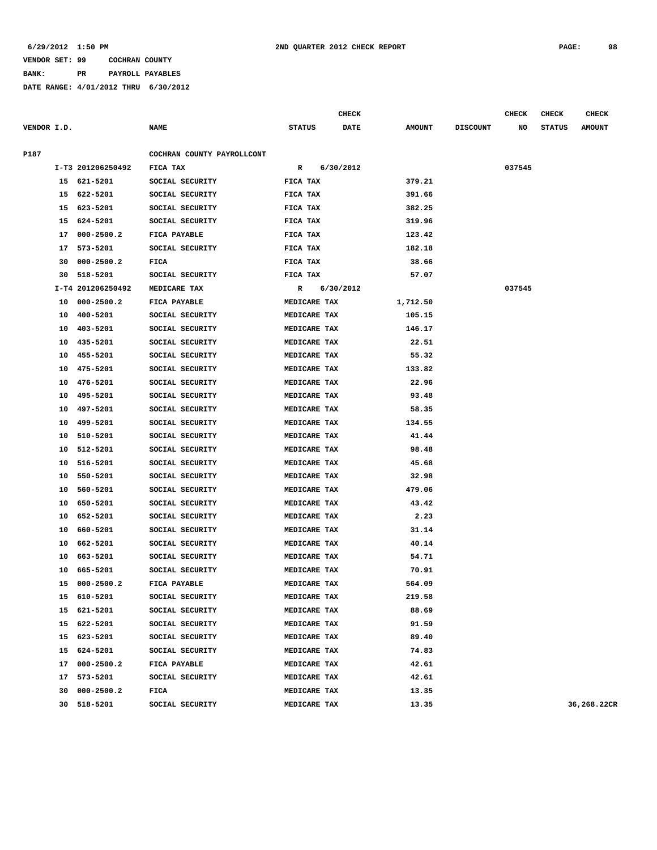**BANK: PR PAYROLL PAYABLES**

|             |    |                   |                            |               | <b>CHECK</b> |               |                 | <b>CHECK</b> | <b>CHECK</b>  | <b>CHECK</b>  |
|-------------|----|-------------------|----------------------------|---------------|--------------|---------------|-----------------|--------------|---------------|---------------|
| VENDOR I.D. |    |                   | <b>NAME</b>                | <b>STATUS</b> | <b>DATE</b>  | <b>AMOUNT</b> | <b>DISCOUNT</b> | NO           | <b>STATUS</b> | <b>AMOUNT</b> |
| P187        |    |                   | COCHRAN COUNTY PAYROLLCONT |               |              |               |                 |              |               |               |
|             |    | I-T3 201206250492 | FICA TAX                   | R             | 6/30/2012    |               |                 | 037545       |               |               |
|             |    | 15 621-5201       | SOCIAL SECURITY            | FICA TAX      |              | 379.21        |                 |              |               |               |
|             | 15 | 622-5201          | SOCIAL SECURITY            | FICA TAX      |              | 391.66        |                 |              |               |               |
|             | 15 | 623-5201          | SOCIAL SECURITY            | FICA TAX      |              | 382.25        |                 |              |               |               |
|             | 15 | 624-5201          | SOCIAL SECURITY            | FICA TAX      |              | 319.96        |                 |              |               |               |
|             | 17 | $000 - 2500.2$    | FICA PAYABLE               | FICA TAX      |              | 123.42        |                 |              |               |               |
|             | 17 | 573-5201          | SOCIAL SECURITY            | FICA TAX      |              | 182.18        |                 |              |               |               |
|             | 30 | $000 - 2500.2$    | FICA                       | FICA TAX      |              | 38.66         |                 |              |               |               |
|             | 30 | 518-5201          | SOCIAL SECURITY            | FICA TAX      |              | 57.07         |                 |              |               |               |
|             |    | I-T4 201206250492 | MEDICARE TAX               | R             | 6/30/2012    |               |                 | 037545       |               |               |
|             | 10 | $000 - 2500.2$    | FICA PAYABLE               | MEDICARE TAX  |              | 1,712.50      |                 |              |               |               |
|             | 10 | 400-5201          | SOCIAL SECURITY            | MEDICARE TAX  |              | 105.15        |                 |              |               |               |
|             | 10 | 403-5201          | SOCIAL SECURITY            | MEDICARE TAX  |              | 146.17        |                 |              |               |               |
|             | 10 | 435-5201          | SOCIAL SECURITY            | MEDICARE TAX  |              | 22.51         |                 |              |               |               |
|             | 10 | 455-5201          | SOCIAL SECURITY            | MEDICARE TAX  |              | 55.32         |                 |              |               |               |
|             | 10 | 475-5201          | SOCIAL SECURITY            | MEDICARE TAX  |              | 133.82        |                 |              |               |               |
|             | 10 | 476-5201          | SOCIAL SECURITY            | MEDICARE TAX  |              | 22.96         |                 |              |               |               |
|             | 10 | 495-5201          | SOCIAL SECURITY            | MEDICARE TAX  |              | 93.48         |                 |              |               |               |
|             | 10 | 497-5201          | SOCIAL SECURITY            | MEDICARE TAX  |              | 58.35         |                 |              |               |               |
|             | 10 | 499-5201          | SOCIAL SECURITY            | MEDICARE TAX  |              | 134.55        |                 |              |               |               |
|             | 10 | 510-5201          | SOCIAL SECURITY            | MEDICARE TAX  |              | 41.44         |                 |              |               |               |
|             | 10 | 512-5201          | SOCIAL SECURITY            | MEDICARE TAX  |              | 98.48         |                 |              |               |               |
|             | 10 | 516-5201          | SOCIAL SECURITY            | MEDICARE TAX  |              | 45.68         |                 |              |               |               |
|             | 10 | 550-5201          | SOCIAL SECURITY            | MEDICARE TAX  |              | 32.98         |                 |              |               |               |
|             | 10 | 560-5201          | SOCIAL SECURITY            | MEDICARE TAX  |              | 479.06        |                 |              |               |               |
|             | 10 | 650-5201          | SOCIAL SECURITY            | MEDICARE TAX  |              | 43.42         |                 |              |               |               |
|             | 10 | 652-5201          | SOCIAL SECURITY            | MEDICARE TAX  |              | 2.23          |                 |              |               |               |
|             | 10 | 660-5201          | SOCIAL SECURITY            | MEDICARE TAX  |              | 31.14         |                 |              |               |               |
|             | 10 | 662-5201          | SOCIAL SECURITY            | MEDICARE TAX  |              | 40.14         |                 |              |               |               |
|             | 10 | 663-5201          | SOCIAL SECURITY            | MEDICARE TAX  |              | 54.71         |                 |              |               |               |
|             | 10 | 665-5201          | SOCIAL SECURITY            | MEDICARE TAX  |              | 70.91         |                 |              |               |               |
|             |    | 15 000-2500.2     | FICA PAYABLE               | MEDICARE TAX  |              | 564.09        |                 |              |               |               |
|             |    | 15 610-5201       | SOCIAL SECURITY            | MEDICARE TAX  |              | 219.58        |                 |              |               |               |
|             |    | 15 621-5201       | SOCIAL SECURITY            | MEDICARE TAX  |              | 88.69         |                 |              |               |               |
|             |    | 15 622-5201       | SOCIAL SECURITY            | MEDICARE TAX  |              | 91.59         |                 |              |               |               |
|             |    | 15 623-5201       | SOCIAL SECURITY            | MEDICARE TAX  |              | 89.40         |                 |              |               |               |
|             |    | 15 624-5201       | SOCIAL SECURITY            | MEDICARE TAX  |              | 74.83         |                 |              |               |               |
|             |    | 17 000-2500.2     | FICA PAYABLE               | MEDICARE TAX  |              | 42.61         |                 |              |               |               |
|             |    | 17 573-5201       | SOCIAL SECURITY            | MEDICARE TAX  |              | 42.61         |                 |              |               |               |
|             |    | 30 000-2500.2     | FICA                       | MEDICARE TAX  |              | 13.35         |                 |              |               |               |
|             |    | 30 518-5201       | SOCIAL SECURITY            | MEDICARE TAX  |              | 13.35         |                 |              |               | 36,268.22CR   |
|             |    |                   |                            |               |              |               |                 |              |               |               |
|             |    |                   |                            |               |              |               |                 |              |               |               |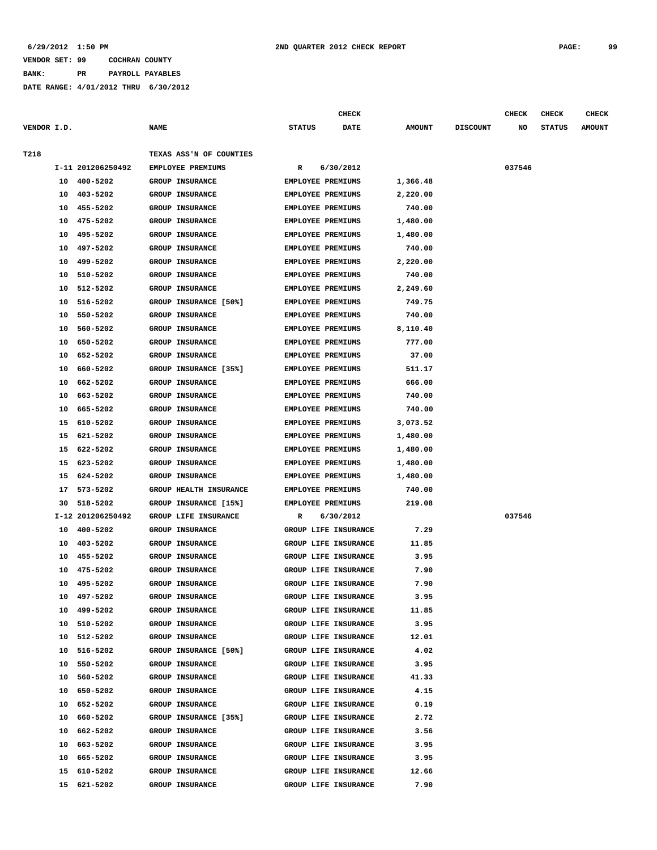**BANK: PR PAYROLL PAYABLES**

|             |          |                      |                                                     |                                                      | <b>CHECK</b>         |                    |                 | <b>CHECK</b> | <b>CHECK</b>  | <b>CHECK</b>  |
|-------------|----------|----------------------|-----------------------------------------------------|------------------------------------------------------|----------------------|--------------------|-----------------|--------------|---------------|---------------|
| VENDOR I.D. |          |                      | <b>NAME</b>                                         | <b>STATUS</b>                                        | <b>DATE</b>          | <b>AMOUNT</b>      | <b>DISCOUNT</b> | NO           | <b>STATUS</b> | <b>AMOUNT</b> |
|             |          |                      |                                                     |                                                      |                      |                    |                 |              |               |               |
| T218        |          | I-11 201206250492    | TEXAS ASS'N OF COUNTIES<br><b>EMPLOYEE PREMIUMS</b> | R                                                    | 6/30/2012            |                    |                 | 037546       |               |               |
|             | 10       | 400-5202             | <b>GROUP INSURANCE</b>                              | EMPLOYEE PREMIUMS                                    |                      | 1,366.48           |                 |              |               |               |
|             | 10       | 403-5202             | GROUP INSURANCE                                     | <b>EMPLOYEE PREMIUMS</b>                             |                      | 2,220.00           |                 |              |               |               |
|             | 10       | 455-5202             | <b>GROUP INSURANCE</b>                              | <b>EMPLOYEE PREMIUMS</b>                             |                      | 740.00             |                 |              |               |               |
|             | 10       | 475-5202             | GROUP INSURANCE                                     | <b>EMPLOYEE PREMIUMS</b>                             |                      | 1,480.00           |                 |              |               |               |
|             | 10       | 495-5202             | <b>GROUP INSURANCE</b>                              | <b>EMPLOYEE PREMIUMS</b>                             |                      | 1,480.00           |                 |              |               |               |
|             | 10       | 497-5202             | <b>GROUP INSURANCE</b>                              | <b>EMPLOYEE PREMIUMS</b>                             |                      | 740.00             |                 |              |               |               |
|             | 10       | 499-5202             | GROUP INSURANCE                                     | EMPLOYEE PREMIUMS                                    |                      | 2,220.00           |                 |              |               |               |
|             | 10       | 510-5202             | <b>GROUP INSURANCE</b>                              | EMPLOYEE PREMIUMS                                    |                      | 740.00             |                 |              |               |               |
|             | 10       | 512-5202             | <b>GROUP INSURANCE</b>                              | EMPLOYEE PREMIUMS                                    |                      | 2,249.60           |                 |              |               |               |
|             | 10       | 516-5202             | GROUP INSURANCE [50%]                               | EMPLOYEE PREMIUMS                                    |                      | 749.75             |                 |              |               |               |
|             | 10       | 550-5202             | <b>GROUP INSURANCE</b>                              | <b>EMPLOYEE PREMIUMS</b>                             |                      | 740.00             |                 |              |               |               |
|             |          | 560-5202             | <b>GROUP INSURANCE</b>                              | EMPLOYEE PREMIUMS                                    |                      | 8,110.40           |                 |              |               |               |
|             | 10       | 650-5202             | GROUP INSURANCE                                     | EMPLOYEE PREMIUMS                                    |                      | 777.00             |                 |              |               |               |
|             | 10       | 652-5202             |                                                     | <b>EMPLOYEE PREMIUMS</b>                             |                      |                    |                 |              |               |               |
|             | 10       |                      | <b>GROUP INSURANCE</b>                              |                                                      |                      | 37.00              |                 |              |               |               |
|             | 10       | 660-5202<br>662-5202 | GROUP INSURANCE [35%]                               | <b>EMPLOYEE PREMIUMS</b>                             |                      | 511.17             |                 |              |               |               |
|             | 10       |                      | GROUP INSURANCE                                     | EMPLOYEE PREMIUMS                                    |                      | 666.00<br>740.00   |                 |              |               |               |
|             | 10       | 663-5202             | <b>GROUP INSURANCE</b>                              | <b>EMPLOYEE PREMIUMS</b><br><b>EMPLOYEE PREMIUMS</b> |                      |                    |                 |              |               |               |
|             | 10       | 665-5202             | <b>GROUP INSURANCE</b>                              |                                                      |                      | 740.00             |                 |              |               |               |
|             | 15       | 610-5202             | <b>GROUP INSURANCE</b>                              | <b>EMPLOYEE PREMIUMS</b>                             |                      | 3,073.52           |                 |              |               |               |
|             | 15       | 621-5202<br>622-5202 | <b>GROUP INSURANCE</b><br><b>GROUP INSURANCE</b>    | <b>EMPLOYEE PREMIUMS</b><br>EMPLOYEE PREMIUMS        |                      | 1,480.00           |                 |              |               |               |
|             | 15       | 623-5202             |                                                     |                                                      |                      | 1,480.00           |                 |              |               |               |
|             | 15       | 624-5202             | GROUP INSURANCE<br><b>GROUP INSURANCE</b>           | EMPLOYEE PREMIUMS<br><b>EMPLOYEE PREMIUMS</b>        |                      | 1,480.00           |                 |              |               |               |
|             | 15<br>17 | 573-5202             | GROUP HEALTH INSURANCE                              | <b>EMPLOYEE PREMIUMS</b>                             |                      | 1,480.00<br>740.00 |                 |              |               |               |
|             | 30       | 518-5202             | GROUP INSURANCE [15%]                               | EMPLOYEE PREMIUMS                                    |                      | 219.08             |                 |              |               |               |
|             |          | I-12 201206250492    | GROUP LIFE INSURANCE                                | R                                                    | 6/30/2012            |                    |                 | 037546       |               |               |
|             | 10       | 400-5202             | <b>GROUP INSURANCE</b>                              |                                                      | GROUP LIFE INSURANCE | 7.29               |                 |              |               |               |
|             | 10       | 403-5202             | <b>GROUP INSURANCE</b>                              |                                                      | GROUP LIFE INSURANCE | 11.85              |                 |              |               |               |
|             | 10       | 455-5202             | <b>GROUP INSURANCE</b>                              |                                                      | GROUP LIFE INSURANCE | 3.95               |                 |              |               |               |
|             | 10       | 475-5202             | <b>GROUP INSURANCE</b>                              |                                                      | GROUP LIFE INSURANCE | 7.90               |                 |              |               |               |
|             | 10       | 495-5202             | GROUP INSURANCE                                     |                                                      | GROUP LIFE INSURANCE | 7.90               |                 |              |               |               |
|             |          | 10 497-5202          | GROUP INSURANCE                                     |                                                      | GROUP LIFE INSURANCE | 3.95               |                 |              |               |               |
|             | 10       | 499-5202             | GROUP INSURANCE                                     |                                                      | GROUP LIFE INSURANCE | 11.85              |                 |              |               |               |
|             | 10       | 510-5202             | GROUP INSURANCE                                     |                                                      | GROUP LIFE INSURANCE | 3.95               |                 |              |               |               |
|             | 10       | 512-5202             | <b>GROUP INSURANCE</b>                              |                                                      | GROUP LIFE INSURANCE | 12.01              |                 |              |               |               |
|             | 10       | 516-5202             | GROUP INSURANCE [50%]                               |                                                      | GROUP LIFE INSURANCE | 4.02               |                 |              |               |               |
|             | 10       | 550-5202             | GROUP INSURANCE                                     |                                                      | GROUP LIFE INSURANCE | 3.95               |                 |              |               |               |
|             | 10       | 560-5202             | GROUP INSURANCE                                     |                                                      | GROUP LIFE INSURANCE | 41.33              |                 |              |               |               |
|             | 10       | 650-5202             | GROUP INSURANCE                                     |                                                      | GROUP LIFE INSURANCE | 4.15               |                 |              |               |               |
|             | 10       | 652-5202             | GROUP INSURANCE                                     |                                                      | GROUP LIFE INSURANCE | 0.19               |                 |              |               |               |
|             | 10       | 660-5202             | GROUP INSURANCE [35%]                               |                                                      | GROUP LIFE INSURANCE | 2.72               |                 |              |               |               |
|             |          | 10 662-5202          | GROUP INSURANCE                                     |                                                      | GROUP LIFE INSURANCE | 3.56               |                 |              |               |               |
|             |          | 10 663-5202          | GROUP INSURANCE                                     |                                                      | GROUP LIFE INSURANCE | 3.95               |                 |              |               |               |
|             | 10       | 665-5202             | GROUP INSURANCE                                     |                                                      | GROUP LIFE INSURANCE | 3.95               |                 |              |               |               |
|             | 15       | 610-5202             | GROUP INSURANCE                                     |                                                      | GROUP LIFE INSURANCE | 12.66              |                 |              |               |               |
|             |          | 15 621-5202          | GROUP INSURANCE                                     |                                                      | GROUP LIFE INSURANCE | 7.90               |                 |              |               |               |
|             |          |                      |                                                     |                                                      |                      |                    |                 |              |               |               |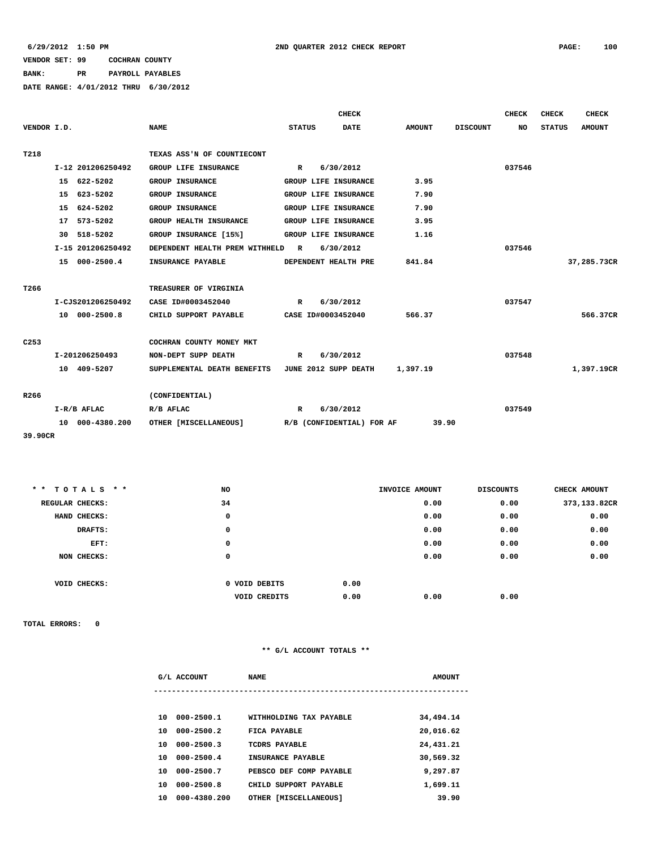## **BANK: PR PAYROLL PAYABLES**

**DATE RANGE: 4/01/2012 THRU 6/30/2012**

|                  |                   |                                                           |                             | <b>CHECK</b>              |               |                 | <b>CHECK</b> | <b>CHECK</b>  | <b>CHECK</b>  |
|------------------|-------------------|-----------------------------------------------------------|-----------------------------|---------------------------|---------------|-----------------|--------------|---------------|---------------|
| VENDOR I.D.      |                   | <b>NAME</b>                                               | <b>STATUS</b>               | <b>DATE</b>               | <b>AMOUNT</b> | <b>DISCOUNT</b> | <b>NO</b>    | <b>STATUS</b> | <b>AMOUNT</b> |
|                  |                   |                                                           |                             |                           |               |                 |              |               |               |
| T218             |                   | TEXAS ASS'N OF COUNTIECONT                                |                             |                           |               |                 |              |               |               |
|                  | I-12 201206250492 | GROUP LIFE INSURANCE                                      | $\mathbb{R}$                | 6/30/2012                 |               |                 | 037546       |               |               |
|                  | 15 622-5202       | GROUP INSURANCE                                           | GROUP LIFE INSURANCE        |                           | 3.95          |                 |              |               |               |
|                  | 15 623-5202       | <b>GROUP INSURANCE</b>                                    | GROUP LIFE INSURANCE        |                           | 7.90          |                 |              |               |               |
|                  | 15 624-5202       | <b>GROUP INSURANCE</b>                                    | GROUP LIFE INSURANCE        |                           | 7.90          |                 |              |               |               |
|                  | 17 573-5202       | GROUP HEALTH INSURANCE                                    | GROUP LIFE INSURANCE        |                           | 3.95          |                 |              |               |               |
|                  | 30 518-5202       | GROUP INSURANCE [15%]                                     | <b>GROUP LIFE INSURANCE</b> |                           | 1.16          |                 |              |               |               |
|                  | I-15 201206250492 | DEPENDENT HEALTH PREM WITHHELD R                          |                             | 6/30/2012                 |               |                 | 037546       |               |               |
|                  | 15 000-2500.4     | <b>INSURANCE PAYABLE</b>                                  | DEPENDENT HEALTH PRE        |                           | 841.84        |                 |              |               | 37,285.73CR   |
|                  |                   |                                                           |                             |                           |               |                 |              |               |               |
| T266             |                   | TREASURER OF VIRGINIA                                     |                             |                           |               |                 |              |               |               |
|                  | I-CJS201206250492 | CASE ID#0003452040                                        | R 6/30/2012                 |                           |               |                 | 037547       |               |               |
|                  | 10 000-2500.8     | CHILD SUPPORT PAYABLE CASE ID#0003452040                  |                             |                           | 566.37        |                 |              |               | 566.37CR      |
|                  |                   |                                                           |                             |                           |               |                 |              |               |               |
| C <sub>253</sub> |                   | COCHRAN COUNTY MONEY MKT                                  |                             |                           |               |                 |              |               |               |
|                  | I-201206250493    | NON-DEPT SUPP DEATH                                       | R                           | 6/30/2012                 |               |                 | 037548       |               |               |
|                  | 10 409-5207       | SUPPLEMENTAL DEATH BENEFITS JUNE 2012 SUPP DEATH 1,397.19 |                             |                           |               |                 |              |               | 1,397.19CR    |
|                  |                   |                                                           |                             |                           |               |                 |              |               |               |
| R266             |                   | (CONFIDENTIAL)                                            |                             |                           |               |                 |              |               |               |
|                  | I-R/B AFLAC       | R/B AFLAC                                                 | $\mathbb{R}$                | 6/30/2012                 |               |                 | 037549       |               |               |
|                  | 10 000-4380.200   | OTHER [MISCELLANEOUS]                                     |                             | R/B (CONFIDENTIAL) FOR AF | 39.90         |                 |              |               |               |

**39.90CR**

| ** TOTALS **    | NO            |      | INVOICE AMOUNT | <b>DISCOUNTS</b> | CHECK AMOUNT |
|-----------------|---------------|------|----------------|------------------|--------------|
| REGULAR CHECKS: | 34            |      | 0.00           | 0.00             | 373,133.82CR |
| HAND CHECKS:    | 0             |      | 0.00           | 0.00             | 0.00         |
| DRAFTS:         | 0             |      | 0.00           | 0.00             | 0.00         |
| EFT:            | 0             |      | 0.00           | 0.00             | 0.00         |
| NON CHECKS:     | 0             |      | 0.00           | 0.00             | 0.00         |
|                 |               |      |                |                  |              |
| VOID CHECKS:    | 0 VOID DEBITS | 0.00 |                |                  |              |
|                 | VOID CREDITS  | 0.00 | 0.00           | 0.00             |              |
|                 |               |      |                |                  |              |

**TOTAL ERRORS: 0**

|    | G/L ACCOUNT    | <b>NAME</b>             | <b>AMOUNT</b> |
|----|----------------|-------------------------|---------------|
|    |                |                         |               |
| 10 | 000-2500.1     | WITHHOLDING TAX PAYABLE | 34,494.14     |
| 10 | $000 - 2500.2$ | FICA PAYABLE            | 20,016.62     |
| 10 | $000 - 2500.3$ | TCDRS PAYABLE           | 24,431.21     |
| 10 | $000 - 2500.4$ | INSURANCE PAYABLE       | 30,569.32     |
| 10 | 000-2500.7     | PEBSCO DEF COMP PAYABLE | 9,297.87      |
| 10 | $000 - 2500.8$ | CHILD SUPPORT PAYABLE   | 1,699.11      |
| 10 | 000-4380.200   | OTHER [MISCELLANEOUS]   | 39.90         |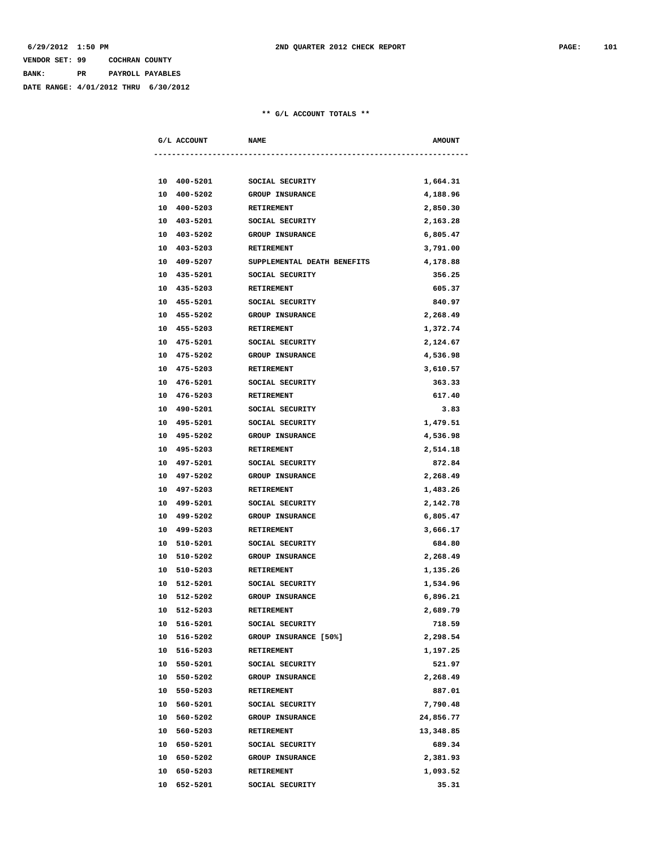# **VENDOR SET: 99 COCHRAN COUNTY BANK: PR PAYROLL PAYABLES**

**DATE RANGE: 4/01/2012 THRU 6/30/2012**

| G/L ACCOUNT    | <b>NAME</b>                 | <b>AMOUNT</b> |
|----------------|-----------------------------|---------------|
|                |                             |               |
| 10 400-5201    | SOCIAL SECURITY             | 1,664.31      |
| 400-5202<br>10 | <b>GROUP INSURANCE</b>      | 4,188.96      |
| 10<br>400-5203 | RETIREMENT                  | 2,850.30      |
| 10 403-5201    | SOCIAL SECURITY             | 2,163.28      |
| 10 403-5202    | <b>GROUP INSURANCE</b>      | 6,805.47      |
| 10 403-5203    | <b>RETIREMENT</b>           | 3,791.00      |
| 10 409-5207    | SUPPLEMENTAL DEATH BENEFITS | 4,178.88      |
| 10 435-5201    | SOCIAL SECURITY             | 356.25        |
| 10 435-5203    | <b>RETIREMENT</b>           | 605.37        |
| 10 455-5201    | SOCIAL SECURITY             | 840.97        |
| 10 455-5202    | <b>GROUP INSURANCE</b>      | 2,268.49      |
| 10 455-5203    | RETIREMENT                  | 1,372.74      |
| 10 475-5201    | SOCIAL SECURITY             | 2,124.67      |
| 475-5202<br>10 | <b>GROUP INSURANCE</b>      | 4,536.98      |
| 10<br>475-5203 | <b>RETIREMENT</b>           | 3,610.57      |
| 10 476-5201    | SOCIAL SECURITY             | 363.33        |
| 10 476-5203    | RETIREMENT                  | 617.40        |
| 10 490-5201    | SOCIAL SECURITY             | 3.83          |
| 10 495-5201    | SOCIAL SECURITY             | 1,479.51      |
| 10 495-5202    | GROUP INSURANCE             | 4,536.98      |
| 10 495-5203    | RETIREMENT                  | 2,514.18      |
| 10 497-5201    | SOCIAL SECURITY             | 872.84        |
| 10 497-5202    | <b>GROUP INSURANCE</b>      | 2,268.49      |
| 10 497-5203    | RETIREMENT                  | 1,483.26      |
| 10 499-5201    | SOCIAL SECURITY             | 2,142.78      |
| 499-5202<br>10 | GROUP INSURANCE             | 6,805.47      |
| 10<br>499-5203 | RETIREMENT                  | 3,666.17      |
| 510-5201<br>10 | SOCIAL SECURITY             | 684.80        |
| 10 510-5202    | <b>GROUP INSURANCE</b>      | 2,268.49      |
| 10 510-5203    | <b>RETIREMENT</b>           | 1,135.26      |
| 10 512-5201    | SOCIAL SECURITY             | 1,534.96      |
| 10 512-5202    | GROUP INSURANCE             | 6,896.21      |
| 10 512-5203    | <b>RETIREMENT</b>           | 2,689.79      |
| 516-5201<br>10 | SOCIAL SECURITY             | 718.59        |
| 10 516-5202    | GROUP INSURANCE [50%]       | 2,298.54      |
| 516-5203<br>10 | RETIREMENT                  | 1,197.25      |
| 10 550-5201    | SOCIAL SECURITY             | 521.97        |
| 10 550-5202    | GROUP INSURANCE             | 2,268.49      |
| 10<br>550-5203 | RETIREMENT                  | 887.01        |
| 10 560-5201    | SOCIAL SECURITY             | 7,790.48      |
| 10 560-5202    | GROUP INSURANCE             | 24,856.77     |
| 10 560-5203    | RETIREMENT                  | 13,348.85     |
| 10 650-5201    | SOCIAL SECURITY             | 689.34        |
| 10 650-5202    | GROUP INSURANCE             | 2,381.93      |
| 10<br>650-5203 | RETIREMENT                  | 1,093.52      |
| 10<br>652-5201 | SOCIAL SECURITY             | 35.31         |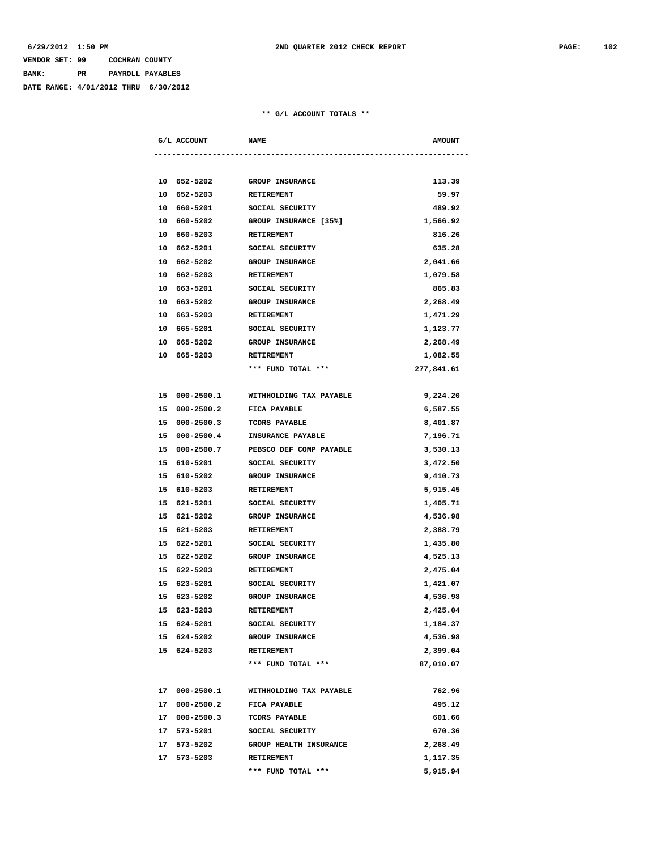# **VENDOR SET: 99 COCHRAN COUNTY BANK: PR PAYROLL PAYABLES**

**DATE RANGE: 4/01/2012 THRU 6/30/2012**

| G/L ACCOUNT    | <b>NAME</b>              | <b>AMOUNT</b> |
|----------------|--------------------------|---------------|
|                |                          |               |
| 10 652-5202    | <b>GROUP INSURANCE</b>   | 113.39        |
| 10 652-5203    | RETIREMENT               | 59.97         |
| 10 660-5201    | SOCIAL SECURITY          | 489.92        |
| 10 660-5202    | GROUP INSURANCE [35%]    | 1,566.92      |
| 10 660-5203    | RETIREMENT               | 816.26        |
| 10 662-5201    | SOCIAL SECURITY          | 635.28        |
| 10 662-5202    | <b>GROUP INSURANCE</b>   | 2,041.66      |
| 662-5203<br>10 | RETIREMENT               | 1,079.58      |
| 10 663-5201    | SOCIAL SECURITY          | 865.83        |
| 10 663-5202    | GROUP INSURANCE          | 2,268.49      |
| 10 663-5203    | RETIREMENT               | 1,471.29      |
| 10 665-5201    | SOCIAL SECURITY          | 1,123.77      |
| 10 665-5202    | <b>GROUP INSURANCE</b>   | 2,268.49      |
| 10 665-5203    | RETIREMENT               | 1,082.55      |
|                | *** FUND TOTAL ***       | 277,841.61    |
|                |                          |               |
| 15 000-2500.1  | WITHHOLDING TAX PAYABLE  | 9,224.20      |
| 15 000-2500.2  | FICA PAYABLE             | 6,587.55      |
| 15 000-2500.3  | TCDRS PAYABLE            | 8,401.87      |
| 15 000-2500.4  | <b>INSURANCE PAYABLE</b> | 7,196.71      |
| 15 000-2500.7  | PEBSCO DEF COMP PAYABLE  | 3,530.13      |
| 15 610-5201    | SOCIAL SECURITY          | 3,472.50      |
| 15 610-5202    | <b>GROUP INSURANCE</b>   | 9,410.73      |
| 15 610-5203    | RETIREMENT               | 5,915.45      |
| 15 621-5201    | SOCIAL SECURITY          | 1,405.71      |
| 15 621-5202    | <b>GROUP INSURANCE</b>   | 4,536.98      |
| 15 621-5203    | RETIREMENT               | 2,388.79      |
| 15 622-5201    | SOCIAL SECURITY          | 1,435.80      |
| 15 622-5202    | <b>GROUP INSURANCE</b>   | 4,525.13      |
| 15 622-5203    | RETIREMENT               | 2,475.04      |
| 15 623-5201    | SOCIAL SECURITY          | 1,421.07      |
| 15 623-5202    | GROUP INSURANCE          | 4,536.98      |
| 15 623-5203    | RETIREMENT               | 2,425.04      |
| 15 624-5201    | SOCIAL SECURITY          | 1,184.37      |
| 15 624-5202    | <b>GROUP INSURANCE</b>   | 4,536.98      |
| 15 624-5203    | RETIREMENT               | 2,399.04      |
|                | *** FUND TOTAL ***       | 87,010.07     |
|                |                          |               |
| 17 000-2500.1  | WITHHOLDING TAX PAYABLE  | 762.96        |
| 17 000-2500.2  | FICA PAYABLE             | 495.12        |
| 17 000-2500.3  | TCDRS PAYABLE            | 601.66        |
| 17 573-5201    | SOCIAL SECURITY          | 670.36        |
| 17 573-5202    | GROUP HEALTH INSURANCE   | 2,268.49      |
| 17 573-5203    | RETIREMENT               | 1,117.35      |
|                | *** FUND TOTAL ***       | 5,915.94      |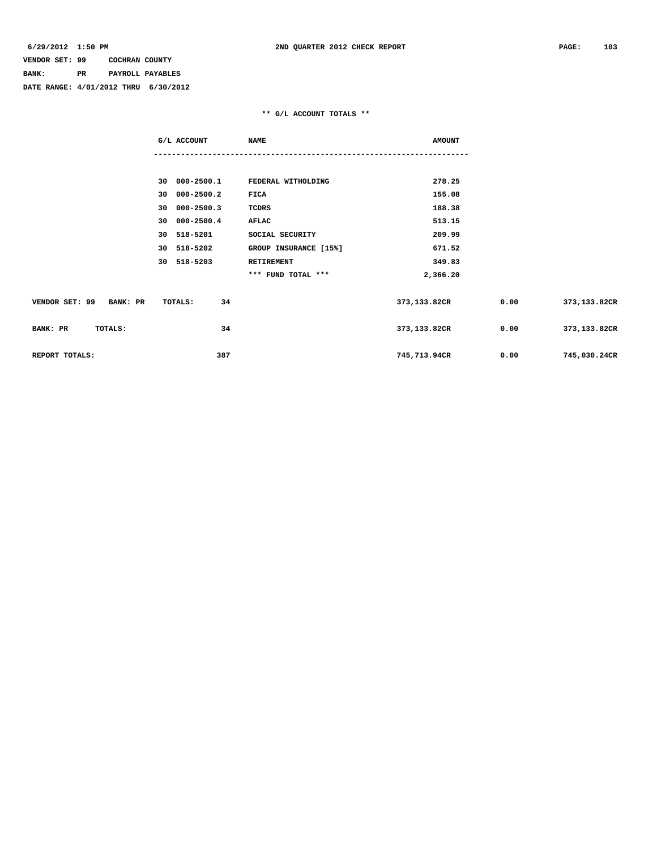**BANK: PR PAYROLL PAYABLES**

**DATE RANGE: 4/01/2012 THRU 6/30/2012**

|                         | G/L ACCOUNT   | <b>NAME</b>           | <b>AMOUNT</b> |      |              |
|-------------------------|---------------|-----------------------|---------------|------|--------------|
|                         |               |                       |               |      |              |
|                         | 30 000-2500.1 | FEDERAL WITHOLDING    | 278.25        |      |              |
|                         | 30 000-2500.2 | FICA                  | 155.08        |      |              |
|                         | 30 000-2500.3 | <b>TCDRS</b>          | 188.38        |      |              |
|                         | 30 000-2500.4 | AFLAC                 | 513.15        |      |              |
|                         | 30 518-5201   | SOCIAL SECURITY       | 209.99        |      |              |
|                         | 30 518-5202   | GROUP INSURANCE [15%] | 671.52        |      |              |
|                         | 30 518-5203   | RETIREMENT            | 349.83        |      |              |
|                         |               | *** FUND TOTAL ***    | 2,366.20      |      |              |
| VENDOR SET: 99 BANK: PR | 34<br>TOTALS: |                       | 373,133.82CR  | 0.00 | 373,133.82CR |
| BANK: PR<br>TOTALS:     | 34            |                       | 373,133.82CR  | 0.00 | 373,133.82CR |
| REPORT TOTALS:          | 387           |                       | 745,713.94CR  | 0.00 | 745,030.24CR |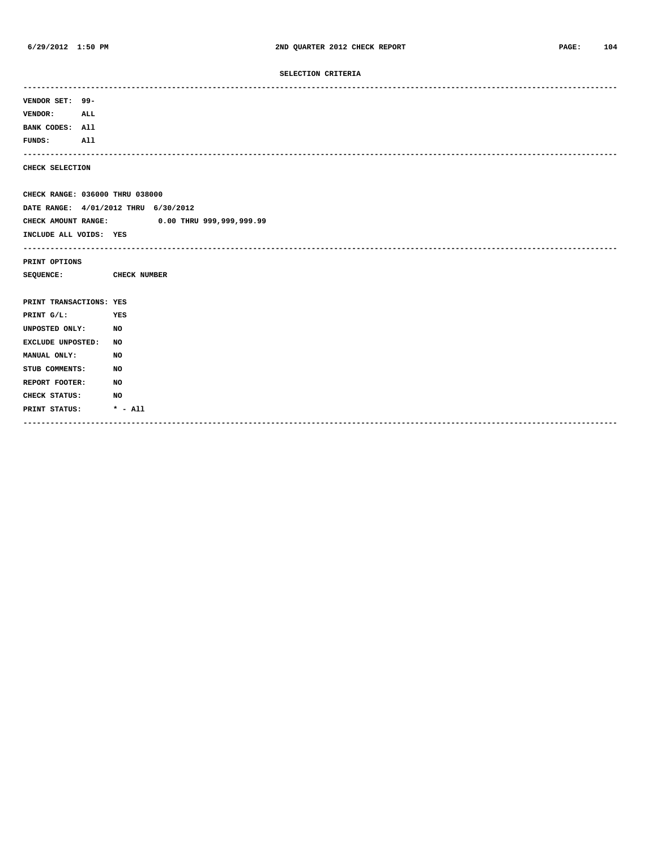## **SELECTION CRITERIA**

| VENDOR SET: 99-         |                                              |
|-------------------------|----------------------------------------------|
| <b>VENDOR:</b>          | ALL                                          |
| BANK CODES: All         |                                              |
| <b>FUNDS:</b>           | All                                          |
| CHECK SELECTION         |                                              |
|                         | CHECK RANGE: 036000 THRU 038000              |
|                         | DATE RANGE: 4/01/2012 THRU 6/30/2012         |
|                         | CHECK AMOUNT RANGE: 0.00 THRU 999,999,999.99 |
| INCLUDE ALL VOIDS: YES  |                                              |
|                         | --------------------------------------       |
| PRINT OPTIONS           |                                              |
| <b>SEQUENCE:</b>        | CHECK NUMBER                                 |
|                         |                                              |
| PRINT TRANSACTIONS: YES |                                              |
| PRINT G/L:              | YES                                          |
| UNPOSTED ONLY:          | NO                                           |
| EXCLUDE UNPOSTED:       | NO                                           |
| MANUAL ONLY:            | NO                                           |
| STUB COMMENTS:          | NO                                           |
| REPORT FOOTER:          | NO                                           |
| CHECK STATUS:           | NO                                           |
| PRINT STATUS:           | $* - \text{all}$                             |
|                         |                                              |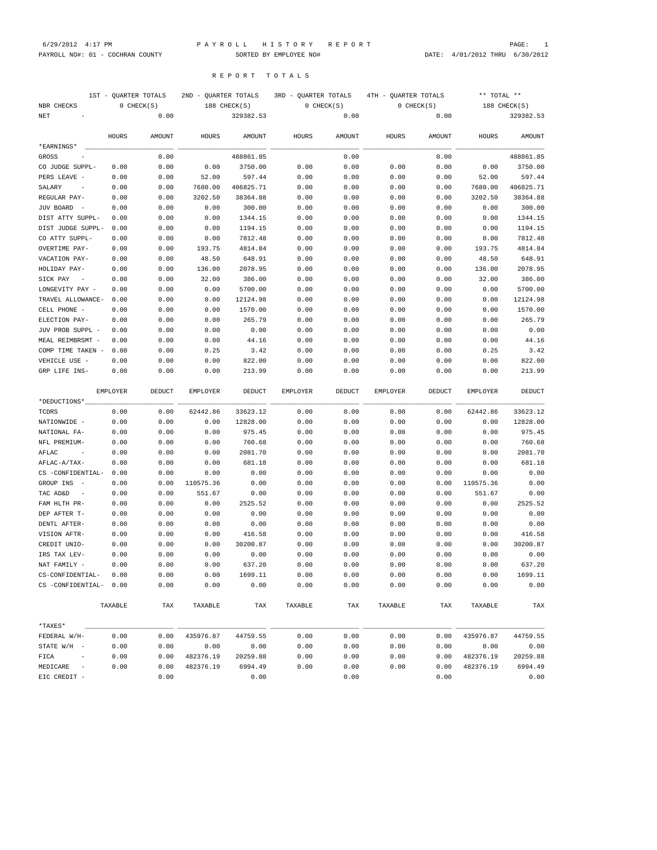1ST - QUARTER TOTALS 2ND - QUARTER TOTALS 3RD - QUARTER TOTALS 4TH - QUARTER TOTALS \*\* TOTAL \*\* NBR CHECKS 0 CHECK(S) 188 CHECK(S) 0 CHECK(S) 0 CHECK(S) 188 CHECK(S)

R E P O R T T O T A L S

PAYROLL NO#: 01 - COCHRAN COUNTY SORTED BY EMPLOYEE NO# DATE: 4/01/2012 THRU 6/30/2012

| NET                                  |          | 0.00   |           | 329382.53 |                 | 0.00   |          | 0.00   |           | 329382.53 |
|--------------------------------------|----------|--------|-----------|-----------|-----------------|--------|----------|--------|-----------|-----------|
|                                      | HOURS    | AMOUNT | HOURS     | AMOUNT    | HOURS           | AMOUNT | HOURS    | AMOUNT | HOURS     | AMOUNT    |
| *EARNINGS*                           |          |        |           |           |                 |        |          |        |           |           |
| GROSS                                |          | 0.00   |           | 488861.85 |                 | 0.00   |          | 0.00   |           | 488861.85 |
| CO JUDGE SUPPL-                      | 0.00     | 0.00   | 0.00      | 3750.00   | 0.00            | 0.00   | 0.00     | 0.00   | 0.00      | 3750.00   |
| PERS LEAVE -                         | 0.00     | 0.00   | 52.00     | 597.44    | 0.00            | 0.00   | 0.00     | 0.00   | 52.00     | 597.44    |
| SALARY                               | 0.00     | 0.00   | 7680.00   | 406825.71 | 0.00            | 0.00   | 0.00     | 0.00   | 7680.00   | 406825.71 |
| REGULAR PAY-                         | 0.00     | 0.00   | 3202.50   | 38364.88  | 0.00            | 0.00   | 0.00     | 0.00   | 3202.50   | 38364.88  |
| JUV BOARD                            | 0.00     | 0.00   | 0.00      | 300.00    | 0.00            | 0.00   | 0.00     | 0.00   | 0.00      | 300.00    |
| DIST ATTY SUPPL-                     | 0.00     | 0.00   | 0.00      | 1344.15   | 0.00            | 0.00   | 0.00     | 0.00   | 0.00      | 1344.15   |
| DIST JUDGE SUPPL-                    | 0.00     | 0.00   | 0.00      | 1194.15   | 0.00            | 0.00   | 0.00     | 0.00   | 0.00      | 1194.15   |
| CO ATTY SUPPL-                       | 0.00     | 0.00   | 0.00      | 7812.48   | 0.00            | 0.00   | 0.00     | 0.00   | 0.00      | 7812.48   |
| OVERTIME PAY-                        | 0.00     | 0.00   | 193.75    | 4814.84   | 0.00            | 0.00   | 0.00     | 0.00   | 193.75    | 4814.84   |
| VACATION PAY-                        | 0.00     | 0.00   | 48.50     | 648.91    | 0.00            | 0.00   | 0.00     | 0.00   | 48.50     | 648.91    |
| HOLIDAY PAY-                         | 0.00     | 0.00   | 136.00    | 2078.95   | 0.00            | 0.00   | 0.00     | 0.00   | 136.00    | 2078.95   |
| SICK PAY                             | 0.00     | 0.00   | 32.00     | 386.00    | 0.00            | 0.00   | 0.00     | 0.00   | 32.00     | 386.00    |
| LONGEVITY PAY -                      | 0.00     | 0.00   | 0.00      | 5700.00   | 0.00            | 0.00   | 0.00     | 0.00   | 0.00      | 5700.00   |
| TRAVEL ALLOWANCE-                    | 0.00     | 0.00   | 0.00      | 12124.98  | 0.00            | 0.00   | 0.00     | 0.00   | 0.00      | 12124.98  |
| CELL PHONE -                         | 0.00     | 0.00   | 0.00      | 1570.00   | 0.00            | 0.00   | 0.00     | 0.00   | 0.00      | 1570.00   |
| ELECTION PAY-                        | 0.00     | 0.00   | 0.00      | 265.79    | 0.00            | 0.00   | 0.00     | 0.00   | 0.00      | 265.79    |
| JUV PROB SUPPL -                     | 0.00     | 0.00   | 0.00      | 0.00      | 0.00            | 0.00   | 0.00     | 0.00   | 0.00      | 0.00      |
| MEAL REIMBRSMT -                     | 0.00     | 0.00   | 0.00      | 44.16     | 0.00            | 0.00   | 0.00     | 0.00   | 0.00      | 44.16     |
| COMP TIME TAKEN -                    | 0.00     | 0.00   | 0.25      | 3.42      | 0.00            | 0.00   | 0.00     | 0.00   | 0.25      | 3.42      |
| VEHICLE USE                          | 0.00     | 0.00   | 0.00      | 822.00    | 0.00            | 0.00   | 0.00     | 0.00   | 0.00      | 822.00    |
| GRP LIFE INS-                        | 0.00     | 0.00   | 0.00      | 213.99    | 0.00            | 0.00   | 0.00     | 0.00   | 0.00      | 213.99    |
|                                      | EMPLOYER | DEDUCT | EMPLOYER  | DEDUCT    | <b>EMPLOYER</b> | DEDUCT | EMPLOYER | DEDUCT | EMPLOYER  | DEDUCT    |
| *DEDUCTIONS*                         |          |        |           |           |                 |        |          |        |           |           |
| TCDRS                                | 0.00     | 0.00   | 62442.86  | 33623.12  | 0.00            | 0.00   | 0.00     | 0.00   | 62442.86  | 33623.12  |
| NATIONWIDE -                         | 0.00     | 0.00   | 0.00      | 12828.00  | 0.00            | 0.00   | 0.00     | 0.00   | 0.00      | 12828.00  |
| NATIONAL FA-                         | 0.00     | 0.00   | 0.00      | 975.45    | 0.00            | 0.00   | 0.00     | 0.00   | 0.00      | 975.45    |
| NFL PREMIUM-                         | 0.00     | 0.00   | 0.00      | 760.68    | 0.00            | 0.00   | 0.00     | 0.00   | 0.00      | 760.68    |
| AFLAC                                | 0.00     | 0.00   | 0.00      | 2081.70   | 0.00            | 0.00   | 0.00     | 0.00   | 0.00      | 2081.70   |
| AFLAC-A/TAX-                         | 0.00     | 0.00   | 0.00      | 681.18    | 0.00            | 0.00   | 0.00     | 0.00   | 0.00      | 681.18    |
| CS -CONFIDENTIAL-                    | 0.00     | 0.00   | 0.00      | 0.00      | 0.00            | 0.00   | 0.00     | 0.00   | 0.00      | 0.00      |
| GROUP INS                            | 0.00     | 0.00   | 110575.36 | 0.00      | 0.00            | 0.00   | 0.00     | 0.00   | 110575.36 | 0.00      |
| TAC AD&D<br>$\overline{\phantom{m}}$ | 0.00     | 0.00   | 551.67    | 0.00      | 0.00            | 0.00   | 0.00     | 0.00   | 551.67    | 0.00      |
| FAM HLTH PR-                         | 0.00     | 0.00   | 0.00      | 2525.52   | 0.00            | 0.00   | 0.00     | 0.00   | 0.00      | 2525.52   |
| DEP AFTER T-                         | 0.00     | 0.00   | 0.00      | 0.00      | 0.00            | 0.00   | 0.00     | 0.00   | 0.00      | 0.00      |
| DENTL AFTER-                         | 0.00     | 0.00   | 0.00      | 0.00      | 0.00            | 0.00   | 0.00     | 0.00   | 0.00      | 0.00      |
| VISION AFTR-                         | 0.00     | 0.00   | 0.00      | 416.58    | 0.00            | 0.00   | 0.00     | 0.00   | 0.00      | 416.58    |
| CREDIT UNIO-                         | 0.00     | 0.00   | 0.00      | 30200.87  | 0.00            | 0.00   | 0.00     | 0.00   | 0.00      | 30200.87  |
| IRS TAX LEV-                         | 0.00     | 0.00   | 0.00      | 0.00      | 0.00            | 0.00   | 0.00     | 0.00   | 0.00      | 0.00      |
| NAT FAMILY -                         | 0.00     | 0.00   | 0.00      | 637.20    | 0.00            | 0.00   | 0.00     | 0.00   | 0.00      | 637.20    |
| CS-CONFIDENTIAL-                     | 0.00     | 0.00   | 0.00      | 1699.11   | 0.00            | 0.00   | 0.00     | 0.00   | 0.00      | 1699.11   |
| CS -CONFIDENTIAL-                    | 0.00     | 0.00   | 0.00      | 0.00      | 0.00            | 0.00   | 0.00     | 0.00   | 0.00      | 0.00      |
|                                      | TAXABLE  | TAX    | TAXABLE   | TAX       | TAXABLE         | TAX    | TAXABLE  | TAX    | TAXABLE   | TAX       |
| *TAXES*                              |          |        |           |           |                 |        |          |        |           |           |
| FEDERAL W/H-                         | 0.00     | 0.00   | 435976.87 | 44759.55  | 0.00            | 0.00   | 0.00     | 0.00   | 435976.87 | 44759.55  |
| STATE W/H -                          | 0.00     | 0.00   | 0.00      | 0.00      | 0.00            | 0.00   | 0.00     | 0.00   | 0.00      | 0.00      |
| FICA                                 | 0.00     | 0.00   | 482376.19 | 20259.88  | 0.00            | 0.00   | 0.00     | 0.00   | 482376.19 | 20259.88  |
| MEDICARE                             | 0.00     | 0.00   | 482376.19 | 6994.49   | 0.00            | 0.00   | 0.00     | 0.00   | 482376.19 | 6994.49   |
| EIC CREDIT -                         |          | 0.00   |           | 0.00      |                 | 0.00   |          | 0.00   |           | 0.00      |